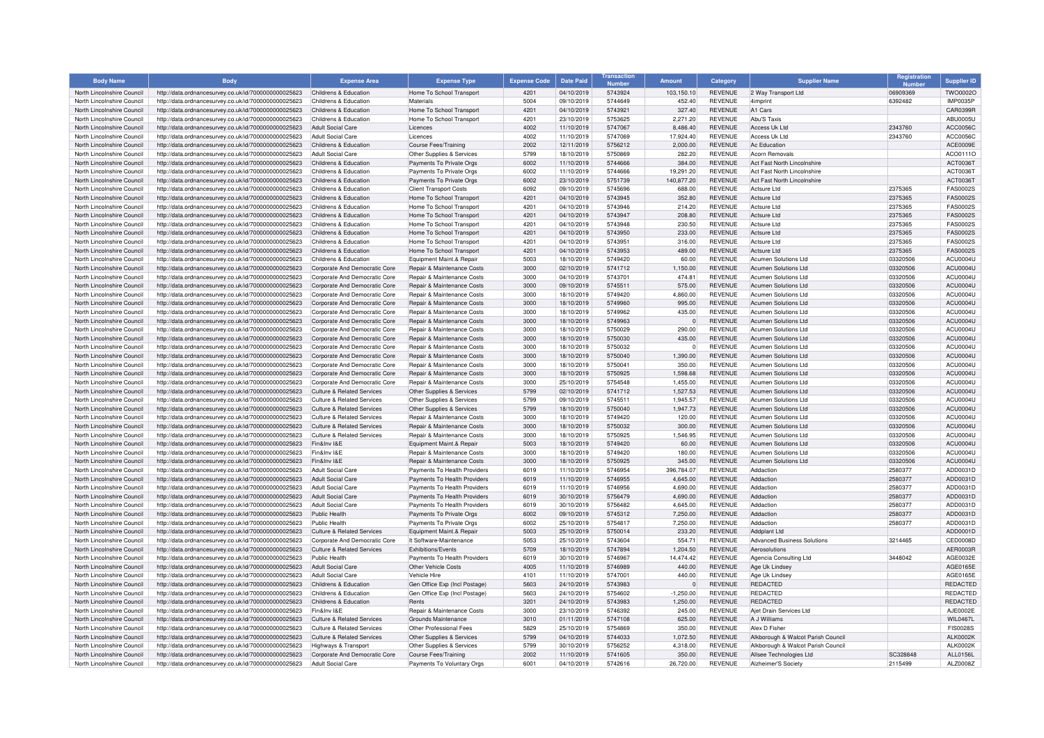| <b>Body Name</b>                                         | <b>Body</b>                                                                                                  | <b>Expense Area</b>                                            | <b>Expense Type</b>                                      | <b>Expense Code</b> | <b>Date Paid</b>         | Numbe              | <b>Amount</b>    | Category                         | <b>Supplier Name</b>                                | Registration         | <b>Supplier ID</b>   |
|----------------------------------------------------------|--------------------------------------------------------------------------------------------------------------|----------------------------------------------------------------|----------------------------------------------------------|---------------------|--------------------------|--------------------|------------------|----------------------------------|-----------------------------------------------------|----------------------|----------------------|
| North Lincolnshire Council                               | http://data.ordnancesurvey.co.uk/id/7000000000025623                                                         | Childrens & Education                                          | Home To School Transport                                 | 4201                | 04/10/2019               | 5743924            | 103,150.10       | <b>REVENUE</b>                   | 2 Way Transport Ltd                                 | 06909369             | TWO0002O             |
| North Lincolnshire Council                               | http://data.ordnancesurvey.co.uk/id/7000000000025623                                                         | Childrens & Education                                          | Materials                                                | 5004                | 09/10/2019               | 5744649            | 452.40           | <b>REVENUE</b>                   | 4imprint                                            | 6392482              | <b>IMP0035P</b>      |
| North Lincolnshire Council                               | http://data.ordnancesurvey.co.uk/id/7000000000025623                                                         | Childrens & Education                                          | Home To School Transport                                 | 4201                | 04/10/2019               | 5743921            | 327.40           | <b>REVENUE</b>                   | A1 Cars                                             |                      | CAR0399F             |
| North Lincolnshire Council                               | http://data.ordnancesurvev.co.uk/id/7000000000025623                                                         | Childrens & Education                                          | Home To School Transport                                 | 4201                | 23/10/2019               | 5753625            | 2,271.20         | <b>REVENUE</b>                   | Abu'S Taxis                                         |                      | ABU0005U             |
| North Lincolnshire Council                               | http://data.ordnancesurvey.co.uk/id/7000000000025623                                                         | Adult Social Care                                              | Licences                                                 | 4002                | 11/10/2019               | 5747067            | 8,486.40         | <b>REVENUE</b>                   | Access Uk Ltd                                       | 2343760              | ACC0056C             |
| North Lincolnshire Council                               | http://data.ordnancesurvey.co.uk/id/7000000000025623                                                         | <b>Adult Social Care</b>                                       | Licences                                                 | 4002                | 11/10/2019               | 5747069            | 17,924.40        | <b>REVENUE</b>                   | Access Uk Ltd                                       | 2343760              | ACC0056C             |
| North Lincolnshire Council                               | http://data.ordnancesurvey.co.uk/id/7000000000025623                                                         | Childrens & Education                                          | Course Fees/Training                                     | 2002                | 12/11/2019               | 5756212            | 2,000.00         | <b>REVENUE</b>                   | Ac Education                                        |                      | ACE0009E             |
| North Lincolnshire Council                               | http://data.ordnancesurvey.co.uk/id/7000000000025623                                                         | Adult Social Care                                              | Other Supplies & Services                                | 5799                | 18/10/2019               | 5750869            | 282.20           | <b>REVENUE</b>                   | Acorn Removals                                      |                      | ACO0111C             |
| North Lincolnshire Council                               | http://data.ordnancesurvey.co.uk/id/7000000000025623                                                         | Childrens & Education                                          | Payments To Private Orgs                                 | 6002                | 11/10/2019               | 5744666            | 384.00           | <b>REVENUE</b>                   | Act Fast North Lincolnshire                         |                      | ACT0036T             |
| North Lincolnshire Council                               | http://data.ordnancesurvey.co.uk/id/7000000000025623                                                         | Childrens & Education                                          | Payments To Private Orgs                                 | 6002                | 11/10/2019               | 5744666            | 19,291.20        | <b>REVENUE</b>                   | Act Fast North Lincolnshire                         |                      | ACT00361             |
| North Lincolnshire Council                               | http://data.ordnancesurvey.co.uk/id/7000000000025623                                                         | Childrens & Education                                          | Payments To Private Orgs                                 | 6002                | 23/10/2019               | 5751739            | 140.877.20       | <b>REVENUE</b>                   | Act Fast North Lincolnshire                         |                      | ACT0036T             |
| North Lincolnshire Council                               | http://data.ordnancesurvey.co.uk/id/7000000000025623                                                         | Childrens & Education                                          | <b>Client Transport Costs</b>                            | 6092                | 09/10/2019               | 5745696            | 688.00           | <b>REVENUE</b>                   | Actsure Ltd                                         | 2375365              | <b>FAS0002S</b>      |
| North Lincolnshire Council                               | http://data.ordnancesurvey.co.uk/id/7000000000025623                                                         | Childrens & Education                                          | Home To School Transport                                 | 4201                | 04/10/2019               | 5743945            | 352.80           | <b>REVENUE</b>                   | Actsure Ltd                                         | 2375365              | <b>FAS0002S</b>      |
| North Lincolnshire Council                               | http://data.ordnancesurvey.co.uk/id/7000000000025623                                                         | Childrens & Education                                          | Home To School Transport                                 | 4201                | 04/10/2019               | 5743946            | 214.20           | <b>REVENUE</b>                   | Actsure Ltd                                         | 2375365              | FAS0002S             |
| North Lincolnshire Council                               | http://data.ordnancesurvey.co.uk/id/7000000000025623                                                         | Childrens & Education                                          | Home To School Transport                                 | 4201                | 04/10/2019               | 5743947            | 208.80           | <b>REVENUE</b>                   | Actsure Ltd                                         | 2375365              | FAS0002S             |
| North Lincolnshire Council                               | http://data.ordnancesurvey.co.uk/id/7000000000025623                                                         | Childrens & Education                                          | Home To School Transport                                 | 4201                | 04/10/2019               | 5743948            | 230.50           | <b>REVENUE</b>                   | Actsure Ltd                                         | 2375365              | <b>FAS0002S</b>      |
| North Lincolnshire Council                               | http://data.ordnancesurvey.co.uk/id/7000000000025623                                                         | Childrens & Education                                          | Home To School Transport                                 | 4201                | 04/10/2019               | 5743950            | 233.00           | <b>REVENUE</b>                   | Actsure Ltd                                         | 2375365              | <b>FAS0002S</b>      |
| North Lincolnshire Council                               | http://data.ordnancesurvey.co.uk/id/7000000000025623                                                         | Childrens & Education                                          | Home To School Transport                                 | 4201                | 04/10/2019               | 574395             | 316.00           | <b>REVENUE</b>                   | <b>Actsure Ltd</b>                                  | 2375365              | <b>FAS0002S</b>      |
| North Lincolnshire Council                               | http://data.ordnancesurvey.co.uk/id/7000000000025623                                                         | Childrens & Education                                          | Home To School Transport                                 | 4201                | 04/10/2019               | 5743953            | 489.00           | <b>REVENUE</b>                   | Actsure Ltd                                         | 2375365              | <b>FAS0002S</b>      |
| North Lincolnshire Council                               | http://data.ordnancesurvey.co.uk/id/7000000000025623                                                         | Childrens & Education                                          | Equipment Maint.& Repair                                 | 5003                | 18/10/2019               | 5749420            | 60.00            | <b>REVENUE</b>                   | <b>Acumen Solutions Ltd</b>                         | 03320506             | <b>ACU0004U</b>      |
| North Lincolnshire Council                               | http://data.ordnancesurvey.co.uk/id/7000000000025623                                                         | Corporate And Democratic Core                                  | Repair & Maintenance Costs                               | 3000                | 02/10/2019               | 5741712            | 1,150.00         | <b>REVENUE</b>                   | Acumen Solutions Ltd                                | 03320506             | ACU0004L             |
| North Lincolnshire Council<br>North Lincolnshire Council | http://data.ordnancesurvey.co.uk/id/7000000000025623<br>http://data.ordnancesurvey.co.uk/id/7000000000025623 | Corporate And Democratic Core<br>Corporate And Democratic Core | Repair & Maintenance Costs<br>Repair & Maintenance Costs | 3000<br>3000        | 04/10/2019<br>09/10/2019 | 574370<br>5745511  | 474.81<br>575.00 | <b>REVENUE</b><br><b>REVENUE</b> | <b>Acumen Solutions Ltd</b><br>Acumen Solutions Ltd | 03320506<br>03320506 | ACU0004L<br>ACU0004U |
| North Lincolnshire Council                               | http://data.ordnancesurvey.co.uk/id/7000000000025623                                                         | Corporate And Democratic Core                                  | Repair & Maintenance Costs                               | 3000                | 18/10/2019               | 5749420            | 4,860.00         | <b>REVENUE</b>                   | Acumen Solutions Ltd                                | 03320506             | ACU0004L             |
| North Lincolnshire Council                               | http://data.ordnancesurvey.co.uk/id/7000000000025623                                                         | Corporate And Democratic Core                                  | Repair & Maintenance Costs                               | 3000                | 18/10/2019               | 5749960            | 995.00           | <b>REVENUE</b>                   | <b>Acumen Solutions Ltd</b>                         | 03320506             | ACU0004L             |
| North Lincolnshire Council                               | http://data.ordnancesurvey.co.uk/id/7000000000025623                                                         | Corporate And Democratic Core                                  | Repair & Maintenance Costs                               | 3000                | 18/10/2019               | 5749962            | 435.00           | <b>REVENUE</b>                   | Acumen Solutions Ltd                                | 03320506             | <b>ACU0004U</b>      |
| North Lincolnshire Council                               | http://data.ordnancesurvey.co.uk/id/7000000000025623                                                         | Corporate And Democratic Core                                  | Repair & Maintenance Costs                               | 3000                | 18/10/2019               | 5749963            | $\Omega$         | <b>REVENUE</b>                   | <b>Acumen Solutions Ltd</b>                         | 03320506             | <b>ACU0004L</b>      |
| North Lincolnshire Council                               | http://data.ordnancesurvey.co.uk/id/7000000000025623                                                         | Corporate And Democratic Core                                  | Repair & Maintenance Costs                               | 3000                | 18/10/2019               | 5750029            | 290.00           | <b>REVENUE</b>                   | Acumen Solutions Ltd                                | 03320506             | ACU0004L             |
| North Lincolnshire Council                               | http://data.ordnancesurvey.co.uk/id/7000000000025623                                                         | Corporate And Democratic Core                                  | Repair & Maintenance Costs                               | 3000                | 18/10/2019               | 5750030            | 435.00           | <b>REVENUE</b>                   | <b>Acumen Solutions Ltd</b>                         | 03320506             | ACU0004L             |
| North Lincolnshire Council                               | http://data.ordnancesurvey.co.uk/id/7000000000025623                                                         | Corporate And Democratic Core                                  | Repair & Maintenance Costs                               | 3000                | 18/10/2019               | 5750032            | $\Omega$         | <b>REVENUE</b>                   | <b>Acumen Solutions Ltd</b>                         | 03320506             | ACU0004L             |
| North Lincolnshire Council                               | http://data.ordnancesurvey.co.uk/id/7000000000025623                                                         | Corporate And Democratic Core                                  | Repair & Maintenance Costs                               | 3000                | 18/10/2019               | 5750040            | 1,390.00         | <b>REVENUE</b>                   | Acumen Solutions Ltd                                | 03320506             | <b>ACU0004U</b>      |
| North Lincolnshire Council                               | http://data.ordnancesurvey.co.uk/id/7000000000025623                                                         | Corporate And Democratic Core                                  | Repair & Maintenance Costs                               | 3000                | 18/10/2019               | 575004             | 350.00           | <b>REVENUE</b>                   | <b>Acumen Solutions Ltd</b>                         | 03320506             | ACU0004L             |
| North Lincolnshire Council                               | http://data.ordnancesurvey.co.uk/id/7000000000025623                                                         | Corporate And Democratic Core                                  | Repair & Maintenance Costs                               | 3000                | 18/10/2019               | 5750925            | 1,598.68         | <b>REVENUE</b>                   | Acumen Solutions Ltd                                | 03320506             | ACU0004L             |
| North Lincolnshire Council                               | http://data.ordnancesurvey.co.uk/id/7000000000025623                                                         | Corporate And Democratic Core                                  | Repair & Maintenance Costs                               | 3000                | 25/10/2019               | 5754548            | 1.455.00         | <b>REVENUE</b>                   | Acumen Solutions Ltd                                | 03320506             | ACU0004L             |
| North Lincolnshire Council                               | http://data.ordnancesurvey.co.uk/id/7000000000025623                                                         | <b>Culture &amp; Related Services</b>                          | Other Supplies & Services                                | 5799                | 02/10/2019               | 5741712            | 1,527.53         | <b>REVENUE</b>                   | Acumen Solutions Ltd                                | 03320506             | ACU0004L             |
| North Lincolnshire Council                               | http://data.ordnancesurvey.co.uk/id/7000000000025623                                                         | <b>Culture &amp; Related Services</b>                          | Other Supplies & Services                                | 5799                | 09/10/2019               | 5745511            | 1,945.57         | <b>REVENUE</b>                   | <b>Acumen Solutions Ltd</b>                         | 03320506             | ACU0004L             |
| North Lincolnshire Council                               | http://data.ordnancesurvey.co.uk/id/7000000000025623                                                         | Culture & Related Services                                     | Other Supplies & Services                                | 5799                | 18/10/2019               | 5750040            | 1,947.73         | <b>REVENUE</b>                   | Acumen Solutions Ltd                                | 03320506             | ACU0004L             |
| North Lincolnshire Council                               | http://data.ordnancesurvey.co.uk/id/7000000000025623                                                         | <b>Culture &amp; Related Services</b>                          | Repair & Maintenance Costs                               | 3000                | 18/10/2019               | 5749420            | 120.00           | <b>REVENUE</b>                   | Acumen Solutions Ltd                                | 03320506             | ACU0004L             |
| North Lincolnshire Council                               | http://data.ordnancesurvey.co.uk/id/7000000000025623                                                         | Culture & Related Services                                     | Repair & Maintenance Costs                               | 3000                | 18/10/2019               | 5750032            | 300.00           | <b>REVENUE</b>                   | Acumen Solutions Ltd                                | 03320506             | ACU0004L             |
| North Lincolnshire Council                               | http://data.ordnancesurvey.co.uk/id/7000000000025623                                                         | Culture & Related Services                                     | Repair & Maintenance Costs                               | 3000                | 18/10/2019               | 5750925            | 1,546.95         | <b>REVENUE</b>                   | Acumen Solutions Ltd                                | 03320506             | <b>ACU0004U</b>      |
| North Lincolnshire Council                               | http://data.ordnancesurvey.co.uk/id/7000000000025623                                                         | Fin&Inv I&E                                                    | Equipment Maint.& Repair                                 | 5003                | 18/10/2019               | 5749420            | 60.00            | <b>REVENUE</b>                   | <b>Acumen Solutions Ltd</b>                         | 03320506             | ACU0004L             |
| North Lincolnshire Council                               | http://data.ordnancesurvey.co.uk/id/7000000000025623                                                         | Fin&Inv I&E                                                    | Repair & Maintenance Costs                               | 3000                | 18/10/2019               | 5749420            | 180.00           | <b>REVENUE</b>                   | Acumen Solutions Ltd                                | 03320506             | ACU0004L             |
| North Lincolnshire Council                               | http://data.ordnancesurvey.co.uk/id/7000000000025623                                                         | Fin&Inv I&E                                                    | Repair & Maintenance Costs                               | 3000                | 18/10/2019               | 5750925            | 345.00           | <b>REVENUE</b>                   | <b>Acumen Solutions Ltd</b>                         | 03320506             | ACU0004L             |
| North Lincolnshire Council                               | http://data.ordnancesurvey.co.uk/id/7000000000025623                                                         | Adult Social Care                                              | Payments To Health Providers                             | 6019                | 11/10/2019               | 5746954            | 396.784.07       | <b>REVENUE</b>                   | Addaction                                           | 2580377              | ADD0031D             |
| North Lincolnshire Council                               | http://data.ordnancesurvey.co.uk/id/7000000000025623                                                         | Adult Social Care                                              | Payments To Health Providers                             | 6019                | 11/10/2019               | 5746955            | 4,645.00         | <b>REVENUE</b>                   | Addaction                                           | 2580377              | ADD0031D             |
| North Lincolnshire Council                               | http://data.ordnancesurvey.co.uk/id/7000000000025623                                                         | Adult Social Care                                              | Payments To Health Providers                             | 6019                | 11/10/2019               | 5746956            | 4,690.00         | <b>REVENUE</b>                   | Addaction                                           | 2580377              | ADD0031D             |
| North Lincolnshire Council                               | http://data.ordnancesurvey.co.uk/id/7000000000025623                                                         | <b>Adult Social Care</b>                                       | Payments To Health Providers                             | 6019                | 30/10/2019               | 5756479            | 4,690.00         | <b>REVENUE</b>                   | Addaction                                           | 2580377              | ADD0031D             |
| North Lincolnshire Council                               | http://data.ordnancesurvey.co.uk/id/7000000000025623                                                         | Adult Social Care                                              | Payments To Health Providers                             | 6019                | 30/10/2019               | 5756482            | 4,645.00         | <b>REVENUE</b>                   | Addaction                                           | 2580377              | ADD0031D             |
| North Lincolnshire Council                               | http://data.ordnancesurvey.co.uk/id/7000000000025623                                                         | Public Health                                                  | Payments To Private Orgs                                 | 6002                | 09/10/2019               | 5745312            | 7.250.00         | <b>REVENUE</b>                   | Addaction                                           | 2580377              | ADD0031D             |
| North Lincolnshire Council                               | http://data.ordnancesurvey.co.uk/id/7000000000025623                                                         | Public Health                                                  | Payments To Private Orgs                                 | 6002                | 25/10/2019               | 5754817            | 7,250.00         | <b>REVENUE</b>                   | Addaction                                           | 2580377              | ADD0031D             |
| North Lincolnshire Council                               | http://data.ordnancesurvey.co.uk/id/7000000000025623                                                         | Culture & Related Services                                     | Equipment Maint.& Repair                                 | 5003                | 25/10/2019               | 5750014            | 233.20           | <b>REVENUE</b>                   | Addplant Ltd                                        |                      | ADD0001D             |
| North Lincolnshire Council                               | http://data.ordnancesurvey.co.uk/id/7000000000025623                                                         | Corporate And Democratic Core                                  | It Software-Maintenance                                  | 5053                | 25/10/2019               | 5743604            | 554.71           | <b>REVENUE</b>                   | Advanced Business Solutions                         | 3214465              | CED0008D             |
| North Lincolnshire Council                               | http://data.ordnancesurvey.co.uk/id/7000000000025623                                                         | <b>Culture &amp; Related Services</b>                          | Exhibitions/Events                                       | 5709<br>6019        | 18/10/2019               | 5747894<br>5746967 | 1,204.50         | <b>REVENUE</b>                   | Aerosolutions                                       |                      | AER0003R             |
| North Lincolnshire Council                               | http://data.ordnancesurvey.co.uk/id/7000000000025623                                                         | Public Health                                                  | Payments To Health Providers                             |                     | 30/10/2019               |                    | 14,474.42        | <b>REVENUE</b>                   | Agencia Consulting Ltd                              | 3448042              | AGE0032E             |
| North Lincolnshire Council<br>North Lincolnshire Council | http://data.ordnancesurvey.co.uk/id/7000000000025623<br>http://data.ordnancesurvey.co.uk/id/7000000000025623 | Adult Social Care<br>Adult Social Care                         | Other Vehicle Costs<br>Vehicle Hire                      | 4005<br>4101        | 11/10/2019<br>11/10/2019 | 5746989<br>5747001 | 440.00<br>440.00 | <b>REVENUE</b><br><b>REVENUE</b> | Age Uk Lindsey<br>Age Uk Lindsey                    |                      | AGE0165E<br>AGE0165E |
| North Lincolnshire Council                               | http://data.ordnancesurvey.co.uk/id/7000000000025623                                                         | Childrens & Education                                          | Gen Office Exp (Incl Postage)                            | 5603                | 24/10/2019               | 5743983            | $\Omega$         | <b>REVENUE</b>                   | REDACTED                                            |                      | REDACTED             |
| North Lincolnshire Council                               | http://data.ordnancesurvey.co.uk/id/7000000000025623                                                         | Childrens & Education                                          | Gen Office Exp (Incl Postage)                            | 5603                | 24/10/2019               | 5754602            | $-1,250.00$      | <b>REVENUE</b>                   | <b>REDACTED</b>                                     |                      | REDACTED             |
| North Lincolnshire Council                               | http://data.ordnancesurvey.co.uk/id/7000000000025623                                                         | Childrens & Education                                          | Rents                                                    | 3201                | 24/10/2019               | 5743983            | 1,250.00         | <b>REVENUE</b>                   | <b>REDACTED</b>                                     |                      | REDACTED             |
| North Lincolnshire Council                               | http://data.ordnancesurvey.co.uk/id/7000000000025623                                                         | Fin&Inv I&F                                                    | Repair & Maintenance Costs                               | 3000                | 23/10/2019               | 5746392            | 245.00           | <b>REVENUE</b>                   | Ajet Drain Services Ltd                             |                      | AJE0002E             |
| North Lincolnshire Council                               | http://data.ordnancesurvey.co.uk/id/7000000000025623                                                         | Culture & Related Services                                     | Grounds Maintenance                                      | 3010                | 01/11/2019               | 5747108            | 625.00           | <b>REVENUE</b>                   | A J Williams                                        |                      | <b>WIL0467L</b>      |
| North Lincolnshire Council                               | http://data.ordnancesurvey.co.uk/id/7000000000025623                                                         | Culture & Related Services                                     | Other Professional Fees                                  | 5829                | 25/10/2019               | 5754869            | 350.00           | <b>REVENUE</b>                   | Alex D Fisher                                       |                      | <b>FIS0028S</b>      |
| North Lincolnshire Council                               | http://data.ordnancesurvey.co.uk/id/7000000000025623                                                         | <b>Culture &amp; Related Services</b>                          | Other Supplies & Services                                | 5799                | 04/10/2019               | 5744033            | 1,072.50         | <b>REVENUE</b>                   | Alkborough & Walcot Parish Council                  |                      | <b>ALK0002K</b>      |
| North Lincolnshire Council                               | http://data.ordnancesurvey.co.uk/id/7000000000025623                                                         | Highways & Transport                                           | Other Supplies & Services                                | 5799                | 30/10/2019               | 5756252            | 4,318.00         | <b>REVENUE</b>                   | Alkborough & Walcot Parish Council                  |                      | <b>ALK0002K</b>      |
| North Lincolnshire Council                               | http://data.ordnancesurvey.co.uk/id/7000000000025623                                                         | Corporate And Democratic Core                                  | Course Fees/Training                                     | 2002                | 11/10/2019               | 5741605            | 350.00           | <b>REVENUE</b>                   | Allsee Technologies Ltd                             | SC328848             | ALL0156L             |
| North Lincolnshire Council                               | http://data.ordnancesurvey.co.uk/id/7000000000025623                                                         | Adult Social Care                                              | Payments To Voluntary Orgs                               | 6001                | 04/10/2019               | 5742616            | 26,720.00        | <b>REVENUE</b>                   | Alzheimer'S Society                                 | 2115499              | ALZ0008Z             |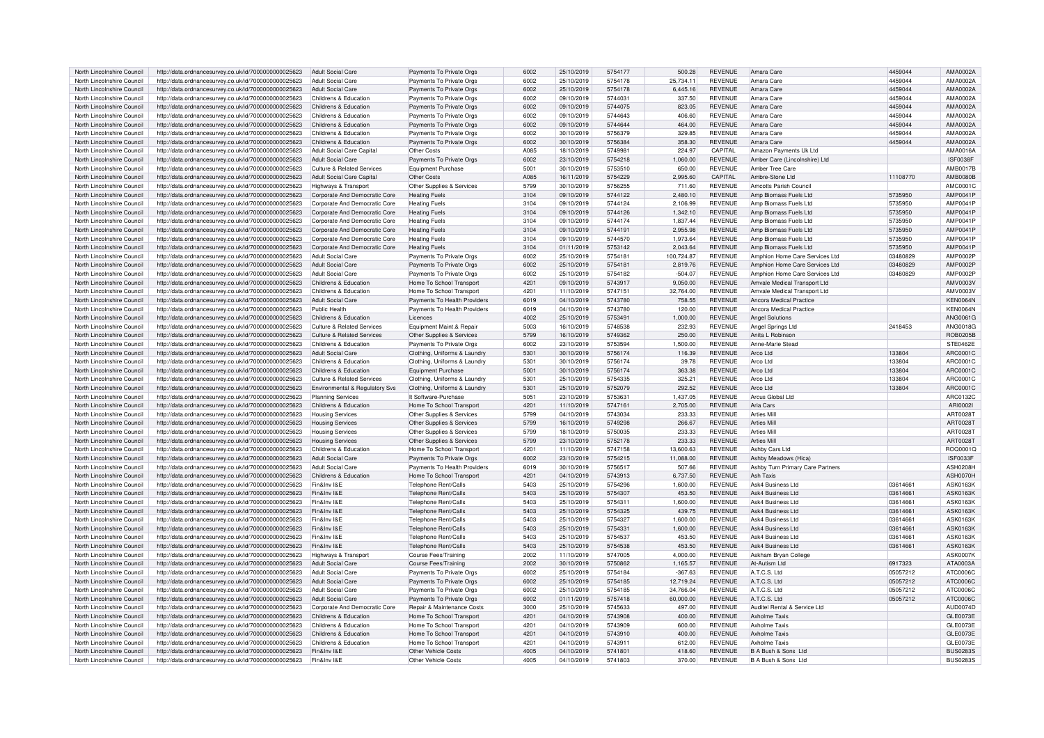| North Lincolnshire Council                               | http://data.ordnancesurvey.co.uk/id/7000000000025623                                                         | Adult Social Care                     | Payments To Private Orgs                   | 6002         | 25/10/2019               | 5754177            | 500.28           | <b>REVENUE</b>                   | Amara Care                                 | 4459044  | AMA0002A                           |
|----------------------------------------------------------|--------------------------------------------------------------------------------------------------------------|---------------------------------------|--------------------------------------------|--------------|--------------------------|--------------------|------------------|----------------------------------|--------------------------------------------|----------|------------------------------------|
| North Lincolnshire Council                               | http://data.ordnancesurvey.co.uk/id/7000000000025623                                                         | Adult Social Care                     | Payments To Private Orgs                   | 6002         | 25/10/2019               | 5754178            | 25,734.11        | <b>REVENUE</b>                   | Amara Care                                 | 4459044  | AMA0002A                           |
| North Lincolnshire Council                               | http://data.ordnancesurvey.co.uk/id/7000000000025623                                                         | Adult Social Care                     | Payments To Private Orgs                   | 6002         | 25/10/2019               | 5754178            | 6,445.16         | <b>REVENUE</b>                   | Amara Care                                 | 4459044  | AMA0002A                           |
| North Lincolnshire Council                               | http://data.ordnancesurvey.co.uk/id/7000000000025623                                                         | Childrens & Education                 | Payments To Private Orgs                   | 6002         | 09/10/2019               | 5744031            | 337.50           | <b>REVENUE</b>                   | Amara Care                                 | 4459044  | AMA0002A                           |
| North Lincolnshire Council                               | http://data.ordnancesurvey.co.uk/id/7000000000025623                                                         | Childrens & Education                 | Payments To Private Orgs                   | 6002         | 09/10/2019               | 5744075            | 823.05           | <b>REVENUE</b>                   | Amara Care                                 | 4459044  | AMA0002A                           |
|                                                          |                                                                                                              | Childrens & Education                 |                                            | 6002         |                          | 5744643            |                  | <b>REVENUE</b>                   | Amara Care                                 |          |                                    |
| North Lincolnshire Council                               | http://data.ordnancesurvey.co.uk/id/7000000000025623                                                         |                                       | Payments To Private Orgs                   |              | 09/10/2019               |                    | 406.60           |                                  |                                            | 4459044  | AMA0002A                           |
| North Lincolnshire Council                               | http://data.ordnancesurvey.co.uk/id/7000000000025623                                                         | Childrens & Education                 | Payments To Private Orgs                   | 6002         | 09/10/2019               | 5744644            | 464.00           | <b>REVENUE</b>                   | Amara Care                                 | 4459044  | AMA0002A                           |
| North Lincolnshire Council                               | http://data.ordnancesurvey.co.uk/id/7000000000025623                                                         | Childrens & Education                 | Payments To Private Orgs                   | 6002         | 30/10/2019               | 5756379            | 329.85           | <b>REVENUE</b>                   | Amara Care                                 | 4459044  | AMA0002A                           |
| North Lincolnshire Council                               | http://data.ordnancesurvey.co.uk/id/7000000000025623                                                         | Childrens & Education                 | Payments To Private Orgs                   | 6002         | 30/10/2019               | 5756384            | 358.30           | <b>REVENUE</b>                   | Amara Care                                 | 4459044  | AMA0002A                           |
| North Lincolnshire Council                               | http://data.ordnancesurvev.co.uk/id/7000000000025623                                                         | Adult Social Care Capital             | Other Costs                                | A085         | 18/10/2019               | 574998             | 224.97           | CAPITAL                          | Amazon Payments Uk Ltd                     |          | AMA0016A                           |
| North Lincolnshire Council                               | http://data.ordnancesurvey.co.uk/id/7000000000025623                                                         | Adult Social Care                     | Payments To Private Orgs                   | 6002         | 23/10/2019               | 5754218            | 1,060.00         | <b>REVENUE</b>                   | Amber Care (Lincolnshire) Ltd              |          | <b>ISF0038F</b>                    |
| North Lincolnshire Council                               | http://data.ordnancesurvey.co.uk/id/7000000000025623                                                         | <b>Culture &amp; Related Services</b> | Equipment Purchase                         | 5001         | 30/10/2019               | 5753510            | 650.00           | <b>REVENUE</b>                   | Amber Tree Care                            |          | AMB0017B                           |
| North Lincolnshire Council                               | http://data.ordnancesurvey.co.uk/id/7000000000025623                                                         | Adult Social Care Capital             | Other Costs                                | A085         | 16/11/2019               | 5754229            | 2,995.60         | CAPITAL                          | Ambre-Stone Ltd                            | 11108770 | AMB0080B                           |
| North Lincolnshire Council                               | http://data.ordnancesurvey.co.uk/id/7000000000025623                                                         | Highways & Transpor                   | Other Supplies & Services                  | 5799         | 30/10/2019               | 5756255            | 711.60           | <b>REVENUE</b>                   | Amcotts Parish Council                     |          | AMC0001C                           |
| North Lincolnshire Council                               | http://data.ordnancesurvey.co.uk/id/7000000000025623                                                         | Corporate And Democratic Core         | <b>Heating Fuels</b>                       | 3104         | 09/10/2019               | 5744122            | 2.480.10         | <b>REVENUE</b>                   | Amp Biomass Fuels Ltd                      | 5735950  | AMP0041P                           |
| North Lincolnshire Council                               | http://data.ordnancesurvey.co.uk/id/7000000000025623                                                         | Corporate And Democratic Core         | <b>Heating Fuels</b>                       | 3104         | 09/10/2019               | 5744124            | 2,106.99         | <b>REVENUE</b>                   | Amp Biomass Fuels Ltd                      | 5735950  | AMP0041P                           |
| North Lincolnshire Council                               | http://data.ordnancesurvey.co.uk/id/7000000000025623                                                         | Corporate And Democratic Core         | <b>Heating Fuels</b>                       | 3104         | 09/10/2019               | 5744126            | 1,342.10         | <b>REVENUE</b>                   | Amp Biomass Fuels Ltd                      | 5735950  | AMP0041F                           |
| North Lincolnshire Council                               | http://data.ordnancesurvey.co.uk/id/7000000000025623                                                         | Corporate And Democratic Core         | <b>Heating Fuels</b>                       | 3104         | 09/10/2019               | 5744174            | 1,837.44         | <b>REVENUE</b>                   | Amp Biomass Fuels Ltd                      | 5735950  | AMP0041P                           |
|                                                          |                                                                                                              |                                       |                                            |              |                          | 5744191            |                  |                                  |                                            |          |                                    |
| North Lincolnshire Council                               | http://data.ordnancesurvey.co.uk/id/7000000000025623                                                         | Corporate And Democratic Core         | <b>Heating Fuels</b>                       | 3104         | 09/10/2019               |                    | 2,955.98         | <b>REVENUE</b>                   | Amp Biomass Fuels Ltd                      | 5735950  | AMP0041P                           |
| North Lincolnshire Council                               | http://data.ordnancesurvev.co.uk/id/7000000000025623                                                         | Corporate And Democratic Core         | <b>Heating Fuels</b>                       | 3104         | 09/10/2019               | 5744570            | 1.973.64         | <b>REVENUE</b>                   | Amp Biomass Fuels Ltd                      | 5735950  | AMP0041F                           |
| North Lincolnshire Council                               | http://data.ordnancesurvey.co.uk/id/7000000000025623                                                         | Corporate And Democratic Core         | <b>Heating Fuels</b>                       | 3104         | 01/11/2019               | 5753142            | 2,043.64         | <b>REVENUE</b>                   | Amp Biomass Fuels Ltd                      | 5735950  | AMP0041F                           |
| North Lincolnshire Council                               | http://data.ordnancesurvey.co.uk/id/7000000000025623                                                         | Adult Social Care                     | Payments To Private Orgs                   | 6002         | 25/10/2019               | 575418             | 100,724.87       | <b>REVENUE</b>                   | Amphion Home Care Services Ltd             | 03480829 | AMP0002P                           |
| North Lincolnshire Council                               | http://data.ordnancesurvey.co.uk/id/7000000000025623                                                         | Adult Social Care                     | Payments To Private Orgs                   | 6002         | 25/10/2019               | 5754181            | 2,819.76         | <b>REVENUE</b>                   | Amphion Home Care Services Ltd             | 03480829 | AMP0002P                           |
| North Lincolnshire Council                               | http://data.ordnancesurvey.co.uk/id/7000000000025623                                                         | <b>Adult Social Care</b>              | Payments To Private Orgs                   | 6002         | 25/10/2019               | 5754182            | $-504.07$        | <b>REVENUE</b>                   | Amphion Home Care Services Ltd             | 03480829 | AMP0002F                           |
| North Lincolnshire Council                               | http://data.ordnancesurvey.co.uk/id/7000000000025623                                                         | Childrens & Education                 | Home To School Transport                   | 4201         | 09/10/2019               | 5743917            | 9.050.00         | <b>REVENUE</b>                   | Amvale Medical Transport Ltd               |          | AMV0003V                           |
| North Lincolnshire Council                               | http://data.ordnancesurvey.co.uk/id/7000000000025623                                                         | Childrens & Education                 | Home To School Transport                   | 4201         | 11/10/2019               | 5747151            | 32,764.00        | <b>REVENUE</b>                   | Amvale Medical Transport Ltd               |          | AMV0003V                           |
| North Lincolnshire Council                               | http://data.ordnancesurvey.co.uk/id/7000000000025623                                                         | Adult Social Care                     | Payments To Health Providers               | 6019         | 04/10/2019               | 5743780            | 758.55           | <b>REVENUE</b>                   | Ancora Medical Practice                    |          | <b>KEN0064N</b>                    |
| North Lincolnshire Council                               | http://data.ordnancesurvey.co.uk/id/7000000000025623                                                         | Public Health                         | Payments To Health Providers               | 6019         | 04/10/2019               | 5743780            | 120.00           | <b>REVENUE</b>                   | Ancora Medical Practice                    |          | <b>KEN0064N</b>                    |
| North Lincolnshire Council                               | http://data.ordnancesurvey.co.uk/id/7000000000025623                                                         | Childrens & Education                 | Licences                                   | 4002         | 25/10/2019               | 5753491            | 1,000.00         | <b>REVENUE</b>                   | <b>Angel Solutions</b>                     |          | ANG0061G                           |
| North Lincolnshire Council                               | http://data.ordnancesurvey.co.uk/id/7000000000025623                                                         | Culture & Related Services            | Equipment Maint.& Repair                   | 5003         | 16/10/2019               | 5748538            | 232.93           | <b>REVENUE</b>                   | Angel Springs Ltd                          | 2418453  | ANG0018G                           |
| North Lincolnshire Council                               | http://data.ordnancesurvey.co.uk/id/7000000000025623                                                         | <b>Culture &amp; Related Services</b> | Other Supplies & Services                  | 5799         | 16/10/2019               | 5749362            | 250.00           | <b>REVENUE</b>                   | Anita L Robinson                           |          | <b>ROB0205B</b>                    |
| North Lincolnshire Council                               | http://data.ordnancesurvey.co.uk/id/7000000000025623                                                         | Childrens & Education                 | Payments To Private Orgs                   | 6002         | 23/10/2019               | 5753594            | 1,500.00         | <b>REVENUE</b>                   | Anne-Marie Stead                           |          | STE0462E                           |
|                                                          |                                                                                                              |                                       |                                            |              |                          |                    |                  |                                  |                                            | 133804   |                                    |
| North Lincolnshire Council                               | http://data.ordnancesurvey.co.uk/id/7000000000025623                                                         | Adult Social Care                     | Clothing, Uniforms & Laundry               | 5301         | 30/10/2019               | 5756174            | 116.39           | <b>REVENUE</b>                   | Arco Ltd                                   |          | ARC0001C                           |
| North Lincolnshire Council                               | http://data.ordnancesurvey.co.uk/id/7000000000025623                                                         | Childrens & Education                 | Clothing, Uniforms & Laundry               | 5301         | 30/10/2019               | 5756174            | 39.78            | <b>REVENUE</b>                   | Arco Ltd                                   | 133804   | ARC0001C                           |
| North Lincolnshire Council                               | http://data.ordnancesurvey.co.uk/id/7000000000025623                                                         | Childrens & Education                 | Equipment Purchase                         | 5001         | 30/10/2019               | 5756174            | 363.38           | <b>REVENUE</b>                   | Arco Ltd                                   | 133804   | ARC0001C                           |
| North Lincolnshire Council                               | http://data.ordnancesurvey.co.uk/id/7000000000025623                                                         | Culture & Related Services            | Clothing, Uniforms & Laundry               | 5301         | 25/10/2019               | 5754335            | 325.21           | <b>REVENUE</b>                   | Arco Ltd                                   | 133804   | ARC0001C                           |
| North Lincolnshire Council                               | http://data.ordnancesurvey.co.uk/id/7000000000025623                                                         | Environmental & Regulatory Svs        | Clothing, Uniforms & Laundry               | 5301         | 25/10/2019               | 5752079            | 292.52           | <b>REVENUE</b>                   | Arco Ltd                                   | 133804   | ARC0001C                           |
| North Lincolnshire Council                               | http://data.ordnancesurvey.co.uk/id/7000000000025623                                                         | <b>Planning Services</b>              | It Software-Purchase                       | 5051         | 23/10/2019               | 5753631            | 1.437.05         | <b>REVENUE</b>                   | Arcus Global Ltd                           |          | ARC0132C                           |
| North Lincolnshire Council                               | http://data.ordnancesurvey.co.uk/id/7000000000025623                                                         | Childrens & Education                 | Home To School Transport                   | 4201         | 11/10/2019               | 5747161            | 2,705.00         | <b>REVENUE</b>                   | Aria Cars                                  |          | ARI00021                           |
| North Lincolnshire Council                               | http://data.ordnancesurvey.co.uk/id/7000000000025623                                                         | <b>Housing Services</b>               | Other Supplies & Services                  | 5799         | 04/10/2019               | 5743034            | 233.33           | <b>REVENUE</b>                   | Arties Mil                                 |          | ART0028T                           |
| North Lincolnshire Council                               | http://data.ordnancesurvey.co.uk/id/7000000000025623                                                         | <b>Housing Services</b>               | Other Supplies & Services                  | 5799         | 16/10/2019               | 5749298            | 266.67           | <b>REVENUE</b>                   | <b>Arties Mill</b>                         |          | ART0028T                           |
| North Lincolnshire Council                               | http://data.ordnancesurvey.co.uk/id/7000000000025623                                                         | <b>Housing Services</b>               | Other Supplies & Services                  | 5799         | 18/10/2019               | 5750035            | 233.33           | <b>REVENUE</b>                   | <b>Arties Mil</b>                          |          | ART0028T                           |
| North Lincolnshire Council                               | http://data.ordnancesurvey.co.uk/id/7000000000025623                                                         | <b>Housing Services</b>               | Other Supplies & Services                  | 5799         | 23/10/2019               | 5752178            | 233.33           | <b>REVENUE</b>                   | <b>Arties Mill</b>                         |          | ART0028T                           |
| North Lincolnshire Council                               | http://data.ordnancesurvey.co.uk/id/7000000000025623                                                         | Childrens & Education                 | Home To School Transport                   | 4201         | 11/10/2019               | 5747158            | 13,600.63        | <b>REVENUE</b>                   | Ashby Cars Ltd                             |          | ROQ0001C                           |
| North Lincolnshire Council                               | http://data.ordnancesurvey.co.uk/id/7000000000025623                                                         | <b>Adult Social Care</b>              | Payments To Private Orgs                   | 6002         | 23/10/2019               | 5754215            | 11,088.00        | <b>REVENUE</b>                   | Ashby Meadows (Hica)                       |          | <b>ISF0033F</b>                    |
| North Lincolnshire Council                               | http://data.ordnancesurvey.co.uk/id/7000000000025623                                                         | Adult Social Care                     | Payments To Health Providers               | 6019         | 30/10/2019               | 5756517            | 507.66           | <b>REVENUE</b>                   | Ashby Turn Primary Care Partners           |          | ASH0208H                           |
|                                                          |                                                                                                              |                                       |                                            |              |                          |                    |                  |                                  |                                            |          |                                    |
| North Lincolnshire Council                               | http://data.ordnancesurvey.co.uk/id/7000000000025623                                                         | Childrens & Education                 | Home To School Transport                   | 4201         | 04/10/2019               | 5743913            | 6,737.50         | <b>REVENUE</b>                   | Ash Taxis                                  |          | ASH0070H                           |
| North Lincolnshire Council                               | http://data.ordnancesurvey.co.uk/id/7000000000025623                                                         | Fin&Inv I&E                           | Telephone Rent/Calls                       | 5403         | 25/10/2019               | 5754296            | 1.600.00         | <b>REVENUE</b>                   | Ask4 Business Ltd                          | 03614661 | <b>ASK0163K</b>                    |
| North Lincolnshire Council                               | http://data.ordnancesurvey.co.uk/id/7000000000025623                                                         | Fin&Inv I&E                           | Telephone Rent/Calls                       | 5403         | 25/10/2019               | 5754307            | 453.50           | <b>REVENUE</b>                   | Ask4 Business Ltd                          | 03614661 | <b>ASK0163K</b>                    |
| North Lincolnshire Council                               | http://data.ordnancesurvey.co.uk/id/7000000000025623                                                         | Fin&Inv I&F                           | Telephone Rent/Calls                       | 5403         | 25/10/2019               | 575431             | 1,600.00         | <b>REVENUE</b>                   | Ask4 Business Ltd                          | 03614661 | <b>ASK0163K</b>                    |
| North Lincolnshire Council                               | http://data.ordnancesurvey.co.uk/id/7000000000025623                                                         | Fin&Inv I&E                           | Telephone Rent/Calls                       | 5403         | 25/10/2019               | 5754325            | 439.75           | <b>REVENUE</b>                   | <b>Ask4 Business Ltd</b>                   | 03614661 | <b>ASK0163K</b>                    |
| North Lincolnshire Council                               | http://data.ordnancesurvey.co.uk/id/7000000000025623                                                         | Fin&Inv I&F                           | Telephone Rent/Calls                       | 5403         | 25/10/2019               | 5754327            | 1,600.00         | <b>REVENUE</b>                   | Ask4 Business Ltd                          | 03614661 | <b>ASK0163K</b>                    |
| North Lincolnshire Council                               | http://data.ordnancesurvey.co.uk/id/7000000000025623                                                         | Fin&Inv I&E                           | Telephone Rent/Calls                       | 5403         | 25/10/2019               | 5754331            | 1.600.00         | <b>REVENUE</b>                   | Ask4 Business Ltd                          | 03614661 | <b>ASK0163K</b>                    |
| North Lincolnshire Council                               | http://data.ordnancesurvey.co.uk/id/7000000000025623                                                         | Fin&Inv I&E                           | Telephone Rent/Calls                       | 5403         | 25/10/2019               | 5754537            | 453.50           | <b>REVENUE</b>                   | Ask4 Business Ltd                          | 03614661 | <b>ASK0163K</b>                    |
| North Lincolnshire Council                               | http://data.ordnancesurvey.co.uk/id/7000000000025623                                                         | Fin&Inv I&F                           | Telephone Rent/Calls                       | 5403         | 25/10/2019               | 5754538            | 453.50           | <b>REVENUE</b>                   | Ask4 Business Ltd                          | 03614661 | <b>ASK0163K</b>                    |
| North Lincolnshire Council                               | http://data.ordnancesurvey.co.uk/id/7000000000025623                                                         | Highways & Transport                  | Course Fees/Training                       | 2002         | 11/10/2019               | 5747005            | 4.000.00         | <b>REVENUE</b>                   | Askham Brvan College                       |          | <b>ASK0007K</b>                    |
| North Lincolnshire Council                               | http://data.ordnancesurvey.co.uk/id/7000000000025623                                                         | <b>Adult Social Care</b>              | Course Fees/Training                       | 2002         | 30/10/2019               | 5750862            | 1,165.57         | <b>REVENUE</b>                   | At-Autism Ltd                              | 6917323  | ATA0003A                           |
| North Lincolnshire Council                               | http://data.ordnancesurvey.co.uk/id/7000000000025623                                                         | Adult Social Care                     | Payments To Private Orgs                   | 6002         | 25/10/2019               | 5754184            | $-367.63$        | <b>REVENUE</b>                   | A.T.C.S. Ltd                               | 05057212 | ATC0006C                           |
| North Lincolnshire Council                               | http://data.ordnancesurvey.co.uk/id/7000000000025623                                                         | <b>Adult Social Care</b>              | Payments To Private Orgs                   | 6002         | 25/10/2019               | 5754185            | 12,719.24        | <b>REVENUE</b>                   | A.T.C.S. Ltd                               | 05057212 | ATC0006C                           |
| North Lincolnshire Council                               | http://data.ordnancesurvey.co.uk/id/7000000000025623                                                         | <b>Adult Social Care</b>              | Payments To Private Orgs                   | 6002         | 25/10/2019               | 5754185            | 34,766.04        | <b>REVENUE</b>                   | A.T.C.S. Ltd                               | 05057212 | ATC0006C                           |
| North Lincolnshire Council                               |                                                                                                              | <b>Adult Social Care</b>              | Payments To Private Orgs                   | 6002         | 01/11/2019               | 5757418            | 60,000.00        | <b>REVENUE</b>                   | A.T.C.S. Ltd                               | 05057212 | ATC0006C                           |
|                                                          | http://data.ordnancesurvey.co.uk/id/7000000000025623                                                         |                                       |                                            |              |                          | 5745633            |                  | <b>REVENUE</b>                   | Auditel Rental & Service Ltd               |          |                                    |
| North Lincolnshire Council                               | http://data.ordnancesurvey.co.uk/id/7000000000025623                                                         | Corporate And Democratic Core         | Repair & Maintenance Costs                 | 3000         | 25/10/2019               |                    | 497.00           |                                  |                                            |          | AUD0074D                           |
| North Lincolnshire Council                               | http://data.ordnancesurvey.co.uk/id/7000000000025623                                                         | Childrens & Education                 | Home To School Transport                   | 4201         | 04/10/2019               | 5743908            | 400.00           | <b>REVENUE</b>                   | Axholme Taxis                              |          | <b>GLE0073E</b>                    |
| North Lincolnshire Council                               | http://data.ordnancesurvey.co.uk/id/7000000000025623                                                         | Childrens & Education                 | Home To School Transport                   | 4201         | 04/10/2019               | 5743909            | 600.00           | <b>REVENUE</b>                   | Axholme Taxis                              |          | GLE0073E                           |
| North Lincolnshire Council                               | http://data.ordnancesurvey.co.uk/id/7000000000025623                                                         | Childrens & Education                 | Home To School Transport                   | 4201         | 04/10/2019               | 5743910            | 400.00           | <b>REVENUE</b>                   | <b>Axholme Taxis</b>                       |          | <b>GLE0073E</b>                    |
| North Lincolnshire Council                               | http://data.ordnancesurvey.co.uk/id/7000000000025623                                                         | Childrens & Education                 | Home To School Transport                   | 4201         | 04/10/2019               | 574391             | 612.00           | <b>REVENUE</b>                   | Ayholme Tayis                              |          | GLE0073E                           |
|                                                          |                                                                                                              |                                       |                                            |              |                          |                    |                  |                                  |                                            |          |                                    |
| North Lincolnshire Council<br>North Lincolnshire Council | http://data.ordnancesurvey.co.uk/id/7000000000025623<br>http://data.ordnancesurvey.co.uk/id/7000000000025623 | Fin&Inv I&F<br>Fin&Inv I&E            | Other Vehicle Costs<br>Other Vehicle Costs | 4005<br>4005 | 04/10/2019<br>04/10/2019 | 5741801<br>5741803 | 418.60<br>370.00 | <b>REVENUE</b><br><b>REVENUE</b> | B A Bush & Sons Ltd<br>B A Bush & Sons Ltd |          | <b>BUS0283S</b><br><b>BUS0283S</b> |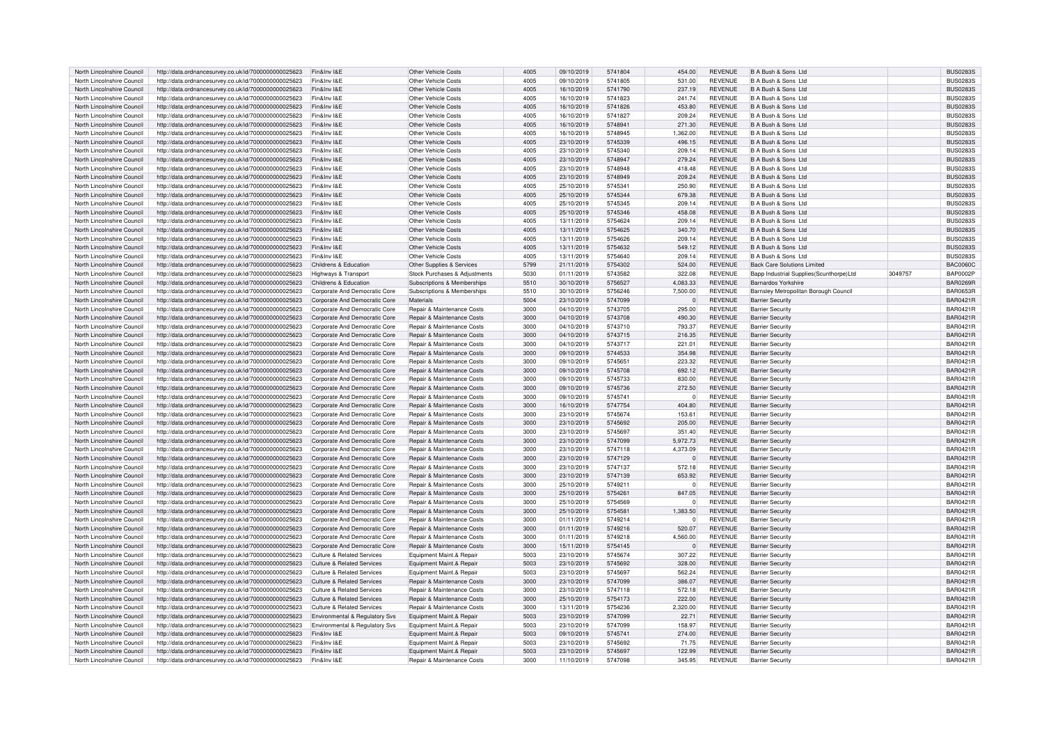| North Lincolnshire Council | http://data.ordnancesurvey.co.uk/id/7000000000025623 | Fin&Inv I&E                           | <b>Other Vehicle Costs</b>            | 4005 | 09/10/2019 | 5741804 | 454.00   | <b>REVENUE</b> | B A Bush & Sons Ltd                     |         | <b>BUS0283S</b> |
|----------------------------|------------------------------------------------------|---------------------------------------|---------------------------------------|------|------------|---------|----------|----------------|-----------------------------------------|---------|-----------------|
| North Lincolnshire Council | http://data.ordnancesurvey.co.uk/id/7000000000025623 | Fin&Inv I&F                           | Other Vehicle Costs                   | 4005 | 09/10/2019 | 5741805 | 531.00   | <b>REVENUE</b> | B A Bush & Sons Ltd                     |         | <b>BUS0283S</b> |
| North Lincolnshire Council | http://data.ordnancesurvey.co.uk/id/7000000000025623 | Fin&Inv I&E                           | Other Vehicle Costs                   | 4005 | 16/10/2019 | 5741790 | 237.19   | <b>REVENUE</b> | B A Bush & Sons Ltd                     |         | <b>BUS0283S</b> |
|                            |                                                      |                                       |                                       |      |            |         |          |                |                                         |         |                 |
| North Lincolnshire Council | http://data.ordnancesurvey.co.uk/id/7000000000025623 | Fin&Inv I&E                           | Other Vehicle Costs                   | 4005 | 16/10/2019 | 5741823 | 241.74   | <b>REVENUE</b> | B A Bush & Sons Ltd                     |         | <b>BUS0283S</b> |
| North Lincolnshire Council | http://data.ordnancesurvey.co.uk/id/7000000000025623 | Fin&Inv I&E                           | Other Vehicle Costs                   | 4005 | 16/10/2019 | 5741826 | 453.80   | <b>REVENUE</b> | B A Bush & Sons Ltd                     |         | <b>BUS0283S</b> |
| North Lincolnshire Council | http://data.ordnancesurvey.co.uk/id/7000000000025623 | Fin&Inv I&E                           | Other Vehicle Costs                   | 4005 | 16/10/2019 | 5741827 | 209.24   | <b>REVENUE</b> | B A Bush & Sons Ltd                     |         | <b>BUS0283S</b> |
| North Lincolnshire Council | http://data.ordnancesurvey.co.uk/id/7000000000025623 | Fin&Inv I&E                           | Other Vehicle Costs                   | 4005 | 16/10/2019 | 5748941 | 271.30   | <b>REVENUE</b> | B A Bush & Sons Ltd                     |         | <b>BUS0283S</b> |
| North Lincolnshire Council | http://data.ordnancesurvey.co.uk/id/7000000000025623 | Fin&Inv I&E                           | Other Vehicle Costs                   | 4005 | 16/10/2019 | 5748945 | 1,362.00 | <b>REVENUE</b> | B A Bush & Sons Ltd                     |         | <b>BUS0283S</b> |
| North Lincolnshire Council | http://data.ordnancesurvey.co.uk/id/7000000000025623 | Fin&Inv I&E                           | Other Vehicle Costs                   | 4005 | 23/10/2019 | 5745339 | 496.15   | <b>REVENUE</b> | B A Bush & Sons Ltd                     |         | <b>BUS0283S</b> |
|                            |                                                      |                                       |                                       |      |            |         |          |                |                                         |         |                 |
| North Lincolnshire Council | http://data.ordnancesurvey.co.uk/id/7000000000025623 | Fin&Inv I&E                           | Other Vehicle Costs                   | 4005 | 23/10/2019 | 5745340 | 209.14   | <b>REVENUE</b> | B A Bush & Sons Ltd                     |         | <b>BUS0283S</b> |
| North Lincolnshire Council | http://data.ordnancesurvey.co.uk/id/7000000000025623 | Fin&Inv I&E                           | Other Vehicle Costs                   | 4005 | 23/10/2019 | 5748947 | 279.24   | <b>REVENUE</b> | B A Bush & Sons Ltd                     |         | <b>BUS0283S</b> |
| North Lincolnshire Council | http://data.ordnancesurvey.co.uk/id/7000000000025623 | Fin&Inv I&F                           | Other Vehicle Costs                   | 4005 | 23/10/2019 | 5748948 | 418.48   | <b>REVENUE</b> | B A Bush & Sons Ltd                     |         | <b>BUS0283S</b> |
| North Lincolnshire Council | http://data.ordnancesurvey.co.uk/id/7000000000025623 | Fin&Inv I&E                           | Other Vehicle Costs                   | 4005 | 23/10/2019 | 5748949 | 209.24   | <b>REVENUE</b> | B A Bush & Sons Ltd                     |         | <b>BUS0283S</b> |
| North Lincolnshire Council | http://data.ordnancesurvey.co.uk/id/7000000000025623 | Fin&Inv I&E                           | Other Vehicle Costs                   | 4005 | 25/10/2019 | 5745341 | 250.90   | <b>REVENUE</b> | B A Bush & Sons Ltd                     |         | <b>BUS0283S</b> |
| North Lincolnshire Council | http://data.ordnancesurvey.co.uk/id/7000000000025623 | Fin&Inv I&E                           | Other Vehicle Costs                   | 4005 | 25/10/2019 | 5745344 | 679.38   | <b>REVENUE</b> | B A Bush & Sons Ltd                     |         | <b>BUS0283S</b> |
| North Lincolnshire Council | http://data.ordnancesurvey.co.uk/id/7000000000025623 | Fin&Inv I&E                           | Other Vehicle Costs                   | 4005 | 25/10/2019 | 5745345 | 209.14   | <b>REVENUE</b> | B A Bush & Sons Ltd                     |         | <b>BUS0283S</b> |
| North Lincolnshire Council | http://data.ordnancesurvey.co.uk/id/7000000000025623 | Fin&Inv I&E                           | Other Vehicle Costs                   | 4005 | 25/10/2019 | 5745346 | 458.08   | <b>REVENUE</b> | B A Bush & Sons Ltd                     |         | <b>BUS0283S</b> |
|                            |                                                      |                                       |                                       |      |            |         |          |                |                                         |         |                 |
| North Lincolnshire Council | http://data.ordnancesurvey.co.uk/id/7000000000025623 | Fin&Inv I&E                           | Other Vehicle Costs                   | 4005 | 13/11/2019 | 5754624 | 209.14   | <b>REVENUE</b> | B A Bush & Sons Ltd                     |         | <b>BUS0283S</b> |
| North Lincolnshire Council | http://data.ordnancesurvey.co.uk/id/7000000000025623 | Fin&Inv I&E                           | Other Vehicle Costs                   | 4005 | 13/11/2019 | 5754625 | 340.70   | <b>REVENUE</b> | B A Bush & Sons Ltd                     |         | <b>BUS0283S</b> |
| North Lincolnshire Council | http://data.ordnancesurvey.co.uk/id/7000000000025623 | Fin&Inv I&E                           | Other Vehicle Costs                   | 4005 | 13/11/2019 | 5754626 | 209.14   | <b>REVENUE</b> | B A Bush & Sons Ltd                     |         | <b>BUS0283S</b> |
| North Lincolnshire Council | http://data.ordnancesurvey.co.uk/id/7000000000025623 | Fin&Inv I&E                           | Other Vehicle Costs                   | 4005 | 13/11/2019 | 5754632 | 549.12   | <b>REVENUE</b> | B A Bush & Sons Ltd                     |         | <b>BUS0283S</b> |
| North Lincolnshire Council | http://data.ordnancesurvey.co.uk/id/7000000000025623 | Fin&Inv I&F                           | Other Vehicle Costs                   | 4005 | 13/11/2019 | 5754640 | 209.14   | <b>REVENUE</b> | B A Bush & Sons Ltd                     |         | <b>BUS0283S</b> |
| North Lincolnshire Council | http://data.ordnancesurvey.co.uk/id/7000000000025623 | Childrens & Education                 | Other Supplies & Services             | 5799 | 21/11/2019 | 5754302 | 524.00   | <b>REVENUE</b> | <b>Back Care Solutions Limited</b>      |         | <b>BAC0060C</b> |
| North Lincolnshire Council | http://data.ordnancesurvey.co.uk/id/7000000000025623 | Highways & Transport                  | Stock Purchases & Adjustments         | 5030 | 01/11/2019 | 5743582 | 322.08   | <b>REVENUE</b> | Bapp Industrial Supplies(Scunthorpe)Ltd | 3049757 | <b>BAP0002F</b> |
|                            |                                                      |                                       |                                       |      |            |         |          |                |                                         |         |                 |
| North Lincolnshire Council | http://data.ordnancesurvey.co.uk/id/7000000000025623 | Childrens & Education                 | Subscriptions & Memberships           | 5510 | 30/10/2019 | 5756527 | 4.083.33 | <b>REVENUE</b> | Barnardos Yorkshire                     |         | <b>BAR0269R</b> |
| North Lincolnshire Council | http://data.ordnancesurvey.co.uk/id/7000000000025623 | Corporate And Democratic Core         | Subscriptions & Memberships           | 5510 | 30/10/2019 | 5756246 | 7,500.00 | <b>REVENUE</b> | Barnsley Metropolitan Borough Council   |         | <b>BAR0653R</b> |
| North Lincolnshire Council | http://data.ordnancesurvey.co.uk/id/7000000000025623 | Corporate And Democratic Core         | Materials                             | 5004 | 23/10/2019 | 5747099 | $\Omega$ | <b>REVENUE</b> | <b>Barrier Security</b>                 |         | <b>BAR0421F</b> |
| North Lincolnshire Council | http://data.ordnancesurvey.co.uk/id/7000000000025623 | Corporate And Democratic Core         | Repair & Maintenance Costs            | 3000 | 04/10/2019 | 5743705 | 295.00   | <b>REVENUE</b> | <b>Barrier Security</b>                 |         | <b>BAR0421R</b> |
| North Lincolnshire Council | http://data.ordnancesurvey.co.uk/id/7000000000025623 | Corporate And Democratic Core         | Repair & Maintenance Costs            | 3000 | 04/10/2019 | 5743708 | 490.30   | <b>REVENUE</b> | <b>Barrier Security</b>                 |         | <b>BAR0421F</b> |
| North Lincolnshire Council | http://data.ordnancesurvey.co.uk/id/7000000000025623 | Corporate And Democratic Core         | Repair & Maintenance Costs            | 3000 | 04/10/2019 | 5743710 | 793.37   | <b>REVENUE</b> | <b>Barrier Security</b>                 |         | <b>BAR0421R</b> |
| North Lincolnshire Council | http://data.ordnancesurvey.co.uk/id/7000000000025623 | Corporate And Democratic Core         | Repair & Maintenance Costs            | 3000 | 04/10/2019 | 5743715 | 216.35   | <b>REVENUE</b> | <b>Barrier Security</b>                 |         | <b>BAR0421F</b> |
|                            |                                                      |                                       |                                       |      |            |         |          |                |                                         |         |                 |
| North Lincolnshire Council | http://data.ordnancesurvey.co.uk/id/7000000000025623 | Corporate And Democratic Core         | Repair & Maintenance Costs            | 3000 | 04/10/2019 | 5743717 | 221.01   | <b>REVENUE</b> | <b>Barrier Security</b>                 |         | <b>BAR0421F</b> |
| North Lincolnshire Council | http://data.ordnancesurvey.co.uk/id/7000000000025623 | Corporate And Democratic Core         | Repair & Maintenance Costs            | 3000 | 09/10/2019 | 5744533 | 354.98   | <b>REVENUE</b> | <b>Barrier Security</b>                 |         | <b>BAR0421F</b> |
| North Lincolnshire Council | http://data.ordnancesurvey.co.uk/id/7000000000025623 | Corporate And Democratic Core         | Repair & Maintenance Costs            | 3000 | 09/10/2019 | 574565  | 223.32   | <b>REVENUE</b> | <b>Barrier Security</b>                 |         | <b>BAR0421F</b> |
| North Lincolnshire Council | http://data.ordnancesurvey.co.uk/id/7000000000025623 | Corporate And Democratic Core         | Repair & Maintenance Costs            | 3000 | 09/10/2019 | 5745708 | 692.12   | <b>REVENUE</b> | <b>Barrier Security</b>                 |         | <b>BAR0421F</b> |
| North Lincolnshire Council | http://data.ordnancesurvey.co.uk/id/7000000000025623 | Corporate And Democratic Core         | Repair & Maintenance Costs            | 3000 | 09/10/2019 | 5745733 | 830.00   | <b>REVENUE</b> | <b>Barrier Security</b>                 |         | <b>BAR0421F</b> |
| North Lincolnshire Council | http://data.ordnancesurvey.co.uk/id/7000000000025623 | Corporate And Democratic Core         | Repair & Maintenance Costs            | 3000 | 09/10/2019 | 5745736 | 272.50   | <b>REVENUE</b> | <b>Barrier Security</b>                 |         | <b>BAR0421F</b> |
| North Lincolnshire Council | http://data.ordnancesurvey.co.uk/id/7000000000025623 | Corporate And Democratic Core         | Repair & Maintenance Costs            | 3000 | 09/10/2019 | 5745741 | $\Omega$ | <b>REVENUE</b> | <b>Barrier Security</b>                 |         | <b>BAR0421R</b> |
| North Lincolnshire Council | http://data.ordnancesurvey.co.uk/id/7000000000025623 | Corporate And Democratic Core         | Repair & Maintenance Costs            | 3000 | 16/10/2019 | 5747754 | 404.80   | <b>REVENUE</b> | <b>Barrier Security</b>                 |         | <b>BAR0421F</b> |
|                            |                                                      |                                       |                                       |      |            |         |          |                |                                         |         |                 |
| North Lincolnshire Council | http://data.ordnancesurvey.co.uk/id/7000000000025623 | Corporate And Democratic Core         | Repair & Maintenance Costs            | 3000 | 23/10/2019 | 5745674 | 153.61   | <b>REVENUE</b> | <b>Barrier Security</b>                 |         | <b>BAR0421R</b> |
| North Lincolnshire Council | http://data.ordnancesurvey.co.uk/id/7000000000025623 | Corporate And Democratic Core         | Repair & Maintenance Costs            | 3000 | 23/10/2019 | 5745692 | 205.00   | <b>REVENUE</b> | <b>Barrier Security</b>                 |         | <b>BAR0421F</b> |
| North Lincolnshire Council | http://data.ordnancesurvey.co.uk/id/7000000000025623 | Corporate And Democratic Core         | Repair & Maintenance Costs            | 3000 | 23/10/2019 | 5745697 | 351.40   | <b>REVENUE</b> | <b>Barrier Security</b>                 |         | <b>BAR0421F</b> |
| North Lincolnshire Council | http://data.ordnancesurvey.co.uk/id/7000000000025623 | Corporate And Democratic Core         | Repair & Maintenance Costs            | 3000 | 23/10/2019 | 5747099 | 5,972.73 | <b>REVENUE</b> | <b>Barrier Security</b>                 |         | <b>BAR0421F</b> |
| North Lincolnshire Council | http://data.ordnancesurvey.co.uk/id/7000000000025623 | Corporate And Democratic Core         | Repair & Maintenance Costs            | 3000 | 23/10/2019 | 5747118 | 4,373.09 | <b>REVENUE</b> | <b>Barrier Security</b>                 |         | <b>BAR0421F</b> |
| North Lincolnshire Council | http://data.ordnancesurvey.co.uk/id/7000000000025623 | Corporate And Democratic Core         | Repair & Maintenance Costs            | 3000 | 23/10/2019 | 5747129 | $\Omega$ | <b>REVENUE</b> | <b>Barrier Security</b>                 |         | <b>BAR0421R</b> |
| North Lincolnshire Council | http://data.ordnancesurvey.co.uk/id/7000000000025623 | Corporate And Democratic Core         | Repair & Maintenance Costs            | 3000 | 23/10/2019 | 5747137 | 572.18   | <b>REVENUE</b> | <b>Barrier Security</b>                 |         | <b>BAR0421R</b> |
|                            |                                                      |                                       | Repair & Maintenance Costs            | 3000 |            | 5747139 | 653.92   | <b>REVENUE</b> |                                         |         | <b>BAR0421F</b> |
| North Lincolnshire Council | http://data.ordnancesurvey.co.uk/id/7000000000025623 | Corporate And Democratic Core         |                                       |      | 23/10/2019 |         |          |                | <b>Barrier Security</b>                 |         |                 |
| North Lincolnshire Council | http://data.ordnancesurvey.co.uk/id/7000000000025623 | Corporate And Democratic Core         | Repair & Maintenance Costs            | 3000 | 25/10/2019 | 5749211 | $\Omega$ | <b>REVENUE</b> | <b>Barrier Security</b>                 |         | <b>BAR0421R</b> |
| North Lincolnshire Council | http://data.ordnancesurvey.co.uk/id/7000000000025623 | Corporate And Democratic Core         | Repair & Maintenance Costs            | 3000 | 25/10/2019 | 5754261 | 847.05   | <b>REVENUE</b> | <b>Barrier Security</b>                 |         | <b>BAR0421F</b> |
| North Lincolnshire Council | http://data.ordnancesurvey.co.uk/id/7000000000025623 | Corporate And Democratic Core         | Repair & Maintenance Costs            | 3000 | 25/10/2019 | 5754569 | $\Omega$ | <b>REVENUE</b> | <b>Barrier Security</b>                 |         | <b>BAR0421R</b> |
| North Lincolnshire Council | http://data.ordnancesurvey.co.uk/id/7000000000025623 | Corporate And Democratic Core         | Repair & Maintenance Costs            | 3000 | 25/10/2019 | 5754581 | 1,383.50 | <b>REVENUE</b> | <b>Barrier Security</b>                 |         | <b>BAR0421F</b> |
| North Lincolnshire Counci  | http://data.ordnancesurvey.co.uk/id/7000000000025623 | Corporate And Democratic Core         | <b>Repair &amp; Maintenance Costs</b> | 3000 | 01/11/2019 | 5749214 | $\Omega$ | <b>REVENUE</b> | <b>Barrier Security</b>                 |         | <b>BAR0421F</b> |
| North Lincolnshire Council | http://data.ordnancesurvey.co.uk/id/7000000000025623 | Corporate And Democratic Core         | Repair & Maintenance Costs            | 3000 | 01/11/2019 | 5749216 | 520.07   | <b>REVENUE</b> | <b>Barrier Security</b>                 |         | <b>BAR0421F</b> |
| North Lincolnshire Council | http://data.ordnancesurvey.co.uk/id/7000000000025623 | Corporate And Democratic Core         | Repair & Maintenance Costs            | 3000 | 01/11/2019 | 5749218 | 4,560.00 | <b>REVENUE</b> | <b>Barrier Security</b>                 |         | <b>BAR0421F</b> |
| North Lincolnshire Council |                                                      | Corporate And Democratic Core         | Repair & Maintenance Costs            | 3000 | 15/11/2019 | 5754145 | $\Omega$ | <b>REVENUE</b> | <b>Barrier Security</b>                 |         | <b>BAR0421F</b> |
|                            | http://data.ordnancesurvey.co.uk/id/7000000000025623 |                                       |                                       |      |            |         |          |                |                                         |         |                 |
| North Lincolnshire Council | http://data.ordnancesurvey.co.uk/id/7000000000025623 | <b>Culture &amp; Related Services</b> | Equipment Maint.& Repair              | 5003 | 23/10/2019 | 5745674 | 307.22   | <b>REVENUE</b> | <b>Barrier Security</b>                 |         | <b>BAR0421R</b> |
| North Lincolnshire Council | http://data.ordnancesurvey.co.uk/id/7000000000025623 | Culture & Related Services            | Equipment Maint.& Repair              | 5003 | 23/10/2019 | 5745692 | 328.00   | <b>REVENUE</b> | <b>Barrier Security</b>                 |         | <b>BAR0421F</b> |
| North Lincolnshire Council | http://data.ordnancesurvey.co.uk/id/7000000000025623 | Culture & Related Services            | Equipment Maint.& Repair              | 5003 | 23/10/2019 | 5745697 | 562.24   | <b>REVENUE</b> | <b>Barrier Security</b>                 |         | <b>BAR0421F</b> |
| North Lincolnshire Council | http://data.ordnancesurvey.co.uk/id/7000000000025623 | <b>Culture &amp; Related Services</b> | Repair & Maintenance Costs            | 3000 | 23/10/2019 | 5747099 | 386.07   | <b>REVENUE</b> | <b>Barrier Security</b>                 |         | <b>BAR0421F</b> |
| North Lincolnshire Council | http://data.ordnancesurvey.co.uk/id/7000000000025623 | Culture & Related Services            | Repair & Maintenance Costs            | 3000 | 23/10/2019 | 5747118 | 572.18   | <b>REVENUE</b> | <b>Barrier Security</b>                 |         | <b>BAR0421R</b> |
| North Lincolnshire Council | http://data.ordnancesurvey.co.uk/id/7000000000025623 | Culture & Related Services            | Repair & Maintenance Costs            | 3000 | 25/10/2019 | 5754173 | 222.00   | <b>REVENUE</b> | <b>Barrier Security</b>                 |         | <b>BAR0421F</b> |
| North Lincolnshire Counci  | http://data.ordnancesurvey.co.uk/id/7000000000025623 | Culture & Related Services            | Repair & Maintenance Costs            | 3000 | 13/11/2019 | 5754236 | 2.320.00 | <b>REVENUE</b> | <b>Barrier Security</b>                 |         | <b>BAR0421F</b> |
| North Lincolnshire Council | http://data.ordnancesurvey.co.uk/id/7000000000025623 |                                       | Equipment Maint.& Repair              | 5003 | 23/10/2019 | 5747099 | 22.71    | <b>REVENUE</b> |                                         |         | <b>BAR0421R</b> |
|                            |                                                      | Environmental & Regulatory Svs        |                                       |      |            |         |          |                | <b>Barrier Security</b>                 |         |                 |
| North Lincolnshire Council | http://data.ordnancesurvey.co.uk/id/7000000000025623 | Environmental & Regulatory Svs        | Equipment Maint.& Repair              | 5003 | 23/10/2019 | 5747099 | 158.97   | <b>REVENUE</b> | <b>Barrier Security</b>                 |         | <b>BAR0421F</b> |
| North Lincolnshire Council | http://data.ordnancesurvey.co.uk/id/7000000000025623 | Fin&Inv I&E                           | Equipment Maint.& Repair              | 5003 | 09/10/2019 | 5745741 | 274.00   | <b>REVENUE</b> | <b>Barrier Security</b>                 |         | <b>BAR0421F</b> |
|                            |                                                      |                                       |                                       |      |            |         |          |                |                                         |         |                 |
| North Lincolnshire Council | http://data.ordnancesurvey.co.uk/id/7000000000025623 | Fin&Inv I&E                           | Equipment Maint.& Repair              | 5003 | 23/10/2019 | 5745692 | 71.75    | <b>REVENUE</b> | <b>Barrier Security</b>                 |         | BAR0421R        |
| North Lincolnshire Council | http://data.ordnancesurvey.co.uk/id/7000000000025623 | Fin&Inv I&F                           | Equipment Maint.& Repair              | 5003 | 23/10/2019 | 5745697 | 122.99   | <b>REVENUE</b> | <b>Barrier Security</b>                 |         | <b>BAR0421R</b> |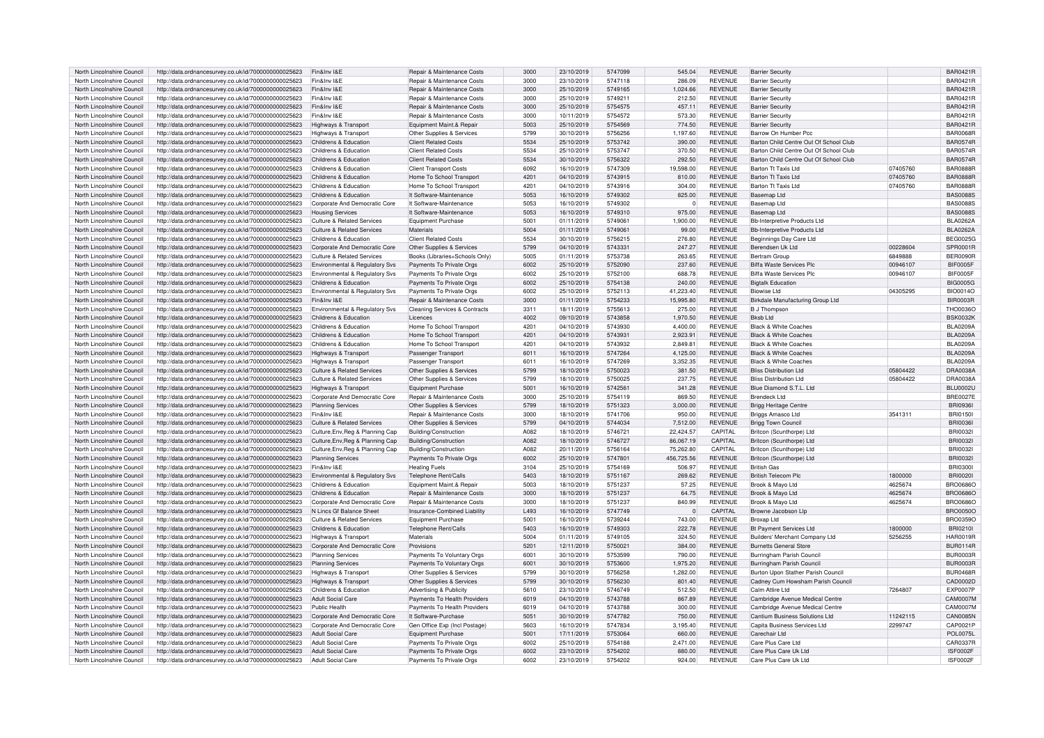| North Lincolnshire Council | http://data.ordnancesurvey.co.uk/id/7000000000025623 | Fin&Inv I&E                           | Repair & Maintenance Costs     | 3000 | 23/10/2019 | 5747099 | 545.04     | <b>REVENUE</b> | <b>Barrier Security</b>                |          | BAR0421R        |
|----------------------------|------------------------------------------------------|---------------------------------------|--------------------------------|------|------------|---------|------------|----------------|----------------------------------------|----------|-----------------|
| North Lincolnshire Counci  | http://data.ordnancesurvey.co.uk/id/7000000000025623 | Fin&Inv I&F                           | Repair & Maintenance Costs     | 3000 | 23/10/2019 | 5747118 | 286.09     | <b>REVENUE</b> | <b>Barrier Security</b>                |          | <b>BAR0421F</b> |
| North Lincolnshire Council | http://data.ordnancesurvey.co.uk/id/7000000000025623 | Fin&Inv I&E                           | Repair & Maintenance Costs     | 3000 | 25/10/2019 | 5749165 | 1,024.66   | <b>REVENUE</b> |                                        |          | <b>BAR0421R</b> |
|                            |                                                      |                                       |                                |      |            |         |            |                | <b>Barrier Security</b>                |          |                 |
| North Lincolnshire Council | http://data.ordnancesurvey.co.uk/id/7000000000025623 | Fin&Inv I&E                           | Repair & Maintenance Costs     | 3000 | 25/10/2019 | 5749211 | 212.50     | <b>REVENUE</b> | <b>Barrier Security</b>                |          | <b>BAR0421F</b> |
| North Lincolnshire Council | http://data.ordnancesurvey.co.uk/id/7000000000025623 | Fin&Inv I&E                           | Repair & Maintenance Costs     | 3000 | 25/10/2019 | 5754575 | 457.11     | <b>REVENUE</b> | <b>Barrier Security</b>                |          | <b>BAR0421F</b> |
| North Lincolnshire Council | http://data.ordnancesurvey.co.uk/id/7000000000025623 | Fin&Inv I&E                           | Repair & Maintenance Costs     | 3000 | 10/11/2019 | 5754572 | 573.30     | <b>REVENUE</b> | <b>Barrier Security</b>                |          | <b>BAR0421R</b> |
| North Lincolnshire Council | http://data.ordnancesurvey.co.uk/id/7000000000025623 | Highways & Transport                  | Equipment Maint.& Repair       | 5003 | 25/10/2019 | 5754569 | 774.50     | <b>REVENUE</b> | <b>Barrier Security</b>                |          | BAR0421R        |
| North Lincolnshire Council | http://data.ordnancesurvey.co.uk/id/7000000000025623 | Highways & Transport                  | Other Supplies & Services      | 5799 | 30/10/2019 | 5756256 | 1,197.60   | <b>REVENUE</b> | Barrow On Humber Pcc                   |          | <b>BAR0068F</b> |
| North Lincolnshire Council | http://data.ordnancesurvey.co.uk/id/7000000000025623 | Childrens & Education                 | <b>Client Related Costs</b>    | 5534 | 25/10/2019 | 5753742 | 390.00     | <b>REVENUE</b> | Barton Child Centre Out Of School Club |          | <b>BAR0574R</b> |
|                            |                                                      |                                       |                                |      |            |         |            |                |                                        |          |                 |
| North Lincolnshire Council | http://data.ordnancesurvey.co.uk/id/7000000000025623 | Childrens & Education                 | <b>Client Related Costs</b>    | 5534 | 25/10/2019 | 5753747 | 370.50     | <b>REVENUE</b> | Barton Child Centre Out Of School Club |          | <b>BAR0574R</b> |
| North Lincolnshire Counci  | http://data.ordnancesurvey.co.uk/id/7000000000025623 | Childrens & Education                 | <b>Client Related Costs</b>    | 5534 | 30/10/2019 | 5756322 | 292.50     | <b>REVENUE</b> | Barton Child Centre Out Of School Club |          | <b>BAR0574R</b> |
| North Lincolnshire Council | http://data.ordnancesurvey.co.uk/id/7000000000025623 | Childrens & Education                 | <b>Client Transport Costs</b>  | 6092 | 16/10/2019 | 5747309 | 19,598.00  | <b>REVENUE</b> | Barton Tt Taxis Ltd                    | 07405760 | <b>BAR0888F</b> |
| North Lincolnshire Counci  | http://data.ordnancesurvey.co.uk/id/7000000000025623 | Childrens & Education                 | Home To School Transport       | 4201 | 04/10/2019 | 5743915 | 810.00     | <b>REVENUE</b> | Barton Tt Taxis Ltd                    | 07405760 | <b>BAR0888R</b> |
| North Lincolnshire Council | http://data.ordnancesurvey.co.uk/id/7000000000025623 | Childrens & Education                 | Home To School Transport       | 4201 | 04/10/2019 | 5743916 | 304.00     | <b>REVENUE</b> | Barton Tt Taxis Ltd                    | 07405760 | <b>BAR0888F</b> |
| North Lincolnshire Council | http://data.ordnancesurvey.co.uk/id/7000000000025623 | Childrens & Education                 | It Software-Maintenance        | 5053 | 16/10/2019 | 5749302 | 825.00     | <b>REVENUE</b> | Baseman Ltd                            |          | <b>BAS0088S</b> |
|                            |                                                      |                                       |                                |      |            |         |            |                |                                        |          |                 |
| North Lincolnshire Council | http://data.ordnancesurvey.co.uk/id/7000000000025623 | Corporate And Democratic Core         | It Software-Maintenance        | 5053 | 16/10/2019 | 5749302 | $\Omega$   | <b>REVENUE</b> | Baseman Ltd                            |          | <b>BAS0088S</b> |
| North Lincolnshire Council | http://data.ordnancesurvey.co.uk/id/7000000000025623 | <b>Housing Services</b>               | It Software-Maintenance        | 5053 | 16/10/2019 | 5749310 | 975.00     | <b>REVENUE</b> | Basemap Ltd                            |          | <b>BAS0088S</b> |
| North Lincolnshire Council | http://data.ordnancesurvey.co.uk/id/7000000000025623 | Culture & Related Services            | Equipment Purchase             | 5001 | 01/11/2019 | 5749061 | 1.900.00   | <b>REVENUE</b> | <b>Bb-Interpretive Products Ltd</b>    |          | <b>BLA0262A</b> |
| North Lincolnshire Council | http://data.ordnancesurvey.co.uk/id/7000000000025623 | <b>Culture &amp; Related Services</b> | Materials                      | 5004 | 01/11/2019 | 5749061 | 99.00      | <b>REVENUE</b> | <b>Bb-Interpretive Products Ltd</b>    |          | <b>BLA0262A</b> |
| North Lincolnshire Council | http://data.ordnancesurvey.co.uk/id/7000000000025623 | Childrens & Education                 | <b>Client Related Costs</b>    | 5534 | 30/10/2019 | 5756215 | 276.80     | <b>REVENUE</b> | Beginnings Day Care Ltd                |          | <b>BEG0025G</b> |
| North Lincolnshire Council | http://data.ordnancesurvey.co.uk/id/7000000000025623 | Corporate And Democratic Core         | Other Supplies & Services      | 5799 | 04/10/2019 | 5743331 | 247.27     | <b>REVENUE</b> | Berendsen Uk Ltd                       | 00228604 | SPR0001F        |
| North Lincolnshire Counci  | http://data.ordnancesurvey.co.uk/id/7000000000025623 | Culture & Related Services            | Books (Libraries+Schools Only) | 5005 | 01/11/2019 | 5753738 | 263.65     | <b>REVENUE</b> | <b>Bertram Group</b>                   | 6849888  | <b>BER0090F</b> |
|                            |                                                      |                                       |                                |      |            |         |            |                |                                        |          |                 |
| North Lincolnshire Council | http://data.ordnancesurvey.co.uk/id/7000000000025623 | Environmental & Regulatory Svs        | Payments To Private Orgs       | 6002 | 25/10/2019 | 5752090 | 237.60     | <b>REVENUE</b> | Biffa Waste Services Plc               | 00946107 | BIF0005F        |
| North Lincolnshire Council | http://data.ordnancesurvey.co.uk/id/7000000000025623 | Environmental & Regulatory Svs        | Payments To Private Orgs       | 6002 | 25/10/2019 | 5752100 | 688.78     | <b>REVENUE</b> | Biffa Waste Services Plc               | 00946107 | <b>BIF0005F</b> |
| North Lincolnshire Council | http://data.ordnancesurvey.co.uk/id/7000000000025623 | Childrens & Education                 | Payments To Private Orgs       | 6002 | 25/10/2019 | 5754138 | 240.00     | <b>REVENUE</b> | <b>Biotalk Education</b>               |          | <b>BIG0005G</b> |
| North Lincolnshire Council | http://data.ordnancesurvey.co.uk/id/7000000000025623 | Environmental & Regulatory Svs        | Payments To Private Orgs       | 6002 | 25/10/2019 | 5752113 | 41,223.40  | <b>REVENUE</b> | Biowise Ltd                            | 04305295 | <b>BIO0014O</b> |
| North Lincolnshire Council | http://data.ordnancesurvey.co.uk/id/7000000000025623 | Fin&Inv I&E                           | Repair & Maintenance Costs     | 3000 | 01/11/2019 | 5754233 | 15,995.80  | <b>REVENUE</b> | Birkdale Manufacturing Group Ltd       |          | <b>BIR0003R</b> |
| North Lincolnshire Council | http://data.ordnancesurvey.co.uk/id/7000000000025623 | Environmental & Regulatory Svs        | Cleaning Services & Contracts  | 3311 | 18/11/2019 | 5755613 | 275.00     | <b>REVENUE</b> | <b>B</b> J Thompson                    |          | THO0036O        |
| North Lincolnshire Council | http://data.ordnancesurvey.co.uk/id/7000000000025623 | Childrens & Education                 | Licences                       | 4002 | 09/10/2019 | 5743858 | 1,970.50   | <b>REVENUE</b> | <b>Bksh Ltd</b>                        |          | <b>BSK0032K</b> |
|                            |                                                      |                                       |                                |      |            |         |            |                |                                        |          |                 |
| North Lincolnshire Council | http://data.ordnancesurvey.co.uk/id/7000000000025623 | Childrens & Education                 | Home To School Transport       | 4201 | 04/10/2019 | 5743930 | 4,400.00   | <b>REVENUE</b> | <b>Black &amp; White Coaches</b>       |          | <b>BLA0209A</b> |
| North Lincolnshire Council | http://data.ordnancesurvey.co.uk/id/7000000000025623 | Childrens & Education                 | Home To School Transport       | 4201 | 04/10/2019 | 5743931 | 2,923.91   | <b>REVENUE</b> | Black & White Coaches                  |          | <b>BLA0209A</b> |
| North Lincolnshire Counci  | http://data.ordnancesurvey.co.uk/id/7000000000025623 | Childrens & Education                 | Home To School Transport       | 4201 | 04/10/2019 | 5743932 | 2.849.81   | <b>REVENUE</b> | Black & White Coaches                  |          | <b>BLA0209A</b> |
| North Lincolnshire Council | http://data.ordnancesurvey.co.uk/id/7000000000025623 | Highways & Transport                  | Passenger Transport            | 6011 | 16/10/2019 | 5747264 | 4.125.00   | <b>REVENUE</b> | Black & White Coaches                  |          | <b>BLA0209A</b> |
| North Lincolnshire Council | http://data.ordnancesurvey.co.uk/id/7000000000025623 | Highways & Transport                  | Passenger Transport            | 6011 | 16/10/2019 | 5747269 | 3,352.35   | <b>REVENUE</b> | <b>Black &amp; White Coaches</b>       |          | <b>BLA0209A</b> |
| North Lincolnshire Council | http://data.ordnancesurvey.co.uk/id/7000000000025623 | <b>Culture &amp; Related Services</b> | Other Supplies & Services      | 5799 | 18/10/2019 | 5750023 | 381.50     | <b>REVENUE</b> | <b>Bliss Distribution Ltd</b>          | 05804422 | DRA0038A        |
| North Lincolnshire Council | http://data.ordnancesurvey.co.uk/id/7000000000025623 | Culture & Related Services            | Other Supplies & Services      | 5799 | 18/10/2019 | 5750025 | 237.75     | <b>REVENUE</b> | <b>Rliss Distribution Ltd</b>          | 05804422 | <b>DRA0038A</b> |
|                            |                                                      |                                       |                                |      |            |         |            |                |                                        |          |                 |
| North Lincolnshire Council | http://data.ordnancesurvey.co.uk/id/7000000000025623 | Highways & Transport                  | Equipment Purchase             | 5001 | 16/10/2019 | 5742561 | 341.28     | <b>REVENUE</b> | Blue Diamond S.T.L. Ltd                |          | <b>BLU0002U</b> |
| North Lincolnshire Council | http://data.ordnancesurvey.co.uk/id/7000000000025623 | Corporate And Democratic Core         | Repair & Maintenance Costs     | 3000 | 25/10/2019 | 5754119 | 869.50     | <b>REVENUE</b> | Brendeck Ltd                           |          | <b>BRE0027E</b> |
| North Lincolnshire Council | http://data.ordnancesurvey.co.uk/id/7000000000025623 | <b>Planning Services</b>              | Other Supplies & Services      | 5799 | 18/10/2019 | 5751323 | 3,000.00   | <b>REVENUE</b> | <b>Brigg Heritage Centre</b>           |          | <b>BRI0936</b>  |
| North Lincolnshire Council | http://data.ordnancesurvey.co.uk/id/7000000000025623 | Fin&Inv I&E                           | Repair & Maintenance Costs     | 3000 | 18/10/2019 | 5741706 | 950.00     | <b>REVENUE</b> | Briggs Amasco Ltd                      | 3541311  | <b>BRI01501</b> |
| North Lincolnshire Council | http://data.ordnancesurvey.co.uk/id/7000000000025623 | <b>Culture &amp; Related Services</b> | Other Supplies & Services      | 5799 | 04/10/2019 | 5744034 | 7,512.00   | <b>REVENUE</b> | Brigg Town Council                     |          | <b>BRI0036</b>  |
| North Lincolnshire Counci  | http://data.ordnancesurvey.co.uk/id/7000000000025623 | Culture, Env, Reg & Planning Cap      | Building/Construction          | A082 | 18/10/2019 | 5746721 | 22,424.57  | CAPITAL        | Britcon (Scunthorpe) Ltd               |          | <b>BRI0032</b>  |
| North Lincolnshire Council | http://data.ordnancesurvey.co.uk/id/7000000000025623 | Culture, Env, Reg & Planning Cap      | Building/Construction          | A082 | 18/10/2019 | 5746727 | 86.067.19  | CAPITAL        | Britcon (Scunthorpe) Ltd               |          | BRI0032         |
| North Lincolnshire Council | http://data.ordnancesurvey.co.uk/id/7000000000025623 |                                       | Building/Construction          | A082 |            | 5756164 | 75,262.80  | CAPITAL        |                                        |          | <b>BRI0032</b>  |
|                            |                                                      | Culture, Env, Reg & Planning Cap      |                                |      | 20/11/2019 |         |            |                | Britcon (Scunthorpe) Ltd               |          |                 |
| North Lincolnshire Council | http://data.ordnancesurvey.co.uk/id/7000000000025623 | <b>Planning Services</b>              | Payments To Private Orgs       | 6002 | 25/10/2019 | 5747801 | 456,725.56 | <b>REVENUE</b> | Britcon (Scunthorpe) Ltd               |          | <b>BRI0032</b>  |
| North Lincolnshire Council | http://data.ordnancesurvey.co.uk/id/7000000000025623 | Fin&Inv I&F                           | <b>Heating Fuels</b>           | 3104 | 25/10/2019 | 5754169 | 506.97     | <b>REVENUE</b> | <b>Rritish Gas</b>                     |          | BRI0300         |
| North Lincolnshire Council | http://data.ordnancesurvey.co.uk/id/7000000000025623 | Environmental & Regulatory Svs        | <b>Telephone Rent/Calls</b>    | 5403 | 18/10/2019 | 5751167 | 269.62     | <b>REVENUE</b> | <b>British Telecom Plc</b>             | 1800000  | <b>BRI00201</b> |
| North Lincolnshire Council | http://data.ordnancesurvey.co.uk/id/7000000000025623 | Childrens & Education                 | Equipment Maint.& Repair       | 5003 | 18/10/2019 | 5751237 | 57.25      | <b>REVENUE</b> | Brook & Mayo Ltd                       | 4625674  | <b>BRO0686C</b> |
| North Lincolnshire Council | http://data.ordnancesurvey.co.uk/id/7000000000025623 | Childrens & Education                 | Repair & Maintenance Costs     | 3000 | 18/10/2019 | 5751237 | 64.75      | <b>REVENUE</b> | Brook & Mayo Ltd                       | 4625674  | <b>BRO0686C</b> |
| North Lincolnshire Council | http://data.ordnancesurvey.co.uk/id/7000000000025623 | Corporate And Democratic Core         | Repair & Maintenance Costs     | 3000 | 18/10/2019 | 5751237 | 840.99     | <b>REVENUE</b> | Brook & Mayo Ltd                       | 4625674  | <b>BRO0686C</b> |
|                            |                                                      | N Lincs Gf Balance Sheet              | Insurance-Combined Liability   | L493 |            | 5747749 |            | CAPITAL        |                                        |          |                 |
| North Lincolnshire Council | http://data.ordnancesurvey.co.uk/id/7000000000025623 |                                       |                                |      | 16/10/2019 |         |            |                | Browne Jacobson Llp                    |          | <b>BRO0050C</b> |
| North Lincolnshire Council | http://data.ordnancesurvey.co.uk/id/7000000000025623 | Culture & Related Services            | Equipment Purchase             | 5001 | 16/10/2019 | 5739244 | 743.00     | <b>REVENUE</b> | Broxan Ltd                             |          | <b>BRO0359C</b> |
| North Lincolnshire Council | http://data.ordnancesurvey.co.uk/id/7000000000025623 | Childrens & Education                 | <b>Telephone Rent/Calls</b>    | 5403 | 16/10/2019 | 5749303 | 222.78     | <b>REVENUE</b> | <b>Bt Payment Services Ltd</b>         | 1800000  | <b>BRI0210I</b> |
| North Lincolnshire Council | http://data.ordnancesurvey.co.uk/id/7000000000025623 | Highways & Transport                  | Materials                      | 5004 | 01/11/2019 | 5749105 | 324.50     | <b>REVENUE</b> | Builders' Merchant Company Ltd         | 5256255  | <b>HAR0019R</b> |
| North Lincolnshire Council | http://data.ordnancesurvey.co.uk/id/7000000000025623 | Corporate And Democratic Core         | Provisions                     | 5201 | 12/11/2019 | 5750021 | 384.00     | <b>REVENUE</b> | <b>Burnetts General Store</b>          |          | <b>BUR0114F</b> |
| North Lincolnshire Council | http://data.ordnancesurvey.co.uk/id/7000000000025623 | <b>Planning Services</b>              | Payments To Voluntary Orgs     | 6001 | 30/10/2019 | 5753599 | 790.00     | <b>REVENUE</b> | Burringham Parish Council              |          | <b>BUR0003R</b> |
| North Lincolnshire Council | http://data.ordnancesurvey.co.uk/id/7000000000025623 | <b>Planning Services</b>              | Payments To Voluntary Orgs     | 6001 | 30/10/2019 | 5753600 | 1,975.20   | <b>REVENUE</b> | Burringham Parish Council              |          | <b>BUR0003F</b> |
| North Lincolnshire Council | http://data.ordnancesurvey.co.uk/id/7000000000025623 | Highways & Transport                  | Other Supplies & Services      | 5799 | 30/10/2019 | 5756258 | 1,282.00   | <b>REVENUE</b> | Burton Upon Stather Parish Council     |          | <b>BUR0468R</b> |
|                            |                                                      |                                       |                                |      |            |         |            |                |                                        |          |                 |
| North Lincolnshire Council | http://data.ordnancesurvey.co.uk/id/7000000000025623 | Highways & Transport                  | Other Supplies & Services      | 5799 | 30/10/2019 | 5756230 | 801.40     | <b>REVENUE</b> | Cadney Cum Howsham Parish Council      |          | CAD0002D        |
| North Lincolnshire Council | http://data.ordnancesurvey.co.uk/id/7000000000025623 | Childrens & Education                 | Advertising & Publicity        | 5610 | 23/10/2019 | 5746749 | 512.50     | <b>REVENUE</b> | Calm Attire Ltd                        | 7264807  | <b>EXP0007P</b> |
| North Lincolnshire Council | http://data.ordnancesurvey.co.uk/id/7000000000025623 | <b>Adult Social Care</b>              | Payments To Health Providers   | 6019 | 04/10/2019 | 5743788 | 867.89     | <b>REVENUE</b> | Cambridge Avenue Medical Centre        |          | <b>CAM0007M</b> |
| North Lincolnshire Council | http://data.ordnancesurvey.co.uk/id/7000000000025623 | Public Health                         | Payments To Health Providers   | 6019 | 04/10/2019 | 5743788 | 300.00     | <b>REVENUE</b> | Cambridge Avenue Medical Centre        |          | <b>CAM0007N</b> |
| North Lincolnshire Council | http://data.ordnancesurvey.co.uk/id/7000000000025623 | Corporate And Democratic Core         | It Software-Purchase           | 5051 | 30/10/2019 | 5747782 | 750.00     | <b>REVENUE</b> | Cantium Business Solutions Ltd         | 11242115 | CAN0085N        |
| North Lincolnshire Council | http://data.ordnancesurvey.co.uk/id/7000000000025623 | Corporate And Democratic Core         | Gen Office Exp (Incl Postage)  | 5603 | 16/10/2019 | 5747834 | 3,195.40   | <b>REVENUE</b> | Capita Business Services Ltd           | 2299747  | CAP0021P        |
| North Lincolnshire Counci  | http://data.ordnancesurvey.co.uk/id/7000000000025623 | <b>Adult Social Care</b>              | <b>Equipment Purchase</b>      | 5001 | 17/11/2019 | 5753064 | 660.00     | <b>REVENUE</b> | Carechair Ltd                          |          | <b>POL0075L</b> |
| North Lincolnshire Council | http://data.ordnancesurvey.co.uk/id/7000000000025623 | <b>Adult Social Care</b>              | Payments To Private Orgs       | 6002 | 25/10/2019 | 5754188 | 2 471 00   | <b>REVENUE</b> | Care Plus Care Ltd                     |          | CAR0337E        |
|                            |                                                      |                                       |                                |      |            |         |            |                |                                        |          |                 |
| North Lincolnshire Council | http://data.ordnancesurvey.co.uk/id/7000000000025623 | Adult Social Care                     | Payments To Private Orgs       | 6002 | 23/10/2019 | 5754202 | 880.00     | <b>REVENUE</b> | Care Plus Care Uk Ltd                  |          | <b>ISF0002F</b> |
| North Lincolnshire Council | http://data.ordnancesurvey.co.uk/id/7000000000025623 | Adult Social Care                     | Payments To Private Orgs       | 6002 | 23/10/2019 | 5754202 | 924.00     | <b>REVENUE</b> | Care Plus Care Uk Ltd                  |          | <b>ISF0002F</b> |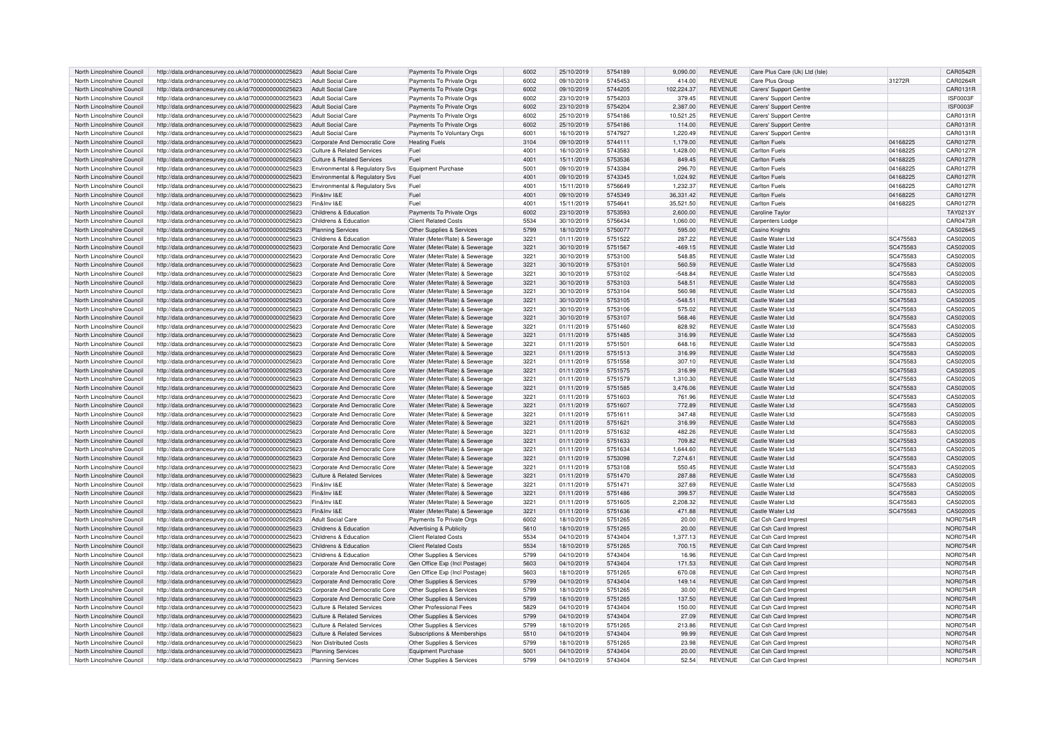| North Lincolnshire Council | http://data.ordnancesurvey.co.uk/id/7000000000025623 | Adult Social Care                     | Payments To Private Orgs      | 6002          | 25/10/2019 | 5754189 | 9,090.00   | <b>REVENUE</b> | Care Plus Care (Uk) Ltd (Isle) |          | <b>CAR0542F</b> |
|----------------------------|------------------------------------------------------|---------------------------------------|-------------------------------|---------------|------------|---------|------------|----------------|--------------------------------|----------|-----------------|
| North Lincolnshire Council | http://data.ordnancesurvey.co.uk/id/7000000000025623 | <b>Adult Social Care</b>              | Payments To Private Orgs      | 6002          | 09/10/2019 | 5745453 | 414.00     | <b>REVENUE</b> | Care Plus Group                | 31272R   | CAR0264F        |
|                            | http://data.ordnancesurvey.co.uk/id/7000000000025623 |                                       | Payments To Private Orgs      | 6002          | 09/10/2019 | 5744205 | 102,224.37 | <b>REVENUE</b> |                                |          | CAR0131R        |
| North Lincolnshire Council |                                                      | Adult Social Care                     |                               |               |            |         |            |                | Carers' Support Centre         |          |                 |
| North Lincolnshire Council | http://data.ordnancesurvey.co.uk/id/7000000000025623 | <b>Adult Social Care</b>              | Payments To Private Orgs      | 6002          | 23/10/2019 | 5754203 | 379.45     | <b>REVENUE</b> | Carers' Support Centre         |          | <b>ISF0003F</b> |
| North Lincolnshire Council | http://data.ordnancesurvey.co.uk/id/7000000000025623 | <b>Adult Social Care</b>              | Payments To Private Orgs      | 6002          | 23/10/2019 | 5754204 | 2,387.00   | <b>REVENUE</b> | Carers' Support Centre         |          | <b>ISF0003F</b> |
| North Lincolnshire Council | http://data.ordnancesurvey.co.uk/id/7000000000025623 | <b>Adult Social Care</b>              | Payments To Private Orgs      | 6002          | 25/10/2019 | 5754186 | 10,521.25  | <b>REVENUE</b> | Carers' Support Centre         |          | CAR0131F        |
| North Lincolnshire Council | http://data.ordnancesurvey.co.uk/id/7000000000025623 | Adult Social Care                     | Payments To Private Orgs      | 6002          | 25/10/2019 | 5754186 | 114.00     | <b>REVENUE</b> | Carers' Support Centre         |          | CAR0131R        |
| North Lincolnshire Council | http://data.ordnancesurvey.co.uk/id/7000000000025623 | Adult Social Care                     | Payments To Voluntary Orgs    | 6001          | 16/10/2019 | 5747927 | 1,220.49   | <b>REVENUE</b> | Carers' Support Centre         |          | CAR0131R        |
| North Lincolnshire Council | http://data.ordnancesurvey.co.uk/id/7000000000025623 | Corporate And Democratic Core         | <b>Heating Fuels</b>          | 3104          | 09/10/2019 | 5744111 | 1,179.00   | <b>REVENUE</b> | <b>Carlton Fuels</b>           | 04168225 | CAR0127F        |
|                            |                                                      |                                       |                               |               |            |         |            |                |                                |          |                 |
| North Lincolnshire Council | http://data.ordnancesurvey.co.uk/id/7000000000025623 | <b>Culture &amp; Related Services</b> | Fuel                          | 4001          | 16/10/2019 | 5743583 | 1.428.00   | <b>REVENUE</b> | Carlton Fuels                  | 04168225 | <b>CAR0127R</b> |
| North Lincolnshire Council | http://data.ordnancesurvey.co.uk/id/7000000000025623 | <b>Culture &amp; Related Services</b> | Fuel                          | 4001          | 15/11/2019 | 5753536 | 849.45     | <b>REVENUE</b> | Carlton Fuels                  | 04168225 | CAR0127R        |
| North Lincolnshire Council | http://data.ordnancesurvey.co.uk/id/7000000000025623 | Environmental & Regulatory Svs        | Equipment Purchase            | 5001          | 09/10/2019 | 5743384 | 296.70     | <b>REVENUE</b> | Carlton Fuels                  | 04168225 | CAR0127F        |
| North Lincolnshire Council | http://data.ordnancesurvey.co.uk/id/7000000000025623 | Environmental & Regulatory Svs        | Fuel                          | 4001          | 09/10/2019 | 5743345 | 1,024.92   | <b>REVENUE</b> | <b>Carlton Fuels</b>           | 04168225 | CAR0127R        |
| North Lincolnshire Council | http://data.ordnancesurvey.co.uk/id/7000000000025623 | Environmental & Regulatory Svs        | Fuel                          | $400^{\circ}$ | 15/11/2019 | 5756649 | 1,232.37   | <b>REVENUE</b> | Carlton Fuels                  | 04168225 | <b>CAR0127F</b> |
| North Lincolnshire Council | http://data.ordnancesurvey.co.uk/id/7000000000025623 | Fin&Inv I&F                           | Fuel                          | 4001          | 09/10/2019 | 5745349 | 36,331.42  | <b>REVENUE</b> | Carlton Fuels                  | 04168225 | CAR0127R        |
| North Lincolnshire Council | http://data.ordnancesurvey.co.uk/id/7000000000025623 | Fin&Inv I&F                           | Fuel                          | 4001          | 15/11/2019 | 5754641 | 35,521.50  | <b>REVENUE</b> | Carlton Fuels                  | 04168225 | CAR0127F        |
|                            |                                                      |                                       |                               |               |            |         |            |                |                                |          |                 |
| North Lincolnshire Council | http://data.ordnancesurvey.co.uk/id/7000000000025623 | Childrens & Education                 | Payments To Private Orgs      | 6002          | 23/10/2019 | 5753593 | 2.600.00   | <b>REVENUE</b> | Caroline Taylor                |          | TAY0213Y        |
| North Lincolnshire Council | http://data.ordnancesurvey.co.uk/id/7000000000025623 | Childrens & Education                 | <b>Client Related Costs</b>   | 5534          | 30/10/2019 | 5756434 | 1,060.00   | <b>REVENUE</b> | Carpenters Lodge               |          | CAR0473R        |
| North Lincolnshire Council | http://data.ordnancesurvey.co.uk/id/7000000000025623 | <b>Planning Services</b>              | Other Supplies & Services     | 5799          | 18/10/2019 | 5750077 | 595.00     | <b>REVENUE</b> | Casino Knight                  |          | CAS0264S        |
| North Lincolnshire Council | http://data.ordnancesurvey.co.uk/id/7000000000025623 | Childrens & Education                 | Water (Meter/Rate) & Sewerage | 3221          | 01/11/2019 | 5751522 | 287.22     | <b>REVENUE</b> | Castle Water Ltd               | SC475583 | CAS0200S        |
| North Lincolnshire Council | http://data.ordnancesurvey.co.uk/id/7000000000025623 | Corporate And Democratic Core         | Water (Meter/Rate) & Sewerage | 3221          | 30/10/2019 | 5751567 | $-469.15$  | <b>REVENUE</b> | Castle Water Ltd               | SC475583 | CAS0200S        |
| North Lincolnshire Council | http://data.ordnancesurvey.co.uk/id/7000000000025623 | Corporate And Democratic Core         | Water (Meter/Rate) & Sewerage | 3221          | 30/10/2019 | 5753100 | 548.85     | <b>REVENUE</b> | Castle Water Ltd               | SC475583 | CAS0200S        |
| North Lincolnshire Council | http://data.ordnancesurvey.co.uk/id/7000000000025623 | Corporate And Democratic Core         | Water (Meter/Rate) & Sewerage | 3221          | 30/10/2019 | 5753101 | 560.59     | <b>REVENUE</b> | Castle Water Ltd               | SC475583 | CAS0200S        |
|                            |                                                      |                                       |                               | 3221          |            | 5753102 |            | <b>REVENUE</b> | Castle Water Ltd               |          |                 |
| North Lincolnshire Council | http://data.ordnancesurvey.co.uk/id/7000000000025623 | Corporate And Democratic Core         | Water (Meter/Rate) & Sewerage |               | 30/10/2019 |         | $-548.84$  |                |                                | SC475583 | CAS0200S        |
| North Lincolnshire Council | http://data.ordnancesurvey.co.uk/id/7000000000025623 | Corporate And Democratic Core         | Water (Meter/Rate) & Sewerage | 3221          | 30/10/2019 | 5753103 | 548.51     | <b>REVENUE</b> | Castle Water Ltd               | SC475583 | CAS0200S        |
| North Lincolnshire Council | http://data.ordnancesurvey.co.uk/id/7000000000025623 | Corporate And Democratic Core         | Water (Meter/Rate) & Sewerage | 3221          | 30/10/2019 | 5753104 | 560.98     | REVENUE        | Castle Water Ltd               | SC475583 | CAS0200S        |
| North Lincolnshire Council | http://data.ordnancesurvey.co.uk/id/7000000000025623 | Corporate And Democratic Core         | Water (Meter/Rate) & Sewerage | 3221          | 30/10/2019 | 5753105 | $-548.51$  | <b>REVENUE</b> | Castle Water Ltd               | SC475583 | CAS0200S        |
| North Lincolnshire Council | http://data.ordnancesurvey.co.uk/id/7000000000025623 | Corporate And Democratic Core         | Water (Meter/Rate) & Sewerage | 3221          | 30/10/2019 | 5753106 | 575.02     | <b>REVENUE</b> | Castle Water Ltd               | SC475583 | CAS0200S        |
| North Lincolnshire Council | http://data.ordnancesurvey.co.uk/id/7000000000025623 | Corporate And Democratic Core         | Water (Meter/Rate) & Sewerage | 3221          | 30/10/2019 | 5753107 | 568.46     | <b>REVENUE</b> | Castle Water Ltd               | SC475583 | CAS0200S        |
| North Lincolnshire Council | http://data.ordnancesurvey.co.uk/id/7000000000025623 | Corporate And Democratic Core         | Water (Meter/Rate) & Sewerage | 3221          | 01/11/2019 | 5751460 | 828.92     | <b>REVENUE</b> | Castle Water Ltd               | SC475583 | CAS0200S        |
| North Lincolnshire Council | http://data.ordnancesurvey.co.uk/id/7000000000025623 | Corporate And Democratic Core         | Water (Meter/Rate) & Sewerage | 3221          | 01/11/2019 | 5751485 | 316.99     | <b>REVENUE</b> | Castle Water Ltd               | SC475583 | CAS0200S        |
|                            |                                                      |                                       |                               |               |            |         |            |                |                                |          |                 |
| North Lincolnshire Counci  | http://data.ordnancesurvey.co.uk/id/7000000000025623 | Corporate And Democratic Core         | Water (Meter/Rate) & Sewerage | 3221          | 01/11/2019 | 5751501 | 648.16     | <b>REVENUE</b> | Castle Water Ltd               | SC475583 | CAS0200S        |
| North Lincolnshire Council | http://data.ordnancesurvey.co.uk/id/7000000000025623 | Corporate And Democratic Core         | Water (Meter/Rate) & Sewerage | 3221          | 01/11/2019 | 5751513 | 316.99     | <b>REVENUE</b> | Castle Water Ltd               | SC475583 | CAS0200S        |
| North Lincolnshire Council | http://data.ordnancesurvey.co.uk/id/7000000000025623 | Corporate And Democratic Core         | Water (Meter/Rate) & Sewerage | 3221          | 01/11/2019 | 5751558 | 307.10     | <b>REVENUE</b> | Castle Water Ltd               | SC475583 | CAS0200S        |
| North Lincolnshire Council | http://data.ordnancesurvey.co.uk/id/7000000000025623 | Corporate And Democratic Core         | Water (Meter/Rate) & Sewerage | 3221          | 01/11/2019 | 5751575 | 316.99     | <b>REVENUE</b> | Castle Water Ltd               | SC475583 | CAS0200S        |
| North Lincolnshire Council | http://data.ordnancesurvey.co.uk/id/7000000000025623 | Corporate And Democratic Core         | Water (Meter/Rate) & Sewerage | 3221          | 01/11/2019 | 5751579 | 1,310.30   | REVENUE        | Castle Water Ltd               | SC475583 | CAS0200S        |
| North Lincolnshire Council | http://data.ordnancesurvey.co.uk/id/7000000000025623 | Corporate And Democratic Core         | Water (Meter/Rate) & Sewerage | 3221          | 01/11/2019 | 5751585 | 3,476.06   | <b>REVENUE</b> | Castle Water Ltd               | SC475583 | CAS0200S        |
| North Lincolnshire Council | http://data.ordnancesurvey.co.uk/id/7000000000025623 | Corporate And Democratic Core         | Water (Meter/Rate) & Sewerage | 3221          | 01/11/2019 | 5751603 | 761.96     | <b>REVENUE</b> | Castle Water Ltd               | SC475583 | CAS0200S        |
| North Lincolnshire Council | http://data.ordnancesurvey.co.uk/id/7000000000025623 | Corporate And Democratic Core         | Water (Meter/Rate) & Sewerage | 3221          | 01/11/2019 | 5751607 | 772.89     | <b>REVENUE</b> | Castle Water Ltd               | SC475583 | CAS0200S        |
|                            |                                                      |                                       |                               |               |            |         |            |                |                                |          |                 |
| North Lincolnshire Council | http://data.ordnancesurvey.co.uk/id/7000000000025623 | Corporate And Democratic Core         | Water (Meter/Rate) & Sewerage | 3221          | 01/11/2019 | 5751611 | 347.48     | <b>REVENUE</b> | Castle Water Ltd               | SC475583 | CAS0200S        |
| North Lincolnshire Council | http://data.ordnancesurvey.co.uk/id/7000000000025623 | Corporate And Democratic Core         | Water (Meter/Rate) & Sewerage | 3221          | 01/11/2019 | 5751621 | 316.99     | <b>REVENUE</b> | Castle Water Ltd               | SC475583 | CAS0200S        |
| North Lincolnshire Council | http://data.ordnancesurvey.co.uk/id/7000000000025623 | Corporate And Democratic Core         | Water (Meter/Rate) & Sewerage | 3221          | 01/11/2019 | 5751632 | 482.26     | <b>REVENUE</b> | Castle Water Ltd               | SC475583 | CAS0200S        |
| North Lincolnshire Council | http://data.ordnancesurvey.co.uk/id/7000000000025623 | Corporate And Democratic Core         | Water (Meter/Rate) & Sewerage | 3221          | 01/11/2019 | 5751633 | 709.82     | <b>REVENUE</b> | Castle Water Ltd               | SC475583 | CAS0200S        |
| North Lincolnshire Council | http://data.ordnancesurvey.co.uk/id/7000000000025623 | Corporate And Democratic Core         | Water (Meter/Rate) & Sewerage | 3221          | 01/11/2019 | 5751634 | 1,644.60   | <b>REVENUE</b> | Castle Water Ltd               | SC475583 | CAS0200S        |
| North Lincolnshire Council | http://data.ordnancesurvey.co.uk/id/7000000000025623 | Corporate And Democratic Core         | Water (Meter/Rate) & Sewerage | 3221          | 01/11/2019 | 5753098 | 7,274.61   | <b>REVENUE</b> | Castle Water Ltd               | SC475583 | CAS0200S        |
| North Lincolnshire Council | http://data.ordnancesurvey.co.uk/id/7000000000025623 | Corporate And Democratic Core         | Water (Meter/Rate) & Sewerage | 3221          | 01/11/2019 | 5753108 | 550.45     | <b>REVENUE</b> | Castle Water Ltd               | SC475583 | CAS0200S        |
|                            |                                                      |                                       |                               |               |            |         |            |                |                                |          |                 |
| North Lincolnshire Council | http://data.ordnancesurvey.co.uk/id/7000000000025623 | Culture & Related Services            | Water (Meter/Rate) & Sewerage | 3221          | 01/11/2019 | 5751470 | 287.88     | <b>REVENUE</b> | Castle Water Ltd               | SC475583 | CAS0200S        |
| North Lincolnshire Council | http://data.ordnancesurvey.co.uk/id/7000000000025623 | Fin&Inv I&E                           | Water (Meter/Rate) & Sewerage | 3221          | 01/11/2019 | 5751471 | 327.69     | <b>REVENUE</b> | Castle Water Ltd               | SC475583 | CAS0200S        |
| North Lincolnshire Council | http://data.ordnancesurvey.co.uk/id/7000000000025623 | Fin&Inv I&F                           | Water (Meter/Rate) & Sewerage | 3221          | 01/11/2019 | 5751486 | 399.57     | <b>REVENUE</b> | Castle Water Ltd               | SC475583 | CAS0200S        |
| North Lincolnshire Council | http://data.ordnancesurvey.co.uk/id/7000000000025623 | Fin&Inv I&F                           | Water (Meter/Rate) & Sewerage | 3221          | 01/11/2019 | 5751605 | 2,208.32   | <b>REVENUE</b> | Castle Water Ltd               | SC475583 | CAS0200S        |
|                            |                                                      |                                       |                               |               |            |         |            |                | Castle Water Ltd               |          |                 |
| North Lincolnshire Council | http://data.ordnancesurvey.co.uk/id/7000000000025623 | Fin&Inv I&E                           | Water (Meter/Rate) & Sewerage | 3221          | 01/11/2019 | 5751636 | 471.88     | <b>REVENUE</b> |                                | SC475583 | CAS0200S        |
| North Lincolnshire Council | http://data.ordnancesurvey.co.uk/id/7000000000025623 | <b>Adult Social Care</b>              | Payments To Private Orgs      | 6002          | 18/10/2019 | 5751265 | 20.00      | <b>REVENUE</b> | Cat Csh Card Imprest           |          | NOR0754F        |
|                            |                                                      |                                       |                               |               |            |         |            |                |                                |          |                 |
| North Lincolnshire Council | http://data.ordnancesurvey.co.uk/id/7000000000025623 | Childrens & Education                 | Advertising & Publicity       | 5610          | 18/10/2019 | 5751265 | 20.00      | <b>REVENUE</b> | Cat Csh Card Imprest           |          | <b>NOR0754R</b> |
| North Lincolnshire Council | http://data.ordnancesurvey.co.uk/id/7000000000025623 | Childrens & Education                 | <b>Client Related Costs</b>   | 5534          | 04/10/2019 | 5743404 | 1,377.13   | REVENUE        | Cat Csh Card Imprest           |          | <b>NOR0754R</b> |
| North Lincolnshire Council | http://data.ordnancesurvey.co.uk/id/7000000000025623 | Childrens & Education                 | Client Related Costs          | 5534          | 18/10/2019 | 5751265 | 700.15     | <b>REVENUE</b> | Cat Csh Card Imprest           |          | NOR0754R        |
| North Lincolnshire Council | http://data.ordnancesurvey.co.uk/id/7000000000025623 | Childrens & Education                 | Other Supplies & Services     | 5799          | 04/10/2019 | 5743404 | 16.96      | <b>REVENUE</b> | Cat Csh Card Imprest           |          | NOR0754F        |
| North Lincolnshire Council | http://data.ordnancesurvey.co.uk/id/7000000000025623 | Corporate And Democratic Core         | Gen Office Exp (Incl Postage) | 5603          | 04/10/2019 | 5743404 | 171.53     | <b>REVENUE</b> | Cat Csh Card Imprest           |          | <b>NOR0754R</b> |
| North Lincolnshire Council | http://data.ordnancesurvey.co.uk/id/7000000000025623 | Corporate And Democratic Core         | Gen Office Exp (Incl Postage) | 5603          | 18/10/2019 | 5751265 | 670.08     | <b>REVENUE</b> | Cat Csh Card Imprest           |          | NOR0754F        |
| North Lincolnshire Council | http://data.ordnancesurvey.co.uk/id/7000000000025623 | Corporate And Democratic Core         | Other Supplies & Services     | 5799          | 04/10/2019 | 5743404 | 149.14     | <b>REVENUE</b> | Cat Csh Card Imprest           |          | NOR0754R        |
| North Lincolnshire Council |                                                      | Corporate And Democratic Core         | Other Supplies & Services     | 5799          | 18/10/2019 | 5751265 | 30.00      | <b>REVENUE</b> | Cat Csh Card Imprest           |          |                 |
|                            | http://data.ordnancesurvey.co.uk/id/7000000000025623 |                                       |                               |               |            |         |            |                |                                |          | <b>NOR0754R</b> |
| North Lincolnshire Council | http://data.ordnancesurvey.co.uk/id/7000000000025623 | Corporate And Democratic Core         | Other Supplies & Services     | 5799          | 18/10/2019 | 5751265 | 137.50     | <b>REVENUE</b> | Cat Csh Card Imprest           |          | NOR0754R        |
| North Lincolnshire Council | http://data.ordnancesurvey.co.uk/id/7000000000025623 | Culture & Related Services            | Other Professional Fees       | 5829          | 04/10/2019 | 5743404 | 150.00     | <b>REVENUE</b> | Cat Csh Card Imprest           |          | NOR0754F        |
| North Lincolnshire Council | http://data.ordnancesurvey.co.uk/id/7000000000025623 | Culture & Related Services            | Other Supplies & Services     | 5799          | 04/10/2019 | 5743404 | 27.09      | <b>REVENUE</b> | Cat Csh Card Imprest           |          | <b>NOR0754F</b> |
| North Lincolnshire Council | http://data.ordnancesurvey.co.uk/id/7000000000025623 | <b>Culture &amp; Related Services</b> | Other Supplies & Services     | 5799          | 18/10/2019 | 5751265 | 213.86     | <b>REVENUE</b> | Cat Csh Card Imprest           |          | NOR0754R        |
| North Lincolnshire Council | http://data.ordnancesurvey.co.uk/id/7000000000025623 | Culture & Related Services            | Subscriptions & Memberships   | 5510          | 04/10/2019 | 5743404 | 99.99      | <b>REVENUE</b> | Cat Csh Card Imprest           |          | <b>NOR0754R</b> |
| North Lincolnshire Council | http://data.ordnancesurvey.co.uk/id/7000000000025623 | Non Distributed Costs                 | Other Supplies & Services     | 5799          | 18/10/2019 | 5751265 | 23.98      | <b>REVENUE</b> | Cat Csh Card Imprest           |          | NOR0754R        |
| North Lincolnshire Council | http://data.ordnancesurvey.co.uk/id/7000000000025623 | <b>Planning Services</b>              | Equipment Purchase            | 5001          | 04/10/2019 | 5743404 | 20.00      | <b>REVENUE</b> | Cat Csh Card Imprest           |          | <b>NOR0754R</b> |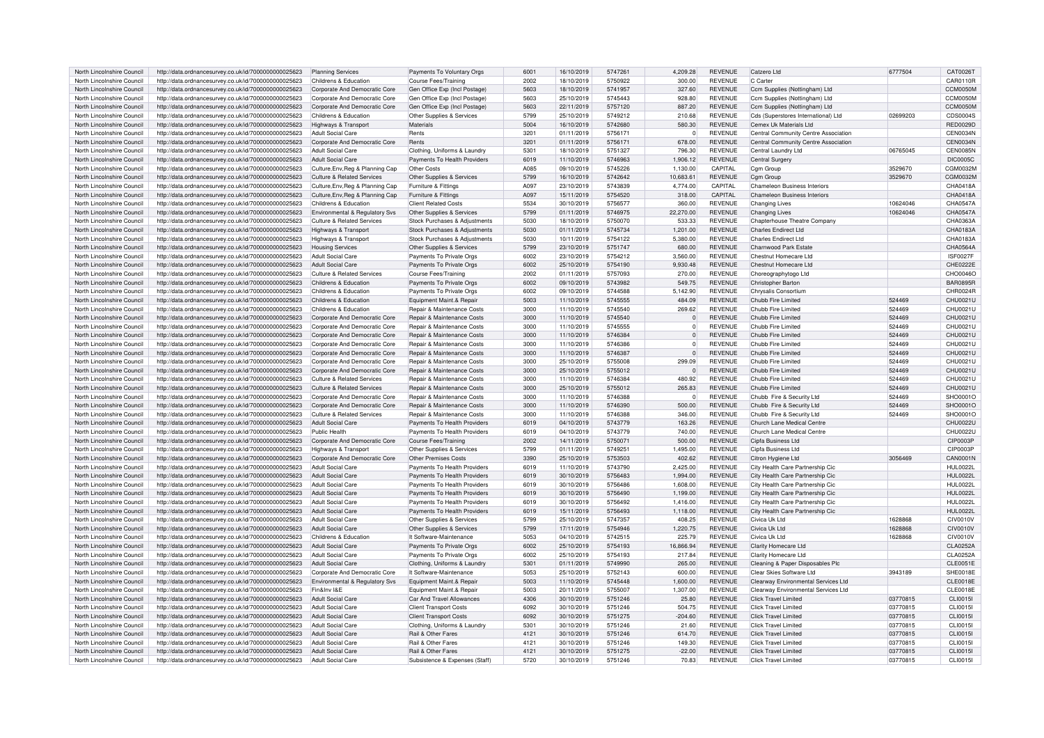| North Lincolnshire Council | http://data.ordnancesurvey.co.uk/id/7000000000025623 | <b>Planning Services</b>              | Payments To Voluntary Orgs     | 6001 | 16/10/2019 | 5747261 | 4,209.28       | <b>REVENUE</b> | Catzero Ltd                          | 6777504  | CAT0026T        |
|----------------------------|------------------------------------------------------|---------------------------------------|--------------------------------|------|------------|---------|----------------|----------------|--------------------------------------|----------|-----------------|
| North Lincolnshire Council | http://data.ordnancesurvey.co.uk/id/7000000000025623 | Childrens & Education                 | <b>Course Fees/Training</b>    | 2002 | 18/10/2019 | 5750922 | 300.00         | <b>REVENUE</b> | C Carter                             |          | CAR0110R        |
| North Lincolnshire Council | http://data.ordnancesurvey.co.uk/id/7000000000025623 | Corporate And Democratic Core         | Gen Office Exp (Incl Postage)  | 5603 | 18/10/2019 | 5741957 | 327.60         | <b>REVENUE</b> | Ccm Supplies (Nottingham) Ltd        |          | CCM0050M        |
| North Lincolnshire Council | http://data.ordnancesurvey.co.uk/id/7000000000025623 | Corporate And Democratic Core         | Gen Office Exp (Incl Postage)  | 5603 | 25/10/2019 | 5745443 | 928.80         | <b>REVENUE</b> | Ccm Supplies (Nottingham) Ltd        |          | CCM0050N        |
| North Lincolnshire Council | http://data.ordnancesurvey.co.uk/id/7000000000025623 | Corporate And Democratic Core         | Gen Office Exp (Incl Postage)  | 5603 | 22/11/2019 | 5757120 | 887.20         | <b>REVENUE</b> | Ccm Supplies (Nottingham) Ltd        |          | CCM0050M        |
| North Lincolnshire Council | http://data.ordnancesurvey.co.uk/id/7000000000025623 | Childrens & Education                 | Other Supplies & Services      | 5799 | 25/10/2019 | 5749212 | 210.68         | <b>REVENUE</b> | Cds (Superstores International) Ltd  | 02699203 | CDS0004S        |
| North Lincolnshire Council | http://data.ordnancesurvey.co.uk/id/7000000000025623 | Highways & Transport                  | Materials                      | 5004 | 16/10/2019 | 5742680 | 580.30         | <b>REVENUE</b> | Cemex Uk Materials Ltd               |          | <b>RED0029D</b> |
|                            |                                                      |                                       |                                |      |            |         |                |                |                                      |          |                 |
| North Lincolnshire Council | http://data.ordnancesurvey.co.uk/id/7000000000025623 | <b>Adult Social Care</b>              | Rents                          | 3201 | 01/11/2019 | 5756171 | $\Omega$       | <b>REVENUE</b> | Central Community Centre Association |          | CEN0034N        |
| North Lincolnshire Council | http://data.ordnancesurvey.co.uk/id/7000000000025623 | Corporate And Democratic Core         | Rents                          | 3201 | 01/11/2019 | 5756171 | 678.00         | <b>REVENUE</b> | Central Community Centre Association |          | CEN0034N        |
| North Lincolnshire Council | http://data.ordnancesurvey.co.uk/id/7000000000025623 | Adult Social Care                     | Clothing, Uniforms & Laundry   | 5301 | 18/10/2019 | 5751327 | 796.30         | <b>REVENUE</b> | Central Laundry Ltd                  | 06765045 | <b>CEN0085N</b> |
| North Lincolnshire Council | http://data.ordnancesurvey.co.uk/id/7000000000025623 | <b>Adult Social Care</b>              | Payments To Health Providers   | 6019 | 11/10/2019 | 5746963 | 1,906.12       | <b>REVENUE</b> | Central Surgery                      |          | <b>DIC0005C</b> |
| North Lincolnshire Council | http://data.ordnancesurvey.co.uk/id/7000000000025623 | Culture, Env, Reg & Planning Cap      | Other Costs                    | A085 | 09/10/2019 | 5745226 | 1,130.00       | CAPITAL        | Cgm Group                            | 3529670  | CGM0032M        |
| North Lincolnshire Council | http://data.ordnancesurvey.co.uk/id/7000000000025623 | <b>Culture &amp; Related Services</b> | Other Supplies & Services      | 5799 | 16/10/2019 | 5742642 | 10,683.61      | <b>REVENUE</b> | Cgm Group                            | 3529670  | CGM0032M        |
| North Lincolnshire Council | http://data.ordnancesurvey.co.uk/id/7000000000025623 | Culture, Env, Reg & Planning Cap      | Furniture & Fittings           | A097 | 23/10/2019 | 5743839 | 4,774.00       | CAPITAL        | Chameleon Business Interiors         |          | CHA0418A        |
| North Lincolnshire Council | http://data.ordnancesurvey.co.uk/id/7000000000025623 | Culture, Env, Reg & Planning Cap      | Furniture & Fittings           | A097 | 15/11/2019 | 5754520 | 318.00         | CAPITAL        | Chameleon Business Interiors         |          | CHA0418A        |
| North Lincolnshire Council | http://data.ordnancesurvey.co.uk/id/7000000000025623 | Childrens & Education                 | <b>Client Related Costs</b>    | 5534 | 30/10/2019 | 5756577 | 360.00         | <b>REVENUE</b> | Changing Lives                       | 10624046 | CHA0547A        |
| North Lincolnshire Council |                                                      |                                       |                                | 5799 |            | 5746975 |                | <b>REVENUE</b> |                                      |          | <b>CHA0547A</b> |
|                            | http://data.ordnancesurvey.co.uk/id/7000000000025623 | Environmental & Regulatory Svs        | Other Supplies & Services      |      | 01/11/2019 |         | 22,270.00      |                | Changing Lives                       | 10624046 |                 |
| North Lincolnshire Council | http://data.ordnancesurvey.co.uk/id/7000000000025623 | Culture & Related Services            | Stock Purchases & Adjustments  | 5030 | 18/10/2019 | 5750070 | 533.33         | <b>REVENUE</b> | Chapterhouse Theatre Company         |          | CHA0363A        |
| North Lincolnshire Council | http://data.ordnancesurvey.co.uk/id/7000000000025623 | <b>Highways &amp; Transport</b>       | Stock Purchases & Adjustments  | 5030 | 01/11/2019 | 5745734 | 1,201.00       | <b>REVENUE</b> | Charles Endirect Ltd                 |          | CHA0183A        |
| North Lincolnshire Council | http://data.ordnancesurvey.co.uk/id/7000000000025623 | Highways & Transport                  | Stock Purchases & Adjustments  | 5030 | 10/11/2019 | 5754122 | 5,380.00       | <b>REVENUE</b> | Charles Endirect Ltd                 |          | CHA0183A        |
| North Lincolnshire Council | http://data.ordnancesurvey.co.uk/id/7000000000025623 | <b>Housing Services</b>               | Other Supplies & Services      | 5799 | 23/10/2019 | 5751747 | 680.00         | <b>REVENUE</b> | Charnwood Park Estate                |          | CHA0564A        |
| North Lincolnshire Council | http://data.ordnancesurvey.co.uk/id/7000000000025623 | <b>Adult Social Care</b>              | Payments To Private Orgs       | 6002 | 23/10/2019 | 5754212 | 3.560.00       | <b>REVENUE</b> | Chestnut Homecare Ltd                |          | <b>ISF0027F</b> |
| North Lincolnshire Council | http://data.ordnancesurvey.co.uk/id/7000000000025623 | <b>Adult Social Care</b>              | Payments To Private Orgs       | 6002 | 25/10/2019 | 5754190 | 9,930.48       | <b>REVENUE</b> | Chestnut Homecare Ltd                |          | CHE0222E        |
| North Lincolnshire Council | http://data.ordnancesurvey.co.uk/id/7000000000025623 | <b>Culture &amp; Related Services</b> | <b>Course Fees/Training</b>    | 2002 | 01/11/2019 | 5757093 | 270.00         | <b>REVENUE</b> | Choreographytogo Ltd                 |          | CHO0046C        |
| North Lincolnshire Council | http://data.ordnancesurvey.co.uk/id/7000000000025623 | Childrens & Education                 | Payments To Private Orgs       | 6002 | 09/10/2019 | 5743982 | 549.75         | <b>REVENUE</b> | Christopher Barton                   |          | <b>BAR0895F</b> |
|                            |                                                      |                                       |                                |      |            |         |                |                |                                      |          |                 |
| North Lincolnshire Council | http://data.ordnancesurvey.co.uk/id/7000000000025623 | Childrens & Education                 | Payments To Private Orgs       | 6002 | 09/10/2019 | 5744588 | 5,142.90       | <b>REVENUE</b> | Chrysalis Consortium                 |          | CHR0024R        |
| North Lincolnshire Council | http://data.ordnancesurvey.co.uk/id/7000000000025623 | Childrens & Education                 | Equipment Maint & Repair       | 5003 | 11/10/2019 | 5745555 | 484.09         | <b>REVENUE</b> | Chubb Fire Limited                   | 524469   | CHU0021U        |
| North Lincolnshire Council | http://data.ordnancesurvey.co.uk/id/7000000000025623 | Childrens & Education                 | Repair & Maintenance Costs     | 3000 | 11/10/2019 | 5745540 | 269.62         | <b>REVENUE</b> | Chubb Fire Limited                   | 524469   | CHU0021U        |
| North Lincolnshire Council | http://data.ordnancesurvey.co.uk/id/7000000000025623 | Corporate And Democratic Core         | Repair & Maintenance Costs     | 3000 | 11/10/2019 | 5745540 |                | <b>REVENUE</b> | Chubb Fire Limited                   | 524469   | CHU0021U        |
| North Lincolnshire Council | http://data.ordnancesurvey.co.uk/id/7000000000025623 | Corporate And Democratic Core         | Repair & Maintenance Costs     | 3000 | 11/10/2019 | 5745555 |                | <b>REVENUE</b> | Chubb Fire Limited                   | 524469   | CHU0021U        |
| North Lincolnshire Council | http://data.ordnancesurvey.co.uk/id/7000000000025623 | Corporate And Democratic Core         | Repair & Maintenance Costs     | 3000 | 11/10/2019 | 5746384 |                | <b>REVENUE</b> | Chubb Fire Limited                   | 524469   | CHU0021L        |
| North Lincolnshire Council | http://data.ordnancesurvey.co.uk/id/7000000000025623 | Corporate And Democratic Core         | Repair & Maintenance Costs     | 3000 | 11/10/2019 | 5746386 |                | <b>REVENUE</b> | Chubb Fire Limited                   | 524469   | CHU0021L        |
| North Lincolnshire Council | http://data.ordnancesurvey.co.uk/id/7000000000025623 | Corporate And Democratic Core         | Repair & Maintenance Costs     | 3000 | 11/10/2019 | 5746387 | $\overline{0}$ | <b>REVENUE</b> | Chubb Fire Limited                   | 524469   | CHU0021U        |
| North Lincolnshire Council | http://data.ordnancesurvey.co.uk/id/7000000000025623 | Corporate And Democratic Core         | Repair & Maintenance Costs     | 3000 | 25/10/2019 | 5755008 | 299.09         | <b>REVENUE</b> | Chubb Fire Limited                   | 524469   | CHU0021U        |
|                            |                                                      |                                       |                                |      |            |         |                |                |                                      |          |                 |
| North Lincolnshire Council | http://data.ordnancesurvey.co.uk/id/7000000000025623 | Corporate And Democratic Core         | Repair & Maintenance Costs     | 3000 | 25/10/2019 | 5755012 | $\Omega$       | <b>REVENUE</b> | Chubb Fire Limited                   | 524469   | CHU0021U        |
| North Lincolnshire Council | http://data.ordnancesurvey.co.uk/id/7000000000025623 | Culture & Related Services            | Repair & Maintenance Costs     | 3000 | 11/10/2019 | 5746384 | 480.92         | <b>REVENUE</b> | Chubb Fire Limited                   | 524469   | CHU0021U        |
| North Lincolnshire Council | http://data.ordnancesurvey.co.uk/id/7000000000025623 | Culture & Related Services            | Repair & Maintenance Costs     | 3000 | 25/10/2019 | 5755012 | 265.83         | <b>REVENUE</b> | Chubb Fire Limited                   | 524469   | CHU0021U        |
| North Lincolnshire Council | http://data.ordnancesurvey.co.uk/id/7000000000025623 | Corporate And Democratic Core         | Repair & Maintenance Costs     | 3000 | 11/10/2019 | 5746388 | $\Omega$       | <b>REVENUE</b> | Chubb Fire & Security Ltd            | 524469   | SHO0001C        |
| North Lincolnshire Council | http://data.ordnancesurvey.co.uk/id/7000000000025623 | Corporate And Democratic Core         | Repair & Maintenance Costs     | 3000 | 11/10/2019 | 5746390 | 500.00         | <b>REVENUE</b> | Chubb Fire & Security Ltd            | 524469   | SHO0001C        |
| North Lincolnshire Council | http://data.ordnancesurvey.co.uk/id/7000000000025623 | Culture & Related Services            | Repair & Maintenance Costs     | 3000 | 11/10/2019 | 5746388 | 346.00         | <b>REVENUE</b> | Chubb Fire & Security Ltd            | 524469   | SHO0001C        |
| North Lincolnshire Counci  | http://data.ordnancesurvey.co.uk/id/7000000000025623 | <b>Adult Social Care</b>              | Payments To Health Providers   | 6019 | 04/10/2019 | 5743779 | 163.26         | <b>REVENUE</b> | Church Lane Medical Centre           |          | CHU0022L        |
| North Lincolnshire Council | http://data.ordnancesurvey.co.uk/id/7000000000025623 | Public Health                         | Payments To Health Providers   | 6019 | 04/10/2019 | 5743779 | 740.00         | <b>REVENUE</b> | Church Lane Medical Centre           |          | CHU0022L        |
|                            |                                                      |                                       |                                |      |            |         |                |                |                                      |          |                 |
| North Lincolnshire Council | http://data.ordnancesurvey.co.uk/id/7000000000025623 | Corporate And Democratic Core         | Course Fees/Training           | 2002 | 14/11/2019 | 5750071 | 500.00         | <b>REVENUE</b> | Cipfa Business Ltd                   |          | CIP0003F        |
| North Lincolnshire Council | http://data.ordnancesurvey.co.uk/id/7000000000025623 | <b>Highways &amp; Transport</b>       | Other Supplies & Services      | 5799 | 01/11/2019 | 574925  | 1,495.00       | <b>REVENUE</b> | Cipfa Business Ltd                   |          | <b>CIP0003F</b> |
| North Lincolnshire Council | http://data.ordnancesurvey.co.uk/id/7000000000025623 | Corporate And Democratic Core         | Other Premises Costs           | 3390 | 25/10/2019 | 5753503 | 402.62         | <b>REVENUE</b> | Citron Hygiene Ltd                   | 3056469  | <b>CAN0001N</b> |
| North Lincolnshire Council | http://data.ordnancesurvey.co.uk/id/7000000000025623 | Adult Social Care                     | Payments To Health Providers   | 6019 | 11/10/2019 | 5743790 | 2,425.00       | <b>REVENUE</b> | City Health Care Partnership Cic     |          | <b>HUL0022L</b> |
| North Lincolnshire Council | http://data.ordnancesurvey.co.uk/id/7000000000025623 | Adult Social Care                     | Payments To Health Providers   | 6019 | 30/10/2019 | 5756483 | 1,994.00       | <b>REVENUE</b> | City Health Care Partnership Cic     |          | <b>HUL0022L</b> |
| North Lincolnshire Council | http://data.ordnancesurvey.co.uk/id/7000000000025623 | <b>Adult Social Care</b>              | Payments To Health Providers   | 6019 | 30/10/2019 | 5756486 | 1,608.00       | <b>REVENUE</b> | City Health Care Partnership Cic     |          | <b>HUL0022L</b> |
| North Lincolnshire Council | http://data.ordnancesurvey.co.uk/id/7000000000025623 | <b>Adult Social Care</b>              | Payments To Health Providers   | 6019 | 30/10/2019 | 5756490 | 1.199.00       | <b>REVENUE</b> | City Health Care Partnership Cic     |          | <b>HUL0022I</b> |
| North Lincolnshire Council | http://data.ordnancesurvey.co.uk/id/7000000000025623 | Adult Social Care                     | Payments To Health Providers   | 6019 | 30/10/2019 | 5756492 | 1,416.00       | <b>REVENUE</b> | City Health Care Partnership Cic     |          | <b>HUL0022I</b> |
| North Lincolnshire Council | http://data.ordnancesurvey.co.uk/id/7000000000025623 | <b>Adult Social Care</b>              | Payments To Health Providers   | 6019 | 15/11/2019 | 5756493 | 1,118.00       | <b>REVENUE</b> | City Health Care Partnership Cic     |          | <b>HUL0022L</b> |
| North Lincolnshire Council | http://data.ordnancesurvey.co.uk/id/7000000000025623 | <b>Adult Social Care</b>              | Other Supplies & Services      | 5799 | 25/10/2019 | 5747357 | 408.25         | <b>REVENUE</b> | Civica Uk Ltd                        | 1628868  | <b>CIV0010V</b> |
|                            |                                                      |                                       |                                |      |            |         |                |                |                                      |          |                 |
| North Lincolnshire Council | http://data.ordnancesurvey.co.uk/id/7000000000025623 | <b>Adult Social Care</b>              | Other Supplies & Services      | 5799 | 17/11/2019 | 5754946 | 1,220.75       | <b>REVENUE</b> | Civica Uk Ltd                        | 1628868  | <b>CIV0010V</b> |
| North Lincolnshire Council | http://data.ordnancesurvey.co.uk/id/7000000000025623 | Childrens & Education                 | It Software-Maintenance        | 5053 | 04/10/2019 | 5742515 | 225.79         | <b>REVENUE</b> | Civica Uk Ltd                        | 1628868  | <b>CIV0010V</b> |
| North Lincolnshire Council | http://data.ordnancesurvey.co.uk/id/7000000000025623 | Adult Social Care                     | Payments To Private Orgs       | 6002 | 25/10/2019 | 5754193 | 16,866.94      | <b>REVENUE</b> | Clarity Homecare Ltd                 |          | CLA0252A        |
| North Lincolnshire Counci  | http://data.ordnancesurvey.co.uk/id/7000000000025623 | Adult Social Care                     | Payments To Private Orgs       | 6002 | 25/10/2019 | 5754193 | 217.84         | <b>REVENUE</b> | <b>Clarity Homecare Ltd</b>          |          | <b>CLA0252A</b> |
| North Lincolnshire Council | http://data.ordnancesurvey.co.uk/id/7000000000025623 | Adult Social Care                     | Clothing, Uniforms & Laundry   | 5301 | 01/11/2019 | 5749990 | 265.00         | <b>REVENUE</b> | Cleaning & Paper Disposables Plc     |          | CLE0051E        |
| North Lincolnshire Council | http://data.ordnancesurvey.co.uk/id/7000000000025623 | Corporate And Democratic Core         | It Software-Maintenance        | 5053 | 25/10/2019 | 5752143 | 600.00         | <b>REVENUE</b> | Clear Skies Software Ltd             | 3943189  | <b>SHE0018E</b> |
| North Lincolnshire Council | http://data.ordnancesurvey.co.uk/id/7000000000025623 | Environmental & Regulatory Svs        | Equipment Maint.& Repair       | 5003 | 11/10/2019 | 5745448 | 1,600.00       | <b>REVENUE</b> | Clearway Environmental Services Ltd  |          | CLE0018E        |
| North Lincolnshire Council | http://data.ordnancesurvey.co.uk/id/7000000000025623 | Fin&Inv I&F                           | Equipment Maint.& Repair       | 5003 | 20/11/2019 | 5755007 | 1,307.00       | <b>REVENUE</b> | Clearway Environmental Services Ltd  |          | CLE0018E        |
|                            |                                                      |                                       |                                |      |            |         |                |                |                                      |          |                 |
| North Lincolnshire Counci  | http://data.ordnancesurvey.co.uk/id/7000000000025623 | Adult Social Care                     | Car And Travel Allowances      | 4306 | 30/10/2019 | 5751246 | 25.80          | <b>REVENUE</b> | Click Travel Limited                 | 03770815 | CLI0015         |
| North Lincolnshire Council | http://data.ordnancesurvey.co.uk/id/7000000000025623 | <b>Adult Social Care</b>              | Client Transport Costs         | 6092 | 30/10/2019 | 5751246 | 504.75         | <b>REVENUE</b> | Click Travel Limited                 | 03770815 | CLI0015         |
| North Lincolnshire Council | http://data.ordnancesurvey.co.uk/id/7000000000025623 | <b>Adult Social Care</b>              | <b>Client Transport Costs</b>  | 6092 | 30/10/2019 | 5751275 | $-204.60$      | <b>REVENUE</b> | <b>Click Travel Limited</b>          | 03770815 | CLI0015         |
| North Lincolnshire Council | http://data.ordnancesurvey.co.uk/id/7000000000025623 | Adult Social Care                     | Clothing, Uniforms & Laundry   | 5301 | 30/10/2019 | 5751246 | 21.60          | <b>REVENUE</b> | <b>Click Travel Limited</b>          | 03770815 | CLI0015         |
| North Lincolnshire Council | http://data.ordnancesurvey.co.uk/id/7000000000025623 | <b>Adult Social Care</b>              | <b>Bail &amp; Other Fares</b>  | 4121 | 30/10/2019 | 5751246 | 614.70         | <b>REVENUE</b> | Click Travel Limited                 | 03770815 | CLI0015         |
| North Lincolnshire Council | http://data.ordnancesurvey.co.uk/id/7000000000025623 | <b>Adult Social Care</b>              | Rail & Other Fares             | 4121 | 30/10/2019 | 5751246 | 149.30         | <b>REVENUE</b> | <b>Click Travel Limited</b>          | 03770815 | CLI0015         |
| North Lincolnshire Council | http://data.ordnancesurvey.co.uk/id/7000000000025623 | Adult Social Care                     | Rail & Other Fares             | 4121 | 30/10/2019 | 5751275 | $-22.00$       | <b>REVENUE</b> | <b>Click Travel Limited</b>          | 03770815 | CLI0015I        |
| North Lincolnshire Council | http://data.ordnancesurvey.co.uk/id/7000000000025623 | Adult Social Care                     | Subsistence & Expenses (Staff) | 5720 | 30/10/2019 | 5751246 | 70.83          | <b>REVENUE</b> | Click Travel Limited                 | 03770815 | CLI0015I        |
|                            |                                                      |                                       |                                |      |            |         |                |                |                                      |          |                 |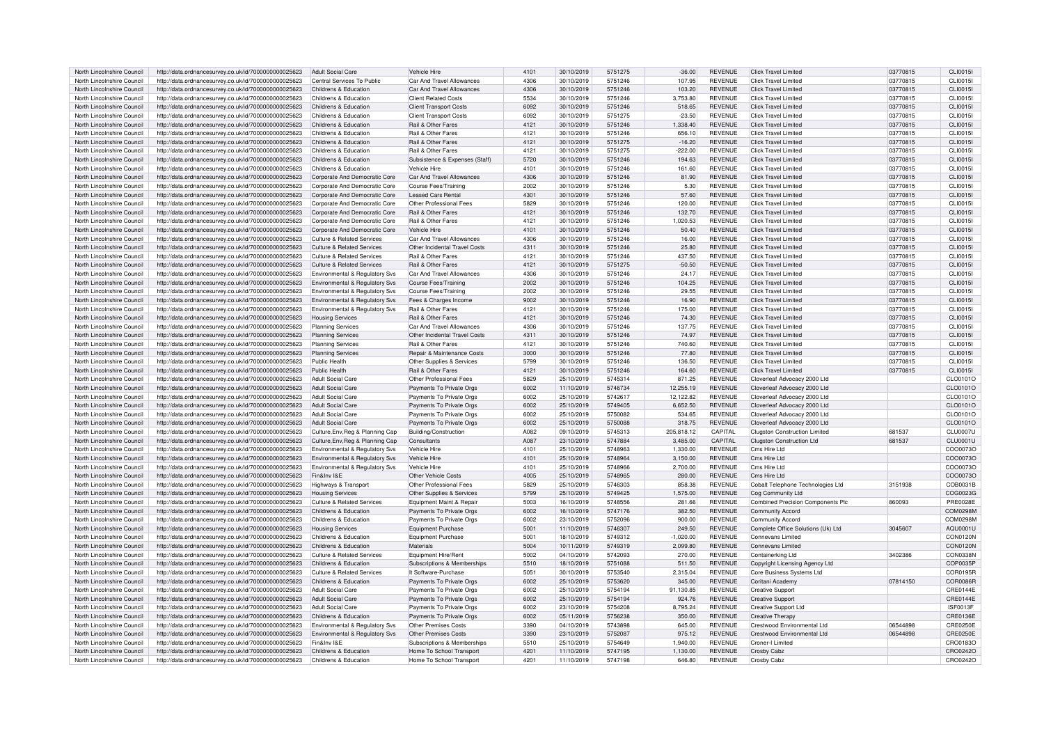| North Lincolnshire Council | http://data.ordnancesurvey.co.uk/id/7000000000025623 | Adult Social Care                     | <b>Vehicle Hire</b>            | 4101 | 30/10/2019 | 5751275            | $-36.00$    | <b>REVENUE</b> | <b>Click Travel Limited</b>          | 03770815 | CLI0015I        |
|----------------------------|------------------------------------------------------|---------------------------------------|--------------------------------|------|------------|--------------------|-------------|----------------|--------------------------------------|----------|-----------------|
| North Lincolnshire Council | http://data.ordnancesurvey.co.uk/id/7000000000025623 | Central Services To Public            | Car And Travel Allowances      | 4306 | 30/10/2019 | 5751246            | 107.95      | <b>REVENUE</b> | <b>Click Travel Limited</b>          | 03770815 | CLI0015I        |
| North Lincolnshire Council | http://data.ordnancesurvey.co.uk/id/7000000000025623 | Childrens & Education                 | Car And Travel Allowances      | 4306 | 30/10/2019 | 5751246            | 103.20      | <b>REVENUE</b> | <b>Click Travel Limited</b>          | 03770815 | <b>CLI0015I</b> |
| North Lincolnshire Council | http://data.ordnancesurvey.co.uk/id/7000000000025623 | Childrens & Education                 | <b>Client Related Costs</b>    | 5534 | 30/10/2019 | 5751246            | 3,753.80    | <b>REVENUE</b> | Click Travel Limited                 | 03770815 | CLI0015I        |
| North Lincolnshire Council | http://data.ordnancesurvey.co.uk/id/7000000000025623 | Childrens & Education                 | <b>Client Transport Costs</b>  | 6092 | 30/10/2019 | 5751246            | 518.65      | <b>REVENUE</b> | <b>Click Travel Limited</b>          | 03770815 | <b>CLI0015I</b> |
| North Lincolnshire Council | http://data.ordnancesurvey.co.uk/id/7000000000025623 | Childrens & Education                 | <b>Client Transport Costs</b>  | 6092 | 30/10/2019 | 5751275            | $-23.50$    | <b>REVENUE</b> | Click Travel Limited                 | 03770815 | CLI0015I        |
| North Lincolnshire Council | http://data.ordnancesurvey.co.uk/id/7000000000025623 | Childrens & Education                 | Rail & Other Fares             | 4121 | 30/10/2019 | 5751246            | 1.338.40    | <b>REVENUE</b> | <b>Click Travel Limited</b>          | 03770815 | <b>CLI0015I</b> |
| North Lincolnshire Council | http://data.ordnancesurvey.co.uk/id/7000000000025623 | Childrens & Education                 | <b>Rail &amp; Other Fares</b>  | 4121 | 30/10/2019 | 5751246            | 656.10      | <b>REVENUE</b> | Click Travel Limited                 | 03770815 | CLI0015I        |
| North Lincolnshire Council | http://data.ordnancesurvey.co.uk/id/7000000000025623 | Childrens & Education                 | Rail & Other Fares             | 4121 | 30/10/2019 | 5751275            | $-16.20$    | <b>REVENUE</b> | <b>Click Travel Limited</b>          | 03770815 | <b>CLI0015I</b> |
| North Lincolnshire Council | http://data.ordnancesurvey.co.uk/id/7000000000025623 | Childrens & Education                 | <b>Bail &amp; Other Fares</b>  | 4121 | 30/10/2019 | 5751275            | $-222.00$   | <b>REVENUE</b> | <b>Click Travel Limited</b>          | 03770815 | CL10015         |
| North Lincolnshire Council | http://data.ordnancesurvey.co.uk/id/7000000000025623 | Childrens & Education                 | Subsistence & Expenses (Staff) | 5720 | 30/10/2019 | 5751246            | 194.63      | <b>REVENUE</b> | <b>Click Travel Limited</b>          | 03770815 | CLI0015I        |
| North Lincolnshire Council | http://data.ordnancesurvey.co.uk/id/7000000000025623 | Childrens & Education                 | Vehicle Hire                   | 4101 | 30/10/2019 | 5751246            | 161.60      | <b>REVENUE</b> | <b>Click Travel Limited</b>          | 03770815 | CLI0015I        |
| North Lincolnshire Council | http://data.ordnancesurvey.co.uk/id/7000000000025623 | Corporate And Democratic Core         | Car And Travel Allowances      | 4306 | 30/10/2019 | 5751246            | 81.90       | <b>REVENUE</b> | Click Travel Limited                 | 03770815 | <b>CLI0015I</b> |
| North Lincolnshire Council | http://data.ordnancesurvey.co.uk/id/7000000000025623 | Corporate And Democratic Core         | Course Fees/Training           | 2002 | 30/10/2019 | 5751246            | 5.30        | <b>REVENUE</b> | <b>Click Travel Limited</b>          | 03770815 | CLI0015I        |
| North Lincolnshire Council | http://data.ordnancesurvey.co.uk/id/7000000000025623 | Corporate And Democratic Core         | <b>Leased Cars Rental</b>      | 4301 | 30/10/2019 | 5751246            | 57.60       | <b>REVENUE</b> | <b>Click Travel Limited</b>          | 03770815 | <b>CLI0015</b>  |
|                            |                                                      |                                       |                                |      |            |                    |             |                |                                      |          | <b>CLI0015</b>  |
| North Lincolnshire Council | http://data.ordnancesurvey.co.uk/id/7000000000025623 | Corporate And Democratic Core         | Other Professional Fees        | 5829 | 30/10/2019 | 5751246            | 120.00      | <b>REVENUE</b> | <b>Click Travel Limited</b>          | 03770815 |                 |
| North Lincolnshire Council | http://data.ordnancesurvey.co.uk/id/7000000000025623 | Corporate And Democratic Core         | Rail & Other Fares             | 4121 | 30/10/2019 | 5751246            | 132.70      | <b>REVENUE</b> | <b>Click Travel Limited</b>          | 03770815 | <b>CLI0015I</b> |
| North Lincolnshire Council | http://data.ordnancesurvey.co.uk/id/7000000000025623 | Corporate And Democratic Core         | Rail & Other Fares             | 4121 | 30/10/2019 | 5751246            | 1.020.53    | <b>REVENUE</b> | <b>Click Travel Limited</b>          | 03770815 | CLI0015I        |
| North Lincolnshire Council | http://data.ordnancesurvey.co.uk/id/7000000000025623 | Corporate And Democratic Core         | Vehicle Hire                   | 4101 | 30/10/2019 | 5751246            | 50.40       | <b>REVENUE</b> | Click Travel Limited                 | 03770815 | <b>CLI0015I</b> |
| North Lincolnshire Council | http://data.ordnancesurvey.co.uk/id/7000000000025623 | <b>Culture &amp; Related Services</b> | Car And Travel Allowances      | 4306 | 30/10/2019 | 5751246            | 16.00       | <b>REVENUE</b> | <b>Click Travel Limited</b>          | 03770815 | CLI0015I        |
| North Lincolnshire Council | http://data.ordnancesurvey.co.uk/id/7000000000025623 | Culture & Related Services            | Other Incidental Travel Costs  | 4311 | 30/10/2019 | 5751246            | 25.80       | <b>REVENUE</b> | <b>Click Travel Limited</b>          | 03770815 | <b>CLI0015</b>  |
| North Lincolnshire Council | http://data.ordnancesurvey.co.uk/id/7000000000025623 | Culture & Related Services            | Rail & Other Fares             | 4121 | 30/10/2019 | 5751246            | 437.50      | <b>REVENUE</b> | Click Travel Limited                 | 03770815 | CLI0015I        |
| North Lincolnshire Council | http://data.ordnancesurvey.co.uk/id/7000000000025623 | <b>Culture &amp; Related Services</b> | Rail & Other Fares             | 4121 | 30/10/2019 | 5751275            | $-50.50$    | <b>REVENUE</b> | <b>Click Travel Limited</b>          | 03770815 | <b>CLI0015I</b> |
| North Lincolnshire Council | http://data.ordnancesurvey.co.uk/id/7000000000025623 | Environmental & Regulatory Svs        | Car And Travel Allowances      | 4306 | 30/10/2019 | 5751246            | 24.17       | <b>REVENUE</b> | <b>Click Travel Limited</b>          | 03770815 | CLI0015I        |
| North Lincolnshire Council | http://data.ordnancesurvey.co.uk/id/7000000000025623 | Environmental & Regulatory Sys        | Course Fees/Training           | 2002 | 30/10/2019 | 5751246            | 104.25      | <b>REVENUE</b> | <b>Click Travel Limited</b>          | 03770815 | CLI0015I        |
| North Lincolnshire Council | http://data.ordnancesurvey.co.uk/id/7000000000025623 | Environmental & Regulatory Svs        | Course Fees/Training           | 2002 | 30/10/2019 | 5751246            | 29.55       | <b>REVENUE</b> | Click Travel Limited                 | 03770815 | CLI0015I        |
| North Lincolnshire Council | http://data.ordnancesurvey.co.uk/id/7000000000025623 | Environmental & Regulatory Svs        | Fees & Charges Income          | 9002 | 30/10/2019 | 5751246            | 16.90       | <b>REVENUE</b> | <b>Click Travel Limited</b>          | 03770815 | <b>CLI0015I</b> |
| North Lincolnshire Council | http://data.ordnancesurvey.co.uk/id/7000000000025623 | Environmental & Regulatory Svs        | Rail & Other Fares             | 4121 | 30/10/2019 | 5751246            | 175.00      | <b>REVENUE</b> | <b>Click Travel Limited</b>          | 03770815 | CLI0015I        |
| North Lincolnshire Council | http://data.ordnancesurvey.co.uk/id/7000000000025623 | <b>Housing Services</b>               | Rail & Other Fares             | 4121 | 30/10/2019 | 5751246            | 74.30       | <b>REVENUE</b> | Click Travel Limited                 | 03770815 | CLI0015I        |
| North Lincolnshire Council | http://data.ordnancesurvey.co.uk/id/7000000000025623 | <b>Planning Services</b>              | Car And Travel Allowances      | 4306 | 30/10/2019 | 5751246            | 137.75      | <b>REVENUE</b> | <b>Click Travel Limited</b>          | 03770815 | CLI0015I        |
| North Lincolnshire Council | http://data.ordnancesurvey.co.uk/id/7000000000025623 | <b>Planning Services</b>              | Other Incidental Travel Costs  | 4311 | 30/10/2019 | 5751246            | 74.97       | REVENUE        | <b>Click Travel Limited</b>          | 03770815 | <b>CLI0015I</b> |
| North Lincolnshire Counci  | http://data.ordnancesurvey.co.uk/id/7000000000025623 | <b>Planning Services</b>              | Rail & Other Fares             | 4121 | 30/10/2019 | 5751246            | 740.60      | <b>REVENUE</b> | Click Travel Limited                 | 03770815 | CLI0015I        |
| North Lincolnshire Council | http://data.ordnancesurvey.co.uk/id/7000000000025623 | <b>Planning Services</b>              | Repair & Maintenance Costs     | 3000 | 30/10/2019 | 5751246            | 77.80       | <b>REVENUE</b> | <b>Click Travel Limited</b>          | 03770815 | CL100151        |
| North Lincolnshire Council | http://data.ordnancesurvey.co.uk/id/7000000000025623 | Public Health                         | Other Supplies & Services      | 5799 | 30/10/2019 | 5751246            | 136.50      | <b>REVENUE</b> | <b>Click Travel Limited</b>          | 03770815 | CLI0015I        |
| North Lincolnshire Council | http://data.ordnancesurvey.co.uk/id/7000000000025623 | Public Health                         | Rail & Other Fares             | 4121 | 30/10/2019 | 5751246            | 164.60      | <b>REVENUE</b> | <b>Click Travel Limited</b>          | 03770815 | CLI0015I        |
| North Lincolnshire Council | http://data.ordnancesurvey.co.uk/id/7000000000025623 | Adult Social Care                     | Other Professional Fees        | 5829 | 25/10/2019 | 5745314            | 871.25      | <b>REVENUE</b> | Cloverleaf Advocacy 2000 Ltd         |          | CLO0101C        |
| North Lincolnshire Council | http://data.ordnancesurvey.co.uk/id/7000000000025623 | <b>Adult Social Care</b>              | Payments To Private Orgs       | 6002 | 11/10/2019 | 5746734            | 12,255.19   | <b>REVENUE</b> | Cloverleaf Advocacy 2000 Ltd         |          | CLO0101C        |
| North Lincolnshire Council | http://data.ordnancesurvey.co.uk/id/7000000000025623 | Adult Social Care                     | Payments To Private Orgs       | 6002 | 25/10/2019 | 5742617            | 12,122.82   | <b>REVENUE</b> | Cloverleaf Advocacy 2000 Ltd         |          | CLO0101C        |
| North Lincolnshire Council | http://data.ordnancesurvey.co.uk/id/7000000000025623 | <b>Adult Social Care</b>              | Payments To Private Orgs       | 6002 | 25/10/2019 | 5749405            | 6,652.50    | <b>REVENUE</b> | Cloverleaf Advocacy 2000 Ltd         |          | CLO0101C        |
| North Lincolnshire Council | http://data.ordnancesurvey.co.uk/id/7000000000025623 | Adult Social Care                     | Payments To Private Orgs       | 6002 | 25/10/2019 | 5750082            | 534.65      | <b>REVENUE</b> | Cloverleaf Advocacy 2000 Ltd         |          | CLO0101C        |
| North Lincolnshire Council | http://data.ordnancesurvey.co.uk/id/7000000000025623 | <b>Adult Social Care</b>              | Payments To Private Orgs       | 6002 | 25/10/2019 | 5750088            | 318.75      | <b>REVENUE</b> | Cloverleaf Advocacy 2000 Ltd         |          | CLO0101C        |
| North Lincolnshire Council | http://data.ordnancesurvey.co.uk/id/7000000000025623 | Culture, Env, Reg & Planning Cap      | Building/Construction          | A082 | 09/10/2019 | 5745313            | 205,818.12  | CAPITAL        | <b>Clugston Construction Limited</b> | 681537   | <b>CLU0007L</b> |
| North Lincolnshire Council | http://data.ordnancesurvey.co.uk/id/7000000000025623 | Culture, Env, Reg & Planning Cap      | Consultants                    | A087 | 23/10/2019 | 5747884            | 3,485.00    | CAPITAL        | Clugston Construction Ltd            | 681537   | <b>CLU0001L</b> |
| North Lincolnshire Council | http://data.ordnancesurvey.co.uk/id/7000000000025623 | Environmental & Regulatory Svs        | Vehicle Hire                   | 4101 | 25/10/2019 | 5748963            | 1,330.00    | <b>REVENUE</b> | Cms Hire Ltd                         |          | COO0073C        |
| North Lincolnshire Council | http://data.ordnancesurvey.co.uk/id/7000000000025623 | Environmental & Regulatory Svs        | Vehicle Hire                   | 4101 | 25/10/2019 | 5748964            | 3,150.00    | <b>REVENUE</b> | Cms Hire Ltd                         |          | COO0073C        |
|                            |                                                      |                                       | Vehicle Hire                   | 4101 |            | 5748966            |             | <b>REVENUE</b> | Cms Hire Ltd                         |          |                 |
| North Lincolnshire Council | http://data.ordnancesurvey.co.uk/id/7000000000025623 | Environmental & Regulatory Svs        |                                |      | 25/10/2019 |                    | 2,700.00    |                |                                      |          | COO0073C        |
| North Lincolnshire Council | http://data.ordnancesurvey.co.uk/id/7000000000025623 | Fin&Inv I&E                           | Other Vehicle Costs            | 4005 | 25/10/2019 | 5748965<br>5746303 | 280.00      | <b>REVENUE</b> | Cms Hire Ltd                         |          | COO0073C        |
| North Lincolnshire Council | http://data.ordnancesurvey.co.uk/id/7000000000025623 | Highways & Transport                  | Other Professional Fees        | 5829 | 25/10/2019 |                    | 858.38      | <b>REVENUE</b> | Cobalt Telephone Technologies Ltd    | 3151938  | COB0031E        |
| North Lincolnshire Council | http://data.ordnancesurvey.co.uk/id/7000000000025623 | <b>Housing Services</b>               | Other Supplies & Services      | 5799 | 25/10/2019 | 5749425            | 1,575.00    | <b>REVENUE</b> | Cog Community Ltd                    |          | COG0023C        |
| North Lincolnshire Council | http://data.ordnancesurvey.co.uk/id/7000000000025623 | Culture & Related Services            | Equipment Maint.& Repair       | 5003 | 16/10/2019 | 5748556            | 281.66      | <b>REVENUE</b> | Combined Precision Components Plc    | 860093   | <b>PRE0028E</b> |
| North Lincolnshire Council | http://data.ordnancesurvey.co.uk/id/7000000000025623 | Childrens & Education                 | Payments To Private Orgs       | 6002 | 16/10/2019 | 5747176            | 382.50      | <b>REVENUE</b> | <b>Community Accord</b>              |          | COM0298M        |
| North Lincolnshire Council | http://data.ordnancesurvey.co.uk/id/7000000000025623 | Childrens & Education                 | Payments To Private Orgs       | 6002 | 23/10/2019 | 5752096            | 900.00      | <b>REVENUE</b> | <b>Community Accord</b>              |          | COM0298M        |
| North Lincolnshire Council | http://data.ordnancesurvey.co.uk/id/7000000000025623 | <b>Housing Services</b>               | Equipment Purchase             | 5001 | 11/10/2019 | 5746307            | 249.50      | <b>REVENUE</b> | Complete Office Solutions (Uk) Ltd   | 3045607  | AQU0001L        |
| North Lincolnshire Council | http://data.ordnancesurvey.co.uk/id/7000000000025623 | Childrens & Education                 | Equipment Purchase             | 5001 | 18/10/2019 | 5749312            | $-1,020.00$ | <b>REVENUE</b> | Connevans Limited                    |          | CON0120N        |
| North Lincolnshire Council | http://data.ordnancesurvey.co.uk/id/7000000000025623 | Childrens & Education                 | Materials                      | 5004 | 10/11/2019 | 5749319            | 2,099.80    | <b>REVENUE</b> | <b>Connevans Limited</b>             |          | CON0120N        |
| North Lincolnshire Council | http://data.ordnancesurvey.co.uk/id/7000000000025623 | <b>Culture &amp; Related Services</b> | Equipment Hire/Rent            | 5002 | 04/10/2019 | 5742093            | 270.00      | <b>REVENUE</b> | Containerking Ltd                    | 3402386  | CON0338N        |
| North Lincolnshire Council | http://data.ordnancesurvey.co.uk/id/7000000000025623 | Childrens & Education                 | Subscriptions & Memberships    | 5510 | 18/10/2019 | 5751088            | 511.50      | <b>REVENUE</b> | Copyright Licensing Agency Ltd       |          | COP0035F        |
| North Lincolnshire Council | http://data.ordnancesurvey.co.uk/id/7000000000025623 | Culture & Related Services            | It Software-Purchase           | 5051 | 30/10/2019 | 5753540            | 2.315.04    | <b>REVENUE</b> | Core Business Systems Ltd            |          | COR0195F        |
| North Lincolnshire Council | http://data.ordnancesurvey.co.uk/id/7000000000025623 | Childrens & Education                 | Payments To Private Orgs       | 6002 | 25/10/2019 | 5753620            | 345.00      | <b>REVENUE</b> | Coritani Academ                      | 07814150 | <b>COR0086F</b> |
| North Lincolnshire Council | http://data.ordnancesurvey.co.uk/id/7000000000025623 | <b>Adult Social Care</b>              | Payments To Private Orgs       | 6002 | 25/10/2019 | 5754194            | 91.130.85   | <b>REVENUE</b> | <b>Creative Support</b>              |          | CRE0144E        |
| North Lincolnshire Council | http://data.ordnancesurvey.co.uk/id/7000000000025623 | Adult Social Care                     | Payments To Private Orgs       | 6002 | 25/10/2019 | 5754194            | 924.76      | <b>REVENUE</b> | <b>Creative Support</b>              |          | <b>CRE0144E</b> |
| North Lincolnshire Counci  | http://data.ordnancesurvey.co.uk/id/7000000000025623 | <b>Adult Social Care</b>              | Payments To Private Orgs       | 6002 | 23/10/2019 | 5754208            | 8,795.24    | <b>REVENUE</b> | <b>Creative Support Ltd</b>          |          | <b>ISF0013F</b> |
| North Lincolnshire Council | http://data.ordnancesurvey.co.uk/id/7000000000025623 | Childrens & Education                 | Payments To Private Orgs       | 6002 | 05/11/2019 | 5756238            | 350.00      | <b>REVENUE</b> | Creative Therapy                     |          | CRE0136E        |
| North Lincolnshire Council | http://data.ordnancesurvey.co.uk/id/7000000000025623 | Environmental & Regulatory Svs        | Other Premises Costs           | 3390 | 04/10/2019 | 5743898            | 645.00      | <b>REVENUE</b> | Crestwood Environmental Ltd          | 06544898 | <b>CRE0250E</b> |
| North Lincolnshire Council | http://data.ordnancesurvey.co.uk/id/7000000000025623 | Environmental & Regulatory Sys        | Other Premises Costs           | 3390 | 23/10/2019 | 5752087            | 975.12      | <b>REVENUE</b> | Crestwood Environmental Ltd          | 06544898 | <b>CRE0250E</b> |
| North Lincolnshire Council | http://data.ordnancesurvey.co.uk/id/7000000000025623 | Fin&Inv I&F                           | Subscriptions & Memberships    | 5510 | 25/10/2019 | 5754649            | 1,940.00    | <b>REVENUE</b> | Croner-LL imited                     |          | CRO0183C        |
| North Lincolnshire Council | http://data.ordnancesurvey.co.uk/id/7000000000025623 | Childrens & Education                 | Home To School Transport       | 4201 | 11/10/2019 | 5747195            | 1,130.00    | <b>REVENUE</b> | Crosby Cabz                          |          | CRO0242O        |
| North Lincolnshire Council | http://data.ordnancesurvey.co.uk/id/7000000000025623 | Childrens & Education                 | Home To School Transport       | 4201 | 11/10/2019 | 5747198            | 646.80      | <b>REVENUE</b> | Crosby Cabz                          |          | CRO0242O        |
|                            |                                                      |                                       |                                |      |            |                    |             |                |                                      |          |                 |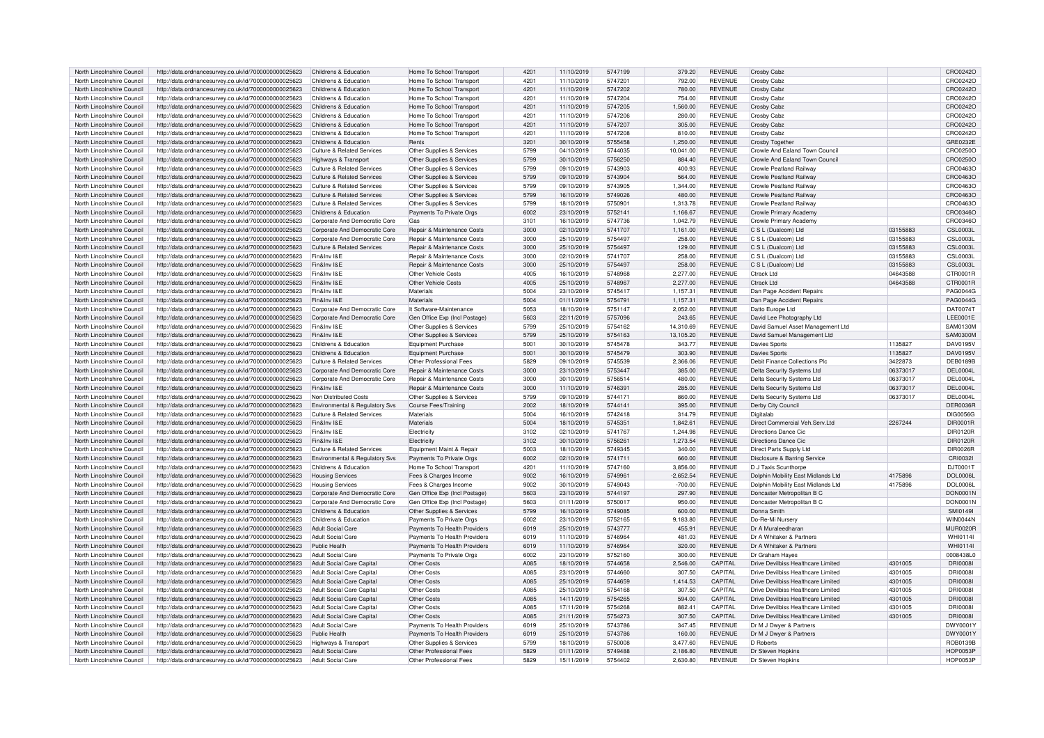| North Lincolnshire Council                               | http://data.ordnancesurvey.co.uk/id/7000000000025623                                                         | Childrens & Education                                        | Home To School Transport      | 4201 | 11/10/2019 | 5747199 | 379.20      | <b>REVENUE</b> | Crosby Cabz                        |          | CRO0242O        |
|----------------------------------------------------------|--------------------------------------------------------------------------------------------------------------|--------------------------------------------------------------|-------------------------------|------|------------|---------|-------------|----------------|------------------------------------|----------|-----------------|
| North Lincolnshire Council                               | http://data.ordnancesurvey.co.uk/id/7000000000025623                                                         | Childrens & Education                                        | Home To School Transport      | 4201 | 11/10/2019 | 574720  | 792.00      | <b>REVENUE</b> | Crosby Cabz                        |          | CRO0242O        |
| North Lincolnshire Council                               | http://data.ordnancesurvey.co.uk/id/7000000000025623                                                         | Childrens & Education                                        | Home To School Transport      | 4201 | 11/10/2019 | 5747202 | 780.00      | <b>REVENUE</b> | <b>Crosby Cabz</b>                 |          | CRO0242O        |
| North Lincolnshire Council                               | http://data.ordnancesurvey.co.uk/id/7000000000025623                                                         | Childrens & Education                                        | Home To School Transport      | 4201 | 11/10/2019 | 5747204 | 754.00      | <b>REVENUE</b> | Crosby Cabz                        |          | CRO0242C        |
| North Lincolnshire Council                               | http://data.ordnancesurvey.co.uk/id/7000000000025623                                                         | Childrens & Education                                        | Home To School Transport      | 4201 | 11/10/2019 | 5747205 | 1.560.00    | <b>REVENUE</b> | Crosby Cabz                        |          | CRO0242O        |
| North Lincolnshire Council                               | http://data.ordnancesurvey.co.uk/id/7000000000025623                                                         | Childrens & Education                                        | Home To School Transport      | 4201 | 11/10/2019 | 5747206 | 280.00      | <b>REVENUE</b> | Crosby Cabz                        |          | CRO0242C        |
| North Lincolnshire Council                               | http://data.ordnancesurvev.co.uk/id/7000000000025623                                                         | Childrens & Education                                        | Home To School Transport      | 4201 | 11/10/2019 | 5747207 | 305.00      | <b>REVENUE</b> | Crosby Cabz                        |          | CRO0242O        |
| North Lincolnshire Council                               | http://data.ordnancesurvey.co.uk/id/7000000000025623                                                         | Childrens & Education                                        | Home To School Transport      | 4201 | 11/10/2019 | 5747208 | 810.00      | <b>REVENUE</b> | Crosby Cabz                        |          | CRO0242O        |
| North Lincolnshire Council                               | http://data.ordnancesurvey.co.uk/id/7000000000025623                                                         | Childrens & Education                                        | Rents                         | 3201 | 30/10/2019 | 5755458 | 1,250.00    | <b>REVENUE</b> | Crosby Togethe                     |          | GRE0232E        |
| North Lincolnshire Council                               | http://data.ordnancesurvey.co.uk/id/7000000000025623                                                         | <b>Culture &amp; Related Services</b>                        | Other Supplies & Services     | 5799 | 04/10/2019 | 5744035 | 10.041.00   | <b>REVENUE</b> | Crowle And Ealand Town Council     |          | CRO0250O        |
|                                                          |                                                                                                              | Highways & Transport                                         | Other Supplies & Services     | 5799 | 30/10/2019 | 5756250 | 884.40      | <b>REVENUE</b> | Crowle And Ealand Town Council     |          | CRO0250C        |
| North Lincolnshire Council<br>North Lincolnshire Council | http://data.ordnancesurvey.co.uk/id/7000000000025623<br>http://data.ordnancesurvey.co.uk/id/7000000000025623 | <b>Culture &amp; Related Services</b>                        | Other Supplies & Services     | 5799 | 09/10/2019 | 5743903 | 400.93      | <b>REVENUE</b> | Crowle Peatland Railway            |          | CRO0463C        |
|                                                          |                                                                                                              | Culture & Related Services                                   |                               |      |            | 5743904 |             | <b>REVENUE</b> |                                    |          |                 |
| North Lincolnshire Council                               | http://data.ordnancesurvey.co.uk/id/7000000000025623                                                         |                                                              | Other Supplies & Services     | 5799 | 09/10/2019 |         | 564.00      |                | <b>Crowle Peatland Railway</b>     |          | CRO0463O        |
| North Lincolnshire Council                               | http://data.ordnancesurvey.co.uk/id/7000000000025623                                                         | Culture & Related Services                                   | Other Supplies & Services     | 5799 | 09/10/2019 | 5743905 | 1.344.00    | <b>REVENUE</b> | Crowle Peatland Railway            |          | CRO0463C        |
| North Lincolnshire Council                               | http://data.ordnancesurvey.co.uk/id/7000000000025623                                                         | Culture & Related Services                                   | Other Supplies & Services     | 5799 | 16/10/2019 | 5749026 | 480.00      | <b>REVENUE</b> | <b>Crowle Peatland Railway</b>     |          | CRO0463O        |
| North Lincolnshire Council                               | http://data.ordnancesurvey.co.uk/id/7000000000025623                                                         | <b>Culture &amp; Related Services</b>                        | Other Supplies & Services     | 5799 | 18/10/2019 | 5750901 | 1,313.78    | <b>REVENUE</b> | Crowle Peatland Railway            |          | CRO0463C        |
| North Lincolnshire Council                               | http://data.ordnancesurvey.co.uk/id/7000000000025623                                                         | Childrens & Education                                        | Payments To Private Orgs      | 6002 | 23/10/2019 | 5752141 | 1.166.67    | <b>REVENUE</b> | Crowle Primary Academy             |          | CRO0346O        |
| North Lincolnshire Council                               | http://data.ordnancesurvey.co.uk/id/7000000000025623                                                         | Corporate And Democratic Core                                | Gas                           | 3101 | 16/10/2019 | 5747736 | 1,042.79    | <b>REVENUE</b> | Crowle Primary Academy             |          | CRO0346O        |
| North Lincolnshire Council                               | http://data.ordnancesurvey.co.uk/id/7000000000025623                                                         | Corporate And Democratic Core                                | Repair & Maintenance Costs    | 3000 | 02/10/2019 | 5741707 | 1,161.00    | <b>REVENUE</b> | C S L (Dualcom) Ltd                | 03155883 | <b>CSL0003L</b> |
| North Lincolnshire Council                               | http://data.ordnancesurvey.co.uk/id/7000000000025623                                                         | Corporate And Democratic Core                                | Repair & Maintenance Costs    | 3000 | 25/10/2019 | 5754497 | 258.00      | <b>REVENUE</b> | C S L (Dualcom) Ltd                | 03155883 | <b>CSL0003L</b> |
| North Lincolnshire Council                               | http://data.ordnancesurvey.co.uk/id/7000000000025623                                                         | Culture & Related Services                                   | Repair & Maintenance Costs    | 3000 | 25/10/2019 | 5754497 | 129.00      | <b>REVENUE</b> | $C_S L$ (Dualcom) Ltd              | 03155883 | <b>CSL0003L</b> |
| North Lincolnshire Council                               | http://data.ordnancesurvey.co.uk/id/7000000000025623                                                         | Fin&Inv I&F                                                  | Repair & Maintenance Costs    | 3000 | 02/10/2019 | 5741707 | 258.00      | <b>REVENUE</b> | C S L (Dualcom) Ltd                | 03155883 | <b>CSL0003L</b> |
| North Lincolnshire Council                               | http://data.ordnancesurvey.co.uk/id/7000000000025623                                                         | Fin&Inv I&F                                                  | Repair & Maintenance Costs    | 3000 | 25/10/2019 | 5754497 | 258.00      | <b>REVENUE</b> | C S L (Dualcom) Ltd                | 03155883 | <b>CSL0003L</b> |
| North Lincolnshire Council                               | http://data.ordnancesurvey.co.uk/id/7000000000025623                                                         | Fin&Inv I&F                                                  | <b>Other Vehicle Costs</b>    | 4005 | 16/10/2019 | 5748968 | 2.277.00    | <b>REVENUE</b> | Ctrack Ltd                         | 04643588 | CTR0001R        |
| North Lincolnshire Council                               | http://data.ordnancesurvey.co.uk/id/7000000000025623                                                         | Fin&Inv I&E                                                  | Other Vehicle Costs           | 4005 | 25/10/2019 | 5748967 | 2,277.00    | <b>REVENUE</b> | Ctrack Ltd                         | 04643588 | CTR0001R        |
| North Lincolnshire Council                               | http://data.ordnancesurvey.co.uk/id/7000000000025623                                                         | Fin&Inv I&F                                                  | Materials                     | 5004 | 23/10/2019 | 5745417 | 1,157.31    | <b>REVENUE</b> | Dan Page Accident Repairs          |          | PAG0044G        |
| North Lincolnshire Council                               | http://data.ordnancesurvey.co.uk/id/7000000000025623                                                         | Fin&Inv I&E                                                  | Materials                     | 5004 | 01/11/2019 | 5754791 | 1,157.31    | <b>REVENUE</b> | Dan Page Accident Repairs          |          | PAG0044G        |
| North Lincolnshire Council                               | http://data.ordnancesurvey.co.uk/id/7000000000025623                                                         | Corporate And Democratic Core                                | It Software-Maintenance       | 5053 | 18/10/2019 | 5751147 | 2,052.00    | <b>REVENUE</b> | Datto Europe Ltd                   |          | DAT0074T        |
| North Lincolnshire Council                               | http://data.ordnancesurvey.co.uk/id/7000000000025623                                                         | Corporate And Democratic Core                                | Gen Office Exp (Incl Postage) | 5603 | 22/11/2019 | 5757096 | 243.65      | <b>REVENUE</b> | David Lee Photography Ltd          |          | LEE0001E        |
| North Lincolnshire Council                               | http://data.ordnancesurvey.co.uk/id/7000000000025623                                                         | Fin&Inv I&E                                                  | Other Supplies & Services     | 5799 | 25/10/2019 | 5754162 | 14.310.69   | <b>REVENUE</b> | David Samuel Asset Management Ltd  |          | <b>SAM0130M</b> |
| North Lincolnshire Council                               | http://data.ordnancesurvey.co.uk/id/7000000000025623                                                         | Fin&Inv I&E                                                  | Other Supplies & Services     | 5799 | 25/10/2019 | 5754163 | 13,105.20   | <b>REVENUE</b> | David Samuel Management Ltd        |          | <b>SAM0300M</b> |
| North Lincolnshire Council                               | http://data.ordnancesurvey.co.uk/id/7000000000025623                                                         | Childrens & Education                                        | Equipment Purchase            | 5001 | 30/10/2019 | 5745478 | 343.77      | <b>REVENUE</b> | Davies Sports                      | 1135827  | DAV0195V        |
| North Lincolnshire Council                               | http://data.ordnancesurvey.co.uk/id/7000000000025623                                                         | Childrens & Education                                        | Equipment Purchase            | 5001 | 30/10/2019 | 5745479 | 303.90      | <b>REVENUE</b> | Davies Sports                      | 1135827  | DAV0195V        |
| North Lincolnshire Council                               | http://data.ordnancesurvey.co.uk/id/7000000000025623                                                         | <b>Culture &amp; Related Services</b>                        | Other Professional Fees       | 5829 | 09/10/2019 | 5745539 | 2.366.06    | <b>REVENUE</b> | Debit Finance Collections Plc      | 3422873  | <b>DEB0189B</b> |
| North Lincolnshire Council                               | http://data.ordnancesurvey.co.uk/id/7000000000025623                                                         | Corporate And Democratic Core                                | Repair & Maintenance Costs    | 3000 | 23/10/2019 | 5753447 | 385.00      | <b>REVENUE</b> | Delta Security Systems Ltd         | 06373017 | <b>DEL0004L</b> |
| North Lincolnshire Council                               | http://data.ordnancesurvey.co.uk/id/7000000000025623                                                         | Corporate And Democratic Core                                | Repair & Maintenance Costs    | 3000 | 30/10/2019 | 5756514 | 480.00      | <b>REVENUE</b> | Delta Security Systems Ltd         | 06373017 | <b>DEL0004L</b> |
| North Lincolnshire Council                               | http://data.ordnancesurvey.co.uk/id/7000000000025623                                                         | Fin&Inv I&E                                                  | Repair & Maintenance Costs    | 3000 | 11/10/2019 | 5746391 | 285.00      | <b>REVENUE</b> | Delta Security Systems Ltd         | 06373017 | <b>DEL0004L</b> |
| North Lincolnshire Council                               | http://data.ordnancesurvey.co.uk/id/7000000000025623                                                         | Non Distributed Costs                                        | Other Supplies & Services     | 5799 | 09/10/2019 | 5744171 | 860.00      | <b>REVENUE</b> | Delta Security Systems Ltd         | 06373017 | <b>DEL0004L</b> |
| North Lincolnshire Council                               |                                                                                                              |                                                              | Course Fees/Training          | 2002 | 18/10/2019 | 5744141 | 395.00      | <b>REVENUE</b> |                                    |          | DER0036F        |
| North Lincolnshire Council                               | http://data.ordnancesurvey.co.uk/id/7000000000025623                                                         | Environmental & Regulatory Svs<br>Culture & Related Services | Materials                     | 5004 | 16/10/2019 | 5742418 | 314.79      | <b>REVENUE</b> | Derby City Council<br>Digitalab    |          | <b>DIG0056G</b> |
|                                                          | http://data.ordnancesurvey.co.uk/id/7000000000025623                                                         |                                                              |                               |      |            |         |             |                |                                    |          |                 |
| North Lincolnshire Council                               | http://data.ordnancesurvey.co.uk/id/7000000000025623                                                         | Fin&Inv I&E                                                  | Materials                     | 5004 | 18/10/2019 | 574535  | 1,842.61    | <b>REVENUE</b> | Direct Commercial Veh.Serv.Ltd     | 2267244  | DIR0001R        |
| North Lincolnshire Council                               | http://data.ordnancesurvey.co.uk/id/7000000000025623                                                         | Fin&Inv I&F                                                  | Electricity                   | 3102 | 02/10/2019 | 5741767 | 1,244.98    | <b>REVENUE</b> | Directions Dance Cic               |          | DIR0120R        |
| North Lincolnshire Council                               | http://data.ordnancesurvey.co.uk/id/7000000000025623                                                         | Fin&Inv I&F                                                  | Electricity                   | 3102 | 30/10/2019 | 5756261 | 1,273.54    | <b>REVENUE</b> | <b>Directions Dance Cic</b>        |          | DIR0120R        |
| North Lincolnshire Council                               | http://data.ordnancesurvey.co.uk/id/7000000000025623                                                         | <b>Culture &amp; Related Services</b>                        | Equipment Maint.& Repair      | 5003 | 18/10/2019 | 5749345 | 340.00      | <b>REVENUE</b> | Direct Parts Supply Ltd            |          | DIR0026F        |
| North Lincolnshire Council                               | http://data.ordnancesurvey.co.uk/id/7000000000025623                                                         | Environmental & Regulatory Sys                               | Payments To Private Orgs      | 6002 | 02/10/2019 | 5741711 | 660.00      | <b>REVENUE</b> | Disclosure & Barring Service       |          | CRI0032         |
| North Lincolnshire Council                               | http://data.ordnancesurvey.co.uk/id/7000000000025623                                                         | Childrens & Education                                        | Home To School Transport      | 4201 | 11/10/2019 | 5747160 | 3,856.00    | <b>REVENUE</b> | D J Taxis Scunthorpe               |          | DJT0001T        |
| North Lincolnshire Council                               | http://data.ordnancesurvey.co.uk/id/7000000000025623                                                         | <b>Housing Services</b>                                      | Fees & Charges Income         | 9002 | 16/10/2019 | 5749961 | $-2,652.54$ | <b>REVENUE</b> | Dolphin Mobility East Midlands Ltd | 4175896  | <b>DOL0006L</b> |
| North Lincolnshire Council                               | http://data.ordnancesurvey.co.uk/id/7000000000025623                                                         | <b>Housing Services</b>                                      | Fees & Charges Income         | 9002 | 30/10/2019 | 5749043 | $-700.00$   | <b>REVENUE</b> | Dolphin Mobility East Midlands Ltd | 4175896  | <b>DOL0006L</b> |
| North Lincolnshire Council                               | http://data.ordnancesurvey.co.uk/id/7000000000025623                                                         | Corporate And Democratic Core                                | Gen Office Exp (Incl Postage) | 5603 | 23/10/2019 | 5744197 | 297.90      | <b>REVENUE</b> | Doncaster Metropolitan B C         |          | DON0001N        |
| North Lincolnshire Council                               | http://data.ordnancesurvey.co.uk/id/7000000000025623                                                         | Corporate And Democratic Core                                | Gen Office Exp (Incl Postage) | 5603 | 01/11/2019 | 5750017 | 950.00      | <b>REVENUE</b> | Doncaster Metropolitan B C         |          | <b>DON0001N</b> |
| North Lincolnshire Council                               | http://data.ordnancesurvey.co.uk/id/7000000000025623                                                         | Childrens & Education                                        | Other Supplies & Services     | 5799 | 16/10/2019 | 5749085 | 600.00      | <b>REVENUE</b> | Donna Smith                        |          | SMI0149I        |
| North Lincolnshire Council                               | http://data.ordnancesurvey.co.uk/id/7000000000025623                                                         | Childrens & Education                                        | Payments To Private Orgs      | 6002 | 23/10/2019 | 5752165 | 9.183.80    | <b>REVENUE</b> | Do-Re-Mi Nurserv                   |          | <b>WIN0044N</b> |
| North Lincolnshire Council                               | http://data.ordnancesurvey.co.uk/id/7000000000025623                                                         | Adult Social Care                                            | Payments To Health Providers  | 6019 | 25/10/2019 | 5743777 | 455.91      | <b>REVENUE</b> | Dr A Muraleedharan                 |          | <b>MUR0020F</b> |
| North Lincolnshire Council                               | http://data.ordnancesurvey.co.uk/id/7000000000025623                                                         | Adult Social Care                                            | Payments To Health Providers  | 6019 | 11/10/2019 | 5746964 | 481.03      | <b>REVENUE</b> | Dr A Whitaker & Partners           |          | WHI0114I        |
| North Lincolnshire Council                               | http://data.ordnancesurvey.co.uk/id/7000000000025623                                                         | <b>Public Health</b>                                         | Payments To Health Providers  | 6019 | 11/10/2019 | 5746964 | 320.00      | <b>REVENUE</b> | Dr A Whitaker & Partners           |          | <b>WHI0114I</b> |
| North Lincolnshire Council                               | http://data.ordnancesurvey.co.uk/id/7000000000025623                                                         | Adult Social Care                                            | Payments To Private Orgs      | 6002 | 23/10/2019 | 5752160 | 300.00      | <b>REVENUE</b> | Dr Graham Hayes                    |          | 0008438L0       |
| North Lincolnshire Council                               | http://data.ordnancesurvey.co.uk/id/7000000000025623                                                         | Adult Social Care Capital                                    | Other Costs                   | A085 | 18/10/2019 | 5744658 | 2,546.00    | CAPITAL        | Drive Devilbiss Healthcare Limited | 4301005  | DRI0008         |
| North Lincolnshire Council                               | http://data.ordnancesurvey.co.uk/id/7000000000025623                                                         | Adult Social Care Capital                                    | Other Costs                   | A085 | 23/10/2019 | 5744660 | 307.50      | CAPITAL        | Drive Devilbiss Healthcare Limited | 4301005  | <b>DRI0008</b>  |
| North Lincolnshire Council                               | http://data.ordnancesurvey.co.uk/id/7000000000025623                                                         | Adult Social Care Capital                                    | Other Costs                   | A085 | 25/10/2019 | 5744659 | 1,414.53    | CAPITAL        | Drive Devilbiss Healthcare Limited | 4301005  | DRI0008         |
| North Lincolnshire Council                               | http://data.ordnancesurvey.co.uk/id/7000000000025623                                                         | Adult Social Care Capital                                    | Other Costs                   | A085 | 25/10/2019 | 5754168 | 307.50      | CAPITAL        | Drive Devilbiss Healthcare Limited | 4301005  | <b>DRI0008</b>  |
| North Lincolnshire Council                               | http://data.ordnancesurvey.co.uk/id/7000000000025623                                                         | Adult Social Care Capital                                    | Other Costs                   | A085 | 14/11/2019 | 5754265 | 594.00      | CAPITAL        | Drive Devilbiss Healthcare Limited | 4301005  | <b>DRI0008</b>  |
| North Lincolnshire Council                               | http://data.ordnancesurvey.co.uk/id/7000000000025623                                                         | Adult Social Care Capital                                    | Other Costs                   | A085 | 17/11/2019 | 5754268 | 882.41      | CAPITAL        | Drive Devilbiss Healthcare Limited | 4301005  | <b>DRI0008</b>  |
| North Lincolnshire Council                               | http://data.ordnancesurvey.co.uk/id/7000000000025623                                                         | Adult Social Care Capital                                    | Other Costs                   | A085 | 21/11/2019 | 5754273 | 307.50      | CAPITAL        | Drive Devilbiss Healthcare Limited | 4301005  | <b>DRI0008</b>  |
| North Lincolnshire Council                               | http://data.ordnancesurvey.co.uk/id/7000000000025623                                                         | <b>Adult Social Care</b>                                     | Payments To Health Providers  | 6019 | 25/10/2019 | 5743786 | 347.45      | <b>REVENUE</b> | Dr M J Dwyer & Partners            |          | DWY0001\        |
| North Lincolnshire Council                               | http://data.ordnancesurvey.co.uk/id/7000000000025623                                                         | Public Health                                                | Payments To Health Providers  | 6019 | 25/10/2019 | 5743786 | 160.00      | <b>REVENUE</b> | Dr M J Dwyer & Partners            |          | DWY0001\        |
| North Lincolnshire Council                               |                                                                                                              |                                                              | Other Supplies & Services     | 5799 | 18/10/2019 | 5750008 | 3,477.60    | <b>REVENUE</b> | D Roberts                          |          | ROB0139B        |
|                                                          | http://data.ordnancesurvey.co.uk/id/7000000000025623<br>http://data.ordnancesurvey.co.uk/id/7000000000025623 | Highways & Transport<br>Adult Social Care                    | Other Professional Fees       | 5829 | 01/11/2019 | 5749488 |             | <b>REVENUE</b> |                                    |          | <b>HOP0053F</b> |
| North Lincolnshire Council<br>North Lincolnshire Council |                                                                                                              |                                                              |                               | 5829 |            | 5754402 | 2,186.80    |                | Dr Steven Hopkins                  |          | <b>HOP0053P</b> |
|                                                          | http://data.ordnancesurvey.co.uk/id/7000000000025623                                                         | Adult Social Care                                            | Other Professional Fees       |      | 15/11/2019 |         | 2,630.80    | <b>REVENUE</b> | Dr Steven Hopkins                  |          |                 |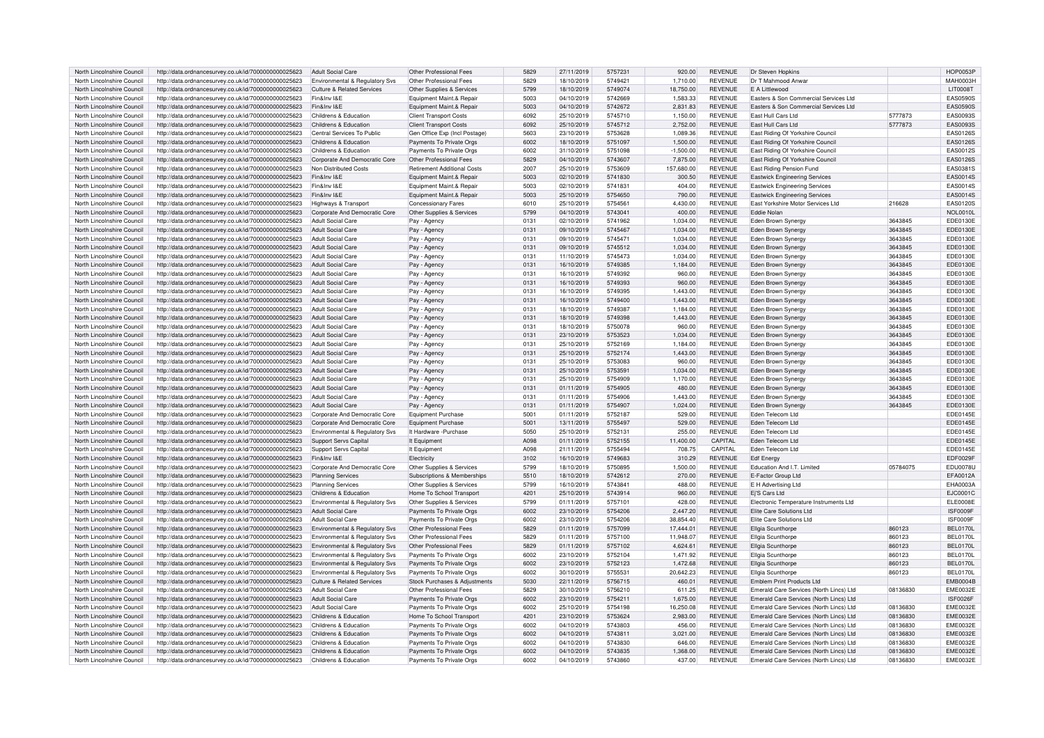| North Lincolnshire Council | http://data.ordnancesurvey.co.uk/id/7000000000025623 | Adult Social Care                         | Other Professional Fees            | 5829          | 27/11/2019 | 5757231 | 920.00      | <b>REVENUE</b> | Dr Steven Hopkins                       |          | <b>HOP0053F</b> |
|----------------------------|------------------------------------------------------|-------------------------------------------|------------------------------------|---------------|------------|---------|-------------|----------------|-----------------------------------------|----------|-----------------|
| North Lincolnshire Council | http://data.ordnancesurvey.co.uk/id/7000000000025623 | <b>Environmental &amp; Regulatory Svs</b> | Other Professional Fees            | 5829          | 18/10/2019 | 5749421 | 1,710.00    | REVENUE        | Dr T Mahmood Anwar                      |          | <b>MAH0003H</b> |
| North Lincolnshire Council | http://data.ordnancesurvey.co.uk/id/7000000000025623 |                                           |                                    | 5799          | 18/10/2019 | 5749074 | 18,750.00   | <b>REVENUE</b> | F A Littlewood                          |          | <b>LIT0008T</b> |
|                            |                                                      | <b>Culture &amp; Related Services</b>     | Other Supplies & Services          |               |            |         |             |                |                                         |          |                 |
| North Lincolnshire Council | http://data.ordnancesurvey.co.uk/id/7000000000025623 | Fin&Inv I&E                               | Equipment Maint.& Repair           | 5003          | 04/10/2019 | 5742669 | 1.583.33    | <b>REVENUE</b> | Easters & Son Commercial Services Ltd   |          | <b>EAS0590S</b> |
| North Lincolnshire Council | http://data.ordnancesurvey.co.uk/id/7000000000025623 | Fin&Inv I&E                               | Equipment Maint.& Repair           | 5003          | 04/10/2019 | 5742672 | 2.831.83    | <b>REVENUE</b> | Easters & Son Commercial Services Ltd   |          | <b>EAS0590S</b> |
| North Lincolnshire Council | http://data.ordnancesurvey.co.uk/id/7000000000025623 | Childrens & Education                     | <b>Client Transport Costs</b>      | 6092          | 25/10/2019 | 5745710 | 1,150.00    | <b>REVENUE</b> | East Hull Cars Ltd                      | 5777873  | EAS0093S        |
| North Lincolnshire Council | http://data.ordnancesurvey.co.uk/id/7000000000025623 | Childrens & Education                     | <b>Client Transport Costs</b>      | 6092          | 25/10/2019 | 5745712 | 2.752.00    | <b>REVENUE</b> | East Hull Cars Ltd                      | 5777873  | EAS0093S        |
| North Lincolnshire Council | http://data.ordnancesurvey.co.uk/id/7000000000025623 | Central Services To Public                | Gen Office Exp (Incl Postage)      | 5603          | 23/10/2019 | 5753628 | 1,089.36    | <b>REVENUE</b> | East Riding Of Yorkshire Council        |          | <b>EAS0126S</b> |
| North Lincolnshire Council | http://data.ordnancesurvey.co.uk/id/7000000000025623 | Childrens & Education                     | Payments To Private Orgs           | 6002          | 18/10/2019 | 5751097 | 1,500.00    | <b>REVENUE</b> | East Riding Of Yorkshire Council        |          | EAS0126S        |
|                            |                                                      |                                           |                                    |               |            |         |             |                |                                         |          |                 |
| North Lincolnshire Council | http://data.ordnancesurvey.co.uk/id/7000000000025623 | Childrens & Education                     | Payments To Private Orgs           | 6002          | 31/10/2019 | 5751098 | $-1.500.00$ | REVENUE        | East Riding Of Yorkshire Council        |          | EAS0012S        |
| North Lincolnshire Council | http://data.ordnancesurvey.co.uk/id/7000000000025623 | Corporate And Democratic Core             | Other Professional Fees            | 5829          | 04/10/2019 | 5743607 | 7,875.00    | <b>REVENUE</b> | East Riding Of Yorkshire Council        |          | EAS0126S        |
| North Lincolnshire Council | http://data.ordnancesurvey.co.uk/id/7000000000025623 | Non Distributed Costs                     | <b>Retirement Additional Costs</b> | 2007          | 25/10/2019 | 5753609 | 157,680.00  | REVENUE        | East Riding Pension Fund                |          | EAS0381S        |
| North Lincolnshire Council | http://data.ordnancesurvey.co.uk/id/7000000000025623 | Fin&Inv I&F                               | Equipment Maint.& Repair           | 5003          | 02/10/2019 | 5741830 | 300.50      | <b>REVENUE</b> | <b>Eastwick Engineering Services</b>    |          | EAS0014S        |
| North Lincolnshire Council | http://data.ordnancesurvey.co.uk/id/7000000000025623 | Fin&Inv I&F                               | Equipment Maint.& Repair           | 5003          | 02/10/2019 | 5741831 | 404.00      | <b>REVENUE</b> | <b>Eastwick Engineering Services</b>    |          | EAS0014S        |
| North Lincolnshire Council | http://data.ordnancesurvey.co.uk/id/7000000000025623 | Fin&Inv I&E                               | Equipment Maint.& Repair           | 5003          | 25/10/2019 | 5754650 | 790.00      | <b>REVENUE</b> | <b>Eastwick Engineering Services</b>    |          | <b>EAS0014S</b> |
| North Lincolnshire Council | http://data.ordnancesurvey.co.uk/id/7000000000025623 | Highways & Transport                      | <b>Concessionary Fares</b>         | 6010          | 25/10/2019 | 5754561 | 4,430.00    | <b>REVENUE</b> | East Yorkshire Motor Services Ltd       | 216628   | EAS0120S        |
|                            |                                                      |                                           |                                    |               |            |         |             |                |                                         |          |                 |
| North Lincolnshire Council | http://data.ordnancesurvey.co.uk/id/7000000000025623 | Corporate And Democratic Core             | Other Supplies & Services          | 5799          | 04/10/2019 | 5743041 | 400.00      | <b>REVENUE</b> | Eddie Nolan                             |          | NOL0010L        |
| North Lincolnshire Council | http://data.ordnancesurvey.co.uk/id/7000000000025623 | <b>Adult Social Care</b>                  | Pay - Agency                       | 0131          | 02/10/2019 | 5741962 | 1,034.00    | <b>REVENUE</b> | <b>Eden Brown Synergy</b>               | 3643845  | EDE0130E        |
| North Lincolnshire Council | http://data.ordnancesurvey.co.uk/id/7000000000025623 | <b>Adult Social Care</b>                  | Pay - Agency                       | 0131          | 09/10/2019 | 5745467 | 1.034.00    | <b>REVENUE</b> | Eden Brown Synergy                      | 3643845  | EDE0130E        |
| North Lincolnshire Council | http://data.ordnancesurvey.co.uk/id/7000000000025623 | Adult Social Care                         | Pay - Agency                       | 0131          | 09/10/2019 | 5745471 | 1.034.00    | <b>REVENUE</b> | Eden Brown Synergy                      | 3643845  | <b>EDE0130E</b> |
| North Lincolnshire Council | http://data.ordnancesurvey.co.uk/id/7000000000025623 | <b>Adult Social Care</b>                  | Pay - Agency                       | 0131          | 09/10/2019 | 5745512 | 1,034.00    | REVENUE        | Eden Brown Synergy                      | 3643845  | EDE0130E        |
| North Lincolnshire Council | http://data.ordnancesurvey.co.uk/id/7000000000025623 | <b>Adult Social Care</b>                  | Pay - Agency                       | 0131          | 11/10/2019 | 5745473 | 1.034.00    | REVENUE        | Eden Brown Synergy                      | 3643845  | EDE0130E        |
|                            |                                                      | Adult Social Care                         |                                    | 0131          |            | 5749385 |             | <b>REVENUE</b> |                                         | 3643845  | EDE0130E        |
| North Lincolnshire Council | http://data.ordnancesurvey.co.uk/id/7000000000025623 |                                           | Pay - Agency                       |               | 16/10/2019 |         | 1,184.00    |                | Eden Brown Synergy                      |          |                 |
| North Lincolnshire Council | http://data.ordnancesurvey.co.uk/id/7000000000025623 | <b>Adult Social Care</b>                  | Pay - Agency                       | 0131          | 16/10/2019 | 5749392 | 960.00      | REVENUE        | Eden Brown Synergy                      | 3643845  | EDE0130E        |
| North Lincolnshire Council | http://data.ordnancesurvey.co.uk/id/7000000000025623 | Adult Social Care                         | Pay - Agency                       | 0131          | 16/10/2019 | 5749393 | 960.00      | <b>REVENUE</b> | Eden Brown Synergy                      | 3643845  | <b>EDE0130E</b> |
| North Lincolnshire Council | http://data.ordnancesurvey.co.uk/id/7000000000025623 | Adult Social Care                         | Pay - Agency                       | 0131          | 16/10/2019 | 5749395 | 1,443.00    | <b>REVENUE</b> | Eden Brown Synergy                      | 3643845  | EDE0130E        |
| North Lincolnshire Council | http://data.ordnancesurvey.co.uk/id/7000000000025623 | Adult Social Care                         | Pay - Agency                       | 0131          | 16/10/2019 | 5749400 | 1.443.00    | <b>REVENUE</b> | Eden Brown Synergy                      | 3643845  | EDE0130E        |
| North Lincolnshire Council | http://data.ordnancesurvey.co.uk/id/7000000000025623 | <b>Adult Social Care</b>                  | Pay - Agency                       | 0131          | 18/10/2019 | 5749387 | 1,184.00    | <b>REVENUE</b> | Eden Brown Synergy                      | 3643845  | EDE0130E        |
| North Lincolnshire Council | http://data.ordnancesurvey.co.uk/id/7000000000025623 | <b>Adult Social Care</b>                  | Pay - Agency                       | 0131          | 18/10/2019 | 5749398 | 1,443.00    | REVENUE        | Eden Brown Synergy                      | 3643845  | <b>EDF0130E</b> |
| North Lincolnshire Council | http://data.ordnancesurvey.co.uk/id/7000000000025623 | <b>Adult Social Care</b>                  |                                    | 0131          | 18/10/2019 | 5750078 | 960.00      | <b>REVENUE</b> |                                         | 3643845  | <b>EDE0130E</b> |
|                            |                                                      |                                           | Pay - Agency                       |               |            |         |             |                | Eden Brown Synergy                      |          |                 |
| North Lincolnshire Council | http://data.ordnancesurvey.co.uk/id/7000000000025623 | <b>Adult Social Care</b>                  | Pay - Agency                       | 0131          | 23/10/2019 | 5753523 | 1,034.00    | <b>REVENUE</b> | Eden Brown Synergy                      | 3643845  | EDE0130E        |
| North Lincolnshire Council | http://data.ordnancesurvey.co.uk/id/7000000000025623 | Adult Social Care                         | Pay - Agency                       | 0131          | 25/10/2019 | 5752169 | 1,184.00    | <b>REVENUE</b> | Eden Brown Synergy                      | 3643845  | <b>EDE0130E</b> |
| North Lincolnshire Council | http://data.ordnancesurvey.co.uk/id/7000000000025623 | <b>Adult Social Care</b>                  | Pay - Agency                       | 0131          | 25/10/2019 | 5752174 | 1,443.00    | <b>REVENUE</b> | Eden Brown Synergy                      | 3643845  | <b>EDE0130E</b> |
| North Lincolnshire Council | http://data.ordnancesurvey.co.uk/id/7000000000025623 | Adult Social Care                         | Pay - Agency                       | 0131          | 25/10/2019 | 5753083 | 960.00      | <b>REVENUE</b> | Eden Brown Synergy                      | 3643845  | EDE0130E        |
| North Lincolnshire Council | http://data.ordnancesurvey.co.uk/id/7000000000025623 | Adult Social Care                         | Pay - Agency                       | 0131          | 25/10/2019 | 5753591 | 1,034.00    | <b>REVENUE</b> | Eden Brown Synergy                      | 3643845  | EDE0130E        |
| North Lincolnshire Council | http://data.ordnancesurvey.co.uk/id/7000000000025623 | Adult Social Care                         | Pay - Agency                       | 0131          | 25/10/2019 | 5754909 | 1,170.00    | <b>REVENUE</b> | Eden Brown Synergy                      | 3643845  | EDE0130E        |
| North Lincolnshire Council | http://data.ordnancesurvey.co.uk/id/7000000000025623 | Adult Social Care                         | Pay - Agency                       | 0131          | 01/11/2019 | 5754905 | 480.00      | <b>REVENUE</b> | Eden Brown Synergy                      | 3643845  | EDE0130E        |
|                            |                                                      |                                           |                                    |               |            |         |             |                |                                         |          |                 |
| North Lincolnshire Council | http://data.ordnancesurvey.co.uk/id/7000000000025623 | <b>Adult Social Care</b>                  | Pay - Agency                       | 0131          | 01/11/2019 | 5754906 | 1,443.00    | <b>REVENUE</b> | Eden Brown Synergy                      | 3643845  | <b>EDE0130E</b> |
| North Lincolnshire Council | http://data.ordnancesurvey.co.uk/id/7000000000025623 | <b>Adult Social Care</b>                  | Pay - Agency                       | 0131          | 01/11/2019 | 5754907 | 1,024.00    | <b>REVENUE</b> | Eden Brown Synergy                      | 3643845  | EDE0130E        |
| North Lincolnshire Council | http://data.ordnancesurvey.co.uk/id/7000000000025623 | Corporate And Democratic Core             | Equipment Purchase                 | $500^{\circ}$ | 01/11/2019 | 5752187 | 529.00      | <b>REVENUE</b> | Fden Telecom Ltd                        |          | EDE0145E        |
| North Lincolnshire Council | http://data.ordnancesurvey.co.uk/id/7000000000025623 | Corporate And Democratic Core             | <b>Equipment Purchase</b>          | $500^{\circ}$ | 13/11/2019 | 5755497 | 529.00      | <b>REVENUE</b> | Eden Telecom Ltd                        |          | EDE0145E        |
| North Lincolnshire Council | http://data.ordnancesurvey.co.uk/id/7000000000025623 | Environmental & Regulatory Svs            | It Hardware - Purchase             | 5050          | 25/10/2019 | 5752131 | 255.00      | <b>REVENUE</b> | <b>Eden Telecom Ltd</b>                 |          | EDE0145E        |
| North Lincolnshire Council | http://data.ordnancesurvey.co.uk/id/7000000000025623 | <b>Support Servs Capital</b>              | It Equipmen                        | A098          | 01/11/2019 | 5752155 | 11,400.00   | CAPITAL        | Eden Telecom Ltd                        |          | EDE0145E        |
| North Lincolnshire Council | http://data.ordnancesurvey.co.uk/id/7000000000025623 | Support Servs Capital                     | It Equipmen                        | A098          | 21/11/2019 | 5755494 | 708.75      | CAPITAL        | Eden Telecom Ltd                        |          | EDE0145E        |
|                            |                                                      |                                           |                                    |               |            |         |             |                |                                         |          |                 |
| North Lincolnshire Council | http://data.ordnancesurvey.co.uk/id/7000000000025623 | Fin&Inv I&E                               | Electricity                        | 3102          | 16/10/2019 | 5749683 | 310.29      | <b>REVENUE</b> | <b>Edf Energy</b>                       |          | <b>EDF0029F</b> |
| North Lincolnshire Council | http://data.ordnancesurvey.co.uk/id/7000000000025623 | Corporate And Democratic Core             | Other Supplies & Services          | 5799          | 18/10/2019 | 5750895 | 1.500.00    | <b>REVENUE</b> | Education And I.T. Limited              | 05784075 | EDU0078U        |
| North Lincolnshire Council | http://data.ordnancesurvey.co.uk/id/7000000000025623 | <b>Planning Services</b>                  | Subscriptions & Memberships        | 5510          | 18/10/2019 | 5742612 | 270.00      | <b>REVENUE</b> | E-Factor Group Ltd                      |          | EFA0012A        |
| North Lincolnshire Council | http://data.ordnancesurvey.co.uk/id/7000000000025623 | <b>Planning Services</b>                  | Other Supplies & Services          | 5799          | 16/10/2019 | 5743841 | 488.00      | <b>REVENUE</b> | E H Advertising Ltd                     |          | EHA0003A        |
| North Lincolnshire Council | http://data.ordnancesurvey.co.uk/id/7000000000025623 | Childrens & Education                     | Home To School Transport           | 4201          | 25/10/2019 | 5743914 | 960.00      | <b>REVENUE</b> | Ei'S Cars Ltd                           |          | EJC0001C        |
| North Lincolnshire Council | http://data.ordnancesurvey.co.uk/id/7000000000025623 | Environmental & Regulatory Svs            | Other Supplies & Services          | 5799          | 01/11/2019 | 5757101 | 428.00      | <b>REVENUE</b> | Electronic Temperature Instruments Ltd  |          | <b>ELE0008E</b> |
| North Lincolnshire Council | http://data.ordnancesurvey.co.uk/id/7000000000025623 | <b>Adult Social Care</b>                  | Payments To Private Orgs           | 6002          | 23/10/2019 | 5754206 | 2,447.20    | REVENUE        | Elite Care Solutions Ltd                |          | <b>ISF0009F</b> |
|                            |                                                      |                                           |                                    |               |            |         |             |                |                                         |          |                 |
| North Lincolnshire Council | http://data.ordnancesurvey.co.uk/id/7000000000025623 | Adult Social Care                         | Payments To Private Orgs           | 6002          | 23/10/2019 | 5754206 | 38.854.40   | <b>REVENUE</b> | <b>Elite Care Solutions Ltd</b>         |          | <b>ISF0009F</b> |
| North Lincolnshire Council | http://data.ordnancesurvey.co.uk/id/7000000000025623 | Environmental & Regulatory Svs            | Other Professional Fees            | 5829          | 01/11/2019 | 5757099 | 17,444.01   | <b>REVENUE</b> | <b>Ellgia Scunthorpe</b>                | 860123   | <b>BEL0170L</b> |
| North Lincolnshire Council | http://data.ordnancesurvey.co.uk/id/7000000000025623 | Environmental & Regulatory Svs            | Other Professional Fees            | 5829          | 01/11/2019 | 5757100 | 11,948.07   | <b>REVENUE</b> | Ellgia Scunthorpe                       | 860123   | <b>BEL0170L</b> |
| North Lincolnshire Council | http://data.ordnancesurvey.co.uk/id/7000000000025623 | Environmental & Regulatory Svs            | Other Professional Fees            | 5829          | 01/11/2019 | 5757102 | 4,624.61    | <b>REVENUE</b> | Ellgia Scunthorpe                       | 860123   | <b>BEL0170L</b> |
| North Lincolnshire Council | http://data.ordnancesurvey.co.uk/id/7000000000025623 | Environmental & Regulatory Svs            | Payments To Private Orgs           | 6002          | 23/10/2019 | 5752104 | 1.471.92    | REVENUE        | Ellgia Scunthorpe                       | 860123   | <b>BEL0170L</b> |
| North Lincolnshire Council | http://data.ordnancesurvey.co.uk/id/7000000000025623 | <b>Environmental &amp; Regulatory Svs</b> | Payments To Private Orgs           | 6002          | 23/10/2019 | 5752123 | 1,472.68    | <b>REVENUE</b> | <b>Ellgia Scunthorpe</b>                | 860123   | <b>BEL0170L</b> |
| North Lincolnshire Council | http://data.ordnancesurvey.co.uk/id/7000000000025623 | Environmental & Regulatory Svs            | Payments To Private Orgs           | 6002          | 30/10/2019 | 5755531 | 20,642.23   | <b>REVENUE</b> | Ellgia Scunthorpe                       | 860123   | <b>BEL0170L</b> |
| North Lincolnshire Council |                                                      | Culture & Related Services                | Stock Purchases & Adjustments      | 5030          | 22/11/2019 | 5756715 | 460.01      | <b>REVENUE</b> | <b>Emblem Print Products Ltd</b>        |          | <b>EMB0004B</b> |
|                            | http://data.ordnancesurvey.co.uk/id/7000000000025623 |                                           |                                    |               |            |         |             |                |                                         |          |                 |
| North Lincolnshire Council | http://data.ordnancesurvey.co.uk/id/7000000000025623 | Adult Social Care                         | Other Professional Fees            | 5829          | 30/10/2019 | 5756210 | 611.25      | <b>REVENUE</b> | Emerald Care Services (North Lincs) Ltd | 08136830 | <b>EME0032E</b> |
| North Lincolnshire Council | http://data.ordnancesurvey.co.uk/id/7000000000025623 | <b>Adult Social Care</b>                  | Payments To Private Orgs           | 6002          | 23/10/2019 | 5754211 | 1,675.00    | <b>REVENUE</b> | Emerald Care Services (North Lincs) Ltd |          | <b>ISF0026F</b> |
| North Lincolnshire Council | http://data.ordnancesurvey.co.uk/id/7000000000025623 | Adult Social Care                         | Payments To Private Orgs           | 6002          | 25/10/2019 | 5754198 | 16,250.08   | <b>REVENUE</b> | Emerald Care Services (North Lincs) Ltd | 08136830 | <b>EME0032E</b> |
| North Lincolnshire Council | http://data.ordnancesurvey.co.uk/id/7000000000025623 | Childrens & Education                     | Home To School Transport           | 4201          | 23/10/2019 | 5753624 | 2,983.00    | <b>REVENUE</b> | Emerald Care Services (North Lincs) Ltd | 08136830 | <b>EME0032E</b> |
| North Lincolnshire Council | http://data.ordnancesurvey.co.uk/id/7000000000025623 | Childrens & Education                     | Payments To Private Orgs           | 6002          | 04/10/2019 | 5743803 | 456.00      | <b>REVENUE</b> | Emerald Care Services (North Lincs) Ltd | 08136830 | <b>EME0032E</b> |
| North Lincolnshire Council | http://data.ordnancesurvey.co.uk/id/7000000000025623 | Childrens & Education                     | Payments To Private Orgs           | 6002          | 04/10/2019 | 5743811 | 3.021.00    | <b>REVENUE</b> | Emerald Care Services (North Lincs) Ltd | 08136830 | <b>EME0032E</b> |
| North Lincolnshire Council | http://data.ordnancesurvey.co.uk/id/7000000000025623 | Childrens & Education                     | Payments To Private Orgs           | 6002          | 04/10/2019 | 5743830 | 646.00      | <b>REVENUE</b> | Emerald Care Services (North Lincs) Ltd | 08136830 | <b>EME0032E</b> |
|                            |                                                      |                                           |                                    |               |            |         |             |                |                                         |          |                 |
| North Lincolnshire Council | http://data.ordnancesurvey.co.uk/id/7000000000025623 | Childrens & Education                     | Payments To Private Orgs           | 6002          | 04/10/2019 | 5743835 | 1.368.00    | <b>REVENUE</b> | Emerald Care Services (North Lincs) Ltd | 08136830 | <b>EME0032E</b> |
| North Lincolnshire Council | http://data.ordnancesurvey.co.uk/id/7000000000025623 | Childrens & Education                     | Payments To Private Oras           | 6002          | 04/10/2019 | 5743860 | 437.00      | <b>REVENUE</b> | Emerald Care Services (North Lincs) Ltd | 08136830 | <b>EME0032E</b> |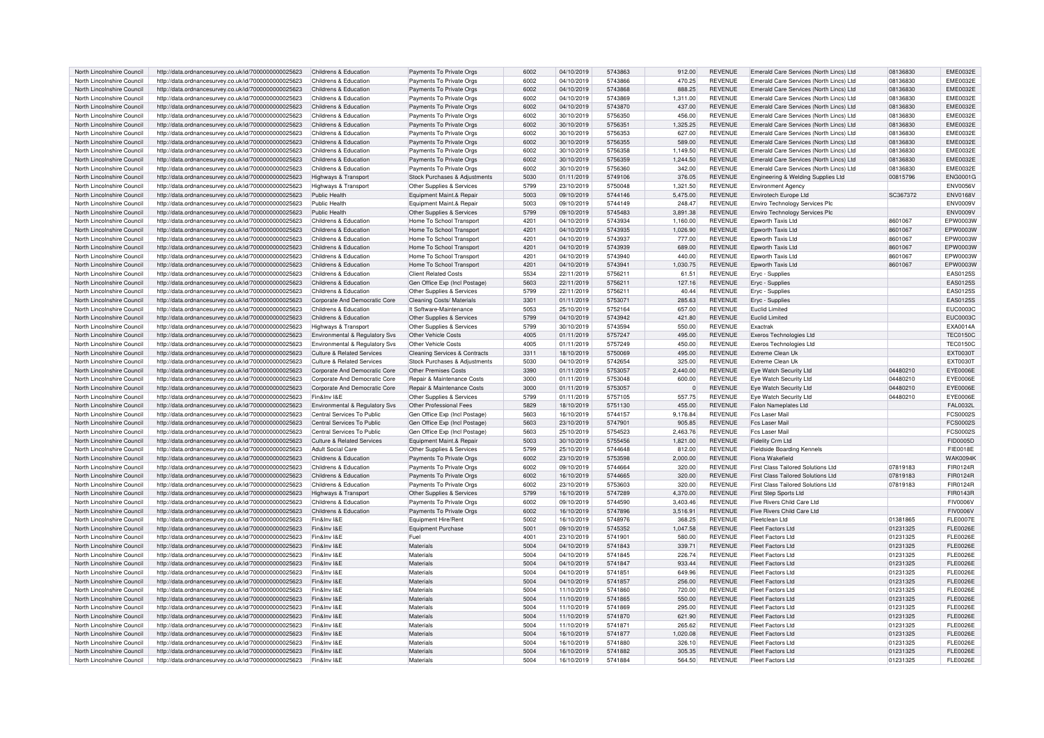| North Lincolnshire Council                               | http://data.ordnancesurvey.co.uk/id/7000000000025623                                                         | Childrens & Education                 | Payments To Private Orgs                 | 6002         | 04/10/2019               | 5743863            | 912.00           | <b>REVENUE</b>                   | Emerald Care Services (North Lincs) Ltd | 08136830             | <b>EME0032E</b>                    |
|----------------------------------------------------------|--------------------------------------------------------------------------------------------------------------|---------------------------------------|------------------------------------------|--------------|--------------------------|--------------------|------------------|----------------------------------|-----------------------------------------|----------------------|------------------------------------|
| North Lincolnshire Council                               | http://data.ordnancesurvey.co.uk/id/7000000000025623                                                         | Childrens & Education                 | Payments To Private Orgs                 | 6002         | 04/10/2019               | 5743866            | 470.25           | REVENUE                          | Emerald Care Services (North Lincs) Ltd | 08136830             | <b>EME0032E</b>                    |
|                                                          |                                                                                                              |                                       |                                          |              |                          |                    |                  | <b>REVENUE</b>                   |                                         |                      | <b>EME0032E</b>                    |
| North Lincolnshire Council                               | http://data.ordnancesurvey.co.uk/id/7000000000025623                                                         | Childrens & Education                 | Payments To Private Orgs                 | 6002         | 04/10/2019               | 5743868            | 888.25           |                                  | Emerald Care Services (North Lincs) Ltd | 08136830             |                                    |
| North Lincolnshire Council                               | http://data.ordnancesurvey.co.uk/id/7000000000025623                                                         | Childrens & Education                 | Payments To Private Orgs                 | 6002         | 04/10/2019               | 5743869            | 1,311.00         | <b>REVENUE</b>                   | Emerald Care Services (North Lincs) Ltd | 08136830             | <b>EME0032E</b>                    |
| North Lincolnshire Council                               | http://data.ordnancesurvey.co.uk/id/7000000000025623                                                         | Childrens & Education                 | Payments To Private Orgs                 | 6002         | 04/10/2019               | 5743870            | 437.00           | <b>REVENUE</b>                   | Emerald Care Services (North Lincs) Ltd | 08136830             | <b>EME0032E</b>                    |
| North Lincolnshire Council                               | http://data.ordnancesurvey.co.uk/id/7000000000025623                                                         | Childrens & Education                 | Payments To Private Orgs                 | 6002         | 30/10/2019               | 5756350            | 456.00           | <b>REVENUE</b>                   | Emerald Care Services (North Lincs) Ltd | 08136830             | <b>EME0032E</b>                    |
| North Lincolnshire Council                               | http://data.ordnancesurvey.co.uk/id/7000000000025623                                                         | Childrens & Education                 | Payments To Private Orgs                 | 6002         | 30/10/2019               | 5756351            | 1,325.25         | <b>REVENUE</b>                   | Emerald Care Services (North Lincs) Ltd | 08136830             | <b>EME0032E</b>                    |
| North Lincolnshire Council                               | http://data.ordnancesurvey.co.uk/id/7000000000025623                                                         | Childrens & Education                 | Payments To Private Orgs                 | 6002         | 30/10/2019               | 5756353            | 627.00           | <b>REVENUE</b>                   | Emerald Care Services (North Lincs) Ltd | 08136830             | <b>EME0032E</b>                    |
| North Lincolnshire Council                               | http://data.ordnancesurvey.co.uk/id/7000000000025623                                                         | Childrens & Education                 | Payments To Private Orgs                 | 6002         | 30/10/2019               | 5756355            | 589.00           | <b>REVENUE</b>                   | Emerald Care Services (North Lincs) Ltd | 08136830             | <b>EME0032E</b>                    |
|                                                          |                                                                                                              |                                       |                                          |              |                          |                    |                  |                                  |                                         |                      |                                    |
| North Lincolnshire Council                               | http://data.ordnancesurvey.co.uk/id/7000000000025623                                                         | Childrens & Education                 | Payments To Private Orgs                 | 6002         | 30/10/2019               | 5756358            | 1.149.50         | <b>REVENUE</b>                   | Emerald Care Services (North Lincs) Ltd | 08136830             | <b>EME0032E</b>                    |
| North Lincolnshire Counci                                | http://data.ordnancesurvey.co.uk/id/7000000000025623                                                         | Childrens & Education                 | Payments To Private Orgs                 | 6002         | 30/10/2019               | 5756359            | 1,244.50         | <b>REVENUE</b>                   | Emerald Care Services (North Lincs) Ltd | 08136830             | <b>EME0032E</b>                    |
| North Lincolnshire Council                               | http://data.ordnancesurvey.co.uk/id/7000000000025623                                                         | Childrens & Education                 | Payments To Private Orgs                 | 6002         | 30/10/2019               | 5756360            | 342.00           | REVENUE                          | Emerald Care Services (North Lincs) Ltd | 08136830             | <b>EME0032E</b>                    |
| North Lincolnshire Council                               | http://data.ordnancesurvey.co.uk/id/7000000000025623                                                         | Highways & Transport                  | Stock Purchases & Adjustments            | 5030         | 01/11/2019               | 5749106            | 376.05           | <b>REVENUE</b>                   | Engineering & Welding Supplies Ltd      | 00815796             | <b>ENG0001G</b>                    |
| North Lincolnshire Council                               | http://data.ordnancesurvey.co.uk/id/7000000000025623                                                         | Highways & Transport                  | Other Supplies & Services                | 5799         | 23/10/2019               | 5750048            | 1,321.50         | <b>REVENUE</b>                   | Environment Agency                      |                      | <b>ENV0056V</b>                    |
| North Lincolnshire Council                               | http://data.ordnancesurvey.co.uk/id/7000000000025623                                                         | Public Health                         | Equipment Maint.& Repair                 | 5003         | 09/10/2019               | 5744146            | 5,475.00         | <b>REVENUE</b>                   | Envirotech Europe Ltd                   | SC367372             | <b>ENV0168V</b>                    |
| North Lincolnshire Council                               | http://data.ordnancesurvey.co.uk/id/7000000000025623                                                         | Public Health                         | Equipment Maint.& Repair                 | 5003         | 09/10/2019               | 5744149            | 248.47           | <b>REVENUE</b>                   | Enviro Technology Services Plc          |                      | <b>ENV0009V</b>                    |
|                                                          |                                                                                                              |                                       |                                          |              |                          |                    |                  |                                  |                                         |                      |                                    |
| North Lincolnshire Council                               | http://data.ordnancesurvey.co.uk/id/7000000000025623                                                         | Public Health                         | Other Supplies & Services                | 5799         | 09/10/2019               | 5745483            | 3,891.38         | <b>REVENUE</b>                   | <b>Enviro Technology Services Plc</b>   |                      | <b>ENV0009V</b>                    |
| North Lincolnshire Council                               | http://data.ordnancesurvey.co.uk/id/7000000000025623                                                         | Childrens & Education                 | Home To School Transport                 | 4201         | 04/10/2019               | 5743934            | 1,160.00         | <b>REVENUE</b>                   | Epworth Taxis Ltd                       | 8601067              | EPW0003W                           |
| North Lincolnshire Council                               | http://data.ordnancesurvey.co.uk/id/7000000000025623                                                         | Childrens & Education                 | Home To School Transport                 | 4201         | 04/10/2019               | 5743935            | 1,026.90         | <b>REVENUE</b>                   | Epworth Taxis Ltd                       | 8601067              | EPW0003W                           |
| North Lincolnshire Council                               | http://data.ordnancesurvey.co.uk/id/7000000000025623                                                         | Childrens & Education                 | Home To School Transport                 | 4201         | 04/10/2019               | 5743937            | 777.00           | <b>REVENUE</b>                   | Epworth Taxis Ltd                       | 8601067              | EPW0003W                           |
| North Lincolnshire Counci                                | http://data.ordnancesurvey.co.uk/id/7000000000025623                                                         | Childrens & Education                 | Home To School Transport                 | 4201         | 04/10/2019               | 5743939            | 689.00           | <b>REVENUE</b>                   | Epworth Taxis Ltd                       | 8601067              | EPW0003W                           |
| North Lincolnshire Counci                                | http://data.ordnancesurvey.co.uk/id/7000000000025623                                                         | Childrens & Education                 | Home To School Transport                 | 4201         | 04/10/2019               | 5743940            | 440.00           | <b>REVENUE</b>                   | Epworth Taxis Ltd                       | 8601067              | EPW0003W                           |
| North Lincolnshire Council                               | http://data.ordnancesurvey.co.uk/id/7000000000025623                                                         | Childrens & Education                 | Home To School Transport                 | 4201         | 04/10/2019               | 5743941            | 1,030.75         | <b>REVENUE</b>                   | Epworth Taxis Ltd                       | 8601067              | EPW0003W                           |
| North Lincolnshire Council                               | http://data.ordnancesurvey.co.uk/id/7000000000025623                                                         | Childrens & Education                 | <b>Client Related Costs</b>              | 5534         | 22/11/2019               | 5756211            | 61.51            | <b>REVENUE</b>                   | Eryc - Supplies                         |                      | EAS0125S                           |
| North Lincolnshire Council                               | http://data.ordnancesurvey.co.uk/id/7000000000025623                                                         | Childrens & Education                 | Gen Office Exp (Incl Postage)            | 5603         | 22/11/2019               | 5756211            | 127.16           | <b>REVENUE</b>                   | Eryc - Supplies                         |                      | EAS0125S                           |
|                                                          |                                                                                                              |                                       |                                          |              |                          |                    |                  |                                  |                                         |                      |                                    |
| North Lincolnshire Council                               | http://data.ordnancesurvey.co.uk/id/7000000000025623                                                         | Childrens & Education                 | Other Supplies & Services                | 5799         | 22/11/2019               | 575621             | 40.44            | <b>REVENUE</b>                   | Eryc - Supplies                         |                      | EAS0125S                           |
| North Lincolnshire Council                               | http://data.ordnancesurvey.co.uk/id/7000000000025623                                                         | Corporate And Democratic Core         | Cleaning Costs/ Materials                | 3301         | 01/11/2019               | 5753071            | 285.63           | <b>REVENUE</b>                   | Eryc - Supplies                         |                      | EAS0125S                           |
| North Lincolnshire Council                               | http://data.ordnancesurvey.co.uk/id/7000000000025623                                                         | Childrens & Education                 | It Software-Maintenance                  | 5053         | 25/10/2019               | 5752164            | 657.00           | REVENUE                          | Euclid Limited                          |                      | <b>EUC0003C</b>                    |
| North Lincolnshire Council                               | http://data.ordnancesurvey.co.uk/id/7000000000025623                                                         | Childrens & Education                 | Other Supplies & Services                | 5799         | 04/10/2019               | 5743942            | 421.80           | <b>REVENUE</b>                   | Euclid Limited                          |                      | EUC0003C                           |
| North Lincolnshire Council                               | http://data.ordnancesurvey.co.uk/id/7000000000025623                                                         | <b>Highways &amp; Transport</b>       | Other Supplies & Services                | 5799         | 30/10/2019               | 5743594            | 550.00           | <b>REVENUE</b>                   | Exactrak                                |                      | EXA0014A                           |
| North Lincolnshire Council                               | http://data.ordnancesurvey.co.uk/id/7000000000025623                                                         | Environmental & Regulatory Svs        | Other Vehicle Costs                      | 4005         | 01/11/2019               | 5757247            | 495.00           | <b>REVENUE</b>                   | Exeros Technologies Ltd                 |                      | <b>TEC0150C</b>                    |
| North Lincolnshire Counci                                | http://data.ordnancesurvey.co.uk/id/7000000000025623                                                         | Environmental & Regulatory Svs        | Other Vehicle Costs                      | 4005         | 01/11/2019               | 5757249            | 450.00           | <b>REVENUE</b>                   | Exeros Technologies Ltd                 |                      | <b>TEC0150C</b>                    |
| North Lincolnshire Council                               |                                                                                                              | Culture & Related Services            |                                          |              |                          | 5750069            | 495.00           | <b>REVENUE</b>                   | Extreme Clean Uk                        |                      | EXT0030T                           |
|                                                          | http://data.ordnancesurvey.co.uk/id/7000000000025623                                                         |                                       | <b>Cleaning Services &amp; Contracts</b> | 3311         | 18/10/2019               |                    |                  |                                  |                                         |                      |                                    |
| North Lincolnshire Council                               | http://data.ordnancesurvey.co.uk/id/7000000000025623                                                         | <b>Culture &amp; Related Services</b> | Stock Purchases & Adjustments            | 5030         | 04/10/2019               | 5742654            | 325.00           | <b>REVENUE</b>                   | Extreme Clean Uk                        |                      | EXT00301                           |
| North Lincolnshire Council                               | http://data.ordnancesurvey.co.uk/id/7000000000025623                                                         | Corporate And Democratic Core         | Other Premises Costs                     | 3390         | 01/11/2019               | 5753057            | 2,440.00         | <b>REVENUE</b>                   | Eye Watch Security Ltd                  | 04480210             | EYE0006E                           |
| North Lincolnshire Council                               | http://data.ordnancesurvey.co.uk/id/7000000000025623                                                         | Corporate And Democratic Core         | Repair & Maintenance Costs               | 3000         | 01/11/2019               | 5753048            | 600.00           | <b>REVENUE</b>                   | Eye Watch Security Ltd                  | 04480210             | EYE0006E                           |
| North Lincolnshire Council                               | http://data.ordnancesurvey.co.uk/id/7000000000025623                                                         | Corporate And Democratic Core         | Repair & Maintenance Costs               | 3000         | 01/11/2019               | 5753057            |                  | <b>REVENUE</b>                   | Eye Watch Security Ltd                  | 04480210             | EYE0006E                           |
| North Lincolnshire Council                               | http://data.ordnancesurvey.co.uk/id/7000000000025623                                                         | Fin&Inv I&E                           | Other Supplies & Services                | 5799         | 01/11/2019               | 5757105            | 557.75           | <b>REVENUE</b>                   | Eye Watch Security Ltd                  | 04480210             | EYE0006E                           |
| North Lincolnshire Council                               | http://data.ordnancesurvey.co.uk/id/7000000000025623                                                         | Environmental & Regulatory Svs        | Other Professional Fees                  | 5829         | 18/10/2019               | 5751130            | 455.00           | <b>REVENUE</b>                   | Falon Nameplates Ltd                    |                      | <b>FAL0032L</b>                    |
| North Lincolnshire Council                               | http://data.ordnancesurvey.co.uk/id/7000000000025623                                                         | Central Services To Public            | Gen Office Exp (Incl Postage)            | 5603         | 16/10/2019               | 5744157            | 9,176.84         | <b>REVENUE</b>                   | Fcs Laser Mail                          |                      | <b>FCS0002S</b>                    |
| North Lincolnshire Council                               |                                                                                                              | Central Services To Public            | Gen Office Exp (Incl Postage)            | 5603         | 23/10/2019               | 5747901            | 905.85           | <b>REVENUE</b>                   | <b>Fcs Laser Mail</b>                   |                      | FCS0002S                           |
|                                                          | http://data.ordnancesurvey.co.uk/id/7000000000025623                                                         |                                       |                                          |              |                          |                    |                  |                                  |                                         |                      |                                    |
| North Lincolnshire Counci                                | http://data.ordnancesurvey.co.uk/id/7000000000025623                                                         | Central Services To Public            | Gen Office Exp (Incl Postage)            | 5603         | 25/10/2019               | 5754523            | 2,463.76         | <b>REVENUE</b>                   | <b>Fcs Laser Mai</b>                    |                      | FCS0002S                           |
| North Lincolnshire Council                               | http://data.ordnancesurvey.co.uk/id/7000000000025623                                                         | Culture & Related Services            | Equipment Maint.& Repair                 | 5003         | 30/10/2019               | 5755456            | 1.821.00         | <b>REVENUE</b>                   | Fidelity Crm Ltd                        |                      | FID0005D                           |
| North Lincolnshire Council                               | http://data.ordnancesurvey.co.uk/id/7000000000025623                                                         | Adult Social Care                     | Other Supplies & Services                | 5799         | 25/10/2019               | 5744648            | 812.00           | <b>REVENUE</b>                   | <b>Fieldside Boarding Kennels</b>       |                      | <b>FIE0018E</b>                    |
| North Lincolnshire Council                               | http://data.ordnancesurvey.co.uk/id/7000000000025623                                                         | Childrens & Education                 | Payments To Private Orgs                 | 6002         | 23/10/2019               | 5753598            | 2,000.00         | <b>REVENUE</b>                   | Fiona Wakefield                         |                      | <b>WAK0094F</b>                    |
| North Lincolnshire Council                               | http://data.ordnancesurvey.co.uk/id/7000000000025623                                                         | Childrens & Education                 | Payments To Private Orgs                 | 6002         | 09/10/2019               | 5744664            | 320.00           | <b>REVENUE</b>                   | First Class Tailored Solutions Ltd      | 07819183             | FIR0124R                           |
| North Lincolnshire Council                               | http://data.ordnancesurvey.co.uk/id/7000000000025623                                                         | Childrens & Education                 | Payments To Private Orgs                 | 6002         | 16/10/2019               | 5744665            | 320.00           | <b>REVENUE</b>                   | First Class Tailored Solutions Ltd      | 07819183             | FIR0124R                           |
| North Lincolnshire Council                               | http://data.ordnancesurvey.co.uk/id/7000000000025623                                                         | Childrens & Education                 | Payments To Private Orgs                 | 6002         | 23/10/2019               | 5753603            | 320.00           | <b>REVENUE</b>                   | First Class Tailored Solutions Ltd      | 07819183             | FIR0124R                           |
| North Lincolnshire Council                               | http://data.ordnancesurvey.co.uk/id/7000000000025623                                                         | Highways & Transport                  | Other Supplies & Services                | 5799         | 16/10/2019               | 5747289            | 4,370.00         | <b>REVENUE</b>                   | <b>First Step Sports Ltd</b>            |                      | FIR0143R                           |
| North Lincolnshire Council                               | http://data.ordnancesurvey.co.uk/id/7000000000025623                                                         | Childrens & Education                 | Payments To Private Orgs                 | 6002         | 09/10/2019               | 5744590            | 3,403.46         | <b>REVENUE</b>                   | Five Rivers Child Care Ltd              |                      | <b>FIV0006V</b>                    |
|                                                          |                                                                                                              |                                       |                                          |              |                          |                    |                  |                                  |                                         |                      |                                    |
| North Lincolnshire Council                               | http://data.ordnancesurvey.co.uk/id/7000000000025623                                                         | Childrens & Education                 | Payments To Private Orgs                 | 6002         | 16/10/2019               | 5747896            | 3,516.91         | <b>REVENUE</b>                   | Five Rivers Child Care Ltd              |                      | <b>FIV0006V</b>                    |
| North Lincolnshire Council                               | http://data.ordnancesurvey.co.uk/id/7000000000025623                                                         | Fin&Inv I&F                           | Equipment Hire/Rent                      | 5002         | 16/10/2019               | 5748976            | 368.25           | <b>REVENUE</b>                   | Fleetclean Ltd                          | 01381865             | <b>FLE0007E</b>                    |
| North Lincolnshire Council                               | http://data.ordnancesurvey.co.uk/id/7000000000025623                                                         | Fin&Inv I&E                           | Equipment Purchase                       | 5001         | 09/10/2019               | 5745352            | 1.047.58         | <b>REVENUE</b>                   | <b>Fleet Factors Ltd</b>                | 01231325             | <b>FLE0026E</b>                    |
| North Lincolnshire Council                               | http://data.ordnancesurvey.co.uk/id/7000000000025623                                                         | Fin&Inv I&E                           | Fuel                                     | 4001         | 23/10/2019               | 5741901            | 580.00           | <b>REVENUE</b>                   | <b>Fleet Factors Ltd</b>                | 01231325             | <b>FLE0026E</b>                    |
| North Lincolnshire Council                               | http://data.ordnancesurvey.co.uk/id/7000000000025623                                                         | Fin&Inv I&F                           | Materials                                | 5004         | 04/10/2019               | 5741843            | 339.71           | <b>REVENUE</b>                   | Fleet Factors Ltd                       | 01231325             | <b>FLE0026E</b>                    |
| North Lincolnshire Council                               | http://data.ordnancesurvey.co.uk/id/7000000000025623                                                         | Fin&Inv I&F                           | Materials                                | 5004         | 04/10/2019               | 5741845            | 226.74           | <b>REVENUE</b>                   | Fleet Factors Ltd                       | 01231325             | <b>FLE0026E</b>                    |
| North Lincolnshire Council                               | http://data.ordnancesurvey.co.uk/id/7000000000025623                                                         | Fin&Inv I&E                           | Materials                                | 5004         | 04/10/2019               | 5741847            | 933.44           | <b>REVENUE</b>                   | <b>Fleet Factors Ltd</b>                | 01231325             | <b>FLE0026E</b>                    |
| North Lincolnshire Council                               | http://data.ordnancesurvey.co.uk/id/7000000000025623                                                         | Fin&Inv I&E                           | Materials                                | 5004         | 04/10/2019               | 574185             | 649.96           | <b>REVENUE</b>                   | Fleet Factors Ltd                       | 01231325             | <b>FLE0026E</b>                    |
|                                                          |                                                                                                              |                                       |                                          |              |                          |                    |                  |                                  |                                         |                      |                                    |
| North Lincolnshire Council                               | http://data.ordnancesurvey.co.uk/id/7000000000025623                                                         | Fin&Inv I&E                           | Materials                                | 5004         | 04/10/2019               | 5741857            | 256.00           | <b>REVENUE</b>                   | <b>Fleet Factors Ltd</b>                | 01231325             | <b>FLE0026E</b>                    |
| North Lincolnshire Council                               | http://data.ordnancesurvey.co.uk/id/7000000000025623                                                         | Fin&Inv I&E                           | Materials                                | 5004         | 11/10/2019               | 5741860            | 720.00           | <b>REVENUE</b>                   | Fleet Factors Ltd                       | 01231325             | <b>FLE0026E</b>                    |
| North Lincolnshire Council                               | http://data.ordnancesurvey.co.uk/id/7000000000025623                                                         | Fin&Inv I&E                           | Materials                                | 5004         | 11/10/2019               | 5741865            | 550.00           | <b>REVENUE</b>                   | Fleet Factors Ltd                       | 01231325             | <b>FLE0026E</b>                    |
| North Lincolnshire Council                               | http://data.ordnancesurvey.co.uk/id/7000000000025623                                                         | Fin&Inv I&F                           | Materials                                | 5004         | 11/10/2019               | 5741869            | 295.00           | <b>REVENUE</b>                   | Fleet Factors Ltd                       | 01231325             | <b>FLE0026E</b>                    |
| North Lincolnshire Council                               | http://data.ordnancesurvey.co.uk/id/7000000000025623                                                         | Fin&Inv I&E                           | Materials                                | 5004         | 11/10/2019               | 5741870            | 621.90           | <b>REVENUE</b>                   | <b>Fleet Factors Ltd</b>                | 01231325             | <b>FLE0026E</b>                    |
| North Lincolnshire Council                               | http://data.ordnancesurvey.co.uk/id/7000000000025623                                                         | Fin&Inv I&E                           | Materials                                | 5004         | 11/10/2019               | 5741871            | 265.62           | <b>REVENUE</b>                   | <b>Fleet Factors Ltd</b>                | 01231325             | FLE0026E                           |
| North Lincolnshire Council                               | http://data.ordnancesurvey.co.uk/id/7000000000025623                                                         | Fin&Inv I&F                           | Materials                                | 5004         | 16/10/2019               | 5741877            | 1,020.08         | <b>REVENUE</b>                   | Fleet Factors Ltd                       | 01231325             | FL F0026F                          |
| North Lincolnshire Council                               |                                                                                                              |                                       |                                          |              |                          | 5741880            | 326.10           | <b>REVENUE</b>                   | <b>Fleet Factors Ltd</b>                | 01231325             | <b>FLE0026E</b>                    |
|                                                          |                                                                                                              | Fin&Inv I&F                           | Materials                                |              |                          |                    |                  |                                  |                                         |                      |                                    |
|                                                          | http://data.ordnancesurvey.co.uk/id/7000000000025623                                                         |                                       |                                          | 5004         | 16/10/2019               |                    |                  |                                  |                                         |                      |                                    |
| North Lincolnshire Council<br>North Lincolnshire Council | http://data.ordnancesurvey.co.uk/id/7000000000025623<br>http://data.ordnancesurvey.co.uk/id/7000000000025623 | Fin&Inv I&E<br>Fin&Inv I&E            | Materials<br>Materials                   | 5004<br>5004 | 16/10/2019<br>16/10/2019 | 5741882<br>5741884 | 305.35<br>564.50 | <b>REVENUE</b><br><b>REVENUE</b> | Fleet Factors Ltd<br>Fleet Factors Ltd  | 01231325<br>01231325 | <b>FLE0026E</b><br><b>FLE0026E</b> |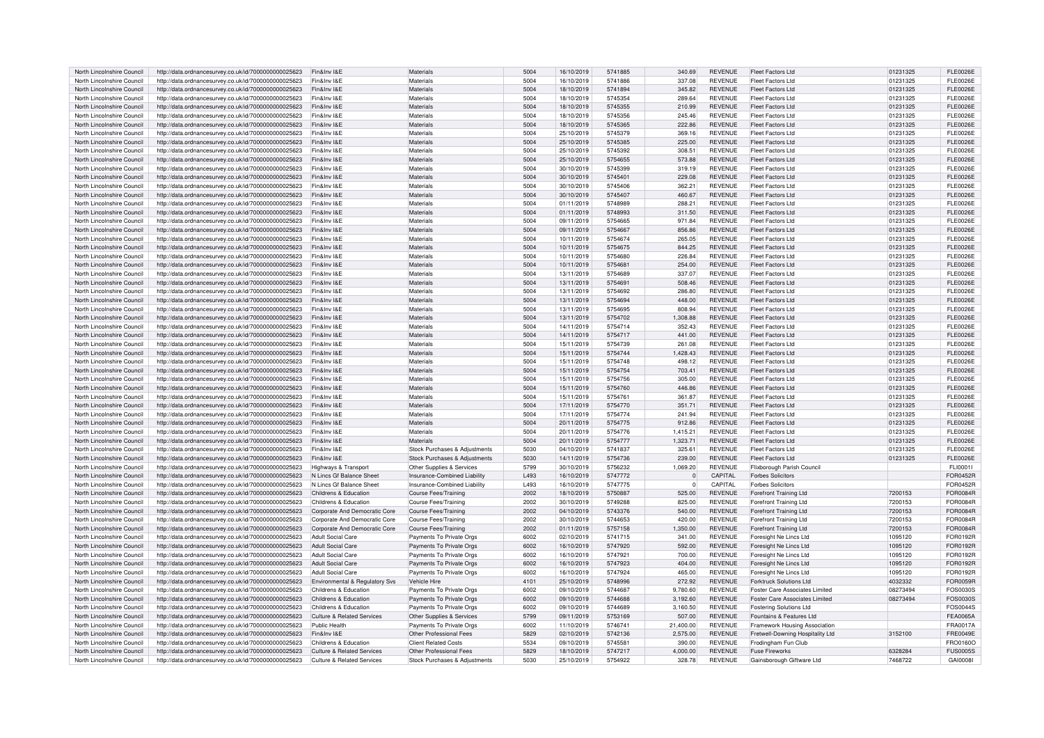| North Lincolnshire Council | http://data.ordnancesurvey.co.uk/id/7000000000025623 | Fin&Inv I&F                           | Materials                     | 5004 | 16/10/2019 | 5741885 | 340.69    | <b>REVENUE</b> | Fleet Factors Ltd                | 01231325 | FL F0026F       |
|----------------------------|------------------------------------------------------|---------------------------------------|-------------------------------|------|------------|---------|-----------|----------------|----------------------------------|----------|-----------------|
| North Lincolnshire Council | http://data.ordnancesurvey.co.uk/id/7000000000025623 | Fin&Inv I&F                           | Materials                     | 5004 | 16/10/2019 | 5741886 | 337.08    | <b>REVENUE</b> | Fleet Factors Ltd                | 01231325 | <b>FLE0026E</b> |
| North Lincolnshire Council | http://data.ordnancesurvey.co.uk/id/7000000000025623 | Fin&Inv I&F                           | Materials                     | 5004 | 18/10/2019 | 5741894 | 345.82    | <b>REVENUE</b> | <b>Fleet Factors Ltd</b>         | 01231325 | <b>FLE0026E</b> |
| North Lincolnshire Counci  | http://data.ordnancesurvey.co.uk/id/7000000000025623 | Fin&Inv I&E                           | Materials                     | 5004 | 18/10/2019 | 5745354 | 289.64    | <b>REVENUE</b> | Fleet Factors Ltd                | 01231325 | <b>FLE0026E</b> |
| North Lincolnshire Council | http://data.ordnancesurvey.co.uk/id/7000000000025623 | Fin&Inv I&E                           | Materials                     | 5004 | 18/10/2019 | 5745355 | 210.99    | <b>REVENUE</b> | Fleet Factors Ltd                | 01231325 | <b>FLE0026E</b> |
| North Lincolnshire Council | http://data.ordnancesurvey.co.uk/id/7000000000025623 | Fin&Inv I&E                           | Materials                     | 5004 | 18/10/2019 | 5745356 | 245.46    | <b>REVENUE</b> | <b>Fleet Factors Ltd</b>         | 01231325 | <b>FLE0026E</b> |
| North Lincolnshire Counci  | http://data.ordnancesurvey.co.uk/id/7000000000025623 | Fin&Inv I&E                           | Materials                     | 5004 | 18/10/2019 | 5745365 | 222.86    | <b>REVENUE</b> | Fleet Factors Ltd                | 01231325 | <b>FLE0026E</b> |
| North Lincolnshire Council | http://data.ordnancesurvey.co.uk/id/7000000000025623 | Fin&Inv I&F                           | Materials                     | 5004 | 25/10/2019 | 5745379 | 369.16    | <b>REVENUE</b> | Fleet Factors Ltd                | 01231325 | <b>FLE0026E</b> |
| North Lincolnshire Council | http://data.ordnancesurvey.co.uk/id/7000000000025623 | Fin&Inv I&E                           | Materials                     | 5004 | 25/10/2019 | 5745385 | 225.00    | <b>REVENUE</b> | Fleet Factors Ltd                | 01231325 | <b>FLE0026E</b> |
| North Lincolnshire Council | http://data.ordnancesurvey.co.uk/id/7000000000025623 | Fin&Inv I&E                           | Materials                     | 5004 | 25/10/2019 | 5745392 | 308.51    | <b>REVENUE</b> | <b>Fleet Factors Ltd</b>         | 01231325 | <b>FLE0026E</b> |
| North Lincolnshire Counci  | http://data.ordnancesurvey.co.uk/id/7000000000025623 | Fin&Inv I&F                           | Material:                     | 5004 | 25/10/2019 | 5754655 | 573.88    | <b>REVENUE</b> | Fleet Factors Ltd                | 01231325 | FL E0026E       |
| North Lincolnshire Council | http://data.ordnancesurvey.co.uk/id/7000000000025623 | Fin&Inv I&F                           | Materials                     | 5004 | 30/10/2019 | 5745399 | 319 19    | <b>REVENUE</b> | Fleet Factors Ltd                | 01231325 | ELE0026E        |
|                            |                                                      | Fin&Inv I&F                           |                               |      |            |         |           |                |                                  |          |                 |
| North Lincolnshire Council | http://data.ordnancesurvey.co.uk/id/7000000000025623 |                                       | Materials                     | 5004 | 30/10/2019 | 5745401 | 229.08    | <b>REVENUE</b> | Fleet Factors Ltd                | 01231325 | <b>FLE0026E</b> |
| North Lincolnshire Council | http://data.ordnancesurvey.co.uk/id/7000000000025623 | Fin&Inv I&F                           | Materials                     | 5004 | 30/10/2019 | 5745406 | 362.21    | <b>REVENUE</b> | <b>Fleet Factors Ltd</b>         | 01231325 | <b>FLE0026E</b> |
| North Lincolnshire Council | http://data.ordnancesurvey.co.uk/id/7000000000025623 | Fin&Inv I&F                           | Materials                     | 5004 | 30/10/2019 | 5745407 | 460.67    | <b>REVENUE</b> | Fleet Factors Ltd                | 01231325 | <b>FLE0026E</b> |
| North Lincolnshire Counci  | http://data.ordnancesurvey.co.uk/id/7000000000025623 | Fin&Inv I&E                           | Materials                     | 5004 | 01/11/2019 | 5748989 | 288.21    | <b>REVENUE</b> | Fleet Factors Ltd                | 01231325 | <b>FLE0026E</b> |
| North Lincolnshire Council | http://data.ordnancesurvey.co.uk/id/7000000000025623 | Fin&Inv I&E                           | Materials                     | 5004 | 01/11/2019 | 5748993 | 311.50    | <b>REVENUE</b> | <b>Fleet Factors Ltd</b>         | 01231325 | <b>FLE0026E</b> |
| North Lincolnshire Council | http://data.ordnancesurvey.co.uk/id/7000000000025623 | Fin&Inv I&E                           | Material                      | 5004 | 09/11/2019 | 5754665 | 971.84    | <b>REVENUE</b> | <b>Fleet Factors Ltd</b>         | 01231325 | <b>FLE0026E</b> |
| North Lincolnshire Council | http://data.ordnancesurvey.co.uk/id/7000000000025623 | Fin&Inv I&E                           | Materials                     | 5004 | 09/11/2019 | 5754667 | 856.86    | <b>REVENUE</b> | Fleet Factors Ltd                | 01231325 | <b>FLE0026E</b> |
| North Lincolnshire Council | http://data.ordnancesurvev.co.uk/id/7000000000025623 | Fin&Inv I&E                           | Materials                     | 5004 | 10/11/2019 | 5754674 | 265.05    | <b>REVENUE</b> | <b>Fleet Factors Ltd</b>         | 01231325 | <b>FLE0026E</b> |
| North Lincolnshire Council | http://data.ordnancesurvey.co.uk/id/7000000000025623 | Fin&Inv I&E                           | Materials                     | 5004 | 10/11/2019 | 5754675 | 844.25    | <b>REVENUE</b> | Fleet Factors Ltd                | 01231325 | <b>FLE0026E</b> |
| North Lincolnshire Counci  | http://data.ordnancesurvey.co.uk/id/7000000000025623 | Fin&Inv I&F                           | Materials                     | 5004 | 10/11/2019 | 5754680 | 226.84    | <b>REVENUE</b> | Fleet Factors Ltd                | 01231325 | FL E0026E       |
| North Lincolnshire Council | http://data.ordnancesurvey.co.uk/id/7000000000025623 | Fin&Inv I&F                           | Material                      | 5004 | 10/11/2019 | 575468  | 254.00    | <b>REVENUE</b> | <b>Fleet Factors Ltd</b>         | 01231325 | <b>FLE0026E</b> |
| North Lincolnshire Council | http://data.ordnancesurvey.co.uk/id/7000000000025623 | Fin&Inv I&F                           | Materials                     | 5004 | 13/11/2019 | 5754689 | 337.07    | <b>REVENUE</b> | <b>Fleet Factors Ltd</b>         | 01231325 | <b>FLE0026E</b> |
| North Lincolnshire Council | http://data.ordnancesurvey.co.uk/id/7000000000025623 | Fin&Inv I&E                           | Materials                     | 5004 | 13/11/2019 | 5754691 | 508.46    | <b>REVENUE</b> | <b>Fleet Factors Ltd</b>         | 01231325 | <b>FLE0026E</b> |
| North Lincolnshire Counci  | http://data.ordnancesurvey.co.uk/id/7000000000025623 | Fin&Inv I&F                           | Materials                     | 5004 | 13/11/2019 | 5754692 | 286.80    | <b>REVENUE</b> | Fleet Factors Ltd                | 01231325 | <b>FLE0026E</b> |
| North Lincolnshire Council | http://data.ordnancesurvey.co.uk/id/7000000000025623 | Fin&Inv I&F                           | Materials                     | 5004 | 13/11/2019 | 5754694 | 448.00    | <b>REVENUE</b> | Fleet Factors Ltd                | 01231325 | <b>FLE0026E</b> |
| North Lincolnshire Council | http://data.ordnancesurvey.co.uk/id/7000000000025623 | Fin&Inv I&F                           | Materials                     | 5004 | 13/11/2019 | 5754695 | 808.94    | <b>REVENUE</b> | <b>Fleet Factors Ltd</b>         | 01231325 | <b>FLE0026E</b> |
| North Lincolnshire Council | http://data.ordnancesurvey.co.uk/id/7000000000025623 | Fin&Inv I&E                           | Materials                     | 5004 | 13/11/2019 | 5754702 | 1.308.88  | <b>REVENUE</b> | <b>Fleet Factors Ltd</b>         | 01231325 | <b>FLE0026E</b> |
| North Lincolnshire Council | http://data.ordnancesurvey.co.uk/id/7000000000025623 | Fin&Inv I&E                           | Materials                     | 5004 | 14/11/2019 | 5754714 | 352.43    | <b>REVENUE</b> | <b>Fleet Factors Ltd</b>         | 01231325 | <b>FLE0026E</b> |
| North Lincolnshire Council | http://data.ordnancesurvey.co.uk/id/7000000000025623 | Fin&Inv I&E                           | Materials                     | 5004 | 14/11/2019 | 5754717 | 441.00    | <b>REVENUE</b> | <b>Fleet Factors Ltd</b>         | 01231325 | <b>FLE0026E</b> |
| North Lincolnshire Council |                                                      | Fin&Inv I&E                           | Materials                     | 5004 | 15/11/2019 | 5754739 | 261.08    | <b>REVENUE</b> | <b>Fleet Factors Ltd</b>         | 01231325 | <b>FLE0026E</b> |
|                            | http://data.ordnancesurvey.co.uk/id/7000000000025623 | Fin&Inv I&F                           | Materials                     | 5004 |            | 5754744 | 1.428.43  | <b>REVENUE</b> | Fleet Factors Ltd                |          |                 |
| North Lincolnshire Council | http://data.ordnancesurvey.co.uk/id/7000000000025623 |                                       |                               |      | 15/11/2019 |         |           |                |                                  | 01231325 | <b>FLE0026E</b> |
| North Lincolnshire Council | http://data.ordnancesurvey.co.uk/id/7000000000025623 | Fin&Inv I&F                           | Material                      | 5004 | 15/11/2019 | 5754748 | 498 12    | <b>REVENUE</b> | Fleet Factors Ltd                | 01231325 | EL E0026E       |
| North Lincolnshire Counci  | http://data.ordnancesurvey.co.uk/id/7000000000025623 | Fin&Inv I&F                           | Materials                     | 5004 | 15/11/2019 | 5754754 | 703.41    | <b>REVENUE</b> | <b>Fleet Factors Ltd</b>         | 01231325 | <b>FLE0026E</b> |
| North Lincolnshire Counci  | http://data.ordnancesurvey.co.uk/id/7000000000025623 | Fin&Inv I&F                           | Materials                     | 5004 | 15/11/2019 | 5754756 | 305.00    | <b>REVENUE</b> | Fleet Factors Ltd                | 01231325 | <b>FLE0026E</b> |
| North Lincolnshire Council | http://data.ordnancesurvey.co.uk/id/7000000000025623 | Fin&Inv I&F                           | Materials                     | 5004 | 15/11/2019 | 5754760 | 44686     | <b>REVENUE</b> | <b>Fleet Factors Ltd</b>         | 01231325 | FL E0026E       |
| North Lincolnshire Council | http://data.ordnancesurvey.co.uk/id/7000000000025623 | Fin&Inv I&E                           | Materials                     | 5004 | 15/11/2019 | 5754761 | 361.87    | <b>REVENUE</b> | <b>Fleet Factors Ltd</b>         | 01231325 | <b>FLE0026E</b> |
| North Lincolnshire Council | http://data.ordnancesurvey.co.uk/id/7000000000025623 | Fin&Inv I&F                           | Materials                     | 5004 | 17/11/2019 | 5754770 | 351.71    | <b>REVENUE</b> | <b>Fleet Factors Ltd</b>         | 01231325 | <b>FLE0026E</b> |
| North Lincolnshire Council | http://data.ordnancesurvey.co.uk/id/7000000000025623 | Fin&Inv I&E                           | Material                      | 5004 | 17/11/2019 | 5754774 | 241.94    | <b>REVENUE</b> | Fleet Factors Ltd                | 01231325 | <b>FLE0026E</b> |
| North Lincolnshire Council | http://data.ordnancesurvey.co.uk/id/7000000000025623 | Fin&Inv I&E                           | Materials                     | 5004 | 20/11/2019 | 5754775 | 912.86    | <b>REVENUE</b> | Fleet Factors Ltd                | 01231325 | <b>FLE0026E</b> |
| North Lincolnshire Counci  | http://data.ordnancesurvey.co.uk/id/7000000000025623 | Fin&Inv I&E                           | Materials                     | 5004 | 20/11/2019 | 5754776 | 1.415.21  | <b>REVENUE</b> | <b>Fleet Factors Ltd</b>         | 01231325 | <b>FLE0026E</b> |
| North Lincolnshire Council | http://data.ordnancesurvey.co.uk/id/7000000000025623 | Fin&Inv I&F                           | Materials                     | 5004 | 20/11/2019 | 5754777 | 1,323.71  | <b>REVENUE</b> | Fleet Factors Ltd                | 01231325 | <b>FLE0026E</b> |
| North Lincolnshire Council | http://data.ordnancesurvey.co.uk/id/7000000000025623 | Fin&Inv I&E                           | Stock Purchases & Adjustments | 5030 | 04/10/2019 | 5741837 | 325.61    | <b>REVENUE</b> | <b>Fleet Factors Ltd</b>         | 01231325 | <b>FLE0026E</b> |
| North Lincolnshire Council | http://data.ordnancesurvey.co.uk/id/7000000000025623 | Fin&Inv I&E                           | Stock Purchases & Adiustments | 5030 | 14/11/2019 | 5754736 | 239.00    | <b>REVENUE</b> | Fleet Factors Ltd                | 01231325 | <b>FLE0026E</b> |
| North Lincolnshire Counci  | http://data.ordnancesurvey.co.uk/id/7000000000025623 | Highways & Transport                  | Other Supplies & Services     | 5799 | 30/10/2019 | 5756232 | 1,069.20  | <b>REVENUE</b> | Flixborough Parish Council       |          | FLI00011        |
| North Lincolnshire Council | http://data.ordnancesurvey.co.uk/id/7000000000025623 | N Lincs Gf Balance Sheet              | Insurance-Combined Liability  | L493 | 16/10/2019 | 5747772 |           | CAPITAL        | <b>Forbes Solicitors</b>         |          | <b>FOR0452R</b> |
| North Lincolnshire Council | http://data.ordnancesurvey.co.uk/id/7000000000025623 | N Lincs Gf Balance Sheet              | Insurance-Combined Liability  | L493 | 16/10/2019 | 5747775 | $\Omega$  | CAPITAL        | <b>Forbes Solicitors</b>         |          | FOR0452R        |
| North Lincolnshire Council | http://data.ordnancesurvey.co.uk/id/7000000000025623 | Childrens & Education                 | Course Fees/Training          | 2002 | 18/10/2019 | 5750887 | 525.00    | <b>REVENUE</b> | Forefront Training Ltd           | 7200153  | FOR0084R        |
| North Lincolnshire Council | http://data.ordnancesurvey.co.uk/id/7000000000025623 | Childrens & Education                 | Course Fees/Training          | 2002 | 30/10/2019 | 5749288 | 825.00    | <b>REVENUE</b> | Forefront Training Ltd           | 7200153  | FOR0084R        |
| North Lincolnshire Council | http://data.ordnancesurvey.co.uk/id/7000000000025623 | Corporate And Democratic Core         | Course Fees/Training          | 2002 | 04/10/2019 | 5743376 | 540.00    | <b>REVENUE</b> | Forefront Training Ltd           | 7200153  | FOR0084R        |
| North Lincolnshire Council | http://data.ordnancesurvey.co.uk/id/7000000000025623 | Corporate And Democratic Core         | <b>Course Fees/Training</b>   | 2002 | 30/10/2019 | 5744653 | 420.00    | <b>REVENUE</b> | Forefront Training Ltd           | 7200153  | FOR0084R        |
| North Lincolnshire Council | http://data.ordnancesurvey.co.uk/id/7000000000025623 | Corporate And Democratic Core         | Course Fees/Training          | 2002 | 01/11/2019 | 5757158 | 1,350.00  | <b>REVENUE</b> | Forefront Training Ltd           | 7200153  | FOR0084R        |
| North Lincolnshire Council |                                                      | Adult Social Care                     |                               | 6002 | 02/10/2019 | 5741715 | 341.00    |                | Foresight Ne Lincs Ltd           | 1095120  | FOR0192R        |
|                            | http://data.ordnancesurvey.co.uk/id/7000000000025623 |                                       | Payments To Private Orgs      |      |            |         |           | <b>REVENUE</b> |                                  |          |                 |
| North Lincolnshire Council | http://data.ordnancesurvey.co.uk/id/7000000000025623 | <b>Adult Social Care</b>              | Payments To Private Orgs      | 6002 | 16/10/2019 | 5747920 | 592.00    | <b>REVENUE</b> | Foresight Ne Lincs Ltd           | 1095120  | FOR0192R        |
| North Lincolnshire Council | http://data.ordnancesurvey.co.uk/id/7000000000025623 | Adult Social Care                     | Payments To Private Orgs      | 6002 | 16/10/2019 | 5747921 | 700.00    | <b>REVENUE</b> | Foresight Ne Lincs Ltd           | 1095120  | FOR0192R        |
| North Lincolnshire Council | http://data.ordnancesurvey.co.uk/id/7000000000025623 | Adult Social Care                     | Payments To Private Orgs      | 6002 | 16/10/2019 | 5747923 | 404.00    | <b>REVENUE</b> | Foresight Ne Lincs Ltd           | 1095120  | FOR0192R        |
| North Lincolnshire Council | http://data.ordnancesurvey.co.uk/id/7000000000025623 | Adult Social Care                     | Payments To Private Orgs      | 6002 | 16/10/2019 | 5747924 | 465.00    | <b>REVENUE</b> | Foresight Ne Lincs Ltd           | 1095120  | FOR0192R        |
| North Lincolnshire Council | http://data.ordnancesurvey.co.uk/id/7000000000025623 | Environmental & Regulatory Svs        | Vehicle Hire                  | 4101 | 25/10/2019 | 5748996 | 272.92    | <b>REVENUE</b> | Forktruck Solutions Ltd          | 4032332  | FOR0059R        |
| North Lincolnshire Council | http://data.ordnancesurvey.co.uk/id/7000000000025623 | Childrens & Education                 | Payments To Private Orgs      | 6002 | 09/10/2019 | 5744687 | 9,780.60  | <b>REVENUE</b> | Foster Care Associates Limited   | 08273494 | FOS0030S        |
| North Lincolnshire Council | http://data.ordnancesurvey.co.uk/id/7000000000025623 | Childrens & Education                 | Payments To Private Orgs      | 6002 | 09/10/2019 | 5744688 | 3.192.60  | <b>REVENUE</b> | Foster Care Associates Limited   | 08273494 | FOS0030S        |
| North Lincolnshire Council | http://data.ordnancesurvey.co.uk/id/7000000000025623 | Childrens & Education                 | Payments To Private Orgs      | 6002 | 09/10/2019 | 5744689 | 3 160 50  | <b>REVENUE</b> | <b>Fostering Solutions Ltd</b>   |          | EOS0044S        |
| North Lincolnshire Council | http://data.ordnancesurvey.co.uk/id/7000000000025623 | <b>Culture &amp; Related Services</b> | Other Supplies & Services     | 5799 | 09/11/2019 | 5753169 | 507.00    | <b>REVENUE</b> | Fountains & Features Ltd         |          | FEA0065A        |
|                            | http://data.ordnancesurvey.co.uk/id/7000000000025623 | Public Health                         | Payments To Private Oras      | 6002 | 11/10/2019 | 5746741 | 21,400.00 | <b>REVENUE</b> | Framework Housing Association    |          | <b>FRA0017A</b> |
| North Lincolnshire Council |                                                      |                                       |                               |      |            | 5742136 | 2,575.00  | <b>REVENUE</b> | Fretwell-Downing Hospitality Ltd | 3152100  | <b>FRE0049E</b> |
| North Lincolnshire Council | http://data.ordnancesurvey.co.uk/id/7000000000025623 | Fin&Inv I&E                           | Other Professional Fees       | 5829 | 02/10/2019 |         |           |                |                                  |          |                 |
| North Lincolnshire Council | http://data.ordnancesurvey.co.uk/id/7000000000025623 | Childrens & Education                 | Client Related Costs          | 5534 | 09/10/2019 | 5745581 | 390.00    | <b>REVENUE</b> | Frodingham Fun Club              |          | FRO0160C        |
| North Lincolnshire Council | http://data.ordnancesurvey.co.uk/id/7000000000025623 | Culture & Related Services            | Other Professional Fees       | 5829 | 18/10/2019 | 5747217 | 4.000.00  | <b>REVENUE</b> | <b>Fuse Fireworks</b>            | 6328284  | <b>FUS0005S</b> |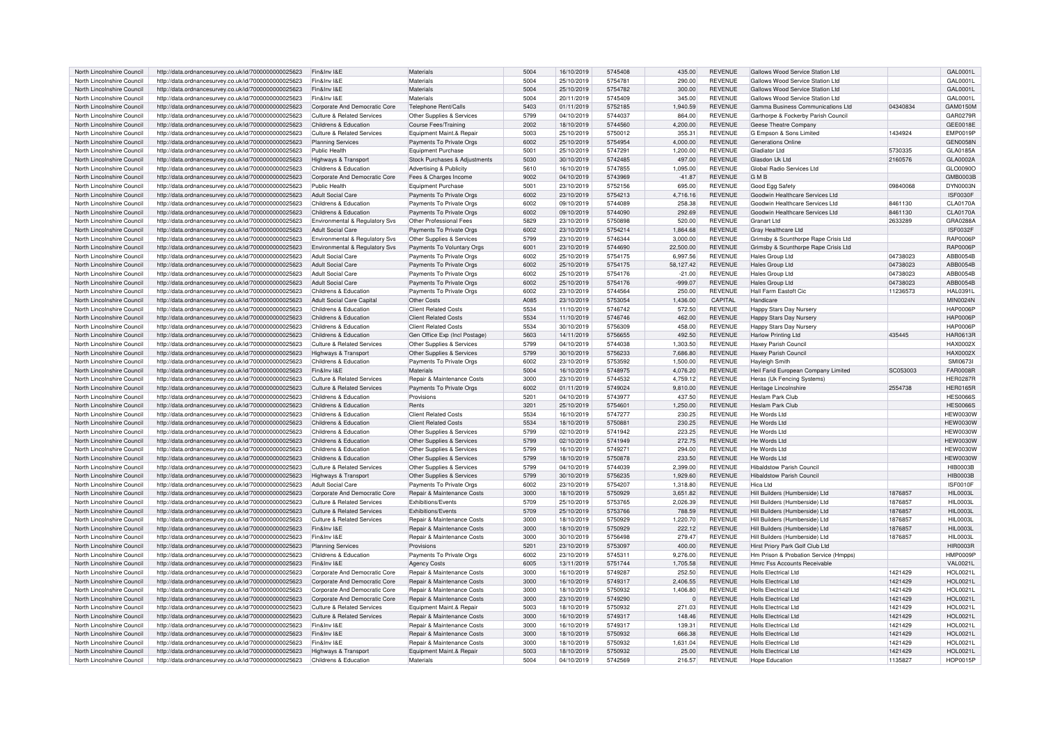| North Lincolnshire Council | http://data.ordnancesurvey.co.uk/id/7000000000025623 | Fin&Inv I&E                           | Materials                     | 5004 | 16/10/2019 | 5745408 | 435.00    | <b>REVENUE</b> | Gallows Wood Service Station Ltd      |          | GAL0001L        |
|----------------------------|------------------------------------------------------|---------------------------------------|-------------------------------|------|------------|---------|-----------|----------------|---------------------------------------|----------|-----------------|
| North Lincolnshire Council | http://data.ordnancesurvey.co.uk/id/7000000000025623 | Fin&Inv I&F                           | Materials                     | 5004 | 25/10/2019 | 5754781 | 290.00    | <b>REVENUE</b> | Gallows Wood Service Station Ltd      |          | GAL0001L        |
| North Lincolnshire Council | http://data.ordnancesurvey.co.uk/id/7000000000025623 | Fin&Inv I&E                           | Materials                     | 5004 | 25/10/2019 | 5754782 | 300.00    | <b>REVENUE</b> | Gallows Wood Service Station Ltd      |          | GAL0001L        |
|                            |                                                      |                                       |                               |      |            |         |           |                |                                       |          |                 |
| North Lincolnshire Council | http://data.ordnancesurvey.co.uk/id/7000000000025623 | Fin&Inv I&E                           | Materials                     | 5004 | 20/11/2019 | 5745409 | 345.00    | <b>REVENUE</b> | Gallows Wood Service Station Ltd      |          | GAL0001L        |
| North Lincolnshire Council | http://data.ordnancesurvey.co.uk/id/7000000000025623 | Corporate And Democratic Core         | Telephone Rent/Calls          | 5403 | 01/11/2019 | 5752185 | 1.940.59  | <b>REVENUE</b> | Gamma Business Communications Ltd     | 04340834 | GAM0150M        |
| North Lincolnshire Council | http://data.ordnancesurvey.co.uk/id/7000000000025623 | Culture & Related Services            | Other Supplies & Services     | 5799 | 04/10/2019 | 5744037 | 864.00    | <b>REVENUE</b> | Garthorpe & Fockerby Parish Council   |          | GAR0279R        |
| North Lincolnshire Council | http://data.ordnancesurvey.co.uk/id/7000000000025623 | Childrens & Education                 | Course Fees/Training          | 2002 | 18/10/2019 | 5744560 | 4,200.00  | <b>REVENUE</b> | Geese Theatre Company                 |          | GEE0018E        |
| North Lincolnshire Council | http://data.ordnancesurvey.co.uk/id/7000000000025623 | Culture & Related Services            | Equipment Maint.& Repair      | 5003 | 25/10/2019 | 5750012 | 355.31    | <b>REVENUE</b> | G Empson & Sons Limited               | 1434924  | <b>EMP0019P</b> |
| North Lincolnshire Council | http://data.ordnancesurvey.co.uk/id/7000000000025623 | <b>Planning Services</b>              | Payments To Private Orgs      | 6002 | 25/10/2019 | 5754954 | 4,000.00  | <b>REVENUE</b> | <b>Generations Online</b>             |          | <b>GEN0058N</b> |
|                            |                                                      |                                       |                               |      |            |         |           |                | Gladiator I to                        |          |                 |
| North Lincolnshire Council | http://data.ordnancesurvey.co.uk/id/7000000000025623 | <b>Public Health</b>                  | Equipment Purchase            | 5001 | 25/10/2019 | 5747291 | 1.200.00  | <b>REVENUE</b> |                                       | 5730335  | GLA0185A        |
| North Lincolnshire Counci  | http://data.ordnancesurvey.co.uk/id/7000000000025623 | Highways & Transport                  | Stock Purchases & Adjustments | 5030 | 30/10/2019 | 5742485 | 497.00    | <b>REVENUE</b> | Glasdon Uk Ltd                        | 2160576  | GLA0002A        |
| North Lincolnshire Council | http://data.ordnancesurvey.co.uk/id/7000000000025623 | Childrens & Education                 | Advertising & Publicity       | 5610 | 16/10/2019 | 5747855 | 1,095.00  | <b>REVENUE</b> | Global Radio Services Ltd             |          | GLO0090C        |
| North Lincolnshire Counci  | http://data.ordnancesurvey.co.uk/id/7000000000025623 | Corporate And Democratic Core         | Fees & Charges Income         | 9002 | 04/10/2019 | 5743969 | $-41.87$  | <b>REVENUE</b> | <b>GMB</b>                            |          | GMB0003B        |
| North Lincolnshire Council | http://data.ordnancesurvey.co.uk/id/7000000000025623 | Public Health                         | Equipment Purchase            | 5001 | 23/10/2019 | 5752156 | 695.00    | <b>REVENUE</b> | Good Egg Safety                       | 09840068 | DYN0003N        |
| North Lincolnshire Council | http://data.ordnancesurvey.co.uk/id/7000000000025623 | Adult Social Care                     | Payments To Private Orgs      | 6002 | 23/10/2019 | 5754213 | 4.716.16  | <b>REVENUE</b> | Goodwin Healthcare Services Ltd       |          | <b>ISF0030F</b> |
| North Lincolnshire Council | http://data.ordnancesurvey.co.uk/id/7000000000025623 | Childrens & Education                 | Payments To Private Orgs      | 6002 | 09/10/2019 | 5744089 | 258.38    | <b>REVENUE</b> | Goodwin Healthcare Services Ltd       | 8461130  | <b>CLA0170A</b> |
|                            |                                                      |                                       |                               |      |            |         |           |                |                                       |          |                 |
| North Lincolnshire Council | http://data.ordnancesurvey.co.uk/id/7000000000025623 | Childrens & Education                 | Payments To Private Orgs      | 6002 | 09/10/2019 | 5744090 | 292.69    | <b>REVENUE</b> | Goodwin Healthcare Services Ltd       | 8461130  | <b>CLA0170A</b> |
| North Lincolnshire Council | http://data.ordnancesurvey.co.uk/id/7000000000025623 | Environmental & Regulatory Svs        | Other Professional Fees       | 5829 | 23/10/2019 | 5750898 | 520.00    | <b>REVENUE</b> | Granart Ltd                           | 2633289  | GRA0288A        |
| North Lincolnshire Council | http://data.ordnancesurvey.co.uk/id/7000000000025623 | <b>Adult Social Care</b>              | Payments To Private Orgs      | 6002 | 23/10/2019 | 5754214 | 1,864.68  | <b>REVENUE</b> | Gray Healthcare Ltd                   |          | <b>ISF0032F</b> |
| North Lincolnshire Council | http://data.ordnancesurvey.co.uk/id/7000000000025623 | Environmental & Regulatory Sys        | Other Supplies & Services     | 5799 | 23/10/2019 | 5746344 | 3.000.00  | <b>REVENUE</b> | Grimsby & Scunthorpe Rape Crisis Ltd  |          | <b>RAP0006F</b> |
| North Lincolnshire Counci  | http://data.ordnancesurvey.co.uk/id/7000000000025623 | Environmental & Regulatory Svs        | Payments To Voluntary Orgs    | 6001 | 23/10/2019 | 5744690 | 22,500.00 | <b>REVENUE</b> | Grimsby & Scunthorpe Rape Crisis Ltd  |          | <b>RAP0006F</b> |
| North Lincolnshire Counci  | http://data.ordnancesurvey.co.uk/id/7000000000025623 | Adult Social Care                     | Payments To Private Orgs      | 6002 | 25/10/2019 | 5754175 | 6,997.56  | <b>REVENUE</b> | <b>Hales Group Ltd</b>                | 04738023 | ABB0054B        |
| North Lincolnshire Council | http://data.ordnancesurvey.co.uk/id/7000000000025623 | <b>Adult Social Care</b>              | Payments To Private Orgs      | 6002 | 25/10/2019 | 5754175 | 58,127.42 | <b>REVENUE</b> | Hales Group Ltd                       | 04738023 | ABB0054B        |
|                            |                                                      |                                       |                               |      |            |         |           |                |                                       |          |                 |
| North Lincolnshire Council | http://data.ordnancesurvey.co.uk/id/7000000000025623 | <b>Adult Social Care</b>              | Payments To Private Orgs      | 6002 | 25/10/2019 | 5754176 | $-21.00$  | <b>REVENUE</b> | Hales Group Ltd                       | 04738023 | ABB0054E        |
| North Lincolnshire Council | http://data.ordnancesurvey.co.uk/id/7000000000025623 | Adult Social Care                     | Payments To Private Orgs      | 6002 | 25/10/2019 | 5754176 | $-999.07$ | <b>REVENUE</b> | Hales Group Ltd                       | 04738023 | ABB0054B        |
| North Lincolnshire Council | http://data.ordnancesurvey.co.uk/id/7000000000025623 | Childrens & Education                 | Payments To Private Orgs      | 6002 | 23/10/2019 | 5744564 | 250.00    | <b>REVENUE</b> | Hall Farm Eastoft Cic                 | 11236573 | <b>HAL0391L</b> |
| North Lincolnshire Council | http://data.ordnancesurvey.co.uk/id/7000000000025623 | Adult Social Care Capital             | Other Costs                   | A085 | 23/10/2019 | 5753054 | 1,436.00  | CAPITAL        | Handicare                             |          | <b>MIN0024N</b> |
| North Lincolnshire Council | http://data.ordnancesurvey.co.uk/id/7000000000025623 | Childrens & Education                 | <b>Client Related Costs</b>   | 5534 | 11/10/2019 | 5746742 | 572.50    | <b>REVENUE</b> | Happy Stars Day Nursery               |          | <b>HAP0006F</b> |
| North Lincolnshire Council | http://data.ordnancesurvey.co.uk/id/7000000000025623 | Childrens & Education                 | <b>Client Related Costs</b>   | 5534 | 11/10/2019 | 5746746 | 462.00    | <b>REVENUE</b> | Happy Stars Day Nursery               |          | <b>HAP0006F</b> |
| North Lincolnshire Council | http://data.ordnancesurvey.co.uk/id/7000000000025623 | Childrens & Education                 | <b>Client Related Costs</b>   | 5534 | 30/10/2019 | 5756309 | 458.00    | <b>REVENUE</b> | Happy Stars Day Nursery               |          | <b>HAP0006F</b> |
| North Lincolnshire Council | http://data.ordnancesurvey.co.uk/id/7000000000025623 | Childrens & Education                 | Gen Office Exp (Incl Postage) | 5603 | 14/11/2019 | 5756655 | 492.50    | <b>REVENUE</b> | <b>Harlow Printing Ltd</b>            | 435445   | HAR0613R        |
|                            |                                                      |                                       |                               |      |            |         |           |                |                                       |          |                 |
| North Lincolnshire Counci  | http://data.ordnancesurvey.co.uk/id/7000000000025623 | Culture & Related Services            | Other Supplies & Services     | 5799 | 04/10/2019 | 5744038 | 1,303.50  | <b>REVENUE</b> | Haxey Parish Counci                   |          | HAX0002X        |
| North Lincolnshire Council | http://data.ordnancesurvey.co.uk/id/7000000000025623 | Highways & Transport                  | Other Supplies & Services     | 5799 | 30/10/2019 | 5756233 | 7,686.80  | <b>REVENUE</b> | Haxey Parish Council                  |          | <b>HAX0002X</b> |
| North Lincolnshire Council | http://data.ordnancesurvey.co.uk/id/7000000000025623 | Childrens & Education                 | Payments To Private Orgs      | 6002 | 23/10/2019 | 5753592 | 1,500.00  | <b>REVENUE</b> | Hayleigh Smith                        |          | SMI0673I        |
| North Lincolnshire Council | http://data.ordnancesurvey.co.uk/id/7000000000025623 | Fin&Inv I&F                           | Materials                     | 5004 | 16/10/2019 | 5748975 | 4,076.20  | <b>REVENUE</b> | Heil Farid European Company Limited   | SC053003 | <b>FAR0008F</b> |
| North Lincolnshire Council | http://data.ordnancesurvey.co.uk/id/7000000000025623 | Culture & Related Services            | Repair & Maintenance Costs    | 3000 | 23/10/2019 | 5744532 | 4,759.12  | <b>REVENUE</b> | Heras (Uk Fencing Systems             |          | HER0287F        |
| North Lincolnshire Council | http://data.ordnancesurvey.co.uk/id/7000000000025623 | Culture & Related Services            | Payments To Private Orgs      | 6002 | 01/11/2019 | 5749024 | 9,810.00  | <b>REVENUE</b> | Heritage Lincolnshire                 | 2554738  | <b>HER0165F</b> |
| North Lincolnshire Council | http://data.ordnancesurvey.co.uk/id/7000000000025623 | Childrens & Education                 | Provisions                    | 5201 | 04/10/2019 | 5743977 | 437.50    | <b>REVENUE</b> | Heslam Park Club                      |          | <b>HES0066S</b> |
|                            |                                                      |                                       | Rents                         |      |            | 5754601 |           | <b>REVENUE</b> | Heslam Park Club                      |          |                 |
| North Lincolnshire Council | http://data.ordnancesurvey.co.uk/id/7000000000025623 | Childrens & Education                 |                               | 3201 | 25/10/2019 |         | 1,250.00  |                |                                       |          | <b>HES0066S</b> |
| North Lincolnshire Council | http://data.ordnancesurvey.co.uk/id/7000000000025623 | Childrens & Education                 | <b>Client Related Costs</b>   | 5534 | 16/10/2019 | 5747277 | 230.25    | <b>REVENUE</b> | He Words Ltd                          |          | <b>HEW0030W</b> |
| North Lincolnshire Council | http://data.ordnancesurvey.co.uk/id/7000000000025623 | Childrens & Education                 | <b>Client Related Costs</b>   | 5534 | 18/10/2019 | 575088  | 230.25    | <b>REVENUE</b> | He Words Ltd                          |          | <b>HEW0030V</b> |
| North Lincolnshire Counci  | http://data.ordnancesurvey.co.uk/id/7000000000025623 | Childrens & Education                 | Other Supplies & Services     | 5799 | 02/10/2019 | 5741942 | 223.25    | <b>REVENUE</b> | He Words Ltd                          |          | <b>HEW0030V</b> |
| North Lincolnshire Council | http://data.ordnancesurvey.co.uk/id/7000000000025623 | Childrens & Education                 | Other Supplies & Services     | 5799 | 02/10/2019 | 5741949 | 272.75    | <b>REVENUE</b> | He Words I to                         |          | <b>HEW0030W</b> |
| North Lincolnshire Council | http://data.ordnancesurvey.co.uk/id/7000000000025623 | Childrens & Education                 | Other Supplies & Services     | 5799 | 16/10/2019 | 574927  | 294.00    | <b>REVENUE</b> | He Words Ltd                          |          | <b>HEW0030V</b> |
| North Lincolnshire Council | http://data.ordnancesurvey.co.uk/id/7000000000025623 | Childrens & Education                 | Other Supplies & Services     | 5799 | 18/10/2019 | 5750878 | 233.50    | <b>REVENUE</b> | He Words Ltd                          |          | <b>HEW0030W</b> |
|                            |                                                      |                                       |                               |      |            | 5744039 |           | <b>REVENUE</b> | Hibaldstow Parish Council             |          |                 |
| North Lincolnshire Council | http://data.ordnancesurvey.co.uk/id/7000000000025623 | Culture & Related Services            | Other Supplies & Services     | 5799 | 04/10/2019 |         | 2.399.00  |                |                                       |          | <b>HIB0003B</b> |
| North Lincolnshire Council | http://data.ordnancesurvey.co.uk/id/7000000000025623 | Highways & Transport                  | Other Supplies & Services     | 5799 | 30/10/2019 | 5756235 | 1,929.60  | <b>REVENUE</b> | <b>Hibaldstow Parish Council</b>      |          | <b>HIB0003B</b> |
| North Lincolnshire Council | http://data.ordnancesurvey.co.uk/id/7000000000025623 | Adult Social Care                     | Payments To Private Orgs      | 6002 | 23/10/2019 | 5754207 | 1.318.80  | <b>REVENUE</b> | Hica Ltd                              |          | <b>ISF0010F</b> |
| North Lincolnshire Council | http://data.ordnancesurvey.co.uk/id/7000000000025623 | Corporate And Democratic Core         | Repair & Maintenance Costs    | 3000 | 18/10/2019 | 5750929 | 3,651.82  | <b>REVENUE</b> | Hill Builders (Humberside) Ltd        | 1876857  | <b>HIL0003L</b> |
| North Lincolnshire Council | http://data.ordnancesurvey.co.uk/id/7000000000025623 | <b>Culture &amp; Related Services</b> | Exhibitions/Events            | 5709 | 25/10/2019 | 5753765 | 2,026.39  | <b>REVENUE</b> | Hill Builders (Humberside) Ltd        | 1876857  | <b>HIL0003L</b> |
| North Lincolnshire Council | http://data.ordnancesurvey.co.uk/id/7000000000025623 | Culture & Related Services            | Exhibitions/Events            | 5709 | 25/10/2019 | 5753766 | 788.59    | <b>REVENUE</b> | Hill Builders (Humberside) Ltd        | 1876857  | <b>HIL0003L</b> |
| North Lincolnshire Council | http://data.ordnancesurvey.co.uk/id/7000000000025623 | Culture & Related Services            | Repair & Maintenance Costs    | 3000 | 18/10/2019 | 5750929 | 1,220.70  | <b>REVENUE</b> | Hill Builders (Humberside) Ltd        | 1876857  | <b>HIL0003L</b> |
| North Lincolnshire Council | http://data.ordnancesurvey.co.uk/id/7000000000025623 | Fin&Inv I&E                           | Repair & Maintenance Costs    | 3000 | 18/10/2019 | 5750929 | 222.12    | <b>REVENUE</b> | Hill Builders (Humberside) Ltd        | 1876857  | <b>HIL0003L</b> |
|                            |                                                      |                                       |                               |      |            |         |           |                |                                       |          |                 |
| North Lincolnshire Council | http://data.ordnancesurvey.co.uk/id/7000000000025623 | Fin&Inv I&E                           | Repair & Maintenance Costs    | 3000 | 30/10/2019 | 5756498 | 279.47    | <b>REVENUE</b> | Hill Builders (Humberside) Ltd        | 1876857  | HIL0003L        |
| North Lincolnshire Council | http://data.ordnancesurvey.co.uk/id/7000000000025623 | <b>Planning Services</b>              | Provisions                    | 5201 | 23/10/2019 | 5753097 | 400.00    | <b>REVENUE</b> | Hirst Priory Park Golf Club Ltd       |          | <b>HIR0003R</b> |
| North Lincolnshire Council | http://data.ordnancesurvey.co.uk/id/7000000000025623 | Childrens & Education                 | Payments To Private Orgs      | 6002 | 23/10/2019 | 5745311 | 9.276.00  | <b>REVENUE</b> | Hm Prison & Probation Service (Hmpps) |          | <b>HMP0009F</b> |
| North Lincolnshire Council | http://data.ordnancesurvey.co.uk/id/7000000000025623 | Fin&Inv I&E                           | <b>Agency Costs</b>           | 6005 | 13/11/2019 | 5751744 | 1,705.58  | <b>REVENUE</b> | Hmrc Fss Accounts Receivable          |          | <b>VAL0021L</b> |
| North Lincolnshire Council | http://data.ordnancesurvey.co.uk/id/7000000000025623 | Corporate And Democratic Core         | Repair & Maintenance Costs    | 3000 | 16/10/2019 | 5749287 | 252.50    | <b>REVENUE</b> | Holls Electrical Ltd                  | 1421429  | <b>HOL0021L</b> |
| North Lincolnshire Council | http://data.ordnancesurvey.co.uk/id/7000000000025623 | Corporate And Democratic Core         | Repair & Maintenance Costs    | 3000 | 16/10/2019 | 5749317 | 2,406.55  | <b>REVENUE</b> | <b>Holls Electrical Ltd</b>           | 1421429  | <b>HOL0021L</b> |
|                            |                                                      |                                       |                               | 3000 |            | 5750932 |           |                | Holls Electrical Ltd                  |          |                 |
| North Lincolnshire Council | http://data.ordnancesurvey.co.uk/id/7000000000025623 | Corporate And Democratic Core         | Repair & Maintenance Costs    |      | 18/10/2019 |         | 1,406.80  | <b>REVENUE</b> |                                       | 1421429  | <b>HOL0021L</b> |
| North Lincolnshire Council | http://data.ordnancesurvey.co.uk/id/7000000000025623 | Corporate And Democratic Core         | Repair & Maintenance Costs    | 3000 | 23/10/2019 | 5749290 |           | <b>REVENUE</b> | <b>Holls Electrical Ltd</b>           | 1421429  | <b>HOL0021L</b> |
| North Lincolnshire Council | http://data.ordnancesurvey.co.uk/id/7000000000025623 | Culture & Related Services            | Equipment Maint.& Repair      | 5003 | 18/10/2019 | 5750932 | 271.03    | <b>REVENUE</b> | <b>Holls Electrical Ltd</b>           | 1421429  | <b>HOL0021L</b> |
| North Lincolnshire Council | http://data.ordnancesurvey.co.uk/id/7000000000025623 | <b>Culture &amp; Related Services</b> | Repair & Maintenance Costs    | 3000 | 16/10/2019 | 5749317 | 148.46    | <b>REVENUE</b> | <b>Holls Electrical Ltd</b>           | 1421429  | <b>HOL0021L</b> |
| North Lincolnshire Council | http://data.ordnancesurvey.co.uk/id/7000000000025623 | Fin&Inv I&E                           | Repair & Maintenance Costs    | 3000 | 16/10/2019 | 5749317 | 139.31    | <b>REVENUE</b> | <b>Holls Electrical Ltd</b>           | 1421429  | <b>HOL0021L</b> |
| North Lincolnshire Counci  | http://data.ordnancesurvey.co.uk/id/7000000000025623 | Fin&Inv I&F                           | Repair & Maintenance Costs    | 3000 | 18/10/2019 | 5750932 | 666.38    | <b>REVENUE</b> | Holls Electrical Ltd                  | 1421429  | <b>HOL0021L</b> |
| North Lincolnshire Council | http://data.ordnancesurvey.co.uk/id/7000000000025623 | Fin&Inv I&F                           | Repair & Maintenance Costs    | 3000 | 18/10/2019 | 5750932 | 1.631.04  | <b>REVENUE</b> | Holls Electrical Ltd                  | 1421429  | <b>HOL0021I</b> |
| North Lincolnshire Council | http://data.ordnancesurvey.co.uk/id/7000000000025623 | Highways & Transport                  | Equipment Maint.& Repair      | 5003 | 18/10/2019 | 5750932 | 25.00     | <b>REVENUE</b> | <b>Holls Electrical Ltd</b>           | 1421429  | <b>HOL0021L</b> |
|                            |                                                      |                                       |                               |      |            |         |           |                |                                       |          |                 |
| North Lincolnshire Council | http://data.ordnancesurvey.co.uk/id/7000000000025623 | Childrens & Education                 | Materials                     | 5004 | 04/10/2019 | 5742569 | 216.57    | <b>REVENUE</b> | Hope Education                        | 1135827  | HOP0015P        |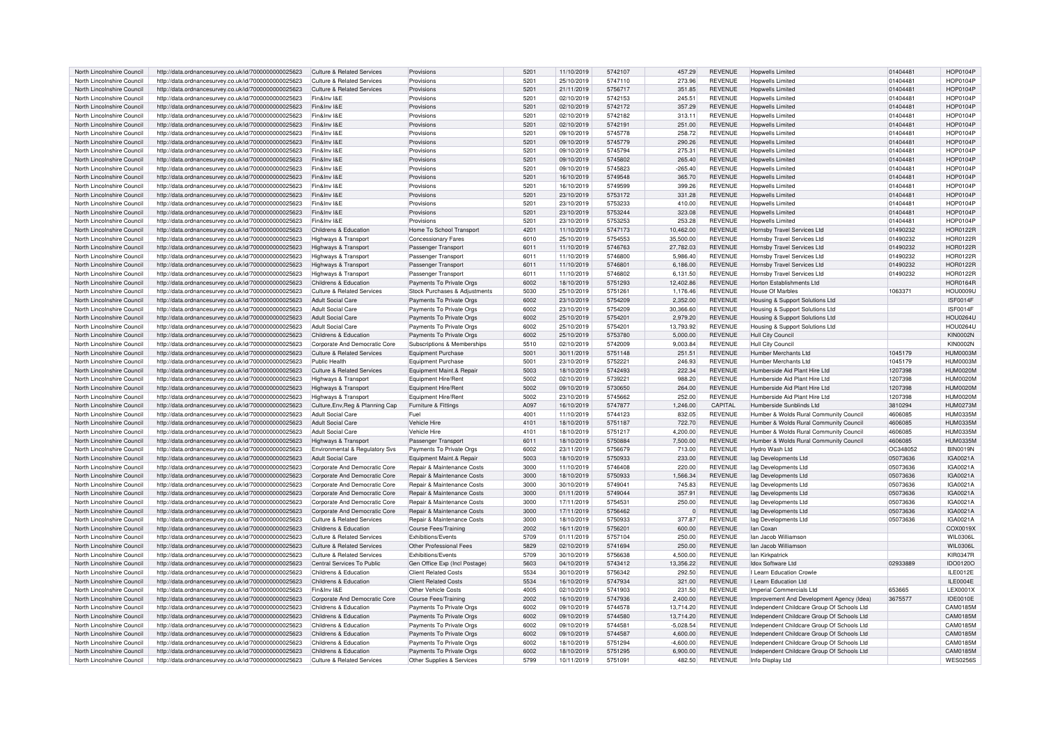| North Lincolnshire Council | http://data.ordnancesurvey.co.uk/id/7000000000025623 | Culture & Related Services            | Provisions                            | 5201          | 11/10/2019 | 5742107 | 457.29      | <b>REVENUE</b> | <b>Hopwells Limited</b>                    | 01404481 | <b>HOP0104F</b> |
|----------------------------|------------------------------------------------------|---------------------------------------|---------------------------------------|---------------|------------|---------|-------------|----------------|--------------------------------------------|----------|-----------------|
| North Lincolnshire Council | http://data.ordnancesurvey.co.uk/id/7000000000025623 | Culture & Related Services            | Provisions                            | $520^{\circ}$ | 25/10/2019 | 5747110 | 273.96      | <b>REVENUE</b> | <b>Hopwells Limited</b>                    | 01404481 | HOP0104P        |
| North Lincolnshire Council | http://data.ordnancesurvey.co.uk/id/7000000000025623 | Culture & Related Services            | Provisions                            | 5201          | 21/11/2019 | 5756717 | 351.85      | <b>REVENUE</b> | <b>Hopwells Limited</b>                    | 01404481 | HOP0104P        |
| North Lincolnshire Council | http://data.ordnancesurvey.co.uk/id/7000000000025623 | Fin&Inv I&E                           | Provisions                            | 5201          | 02/10/2019 | 5742153 | 245.51      | <b>REVENUE</b> | <b>Hopwells Limited</b>                    | 01404481 | <b>HOP0104F</b> |
| North Lincolnshire Council | http://data.ordnancesurvey.co.uk/id/7000000000025623 | Fin&Inv I&E                           | Provisions                            | 5201          | 02/10/2019 | 5742172 | 357.29      | <b>REVENUE</b> | Honwells Limited                           | 01404481 | <b>HOP0104P</b> |
| North Lincolnshire Council | http://data.ordnancesurvey.co.uk/id/7000000000025623 | Fin&Inv I&E                           | Provisions                            | 520           | 02/10/2019 | 5742182 | 313.11      | <b>REVENUE</b> | <b>Hopwells Limited</b>                    | 01404481 | HOP0104P        |
|                            |                                                      |                                       |                                       |               |            |         |             |                |                                            |          |                 |
| North Lincolnshire Council | http://data.ordnancesurvey.co.uk/id/7000000000025623 | Fin&Inv I&E                           | Provisions                            | 5201          | 02/10/2019 | 5742191 | 251.00      | <b>REVENUE</b> | <b>Hopwells Limited</b>                    | 01404481 | <b>HOP0104P</b> |
| North Lincolnshire Council | http://data.ordnancesurvey.co.uk/id/7000000000025623 | Fin&Inv I&E                           | Provisions                            | 5201          | 09/10/2019 | 5745778 | 258.72      | <b>REVENUE</b> | <b>Hopwells Limited</b>                    | 01404481 | <b>HOP0104P</b> |
| North Lincolnshire Council | http://data.ordnancesurvey.co.uk/id/7000000000025623 | Fin&Inv I&E                           | Provisions                            | 5201          | 09/10/2019 | 5745779 | 290.26      | <b>REVENUE</b> | <b>Hopwells Limited</b>                    | 01404481 | <b>HOP0104P</b> |
| North Lincolnshire Council | http://data.ordnancesurvey.co.uk/id/7000000000025623 | Fin&Inv I&E                           | Provisions                            | 5201          | 09/10/2019 | 5745794 | 275.31      | <b>REVENUE</b> | Honwells Limited                           | 01404481 | <b>HOP0104F</b> |
| North Lincolnshire Council | http://data.ordnancesurvey.co.uk/id/7000000000025623 | Fin&Inv I&F                           | Provisions                            | 5201          | 09/10/2019 | 5745802 | 265.40      | <b>REVENUE</b> | <b>Hopwells Limited</b>                    | 01404481 | <b>HOP0104P</b> |
| North Lincolnshire Council | http://data.ordnancesurvey.co.uk/id/7000000000025623 | Fin&Inv I&F                           | Provisions                            | 520           | 09/10/2019 | 5745823 | $-265.40$   | REVENUE        | <b>Hopwells Limited</b>                    | 01404481 | <b>HOP0104P</b> |
| North Lincolnshire Council | http://data.ordnancesurvey.co.uk/id/7000000000025623 | Fin&Inv I&E                           | Provisions                            | 5201          | 16/10/2019 | 5749548 | 365.70      | <b>REVENUE</b> | <b>Hopwells Limited</b>                    | 01404481 | <b>HOP0104F</b> |
| North Lincolnshire Council | http://data.ordnancesurvey.co.uk/id/7000000000025623 | Fin&Inv I&E                           | Provisions                            | 5201          | 16/10/2019 | 5749599 | 399.26      | <b>REVENUE</b> | <b>Hopwells Limited</b>                    | 01404481 | <b>HOP0104F</b> |
| North Lincolnshire Council | http://data.ordnancesurvey.co.uk/id/7000000000025623 | Fin&Inv I&E                           | Provisions                            | 5201          | 23/10/2019 | 5753172 | 331.28      | <b>REVENUE</b> | Honwells Limited                           | 01404481 | <b>HOP0104P</b> |
| North Lincolnshire Council | http://data.ordnancesurvey.co.uk/id/7000000000025623 | Fin&Inv I&F                           | Provisions                            | 520           | 23/10/2019 | 5753233 | 410.00      | <b>REVENUE</b> | <b>Hopwells Limited</b>                    | 01404481 | HOP0104P        |
| North Lincolnshire Council | http://data.ordnancesurvey.co.uk/id/7000000000025623 | Fin&Inv I&E                           | Provisions                            | 5201          | 23/10/2019 | 5753244 | 323.08      | <b>REVENUE</b> | <b>Hopwells Limited</b>                    | 01404481 | <b>HOP0104P</b> |
| North Lincolnshire Council | http://data.ordnancesurvey.co.uk/id/7000000000025623 | Fin&Inv I&F                           | Provisions                            | 5201          | 23/10/2019 | 5753253 | 253.28      | <b>REVENUE</b> | Honwells Limited                           | 01404481 | <b>HOP0104P</b> |
| North Lincolnshire Council | http://data.ordnancesurvey.co.uk/id/7000000000025623 | Childrens & Education                 | Home To School Transport              | 4201          | 11/10/2019 | 5747173 | 10,462.00   | <b>REVENUE</b> | Hornsby Travel Services Ltd                | 01490232 | <b>HOR0122R</b> |
|                            |                                                      |                                       |                                       |               |            |         |             |                |                                            |          |                 |
| North Lincolnshire Council | http://data.ordnancesurvey.co.uk/id/7000000000025623 | Highways & Transport                  | <b>Concessionary Fares</b>            | 6010          | 25/10/2019 | 5754553 | 35,500.00   | <b>REVENUE</b> | Hornsby Travel Services Ltd                | 01490232 | <b>HOR0122R</b> |
| North Lincolnshire Council | http://data.ordnancesurvey.co.uk/id/7000000000025623 | Highways & Transport                  | Passenger Transport                   | 6011          | 11/10/2019 | 5746763 | 27,782.03   | <b>REVENUE</b> | Hornsby Travel Services Ltd                | 01490232 | <b>HOR0122R</b> |
| North Lincolnshire Council | http://data.ordnancesurvey.co.uk/id/7000000000025623 | Highways & Transport                  | Passenger Transport                   | 601           | 11/10/2019 | 5746800 | 5,986.40    | REVENUE        | Hornsby Travel Services Ltd                | 01490232 | <b>HOR0122F</b> |
| North Lincolnshire Council | http://data.ordnancesurvey.co.uk/id/7000000000025623 | Highways & Transport                  | Passenger Transport                   | 6011          | 11/10/2019 | 5746801 | 6,186.00    | <b>REVENUE</b> | Hornsby Travel Services Ltd                | 01490232 | <b>HOR0122R</b> |
| North Lincolnshire Council | http://data.ordnancesurvey.co.uk/id/7000000000025623 | Highways & Transport                  | Passenger Transport                   | 6011          | 11/10/2019 | 5746802 | 6,131.50    | <b>REVENUE</b> | Hornsby Travel Services Ltd                | 01490232 | <b>HOR0122F</b> |
| North Lincolnshire Council | http://data.ordnancesurvey.co.uk/id/7000000000025623 | Childrens & Education                 | Payments To Private Orgs              | 6002          | 18/10/2019 | 5751293 | 12.402.86   | <b>REVENUE</b> | Horton Establishments Ltd                  |          | <b>HOR0164R</b> |
| North Lincolnshire Council | http://data.ordnancesurvey.co.uk/id/7000000000025623 | Culture & Related Services            | Stock Purchases & Adjustments         | 5030          | 25/10/2019 | 5751261 | 1,176.46    | <b>REVENUE</b> | House Of Marbles                           | 1063371  | <b>HOU0009U</b> |
| North Lincolnshire Council | http://data.ordnancesurvey.co.uk/id/7000000000025623 | <b>Adult Social Care</b>              | Payments To Private Orgs              | 6002          | 23/10/2019 | 5754209 | 2,352.00    | <b>REVENUE</b> | Housing & Support Solutions Ltd            |          | <b>ISF0014F</b> |
| North Lincolnshire Council | http://data.ordnancesurvey.co.uk/id/7000000000025623 | <b>Adult Social Care</b>              | Payments To Private Orgs              | 6002          | 23/10/2019 | 5754209 | 30,366.60   | <b>REVENUE</b> | Housing & Support Solutions Ltd            |          | <b>ISF0014F</b> |
| North Lincolnshire Council | http://data.ordnancesurvey.co.uk/id/7000000000025623 | <b>Adult Social Care</b>              | Payments To Private Orgs              | 6002          | 25/10/2019 | 5754201 | 2,979.20    | <b>REVENUE</b> | Housing & Support Solutions Ltd            |          | <b>HOU0264L</b> |
| North Lincolnshire Council | http://data.ordnancesurvey.co.uk/id/7000000000025623 | <b>Adult Social Care</b>              | Payments To Private Orgs              | 6002          | 25/10/2019 | 5754201 | 13,793.92   | <b>REVENUE</b> | Housing & Support Solutions Ltd            |          | <b>HOU0264L</b> |
| North Lincolnshire Council | http://data.ordnancesurvey.co.uk/id/7000000000025623 | Childrens & Education                 | Payments To Private Orgs              | 6002          | 25/10/2019 | 5753780 | 5,000.00    | <b>REVENUE</b> | Hull City Council                          |          | <b>KIN0002N</b> |
| North Lincolnshire Council | http://data.ordnancesurvey.co.uk/id/7000000000025623 | Corporate And Democratic Core         | Subscriptions & Memberships           | 5510          | 02/10/2019 | 5742009 | 9,003.84    | REVENUE        | Hull City Council                          |          | <b>KIN0002N</b> |
| North Lincolnshire Council | http://data.ordnancesurvey.co.uk/id/7000000000025623 | Culture & Related Services            | <b>Equipment Purchase</b>             | 5001          | 30/11/2019 | 5751148 | 251.51      | <b>REVENUE</b> | Humber Merchants Ltd                       | 1045179  | HUM0003M        |
| North Lincolnshire Council | http://data.ordnancesurvey.co.uk/id/7000000000025623 | <b>Public Health</b>                  | <b>Equipment Purchase</b>             | 5001          | 23/10/2019 | 5752221 | 246.93      | <b>REVENUE</b> | Humber Merchants Ltd                       | 1045179  | <b>HUM0003N</b> |
| North Lincolnshire Council | http://data.ordnancesurvey.co.uk/id/7000000000025623 | <b>Culture &amp; Related Services</b> | Equipment Maint.& Repair              | 5003          | 18/10/2019 | 5742493 | 222.34      | <b>REVENUE</b> | Humberside Aid Plant Hire Ltd              | 1207398  | <b>HUM0020M</b> |
| North Lincolnshire Council | http://data.ordnancesurvey.co.uk/id/7000000000025623 |                                       |                                       | 5002          | 02/10/2019 | 573922  | 988.20      | <b>REVENUE</b> | Humberside Aid Plant Hire Ltd              | 1207398  | <b>HUM0020M</b> |
|                            |                                                      | Highways & Transport                  | Equipment Hire/Rent                   |               |            |         |             |                |                                            |          |                 |
| North Lincolnshire Council | http://data.ordnancesurvey.co.uk/id/7000000000025623 | Highways & Transport                  | <b>Equipment Hire/Rent</b>            | 5002          | 09/10/2019 | 5730650 | 264.00      | <b>REVENUE</b> | Humberside Aid Plant Hire Ltd              | 1207398  | <b>HUM0020M</b> |
| North Lincolnshire Council | http://data.ordnancesurvey.co.uk/id/7000000000025623 | Highways & Transport                  | <b>Equipment Hire/Rent</b>            | 5002          | 23/10/2019 | 5745662 | 252.00      | <b>REVENUE</b> | Humberside Aid Plant Hire Ltd              | 1207398  | <b>HUM0020M</b> |
| North Lincolnshire Council | http://data.ordnancesurvey.co.uk/id/7000000000025623 | Culture, Env, Reg & Planning Cap      | Furniture & Fittings                  | A097          | 16/10/2019 | 5747877 | 1,246.00    | CAPITAL        | Humberside Sunblinds Ltd                   | 3810294  | <b>HUM0273M</b> |
| North Lincolnshire Council | http://data.ordnancesurvey.co.uk/id/7000000000025623 | <b>Adult Social Care</b>              | Fuel                                  | 4001          | 11/10/2019 | 5744123 | 832.05      | <b>REVENUE</b> | Humber & Wolds Rural Community Council     | 4606085  | <b>HUM0335M</b> |
| North Lincolnshire Council | http://data.ordnancesurvey.co.uk/id/7000000000025623 | <b>Adult Social Care</b>              | Vehicle Hire                          | 4101          | 18/10/2019 | 5751187 | 722.70      | <b>REVENUE</b> | Humber & Wolds Rural Community Council     | 4606085  | <b>HUM0335M</b> |
| North Lincolnshire Council | http://data.ordnancesurvey.co.uk/id/7000000000025623 | <b>Adult Social Care</b>              | Vehicle Hire                          | 4101          | 18/10/2019 | 5751217 | 4.200.00    | <b>REVENUE</b> | Humber & Wolds Rural Community Council     | 4606085  | <b>HUM0335M</b> |
| North Lincolnshire Council | http://data.ordnancesurvey.co.uk/id/7000000000025623 | Highways & Transport                  | Passenger Transport                   | 6011          | 18/10/2019 | 5750884 | 7.500.00    | <b>REVENUE</b> | Humber & Wolds Rural Community Council     | 4606085  | HUM0335M        |
| North Lincolnshire Council | http://data.ordnancesurvey.co.uk/id/7000000000025623 | Environmental & Regulatory Svs        | Payments To Private Orgs              | 6002          | 23/11/2019 | 5756679 | 713.00      | <b>REVENUE</b> | Hydro Wash Ltd                             | OC348052 | <b>BIN0019N</b> |
| North Lincolnshire Council | http://data.ordnancesurvey.co.uk/id/7000000000025623 | <b>Adult Social Care</b>              | Equipment Maint.& Repair              | 5003          | 18/10/2019 | 5750933 | 233.00      | <b>REVENUE</b> | lag Developments Ltd                       | 05073636 | IGA0021A        |
| North Lincolnshire Council | http://data.ordnancesurvey.co.uk/id/7000000000025623 | Corporate And Democratic Core         | Repair & Maintenance Costs            | 3000          | 11/10/2019 | 5746408 | 220.00      | <b>REVENUE</b> | lag Developments Ltd                       | 05073636 | IGA0021A        |
| North Lincolnshire Council | http://data.ordnancesurvey.co.uk/id/7000000000025623 | Corporate And Democratic Core         | Repair & Maintenance Costs            | 3000          | 18/10/2019 | 5750933 | 1,566.34    | <b>REVENUE</b> | lag Developments Ltd                       | 05073636 | IGA0021A        |
| North Lincolnshire Council | http://data.ordnancesurvey.co.uk/id/7000000000025623 | Corporate And Democratic Core         | Repair & Maintenance Costs            | 3000          | 30/10/2019 | 5749041 | 745.83      | <b>REVENUE</b> | lag Developments Ltd                       | 05073636 | <b>IGA0021A</b> |
| North Lincolnshire Council | http://data.ordnancesurvey.co.uk/id/7000000000025623 | Corporate And Democratic Core         | Repair & Maintenance Costs            | 3000          | 01/11/2019 | 5749044 | 357.91      | <b>REVENUE</b> | lag Developments Ltd                       | 05073636 | IGA0021A        |
| North Lincolnshire Council | http://data.ordnancesurvey.co.uk/id/7000000000025623 | Corporate And Democratic Core         | Repair & Maintenance Costs            | 3000          | 17/11/2019 | 5754531 | 250.00      | <b>REVENUE</b> | lag Developments Ltd                       | 05073636 | IGA0021A        |
| North Lincolnshire Council | http://data.ordnancesurvey.co.uk/id/7000000000025623 | Corporate And Democratic Core         | <b>Benair &amp; Maintenance Costs</b> | 3000          | 17/11/2019 | 5756462 | $\sqrt{ }$  | <b>REVENUE</b> | lag Developments Ltd                       | 05073636 | IGA0021A        |
| North Lincolnshire Council | http://data.ordnancesurvey.co.uk/id/7000000000025623 | <b>Culture &amp; Related Services</b> | Repair & Maintenance Costs            | 3000          | 18/10/2019 | 5750933 | 377.87      | <b>REVENUE</b> | lag Developments Ltd                       | 05073636 | IGA0021A        |
| North Lincolnshire Council | http://data.ordnancesurvey.co.uk/id/7000000000025623 | Childrens & Education                 | Course Fees/Training                  | 2002          | 16/11/2019 | 5756201 | 600.00      | <b>REVENUE</b> | lan Coxan                                  |          | COX0019X        |
|                            |                                                      |                                       | <b>Exhibitions/Fvents</b>             |               |            |         |             |                |                                            |          |                 |
| North Lincolnshire Council | http://data.ordnancesurvey.co.uk/id/7000000000025623 | <b>Culture &amp; Related Services</b> |                                       | 5709          | 01/11/2019 | 5757104 | 250.00      | <b>REVENUE</b> | lan Jacob Williamson                       |          | <b>WIL0306I</b> |
| North Lincolnshire Council | http://data.ordnancesurvey.co.uk/id/7000000000025623 | Culture & Related Services            | Other Professional Fees               | 5829          | 02/10/2019 | 5741694 | 250.00      | <b>REVENUE</b> | lan Jacob Williamson                       |          | <b>WIL0306I</b> |
| North Lincolnshire Council | http://data.ordnancesurvey.co.uk/id/7000000000025623 | <b>Culture &amp; Related Services</b> | Exhibitions/Events                    | 5709          | 30/10/2019 | 5756638 | 4.500.00    | <b>REVENUE</b> | lan Kirkpatrick                            |          | <b>KIR0347R</b> |
| North Lincolnshire Council | http://data.ordnancesurvey.co.uk/id/7000000000025623 | Central Services To Public            | Gen Office Exp (Incl Postage)         | 5603          | 04/10/2019 | 5743412 | 13,356.22   | <b>REVENUE</b> | Idox Software Ltd                          | 02933889 | IDO0120O        |
| North Lincolnshire Council | http://data.ordnancesurvey.co.uk/id/7000000000025623 | Childrens & Education                 | <b>Client Related Costs</b>           | 5534          | 30/10/2019 | 5756342 | 292.50      | <b>REVENUE</b> | I Learn Education Crowle                   |          | ILE0012E        |
| North Lincolnshire Council | http://data.ordnancesurvey.co.uk/id/7000000000025623 | Childrens & Education                 | <b>Client Related Costs</b>           | 5534          | 16/10/2019 | 5747934 | 321.00      | <b>REVENUE</b> | I Learn Education Ltd                      |          | ILE0004E        |
| North Lincolnshire Council | http://data.ordnancesurvey.co.uk/id/7000000000025623 | Fin&Inv I&F                           | Other Vehicle Costs                   | 4005          | 02/10/2019 | 5741903 | 231.50      | <b>REVENUE</b> | Imperial Commercials Ltd                   | 653665   | LEX0001X        |
| North Lincolnshire Council | http://data.ordnancesurvey.co.uk/id/7000000000025623 | Corporate And Democratic Core         | Course Fees/Training                  | 2002          | 16/10/2019 | 5747936 | 2,400.00    | <b>REVENUE</b> | Improvement And Development Agency (Idea)  | 3675577  | <b>IDE0010E</b> |
| North Lincolnshire Council | http://data.ordnancesurvey.co.uk/id/7000000000025623 | Childrens & Education                 | Payments To Private Orgs              | 6002          | 09/10/2019 | 5744578 | 13,714.20   | <b>REVENUE</b> | Independent Childcare Group Of Schools Ltd |          | CAM0185M        |
| North Lincolnshire Council | http://data.ordnancesurvey.co.uk/id/7000000000025623 | Childrens & Education                 | Payments To Private Orgs              | 6002          | 09/10/2019 | 5744580 | 13,714.20   | <b>REVENUE</b> | Independent Childcare Group Of Schools Ltd |          | CAM0185M        |
| North Lincolnshire Council | http://data.ordnancesurvey.co.uk/id/7000000000025623 | Childrens & Education                 | Payments To Private Orgs              | 6002          | 09/10/2019 | 5744581 | $-5,028.54$ | <b>REVENUE</b> | Independent Childcare Group Of Schools Ltd |          | CAM0185M        |
| North Lincolnshire Council | http://data.ordnancesurvey.co.uk/id/7000000000025623 | Childrens & Education                 | Payments To Private Orgs              | 6002          | 09/10/2019 | 5744587 | 4,600.00    | <b>REVENUE</b> | Independent Childcare Group Of Schools Ltd |          | CAM0185M        |
| North Lincolnshire Council | http://data.ordnancesurvey.co.uk/id/7000000000025623 | Childrens & Education                 | Payments To Private Orgs              | 6002          | 18/10/2019 | 5751294 | $-4.600.00$ | <b>REVENUE</b> | Independent Childcare Group Of Schools Ltd |          | CAM0185M        |
| North Lincolnshire Council | http://data.ordnancesurvey.co.uk/id/7000000000025623 | Childrens & Education                 | Payments To Private Orgs              | 6002          | 18/10/2019 | 5751295 | 6,900.00    | <b>REVENUE</b> | Independent Childcare Group Of Schools Ltd |          | CAM0185M        |
|                            | http://data.ordnancesurvey.co.uk/id/7000000000025623 | Culture & Related Services            | Other Supplies & Services             | 5799          | 10/11/2019 | 5751091 | 482.50      | <b>REVENUE</b> | Info Display Ltd                           |          | <b>WES0256S</b> |
| North Lincolnshire Council |                                                      |                                       |                                       |               |            |         |             |                |                                            |          |                 |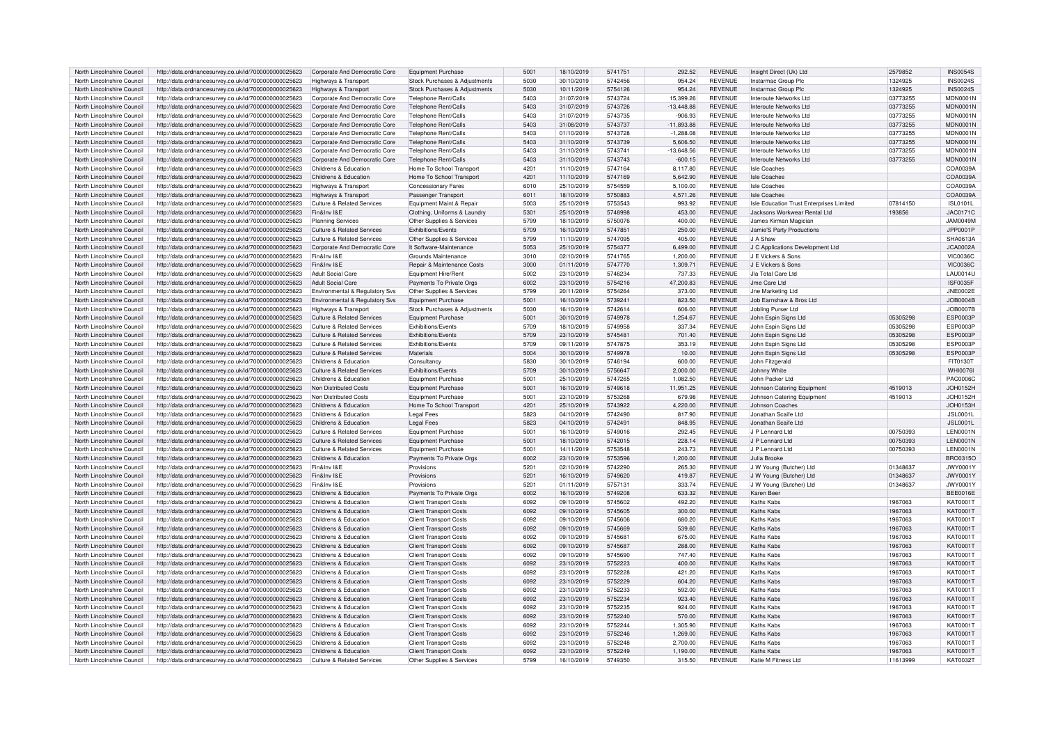| North Lincolnshire Council                               | http://data.ordnancesurvey.co.uk/id/7000000000025623                                                         | Corporate And Democratic Core                       | <b>Equipment Purchase</b>                                  | 5001         | 18/10/2019               | 5741751            | 292.52             | <b>REVENUE</b>                   | Insight Direct (Uk) Ltd                  | 2579852             | <b>INS0054S</b>             |
|----------------------------------------------------------|--------------------------------------------------------------------------------------------------------------|-----------------------------------------------------|------------------------------------------------------------|--------------|--------------------------|--------------------|--------------------|----------------------------------|------------------------------------------|---------------------|-----------------------------|
| North Lincolnshire Council                               | http://data.ordnancesurvey.co.uk/id/7000000000025623                                                         | Highways & Transport                                | Stock Purchases & Adjustments                              | 5030         | 30/10/2019               | 5742456            | 954.24             | <b>REVENUE</b>                   | Instarmac Group Plc                      | 1324925             | <b>INS0024S</b>             |
|                                                          |                                                                                                              |                                                     |                                                            |              |                          |                    |                    |                                  |                                          |                     |                             |
| North Lincolnshire Council                               | http://data.ordnancesurvey.co.uk/id/7000000000025623                                                         | <b>Highways &amp; Transport</b>                     | Stock Purchases & Adjustments                              | 5030         | 10/11/2019               | 5754126            | 954.24             | REVENUE                          | Instarmac Group Plc                      | 1324925             | <b>INS0024S</b>             |
| North Lincolnshire Council                               | http://data.ordnancesurvey.co.uk/id/7000000000025623                                                         | Corporate And Democratic Core                       | Telephone Rent/Calls                                       | 5403         | 31/07/2019               | 5743724            | 15,399.26          | <b>REVENUE</b>                   | Interoute Networks Ltd                   | 03773255            | MDN0001N                    |
| North Lincolnshire Council                               | http://data.ordnancesurvey.co.uk/id/7000000000025623                                                         | Corporate And Democratic Core                       | Telephone Rent/Calls                                       | 5403         | 31/07/2019               | 5743726            | $-13,448.88$       | <b>REVENUE</b>                   | Interoute Networks Ltd                   | 03773255            | MDN0001N                    |
| North Lincolnshire Council                               | http://data.ordnancesurvey.co.uk/id/7000000000025623                                                         | Corporate And Democratic Core                       | Telephone Rent/Calls                                       | 5403         | 31/07/2019               | 5743735            | $-906.93$          | <b>REVENUE</b>                   | Interoute Networks Ltd                   | 03773255            | <b>MDN0001N</b>             |
|                                                          |                                                                                                              |                                                     |                                                            |              |                          |                    |                    |                                  |                                          |                     |                             |
| North Lincolnshire Council                               | http://data.ordnancesurvey.co.uk/id/7000000000025623                                                         | Corporate And Democratic Core                       | Telephone Rent/Calls                                       | 5403         | 31/08/2019               | 5743737            | $-11,893.88$       | <b>REVENUE</b>                   | Interoute Networks Ltd                   | 03773255            | <b>MDN0001N</b>             |
| North Lincolnshire Council                               | http://data.ordnancesurvey.co.uk/id/7000000000025623                                                         | Corporate And Democratic Core                       | Telephone Rent/Calls                                       | 5403         | 01/10/2019               | 5743728            | $-1,288.08$        | <b>REVENUE</b>                   | Interoute Networks Ltd                   | 03773255            | <b>MDN0001N</b>             |
| North Lincolnshire Council                               | http://data.ordnancesurvey.co.uk/id/7000000000025623                                                         | Corporate And Democratic Core                       | Telephone Rent/Calls                                       | 5403         | 31/10/2019               | 5743739            | 5,606.50           | <b>REVENUE</b>                   | Interoute Networks Ltd                   | 03773255            | <b>MDN0001N</b>             |
| North Lincolnshire Council                               | http://data.ordnancesurvey.co.uk/id/7000000000025623                                                         | Corporate And Democratic Core                       | Telephone Rent/Calls                                       | 5403         | 31/10/2019               | 5743741            | -13,648.56         | <b>REVENUE</b>                   | Interoute Networks Ltd                   | 03773255            | <b>MDN0001N</b>             |
|                                                          |                                                                                                              |                                                     |                                                            |              |                          |                    |                    |                                  |                                          |                     |                             |
| North Lincolnshire Council                               | http://data.ordnancesurvey.co.uk/id/7000000000025623                                                         | Corporate And Democratic Core                       | Telephone Rent/Calls                                       | 5403         | 31/10/2019               | 5743743            | $-600.15$          | <b>REVENUE</b>                   | Interoute Networks Ltd                   | 03773255            | MDN0001N                    |
| North Lincolnshire Counci                                | http://data.ordnancesurvey.co.uk/id/7000000000025623                                                         | Childrens & Education                               | Home To School Transport                                   | 4201         | 11/10/2019               | 5747164            | 8,117.80           | <b>REVENUE</b>                   | Isle Coaches                             |                     | COA0039A                    |
| North Lincolnshire Council                               | http://data.ordnancesurvey.co.uk/id/7000000000025623                                                         | Childrens & Education                               | Home To School Transport                                   | 4201         | 11/10/2019               | 5747169            | 5,642.90           | <b>REVENUE</b>                   | Isle Coaches                             |                     | COA0039A                    |
| North Lincolnshire Council                               | http://data.ordnancesurvey.co.uk/id/7000000000025623                                                         | <b>Highways &amp; Transport</b>                     | Concessionary Fares                                        | 6010         | 25/10/2019               | 5754559            | 5,100.00           | <b>REVENUE</b>                   | <b>Isle Coaches</b>                      |                     | COA0039A                    |
|                                                          |                                                                                                              |                                                     |                                                            |              |                          |                    |                    |                                  |                                          |                     |                             |
| North Lincolnshire Council                               | http://data.ordnancesurvey.co.uk/id/7000000000025623                                                         | Highways & Transport                                | Passenger Transport                                        | 6011         | 18/10/2019               | 5750883            | 4,571.26           | <b>REVENUE</b>                   | Isle Coaches                             |                     | COA0039A                    |
| North Lincolnshire Council                               | http://data.ordnancesurvey.co.uk/id/7000000000025623                                                         | Culture & Related Services                          | Equipment Maint.& Repair                                   | 5003         | 25/10/2019               | 5753543            | 993.92             | <b>REVENUE</b>                   | Isle Education Trust Enterprises Limited | 07814150            | <b>ISL0101L</b>             |
| North Lincolnshire Council                               | http://data.ordnancesurvey.co.uk/id/7000000000025623                                                         | Fin&Inv I&F                                         | Clothing, Uniforms & Laundry                               | 5301         | 25/10/2019               | 5748998            | 453.00             | <b>REVENUE</b>                   | Jacksons Workwear Rental Ltd             | 193856              | <b>JAC0171C</b>             |
| North Lincolnshire Council                               | http://data.ordnancesurvey.co.uk/id/7000000000025623                                                         | <b>Planning Services</b>                            | Other Supplies & Services                                  | 5799         | 18/10/2019               | 5750076            | 400.00             | <b>REVENUE</b>                   | James Kirman Magician                    |                     | JAM0049M                    |
|                                                          |                                                                                                              |                                                     |                                                            | 5709         |                          | 5747851            |                    | <b>REVENUE</b>                   |                                          |                     |                             |
| North Lincolnshire Council                               | http://data.ordnancesurvey.co.uk/id/7000000000025623                                                         | <b>Culture &amp; Related Services</b>               | Exhibitions/Events                                         |              | 16/10/2019               |                    | 250.00             |                                  | Jamie'S Party Productions                |                     | JPP0001P                    |
| North Lincolnshire Council                               | http://data.ordnancesurvey.co.uk/id/7000000000025623                                                         | Culture & Related Services                          | Other Supplies & Services                                  | 5799         | 11/10/2019               | 5747095            | 405.00             | <b>REVENUE</b>                   | I.I A Shaw                               |                     | SHA0613A                    |
| North Lincolnshire Council                               | http://data.ordnancesurvey.co.uk/id/7000000000025623                                                         | Corporate And Democratic Core                       | It Software-Maintenance                                    | 5053         | 25/10/2019               | 5754377            | 6,499.00           | <b>REVENUE</b>                   | J C Applications Development Ltd         |                     | JCA0002A                    |
| North Lincolnshire Counci                                | http://data.ordnancesurvey.co.uk/id/7000000000025623                                                         | Fin&Inv I&E                                         | Grounds Maintenance                                        | 3010         | 02/10/2019               | 5741765            | 1.200.00           | <b>REVENUE</b>                   | J E Vickers & Sons                       |                     | <b>VIC0036C</b>             |
|                                                          |                                                                                                              |                                                     |                                                            |              |                          |                    |                    |                                  |                                          |                     |                             |
| North Lincolnshire Council                               | http://data.ordnancesurvey.co.uk/id/7000000000025623                                                         | Fin&Inv I&F                                         | Repair & Maintenance Costs                                 | 3000         | 01/11/2019               | 5747770            | 1,309.71           | <b>REVENUE</b>                   | J F Vickers & Sons                       |                     | <b>VIC0036C</b>             |
| North Lincolnshire Council                               | http://data.ordnancesurvey.co.uk/id/7000000000025623                                                         | <b>Adult Social Care</b>                            | Equipment Hire/Rent                                        | 5002         | 23/10/2019               | 5746234            | 737.33             | <b>REVENUE</b>                   | Jla Total Care Ltd                       |                     | <b>LAU0014U</b>             |
| North Lincolnshire Council                               | http://data.ordnancesurvey.co.uk/id/7000000000025623                                                         | <b>Adult Social Care</b>                            | Payments To Private Orgs                                   | 6002         | 23/10/2019               | 5754216            | 47,200.83          | <b>REVENUE</b>                   | Jme Care Ltd                             |                     | <b>ISF0035F</b>             |
| North Lincolnshire Council                               | http://data.ordnancesurvey.co.uk/id/7000000000025623                                                         | Environmental & Regulatory Svs                      | Other Supplies & Services                                  | 5799         | 20/11/2019               | 5754264            | 373.00             | REVENUE                          | <b>Jne Marketing Ltd</b>                 |                     | <b>JNE0002E</b>             |
|                                                          |                                                                                                              |                                                     |                                                            |              |                          |                    |                    |                                  |                                          |                     |                             |
| North Lincolnshire Council                               | http://data.ordnancesurvey.co.uk/id/7000000000025623                                                         | Environmental & Regulatory Svs                      | Equipment Purchase                                         | 5001         | 16/10/2019               | 5739241            | 823.50             | <b>REVENUE</b>                   | Job Earnshaw & Bros Ltd                  |                     | JOB0004B                    |
| North Lincolnshire Council                               | http://data.ordnancesurvey.co.uk/id/7000000000025623                                                         | Highways & Transport                                | Stock Purchases & Adjustments                              | 5030         | 16/10/2019               | 5742614            | 606.00             | <b>REVENUE</b>                   | Jobling Purser Ltd                       |                     | <b>JOB0007B</b>             |
| North Lincolnshire Council                               | http://data.ordnancesurvey.co.uk/id/7000000000025623                                                         | Culture & Related Services                          | Equipment Purchase                                         | 5001         | 30/10/2019               | 5749978            | 1,254.67           | <b>REVENUE</b>                   | John Espin Signs Ltd                     | 05305298            | <b>ESP0003F</b>             |
| North Lincolnshire Council                               | http://data.ordnancesurvey.co.uk/id/7000000000025623                                                         | Culture & Related Services                          | Exhibitions/Events                                         | 5709         | 18/10/2019               | 5749958            | 337.34             | <b>REVENUE</b>                   | John Espin Signs Ltd                     | 05305298            | <b>ESP0003F</b>             |
|                                                          |                                                                                                              |                                                     |                                                            |              |                          |                    |                    |                                  |                                          |                     |                             |
| North Lincolnshire Council                               | http://data.ordnancesurvey.co.uk/id/7000000000025623                                                         | <b>Culture &amp; Related Services</b>               | Exhibitions/Events                                         | 5709         | 23/10/2019               | 5745481            | 701.40             | <b>REVENUE</b>                   | John Espin Signs Ltd                     | 05305298            | <b>ESP0003P</b>             |
| North Lincolnshire Counci                                | http://data.ordnancesurvey.co.uk/id/7000000000025623                                                         | Culture & Related Services                          | Exhibitions/Events                                         | 5709         | 09/11/2019               | 5747875            | 353.19             | <b>REVENUE</b>                   | John Espin Signs Ltd                     | 05305298            | <b>ESP0003P</b>             |
| North Lincolnshire Council                               | http://data.ordnancesurvey.co.uk/id/7000000000025623                                                         | Culture & Related Services                          | Materials                                                  | 5004         | 30/10/2019               | 5749978            | 10.00              | <b>REVENUE</b>                   | John Espin Signs Ltd                     | 05305298            | ESP0003P                    |
| North Lincolnshire Council                               | http://data.ordnancesurvey.co.uk/id/7000000000025623                                                         | Childrens & Education                               | Consultancy                                                | 5830         | 30/10/2019               | 5746194            | 600.00             | <b>REVENUE</b>                   | John Fitzgerald                          |                     | FIT0130T                    |
| North Lincolnshire Council                               | http://data.ordnancesurvey.co.uk/id/7000000000025623                                                         | Culture & Related Services                          | Exhibitions/Events                                         | 5709         | 30/10/2019               | 5756647            | 2.000.00           | <b>REVENUE</b>                   | Johnny White                             |                     | <b>WHI0076I</b>             |
|                                                          |                                                                                                              |                                                     |                                                            |              |                          |                    |                    |                                  |                                          |                     |                             |
| North Lincolnshire Council                               | http://data.ordnancesurvey.co.uk/id/7000000000025623                                                         | Childrens & Education                               | Equipment Purchase                                         | 5001         | 25/10/2019               | 5747265            | 1,082.50           | REVENUE                          | John Packer Ltd                          |                     | <b>PAC0006C</b>             |
| North Lincolnshire Council                               | http://data.ordnancesurvey.co.uk/id/7000000000025623                                                         | Non Distributed Costs                               | Equipment Purchase                                         | 5001         | 16/10/2019               | 5749618            | 11,951.25          | <b>REVENUE</b>                   | Johnson Catering Equipment               | 4519013             | JOH0152H                    |
| North Lincolnshire Council                               | http://data.ordnancesurvey.co.uk/id/7000000000025623                                                         | Non Distributed Costs                               | Equipment Purchase                                         | 5001         | 23/10/2019               | 5753268            | 679.98             | <b>REVENUE</b>                   | Johnson Catering Equipment               | 4519013             | <b>JOH0152H</b>             |
| North Lincolnshire Council                               |                                                                                                              | Childrens & Education                               |                                                            | 4201         | 25/10/2019               | 5743922            |                    | <b>REVENUE</b>                   | Johnson Coaches                          |                     |                             |
|                                                          | http://data.ordnancesurvey.co.uk/id/7000000000025623                                                         |                                                     | Home To School Transport                                   |              |                          |                    | 4,220.00           |                                  |                                          |                     | JOH0153H                    |
| North Lincolnshire Council                               | http://data.ordnancesurvey.co.uk/id/7000000000025623                                                         | Childrens & Education                               | <b>Legal Fees</b>                                          | 5823         | 04/10/2019               | 5742490            | 817.90             | <b>REVENUE</b>                   | Jonathan Scaife Ltd                      |                     | <b>JSL0001L</b>             |
| North Lincolnshire Council                               | http://data.ordnancesurvey.co.uk/id/7000000000025623                                                         | Childrens & Education                               | <b>Legal Fees</b>                                          | 5823         | 04/10/2019               | 5742491            | 848.95             | <b>REVENUE</b>                   | Jonathan Scaife Ltd                      |                     | <b>JSL0001L</b>             |
| North Lincolnshire Council                               | http://data.ordnancesurvey.co.uk/id/7000000000025623                                                         | Culture & Related Services                          | Equipment Purchase                                         | 5001         | 16/10/2019               | 5749016            | 292.45             | <b>REVENUE</b>                   | J P Lennard Ltd                          | 00750393            | <b>LEN0001N</b>             |
|                                                          |                                                                                                              | Culture & Related Services                          |                                                            |              |                          |                    |                    |                                  | J P Lennard Ltd                          |                     |                             |
| North Lincolnshire Council                               | http://data.ordnancesurvey.co.uk/id/7000000000025623                                                         |                                                     | Equipment Purchase                                         | 5001         | 18/10/2019               | 5742015            | 228.14             | <b>REVENUE</b>                   |                                          | 00750393            | <b>LEN0001N</b>             |
| North Lincolnshire Council                               | http://data.ordnancesurvey.co.uk/id/7000000000025623                                                         | <b>Culture &amp; Related Services</b>               | <b>Equipment Purchase</b>                                  | 5001         | 14/11/2019               | 5753548            | 243.73             | <b>REVENUE</b>                   | J P Lennard Ltd                          | 00750393            | <b>LEN0001N</b>             |
| North Lincolnshire Council                               | http://data.ordnancesurvey.co.uk/id/7000000000025623                                                         | Childrens & Education                               | Payments To Private Orgs                                   | 6002         | 23/10/2019               | 5753596            | 1.200.00           | <b>REVENUE</b>                   | Julia Brooke                             |                     | BRO0315C                    |
| North Lincolnshire Council                               | http://data.ordnancesurvey.co.uk/id/7000000000025623                                                         | Fin&Inv I&E                                         | Provisions                                                 | 5201         | 02/10/2019               | 5742290            | 265.30             | <b>REVENUE</b>                   | J W Young (Butcher) Ltd                  | 01348637            | JWY0001Y                    |
| North Lincolnshire Council                               | http://data.ordnancesurvey.co.uk/id/7000000000025623                                                         | Fin&Inv I&F                                         | Provisions                                                 | 5201         | 16/10/2019               | 5749620            | 419.87             | <b>REVENUE</b>                   | J W Young (Butcher) Ltd                  | 01348637            | JWY0001Y                    |
|                                                          |                                                                                                              |                                                     |                                                            |              |                          |                    |                    |                                  |                                          |                     |                             |
| North Lincolnshire Council                               | http://data.ordnancesurvey.co.uk/id/7000000000025623                                                         | Fin&Inv I&F                                         | Provisions                                                 | 5201         | 01/11/2019               | 5757131            | 333.74             | <b>REVENUE</b>                   | J W Young (Butcher) Ltd                  | 01348637            | JWY0001Y                    |
| North Lincolnshire Council                               | http://data.ordnancesurvey.co.uk/id/7000000000025623                                                         | Childrens & Education                               | Payments To Private Orgs                                   | 6002         | 16/10/2019               | 5749208            | 633.32             | <b>REVENUE</b>                   | Karen Bee                                |                     | <b>BEE0016E</b>             |
| North Lincolnshire Council                               | http://data.ordnancesurvey.co.uk/id/7000000000025623                                                         | Childrens & Education                               | <b>Client Transport Costs</b>                              | 6092         | 09/10/2019               | 5745602            | 492.20             | <b>REVENUE</b>                   | Kaths Kabs                               | 1967063             | KAT0001T                    |
| North Lincolnshire Council                               | http://data.ordnancesurvey.co.uk/id/7000000000025623                                                         | Childrens & Education                               | <b>Client Transport Costs</b>                              | 6092         | 09/10/2019               | 5745605            | 300.00             | <b>REVENUE</b>                   | Kaths Kabs                               | 1967063             | KAT0001T                    |
|                                                          |                                                                                                              |                                                     |                                                            |              |                          |                    |                    |                                  |                                          |                     |                             |
| North Lincolnshire Council                               | http://data.ordnancesurvey.co.uk/id/7000000000025623                                                         | Childrens & Education                               | <b>Client Transport Costs</b>                              | 6092         | 09/10/2019               | 5745606            | 680.20             | <b>REVENUE</b>                   | Kaths Kabs                               | 1967063             | KAT0001T                    |
| North Lincolnshire Council                               | http://data.ordnancesurvey.co.uk/id/7000000000025623                                                         | Childrens & Education                               | <b>Client Transport Costs</b>                              | 6092         | 09/10/2019               | 5745669            | 539.60             | <b>REVENUE</b>                   | Kathe Kahe                               | 1967063             | KAT0001T                    |
| North Lincolnshire Council                               | http://data.ordnancesurvey.co.uk/id/7000000000025623                                                         | Childrens & Education                               | <b>Client Transport Costs</b>                              | 6092         | 09/10/2019               | 574568             | 675.00             | <b>REVENUE</b>                   | Kaths Kabs                               | 1967063             | KAT0001T                    |
| North Lincolnshire Council                               | http://data.ordnancesurvey.co.uk/id/7000000000025623                                                         | Childrens & Education                               | <b>Client Transport Costs</b>                              | 6092         | 09/10/2019               | 5745687            | 288.00             | <b>REVENUE</b>                   | Kaths Kabs                               | 1967063             | <b>KAT0001T</b>             |
|                                                          |                                                                                                              |                                                     |                                                            |              |                          |                    |                    |                                  |                                          |                     |                             |
| North Lincolnshire Council                               | http://data.ordnancesurvey.co.uk/id/7000000000025623                                                         | Childrens & Education                               | <b>Client Transport Costs</b>                              | 6092         | 09/10/2019               | 5745690            | 747.40             | <b>REVENUE</b>                   | Kaths Kabs                               | 1967063             | KAT0001T                    |
| North Lincolnshire Council                               | http://data.ordnancesurvey.co.uk/id/7000000000025623                                                         | Childrens & Education                               | <b>Client Transport Costs</b>                              | 6092         | 23/10/2019               | 5752223            | 400.00             | <b>REVENUE</b>                   | Kaths Kabs                               | 1967063             | KAT0001T                    |
| North Lincolnshire Council                               | http://data.ordnancesurvey.co.uk/id/7000000000025623                                                         | Childrens & Education                               | <b>Client Transport Costs</b>                              | 6092         | 23/10/2019               | 5752228            | 421.20             | <b>REVENUE</b>                   | Kaths Kabs                               | 1967063             | KAT0001T                    |
| North Lincolnshire Council                               | http://data.ordnancesurvey.co.uk/id/7000000000025623                                                         | Childrens & Education                               | <b>Client Transport Costs</b>                              | 6092         | 23/10/2019               | 5752229            | 604.20             | <b>REVENUE</b>                   | Kaths Kabs                               | 1967063             | <b>KAT0001T</b>             |
|                                                          |                                                                                                              |                                                     |                                                            |              |                          |                    |                    |                                  |                                          |                     |                             |
| North Lincolnshire Council                               | http://data.ordnancesurvey.co.uk/id/7000000000025623                                                         | Childrens & Education                               | <b>Client Transport Costs</b>                              | 6092         | 23/10/2019               | 5752233            | 592.00             | <b>REVENUE</b>                   | Kaths Kabs                               | 1967063             | KAT0001T                    |
| North Lincolnshire Counci                                | http://data.ordnancesurvey.co.uk/id/7000000000025623                                                         | Childrens & Education                               | <b>Client Transport Costs</b>                              | 6092         | 23/10/2019               | 5752234            | 923.40             | <b>REVENUE</b>                   | Kaths Kabs                               | 1967063             | KAT0001T                    |
| North Lincolnshire Counci                                | http://data.ordnancesurvey.co.uk/id/7000000000025623                                                         | Childrens & Education                               | <b>Client Transport Costs</b>                              | 6092         | 23/10/2019               | 5752235            | 924.00             | <b>REVENUE</b>                   | Kaths Kabs                               | 1967063             | KAT0001T                    |
| North Lincolnshire Counci                                | http://data.ordnancesurvey.co.uk/id/7000000000025623                                                         | Childrens & Education                               | <b>Client Transport Costs</b>                              | 6092         | 23/10/2019               | 5752240            | 570.00             | <b>REVENUE</b>                   | Kaths Kabs                               | 1967063             | KAT0001T                    |
|                                                          |                                                                                                              |                                                     |                                                            |              |                          |                    |                    |                                  |                                          |                     |                             |
| North Lincolnshire Council                               | http://data.ordnancesurvey.co.uk/id/7000000000025623                                                         | Childrens & Education                               | <b>Client Transport Costs</b>                              | 6092         | 23/10/2019               | 5752244            | 1,305.90           | <b>REVENUE</b>                   | Kaths Kabs                               | 1967063             | KAT0001T                    |
| North Lincolnshire Council                               | http://data.ordnancesurvey.co.uk/id/7000000000025623                                                         | Childrens & Education                               | <b>Client Transport Costs</b>                              | 6092         | 23/10/2019               | 5752246            | 1.269.00           | <b>REVENUE</b>                   | Kaths Kabs                               | 1967063             | <b>KAT0001T</b>             |
| North Lincolnshire Council                               | http://data.ordnancesurvey.co.uk/id/7000000000025623                                                         | Childrens & Education                               | <b>Client Transport Costs</b>                              | 6092         | 23/10/2019               | 5752248            | 2,700.00           | <b>REVENUE</b>                   | Kaths Kabs                               | 1967063             | KAT0001T                    |
|                                                          |                                                                                                              |                                                     |                                                            |              |                          |                    |                    |                                  |                                          |                     |                             |
|                                                          |                                                                                                              |                                                     |                                                            |              |                          |                    |                    |                                  |                                          |                     |                             |
| North Lincolnshire Council<br>North Lincolnshire Council | http://data.ordnancesurvey.co.uk/id/7000000000025623<br>http://data.ordnancesurvey.co.uk/id/7000000000025623 | Childrens & Education<br>Culture & Related Services | <b>Client Transport Costs</b><br>Other Supplies & Services | 6092<br>5799 | 23/10/2019<br>16/10/2019 | 5752249<br>5749350 | 1,190.00<br>315.50 | <b>REVENUE</b><br><b>REVENUE</b> | Kaths Kabs<br>Katie M Fitness Ltd        | 1967063<br>11613999 | KAT0001T<br><b>KAT0032T</b> |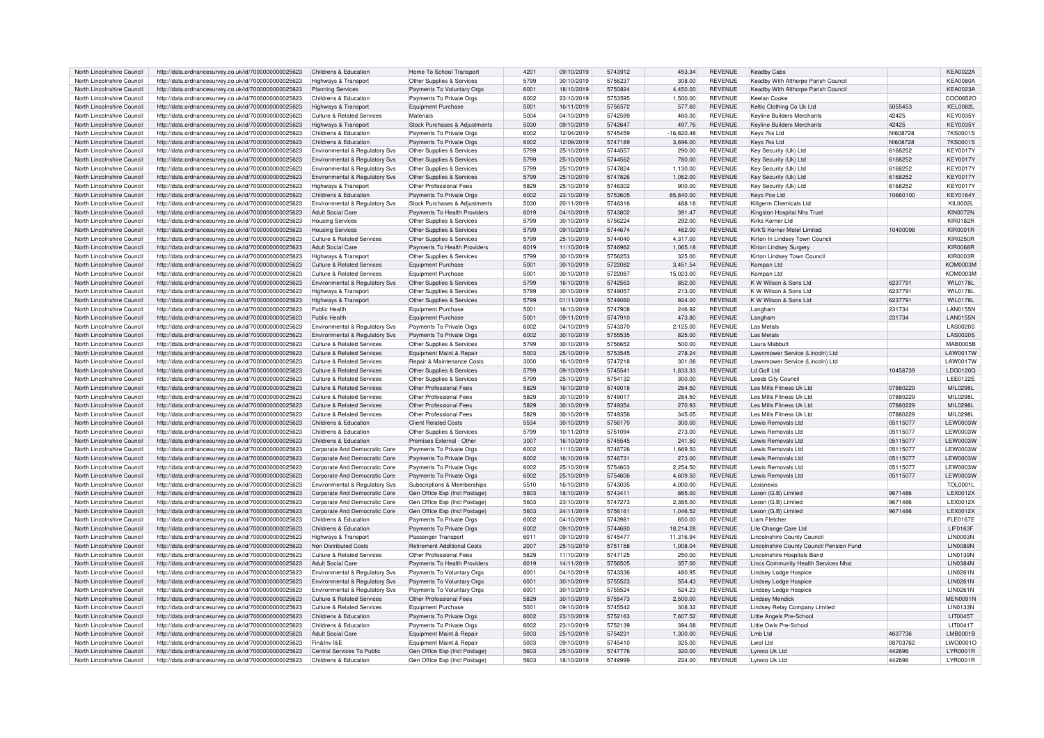| North Lincolnshire Council | http://data.ordnancesurvey.co.uk/id/7000000000025623 | Childrens & Education                         | Home To School Transport           | 4201         | 09/10/2019 | 5743912            | 453.34    | <b>REVENUE</b>                   | Keadby Cabs                                     |          | <b>KEA0022A</b>  |
|----------------------------|------------------------------------------------------|-----------------------------------------------|------------------------------------|--------------|------------|--------------------|-----------|----------------------------------|-------------------------------------------------|----------|------------------|
| North Lincolnshire Council | http://data.ordnancesurvey.co.uk/id/7000000000025623 | Highways & Transport                          | Other Supplies & Services          | 5799         | 30/10/2019 | 5756237            | 308.00    | <b>REVENUE</b>                   | Keadby With Althorpe Parish Council             |          | <b>KEA0080A</b>  |
| North Lincolnshire Council | http://data.ordnancesurvey.co.uk/id/7000000000025623 | <b>Planning Services</b>                      | Payments To Voluntary Orgs         | 6001         | 18/10/2019 | 5750824            | 4,450.00  | <b>REVENUE</b>                   | Keadby With Althorpe Parish Council             |          | <b>KEA0023A</b>  |
| North Lincolnshire Council | http://data.ordnancesurvey.co.uk/id/7000000000025623 | Childrens & Education                         | Payments To Private Orgs           | 6002         | 23/10/2019 | 5753595            | 1,500.00  | <b>REVENUE</b>                   | Keelan Cooke                                    |          | COO0652C         |
| North Lincolnshire Council | http://data.ordnancesurvey.co.uk/id/7000000000025623 | Highways & Transport                          | Equipment Purchase                 | 5001         | 16/11/2019 | 5756572            | 577.60    | <b>REVENUE</b>                   | Keltic Clothing Co Uk Ltd                       | 5055453  | <b>KEL0082L</b>  |
| North Lincolnshire Council | http://data.ordnancesurvey.co.uk/id/7000000000025623 | Culture & Related Services                    | Materials                          | 5004         | 04/10/2019 | 5742599            | 460.00    | <b>REVENUE</b>                   | <b>Keyline Builders Merchants</b>               | 42425    | <b>KEY0035Y</b>  |
| North Lincolnshire Council | http://data.ordnancesurvey.co.uk/id/7000000000025623 | Highways & Transport                          | Stock Purchases & Adjustments      | 5030         | 09/10/2019 | 5742647            | 497.76    | <b>REVENUE</b>                   | <b>Keyline Builders Merchants</b>               | 42425    | KEY0035Y         |
| North Lincolnshire Council | http://data.ordnancesurvey.co.uk/id/7000000000025623 | Childrens & Education                         | Payments To Private Orgs           | 6002         | 12/04/2019 | 5745459            | 16,820.48 | <b>REVENUE</b>                   | Keys 7ks Ltd                                    | NI608728 | 7KS0001S         |
| North Lincolnshire Council | http://data.ordnancesurvey.co.uk/id/7000000000025623 | Childrens & Education                         | Payments To Private Orgs           | 6002         | 12/09/2019 | 5747189            | 3,696.00  | <b>REVENUE</b>                   | Keys 7ks Ltd                                    | NI608728 | 7KS0001S         |
| North Lincolnshire Council | http://data.ordnancesurvey.co.uk/id/7000000000025623 | Environmental & Regulatory Sys                | Other Supplies & Services          | 5799         | 25/10/2019 | 5744557            | 290.00    | <b>REVENUE</b>                   | Key Security (Uk) Ltd                           | 6168252  | <b>KEY0017Y</b>  |
| North Lincolnshire Council | http://data.ordnancesurvey.co.uk/id/7000000000025623 | Environmental & Regulatory Svs                | Other Supplies & Services          | 5799         | 25/10/2019 | 5744562            | 780.00    | <b>REVENUE</b>                   | Key Security (Uk) Ltd                           | 6168252  | <b>KEY0017Y</b>  |
| North Lincolnshire Council | http://data.ordnancesurvey.co.uk/id/7000000000025623 | Environmental & Regulatory Svs                | Other Supplies & Services          | 5799         | 25/10/2019 | 5747824            | 1,130.00  | <b>REVENUE</b>                   | Key Security (Uk) Ltd                           | 6168252  | <b>KEY0017Y</b>  |
| North Lincolnshire Council | http://data.ordnancesurvey.co.uk/id/7000000000025623 | Environmental & Regulatory Svs                | Other Supplies & Services          | 5799         | 25/10/2019 | 5747826            | 1,062.00  | <b>REVENUE</b>                   | Key Security (Uk) Ltd                           | 6168252  | <b>KEY0017Y</b>  |
| North Lincolnshire Council | http://data.ordnancesurvey.co.uk/id/7000000000025623 |                                               | Other Professional Fees            | 5829         | 25/10/2019 | 5746302            | 900.00    | <b>REVENUE</b>                   | Kev Security (Uk) Ltd                           | 6168252  | <b>KEY0017Y</b>  |
| North Lincolnshire Council |                                                      | Highways & Transport<br>Childrens & Education |                                    | 6002         | 23/10/2019 | 5753605            | 85.840.00 | <b>REVENUE</b>                   | <b>Keys Pce Ltd</b>                             |          | <b>KEY0164Y</b>  |
|                            | http://data.ordnancesurvey.co.uk/id/7000000000025623 |                                               | Payments To Private Orgs           | 5030         |            | 5746316            |           |                                  |                                                 | 10660100 | <b>KIL0002L</b>  |
| North Lincolnshire Council | http://data.ordnancesurvey.co.uk/id/7000000000025623 | Environmental & Regulatory Svs                | Stock Purchases & Adjustments      |              | 20/11/2019 |                    | 488.18    | <b>REVENUE</b>                   | Killgerm Chemicals Ltd                          |          |                  |
| North Lincolnshire Council | http://data.ordnancesurvey.co.uk/id/7000000000025623 | <b>Adult Social Care</b>                      | Payments To Health Providers       | 6019<br>5799 | 04/10/2019 | 5743802<br>5756224 | 391.47    | <b>REVENUE</b><br><b>REVENUE</b> | Kingston Hospital Nhs Trust<br>Kirks Korner Ltd |          | <b>KIN0072N</b>  |
| North Lincolnshire Council | http://data.ordnancesurvey.co.uk/id/7000000000025623 | <b>Housing Services</b>                       | Other Supplies & Services          |              | 30/10/2019 |                    | 292.00    |                                  |                                                 |          | <b>KIR0182R</b>  |
| North Lincolnshire Council | http://data.ordnancesurvey.co.uk/id/7000000000025623 | <b>Housing Services</b>                       | Other Supplies & Services          | 5799         | 09/10/2019 | 5744674            | 462.00    | <b>REVENUE</b>                   | Kirk'S Korner Motel Limited                     | 10400098 | KIR0001R         |
| North Lincolnshire Council | http://data.ordnancesurvey.co.uk/id/7000000000025623 | <b>Culture &amp; Related Services</b>         | Other Supplies & Services          | 5799         | 25/10/2019 | 5744040            | 4.317.00  | <b>REVENUE</b>                   | Kirton In Lindsev Town Council                  |          | <b>KIR0250R</b>  |
| North Lincolnshire Council | http://data.ordnancesurvey.co.uk/id/7000000000025623 | Adult Social Care                             | Payments To Health Providers       | 6019         | 11/10/2019 | 5746962            | 1,065.18  | <b>REVENUE</b>                   | Kirton Lindsey Surgery                          |          | <b>KIR0068R</b>  |
| North Lincolnshire Council | http://data.ordnancesurvey.co.uk/id/7000000000025623 | Highways & Transport                          | Other Supplies & Services          | 5799         | 30/10/2019 | 5756253            | 325.00    | <b>REVENUE</b>                   | Kirton Lindsey Town Council                     |          | <b>KIR0003F</b>  |
| North Lincolnshire Council | http://data.ordnancesurvey.co.uk/id/7000000000025623 | Culture & Related Services                    | Equipment Purchase                 | 5001         | 30/10/2019 | 5722082            | 3.451.54  | <b>REVENUE</b>                   | Kompan Ltd                                      |          | <b>KOM0003N</b>  |
| North Lincolnshire Council | http://data.ordnancesurvey.co.uk/id/7000000000025623 | <b>Culture &amp; Related Services</b>         | <b>Equipment Purchase</b>          | 5001         | 30/10/2019 | 5722087            | 15,023.00 | <b>REVENUE</b>                   | Kompan Ltd                                      |          | <b>KOM0003M</b>  |
| North Lincolnshire Council | http://data.ordnancesurvey.co.uk/id/7000000000025623 | Environmental & Regulatory Svs                | Other Supplies & Services          | 5799         | 16/10/2019 | 5742563            | 852.00    | <b>REVENUE</b>                   | K W Wilson & Sons Ltd                           | 6237791  | <b>WIL0178L</b>  |
| North Lincolnshire Council | http://data.ordnancesurvey.co.uk/id/7000000000025623 | Highways & Transport                          | Other Supplies & Services          | 5799         | 30/10/2019 | 5749057            | 213.00    | <b>REVENUE</b>                   | K W Wilson & Sons Ltd                           | 6237791  | <b>WIL0178L</b>  |
| North Lincolnshire Council | http://data.ordnancesurvey.co.uk/id/7000000000025623 | <b>Highways &amp; Transport</b>               | Other Supplies & Services          | 5799         | 01/11/2019 | 5749060            | 924.00    | <b>REVENUE</b>                   | K W Wilson & Sons Ltd                           | 6237791  | <b>WIL0178L</b>  |
| North Lincolnshire Council | http://data.ordnancesurvey.co.uk/id/7000000000025623 | Public Health                                 | Equipment Purchase                 | 5001         | 16/10/2019 | 5747908            | 246.92    | <b>REVENUE</b>                   | Langham                                         | 231734   | <b>LAN0155N</b>  |
| North Lincolnshire Council | http://data.ordnancesurvey.co.uk/id/7000000000025623 | Public Health                                 | <b>Equipment Purchase</b>          | 5001         | 09/11/2019 | 5747910            | 473.80    | <b>REVENUE</b>                   | Langham                                         | 231734   | <b>LAN0155N</b>  |
| North Lincolnshire Council | http://data.ordnancesurvey.co.uk/id/7000000000025623 | Environmental & Regulatory Svs                | Payments To Private Orgs           | 6002         | 04/10/2019 | 5743370            | 2,125.00  | <b>REVENUE</b>                   | <b>Las Metals</b>                               |          | <b>LAS0020S</b>  |
| North Lincolnshire Council | http://data.ordnancesurvey.co.uk/id/7000000000025623 | Environmental & Regulatory Svs                | Payments To Private Orgs           | 6002         | 30/10/2019 | 5755535            | 825.00    | <b>REVENUE</b>                   | Las Metals                                      |          | LAS0020S         |
| North Lincolnshire Council | http://data.ordnancesurvey.co.uk/id/7000000000025623 | Culture & Related Services                    | Other Supplies & Services          | 5799         | 30/10/2019 | 5756652            | 500.00    | <b>REVENUE</b>                   | Laura Mabbut                                    |          | <b>MAB0005E</b>  |
| North Lincolnshire Council | http://data.ordnancesurvey.co.uk/id/7000000000025623 | Culture & Related Services                    | Equipment Maint.& Repair           | 5003         | 25/10/2019 | 5753545            | 278.24    | <b>REVENUE</b>                   | Lawnmower Service (Lincoln) Ltd                 |          | <b>LAW0017W</b>  |
| North Lincolnshire Council | http://data.ordnancesurvey.co.uk/id/7000000000025623 | <b>Culture &amp; Related Services</b>         | Repair & Maintenance Costs         | 3000         | 16/10/2019 | 5747218            | 301.08    | <b>REVENUE</b>                   | Lawnmower Service (Lincoln) Ltd                 |          | LAW0017W         |
| North Lincolnshire Council | http://data.ordnancesurvey.co.uk/id/7000000000025623 | <b>Culture &amp; Related Services</b>         | Other Supplies & Services          | 5799         | 09/10/2019 | 5745541            | 1,833.33  | REVENUE                          | Ld Golf Ltd                                     | 10458739 | LDG0120G         |
| North Lincolnshire Council | http://data.ordnancesurvey.co.uk/id/7000000000025623 | Culture & Related Services                    | Other Supplies & Services          | 5799         | 25/10/2019 | 5754132            | 300.00    | <b>REVENUE</b>                   | Leeds City Council                              |          | <b>LEE0122E</b>  |
| North Lincolnshire Council | http://data.ordnancesurvey.co.uk/id/7000000000025623 | <b>Culture &amp; Related Services</b>         | Other Professional Fees            | 5829         | 16/10/2019 | 5749018            | 284.50    | <b>REVENUE</b>                   | Les Mills Fitness Uk Ltd                        | 07880229 | MIL0298L         |
| North Lincolnshire Council | http://data.ordnancesurvey.co.uk/id/7000000000025623 | Culture & Related Services                    | Other Professional Fees            | 5829         | 30/10/2019 | 5749017            | 284.50    | <b>REVENUE</b>                   | Les Mills Fitness Uk Ltd                        | 07880229 | MIL0298L         |
| North Lincolnshire Council | http://data.ordnancesurvey.co.uk/id/7000000000025623 | <b>Culture &amp; Related Services</b>         | Other Professional Fees            | 5829         | 30/10/2019 | 5749354            | 270.93    | <b>REVENUE</b>                   | Les Mills Fitness Uk Ltd                        | 07880229 | MIL0298L         |
| North Lincolnshire Council | http://data.ordnancesurvey.co.uk/id/7000000000025623 | <b>Culture &amp; Related Services</b>         | Other Professional Fees            | 5829         | 30/10/2019 | 5749356            | 345.05    | <b>REVENUE</b>                   | Les Mills Fitness Uk Ltd                        | 07880229 | MIL0298L         |
| North Lincolnshire Council | http://data.ordnancesurvey.co.uk/id/7000000000025623 | Childrens & Education                         | <b>Client Related Costs</b>        | 5534         | 30/10/2019 | 5756170            | 300.00    | <b>REVENUE</b>                   | Lewis Removals Ltd                              | 05115077 | LEW0003W         |
| North Lincolnshire Council | http://data.ordnancesurvey.co.uk/id/7000000000025623 | Childrens & Education                         | Other Supplies & Services          | 5799         | 10/11/2019 | 5751094            | 273.00    | <b>REVENUE</b>                   | Lewis Removals Ltd                              | 05115077 | <b>LEW0003W</b>  |
| North Lincolnshire Council | http://data.ordnancesurvey.co.uk/id/7000000000025623 | Childrens & Education                         | Premises External - Other          | 3007         | 16/10/2019 | 5745545            | 241.50    | <b>REVENUE</b>                   | Lewis Removals Ltd                              | 05115077 | LEW0003W         |
| North Lincolnshire Council | http://data.ordnancesurvey.co.uk/id/7000000000025623 | Corporate And Democratic Core                 | Payments To Private Orgs           | 6002         | 11/10/2019 | 5746726            | 1,669.50  | <b>REVENUE</b>                   | Lewis Removals Ltd                              | 05115077 | LEW0003W         |
| North Lincolnshire Council | http://data.ordnancesurvey.co.uk/id/7000000000025623 | Corporate And Democratic Core                 | Payments To Private Orgs           | 6002         | 16/10/2019 | 5746731            | 273.00    | <b>REVENUE</b>                   | Lewis Removals Ltd                              | 05115077 | LEW0003W         |
| North Lincolnshire Council | http://data.ordnancesurvey.co.uk/id/7000000000025623 | Corporate And Democratic Core                 | Payments To Private Orgs           | 6002         | 25/10/2019 | 5754603            | 2.254.50  | <b>REVENUE</b>                   | Lewis Removals Ltd                              | 05115077 | <b>I EW0003V</b> |
| North Lincolnshire Council | http://data.ordnancesurvey.co.uk/id/7000000000025623 | Corporate And Democratic Core                 | Payments To Private Orgs           | 6002         | 25/10/2019 | 5754606            | 4,609.50  | <b>REVENUE</b>                   | Lewis Removals Ltd                              | 05115077 | LEW0003W         |
| North Lincolnshire Council | http://data.ordnancesurvey.co.uk/id/7000000000025623 | Environmental & Regulatory Svs                | Subscriptions & Memberships        | 5510         | 16/10/2019 | 5743035            | 4.000.00  | <b>REVENUE</b>                   | Lexisnexis                                      |          | <b>TOL0001L</b>  |
| North Lincolnshire Council | http://data.ordnancesurvey.co.uk/id/7000000000025623 | Corporate And Democratic Core                 | Gen Office Exp (Incl Postage)      | 5603         | 18/10/2019 | 5743411            | 865.00    | <b>REVENUE</b>                   | Lexon (G.B) Limited                             | 9671486  | <b>LEX0012X</b>  |
| North Lincolnshire Council | http://data.ordnancesurvey.co.uk/id/7000000000025623 | Corporate And Democratic Core                 | Gen Office Exp (Incl Postage)      | 5603         | 23/10/2019 | 5747273            | 2,385.00  | <b>REVENUE</b>                   | Lexon (G.B) Limited                             | 9671486  | LEX0012X         |
| North Lincolnshire Council | http://data.ordnancesurvey.co.uk/id/7000000000025623 | Corporate And Democratic Core                 | Gen Office Exp (Incl Postage)      | 5603         | 24/11/2019 | 5756161            | 1,046.52  | <b>REVENUE</b>                   | Lexon (G.B) Limited                             | 9671486  | <b>LEX0012X</b>  |
| North Lincolnshire Council | http://data.ordnancesurvey.co.uk/id/7000000000025623 | Childrens & Education                         | Payments To Private Orgs           | 6002         | 04/10/2019 | 574398             | 650.00    | <b>REVENUE</b>                   | Liam Fletcher                                   |          | <b>FLE0167E</b>  |
| North Lincolnshire Council | http://data.ordnancesurvey.co.uk/id/7000000000025623 | Childrens & Education                         | Payments To Private Orgs           | 6002         | 09/10/2019 | 5744680            | 18.214.28 | <b>REVENUE</b>                   | Life Change Care Ltd                            |          | LIF0163F         |
| North Lincolnshire Council | http://data.ordnancesurvey.co.uk/id/7000000000025623 | Highways & Transport                          | Passenger Transpor                 | 6011         | 09/10/2019 | 5745477            | 11,316.94 | <b>REVENUE</b>                   | Lincolnshire County Council                     |          | <b>LIN0003N</b>  |
| North Lincolnshire Council | http://data.ordnancesurvey.co.uk/id/7000000000025623 | Non Distributed Costs                         | <b>Retirement Additional Costs</b> | 2007         | 25/10/2019 | 5751158            | 1,008.04  | <b>REVENUE</b>                   | Lincolnshire County Council Pension Fund        |          | <b>LIN0089N</b>  |
| North Lincolnshire Council | http://data.ordnancesurvey.co.uk/id/7000000000025623 | Culture & Related Services                    | Other Professional Fees            | 5829         | 11/10/2019 | 5747125            | 250.00    | <b>REVENUE</b>                   | Lincolnshire Hospitals Band                     |          | <b>LIN0139N</b>  |
|                            |                                                      |                                               |                                    |              |            |                    |           |                                  |                                                 |          |                  |
| North Lincolnshire Council | http://data.ordnancesurvey.co.uk/id/7000000000025623 | <b>Adult Social Care</b>                      | Payments To Health Providers       | 6019         | 14/11/2019 | 5756505            | 357.00    | <b>REVENUE</b>                   | Lincs Community Health Services Nhst            |          | <b>LIN0384N</b>  |
| North Lincolnshire Council | http://data.ordnancesurvey.co.uk/id/7000000000025623 | Environmental & Regulatory Svs                | Payments To Voluntary Orgs         | 6001         | 04/10/2019 | 5743336            | 480.95    | <b>REVENUE</b>                   | Lindsey Lodge Hospice                           |          | LIN0261N         |
| North Lincolnshire Council | http://data.ordnancesurvey.co.uk/id/7000000000025623 | Environmental & Regulatory Svs                | Payments To Voluntary Orgs         | 6001         | 30/10/2019 | 5755523            | 554.43    | <b>REVENUE</b>                   | <b>Lindsey Lodge Hospice</b>                    |          | <b>LIN0261N</b>  |
| North Lincolnshire Council | http://data.ordnancesurvey.co.uk/id/7000000000025623 | Environmental & Regulatory Svs                | Payments To Voluntary Orgs         | 6001         | 30/10/2019 | 5755524            | 524.23    | <b>REVENUE</b>                   | Lindsey Lodge Hospice                           |          | LIN0261N         |
| North Lincolnshire Council | http://data.ordnancesurvey.co.uk/id/7000000000025623 | Culture & Related Services                    | Other Professional Fees            | 5829         | 30/10/2019 | 5755473            | 2,500.00  | <b>REVENUE</b>                   | <b>Lindsey Mendick</b>                          |          | MEN0091          |
| North Lincolnshire Council | http://data.ordnancesurvey.co.uk/id/7000000000025623 | Culture & Related Services                    | Equipment Purchase                 | 5001         | 09/10/2019 | 5745542            | 308.32    | <b>REVENUE</b>                   | <b>Lindsey Relay Company Limited</b>            |          | <b>LIN0133N</b>  |
| North Lincolnshire Council | http://data.ordnancesurvey.co.uk/id/7000000000025623 | Childrens & Education                         | Payments To Private Orgs           | 6002         | 23/10/2019 | 5752163            | 7,607.52  | <b>REVENUE</b>                   | Little Angels Pre-School                        |          | LIT0045T         |
| North Lincolnshire Council | http://data.ordnancesurvey.co.uk/id/7000000000025623 | Childrens & Education                         | Payments To Private Orgs           | 6002         | 23/10/2019 | 5752139            | 394.08    | <b>REVENUE</b>                   | Little Owls Pre-School                          |          | LIT0041T         |
| North Lincolnshire Council | http://data.ordnancesurvey.co.uk/id/7000000000025623 | <b>Adult Social Care</b>                      | Equipment Maint.& Repair           | 5003         | 25/10/2019 | 575423             | 1.300.00  | <b>REVENUE</b>                   | LmbLtd                                          | 4637736  | <b>LMB0001E</b>  |
| North Lincolnshire Council | http://data.ordnancesurvey.co.uk/id/7000000000025623 | Fin&Inv I&F                                   | Equipment Maint.& Repair           | 5003         | 09/10/2019 | 5745410            | 325.00    | <b>REVENUE</b>                   | ht I low I                                      | 08703762 | I WO00010        |
| North Lincolnshire Council | http://data.ordnancesurvey.co.uk/id/7000000000025623 | Central Services To Public                    | Gen Office Exp (Incl Postage)      | 5603         | 25/10/2019 | 5747776            | 320.00    | <b>REVENUE</b>                   | Lyreco Uk Ltd                                   | 442696   | LYR0001R         |
| North Lincolnshire Council | http://data.ordnancesurvey.co.uk/id/7000000000025623 | Childrens & Education                         | Gen Office Exp (Incl Postage)      | 5603         | 18/10/2019 | 5749999            | 224.00    | <b>REVENUE</b>                   | Lyreco Uk Ltd                                   | 442696   | LYR0001R         |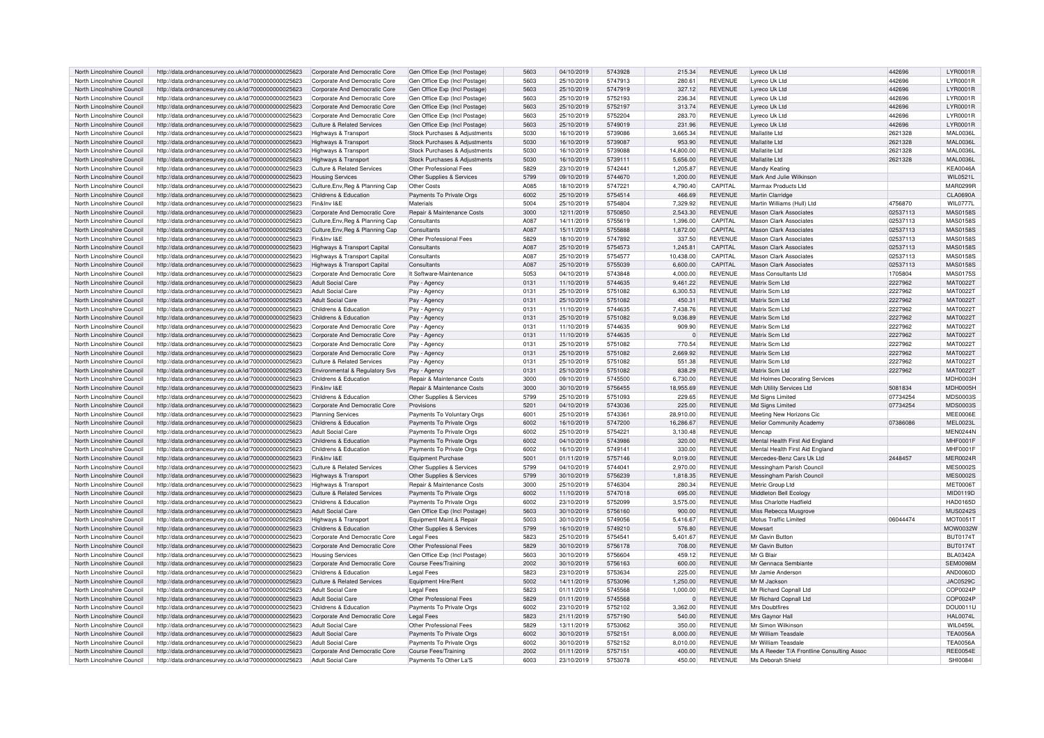| North Lincolnshire Council | http://data.ordnancesurvey.co.uk/id/7000000000025623 | Corporate And Democratic Core         | Gen Office Exp (Incl Postage) | 5603 | 04/10/2019 | 5743928 | 215.34    | <b>REVENUE</b> | Lyreco Uk Ltd                              | 442696   | LYR0001R        |
|----------------------------|------------------------------------------------------|---------------------------------------|-------------------------------|------|------------|---------|-----------|----------------|--------------------------------------------|----------|-----------------|
| North Lincolnshire Council | http://data.ordnancesurvey.co.uk/id/7000000000025623 | Corporate And Democratic Core         | Gen Office Exp (Incl Postage) | 5603 | 25/10/2019 | 5747913 | 280.61    | REVENUE        | Lyreco Uk Ltd                              | 442696   | LYR0001R        |
| North Lincolnshire Council | http://data.ordnancesurvey.co.uk/id/7000000000025623 | Corporate And Democratic Core         | Gen Office Exp (Incl Postage) | 5603 | 25/10/2019 | 5747919 | 327.12    | <b>REVENUE</b> | Lyreco Uk Ltd                              | 442696   | LYR0001R        |
| North Lincolnshire Council |                                                      | Corporate And Democratic Core         |                               | 5603 | 25/10/2019 | 5752193 | 236.34    | REVENUE        |                                            | 442696   | LYR0001R        |
|                            | http://data.ordnancesurvey.co.uk/id/7000000000025623 |                                       | Gen Office Exp (Incl Postage) |      |            |         |           |                | Lyreco Uk Ltd                              |          |                 |
| North Lincolnshire Council | http://data.ordnancesurvey.co.uk/id/7000000000025623 | Corporate And Democratic Core         | Gen Office Exp (Incl Postage) | 5603 | 25/10/2019 | 5752197 | 313.74    | <b>REVENUE</b> | Lyreco Uk Ltd                              | 442696   | LYR0001R        |
| North Lincolnshire Council | http://data.ordnancesurvey.co.uk/id/7000000000025623 | Corporate And Democratic Core         | Gen Office Exp (Incl Postage) | 5603 | 25/10/2019 | 5752204 | 283.70    | <b>REVENUE</b> | Lyreco Uk Ltd                              | 442696   | LYR0001R        |
| North Lincolnshire Council | http://data.ordnancesurvey.co.uk/id/7000000000025623 | <b>Culture &amp; Related Services</b> | Gen Office Exp (Incl Postage) | 5603 | 25/10/2019 | 5749019 | 231.96    | <b>REVENUE</b> | Lyreco Uk Ltd                              | 442696   | LYR0001R        |
| North Lincolnshire Council | http://data.ordnancesurvey.co.uk/id/7000000000025623 | Highways & Transport                  | Stock Purchases & Adjustments | 5030 | 16/10/2019 | 5739086 | 3.665.34  | REVENUE        | Mallatite Ltd                              | 2621328  | <b>MAL0036L</b> |
| North Lincolnshire Council | http://data.ordnancesurvey.co.uk/id/7000000000025623 | Highways & Transport                  | Stock Purchases & Adiustments | 5030 | 16/10/2019 | 5739087 | 953.90    | <b>REVENUE</b> | Mallatite Ltd                              | 2621328  | <b>MAL0036L</b> |
| North Lincolnshire Council | http://data.ordnancesurvey.co.uk/id/7000000000025623 | Highways & Transport                  | Stock Purchases & Adjustments | 5030 | 16/10/2019 | 5739088 | 14,800.00 | REVENUE        | Mallatite Ltd                              | 2621328  | <b>MAL0036I</b> |
| North Lincolnshire Council | http://data.ordnancesurvey.co.uk/id/7000000000025623 | Highways & Transport                  | Stock Purchases & Adjustments | 5030 | 16/10/2019 | 573911  | 5,656.00  | <b>REVENUE</b> | Mallatite Ltd                              | 2621328  | <b>MAL0036L</b> |
| North Lincolnshire Council | http://data.ordnancesurvey.co.uk/id/7000000000025623 | Culture & Related Services            | Other Professional Fees       | 5829 | 23/10/2019 | 5742441 | 1,205.87  | <b>REVENUE</b> | Mandy Keating                              |          | <b>KEA0046A</b> |
| North Lincolnshire Council | http://data.ordnancesurvey.co.uk/id/7000000000025623 | <b>Housing Services</b>               | Other Supplies & Services     | 5799 | 09/10/2019 | 5744670 | 1,200.00  | <b>REVENUE</b> | Mark And Julie Wilkinson                   |          | WIL0521         |
|                            |                                                      |                                       |                               |      |            |         |           |                |                                            |          |                 |
| North Lincolnshire Council | http://data.ordnancesurvey.co.uk/id/7000000000025623 | Culture, Env, Reg & Planning Cap      | Other Costs                   | A085 | 18/10/2019 | 5747221 | 4.790.40  | CAPITAL        | Marmax Products Ltd                        |          | <b>MAR0299R</b> |
| North Lincolnshire Council | http://data.ordnancesurvey.co.uk/id/7000000000025623 | Childrens & Education                 | Payments To Private Orgs      | 6002 | 25/10/2019 | 5754514 | 466.69    | <b>REVENUE</b> | Martin Clarridge                           |          | <b>CLA0690A</b> |
| North Lincolnshire Council | http://data.ordnancesurvey.co.uk/id/7000000000025623 | Fin&Inv I&F                           | Materials                     | 5004 | 25/10/2019 | 5754804 | 7,329.92  | <b>REVENUE</b> | Martin Williams (Hull) Ltd                 | 4756870  | WIL0777L        |
| North Lincolnshire Council | http://data.ordnancesurvey.co.uk/id/7000000000025623 | Corporate And Democratic Core         | Repair & Maintenance Costs    | 3000 | 12/11/2019 | 5750850 | 2.543.30  | <b>REVENUE</b> | Mason Clark Associates                     | 02537113 | <b>MAS0158S</b> |
| North Lincolnshire Council | http://data.ordnancesurvey.co.uk/id/7000000000025623 | Culture, Env, Reg & Planning Cap      | Consultants                   | A087 | 14/11/2019 | 5755619 | 1,396.00  | CAPITAL        | <b>Mason Clark Associates</b>              | 02537113 | <b>MAS0158S</b> |
| North Lincolnshire Council | http://data.ordnancesurvey.co.uk/id/7000000000025623 | Culture, Env, Reg & Planning Cap      | Consultants                   | A087 | 15/11/2019 | 5755888 | 1,872.00  | CAPITAL        | <b>Mason Clark Associates</b>              | 02537113 | <b>MAS0158S</b> |
| North Lincolnshire Council | http://data.ordnancesurvey.co.uk/id/7000000000025623 | Fin&Inv I&F                           | Other Professional Fees       | 5829 | 18/10/2019 | 5747892 | 337.50    | <b>REVENUE</b> | Mason Clark Associates                     | 02537113 | <b>MAS0158S</b> |
| North Lincolnshire Council | http://data.ordnancesurvey.co.uk/id/7000000000025623 | Highways & Transport Capital          | Consultants                   | A087 | 25/10/2019 | 5754573 | 1.245.81  | CAPITAL        | Mason Clark Associates                     | 02537113 | <b>MAS0158S</b> |
| North Lincolnshire Council | http://data.ordnancesurvey.co.uk/id/7000000000025623 | Highways & Transport Capital          | Consultants                   | A087 | 25/10/2019 | 5754577 | 10,438.00 | CAPITAL        | Mason Clark Associates                     | 02537113 | <b>MAS0158S</b> |
|                            |                                                      |                                       |                               | A087 |            | 5755039 |           |                |                                            |          | <b>MAS0158S</b> |
| North Lincolnshire Council | http://data.ordnancesurvey.co.uk/id/7000000000025623 | Highways & Transport Capital          | Consultants                   |      | 25/10/2019 |         | 6,600.00  | CAPITAL        | <b>Mason Clark Associates</b>              | 02537113 |                 |
| North Lincolnshire Council | http://data.ordnancesurvey.co.uk/id/7000000000025623 | Corporate And Democratic Core         | It Software-Maintenance       | 5053 | 04/10/2019 | 5743848 | 4,000.00  | <b>REVENUE</b> | Mass Consultants Ltd                       | 1705804  | <b>MAS0175S</b> |
| North Lincolnshire Council | http://data.ordnancesurvey.co.uk/id/7000000000025623 | <b>Adult Social Care</b>              | Pay - Agency                  | 0131 | 11/10/2019 | 5744635 | 9,461.22  | <b>REVENUE</b> | Matrix Scm Ltd                             | 2227962  | <b>MAT0022T</b> |
| North Lincolnshire Council | http://data.ordnancesurvey.co.uk/id/7000000000025623 | Adult Social Care                     | Pay - Agency                  | 0131 | 25/10/2019 | 5751082 | 6,300.53  | <b>REVENUE</b> | Matrix Scm Ltd                             | 2227962  | MAT0022T        |
| North Lincolnshire Council | http://data.ordnancesurvev.co.uk/id/7000000000025623 | Adult Social Care                     | Pay - Agency                  | 0131 | 25/10/2019 | 5751082 | 450.31    | <b>REVENUE</b> | Matrix Scm Ltd                             | 2227962  | MAT0022T        |
| North Lincolnshire Council | http://data.ordnancesurvey.co.uk/id/7000000000025623 | Childrens & Education                 | Pay - Agency                  | 0131 | 11/10/2019 | 5744635 | 7,438.76  | <b>REVENUE</b> | Matrix Scm Ltd                             | 2227962  | MAT0022T        |
| North Lincolnshire Council | http://data.ordnancesurvey.co.uk/id/7000000000025623 | Childrens & Education                 | Pay - Agency                  | 0131 | 25/10/2019 | 5751082 | 9,036.89  | <b>REVENUE</b> | Matrix Scm Ltd                             | 2227962  | <b>MAT0022T</b> |
| North Lincolnshire Council | http://data.ordnancesurvey.co.uk/id/7000000000025623 | Corporate And Democratic Core         | Pay - Agency                  | 0131 | 11/10/2019 | 5744635 | 909.90    | <b>REVENUE</b> | Matrix Scm Ltr                             | 2227962  | MAT0022T        |
| North Lincolnshire Council | http://data.ordnancesurvey.co.uk/id/7000000000025623 | Corporate And Democratic Core         | Pay - Agency                  | 0131 | 11/10/2019 | 5744635 |           | <b>REVENUE</b> | Matrix Scm Ltd                             | 2227962  | MAT0022T        |
| North Lincolnshire Council | http://data.ordnancesurvey.co.uk/id/7000000000025623 | Corporate And Democratic Core         | Pay - Agency                  | 0131 | 25/10/2019 | 5751082 | 770.54    | <b>REVENUE</b> | Matrix Scm Ltd                             | 2227962  | MAT0022T        |
|                            |                                                      |                                       |                               |      |            |         |           |                |                                            |          |                 |
| North Lincolnshire Council | http://data.ordnancesurvey.co.uk/id/7000000000025623 | Corporate And Democratic Core         | Pay - Agency                  | 0131 | 25/10/2019 | 5751082 | 2,669.92  | <b>REVENUE</b> | Matrix Scm Ltd                             | 2227962  | <b>MAT0022T</b> |
| North Lincolnshire Council | http://data.ordnancesurvey.co.uk/id/7000000000025623 | <b>Culture &amp; Related Services</b> | Pay - Agency                  | 0131 | 25/10/2019 | 5751082 | 551.38    | <b>REVENUE</b> | Matrix Scm Ltd                             | 2227962  | MAT00227        |
| North Lincolnshire Council | http://data.ordnancesurvey.co.uk/id/7000000000025623 | Environmental & Regulatory Svs        | Pay - Agency                  | 0131 | 25/10/2019 | 5751082 | 838.29    | <b>REVENUE</b> | Matrix Scm Ltd                             | 2227962  | MAT0022T        |
| North Lincolnshire Council | http://data.ordnancesurvey.co.uk/id/7000000000025623 | Childrens & Education                 | Repair & Maintenance Costs    | 3000 | 09/10/2019 | 5745500 | 6,730.00  | <b>REVENUE</b> | Md Holmes Decorating Services              |          | <b>MDH0003H</b> |
| North Lincolnshire Council | http://data.ordnancesurvey.co.uk/id/7000000000025623 | Fin&Inv I&F                           | Repair & Maintenance Costs    | 3000 | 30/10/2019 | 5756455 | 18,955.69 | <b>REVENUE</b> | Mdh Utility Services Ltd                   | 5081834  | MDH0005H        |
| North Lincolnshire Council | http://data.ordnancesurvey.co.uk/id/7000000000025623 | Childrens & Education                 | Other Supplies & Services     | 5799 | 25/10/2019 | 5751093 | 229.65    | <b>REVENUE</b> | Md Signs Limited                           | 07734254 | <b>MDS0003S</b> |
| North Lincolnshire Council | http://data.ordnancesurvey.co.uk/id/7000000000025623 | Corporate And Democratic Core         | Provisions                    | 5201 | 04/10/2019 | 5743036 | 225.00    | <b>REVENUE</b> | Md Signs Limited                           | 07734254 | <b>MDS0003S</b> |
| North Lincolnshire Council | http://data.ordnancesurvey.co.uk/id/7000000000025623 | <b>Planning Services</b>              | Payments To Voluntary Orgs    | 6001 | 25/10/2019 | 574336  | 28.910.00 | <b>REVENUE</b> | Meeting New Horizons Cic                   |          | <b>MEE0006E</b> |
| North Lincolnshire Council | http://data.ordnancesurvey.co.uk/id/7000000000025623 | Childrens & Education                 | Payments To Private Orgs      | 6002 | 16/10/2019 | 5747200 | 16,286.67 | <b>REVENUE</b> | Melior Community Academy                   | 07386086 | <b>MEL0023L</b> |
| North Lincolnshire Council |                                                      | Adult Social Care                     | Payments To Private Orgs      | 6002 | 25/10/2019 | 5754221 | 3.130.48  | <b>REVENUE</b> | Mencan                                     |          | MEN0244N        |
|                            | http://data.ordnancesurvey.co.uk/id/7000000000025623 |                                       |                               |      |            |         |           |                |                                            |          |                 |
| North Lincolnshire Council | http://data.ordnancesurvey.co.uk/id/7000000000025623 | Childrens & Education                 | Payments To Private Orgs      | 6002 | 04/10/2019 | 5743986 | 320.00    | <b>REVENUE</b> | Mental Health First Aid England            |          | <b>MHF0001F</b> |
| North Lincolnshire Council | http://data.ordnancesurvey.co.uk/id/7000000000025623 | Childrens & Education                 | Payments To Private Orgs      | 6002 | 16/10/2019 | 5749141 | 330.00    | <b>REVENUE</b> | Mental Health First Aid England            |          | <b>MHF0001F</b> |
| North Lincolnshire Council | http://data.ordnancesurvey.co.uk/id/7000000000025623 | Fin&Inv I&F                           | Equipment Purchase            | 5001 | 01/11/2019 | 5757146 | 9.019.00  | <b>REVENUE</b> | Mercedes-Benz Cars Uk Ltd                  | 2448457  | <b>MER0024R</b> |
| North Lincolnshire Council | http://data.ordnancesurvey.co.uk/id/7000000000025623 | <b>Culture &amp; Related Services</b> | Other Supplies & Services     | 5799 | 04/10/2019 | 5744041 | 2,970.00  | <b>REVENUE</b> | Messingham Parish Council                  |          | <b>MES0002S</b> |
| North Lincolnshire Council | http://data.ordnancesurvey.co.uk/id/7000000000025623 | Highways & Transport                  | Other Supplies & Services     | 5799 | 30/10/2019 | 5756239 | 1,818.35  | <b>REVENUE</b> | Messingham Parish Counci                   |          | <b>MES0002S</b> |
| North Lincolnshire Council | http://data.ordnancesurvey.co.uk/id/7000000000025623 | Highways & Transport                  | Repair & Maintenance Costs    | 3000 | 25/10/2019 | 5746304 | 280.34    | <b>REVENUE</b> | Metric Group Ltd                           |          | MET0006T        |
| North Lincolnshire Council | http://data.ordnancesurvey.co.uk/id/7000000000025623 | <b>Culture &amp; Related Services</b> | Payments To Private Orgs      | 6002 | 11/10/2019 | 5747018 | 695.00    | <b>REVENUE</b> | Middleton Bell Ecology                     |          | MID0119D        |
| North Lincolnshire Council | http://data.ordnancesurvey.co.uk/id/7000000000025623 | Childrens & Education                 | Payments To Private Orgs      | 6002 | 23/10/2019 | 5752099 | 3.575.00  | <b>REVENUE</b> | Miss Charlotte Hadfield                    |          | HAD0165D        |
| North Lincolnshire Council | http://data.ordnancesurvey.co.uk/id/7000000000025623 | Adult Social Care                     | Gen Office Exp (Incl Postage  | 5603 | 30/10/2019 | 5756160 | 900.00    | <b>REVENUE</b> | Miss Rebecca Musgrove                      |          | <b>MUS0242S</b> |
| North Lincolnshire Council | http://data.ordnancesurvey.co.uk/id/7000000000025623 | Highways & Transport                  | Equipment Maint.& Repai       | 5003 | 30/10/2019 | 5749056 | 5,416.67  | <b>REVENUE</b> | Motus Traffic Limited                      | 06044474 | MOT0051T        |
| North Lincolnshire Council | http://data.ordnancesurvey.co.uk/id/7000000000025623 | Childrens & Education                 | Other Supplies & Services     | 5799 | 16/10/2019 | 5749210 | 576.80    | <b>REVENUE</b> | Mowsart                                    |          | MOW0032W        |
|                            |                                                      |                                       |                               |      |            |         |           |                |                                            |          |                 |
| North Lincolnshire Council | http://data.ordnancesurvey.co.uk/id/7000000000025623 | Corporate And Democratic Core         | <b>Legal Fees</b>             | 5823 | 25/10/2019 | 575454  | 5,401.67  | <b>REVENUE</b> | Mr Gavin Buttor                            |          | <b>BUT0174T</b> |
| North Lincolnshire Council | http://data.ordnancesurvey.co.uk/id/7000000000025623 | Corporate And Democratic Core         | Other Professional Fees       | 5829 | 30/10/2019 | 5756178 | 708.00    | <b>REVENUE</b> | Mr Gavin Button                            |          | <b>BUT0174T</b> |
| North Lincolnshire Council | http://data.ordnancesurvey.co.uk/id/7000000000025623 | <b>Housing Services</b>               | Gen Office Exp (Incl Postage) | 5603 | 30/10/2019 | 5756604 | 459.12    | <b>REVENUE</b> | Mr G Blair                                 |          | <b>BLA0342A</b> |
| North Lincolnshire Council | http://data.ordnancesurvey.co.uk/id/7000000000025623 | Corporate And Democratic Core         | Course Fees/Training          | 2002 | 30/10/2019 | 5756163 | 600.00    | <b>REVENUE</b> | Mr Gennaca Sembiante                       |          | SEM0098M        |
| North Lincolnshire Council | http://data.ordnancesurvey.co.uk/id/7000000000025623 | Childrens & Education                 | <b>Legal Fees</b>             | 5823 | 23/10/2019 | 5753634 | 225.00    | <b>REVENUE</b> | Mr Jamie Anderson                          |          | AND0060D        |
| North Lincolnshire Council | http://data.ordnancesurvey.co.uk/id/7000000000025623 | Culture & Related Services            | Equipment Hire/Rent           | 5002 | 14/11/2019 | 5753096 | 1,250.00  | <b>REVENUE</b> | Mr M Jackson                               |          | JAC0529C        |
| North Lincolnshire Council | http://data.ordnancesurvey.co.uk/id/7000000000025623 | Adult Social Care                     | Legal Fees                    | 5823 | 01/11/2019 | 5745568 | 1.000.00  | <b>REVENUE</b> | Mr Richard Copnall Ltd                     |          | COP0024F        |
| North Lincolnshire Council | http://data.ordnancesurvey.co.uk/id/7000000000025623 | <b>Adult Social Care</b>              | Other Professional Fees       | 5829 | 01/11/2019 | 5745568 | $\Omega$  | <b>REVENUE</b> | Mr Richard Copnall Ltd                     |          | COP0024P        |
| North Lincolnshire Council | http://data.ordnancesurvey.co.uk/id/7000000000025623 | Childrens & Education                 | Payments To Private Orgs      | 6002 | 23/10/2019 | 5752102 | 3,362.00  | <b>REVENUE</b> | Mrs Doubtfires                             |          | DOU0011L        |
|                            |                                                      |                                       |                               |      |            |         |           |                |                                            |          |                 |
| North Lincolnshire Council | http://data.ordnancesurvey.co.uk/id/7000000000025623 | Corporate And Democratic Core         | Legal Fees                    | 5823 | 21/11/2019 | 5757190 | 540.00    | <b>REVENUE</b> | Mrs Gavnor Hall                            |          | <b>HAL0074L</b> |
| North Lincolnshire Council | http://data.ordnancesurvey.co.uk/id/7000000000025623 | Adult Social Care                     | Other Professional Fees       | 5829 | 13/11/2019 | 5753062 | 350.00    | <b>REVENUE</b> | Mr Simon Wilkinson                         |          | <b>WIL0459I</b> |
| North Lincolnshire Council | http://data.ordnancesurvey.co.uk/id/7000000000025623 | <b>Adult Social Care</b>              | Payments To Private Orgs      | 6002 | 30/10/2019 | 575215  | 8.000.00  | <b>REVENUE</b> | Mr William Teasdale                        |          | TFA0056A        |
| North Lincolnshire Council | http://data.ordnancesurvey.co.uk/id/7000000000025623 | Adult Social Care                     | Payments To Private Orgs      | 6002 | 30/10/2019 | 5752152 | 8.010.00  | <b>REVENUE</b> | Mr William Teasdale                        |          | <b>TEA0056A</b> |
| North Lincolnshire Council | http://data.ordnancesurvey.co.uk/id/7000000000025623 | Corporate And Democratic Core         | Course Fees/Training          | 2002 | 01/11/2019 | 5757151 | 400.00    | <b>REVENUE</b> | Ms A Reeder T/A Frontline Consulting Assoc |          | <b>REE0054E</b> |
| North Lincolnshire Council | http://data.ordnancesurvey.co.uk/id/7000000000025623 | Adult Social Care                     | Payments To Other La'S        | 6003 | 23/10/2019 | 5753078 | 450.00    | <b>REVENUE</b> | Ms Deborah Shield                          |          | <b>SHI0084I</b> |
|                            |                                                      |                                       |                               |      |            |         |           |                |                                            |          |                 |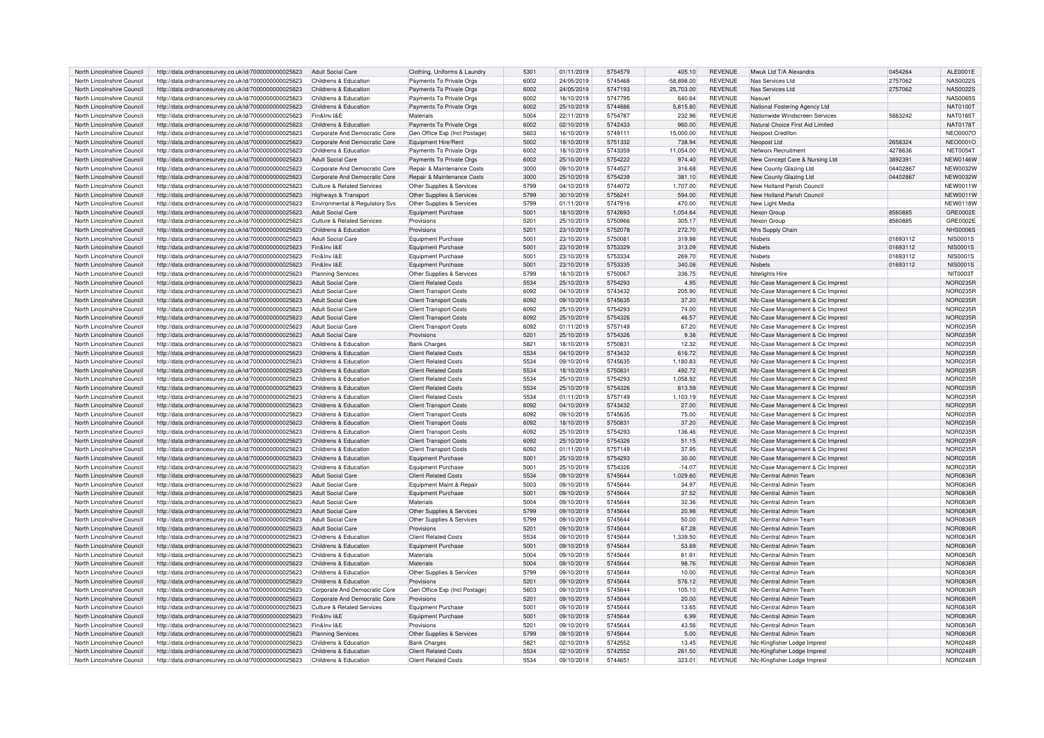| North Lincolnshire Council | http://data.ordnancesurvey.co.uk/id/7000000000025623 | Adult Social Care                     | Clothing, Uniforms & Laundry  | 5301 | 01/11/2019 | 5754579 | 405.10       | REVENUE        | Mwuk Ltd T/A Alexandra            | 0454264  | ALE0001E        |
|----------------------------|------------------------------------------------------|---------------------------------------|-------------------------------|------|------------|---------|--------------|----------------|-----------------------------------|----------|-----------------|
| North Lincolnshire Council | http://data.ordnancesurvey.co.uk/id/7000000000025623 | Childrens & Education                 | Payments To Private Orgs      | 6002 | 24/05/2019 | 5745468 | $-58,898.00$ | <b>REVENUE</b> | Nas Services Ltd                  | 2757062  | <b>NAS0022S</b> |
| North Lincolnshire Council | http://data.ordnancesurvey.co.uk/id/7000000000025623 | Childrens & Education                 | Payments To Private Orgs      | 6002 | 24/05/2019 | 5747193 | 25,703.00    | <b>REVENUE</b> | Nas Services Ltd                  | 2757062  | <b>NAS0022S</b> |
|                            |                                                      |                                       |                               |      |            |         |              |                |                                   |          |                 |
| North Lincolnshire Council | http://data.ordnancesurvey.co.uk/id/7000000000025623 | Childrens & Education                 | Payments To Private Orgs      | 6002 | 16/10/2019 | 5747795 | 640.64       | <b>REVENUE</b> | Nasuw                             |          | <b>NAS0065S</b> |
| North Lincolnshire Council | http://data.ordnancesurvey.co.uk/id/7000000000025623 | Childrens & Education                 | Payments To Private Orgs      | 6002 | 25/10/2019 | 5744686 | 5,815.80     | <b>REVENUE</b> | National Fostering Agency Ltd     |          | <b>NAT0100T</b> |
| North Lincolnshire Council | http://data.ordnancesurvey.co.uk/id/7000000000025623 | Fin&Inv I&E                           | Materials                     | 5004 | 22/11/2019 | 5754787 | 232.96       | <b>REVENUE</b> | Nationwide Windscreen Services    | 5683242  | NAT0165T        |
| North Lincolnshire Council | http://data.ordnancesurvey.co.uk/id/7000000000025623 | Childrens & Education                 | Payments To Private Orgs      | 6002 | 02/10/2019 | 5742433 | 960.00       | <b>REVENUE</b> | Natural Choice First Aid Limited  |          | <b>NAT0178T</b> |
| North Lincolnshire Council | http://data.ordnancesurvey.co.uk/id/7000000000025623 | Corporate And Democratic Core         | Gen Office Exp (Incl Postage) | 5603 | 16/10/2019 | 5749111 | 15,000.00    | <b>REVENUE</b> | Neopost Credifon                  |          | <b>NEO0007C</b> |
| North Lincolnshire Council | http://data.ordnancesurvey.co.uk/id/7000000000025623 | Corporate And Democratic Core         | Equipment Hire/Rent           | 5002 | 18/10/2019 | 5751332 | 738.94       | <b>REVENUE</b> | Neopost Ltd                       | 2658324  | <b>NEO0001C</b> |
|                            |                                                      |                                       |                               |      |            |         |              |                |                                   |          |                 |
| North Lincolnshire Council | http://data.ordnancesurvey.co.uk/id/7000000000025623 | Childrens & Education                 | Payments To Private Orgs      | 6002 | 18/10/2019 | 5743359 | 11.054.00    | <b>REVENUE</b> | Networx Recruitment               | 4278636  | <b>NET0054T</b> |
| North Lincolnshire Council | http://data.ordnancesurvey.co.uk/id/7000000000025623 | Adult Social Care                     | Payments To Private Orgs      | 6002 | 25/10/2019 | 5754222 | 974.40       | <b>REVENUE</b> | New Concept Care & Nursing Ltd    | 389239   | <b>NEW0146W</b> |
| North Lincolnshire Council | http://data.ordnancesurvey.co.uk/id/7000000000025623 | Corporate And Democratic Core         | Repair & Maintenance Costs    | 3000 | 09/10/2019 | 5744527 | 316.68       | <b>REVENUE</b> | New County Glazing Ltd            | 04402867 | <b>NEW0032W</b> |
| North Lincolnshire Council | http://data.ordnancesurvey.co.uk/id/7000000000025623 | Corporate And Democratic Core         | Repair & Maintenance Costs    | 3000 | 25/10/2019 | 5754239 | 381.10       | <b>REVENUE</b> | New County Glazing Ltd            | 04402867 | <b>NEW0032W</b> |
| North Lincolnshire Council | http://data.ordnancesurvey.co.uk/id/7000000000025623 | Culture & Related Services            | Other Supplies & Services     | 5799 | 04/10/2019 | 5744072 | 1.707.00     | <b>REVENUE</b> | New Holland Parish Counci         |          | <b>NEW0011W</b> |
| North Lincolnshire Council | http://data.ordnancesurvey.co.uk/id/7000000000025623 | Highways & Transport                  | Other Supplies & Services     | 5799 | 30/10/2019 | 5756241 | 594.00       | <b>REVENUE</b> | New Holland Parish Council        |          | NFW0011W        |
|                            |                                                      |                                       |                               |      |            |         |              |                |                                   |          |                 |
| North Lincolnshire Council | http://data.ordnancesurvey.co.uk/id/7000000000025623 | Environmental & Regulatory Svs        | Other Supplies & Services     | 5799 | 01/11/2019 | 5747916 | 470.00       | <b>REVENUE</b> | New Light Media                   |          | <b>NEW0118W</b> |
| North Lincolnshire Council | http://data.ordnancesurvey.co.uk/id/7000000000025623 | Adult Social Care                     | Equipment Purchase            | 5001 | 18/10/2019 | 5742693 | 1.054.64     | <b>REVENUE</b> | Nexon Group                       | 8560885  | GRE0002E        |
| North Lincolnshire Council | http://data.ordnancesurvey.co.uk/id/7000000000025623 | Culture & Related Services            | Provisions                    | 5201 | 25/10/2019 | 5750966 | 305.17       | <b>REVENUE</b> | Nexon Group                       | 8560885  | GRE0002E        |
| North Lincolnshire Council | http://data.ordnancesurvey.co.uk/id/7000000000025623 | Childrens & Education                 | Provisions                    | 5201 | 23/10/2019 | 5752078 | 272.70       | <b>REVENUE</b> | Nhs Supply Chain                  |          | <b>NHS0006S</b> |
| North Lincolnshire Council | http://data.ordnancesurvey.co.uk/id/7000000000025623 | <b>Adult Social Care</b>              | Equipment Purchase            | 5001 | 23/10/2019 | 575008  | 319.98       | <b>REVENUE</b> | Nisbets                           | 01693112 | <b>NIS0001S</b> |
| North Lincolnshire Council | http://data.ordnancesurvey.co.uk/id/7000000000025623 | Fin&Inv I&E                           | Equipment Purchase            | 5001 | 23/10/2019 | 5753329 | 313.09       | <b>REVENUE</b> | Nisbets                           | 01693112 | <b>NIS0001S</b> |
|                            |                                                      | Fin&Inv I&F                           |                               |      |            |         |              |                | Nichete                           |          |                 |
| North Lincolnshire Council | http://data.ordnancesurvey.co.uk/id/7000000000025623 |                                       | Equipment Purchase            | 5001 | 23/10/2019 | 5753334 | 269.70       | <b>REVENUE</b> |                                   | 01693112 | <b>NIS0001S</b> |
| North Lincolnshire Council | http://data.ordnancesurvey.co.uk/id/7000000000025623 | Fin&Inv I&E                           | Equipment Purchase            | 5001 | 23/10/2019 | 5753335 | 340.08       | <b>REVENUE</b> | Nisbets                           | 01693112 | <b>NIS0001S</b> |
| North Lincolnshire Council | http://data.ordnancesurvey.co.uk/id/7000000000025623 | <b>Planning Services</b>              | Other Supplies & Services     | 5799 | 18/10/2019 | 575006  | 336.75       | <b>REVENUE</b> | Niteliahts Hire                   |          | NIT00031        |
| North Lincolnshire Council | http://data.ordnancesurvey.co.uk/id/7000000000025623 | Adult Social Care                     | <b>Client Related Costs</b>   | 5534 | 25/10/2019 | 5754293 | 4.95         | <b>REVENUE</b> | NIc-Case Management & Cic Imprest |          | NOR0235B        |
| North Lincolnshire Council | http://data.ordnancesurvey.co.uk/id/7000000000025623 | Adult Social Care                     | Client Transport Costs        | 6092 | 04/10/2019 | 5743432 | 205.90       | <b>REVENUE</b> | NIc-Case Management & Cic Imprest |          | <b>NOR0235F</b> |
| North Lincolnshire Council | http://data.ordnancesurvey.co.uk/id/7000000000025623 | <b>Adult Social Care</b>              | <b>Client Transport Costs</b> | 6092 | 09/10/2019 | 5745635 | 37.20        | <b>REVENUE</b> | NIc-Case Management & Cic Imprest |          | <b>NOR0235F</b> |
| North Lincolnshire Council | http://data.ordnancesurvey.co.uk/id/7000000000025623 | Adult Social Care                     | <b>Client Transport Costs</b> | 6092 | 25/10/2019 | 5754293 | 74.00        | <b>REVENUE</b> | NIc-Case Management & Cic Imprest |          | NOR0235R        |
|                            |                                                      |                                       |                               |      |            |         |              |                |                                   |          |                 |
| North Lincolnshire Council | http://data.ordnancesurvey.co.uk/id/7000000000025623 | <b>Adult Social Care</b>              | <b>Client Transport Costs</b> | 6092 | 25/10/2019 | 5754326 | 46.57        | <b>REVENUE</b> | NIc-Case Management & Cic Imprest |          | <b>NOR0235F</b> |
| North Lincolnshire Council | http://data.ordnancesurvey.co.uk/id/7000000000025623 | Adult Social Care                     | <b>Client Transport Costs</b> | 6092 | 01/11/2019 | 5757149 | 67.20        | <b>REVENUE</b> | NIc-Case Management & Cic Imprest |          | <b>NOR0235R</b> |
| North Lincolnshire Council | http://data.ordnancesurvey.co.uk/id/7000000000025623 | <b>Adult Social Care</b>              | Provisions                    | 5201 | 25/10/2019 | 5754326 | 9.38         | <b>REVENUE</b> | NIc-Case Management & Cic Imprest |          | NOR0235F        |
| North Lincolnshire Council | http://data.ordnancesurvev.co.uk/id/7000000000025623 | Childrens & Education                 | <b>Bank Charges</b>           | 5821 | 18/10/2019 | 575083  | 12.32        | <b>REVENUE</b> | NIc-Case Management & Cic Imprest |          | NOR0235F        |
| North Lincolnshire Council | http://data.ordnancesurvey.co.uk/id/7000000000025623 | Childrens & Education                 | <b>Client Related Costs</b>   | 5534 | 04/10/2019 | 5743432 | 616.72       | <b>REVENUE</b> | NIc-Case Management & Cic Imprest |          | NOR0235R        |
| North Lincolnshire Council | http://data.ordnancesurvey.co.uk/id/7000000000025623 | Childrens & Education                 | <b>Client Related Costs</b>   | 5534 | 09/10/2019 | 5745635 | 1.180.83     | <b>REVENUE</b> | NIc-Case Management & Cic Imprest |          | NOR0235F        |
| North Lincolnshire Council | http://data.ordnancesurvey.co.uk/id/7000000000025623 | Childrens & Education                 | <b>Client Related Costs</b>   | 5534 | 18/10/2019 | 575083  | 492.72       | <b>REVENUE</b> | NIc-Case Management & Cic Imprest |          | <b>NOR0235R</b> |
| North Lincolnshire Council | http://data.ordnancesurvey.co.uk/id/7000000000025623 | Childrens & Education                 | <b>Client Related Costs</b>   | 5534 | 25/10/2019 | 5754293 | 1,058.92     | <b>REVENUE</b> | NIc-Case Management & Cic Imprest |          | <b>NOR0235F</b> |
|                            |                                                      |                                       |                               | 5534 |            |         |              |                |                                   |          |                 |
| North Lincolnshire Council | http://data.ordnancesurvey.co.uk/id/7000000000025623 | Childrens & Education                 | <b>Client Related Costs</b>   |      | 25/10/2019 | 5754326 | 813.59       | <b>REVENUE</b> | NIc-Case Management & Cic Imprest |          | <b>NOR0235F</b> |
| North Lincolnshire Council | http://data.ordnancesurvey.co.uk/id/7000000000025623 | Childrens & Education                 | <b>Client Related Costs</b>   | 5534 | 01/11/2019 | 5757149 | 1,103.19     | <b>REVENUE</b> | NIc-Case Management & Cic Imprest |          | NOR0235R        |
| North Lincolnshire Council | http://data.ordnancesurvey.co.uk/id/7000000000025623 | Childrens & Education                 | <b>Client Transport Costs</b> | 6092 | 04/10/2019 | 5743432 | 27.00        | <b>REVENUE</b> | NIc-Case Management & Cic Imprest |          | <b>NOR0235F</b> |
| North Lincolnshire Council | http://data.ordnancesurvey.co.uk/id/7000000000025623 | Childrens & Education                 | <b>Client Transport Costs</b> | 6092 | 09/10/2019 | 5745635 | 75.00        | <b>REVENUE</b> | Nic-Case Management & Cic Imprest |          | NOR0235B        |
| North Lincolnshire Council | http://data.ordnancesurvey.co.uk/id/7000000000025623 | Childrens & Education                 | <b>Client Transport Costs</b> | 6092 | 18/10/2019 | 5750831 | 37.20        | <b>REVENUE</b> | NIc-Case Management & Cic Imprest |          | <b>NOR0235F</b> |
| North Lincolnshire Council | http://data.ordnancesurvev.co.uk/id/7000000000025623 | Childrens & Education                 | Client Transport Costs        | 6092 | 25/10/2019 | 5754293 | 136.46       | <b>REVENUE</b> | NIc-Case Management & Cic Imprest |          | <b>NOR0235R</b> |
| North Lincolnshire Council | http://data.ordnancesurvey.co.uk/id/7000000000025623 | Childrens & Education                 | <b>Client Transport Costs</b> | 6092 | 25/10/2019 | 5754326 | 51.15        | <b>REVENUE</b> | NIc-Case Management & Cic Imprest |          | <b>NOR0235R</b> |
| North Lincolnshire Council |                                                      | Childrens & Education                 | Client Transport Costs        | 6092 | 01/11/2019 | 5757149 | 37.95        | <b>REVENUE</b> | NIc-Case Management & Cic Imprest |          | NOR0235R        |
|                            | http://data.ordnancesurvey.co.uk/id/7000000000025623 |                                       |                               |      |            |         |              |                |                                   |          |                 |
| North Lincolnshire Council | http://data.ordnancesurvey.co.uk/id/7000000000025623 | Childrens & Education                 | Equipment Purchase            | 5001 | 25/10/2019 | 5754293 | 30.00        | <b>REVENUE</b> | NIc-Case Management & Cic Imprest |          | <b>NOR0235R</b> |
| North Lincolnshire Council | http://data.ordnancesurvey.co.uk/id/7000000000025623 | Childrens & Education                 | Equipment Purchase            | 5001 | 25/10/2019 | 5754326 | $-14.07$     | <b>REVENUE</b> | NIc-Case Management & Cic Imprest |          | NOR0235R        |
| North Lincolnshire Council | http://data.ordnancesurvey.co.uk/id/7000000000025623 | Adult Social Care                     | <b>Client Related Costs</b>   | 5534 | 09/10/2019 | 5745644 | 1.029.60     | <b>REVENUE</b> | Nic-Central Admin Team            |          | <b>NOR0836F</b> |
| North Lincolnshire Council | http://data.ordnancesurvey.co.uk/id/7000000000025623 | Adult Social Care                     | Equipment Maint.& Repair      | 5003 | 09/10/2019 | 5745644 | 34.97        | REVENUE        | Nic-Central Admin Team            |          | <b>NOR0836F</b> |
| North Lincolnshire Council | http://data.ordnancesurvey.co.uk/id/7000000000025623 | Adult Social Care                     | Equipment Purchase            | 5001 | 09/10/2019 | 5745644 | 37.52        | <b>REVENUE</b> | Nic-Central Admin Team            |          | NOR0836F        |
| North Lincolnshire Council | http://data.ordnancesurvey.co.uk/id/7000000000025623 | Adult Social Care                     | Materials                     | 5004 | 09/10/2019 | 5745644 | 32.36        | <b>REVENUE</b> | Nic-Central Admin Team            |          | NOR0836F        |
| North Lincolnshire Council |                                                      | <b>Adult Social Care</b>              | Other Supplies & Services     | 5799 | 09/10/2019 | 5745644 | 20.98        | <b>REVENUE</b> | Nic-Central Admin Team            |          | <b>NOR0836F</b> |
|                            | http://data.ordnancesurvey.co.uk/id/7000000000025623 |                                       |                               |      |            |         |              |                |                                   |          |                 |
| North Lincolnshire Council | http://data.ordnancesurvey.co.uk/id/7000000000025623 | Adult Social Care                     | Other Supplies & Services     | 5799 | 09/10/2019 | 5745644 | 50.00        | <b>REVENUE</b> | Nic-Central Admin Team            |          | <b>NOR0836F</b> |
| North Lincolnshire Council | http://data.ordnancesurvey.co.uk/id/7000000000025623 | Adult Social Care                     | Provisions                    | 5201 | 09/10/2019 | 5745644 | 67.28        | <b>REVENUE</b> | Nic-Central Admin Team            |          | <b>NOR0836R</b> |
| North Lincolnshire Council | http://data.ordnancesurvey.co.uk/id/7000000000025623 | Childrens & Education                 | <b>Client Related Costs</b>   | 5534 | 09/10/2019 | 5745644 | 1.339.50     | <b>REVENUE</b> | Nic-Central Admin Team            |          | <b>NOR0836F</b> |
| North Lincolnshire Council | http://data.ordnancesurvey.co.uk/id/7000000000025623 | Childrens & Education                 | Equipment Purchase            | 5001 | 09/10/2019 | 5745644 | 53.69        | <b>REVENUE</b> | Nic-Central Admin Team            |          | <b>NOR0836R</b> |
| North Lincolnshire Council | http://data.ordnancesurvey.co.uk/id/7000000000025623 | Childrens & Education                 | Materials                     | 5004 | 09/10/2019 | 5745644 | 61.91        | <b>REVENUE</b> | Nic-Central Admin Team            |          | <b>NOR0836F</b> |
| North Lincolnshire Council | http://data.ordnancesurvev.co.uk/id/7000000000025623 | Childrens & Education                 | Materials                     | 5004 | 09/10/2019 | 5745644 | 98.76        | <b>REVENUE</b> | Nic-Central Admin Team            |          | <b>NOR0836R</b> |
| North Lincolnshire Council | http://data.ordnancesurvey.co.uk/id/7000000000025623 | Childrens & Education                 | Other Supplies & Services     | 5799 | 09/10/2019 | 5745644 | 10.00        | <b>REVENUE</b> | Nic-Central Admin Team            |          | NOR0836F        |
|                            |                                                      | Childrens & Education                 |                               |      |            | 5745644 |              | <b>REVENUE</b> |                                   |          |                 |
| North Lincolnshire Council | http://data.ordnancesurvey.co.uk/id/7000000000025623 |                                       | Provisions                    | 5201 | 09/10/2019 |         | 576.12       |                | Nic-Central Admin Team            |          | <b>NOR0836F</b> |
| North Lincolnshire Council | http://data.ordnancesurvey.co.uk/id/7000000000025623 | Corporate And Democratic Core         | Gen Office Exp (Incl Postage) | 5603 | 09/10/2019 | 5745644 | 105.10       | <b>REVENUE</b> | Nic-Central Admin Team            |          | <b>NOR0836R</b> |
| North Lincolnshire Council | http://data.ordnancesurvey.co.uk/id/7000000000025623 | Corporate And Democratic Core         | Provisions                    | 5201 | 09/10/2019 | 5745644 | 20.00        | <b>REVENUE</b> | Nic-Central Admin Team            |          | <b>NOR0836F</b> |
| North Lincolnshire Council | http://data.ordnancesurvey.co.uk/id/7000000000025623 | <b>Culture &amp; Related Services</b> | Equipment Purchase            | 5001 | 09/10/2019 | 5745644 | 13.65        | <b>REVENUE</b> | Nic-Central Admin Team            |          | <b>NOR0836F</b> |
| North Lincolnshire Council | http://data.ordnancesurvey.co.uk/id/7000000000025623 | Fin&Inv I&E                           | Equipment Purchase            | 5001 | 09/10/2019 | 5745644 | 6.99         | <b>REVENUE</b> | NIc-Central Admin Team            |          | <b>NOR0836F</b> |
| North Lincolnshire Council | http://data.ordnancesurvey.co.uk/id/7000000000025623 | Fin&Inv I&F                           | Provisions                    | 5201 | 09/10/2019 | 5745644 | 43.56        | <b>REVENUE</b> | Nic-Central Admin Team            |          | NOR0836F        |
| North Lincolnshire Council | http://data.ordnancesurvey.co.uk/id/7000000000025623 | <b>Planning Services</b>              | Other Supplies & Services     | 5799 | 09/10/2019 | 5745644 | 5.00         | <b>REVENUE</b> | Nic-Central Admin Team            |          | NOR0836F        |
| North Lincolnshire Council | http://data.ordnancesurvey.co.uk/id/7000000000025623 | Childrens & Education                 | <b>Bank Charges</b>           | 5821 | 02/10/2019 | 5742552 | 13.45        | <b>REVENUE</b> | Nic-Kingfisher Lodge Imprest      |          | NOR0248R        |
| North Lincolnshire Council | http://data.ordnancesurvey.co.uk/id/7000000000025623 | Childrens & Education                 | <b>Client Related Costs</b>   | 5534 | 02/10/2019 | 5742552 | 261.50       | <b>REVENUE</b> | Nic-Kingfisher Lodge Imprest      |          | <b>NOR0248R</b> |
|                            |                                                      |                                       |                               |      |            |         |              |                |                                   |          |                 |
| North Lincolnshire Council | http://data.ordnancesurvey.co.uk/id/7000000000025623 | Childrens & Education                 | <b>Client Related Costs</b>   | 5534 | 09/10/2019 | 5744651 | 323.01       | <b>REVENUE</b> | Nic-Kingfisher Lodge Imprest      |          | <b>NOR0248R</b> |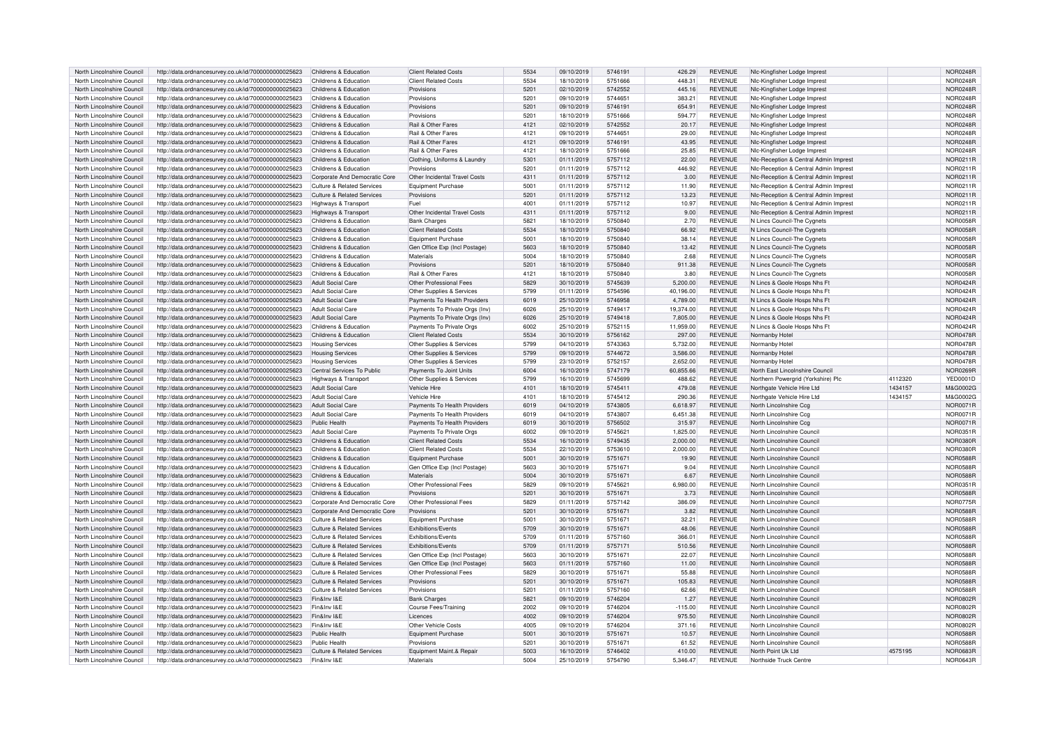| North Lincolnshire Council                               | http://data.ordnancesurvey.co.uk/id/7000000000025623                                                         | Childrens & Education                     | <b>Client Related Costs</b>           | 5534         | 09/10/2019               | 5746191            | 426.29             | <b>REVENUE</b>                   | Nic-Kingfisher Lodge Imprest                 |         | <b>NOR0248R</b>                    |
|----------------------------------------------------------|--------------------------------------------------------------------------------------------------------------|-------------------------------------------|---------------------------------------|--------------|--------------------------|--------------------|--------------------|----------------------------------|----------------------------------------------|---------|------------------------------------|
| North Lincolnshire Council                               | http://data.ordnancesurvev.co.uk/id/7000000000025623                                                         | Childrens & Education                     | <b>Client Related Costs</b>           | 5534         | 18/10/2019               | 5751666            | 448.31             | <b>REVENUE</b>                   | Nic-Kingfisher Lodge Imprest                 |         | <b>NOR0248R</b>                    |
| North Lincolnshire Council                               | http://data.ordnancesurvey.co.uk/id/7000000000025623                                                         | Childrens & Education                     | Provisions                            | 5201         | 02/10/2019               | 5742552            | 445.16             | <b>REVENUE</b>                   | Nic-Kingfisher Lodge Imprest                 |         | <b>NOR0248R</b>                    |
| North Lincolnshire Council                               | http://data.ordnancesurvey.co.uk/id/7000000000025623                                                         | Childrens & Education                     | Provisions                            | 5201         | 09/10/2019               | 574465             | 383.21             | <b>REVENUE</b>                   | Nic-Kingfisher Lodge Impres                  |         | <b>NOR0248R</b>                    |
| North Lincolnshire Council                               | http://data.ordnancesurvey.co.uk/id/7000000000025623                                                         | Childrens & Education                     | Provisions                            | 5201         | 09/10/2019               | 5746191            | 654.91             | <b>REVENUE</b>                   | Nic-Kingfisher Lodge Imprest                 |         | <b>NOR0248R</b>                    |
| North Lincolnshire Council                               |                                                                                                              | Childrens & Education                     | Provisions                            | 5201         | 18/10/2019               | 5751666            | 594.77             | <b>REVENUE</b>                   |                                              |         | <b>NOR0248R</b>                    |
|                                                          | http://data.ordnancesurvey.co.uk/id/7000000000025623                                                         |                                           |                                       |              |                          |                    |                    |                                  | NIc-Kingfisher Lodge Imprest                 |         |                                    |
| North Lincolnshire Council                               | http://data.ordnancesurvey.co.uk/id/7000000000025623                                                         | Childrens & Education                     | Rail & Other Fares                    | 4121         | 02/10/2019               | 5742552            | 20.17              | <b>REVENUE</b>                   | Nic-Kingfisher Lodge Imprest                 |         | <b>NOR0248R</b>                    |
| North Lincolnshire Council                               | http://data.ordnancesurvey.co.uk/id/7000000000025623                                                         | Childrens & Education                     | Rail & Other Fares                    | 4121         | 09/10/2019               | 574465             | 29.00              | <b>REVENUE</b>                   | Nic-Kingfisher Lodge Imprest                 |         | <b>NOR0248F</b>                    |
| North Lincolnshire Council                               | http://data.ordnancesurvey.co.uk/id/7000000000025623                                                         | Childrens & Education                     | Rail & Other Fares                    | 4121         | 09/10/2019               | 5746191            | 43.95              | <b>REVENUE</b>                   | Nic-Kingfisher Lodge Imprest                 |         | <b>NOR0248F</b>                    |
| North Lincolnshire Council                               | http://data.ordnancesurvey.co.uk/id/7000000000025623                                                         | Childrens & Education                     | Rail & Other Fares                    | 4121         | 18/10/2019               | 5751666            | 25.85              | <b>REVENUE</b>                   | Nic-Kingfisher Lodge Imprest                 |         | <b>NOR0248R</b>                    |
| North Lincolnshire Council                               | http://data.ordnancesurvey.co.uk/id/7000000000025623                                                         | Childrens & Education                     | Clothing, Uniforms & Laundry          | 5301         | 01/11/2019               | 5757112            | 22.00              | <b>REVENUE</b>                   | NIc-Reception & Central Admin Imprest        |         | NOR0211R                           |
| North Lincolnshire Council                               | http://data.ordnancesurvev.co.uk/id/7000000000025623                                                         | Childrens & Education                     | Provisions                            | 5201         | 01/11/2019               | 5757112            | 446.92             | <b>REVENUE</b>                   | Nic-Reception & Central Admin Imprest        |         | NOR0211R                           |
| North Lincolnshire Council                               | http://data.ordnancesurvey.co.uk/id/7000000000025623                                                         | Corporate And Democratic Core             | Other Incidental Travel Costs         | 4311         | 01/11/2019               | 5757112            | 3.00               | <b>REVENUE</b>                   | NIc-Reception & Central Admin Imprest        |         | NOR0211R                           |
| North Lincolnshire Council                               | http://data.ordnancesurvey.co.uk/id/7000000000025623                                                         | Culture & Related Services                | Equipment Purchase                    | 5001         | 01/11/2019               | 5757112            | 11.90              | <b>REVENUE</b>                   | NIc-Reception & Central Admin Imprest        |         | NOR0211R                           |
| North Lincolnshire Council                               | http://data.ordnancesurvey.co.uk/id/7000000000025623                                                         | Culture & Related Services                | Provisions                            | 5201         | 01/11/2019               | 5757112            | 13.23              | <b>REVENUE</b>                   | NIc-Reception & Central Admin Imprest        |         | NOR0211R                           |
| North Lincolnshire Council                               | http://data.ordnancesurvey.co.uk/id/7000000000025623                                                         | Highways & Transport                      | Fuel                                  | 4001         | 01/11/2019               | 5757112            | 10.97              | <b>REVENUE</b>                   | NIc-Reception & Central Admin Imprest        |         | NOR0211R                           |
| North Lincolnshire Council                               | http://data.ordnancesurvey.co.uk/id/7000000000025623                                                         | Highways & Transport                      | Other Incidental Travel Costs         | 4311         | 01/11/2019               | 5757112            | 9.00               | <b>REVENUE</b>                   | NIc-Reception & Central Admin Imprest        |         | NOR0211R                           |
| North Lincolnshire Council                               | http://data.ordnancesurvey.co.uk/id/7000000000025623                                                         | Childrens & Education                     | <b>Bank Charges</b>                   | 5821         | 18/10/2019               | 5750840            | 2.70               | <b>REVENUE</b>                   | N Lincs Council-The Cygnets                  |         | <b>NOR0058F</b>                    |
| North Lincolnshire Council                               |                                                                                                              | Childrens & Education                     | <b>Client Related Costs</b>           | 5534         | 18/10/2019               | 5750840            | 66.92              | <b>REVENUE</b>                   |                                              |         | <b>NOR0058F</b>                    |
|                                                          | http://data.ordnancesurvey.co.uk/id/7000000000025623                                                         |                                           |                                       |              |                          |                    |                    |                                  | N Lincs Council-The Cygnets                  |         |                                    |
| North Lincolnshire Council                               | http://data.ordnancesurvey.co.uk/id/7000000000025623                                                         | Childrens & Education                     | Equipment Purchase                    | 5001         | 18/10/2019               | 5750840            | 38.14              | <b>REVENUE</b>                   | N Lincs Council-The Cygnets                  |         | <b>NOR0058R</b>                    |
| North Lincolnshire Council                               | http://data.ordnancesurvey.co.uk/id/7000000000025623                                                         | Childrens & Education                     | Gen Office Exp (Incl Postage)         | 5603         | 18/10/2019               | 5750840            | 13.42              | <b>REVENUE</b>                   | N Lincs Council-The Cygnets                  |         | <b>NOR0058F</b>                    |
| North Lincolnshire Council                               | http://data.ordnancesurvey.co.uk/id/7000000000025623                                                         | Childrens & Education                     | Materials                             | 5004         | 18/10/2019               | 5750840            | 2.68               | <b>REVENUE</b>                   | N Lincs Council-The Cygnets                  |         | <b>NOR0058F</b>                    |
| North Lincolnshire Council                               | http://data.ordnancesurvey.co.uk/id/7000000000025623                                                         | Childrens & Education                     | Provisions                            | 5201         | 18/10/2019               | 5750840            | 911.38             | <b>REVENUE</b>                   | N Lincs Council-The Cygnets                  |         | NOR0058R                           |
| North Lincolnshire Council                               | http://data.ordnancesurvey.co.uk/id/7000000000025623                                                         | Childrens & Education                     | Rail & Other Fares                    | 4121         | 18/10/2019               | 5750840            | 3.80               | <b>REVENUE</b>                   | N Lincs Council-The Cygnets                  |         | <b>NOR0058F</b>                    |
| North Lincolnshire Council                               | http://data.ordnancesurvey.co.uk/id/7000000000025623                                                         | Adult Social Care                         | Other Professional Fees               | 5829         | 30/10/2019               | 5745639            | 5.200.00           | <b>REVENUE</b>                   | N Lincs & Goole Hosps Nhs Ft                 |         | NOR0424F                           |
| North Lincolnshire Council                               | http://data.ordnancesurvey.co.uk/id/7000000000025623                                                         | Adult Social Care                         | Other Supplies & Services             | 5799         | 01/11/2019               | 5754596            | 40.196.00          | <b>REVENUE</b>                   | N Lincs & Goole Hosps Nhs Ff                 |         | NOR0424R                           |
| North Lincolnshire Council                               | http://data.ordnancesurvey.co.uk/id/7000000000025623                                                         | Adult Social Care                         | Payments To Health Providers          | 6019         | 25/10/2019               | 5746958            | 4,789.00           | <b>REVENUE</b>                   | N Lincs & Goole Hosps Nhs Ff                 |         | <b>NOR0424F</b>                    |
| North Lincolnshire Council                               | http://data.ordnancesurvey.co.uk/id/7000000000025623                                                         | Adult Social Care                         | Payments To Private Orgs (Inv)        | 6026         | 25/10/2019               | 5749417            | 19,374.00          | <b>REVENUE</b>                   | N Lincs & Goole Hosps Nhs Ft                 |         | <b>NOR0424R</b>                    |
| North Lincolnshire Council                               | http://data.ordnancesurvey.co.uk/id/7000000000025623                                                         | <b>Adult Social Care</b>                  | Payments To Private Orgs (Inv)        | 6026         | 25/10/2019               | 5749418            | 7,805.00           | <b>REVENUE</b>                   | N Lincs & Goole Hosps Nhs Ff                 |         | NOR0424F                           |
| North Lincolnshire Council                               | http://data.ordnancesurvey.co.uk/id/7000000000025623                                                         | Childrens & Education                     | Payments To Private Orgs              | 6002         | 25/10/2019               | 5752115            | 11.959.00          | <b>REVENUE</b>                   | N Lincs & Goole Hosps Nhs Ft                 |         | <b>NOR0424R</b>                    |
| North Lincolnshire Council                               | http://data.ordnancesurvey.co.uk/id/7000000000025623                                                         | Childrens & Education                     | <b>Client Related Costs</b>           | 5534         | 30/10/2019               | 5756162            | 297.00             | <b>REVENUE</b>                   | Normanby Hotel                               |         | <b>NOR0478F</b>                    |
| North Lincolnshire Council                               | http://data.ordnancesurvey.co.uk/id/7000000000025623                                                         | <b>Housing Services</b>                   | Other Supplies & Services             | 5799         | 04/10/2019               | 5743363            | 5,732.00           | <b>REVENUE</b>                   | Normanby Hotel                               |         | <b>NOR0478F</b>                    |
| North Lincolnshire Council                               | http://data.ordnancesurvey.co.uk/id/7000000000025623                                                         | <b>Housing Services</b>                   | Other Supplies & Services             | 5799         | 09/10/2019               | 5744672            | 3,586.00           | <b>REVENUE</b>                   | Normanby Hotel                               |         | <b>NOR0478F</b>                    |
| North Lincolnshire Council                               | http://data.ordnancesurvey.co.uk/id/7000000000025623                                                         | <b>Housing Services</b>                   | Other Supplies & Services             | 5799         | 23/10/2019               | 5752157            | 2.652.00           | <b>REVENUE</b>                   | Normanby Hote                                |         | <b>NOR0478F</b>                    |
|                                                          |                                                                                                              |                                           |                                       |              |                          |                    |                    |                                  |                                              |         |                                    |
|                                                          |                                                                                                              |                                           |                                       |              |                          |                    |                    |                                  |                                              |         |                                    |
| North Lincolnshire Council                               | http://data.ordnancesurvey.co.uk/id/7000000000025623                                                         | Central Services To Public                | Payments To Joint Units               | 6004         | 16/10/2019               | 5747179            | 60,855.66          | <b>REVENUE</b>                   | North East Lincolnshire Council              |         | NOR0269R                           |
| North Lincolnshire Council                               | http://data.ordnancesurvey.co.uk/id/7000000000025623                                                         | Highways & Transport                      | Other Supplies & Services             | 5799         | 16/10/2019               | 5745699            | 488.62             | <b>REVENUE</b>                   | Northern Powergrid (Yorkshire) Plc           | 4112320 | <b>YED0001D</b>                    |
| North Lincolnshire Council                               | http://data.ordnancesurvey.co.uk/id/7000000000025623                                                         | Adult Social Care                         | Vehicle Hire                          | 4101         | 18/10/2019               | 5745411            | 479.08             | <b>REVENUE</b>                   | Northgate Vehicle Hire Ltd                   | 1434157 | M&G0002G                           |
| North Lincolnshire Council                               | http://data.ordnancesurvey.co.uk/id/7000000000025623                                                         | Adult Social Care                         | Vehicle Hire                          | 4101         | 18/10/2019               | 5745412            | 290.36             | <b>REVENUE</b>                   | Northgate Vehicle Hire Ltd                   | 1434157 | M&G0002G                           |
| North Lincolnshire Council                               | http://data.ordnancesurvey.co.uk/id/7000000000025623                                                         | <b>Adult Social Care</b>                  | Payments To Health Providers          | 6019         | 04/10/2019               | 5743805            | 6,618.97           | <b>REVENUE</b>                   | North Lincolnshire Ccg                       |         | <b>NOR0071R</b>                    |
| North Lincolnshire Council                               | http://data.ordnancesurvev.co.uk/id/7000000000025623                                                         | <b>Adult Social Care</b>                  | Payments To Health Providers          | 6019         | 04/10/2019               | 5743807            | 6.451.38           | <b>REVENUE</b>                   | North Lincolnshire Cca                       |         | <b>NOR0071R</b>                    |
| North Lincolnshire Council                               | http://data.ordnancesurvey.co.uk/id/7000000000025623                                                         | Public Health                             | Payments To Health Providers          | 6019         | 30/10/2019               | 5756502            | 315.97             | <b>REVENUE</b>                   | North Lincolnshire Ccg                       |         | <b>NOR0071F</b>                    |
| North Lincolnshire Council                               | http://data.ordnancesurvey.co.uk/id/7000000000025623                                                         | Adult Social Care                         | Payments To Private Orgs              | 6002         | 09/10/2019               | 574562             | 1,825.00           | <b>REVENUE</b>                   | North Lincolnshire Counci                    |         | NOR0351F                           |
| North Lincolnshire Council                               | http://data.ordnancesurvey.co.uk/id/7000000000025623                                                         | Childrens & Education                     | <b>Client Related Costs</b>           | 5534         | 16/10/2019               | 5749435            | 2.000.00           | <b>REVENUE</b>                   | North Lincolnshire Council                   |         | <b>NOR0380F</b>                    |
| North Lincolnshire Council                               | http://data.ordnancesurvey.co.uk/id/7000000000025623                                                         | Childrens & Education                     | <b>Client Related Costs</b>           | 5534         | 22/10/2019               | 5753610            | 2,000.00           | <b>REVENUE</b>                   | North Lincolnshire Council                   |         | <b>NOR0380F</b>                    |
|                                                          |                                                                                                              | Childrens & Education                     |                                       | 5001         |                          |                    |                    | <b>REVENUE</b>                   |                                              |         |                                    |
| North Lincolnshire Council<br>North Lincolnshire Council | http://data.ordnancesurvey.co.uk/id/7000000000025623                                                         |                                           | Equipment Purchase                    |              | 30/10/2019               | 5751671            | 19.90              |                                  | North Lincolnshire Council                   |         | <b>NOR0588F</b>                    |
|                                                          | http://data.ordnancesurvey.co.uk/id/7000000000025623                                                         | Childrens & Education                     | Gen Office Exp (Incl Postage)         | 5603         | 30/10/2019               | 575167             | 9.04               | <b>REVENUE</b>                   | North Lincolnshire Council                   |         | <b>NOR0588R</b>                    |
| North Lincolnshire Council                               | http://data.ordnancesurvey.co.uk/id/7000000000025623                                                         | Childrens & Education                     | Materials                             | 5004         | 30/10/2019               | 5751671            | 6.67               | <b>REVENUE</b>                   | North Lincolnshire Council                   |         | <b>NOR0588F</b>                    |
| North Lincolnshire Council                               | http://data.ordnancesurvey.co.uk/id/7000000000025623                                                         | Childrens & Education                     | Other Professional Fees               | 5829         | 09/10/2019               | 574562             | 6.980.00           | <b>REVENUE</b>                   | North Lincolnshire Council                   |         | <b>NOR0351R</b>                    |
| North Lincolnshire Council                               | http://data.ordnancesurvey.co.uk/id/7000000000025623                                                         | Childrens & Education                     | Provisions                            | 5201         | 30/10/2019               | 5751671            | 3.73               | <b>REVENUE</b>                   | North Lincolnshire Council                   |         | <b>NOR0588F</b>                    |
| North Lincolnshire Council                               | http://data.ordnancesurvey.co.uk/id/7000000000025623                                                         | Corporate And Democratic Core             | Other Professional Fees               | 5829         | 01/11/2019               | 5757142            | 386.09             | <b>REVENUE</b>                   | North Lincolnshire Council                   |         | NOR0775R                           |
| North Lincolnshire Council                               | http://data.ordnancesurvey.co.uk/id/7000000000025623                                                         | Corporate And Democratic Core             | Provisions                            | 5201         | 30/10/2019               | 5751671            | 3.82               | <b>REVENUE</b>                   | North Lincolnshire Council                   |         | <b>NOR0588F</b>                    |
| North Lincolnshire Council                               | http://data.ordnancesurvey.co.uk/id/7000000000025623                                                         | <b>Culture &amp; Related Services</b>     | Equipment Purchase                    | 5001         | 30/10/2019               | 5751671            | 32.21              | <b>REVENUE</b>                   | North Lincolnshire Council                   |         | <b>NOR0588F</b>                    |
| North Lincolnshire Council                               | http://data.ordnancesurvey.co.uk/id/7000000000025623                                                         | Culture & Related Services                | Exhibitions/Events                    | 5709         | 30/10/2019               | 5751671            | 48.06              | <b>REVENUE</b>                   | North Lincolnshire Council                   |         | <b>NOR0588F</b>                    |
| North Lincolnshire Council                               | http://data.ordnancesurvey.co.uk/id/7000000000025623                                                         | <b>Culture &amp; Related Services</b>     | Exhibitions/Events                    | 5709         | 01/11/2019               | 5757160            | 366.01             | <b>REVENUE</b>                   | North Lincolnshire Council                   |         | <b>NOR0588F</b>                    |
| North Lincolnshire Council                               | http://data.ordnancesurvey.co.uk/id/7000000000025623                                                         | <b>Culture &amp; Related Services</b>     | Exhibitions/Events                    | 5709         | 01/11/2019               | 5757171            | 510.56             | <b>REVENUE</b>                   | North Lincolnshire Council                   |         | <b>NOR0588F</b>                    |
| North Lincolnshire Council                               | http://data.ordnancesurvey.co.uk/id/7000000000025623                                                         | Culture & Related Services                | Gen Office Exp (Incl Postage)         | 5603         | 30/10/2019               | 575167             | 22.07              | <b>REVENUE</b>                   | North Lincolnshire Council                   |         | <b>NOR0588R</b>                    |
| North Lincolnshire Council                               | http://data.ordnancesurvey.co.uk/id/7000000000025623                                                         | Culture & Related Services                | Gen Office Exp (Incl Postage)         | 5603         | 01/11/2019               | 5757160            | 11.00              | <b>REVENUE</b>                   | North Lincolnshire Council                   |         | <b>NOR0588F</b>                    |
| North Lincolnshire Council                               | http://data.ordnancesurvey.co.uk/id/7000000000025623                                                         | Culture & Related Services                | Other Professional Fees               | 5829         | 30/10/2019               | 5751671            | 55.88              | <b>REVENUE</b>                   | North Lincolnshire Council                   |         | <b>NOR0588R</b>                    |
| North Lincolnshire Council                               | http://data.ordnancesurvey.co.uk/id/7000000000025623                                                         | <b>Culture &amp; Related Services</b>     | Provisions                            | 5201         | 30/10/2019               | 5751671            | 105.83             | <b>REVENUE</b>                   | North Lincolnshire Council                   |         | <b>NOR0588F</b>                    |
| North Lincolnshire Council                               | http://data.ordnancesurvey.co.uk/id/7000000000025623                                                         | <b>Culture &amp; Related Services</b>     | Provisions                            | 5201         | 01/11/2019               | 5757160            | 62.66              | <b>REVENUE</b>                   | North Lincolnshire Council                   |         | <b>NOR0588F</b>                    |
| North Lincolnshire Council                               | http://data.ordnancesurvey.co.uk/id/7000000000025623                                                         | Fin&Inv I&E                               | <b>Bank Charges</b>                   | 5821         | 09/10/2019               | 5746204            | 1.27               | <b>REVENUE</b>                   | North Lincolnshire Council                   |         | <b>NOR0802R</b>                    |
| North Lincolnshire Council                               | http://data.ordnancesurvey.co.uk/id/7000000000025623                                                         | Fin&Inv I&F                               | Course Fees/Training                  | 2002         | 09/10/2019               | 5746204            | $-115.00$          | <b>REVENUE</b>                   | North Lincolnshire Council                   |         | <b>NOR0802F</b>                    |
| North Lincolnshire Council                               | http://data.ordnancesurvey.co.uk/id/7000000000025623                                                         | Fin&Inv I&E                               | Licences                              | 4002         | 09/10/2019               | 5746204            | 975.50             | <b>REVENUE</b>                   | North Lincolnshire Council                   |         | <b>NOR0802F</b>                    |
| North Lincolnshire Council                               |                                                                                                              |                                           |                                       |              | 09/10/2019               |                    |                    |                                  | North Lincolnshire Counci                    |         |                                    |
|                                                          | http://data.ordnancesurvey.co.uk/id/7000000000025623                                                         | Fin&Inv I&E<br>Public Health              | Other Vehicle Costs                   | 4005<br>5001 | 30/10/2019               | 5746204<br>5751671 | 371.16<br>10.57    | <b>REVENUE</b><br><b>REVENUE</b> | North Lincolnshire Council                   |         | <b>NOR0802F</b>                    |
| North Lincolnshire Council                               | http://data.ordnancesurvey.co.uk/id/7000000000025623                                                         |                                           | Equipment Purchase                    |              |                          |                    |                    |                                  |                                              |         | <b>NOR0588F</b>                    |
| North Lincolnshire Council                               | http://data.ordnancesurvey.co.uk/id/7000000000025623                                                         | Public Health                             | Provisions                            | 520          | 30/10/2019               | 575167             | 61.52              | <b>REVENUE</b>                   | North Lincolnshire Council                   |         | NOR0588F                           |
| North Lincolnshire Council<br>North Lincolnshire Council | http://data.ordnancesurvey.co.uk/id/7000000000025623<br>http://data.ordnancesurvey.co.uk/id/7000000000025623 | Culture & Related Services<br>Fin&Inv I&E | Equipment Maint.& Repair<br>Materials | 5003<br>5004 | 16/10/2019<br>25/10/2019 | 5746402<br>5754790 | 410.00<br>5.346.47 | <b>REVENUE</b><br><b>REVENUE</b> | North Point Uk Ltd<br>Northside Truck Centre | 4575195 | <b>NOR0683R</b><br><b>NOR0643R</b> |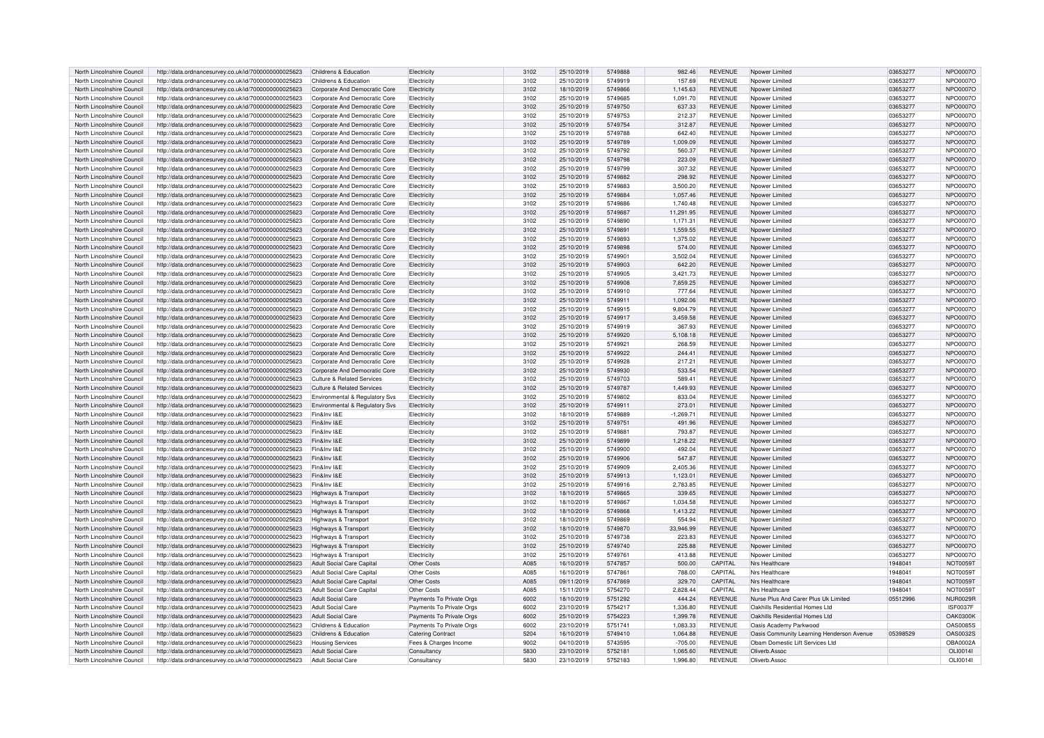| North Lincolnshire Council                               | http://data.ordnancesurvey.co.uk/id/7000000000025623                                                         | Childrens & Education                       | Electricity                | 3102         | 25/10/2019               | 5749888            | 982.46             | <b>REVENUE</b>                   | Npower Limited                            | 03653277             | NPO0007O                    |
|----------------------------------------------------------|--------------------------------------------------------------------------------------------------------------|---------------------------------------------|----------------------------|--------------|--------------------------|--------------------|--------------------|----------------------------------|-------------------------------------------|----------------------|-----------------------------|
| North Lincolnshire Council                               | http://data.ordnancesurvey.co.uk/id/7000000000025623                                                         | Childrens & Education                       | Electricity                | 3102         | 25/10/2019               | 5749919            | 157.69             | REVENUE                          | Noower Limited                            | 03653277             | NPO0007O                    |
| North Lincolnshire Council                               | http://data.ordnancesurvey.co.uk/id/7000000000025623                                                         | Corporate And Democratic Core               | Flectricity                | 3102         | 18/10/2019               | 5749866            | 1,145.63           | <b>REVENUE</b>                   | Nnower Limited                            | 03653277             | NPO0007O                    |
| North Lincolnshire Council                               | http://data.ordnancesurvey.co.uk/id/7000000000025623                                                         | Corporate And Democratic Core               | <b>Electricity</b>         | 3102         | 25/10/2019               | 5749685            | 1,091.70           | REVENUE                          | Npower Limited                            | 03653277             | NPO0007O                    |
| North Lincolnshire Council                               | http://data.ordnancesurvey.co.uk/id/7000000000025623                                                         | Corporate And Democratic Core               | Electricity                | 3102         | 25/10/2019               | 5749750            | 637.33             | <b>REVENUE</b>                   | Noower Limited                            | 03653277             | NPO0007O                    |
| North Lincolnshire Council                               | http://data.ordnancesurvey.co.uk/id/7000000000025623                                                         | Corporate And Democratic Core               | Electricity                | 3102         | 25/10/2019               | 5749753            | 212.37             | <b>REVENUE</b>                   | Noower Limited                            | 03653277             | NPO0007O                    |
| North Lincolnshire Council                               | http://data.ordnancesurvey.co.uk/id/7000000000025623                                                         | Corporate And Democratic Core               | Flectricity                | 3102         | 25/10/2019               | 5749754            | 312.87             | <b>REVENUE</b>                   | Nnower Limited                            | 03653277             | NPO0007O                    |
| North Lincolnshire Council                               | http://data.ordnancesurvey.co.uk/id/7000000000025623                                                         | Corporate And Democratic Core               | Electricity                | 3102         | 25/10/2019               | 5749788            | 642.40             | <b>REVENUE</b>                   | Noower Limited                            | 03653277             | NPO0007O                    |
| North Lincolnshire Council                               | http://data.ordnancesurvey.co.uk/id/7000000000025623                                                         | Corporate And Democratic Core               | Electricity                | 3102         | 25/10/2019               | 5749789            | 1,009.09           | REVENUE                          | Npower Limited                            | 03653277             | NPO0007O                    |
| North Lincolnshire Council                               | http://data.ordnancesurvey.co.uk/id/7000000000025623                                                         | Corporate And Democratic Core               | Flectricity                | 3102         | 25/10/2019               | 5749792            | 560.37             | <b>REVENUE</b>                   | Nnower Limited                            | 03653277             | NPO0007O                    |
| North Lincolnshire Council                               | http://data.ordnancesurvey.co.uk/id/7000000000025623                                                         | Corporate And Democratic Core               | Electricity                | 3102         | 25/10/2019               | 5749798            | 223.09             | <b>REVENUE</b>                   | Nnower Limited                            | 03653277             | NPO0007O                    |
| North Lincolnshire Council                               | http://data.ordnancesurvey.co.uk/id/7000000000025623                                                         | Corporate And Democratic Core               | Electricity                | 3102         | 25/10/2019               | 5749799            | 307.32             | REVENUE                          | Noower Limited                            | 03653277             | NPO0007O                    |
| North Lincolnshire Council                               | http://data.ordnancesurvey.co.uk/id/7000000000025623                                                         | Corporate And Democratic Core               | Electricity                | 3102         | 25/10/2019               | 5749882            | 298.92             | <b>REVENUE</b>                   | Noower Limited                            | 03653277             | NPO0007O                    |
| North Lincolnshire Council                               | http://data.ordnancesurvey.co.uk/id/7000000000025623                                                         | Corporate And Democratic Core               | Electricity                | 3102         | 25/10/2019               | 5749883            | 3,500.20           | <b>REVENUE</b>                   | Noower Limited                            | 03653277             | NPO0007O                    |
| North Lincolnshire Council                               | http://data.ordnancesurvey.co.uk/id/7000000000025623                                                         | Corporate And Democratic Core               | Flectricity                | 3102         | 25/10/2019               | 5749884            | 1.057.46           | <b>REVENUE</b>                   | Nnower Limited                            | 03653277             | NPO0007O                    |
| North Lincolnshire Council                               | http://data.ordnancesurvey.co.uk/id/7000000000025623                                                         | Corporate And Democratic Core               | Electricity                | 3102         | 25/10/2019               | 5749886            | 1,740.48           | <b>REVENUE</b>                   | Noower Limited                            | 03653277             | NPO0007O                    |
| North Lincolnshire Council                               | http://data.ordnancesurvey.co.uk/id/7000000000025623                                                         | Corporate And Democratic Core               | Flectricity                | 3102         | 25/10/2019               | 5749887            | 11,291.95          | REVENUE                          | Npower Limited                            | 03653277             | NPO0007O                    |
| North Lincolnshire Council                               | http://data.ordnancesurvey.co.uk/id/7000000000025623                                                         | Corporate And Democratic Core               | Flectricity                | 3102         | 25/10/2019               | 5749890            | 1.171.31           | REVENUE                          | Nnower Limited                            | 03653277             | NPO0007O                    |
| North Lincolnshire Council                               |                                                                                                              |                                             |                            |              |                          | 5749891            |                    |                                  |                                           |                      |                             |
|                                                          | http://data.ordnancesurvey.co.uk/id/7000000000025623                                                         | Corporate And Democratic Core               | Electricity                | 3102         | 25/10/2019               | 5749893            | 1,559.55           | REVENUE                          | Npower Limited                            | 03653277             | NPO0007O                    |
| North Lincolnshire Council                               | http://data.ordnancesurvey.co.uk/id/7000000000025623                                                         | Corporate And Democratic Core               | Electricity                | 3102         | 25/10/2019               |                    | 1,375.02           | <b>REVENUE</b>                   | Noower Limited                            | 03653277             | NPO0007O                    |
| North Lincolnshire Council                               | http://data.ordnancesurvey.co.uk/id/7000000000025623                                                         | Corporate And Democratic Core               | Electricity                | 3102         | 25/10/2019               | 5749898            | 574.00             | <b>REVENUE</b>                   | Noower Limited                            | 03653277             | NPO0007O                    |
| North Lincolnshire Council                               | http://data.ordnancesurvey.co.uk/id/7000000000025623                                                         | Corporate And Democratic Core               | Electricity                | 3102         | 25/10/2019               | 574990             | 3,502.04           | REVENUE                          | Nnower Limited                            | 03653277             | NPO0007C                    |
| North Lincolnshire Council                               | http://data.ordnancesurvey.co.uk/id/7000000000025623                                                         | Corporate And Democratic Core               | Electricity                | 3102         | 25/10/2019               | 5749903            | 642.20             | <b>REVENUE</b>                   | Npower Limited                            | 03653277             | NPO0007O                    |
| North Lincolnshire Council                               | http://data.ordnancesurvey.co.uk/id/7000000000025623                                                         | Corporate And Democratic Core               | Electricity                | 3102         | 25/10/2019               | 5749905            | 3,421.73           | REVENUE                          | Noower Limited                            | 03653277             | NPO0007O                    |
| North Lincolnshire Council                               | http://data.ordnancesurvey.co.uk/id/7000000000025623                                                         | Corporate And Democratic Core               | Flectricity                | 3102         | 25/10/2019               | 5749908            | 7.859.25           | <b>REVENUE</b>                   | Nnower Limited                            | 03653277             | NPO0007O                    |
| North Lincolnshire Council                               | http://data.ordnancesurvey.co.uk/id/7000000000025623                                                         | Corporate And Democratic Core               | Flectricity                | 3102         | 25/10/2019               | 5749910            | 777.64             | <b>REVENUE</b>                   | Nnower Limited                            | 03653277             | NPO0007O                    |
| North Lincolnshire Council                               | http://data.ordnancesurvey.co.uk/id/7000000000025623                                                         | Corporate And Democratic Core               | Electricity                | 3102         | 25/10/2019               | 5749911            | 1.092.06           | <b>REVENUE</b>                   | Noower Limited                            | 03653277             | NPO0007O                    |
| North Lincolnshire Council                               | http://data.ordnancesurvey.co.uk/id/7000000000025623                                                         | Corporate And Democratic Core               | Flectricity                | 3102         | 25/10/2019               | 5749915            | 9.804.79           | <b>REVENUE</b>                   | Nnower Limited                            | 03653277             | NPO0007O                    |
| North Lincolnshire Council                               | http://data.ordnancesurvey.co.uk/id/7000000000025623                                                         | Corporate And Democratic Core               | Electricity                | 3102         | 25/10/2019               | 5749917            | 3,459.58           | <b>REVENUE</b>                   | Noower Limited                            | 03653277             | NPO0007O                    |
| North Lincolnshire Council                               | http://data.ordnancesurvey.co.uk/id/7000000000025623                                                         | Corporate And Democratic Core               | Electricity                | 3102         | 25/10/2019               | 5749919            | 367.93             | <b>REVENUE</b>                   | Noower Limited                            | 03653277             | NPO0007O                    |
| North Lincolnshire Council                               | http://data.ordnancesurvey.co.uk/id/7000000000025623                                                         | Corporate And Democratic Core               | Electricity                | 3102         | 25/10/2019               | 5749920            | 5,108.18           | <b>REVENUE</b>                   | Noower Limited                            | 03653277             | NPO0007O                    |
| North Lincolnshire Council                               | http://data.ordnancesurvey.co.uk/id/7000000000025623                                                         | Corporate And Democratic Core               | Electricity                | 3102         | 25/10/2019               | 5749921            | 268.59             | REVENUE                          | Nnower Limited                            | 03653277             | NPO0007O                    |
| North Lincolnshire Council                               | http://data.ordnancesurvey.co.uk/id/7000000000025623                                                         | Corporate And Democratic Core               | Flectricity                | 3102         | 25/10/2019               | 5749922            | 244.41             | <b>REVENUE</b>                   | Noower Limited                            | 03653277             | NPO0007O                    |
| North Lincolnshire Council                               | http://data.ordnancesurvey.co.uk/id/7000000000025623                                                         | Corporate And Democratic Core               | Electricity                | 3102         | 25/10/2019               | 5749928            | 217.21             | <b>REVENUE</b>                   | Noower Limited                            | 03653277             | NPO0007O                    |
| North Lincolnshire Council                               | http://data.ordnancesurvey.co.uk/id/7000000000025623                                                         | Corporate And Democratic Core               | Electricity                | 3102         | 25/10/2019               | 5749930            | 533.54             | <b>REVENUE</b>                   | Noower Limited                            | 03653277             | NPO0007O                    |
| North Lincolnshire Council                               | http://data.ordnancesurvey.co.uk/id/7000000000025623                                                         | <b>Culture &amp; Related Services</b>       | Electricity                | 3102         | 25/10/2019               | 5749703            | 589.41             | <b>REVENUE</b>                   | Nnower Limited                            | 03653277             | NPO0007O                    |
| North Lincolnshire Council                               | http://data.ordnancesurvey.co.uk/id/7000000000025623                                                         | <b>Culture &amp; Related Services</b>       | Flectricity                | 3102         | 25/10/2019               | 5749787            | 1.449.93           | <b>REVENUE</b>                   | Nnower Limited                            | 03653277             | NPO0007O                    |
| North Lincolnshire Council                               | http://data.ordnancesurvey.co.uk/id/7000000000025623                                                         | Environmental & Regulatory Svs              | Electricity                | 3102         | 25/10/2019               | 5749802            | 833.04             | <b>REVENUE</b>                   | Noower Limited                            | 03653277             | NPO0007O                    |
| North Lincolnshire Council                               | http://data.ordnancesurvey.co.uk/id/7000000000025623                                                         | Environmental & Regulatory Svs              | Electricity                | 3102         | 25/10/2019               | 5749911            | 273.01             | <b>REVENUE</b>                   | Noower Limited                            | 03653277             | NPO0007O                    |
| North Lincolnshire Council                               | http://data.ordnancesurvey.co.uk/id/7000000000025623                                                         | Fin&Inv I&E                                 | Flectricity                | 3102         | 18/10/2019               | 5749889            | $-1.269.71$        | <b>REVENUE</b>                   | Nnower Limited                            | 03653277             | NPO0007O                    |
| North Lincolnshire Council                               | http://data.ordnancesurvey.co.uk/id/7000000000025623                                                         | Fin&Inv I&E                                 | <b>Electricity</b>         | 3102         | 25/10/2019               | 5749751            | 491.96             | <b>REVENUE</b>                   | Noower Limited                            | 03653277             | NPO0007O                    |
| North Lincolnshire Council                               | http://data.ordnancesurvey.co.uk/id/7000000000025623                                                         | Fin&Inv I&F                                 | Electricity                | 3102         | 25/10/2019               | 574988             | 793.87             | REVENUE                          | Noower Limited                            | 03653277             | NPO0007O                    |
| North Lincolnshire Council                               | http://data.ordnancesurvey.co.uk/id/7000000000025623                                                         | Fin&Inv I&F                                 | Electricity                | 3102         | 25/10/2019               | 5749899            | 1,218.22           | REVENUE                          | Noower Limited                            | 03653277             | NPO0007O                    |
| North Lincolnshire Council                               | http://data.ordnancesurvey.co.uk/id/7000000000025623                                                         | Fin&Inv I&E                                 | <b>Electricity</b>         | 3102         | 25/10/2019               | 5749900            | 492.04             | REVENUE                          | Noower Limited                            | 03653277             | NPO0007O                    |
| North Lincolnshire Council                               | http://data.ordnancesurvey.co.uk/id/7000000000025623                                                         | Fin&Inv I&E                                 | <b>Electricity</b>         | 3102         | 25/10/2019               | 5749906            | 547.87             | <b>REVENUE</b>                   | Noower Limited                            | 03653277             | NPO0007O                    |
| North Lincolnshire Council                               | http://data.ordnancesurvey.co.uk/id/7000000000025623                                                         | Fin&Inv I&F                                 | Electricity                | 3102         | 25/10/2019               | 5749909            | 2,405.36           | REVENUE                          | Noower Limited                            | 03653277             | NPO0007O                    |
| North Lincolnshire Council                               | http://data.ordnancesurvey.co.uk/id/7000000000025623                                                         | Fin&Inv I&E                                 | Flectricity                | 3102         | 25/10/2019               | 5749913            | 1,123.01           | <b>REVENUE</b>                   | Nnower Limited                            | 03653277             | NPO0007O                    |
| North Lincolnshire Council                               | http://data.ordnancesurvey.co.uk/id/7000000000025623                                                         | Fin&Inv I&F                                 | Electricity                | 3102         | 25/10/2019               | 5749916            | 2,783.85           | <b>REVENUE</b>                   | Noower Limited                            | 03653277             | NPO0007O                    |
| North Lincolnshire Council                               | http://data.ordnancesurvey.co.uk/id/7000000000025623                                                         | Highways & Transport                        | <b>Electricity</b>         | 3102         | 18/10/2019               | 5749865            | 339.65             | <b>REVENUE</b>                   | Noower Limited                            | 03653277             | NPO0007O                    |
| North Lincolnshire Council                               | http://data.ordnancesurvey.co.uk/id/7000000000025623                                                         | Highways & Transport                        | Flectricity                | 3102         | 18/10/2019               | 5749867            | 1.034.58           | <b>REVENUE</b>                   | Nnower Limited                            | 03653277             | NPO0007O                    |
|                                                          |                                                                                                              |                                             |                            |              |                          | 5749868            |                    | <b>REVENUE</b>                   |                                           |                      |                             |
| North Lincolnshire Council<br>North Lincolnshire Council | http://data.ordnancesurvey.co.uk/id/7000000000025623<br>http://data.ordnancesurvey.co.uk/id/7000000000025623 | Highways & Transpor<br>Highways & Transport | Electricity<br>Electricity | 3102<br>3102 | 18/10/2019<br>18/10/2019 | 5749869            | 1,413.22<br>554.94 | <b>REVENUE</b>                   | Npower Limited<br>Noower Limited          | 03653277<br>0365327  | NPO0007O<br><b>NPO0007C</b> |
| North Lincolnshire Council                               | http://data.ordnancesurvey.co.uk/id/7000000000025623                                                         | Highways & Transport                        | Electricity                | 3102         | 18/10/2019               | 5749870            | 33,946.99          | <b>REVENUE</b>                   | Noower Limited                            | 03653277             | NPO0007O                    |
|                                                          |                                                                                                              |                                             |                            |              |                          |                    |                    |                                  |                                           |                      |                             |
| North Lincolnshire Council<br>North Lincolnshire Council | http://data.ordnancesurvey.co.uk/id/7000000000025623<br>http://data.ordnancesurvey.co.uk/id/7000000000025623 | Highways & Transport                        | Electricity<br>Flectricity | 3102<br>3102 | 25/10/2019<br>25/10/2019 | 5749738<br>5749740 | 223.83<br>225.88   | <b>REVENUE</b><br><b>REVENUE</b> | Noower Limited<br>Nnower Limited          | 03653277<br>03653277 | NPO0007O<br>NPO0007O        |
|                                                          |                                                                                                              | Highways & Transport                        |                            |              |                          |                    |                    |                                  |                                           |                      |                             |
| North Lincolnshire Council                               | http://data.ordnancesurvey.co.uk/id/7000000000025623                                                         | Highways & Transport                        | Electricity                | 3102<br>A085 | 25/10/2019               | 5749761            | 413.88             | <b>REVENUE</b><br><b>CAPITAL</b> | Noower Limited<br>Nrs Healthcare          | 03653277<br>1948041  | NPO0007O                    |
| North Lincolnshire Council                               | http://data.ordnancesurvey.co.uk/id/7000000000025623                                                         | <b>Adult Social Care Capita</b>             | <b>Other Costs</b>         |              | 16/10/2019               | 5747857            | 500.00             |                                  |                                           |                      | <b>NOT0059T</b>             |
| North Lincolnshire Council                               | http://data.ordnancesurvey.co.uk/id/7000000000025623                                                         | <b>Adult Social Care Capital</b>            | Other Costs                | A085         | 16/10/2019               | 5747861            | 788.00             | CAPITAL                          | Nrs Healthcare                            | 1948041              | <b>NOT0059T</b>             |
| North Lincolnshire Council                               | http://data.ordnancesurvey.co.uk/id/7000000000025623                                                         | Adult Social Care Capital                   | <b>Other Costs</b>         | A085         | 09/11/2019               | 5747869            | 329.70             | CAPITAL                          | Nrs Healthcare                            | 1948041              | <b>NOT0059T</b>             |
| North Lincolnshire Council                               | http://data.ordnancesurvey.co.uk/id/7000000000025623                                                         | Adult Social Care Capital                   | Other Costs                | A085         | 15/11/2019               | 5754270            | 2.828.44           | CAPITAL                          | Nrs Healthcare                            | 1948041              | NOT0059T                    |
| North Lincolnshire Council                               | http://data.ordnancesurvey.co.uk/id/7000000000025623                                                         | <b>Adult Social Care</b>                    | Payments To Private Orgs   | 6002         | 18/10/2019               | 5751292            | 444.24             | <b>REVENUE</b>                   | Nurse Plus And Carer Plus Uk Limited      | 05512996             | <b>NUR0029R</b>             |
| North Lincolnshire Council                               | http://data.ordnancesurvey.co.uk/id/7000000000025623                                                         | <b>Adult Social Care</b>                    | Payments To Private Orgs   | 6002         | 23/10/2019               | 5754217            | 1,336.80           | <b>REVENUE</b>                   | Oakhills Residential Homes Ltd            |                      | <b>ISF0037F</b>             |
| North Lincolnshire Council                               | http://data.ordnancesurvey.co.uk/id/7000000000025623                                                         | <b>Adult Social Care</b>                    | Payments To Private Orgs   | 6002         | 25/10/2019               | 5754223            | 1,399.78           | <b>REVENUE</b>                   | Oakhills Residential Homes Ltd            |                      | <b>OAK0300K</b>             |
| North Lincolnshire Council                               | http://data.ordnancesurvey.co.uk/id/7000000000025623                                                         | Childrens & Education                       | Payments To Private Orgs   | 6002         | 23/10/2019               | 5751741            | 1,083.33           | <b>REVENUE</b>                   | Oasis Academy Parkwood                    |                      | <b>OAS0085S</b>             |
| North Lincolnshire Council                               | http://data.ordnancesurvey.co.uk/id/7000000000025623                                                         | Childrens & Education                       | <b>Catering Contract</b>   | 5204         | 16/10/2019               | 5749410            | 1.064.88           | <b>REVENUE</b>                   | Oasis Community Learning Henderson Avenue | 05398529             | OAS0032S                    |
| North Lincolnshire Council                               | http://data.ordnancesurvey.co.uk/id/7000000000025623                                                         | <b>Housing Services</b>                     | Fees & Charges Income      | 9002         | 04/10/2019               | 5743595            | $-705.00$          | <b>REVENUE</b>                   | Obam Domestic Lift Services Ltd           |                      | OBA0002A                    |
| North Lincolnshire Council                               | http://data.ordnancesurvey.co.uk/id/7000000000025623                                                         | <b>Adult Social Care</b>                    | Consultancy                | 5830         | 23/10/2019               | 5752181            | 1,065.60           | REVENUE                          | Oliverb Assoc                             |                      | OLI0014I                    |
| North Lincolnshire Council                               | http://data.ordnancesurvey.co.uk/id/7000000000025623                                                         | <b>Adult Social Care</b>                    | Consultancy                | 5830         | 23/10/2019               | 5752183            | 1.996.80           | <b>REVENUE</b>                   | Oliverb.Assoc                             |                      | OLI0014I                    |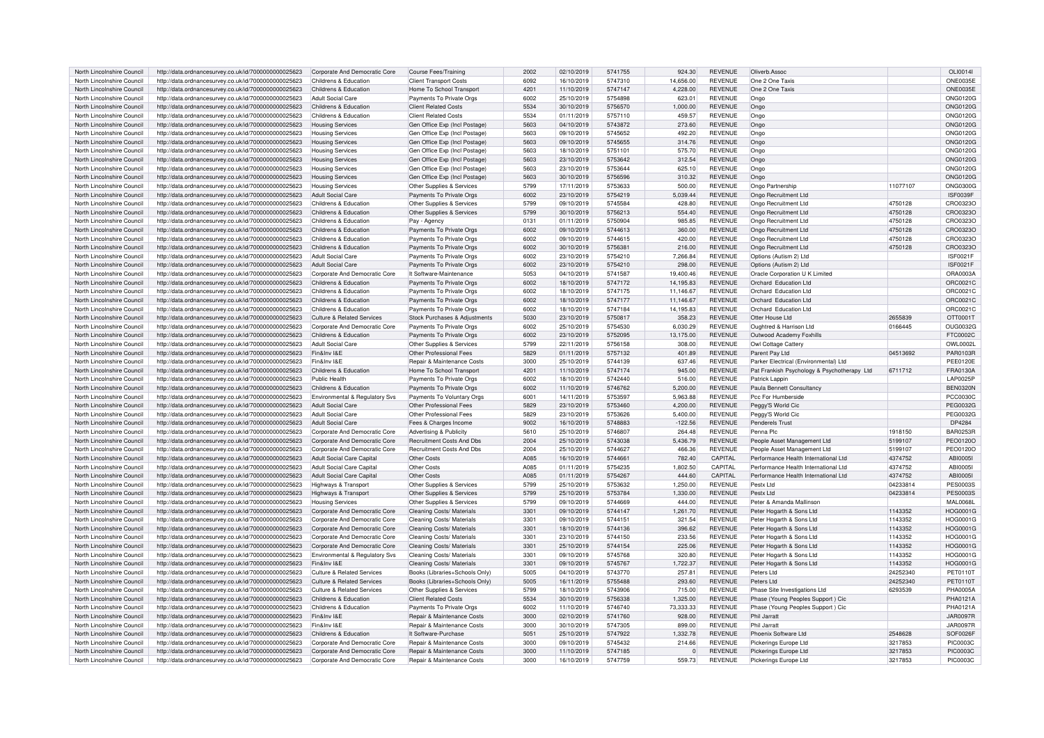| North Lincolnshire Council                               | http://data.ordnancesurvey.co.uk/id/7000000000025623                                                         | Corporate And Democratic Core                                  | <b>Course Fees/Training</b>                              | 2002         | 02/10/2019               | 5741755            | 924.30             | <b>REVENUE</b>                   | Oliverb, Assoc                                 |                    | OLI0014I                    |
|----------------------------------------------------------|--------------------------------------------------------------------------------------------------------------|----------------------------------------------------------------|----------------------------------------------------------|--------------|--------------------------|--------------------|--------------------|----------------------------------|------------------------------------------------|--------------------|-----------------------------|
| North Lincolnshire Council                               | http://data.ordnancesurvey.co.uk/id/7000000000025623                                                         | Childrens & Education                                          | <b>Client Transport Costs</b>                            | 6092         | 16/10/2019               | 5747310            | 14,656.00          | <b>REVENUE</b>                   | One 2 One Taxis                                |                    | <b>ONE0035E</b>             |
| North Lincolnshire Council                               | http://data.ordnancesurvey.co.uk/id/7000000000025623                                                         | Childrens & Education                                          | Home To School Transport                                 | 4201         | 11/10/2019               | 5747147            | 4,228.00           | <b>REVENUE</b>                   | One 2 One Taxis                                |                    | <b>ONE0035E</b>             |
| North Lincolnshire Council                               | http://data.ordnancesurvey.co.uk/id/7000000000025623                                                         | <b>Adult Social Care</b>                                       | Payments To Private Orgs                                 | 6002         | 25/10/2019               | 5754898            | 623.01             | <b>REVENUE</b>                   | Ongo                                           |                    | <b>ONG0120G</b>             |
| North Lincolnshire Council                               | http://data.ordnancesurvey.co.uk/id/7000000000025623                                                         | Childrens & Education                                          | <b>Client Related Costs</b>                              | 5534         | 30/10/2019               | 5756570            | 1,000.00           | <b>REVENUE</b>                   | Ongo                                           |                    | <b>ONG0120G</b>             |
| North Lincolnshire Council                               | http://data.ordnancesurvey.co.uk/id/7000000000025623                                                         | Childrens & Education                                          | <b>Client Related Costs</b>                              | 5534         | 01/11/2019               | 5757110            | 459.57             | <b>REVENUE</b>                   | Ongo                                           |                    | <b>ONG0120G</b>             |
| North Lincolnshire Council                               | http://data.ordnancesurvey.co.uk/id/7000000000025623                                                         | <b>Housing Services</b>                                        | Gen Office Exp (Incl Postage)                            | 5603         | 04/10/2019               | 5743872            | 273,60             | <b>REVENUE</b>                   | Ongo                                           |                    | <b>ONG0120G</b>             |
| North Lincolnshire Council                               | http://data.ordnancesurvey.co.uk/id/7000000000025623                                                         | <b>Housing Services</b>                                        | Gen Office Exp (Incl Postage)                            | 5603         | 09/10/2019               | 5745652            | 492.20             | <b>REVENUE</b>                   | Ongo                                           |                    | <b>ONG0120G</b>             |
| North Lincolnshire Council                               |                                                                                                              |                                                                | Gen Office Exp (Incl Postage                             | 5603         | 09/10/2019               | 5745655            | 314.76             | <b>REVENUE</b>                   |                                                |                    | <b>ONG0120G</b>             |
|                                                          | http://data.ordnancesurvey.co.uk/id/7000000000025623                                                         | <b>Housing Services</b>                                        |                                                          |              |                          |                    |                    |                                  | Ongo                                           |                    |                             |
| North Lincolnshire Council                               | http://data.ordnancesurvey.co.uk/id/7000000000025623                                                         | <b>Housing Services</b>                                        | Gen Office Exp (Incl Postage                             | 5603         | 18/10/2019               | 5751101            | 575.70             | <b>REVENUE</b>                   | Ongo                                           |                    | ONG0120G                    |
| North Lincolnshire Council                               | http://data.ordnancesurvey.co.uk/id/7000000000025623                                                         | <b>Housing Services</b>                                        | Gen Office Exp (Incl Postage                             | 5603         | 23/10/2019               | 5753642            | 312.54             | <b>REVENUE</b>                   | Onac                                           |                    | <b>ONG0120G</b>             |
| North Lincolnshire Council                               | http://data.ordnancesurvey.co.uk/id/7000000000025623                                                         | <b>Housing Services</b>                                        | Gen Office Exp (Incl Postage                             | 5603         | 23/10/2019               | 5753644            | 625.10             | <b>REVENUE</b>                   | Ongo                                           |                    | ONG0120G                    |
| North Lincolnshire Council                               | http://data.ordnancesurvey.co.uk/id/7000000000025623                                                         | <b>Housing Services</b>                                        | Gen Office Exp (Incl Postage)                            | 5603         | 30/10/2019               | 5756596            | 310.32             | <b>REVENUE</b>                   | Ongo                                           |                    | <b>ONG0120G</b>             |
| North Lincolnshire Council                               | http://data.ordnancesurvey.co.uk/id/7000000000025623                                                         | <b>Housing Services</b>                                        | Other Supplies & Services                                | 5799         | 17/11/2019               | 5753633            | 500.00             | <b>REVENUE</b>                   | Ongo Partnership                               | 11077107           | ONG03000                    |
| North Lincolnshire Council                               | http://data.ordnancesurvey.co.uk/id/7000000000025623                                                         | <b>Adult Social Care</b>                                       | Payments To Private Orgs                                 | 6002         | 23/10/2019               | 5754219            | 5,039.44           | <b>REVENUE</b>                   | Ongo Recruitment Ltd                           |                    | <b>ISF0039F</b>             |
| North Lincolnshire Council                               | http://data.ordnancesurvey.co.uk/id/7000000000025623                                                         | Childrens & Education                                          | Other Supplies & Services                                | 5799         | 09/10/2019               | 5745584            | 428.80             | <b>REVENUE</b>                   | Ongo Recruitment Ltd                           | 4750128            | CRO03230                    |
| North Lincolnshire Council                               | http://data.ordnancesurvey.co.uk/id/7000000000025623                                                         | Childrens & Education                                          | Other Supplies & Services                                | 5799         | 30/10/2019               | 5756213            | 554.40             | <b>REVENUE</b>                   | Ongo Recruitment Ltd                           | 4750128            | CRO0323C                    |
| North Lincolnshire Council                               | http://data.ordnancesurvey.co.uk/id/7000000000025623                                                         | Childrens & Education                                          | Pay - Agency                                             | 0131         | 01/11/2019               | 5750904            | 985.85             | <b>REVENUE</b>                   | Ongo Recruitment Ltd                           | 4750128            | CRO0323C                    |
| North Lincolnshire Council                               | http://data.ordnancesurvey.co.uk/id/7000000000025623                                                         | Childrens & Education                                          | Payments To Private Orgs                                 | 6002         | 09/10/2019               | 5744613            | 360.00             | <b>REVENUE</b>                   | Ongo Recruitment Ltd                           | 4750128            | CRO0323C                    |
| North Lincolnshire Council                               | http://data.ordnancesurvey.co.uk/id/7000000000025623                                                         | Childrens & Education                                          | Payments To Private Orgs                                 | 6002         | 09/10/2019               | 5744615            | 420.00             | <b>REVENUE</b>                   | Ongo Recruitment Ltd                           | 4750128            | CRO0323C                    |
| North Lincolnshire Council                               | http://data.ordnancesurvey.co.uk/id/7000000000025623                                                         | Childrens & Education                                          | Payments To Private Orgs                                 | 6002         | 30/10/2019               | 575638             | 216.00             | <b>REVENUE</b>                   | Ongo Recruitment Ltd                           | 4750128            | CRO0323C                    |
| North Lincolnshire Council                               |                                                                                                              | Adult Social Care                                              |                                                          | 6002         | 23/10/2019               | 5754210            |                    | <b>REVENUE</b>                   |                                                |                    | <b>ISF0021F</b>             |
|                                                          | http://data.ordnancesurvey.co.uk/id/7000000000025623                                                         |                                                                | Payments To Private Orgs                                 |              |                          |                    | 7,266.84           |                                  | Options (Autism 2) Ltd                         |                    |                             |
| North Lincolnshire Council                               | http://data.ordnancesurvey.co.uk/id/7000000000025623                                                         | <b>Adult Social Care</b>                                       | Payments To Private Orgs                                 | 6002         | 23/10/2019               | 5754210            | 298.00             | <b>REVENUE</b>                   | Options (Autism 2) Ltd                         |                    | <b>ISF0021F</b>             |
| North Lincolnshire Council                               | http://data.ordnancesurvey.co.uk/id/7000000000025623                                                         | Corporate And Democratic Core                                  | It Software-Maintenance                                  | 5053         | 04/10/2019               | 5741587            | 19,400.46          | <b>REVENUE</b>                   | Oracle Corporation U K Limited                 |                    | ORA0003A                    |
| North Lincolnshire Council                               | http://data.ordnancesurvey.co.uk/id/7000000000025623                                                         | Childrens & Education                                          | Payments To Private Orgs                                 | 6002         | 18/10/2019               | 5747172            | 14,195.83          | <b>REVENUE</b>                   | Orchard Education Ltd                          |                    | ORC00210                    |
| North Lincolnshire Council                               | http://data.ordnancesurvey.co.uk/id/7000000000025623                                                         | Childrens & Education                                          | Payments To Private Orgs                                 | 6002         | 18/10/2019               | 5747175            | 11,146.67          | <b>REVENUE</b>                   | Orchard Education Ltd                          |                    | ORC00210                    |
| North Lincolnshire Council                               | http://data.ordnancesurvey.co.uk/id/7000000000025623                                                         | Childrens & Education                                          | Payments To Private Orgs                                 | 6002         | 18/10/2019               | 5747177            | 11.146.67          | <b>REVENUE</b>                   | Orchard Education Ltd                          |                    | ORC0021C                    |
| North Lincolnshire Council                               | http://data.ordnancesurvey.co.uk/id/7000000000025623                                                         | Childrens & Education                                          | Payments To Private Orgs                                 | 6002         | 18/10/2019               | 5747184            | 14,195.83          | <b>REVENUE</b>                   | Orchard Education Ltd                          |                    | ORC0021C                    |
| North Lincolnshire Council                               | http://data.ordnancesurvey.co.uk/id/7000000000025623                                                         | <b>Culture &amp; Related Services</b>                          | Stock Purchases & Adjustments                            | 5030         | 23/10/2019               | 5750817            | 358.23             | <b>REVENUE</b>                   | Otter House Ltd                                | 2655839            | OTT0001T                    |
| North Lincolnshire Council                               | http://data.ordnancesurvey.co.uk/id/7000000000025623                                                         | Corporate And Democratic Core                                  | Payments To Private Orgs                                 | 6002         | 25/10/2019               | 5754530            | 6,030.29           | <b>REVENUE</b>                   | Oughtred & Harrison Ltd                        | 0166445            | OUG0032G                    |
| North Lincolnshire Council                               | http://data.ordnancesurvey.co.uk/id/7000000000025623                                                         | Childrens & Education                                          | Payments To Private Orgs                                 | 6002         | 23/10/2019               | 5752095            | 13,175.00          | <b>REVENUE</b>                   | Outwood Academy Foxhills                       |                    | FTC0002C                    |
| North Lincolnshire Council                               | http://data.ordnancesurvey.co.uk/id/7000000000025623                                                         | Adult Social Care                                              | Other Supplies & Services                                | 5799         | 22/11/2019               | 5756158            | 308.00             | <b>REVENUE</b>                   | Owl Cottage Cattery                            |                    | OWL0002L                    |
| North Lincolnshire Council                               | http://data.ordnancesurvey.co.uk/id/7000000000025623                                                         | Fin&Inv I&E                                                    | Other Professional Fees                                  | 5829         | 01/11/2019               | 5757132            | 401.89             | <b>REVENUE</b>                   | Parent Pay Ltd                                 | 04513692           | PAR0103F                    |
| North Lincolnshire Council                               | http://data.ordnancesurvey.co.uk/id/7000000000025623                                                         | Fin&Inv I&E                                                    | Repair & Maintenance Costs                               | 3000         | 25/10/2019               | 5744139            | 637.46             | <b>REVENUE</b>                   | Parker Electrical (Environmental) Ltd          |                    | <b>PEE0120E</b>             |
| North Lincolnshire Council                               |                                                                                                              | Childrens & Education                                          | Home To School Transport                                 | 4201         | 11/10/2019               | 5747174            | 945.00             | <b>REVENUE</b>                   |                                                | 6711712            | FRA0130A                    |
|                                                          | http://data.ordnancesurvey.co.uk/id/7000000000025623                                                         |                                                                |                                                          |              |                          |                    |                    |                                  | Pat Frankish Psychology & Psychotherapy Ltd    |                    |                             |
| North Lincolnshire Council                               | http://data.ordnancesurvey.co.uk/id/7000000000025623                                                         | Public Health                                                  | Payments To Private Orgs                                 | 6002         | 18/10/2019               | 5742440            | 516.00             | <b>REVENUE</b>                   | Patrick Lappin                                 |                    | LAP0025P                    |
| North Lincolnshire Council                               | http://data.ordnancesurvey.co.uk/id/7000000000025623                                                         | Childrens & Education                                          | Payments To Private Orgs                                 | 6002         | 11/10/2019               | 5746762            | 5,200.00           | <b>REVENUE</b>                   | Paula Bennett Consultancy                      |                    | <b>BEN0320N</b>             |
| North Lincolnshire Council                               | http://data.ordnancesurvey.co.uk/id/7000000000025623                                                         | Environmental & Regulatory Svs                                 | Payments To Voluntary Orgs                               | 6001         | 14/11/2019               | 5753597            | 5,963.88           | <b>REVENUE</b>                   | Pcc For Humberside                             |                    | <b>PCC0030C</b>             |
| North Lincolnshire Council                               | http://data.ordnancesurvey.co.uk/id/7000000000025623                                                         | Adult Social Care                                              | Other Professional Fees                                  | 5829         | 23/10/2019               | 5753460            | 4.200.00           | <b>REVENUE</b>                   | Peggy'S World Cic                              |                    | PEG0032G                    |
| North Lincolnshire Council                               | http://data.ordnancesurvey.co.uk/id/7000000000025623                                                         | Adult Social Care                                              | Other Professional Fees                                  | 5829         | 23/10/2019               | 5753626            | 5,400.00           | <b>REVENUE</b>                   | Peggy'S World Cio                              |                    | PEG00320                    |
| North Lincolnshire Council                               | http://data.ordnancesurvey.co.uk/id/7000000000025623                                                         | <b>Adult Social Care</b>                                       | Fees & Charges Income                                    | 9002         | 16/10/2019               | 5748883            | $-122.56$          | <b>REVENUE</b>                   | Penderels Trust                                |                    | DP4284                      |
| North Lincolnshire Council                               | http://data.ordnancesurvey.co.uk/id/7000000000025623                                                         | Corporate And Democratic Core                                  | Advertising & Publicity                                  | 5610         | 25/10/2019               | 5746807            | 264.48             | <b>REVENUE</b>                   | Penna Plo                                      | 1918150            | <b>BAR0253F</b>             |
| North Lincolnshire Council                               | http://data.ordnancesurvey.co.uk/id/7000000000025623                                                         |                                                                |                                                          |              |                          |                    |                    |                                  |                                                |                    |                             |
| North Lincolnshire Council                               |                                                                                                              | Corporate And Democratic Core                                  | <b>Recruitment Costs And Dbs</b>                         | 2004         | 25/10/2019               | 5743038            | 5,436.79           | <b>REVENUE</b>                   | People Asset Management Ltd                    | 5199107            | PEO0120C                    |
|                                                          | http://data.ordnancesurvey.co.uk/id/7000000000025623                                                         | Corporate And Democratic Core                                  | Recruitment Costs And Dbs                                | 2004         | 25/10/2019               | 5744627            | 466.36             | <b>REVENUE</b>                   | People Asset Management Ltd                    | 5199107            | PEO0120O                    |
|                                                          |                                                                                                              |                                                                |                                                          |              |                          |                    |                    | CAPITAL                          |                                                |                    |                             |
| North Lincolnshire Council                               | http://data.ordnancesurvey.co.uk/id/7000000000025623                                                         | Adult Social Care Capital                                      | Other Costs                                              | A085         | 16/10/2019               | 574466             | 782.40             |                                  | Performance Health International Ltd           | 4374752            | ABI0005                     |
| North Lincolnshire Council                               | http://data.ordnancesurvey.co.uk/id/7000000000025623                                                         | Adult Social Care Capital                                      | Other Costs<br>Other Costs                               | A085         | 01/11/2019               | 5754235            | 1,802.50           | <b>CAPITAL</b>                   | Performance Health International Ltd           | 4374752            | ABI0005                     |
| North Lincolnshire Council                               | http://data.ordnancesurvey.co.uk/id/7000000000025623                                                         | Adult Social Care Capital                                      |                                                          | A085         | 01/11/2019               | 5754267            | 444.60             | CAPITAL                          | Performance Health International Ltd           | 4374752            | <b>ABI00051</b>             |
| North Lincolnshire Council                               | http://data.ordnancesurvey.co.uk/id/7000000000025623                                                         | Highways & Transport                                           | Other Supplies & Services                                | 5799         | 25/10/2019               | 5753632            | 1,250.00           | <b>REVENUE</b>                   | Pestx Ltd                                      | 04233814           | <b>PES0003S</b>             |
| North Lincolnshire Council                               | http://data.ordnancesurvey.co.uk/id/7000000000025623                                                         | Highways & Transport                                           | Other Supplies & Services                                | 5799         | 25/10/2019               | 5753784            | 1,330.00           | <b>REVENUE</b>                   | Pesty Ltd                                      | 04233814           | <b>PES0003S</b>             |
| North Lincolnshire Council                               | http://data.ordnancesurvey.co.uk/id/7000000000025623                                                         | <b>Housing Services</b>                                        | Other Supplies & Services                                | 5799         | 09/10/2019               | 5744669            | 444.00             | <b>REVENUE</b>                   | Peter & Amanda Mallinson                       |                    | <b>MAL0068L</b>             |
| North Lincolnshire Council                               | http://data.ordnancesurvey.co.uk/id/7000000000025623                                                         | Corporate And Democratic Core                                  | Cleaning Costs/ Materials                                | 3301         | 09/10/2019               | 5744147            | 1.261.70           | <b>REVENUE</b>                   | Peter Hogarth & Sons Ltd                       | 1143352            | HOG0001G                    |
| North Lincolnshire Council                               | http://data.ordnancesurvey.co.uk/id/7000000000025623                                                         | Corporate And Democratic Core                                  | Cleaning Costs/ Materials                                | 3301         | 09/10/2019               | 5744151            | 321.54             | <b>REVENUE</b>                   | Peter Hogarth & Sons Ltd                       | 1143352            | HOG0001G                    |
| North Lincolnshire Council                               | http://data.ordnancesurvey.co.uk/id/7000000000025623                                                         | Corporate And Democratic Core                                  | Cleaning Costs/ Materials                                | 3301         | 18/10/2019               | 5744136            | 396.62             | <b>REVENUE</b>                   | Peter Hogarth & Sons Ltd                       | 1143352            | HOG0001G                    |
| North Lincolnshire Council                               | http://data.ordnancesurvey.co.uk/id/7000000000025623                                                         | Corporate And Democratic Core                                  | Cleaning Costs/ Materials                                | 3301         | 23/10/2019               | 5744150            | 233.56             | <b>REVENUE</b>                   | Peter Hogarth & Sons Ltd                       | 1143352            | HOG0001G                    |
| North Lincolnshire Council                               | http://data.ordnancesurvey.co.uk/id/7000000000025623                                                         | Corporate And Democratic Core                                  | Cleaning Costs/ Materials                                | 3301         | 25/10/2019               | 5744154            | 225.06             | <b>REVENUE</b>                   | Peter Hogarth & Sons Ltd                       | 1143352            | HOG0001G                    |
| North Lincolnshire Council                               | http://data.ordnancesurvey.co.uk/id/7000000000025623                                                         | Environmental & Regulatory Sys                                 | Cleaning Costs/ Materials                                | 3301         | 09/10/2019               | 5745768            | 320.80             | <b>REVENUE</b>                   | Peter Hogarth & Sons Ltd                       | 1143352            | HOG0001G                    |
| North Lincolnshire Council                               | http://data.ordnancesurvey.co.uk/id/7000000000025623                                                         | Fin&Inv I&E                                                    | Cleaning Costs/ Materials                                | 3301         | 09/10/2019               | 5745767            | 1,722.37           | <b>REVENUE</b>                   | Peter Hogarth & Sons Ltd                       | 1143352            | HOG0001G                    |
| North Lincolnshire Council                               | http://data.ordnancesurvey.co.uk/id/7000000000025623                                                         | Culture & Related Services                                     | Books (Libraries+Schools Only)                           | 5005         | 04/10/2019               | 5743770            | 257.81             | <b>REVENUE</b>                   | Peters Ltd                                     | 24252340           | PET0110T                    |
| North Lincolnshire Council                               |                                                                                                              | Culture & Related Services                                     | Books (Libraries+Schools Only)                           | 5005         | 16/11/2019               | 5755488            | 293.60             | <b>REVENUE</b>                   | Peters Ltd                                     | 24252340           | PET0110T                    |
|                                                          | http://data.ordnancesurvey.co.uk/id/7000000000025623                                                         |                                                                |                                                          |              |                          |                    | 715.00             |                                  |                                                | 6293539            |                             |
| North Lincolnshire Council                               | http://data.ordnancesurvey.co.uk/id/7000000000025623                                                         | Culture & Related Services                                     | Other Supplies & Services                                | 5799         | 18/10/2019               | 5743906            |                    | <b>REVENUE</b>                   | Phase Site Investigations Ltd                  |                    | PHA0005A                    |
| North Lincolnshire Council                               | http://data.ordnancesurvey.co.uk/id/7000000000025623                                                         | Childrens & Education                                          | <b>Client Related Costs</b>                              | 5534         | 30/10/2019               | 5756338            | 1,325.00           | <b>REVENUE</b>                   | Phase (Young Peoples Support) Cic              |                    | PHA0121A                    |
| North Lincolnshire Council                               | http://data.ordnancesurvey.co.uk/id/7000000000025623                                                         | Childrens & Education                                          | Payments To Private Orgs                                 | 6002         | 11/10/2019               | 5746740            | 73,333.33          | <b>REVENUE</b>                   | Phase (Young Peoples Support) Cic              |                    | PHA0121A                    |
| North Lincolnshire Council                               | http://data.ordnancesurvey.co.uk/id/7000000000025623                                                         | Fin&Inv I&F                                                    | Repair & Maintenance Costs                               | 3000         | 02/10/2019               | 5741760            | 928.00             | <b>REVENUE</b>                   | Phil Jarratt                                   |                    | <b>JAR0097R</b>             |
| North Lincolnshire Council                               | http://data.ordnancesurvey.co.uk/id/7000000000025623                                                         | Fin&Inv I&E                                                    | Repair & Maintenance Costs                               | 3000         | 30/10/2019               | 5747305            | 899.00             | <b>REVENUE</b>                   | Phil Jarratt                                   |                    | <b>JAR0097R</b>             |
| North Lincolnshire Council                               | http://data.ordnancesurvey.co.uk/id/7000000000025623                                                         | Childrens & Education                                          | It Software-Purchase                                     | 5051         | 25/10/2019               | 5747922            | 1,332.78           | <b>REVENUE</b>                   | Phoenix Software Ltd                           | 2548628            | SOF0026F                    |
| North Lincolnshire Council                               | http://data.ordnancesurvey.co.uk/id/7000000000025623                                                         | Corporate And Democratic Core                                  | Repair & Maintenance Costs                               | 3000         | 09/10/2019               | 5745432            | 214.66             | <b>REVENUE</b>                   | Pickerings Europe Ltd                          | 3217853            | PIC0003C                    |
| North Lincolnshire Council<br>North Lincolnshire Council | http://data.ordnancesurvey.co.uk/id/7000000000025623<br>http://data.ordnancesurvey.co.uk/id/7000000000025623 | Corporate And Democratic Core<br>Corporate And Democratic Core | Repair & Maintenance Costs<br>Repair & Maintenance Costs | 3000<br>3000 | 11/10/2019<br>16/10/2019 | 5747185<br>5747759 | $\Omega$<br>559.73 | <b>REVENUE</b><br><b>REVENUE</b> | Pickerings Europe Ltd<br>Pickerings Europe Ltd | 3217853<br>3217853 | <b>PIC0003C</b><br>PIC0003C |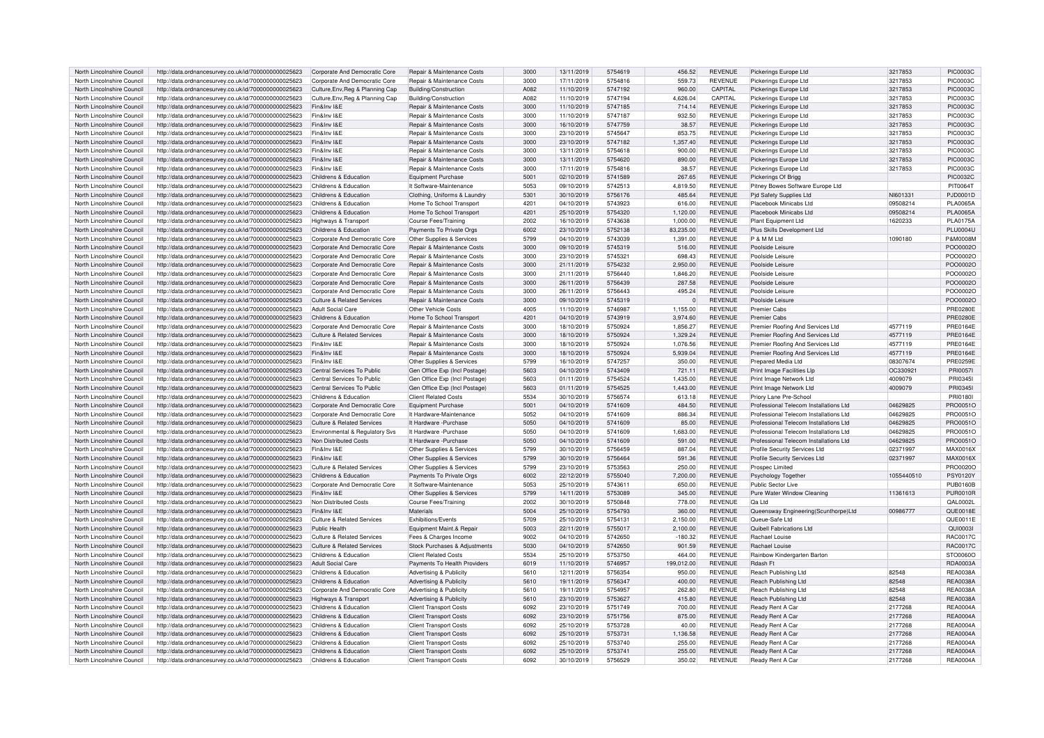| North Lincolnshire Council                               | http://data.ordnancesurvey.co.uk/id/7000000000025623                                                         | Corporate And Democratic Core         | Repair & Maintenance Costs    | 3000         | 13/11/2019               | 5754619            | 456.52           | <b>REVENUE</b>                   | Pickerings Europe Ltd                  | 3217853    | <b>PIC0003C</b>                    |
|----------------------------------------------------------|--------------------------------------------------------------------------------------------------------------|---------------------------------------|-------------------------------|--------------|--------------------------|--------------------|------------------|----------------------------------|----------------------------------------|------------|------------------------------------|
| North Lincolnshire Council                               | http://data.ordnancesurvey.co.uk/id/7000000000025623                                                         | Corporate And Democratic Core         | Repair & Maintenance Costs    | 3000         | 17/11/2019               | 5754816            | 559.73           | <b>REVENUE</b>                   | Pickerings Europe Ltd                  | 3217853    | <b>PIC0003C</b>                    |
| North Lincolnshire Council                               | http://data.ordnancesurvey.co.uk/id/7000000000025623                                                         | Culture, Env, Reg & Planning Cap      | Building/Construction         | A082         | 11/10/2019               | 5747192            | 960.00           | CAPITAL                          | Pickerings Europe Ltd                  | 3217853    | <b>PIC0003C</b>                    |
| North Lincolnshire Council                               | http://data.ordnancesurvey.co.uk/id/7000000000025623                                                         | Culture, Env, Reg & Planning Cap      | Building/Construction         | A082         | 11/10/2019               | 5747194            | 4.626.04         | CAPITAL                          | Pickerings Europe Ltd                  | 3217853    | <b>PIC0003C</b>                    |
| North Lincolnshire Council                               | http://data.ordnancesurvey.co.uk/id/7000000000025623                                                         | Fin&Inv I&E                           | Repair & Maintenance Costs    | 3000         | 11/10/2019               | 5747185            | 714.14           | <b>REVENUE</b>                   | Pickerings Europe Ltd                  | 3217853    | <b>PIC0003C</b>                    |
| North Lincolnshire Council                               | http://data.ordnancesurvey.co.uk/id/7000000000025623                                                         | Fin&Inv I&E                           | Repair & Maintenance Costs    | 3000         | 11/10/2019               | 5747187            | 932.50           | <b>REVENUE</b>                   | Pickerings Europe Ltd                  | 3217853    | <b>PIC0003C</b>                    |
| North Lincolnshire Council                               | http://data.ordnancesurvey.co.uk/id/7000000000025623                                                         | Fin&Inv I&E                           | Repair & Maintenance Costs    | 3000         | 16/10/2019               | 5747759            | 38.57            | <b>REVENUE</b>                   | Pickerings Europe Ltd                  | 3217853    | <b>PIC0003C</b>                    |
| North Lincolnshire Council                               | http://data.ordnancesurvey.co.uk/id/7000000000025623                                                         | Fin&Inv I&E                           | Repair & Maintenance Costs    | 3000         | 23/10/2019               | 5745647            | 853.75           | <b>REVENUE</b>                   | Pickerings Europe Ltd                  | 3217853    | <b>PIC0003C</b>                    |
| North Lincolnshire Council                               | http://data.ordnancesurvey.co.uk/id/7000000000025623                                                         | Fin&Inv I&E                           | Repair & Maintenance Costs    | 3000         | 23/10/2019               | 5747182            | 1,357.40         | <b>REVENUE</b>                   | Pickerings Europe Ltd                  | 3217853    | <b>PIC0003C</b>                    |
| North Lincolnshire Council                               | http://data.ordnancesurvey.co.uk/id/7000000000025623                                                         | Fin&Inv I&E                           | Repair & Maintenance Costs    | 3000         | 13/11/2019               | 5754618            | 900.00           | <b>REVENUE</b>                   | Pickerings Europe Ltd                  | 3217853    | <b>PIC0003C</b>                    |
|                                                          |                                                                                                              | Fin&Inv I&E                           | Repair & Maintenance Costs    |              |                          | 5754620            |                  | <b>REVENUE</b>                   |                                        |            | PIC0003C                           |
| North Lincolnshire Council                               | http://data.ordnancesurvey.co.uk/id/7000000000025623                                                         | Fin&Inv I&F                           |                               | 3000         | 13/11/2019               |                    | 890.00           |                                  | Pickerings Europe Ltd                  | 3217853    |                                    |
| North Lincolnshire Council                               | http://data.ordnancesurvey.co.uk/id/7000000000025623                                                         |                                       | Repair & Maintenance Costs    | 3000         | 17/11/2019               | 5754816            | 38.57            | <b>REVENUE</b>                   | Pickerings Europe Ltd                  | 3217853    | PIC0003C                           |
| North Lincolnshire Council                               | http://data.ordnancesurvey.co.uk/id/7000000000025623                                                         | Childrens & Education                 | Equipment Purchase            | 5001         | 02/10/2019               | 5741589            | 267.65           | <b>REVENUE</b>                   | Pickerings Of Brigg                    |            | PIC0032C                           |
| North Lincolnshire Council                               | http://data.ordnancesurvey.co.uk/id/7000000000025623                                                         | Childrens & Education                 | It Software-Maintenance       | 5053         | 09/10/2019               | 5742513            | 4.819.50         | <b>REVENUE</b>                   | Pitney Bowes Software Europe Ltd       |            | PIT00641                           |
| North Lincolnshire Council                               | http://data.ordnancesurvey.co.uk/id/7000000000025623                                                         | Childrens & Education                 | Clothing, Uniforms & Laundry  | 5301         | 30/10/2019               | 5756176            | 485.64           | <b>REVENUE</b>                   | <b>Pid Safety Supplies Ltd</b>         | NI601331   | PJD0001D                           |
| North Lincolnshire Council                               | http://data.ordnancesurvey.co.uk/id/7000000000025623                                                         | Childrens & Education                 | Home To School Transport      | 4201         | 04/10/2019               | 5743923            | 616.00           | <b>REVENUE</b>                   | Placebook Minicabs Ltd                 | 09508214   | <b>PLA0065A</b>                    |
| North Lincolnshire Council                               | http://data.ordnancesurvey.co.uk/id/7000000000025623                                                         | Childrens & Education                 | Home To School Transport      | 4201         | 25/10/2019               | 5754320            | 1,120.00         | <b>REVENUE</b>                   | Placebook Minicabs Ltd                 | 09508214   | <b>PLA0065A</b>                    |
| North Lincolnshire Council                               | http://data.ordnancesurvey.co.uk/id/7000000000025623                                                         | Highways & Transport                  | Course Fees/Training          | 2002         | 16/10/2019               | 5743638            | 1,000.00         | <b>REVENUE</b>                   | Plant Equipment Ltd                    | 1620233    | <b>PLA0175A</b>                    |
| North Lincolnshire Council                               | http://data.ordnancesurvey.co.uk/id/7000000000025623                                                         | Childrens & Education                 | Payments To Private Orgs      | 6002         | 23/10/2019               | 5752138            | 83.235.00        | <b>REVENUE</b>                   | Plus Skills Development Ltd            |            | <b>PLU0004L</b>                    |
| North Lincolnshire Council                               | http://data.ordnancesurvey.co.uk/id/7000000000025623                                                         | Corporate And Democratic Core         | Other Supplies & Services     | 5799         | 04/10/2019               | 5743039            | 1,391.00         | <b>REVENUE</b>                   | P & M M Ltd                            | 1090180    | P&M0008M                           |
| North Lincolnshire Council                               | http://data.ordnancesurvey.co.uk/id/7000000000025623                                                         | Corporate And Democratic Core         | Repair & Maintenance Costs    | 3000         | 09/10/2019               | 5745319            | 516.00           | <b>REVENUE</b>                   | Poolside Leisure                       |            | POO0002C                           |
| North Lincolnshire Council                               | http://data.ordnancesurvey.co.uk/id/7000000000025623                                                         | Corporate And Democratic Core         | Repair & Maintenance Costs    | 3000         | 23/10/2019               | 5745321            | 698.43           | <b>REVENUE</b>                   | Poolside Leisure                       |            | POO0002C                           |
| North Lincolnshire Council                               | http://data.ordnancesurvey.co.uk/id/7000000000025623                                                         | Corporate And Democratic Core         | Repair & Maintenance Costs    | 3000         | 21/11/2019               | 5754232            | 2,950.00         | <b>REVENUE</b>                   | Poolside Leisure                       |            | POO0002C                           |
| North Lincolnshire Council                               | http://data.ordnancesurvey.co.uk/id/7000000000025623                                                         | Corporate And Democratic Core         | Repair & Maintenance Costs    | 3000         | 21/11/2019               | 5756440            | 1,846.20         | <b>REVENUE</b>                   | Poolside Leisure                       |            | POO0002C                           |
| North Lincolnshire Council                               | http://data.ordnancesurvey.co.uk/id/7000000000025623                                                         | Corporate And Democratic Core         | Repair & Maintenance Costs    | 3000         | 26/11/2019               | 5756439            | 287.58           | <b>REVENUE</b>                   | Poolside Leisure                       |            | POO0002C                           |
| North Lincolnshire Council                               | http://data.ordnancesurvey.co.uk/id/7000000000025623                                                         | Corporate And Democratic Core         | Repair & Maintenance Costs    | 3000         | 26/11/2019               | 5756443            | 495.24           | <b>REVENUE</b>                   | Poolside Leisure                       |            | POO0002C                           |
| North Lincolnshire Council                               | http://data.ordnancesurvey.co.uk/id/7000000000025623                                                         | Culture & Related Services            | Repair & Maintenance Costs    | 3000         | 09/10/2019               | 5745319            | $\Omega$         | <b>REVENUE</b>                   | Poolside Leisure                       |            | POO0002C                           |
| North Lincolnshire Council                               | http://data.ordnancesurvey.co.uk/id/7000000000025623                                                         | Adult Social Care                     | Other Vehicle Costs           | 4005         | 11/10/2019               | 5746987            | 1,155.00         | <b>REVENUE</b>                   | <b>Premier Cabs</b>                    |            | <b>PRE0280E</b>                    |
| North Lincolnshire Council                               | http://data.ordnancesurvey.co.uk/id/7000000000025623                                                         | Childrens & Education                 | Home To School Transport      | 4201         | 04/10/2019               | 5743919            | 3,974.60         | <b>REVENUE</b>                   | <b>Premier Cabs</b>                    |            | <b>PRE0280E</b>                    |
| North Lincolnshire Council                               | http://data.ordnancesurvey.co.uk/id/7000000000025623                                                         | Corporate And Democratic Core         | Repair & Maintenance Costs    | 3000         | 18/10/2019               | 5750924            | 1,856.27         | <b>REVENUE</b>                   | Premier Roofing And Services Ltd       | 4577119    | <b>PRE0164E</b>                    |
| North Lincolnshire Council                               | http://data.ordnancesurvey.co.uk/id/7000000000025623                                                         | <b>Culture &amp; Related Services</b> | Repair & Maintenance Costs    | 3000         | 18/10/2019               | 5750924            | 1,329.24         | <b>REVENUE</b>                   | Premier Roofing And Services Ltd       | 4577119    | <b>PRE0164E</b>                    |
| North Lincolnshire Council                               | http://data.ordnancesurvey.co.uk/id/7000000000025623                                                         | Fin&Inv I&F                           | Repair & Maintenance Costs    | 3000         | 18/10/2019               | 5750924            | 1,076.56         | <b>REVENUE</b>                   | Premier Roofing And Services Ltd       | 4577119    | <b>PRE0164E</b>                    |
|                                                          |                                                                                                              |                                       |                               | 3000         |                          |                    |                  |                                  |                                        |            | <b>PRE0164E</b>                    |
| North Lincolnshire Council                               | http://data.ordnancesurvey.co.uk/id/7000000000025623                                                         | Fin&Inv I&E<br>Fin&Inv I&F            | Repair & Maintenance Costs    |              | 18/10/2019               | 5750924            | 5,939.04         | <b>REVENUE</b>                   | Premier Roofing And Services Ltd       | 4577119    |                                    |
| North Lincolnshire Council                               | http://data.ordnancesurvev.co.uk/id/7000000000025623                                                         | Central Services To Public            | Other Supplies & Services     | 5799<br>5603 | 16/10/2019               | 5747257<br>5743409 | 350.00           | <b>REVENUE</b>                   | Prepared Media Ltd                     | 08307674   | <b>PRE0259E</b>                    |
| North Lincolnshire Council                               | http://data.ordnancesurvey.co.uk/id/7000000000025623                                                         |                                       | Gen Office Exp (Incl Postage) |              | 04/10/2019               |                    | 721.11           | <b>REVENUE</b>                   | Print Image Facilities Llp             | OC330921   | <b>PRI0057I</b>                    |
| North Lincolnshire Council                               | http://data.ordnancesurvey.co.uk/id/7000000000025623                                                         | Central Services To Public            | Gen Office Exp (Incl Postage) | 5603         | 01/11/2019               | 5754524            | 1,435.00         | <b>REVENUE</b>                   | Print Image Network Ltd                | 4009079    | PRI0345                            |
| North Lincolnshire Council                               | http://data.ordnancesurvey.co.uk/id/7000000000025623                                                         | Central Services To Public            | Gen Office Exp (Incl Postage) | 5603         | 01/11/2019               | 5754525            | 1.443.00         | <b>REVENUE</b>                   | Print Image Network Ltd                | 4009079    | PRI03451                           |
| North Lincolnshire Council                               | http://data.ordnancesurvey.co.uk/id/7000000000025623                                                         | Childrens & Education                 | <b>Client Related Costs</b>   | 5534         | 30/10/2019               | 5756574            | 613.18           | <b>REVENUE</b>                   | Priory Lane Pre-School                 |            | PRI01801                           |
| North Lincolnshire Council                               | http://data.ordnancesurvey.co.uk/id/7000000000025623                                                         | Corporate And Democratic Core         | Equipment Purchase            | 5001         | 04/10/2019               | 5741609            | 484.50           | <b>REVENUE</b>                   | Professional Telecom Installations Ltd | 04629825   | PRO0051C                           |
| North Lincolnshire Council                               | http://data.ordnancesurvey.co.uk/id/7000000000025623                                                         | Corporate And Democratic Core         | It Hardware-Maintenance       | 5052         | 04/10/2019               | 5741609            | 886.34           | <b>REVENUE</b>                   | Professional Telecom Installations Ltd | 04629825   | PRO0051O                           |
| North Lincolnshire Council                               | http://data.ordnancesurvey.co.uk/id/7000000000025623                                                         | <b>Culture &amp; Related Services</b> | It Hardware - Purchase        | 5050         | 04/10/2019               | 5741609            | 85.00            | <b>REVENUE</b>                   | Professional Telecom Installations Ltd | 04629825   | PRO0051C                           |
| North Lincolnshire Council                               | http://data.ordnancesurvey.co.uk/id/7000000000025623                                                         | Environmental & Regulatory Svs        | It Hardware -Purchase         | 5050         | 04/10/2019               | 5741609            | 1.683.00         | <b>REVENUE</b>                   | Professional Telecom Installations Ltd | 04629825   | PRO0051C                           |
| North Lincolnshire Council                               | http://data.ordnancesurvey.co.uk/id/7000000000025623                                                         | Non Distributed Costs                 | It Hardware -Purchase         | 5050         | 04/10/2019               | 5741609            | 591.00           | <b>REVENUE</b>                   | Professional Telecom Installations Ltd | 04629825   | PRO0051C                           |
| North Lincolnshire Council                               | http://data.ordnancesurvey.co.uk/id/7000000000025623                                                         | Fin&Inv I&F                           | Other Supplies & Services     | 5799         | 30/10/2019               | 5756459            | 887.04           | <b>REVENUE</b>                   | Profile Security Services Ltd          | 02371997   | MAX0016X                           |
| North Lincolnshire Council                               | http://data.ordnancesurvey.co.uk/id/7000000000025623                                                         | Fin&Inv I&F                           | Other Supplies & Services     | 5799         | 30/10/2019               | 5756464            | 591.36           | <b>REVENUE</b>                   | <b>Profile Security Services Ltd</b>   | 02371997   | MAX0016X                           |
| North Lincolnshire Council                               | http://data.ordnancesurvey.co.uk/id/7000000000025623                                                         | <b>Culture &amp; Related Services</b> | Other Supplies & Services     | 5799         | 23/10/2019               | 5753563            | 250.00           | <b>REVENUE</b>                   | Prospec Limited                        |            | PRO0020C                           |
| North Lincolnshire Council                               | http://data.ordnancesurvey.co.uk/id/7000000000025623                                                         | Childrens & Education                 | Payments To Private Orgs      | 6002         | 22/12/2019               | 5755040            | 7,200.00         | <b>REVENUE</b>                   | Psychology Together                    | 1055440510 | <b>PSY0120Y</b>                    |
| North Lincolnshire Council                               | http://data.ordnancesurvey.co.uk/id/7000000000025623                                                         | Corporate And Democratic Core         | It Software-Maintenance       | 5053         | 25/10/2019               | 5743611            | 650.00           | <b>REVENUE</b>                   | Public Sector Live                     |            | <b>PUB0160B</b>                    |
| North Lincolnshire Council                               | http://data.ordnancesurvey.co.uk/id/7000000000025623                                                         | Fin&Inv I&E                           | Other Supplies & Services     | 5799         | 14/11/2019               | 5753089            | 345.00           | <b>REVENUE</b>                   | Pure Water Window Cleaning             | 11361613   | <b>PUR0010R</b>                    |
| North Lincolnshire Council                               | http://data.ordnancesurvey.co.uk/id/7000000000025623                                                         | Non Distributed Costs                 | Course Fees/Training          | 2002         | 30/10/2019               | 5750848            | 778.00           | <b>REVENUE</b>                   | $Oa$ I td                              |            | QAL0002L                           |
| North Lincolnshire Council                               | http://data.ordnancesurvey.co.uk/id/7000000000025623                                                         | Fin&Inv I&F                           | Materials                     | 5004         | 25/10/2019               | 5754793            | 360.00           | <b>REVENUE</b>                   | Queensway Engineering(Scunthorpe)Ltd   | 00986777   | QUE0018E                           |
| North Lincolnshire Council                               | http://data.ordnancesurvey.co.uk/id/7000000000025623                                                         | Culture & Related Services            | Exhibitions/Events            | 5709         | 25/10/2019               | 575413             | 2,150.00         | <b>REVENUE</b>                   | Queue-Safe Ltd                         |            | QUE0011E                           |
| North Lincolnshire Council                               | http://data.ordnancesurvey.co.uk/id/7000000000025623                                                         | Public Health                         | Equipment Maint.& Repair      | 5003         | 22/11/2019               | 5755017            | 2,100.00         | <b>REVENUE</b>                   | Quibell Fabrications Ltd               |            | QUI0003                            |
| North Lincolnshire Council                               | http://data.ordnancesurvey.co.uk/id/7000000000025623                                                         | <b>Culture &amp; Related Services</b> | Fees & Charges Income         | 9002         | 04/10/2019               | 5742650            | $-180.32$        | <b>REVENUE</b>                   | Rachael Louise                         |            | RAC0017C                           |
| North Lincolnshire Council                               | http://data.ordnancesurvey.co.uk/id/7000000000025623                                                         | <b>Culture &amp; Related Services</b> | Stock Purchases & Adjustments | 5030         | 04/10/2019               | 5742650            | 901.59           | <b>REVENUE</b>                   | Rachael Louise                         |            | RAC0017C                           |
| North Lincolnshire Council                               | http://data.ordnancesurvey.co.uk/id/7000000000025623                                                         | Childrens & Education                 | <b>Client Related Costs</b>   | 5534         | 25/10/2019               | 5753750            | 464.00           | <b>REVENUE</b>                   | Rainbow Kindergarten Barton            |            | STO0060C                           |
| North Lincolnshire Council                               |                                                                                                              | <b>Adult Social Care</b>              |                               | 6019         | 11/10/2019               | 5746957            |                  | <b>REVENUE</b>                   | Rdash Ft                               |            | RDA0003A                           |
|                                                          | http://data.ordnancesurvey.co.uk/id/7000000000025623                                                         |                                       | Payments To Health Providers  |              |                          |                    | 199,012.00       |                                  |                                        |            |                                    |
| North Lincolnshire Council                               | http://data.ordnancesurvey.co.uk/id/7000000000025623                                                         | Childrens & Education                 | Advertising & Publicity       | 5610         | 12/11/2019               | 5756354            | 950.00           | <b>REVENUE</b>                   | Reach Publishing Ltd                   | 82548      | REA0038A                           |
| North Lincolnshire Council                               | http://data.ordnancesurvey.co.uk/id/7000000000025623                                                         | Childrens & Education                 | Advertising & Publicity       | 5610         | 19/11/2019               | 5756347            | 400.00           | <b>REVENUE</b>                   | Reach Publishing Ltd                   | 82548      | <b>REA0038A</b>                    |
| North Lincolnshire Council                               | http://data.ordnancesurvey.co.uk/id/7000000000025623                                                         | Corporate And Democratic Core         | Advertising & Publicity       | 5610         | 19/11/2019               | 5754957            | 262.80           | <b>REVENUE</b>                   | Reach Publishing Ltd                   | 82548      | REA0038A                           |
| North Lincolnshire Council                               | http://data.ordnancesurvey.co.uk/id/7000000000025623                                                         | Highways & Transport                  | Advertising & Publicity       | 5610         | 23/10/2019               | 5753627            | 415.80           | <b>REVENUE</b>                   | Reach Publishing Ltd                   | 82548      | REA0038A                           |
| North Lincolnshire Council                               | http://data.ordnancesurvey.co.uk/id/7000000000025623                                                         | Childrens & Education                 | <b>Client Transport Costs</b> | 6092         | 23/10/2019               | 5751749            | 700.00           | <b>REVENUE</b>                   | Ready Rent A Car                       | 2177268    | <b>REA0004A</b>                    |
| North Lincolnshire Council                               | http://data.ordnancesurvey.co.uk/id/7000000000025623                                                         | Childrens & Education                 | <b>Client Transport Costs</b> | 6092         | 23/10/2019               | 5751756            | 875.00           | <b>REVENUE</b>                   | Ready Rent A Car                       | 2177268    | REA0004A                           |
| North Lincolnshire Council                               | http://data.ordnancesurvey.co.uk/id/7000000000025623                                                         | Childrens & Education                 | Client Transport Costs        | 6092         | 25/10/2019               | 5753728            | 40.00            | <b>REVENUE</b>                   | Ready Rent A Car                       | 2177268    | <b>REA0004A</b>                    |
| North Lincolnshire Council                               | http://data.ordnancesurvey.co.uk/id/7000000000025623                                                         | Childrens & Education                 | <b>Client Transport Costs</b> | 6092         | 25/10/2019               | 5753731            | 1,136.58         | <b>REVENUE</b>                   | Ready Rent A Car                       | 2177268    | <b>REA0004A</b>                    |
|                                                          |                                                                                                              |                                       |                               |              |                          |                    |                  |                                  |                                        |            |                                    |
| North Lincolnshire Council                               | http://data.ordnancesurvey.co.uk/id/7000000000025623                                                         | Childrens & Education                 | <b>Client Transport Costs</b> | 6092         | 25/10/2019               | 5753740            | 255.00           | <b>REVENUE</b>                   | Ready Rent A Car                       | 2177268    | <b>REA0004A</b>                    |
| North Lincolnshire Council<br>North Lincolnshire Council | http://data.ordnancesurvey.co.uk/id/7000000000025623<br>http://data.ordnancesurvey.co.uk/id/7000000000025623 | Childrens & Education                 | <b>Client Transport Costs</b> | 6092         | 25/10/2019<br>30/10/2019 | 5753741<br>5756529 | 255.00<br>350.02 | <b>REVENUE</b><br><b>REVENUE</b> | Ready Rent A Car                       | 2177268    | <b>REA0004A</b><br><b>REA0004A</b> |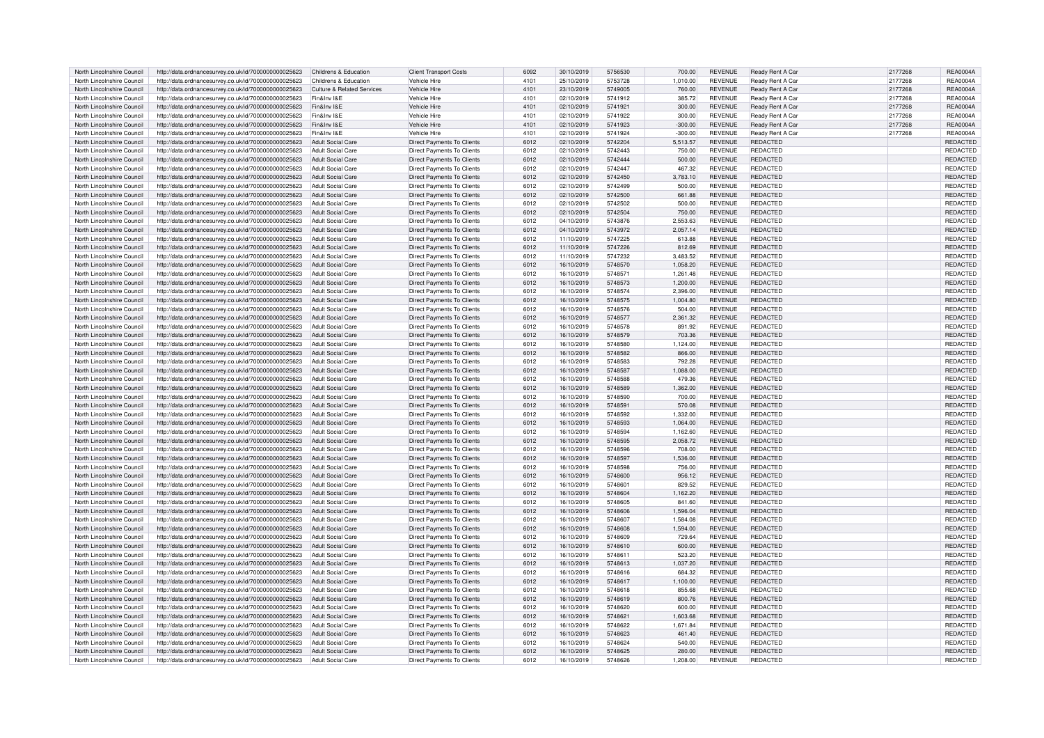| North Lincolnshire Council                               | http://data.ordnancesurvey.co.uk/id/7000000000025623                                                         | Childrens & Education      | <b>Client Transport Costs</b>     | 6092         | 30/10/2019 | 5756530 | 700.00    | <b>REVENUE</b>                   | Ready Rent A Car | 2177268 | <b>REA0004A</b>             |
|----------------------------------------------------------|--------------------------------------------------------------------------------------------------------------|----------------------------|-----------------------------------|--------------|------------|---------|-----------|----------------------------------|------------------|---------|-----------------------------|
| North Lincolnshire Council                               | http://data.ordnancesurvey.co.uk/id/7000000000025623                                                         | Childrens & Education      | Vehicle Hire                      | 4101         | 25/10/2019 | 5753728 | 1,010.00  | REVENUE                          | Ready Rent A Car | 2177268 | <b>REA0004A</b>             |
| North Lincolnshire Council                               | http://data.ordnancesurvey.co.uk/id/7000000000025623                                                         | Culture & Related Services | Vehicle Hire                      | 4101         | 23/10/2019 | 5749005 | 760.00    | <b>REVENUE</b>                   | Ready Rent A Car | 2177268 | <b>REA0004A</b>             |
| North Lincolnshire Council                               | http://data.ordnancesurvey.co.uk/id/7000000000025623                                                         | Fin&Inv I&E                | Vehicle Hire                      | 4101         | 02/10/2019 | 5741912 | 385.72    | <b>REVENUE</b>                   | Ready Rent A Car | 2177268 | <b>REA0004A</b>             |
| North Lincolnshire Council                               | http://data.ordnancesurvey.co.uk/id/7000000000025623                                                         | Fin&Inv I&E                | Vehicle Hire                      | 4101         | 02/10/2019 | 5741921 | 300.00    | <b>REVENUE</b>                   | Ready Rent A Car | 2177268 | <b>REA0004A</b>             |
| North Lincolnshire Council                               | http://data.ordnancesurvey.co.uk/id/7000000000025623                                                         | Fin&Inv I&E                | Vehicle Hire                      | 4101         | 02/10/2019 | 5741922 | 300.00    | <b>REVENUE</b>                   | Ready Rent A Car | 2177268 | <b>REA0004A</b>             |
| North Lincolnshire Council                               | http://data.ordnancesurvey.co.uk/id/7000000000025623                                                         | Fin&Inv I&F                | Vehicle Hire                      | 4101         | 02/10/2019 | 5741923 | $-300.00$ | <b>REVENUE</b>                   | Ready Rent A Car | 2177268 | <b>REA0004A</b>             |
| North Lincolnshire Council                               | http://data.ordnancesurvey.co.uk/id/7000000000025623                                                         | Fin&Inv I&E                | Vehicle Hire                      | 4101         | 02/10/2019 | 5741924 | -300.00   | REVENUE                          | Ready Rent A Car | 2177268 | <b>REA0004A</b>             |
| North Lincolnshire Council                               | http://data.ordnancesurvey.co.uk/id/7000000000025623                                                         | <b>Adult Social Care</b>   | <b>Direct Payments To Clients</b> | 6012         | 02/10/2019 | 5742204 | 5,513.57  | <b>REVENUE</b>                   | <b>REDACTED</b>  |         | <b>REDACTED</b>             |
| North Lincolnshire Council                               | http://data.ordnancesurvey.co.uk/id/7000000000025623                                                         | <b>Adult Social Care</b>   | <b>Direct Payments To Clients</b> | 6012         | 02/10/2019 | 5742443 | 750.00    | <b>REVENUE</b>                   | REDACTED         |         | REDACTED                    |
| North Lincolnshire Council                               | http://data.ordnancesurvey.co.uk/id/7000000000025623                                                         | <b>Adult Social Care</b>   | Direct Payments To Clients        | 6012         | 02/10/2019 | 5742444 | 500.00    | <b>REVENUE</b>                   | REDACTED         |         | REDACTED                    |
| North Lincolnshire Council                               | http://data.ordnancesurvey.co.uk/id/7000000000025623                                                         | <b>Adult Social Care</b>   | <b>Direct Payments To Clients</b> | 6012         | 02/10/2019 | 5742447 | 467.32    | REVENUE                          | REDACTED         |         | <b>REDACTED</b>             |
| North Lincolnshire Council                               | http://data.ordnancesurvey.co.uk/id/7000000000025623                                                         | Adult Social Care          | Direct Payments To Clients        | 6012         | 02/10/2019 | 5742450 | 3,783.10  | <b>REVENUE</b>                   | REDACTED         |         | REDACTED                    |
| North Lincolnshire Council                               | http://data.ordnancesurvey.co.uk/id/7000000000025623                                                         | <b>Adult Social Care</b>   | <b>Direct Payments To Clients</b> | 6012         | 02/10/2019 | 5742499 | 500.00    | <b>REVENUE</b>                   | REDACTED         |         | REDACTED                    |
| North Lincolnshire Council                               | http://data.ordnancesurvey.co.uk/id/7000000000025623                                                         | <b>Adult Social Care</b>   | <b>Direct Payments To Clients</b> | 6012         | 02/10/2019 | 5742500 | 661.88    | <b>REVENUE</b>                   | <b>REDACTED</b>  |         | REDACTED                    |
| North Lincolnshire Council                               | http://data.ordnancesurvey.co.uk/id/7000000000025623                                                         | Adult Social Care          | <b>Direct Payments To Clients</b> | 6012         | 02/10/2019 | 5742502 | 500.00    | <b>REVENUE</b>                   | REDACTED         |         | REDACTED                    |
| North Lincolnshire Council                               | http://data.ordnancesurvey.co.uk/id/7000000000025623                                                         | <b>Adult Social Care</b>   | Direct Payments To Clients        | 6012         | 02/10/2019 | 5742504 | 750.00    | <b>REVENUE</b>                   | REDACTED         |         | REDACTED                    |
| North Lincolnshire Council                               | http://data.ordnancesurvev.co.uk/id/7000000000025623                                                         | <b>Adult Social Care</b>   | Direct Payments To Clients        | 6012         | 04/10/2019 | 5743876 | 2.553.63  | <b>REVENUE</b>                   | REDACTED         |         | REDACTED                    |
| North Lincolnshire Council                               |                                                                                                              |                            |                                   |              |            | 5743972 |           |                                  | REDACTED         |         |                             |
|                                                          | http://data.ordnancesurvey.co.uk/id/7000000000025623                                                         | <b>Adult Social Care</b>   | Direct Payments To Clients        | 6012<br>6012 | 04/10/2019 |         | 2,057.14  | REVENUE                          | <b>REDACTED</b>  |         | REDACTED                    |
| North Lincolnshire Council<br>North Lincolnshire Council | http://data.ordnancesurvey.co.uk/id/7000000000025623                                                         | <b>Adult Social Care</b>   | <b>Direct Payments To Clients</b> |              | 11/10/2019 | 5747225 | 613.88    | <b>REVENUE</b><br><b>REVENUE</b> |                  |         | REDACTED<br><b>REDACTED</b> |
|                                                          | http://data.ordnancesurvey.co.uk/id/7000000000025623                                                         | <b>Adult Social Care</b>   | Direct Payments To Clients        | 6012         | 11/10/2019 | 5747226 | 812.69    |                                  | REDACTED         |         |                             |
| North Lincolnshire Council                               | http://data.ordnancesurvey.co.uk/id/7000000000025623                                                         | <b>Adult Social Care</b>   | <b>Direct Payments To Clients</b> | 6012         | 11/10/2019 | 5747232 | 3,483.52  | REVENUE                          | REDACTED         |         | REDACTED                    |
| North Lincolnshire Council                               | http://data.ordnancesurvey.co.uk/id/7000000000025623                                                         | Adult Social Care          | Direct Payments To Clients        | 6012         | 16/10/2019 | 5748570 | 1,058.20  | <b>REVENUE</b>                   | REDACTED         |         | REDACTED                    |
| North Lincolnshire Council                               | http://data.ordnancesurvey.co.uk/id/7000000000025623                                                         | <b>Adult Social Care</b>   | Direct Payments To Clients        | 6012         | 16/10/2019 | 574857  | 1,261.48  | <b>REVENUE</b>                   | REDACTED         |         | REDACTED                    |
| North Lincolnshire Council                               | http://data.ordnancesurvey.co.uk/id/7000000000025623                                                         | <b>Adult Social Care</b>   | <b>Direct Payments To Clients</b> | 6012         | 16/10/2019 | 5748573 | 1,200.00  | <b>REVENUE</b>                   | <b>REDACTED</b>  |         | REDACTED                    |
| North Lincolnshire Council                               | http://data.ordnancesurvey.co.uk/id/7000000000025623                                                         | <b>Adult Social Care</b>   | <b>Direct Payments To Clients</b> | 6012         | 16/10/2019 | 5748574 | 2.396.00  | <b>REVENUE</b>                   | REDACTED         |         | REDACTED                    |
| North Lincolnshire Council                               | http://data.ordnancesurvey.co.uk/id/7000000000025623                                                         | <b>Adult Social Care</b>   | Direct Payments To Clients        | 6012         | 16/10/2019 | 5748575 | 1,004.80  | <b>REVENUE</b>                   | <b>REDACTED</b>  |         | REDACTED                    |
| North Lincolnshire Council                               | http://data.ordnancesurvey.co.uk/id/7000000000025623                                                         | <b>Adult Social Care</b>   | <b>Direct Payments To Clients</b> | 6012         | 16/10/2019 | 5748576 | 504.00    | REVENUE                          | REDACTED         |         | REDACTED                    |
| North Lincolnshire Council                               | http://data.ordnancesurvey.co.uk/id/7000000000025623                                                         | <b>Adult Social Care</b>   | Direct Payments To Clients        | 6012         | 16/10/2019 | 5748577 | 2,361.32  | <b>REVENUE</b>                   | REDACTED         |         | REDACTED                    |
| North Lincolnshire Council                               | http://data.ordnancesurvey.co.uk/id/7000000000025623                                                         | <b>Adult Social Care</b>   | <b>Direct Payments To Clients</b> | 6012         | 16/10/2019 | 5748578 | 891.92    | <b>REVENUE</b>                   | REDACTED         |         | REDACTED                    |
| North Lincolnshire Council                               | http://data.ordnancesurvey.co.uk/id/7000000000025623                                                         | <b>Adult Social Care</b>   | Direct Payments To Clients        | 6012         | 16/10/2019 | 5748579 | 703.36    | <b>REVENUE</b>                   | <b>REDACTED</b>  |         | REDACTED                    |
| North Lincolnshire Council                               | http://data.ordnancesurvey.co.uk/id/7000000000025623                                                         | <b>Adult Social Care</b>   | Direct Payments To Clients        | 6012         | 16/10/2019 | 5748580 | 1,124.00  | REVENUE                          | REDACTED         |         | REDACTED                    |
| North Lincolnshire Council                               | http://data.ordnancesurvey.co.uk/id/7000000000025623                                                         | Adult Social Care          | Direct Payments To Clients        | 6012         | 16/10/2019 | 5748582 | 866.00    | <b>REVENUE</b>                   | REDACTED         |         | <b>REDACTED</b>             |
| North Lincolnshire Council                               | http://data.ordnancesurvey.co.uk/id/7000000000025623                                                         | <b>Adult Social Care</b>   | Direct Payments To Clients        | 6012         | 16/10/2019 | 5748583 | 792.28    | <b>REVENUE</b>                   | REDACTED         |         | REDACTED                    |
| North Lincolnshire Council                               | http://data.ordnancesurvey.co.uk/id/7000000000025623                                                         | <b>Adult Social Care</b>   | <b>Direct Payments To Clients</b> | 6012         | 16/10/2019 | 5748587 | 1,088.00  | <b>REVENUE</b>                   | REDACTED         |         | REDACTED                    |
| North Lincolnshire Council                               | http://data.ordnancesurvev.co.uk/id/7000000000025623                                                         | <b>Adult Social Care</b>   | <b>Direct Payments To Clients</b> | 6012         | 16/10/2019 | 5748588 | 479.36    | <b>REVENUE</b>                   | REDACTED         |         | REDACTED                    |
| North Lincolnshire Council                               | http://data.ordnancesurvey.co.uk/id/7000000000025623                                                         | <b>Adult Social Care</b>   | Direct Payments To Clients        | 6012         | 16/10/2019 | 5748589 | 1,362.00  | <b>REVENUE</b>                   | REDACTED         |         | REDACTED                    |
| North Lincolnshire Council                               | http://data.ordnancesurvey.co.uk/id/7000000000025623                                                         | <b>Adult Social Care</b>   | <b>Direct Payments To Clients</b> | 6012         | 16/10/2019 | 5748590 | 700.00    | REVENUE                          | <b>REDACTED</b>  |         | REDACTED                    |
| North Lincolnshire Council                               | http://data.ordnancesurvey.co.uk/id/7000000000025623                                                         | <b>Adult Social Care</b>   | Direct Payments To Clients        | 6012         | 16/10/2019 | 5748591 | 570.08    | <b>REVENUE</b>                   | REDACTED         |         | REDACTED                    |
| North Lincolnshire Council                               | http://data.ordnancesurvey.co.uk/id/7000000000025623                                                         | <b>Adult Social Care</b>   | Direct Payments To Clients        | 6012         | 16/10/2019 | 5748592 | 1,332.00  | REVENUE                          | REDACTED         |         | REDACTED                    |
| North Lincolnshire Council                               | http://data.ordnancesurvey.co.uk/id/7000000000025623                                                         | Adult Social Care          | Direct Payments To Clients        | 6012         | 16/10/2019 | 5748593 | 1.064.00  | <b>REVENUE</b>                   | REDACTED         |         | REDACTED                    |
| North Lincolnshire Council                               | http://data.ordnancesurvey.co.uk/id/7000000000025623                                                         | <b>Adult Social Care</b>   | Direct Payments To Clients        | 6012         | 16/10/2019 | 5748594 | 1,162.60  | <b>REVENUE</b>                   | REDACTED         |         | <b>REDACTED</b>             |
| North Lincolnshire Council                               | http://data.ordnancesurvey.co.uk/id/7000000000025623                                                         | <b>Adult Social Care</b>   | <b>Direct Payments To Clients</b> | 6012         | 16/10/2019 | 5748595 | 2,058.72  | REVENUE                          | REDACTED         |         | REDACTED                    |
| North Lincolnshire Council                               | http://data.ordnancesurvey.co.uk/id/7000000000025623                                                         | <b>Adult Social Care</b>   | Direct Payments To Clients        | 6012         | 16/10/2019 | 5748596 | 708.00    | <b>REVENUE</b>                   | <b>REDACTED</b>  |         | REDACTED                    |
| North Lincolnshire Council                               | http://data.ordnancesurvey.co.uk/id/7000000000025623                                                         | <b>Adult Social Care</b>   | <b>Direct Payments To Clients</b> | 6012         | 16/10/2019 | 5748597 | 1,536.00  | <b>REVENUE</b>                   | REDACTED         |         | REDACTED                    |
| North Lincolnshire Council                               | http://data.ordnancesurvey.co.uk/id/7000000000025623                                                         | <b>Adult Social Care</b>   | <b>Direct Payments To Clients</b> | 6012         | 16/10/2019 | 5748598 | 756.00    | <b>REVENUE</b>                   | REDACTED         |         | REDACTED                    |
| North Lincolnshire Council                               | http://data.ordnancesurvey.co.uk/id/7000000000025623                                                         | <b>Adult Social Care</b>   | Direct Payments To Clients        | 6012         | 16/10/2019 | 5748600 | 956.12    | <b>REVENUE</b>                   | REDACTED         |         | REDACTED                    |
| North Lincolnshire Council                               | http://data.ordnancesurvey.co.uk/id/7000000000025623                                                         | <b>Adult Social Care</b>   | <b>Direct Payments To Clients</b> | 6012         | 16/10/2019 | 574860  | 829.52    | RFVFNUF                          | REDACTED         |         | REDACTED                    |
| North Lincolnshire Council                               | http://data.ordnancesurvey.co.uk/id/7000000000025623                                                         | <b>Adult Social Care</b>   | Direct Payments To Clients        | 6012         | 16/10/2019 | 5748604 | 1,162.20  | <b>REVENUE</b>                   | REDACTED         |         | REDACTED                    |
| North Lincolnshire Council                               | http://data.ordnancesurvey.co.uk/id/7000000000025623                                                         | <b>Adult Social Care</b>   | <b>Direct Payments To Clients</b> | 6012         | 16/10/2019 | 5748605 | 841.60    | <b>REVENUE</b>                   | REDACTED         |         | REDACTED                    |
| North Lincolnshire Council                               | http://data.ordnancesurvey.co.uk/id/7000000000025623                                                         | <b>Adult Social Care</b>   | Direct Payments To Clients        | 6012         | 16/10/2019 | 5748606 | 1.596.04  | <b>REVENUE</b>                   | REDACTED         |         | <b>REDACTED</b>             |
| North Lincolnshire Council                               | http://data.ordnancesurvey.co.uk/id/7000000000025623                                                         | <b>Adult Social Care</b>   | Direct Payments To Clients        | 6012         | 16/10/2019 | 5748607 | 1.584.08  | <b>REVENUE</b>                   | REDACTED         |         | REDACTED                    |
| North Lincolnshire Council                               | http://data.ordnancesurvey.co.uk/id/7000000000025623                                                         | <b>Adult Social Care</b>   | <b>Direct Payments To Clients</b> | 6012         | 16/10/2019 | 5748608 | 1,594.00  | <b>REVENUE</b>                   | REDACTED         |         | REDACTED                    |
| North Lincolnshire Council                               | http://data.ordnancesurvey.co.uk/id/7000000000025623                                                         | <b>Adult Social Care</b>   | Direct Payments To Clients        | 6012         | 16/10/2019 | 5748609 | 729.64    | REVENUE                          | REDACTED         |         | REDACTED                    |
| North Lincolnshire Council                               | http://data.ordnancesurvey.co.uk/id/7000000000025623                                                         | <b>Adult Social Care</b>   | Direct Payments To Clients        | 6012         | 16/10/2019 | 5748610 | 600.00    | REVENUE                          | REDACTED         |         | REDACTED                    |
| North Lincolnshire Council                               | http://data.ordnancesurvey.co.uk/id/7000000000025623                                                         | <b>Adult Social Care</b>   | <b>Direct Payments To Clients</b> | 6012         | 16/10/2019 | 5748611 | 523.20    | <b>REVENUE</b>                   | <b>REDACTED</b>  |         | REDACTED                    |
| North Lincolnshire Council                               | http://data.ordnancesurvey.co.uk/id/7000000000025623                                                         | <b>Adult Social Care</b>   | Direct Payments To Clients        | 6012         | 16/10/2019 | 5748613 | 1,037.20  | <b>REVENUE</b>                   | REDACTED         |         | <b>REDACTED</b>             |
| North Lincolnshire Council                               | http://data.ordnancesurvey.co.uk/id/7000000000025623                                                         | <b>Adult Social Care</b>   | <b>Direct Payments To Clients</b> | 6012         | 16/10/2019 | 5748616 | 684.32    | REVENUE                          | REDACTED         |         | REDACTED                    |
| North Lincolnshire Council                               | http://data.ordnancesurvey.co.uk/id/7000000000025623                                                         | Adult Social Care          | Direct Payments To Clients        | 6012         | 16/10/2019 | 5748617 | 1,100.00  | <b>REVENUE</b>                   | REDACTED         |         | REDACTED                    |
| North Lincolnshire Council                               | http://data.ordnancesurvey.co.uk/id/7000000000025623                                                         | <b>Adult Social Care</b>   | Direct Payments To Clients        | 6012         | 16/10/2019 | 5748618 | 855.68    | <b>REVENUE</b>                   | <b>REDACTED</b>  |         | <b>REDACTED</b>             |
| North Lincolnshire Council                               | http://data.ordnancesurvey.co.uk/id/7000000000025623                                                         | <b>Adult Social Care</b>   | Direct Payments To Clients        | 6012         | 16/10/2019 | 5748619 | 800.76    | <b>REVENUE</b>                   | <b>REDACTED</b>  |         | REDACTED                    |
| North Lincolnshire Council                               | http://data.ordnancesurvey.co.uk/id/7000000000025623                                                         | <b>Adult Social Care</b>   | Direct Payments To Clients        | 6012         | 16/10/2019 | 5748620 | 600.00    | <b>REVENUE</b>                   | REDACTED         |         | REDACTED                    |
| North Lincolnshire Council                               | http://data.ordnancesurvey.co.uk/id/7000000000025623                                                         | <b>Adult Social Care</b>   | Direct Payments To Clients        | 6012         | 16/10/2019 | 5748621 | 1,603.68  | <b>REVENUE</b>                   | REDACTED         |         | REDACTED                    |
| North Lincolnshire Council                               | http://data.ordnancesurvey.co.uk/id/7000000000025623                                                         | <b>Adult Social Care</b>   | <b>Direct Payments To Clients</b> | 6012         | 16/10/2019 | 5748622 | 1,671.84  | REVENUE                          | REDACTED         |         | REDACTED                    |
| North Lincolnshire Council                               | http://data.ordnancesurvey.co.uk/id/7000000000025623                                                         | <b>Adult Social Care</b>   | Direct Payments To Clients        | 6012         | 16/10/2019 | 5748623 | 461.40    | <b>REVENUE</b>                   | REDACTED         |         | REDACTED                    |
| North Lincolnshire Council                               | http://data.ordnancesurvey.co.uk/id/7000000000025623                                                         | <b>Adult Social Care</b>   | Direct Payments To Clients        | 6012         | 16/10/2019 | 5748624 | 540.00    | REVENUE                          | <b>REDACTED</b>  |         | REDACTED                    |
| North Lincolnshire Council                               |                                                                                                              | <b>Adult Social Care</b>   | <b>Direct Payments To Clients</b> | 6012         | 16/10/2019 | 5748625 | 280.00    | <b>REVENUE</b>                   | <b>REDACTED</b>  |         | <b>REDACTED</b>             |
| North Lincolnshire Council                               | http://data.ordnancesurvey.co.uk/id/7000000000025623<br>http://data.ordnancesurvey.co.uk/id/7000000000025623 | <b>Adult Social Care</b>   | <b>Direct Payments To Clients</b> | 6012         | 16/10/2019 | 5748626 | 1,208.00  | <b>REVENUE</b>                   | REDACTED         |         | REDACTED                    |
|                                                          |                                                                                                              |                            |                                   |              |            |         |           |                                  |                  |         |                             |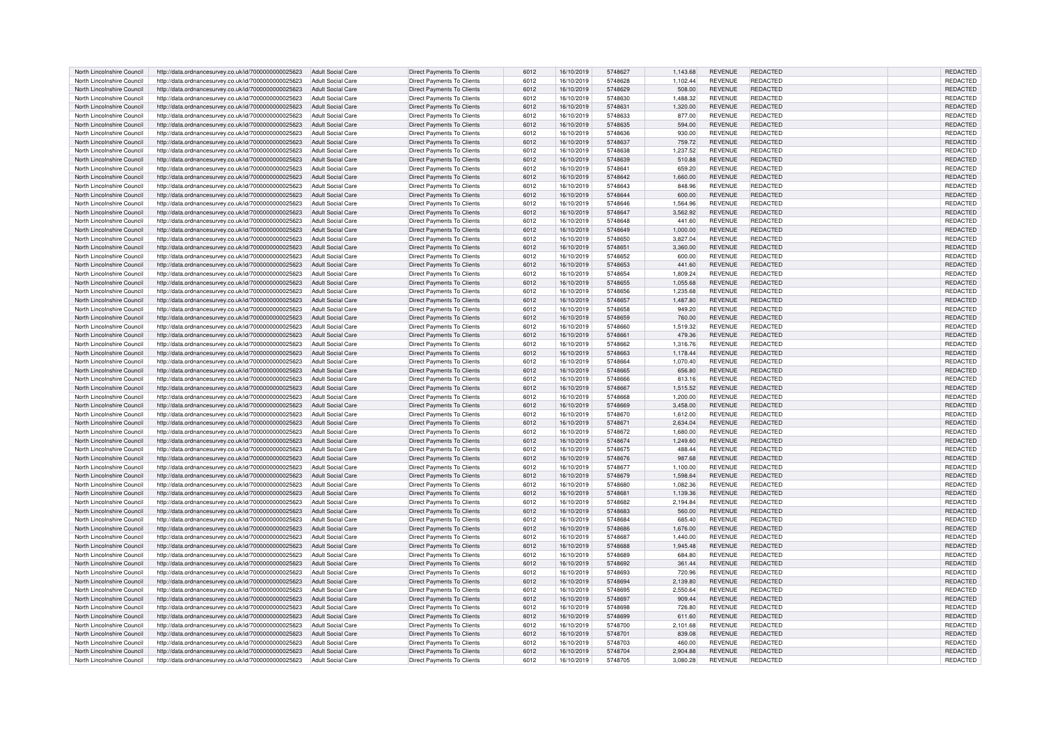| North Lincolnshire Council | http://data.ordnancesurvey.co.uk/id/7000000000025623 | <b>Adult Social Care</b> | <b>Direct Payments To Clients</b> | 6012 | 16/10/2019 | 5748627 | 1,143.68 | <b>REVENUE</b> | REDACTED        | REDACTED        |
|----------------------------|------------------------------------------------------|--------------------------|-----------------------------------|------|------------|---------|----------|----------------|-----------------|-----------------|
| North Lincolnshire Council | http://data.ordnancesurvey.co.uk/id/7000000000025623 | <b>Adult Social Care</b> | Direct Payments To Clients        | 6012 | 16/10/2019 | 5748628 | 1.102.44 | REVENUE        | REDACTED        | REDACTED        |
| North Lincolnshire Council | http://data.ordnancesurvey.co.uk/id/7000000000025623 | <b>Adult Social Care</b> | Direct Payments To Clients        | 6012 | 16/10/2019 | 5748629 | 508.00   | <b>REVENUE</b> | <b>REDACTED</b> | <b>REDACTED</b> |
| North Lincolnshire Council | http://data.ordnancesurvey.co.uk/id/7000000000025623 | <b>Adult Social Care</b> | Direct Payments To Clients        | 6012 | 16/10/2019 | 5748630 | 1,488.32 | <b>REVENUE</b> | REDACTED        | REDACTED        |
| North Lincolnshire Council |                                                      | <b>Adult Social Care</b> |                                   | 6012 | 16/10/2019 | 5748631 |          | <b>REVENUE</b> | REDACTED        | <b>REDACTED</b> |
|                            | http://data.ordnancesurvey.co.uk/id/7000000000025623 |                          | Direct Payments To Clients        |      |            |         | 1,320.00 |                |                 |                 |
| North Lincolnshire Council | http://data.ordnancesurvey.co.uk/id/7000000000025623 | <b>Adult Social Care</b> | Direct Payments To Clients        | 6012 | 16/10/2019 | 5748633 | 877.00   | REVENUE        | REDACTED        | REDACTED        |
| North Lincolnshire Council | http://data.ordnancesurvey.co.uk/id/7000000000025623 | Adult Social Care        | <b>Direct Payments To Clients</b> | 6012 | 16/10/2019 | 5748635 | 594.00   | <b>REVENUE</b> | REDACTED        | REDACTED        |
| North Lincolnshire Council | http://data.ordnancesurvey.co.uk/id/7000000000025623 | <b>Adult Social Care</b> | Direct Payments To Clients        | 6012 | 16/10/2019 | 5748636 | 930.00   | <b>REVENUE</b> | REDACTED        | REDACTED        |
| North Lincolnshire Council | http://data.ordnancesurvey.co.uk/id/7000000000025623 | <b>Adult Social Care</b> | Direct Payments To Clients        | 6012 | 16/10/2019 | 5748637 | 759.72   | REVENUE        | REDACTED        | REDACTED        |
| North Lincolnshire Council | http://data.ordnancesurvey.co.uk/id/7000000000025623 | Adult Social Care        | Direct Payments To Clients        | 6012 | 16/10/2019 | 5748638 | 1.237.52 | <b>REVENUE</b> | REDACTED        | REDACTED        |
| North Lincolnshire Council | http://data.ordnancesurvey.co.uk/id/7000000000025623 | <b>Adult Social Care</b> | Direct Payments To Clients        | 6012 | 16/10/2019 | 5748639 | 510.88   | <b>REVENUE</b> | REDACTED        | REDACTED        |
| North Lincolnshire Council | http://data.ordnancesurvey.co.uk/id/7000000000025623 | <b>Adult Social Care</b> | <b>Direct Payments To Clients</b> | 6012 | 16/10/2019 | 5748641 | 659.20   | REVENUE        | REDACTED        | REDACTED        |
|                            |                                                      |                          |                                   |      |            |         |          |                |                 |                 |
| North Lincolnshire Council | http://data.ordnancesurvey.co.uk/id/7000000000025623 | <b>Adult Social Care</b> | Direct Payments To Clients        | 6012 | 16/10/2019 | 5748642 | 1,660.00 | <b>REVENUE</b> | REDACTED        | REDACTED        |
| North Lincolnshire Council | http://data.ordnancesurvey.co.uk/id/7000000000025623 | <b>Adult Social Care</b> | Direct Payments To Clients        | 6012 | 16/10/2019 | 5748643 | 848.96   | <b>REVENUE</b> | REDACTED        | REDACTED        |
| North Lincolnshire Council | http://data.ordnancesurvey.co.uk/id/7000000000025623 | <b>Adult Social Care</b> | <b>Direct Payments To Clients</b> | 6012 | 16/10/2019 | 5748644 | 600.00   | <b>REVENUE</b> | REDACTED        | REDACTED        |
| North Lincolnshire Council | http://data.ordnancesurvey.co.uk/id/7000000000025623 | <b>Adult Social Care</b> | Direct Payments To Clients        | 6012 | 16/10/2019 | 5748646 | 1,564.96 | REVENUE        | REDACTED        | REDACTED        |
| North Lincolnshire Council | http://data.ordnancesurvey.co.uk/id/7000000000025623 | Adult Social Care        | <b>Direct Payments To Clients</b> | 6012 | 16/10/2019 | 5748647 | 3.562.92 | <b>REVENUE</b> | REDACTED        | REDACTED        |
| North Lincolnshire Council | http://data.ordnancesurvey.co.uk/id/7000000000025623 | Adult Social Care        | Direct Payments To Clients        | 6012 | 16/10/2019 | 5748648 | 441.60   | REVENUE        | REDACTED        | REDACTED        |
| North Lincolnshire Council | http://data.ordnancesurvey.co.uk/id/7000000000025623 | <b>Adult Social Care</b> | <b>Direct Payments To Clients</b> | 6012 | 16/10/2019 | 5748649 | 1,000.00 | <b>REVENUE</b> | REDACTED        | REDACTED        |
| North Lincolnshire Council | http://data.ordnancesurvey.co.uk/id/7000000000025623 | Adult Social Care        | Direct Payments To Clients        | 6012 | 16/10/2019 | 5748650 | 3.827.04 | <b>REVENUE</b> | REDACTED        | REDACTED        |
|                            |                                                      |                          |                                   |      |            |         |          |                |                 |                 |
| North Lincolnshire Council | http://data.ordnancesurvey.co.uk/id/7000000000025623 | <b>Adult Social Care</b> | Direct Payments To Clients        | 6012 | 16/10/2019 | 5748651 | 3,360.00 | <b>REVENUE</b> | REDACTED        | REDACTED        |
| North Lincolnshire Council | http://data.ordnancesurvey.co.uk/id/7000000000025623 | <b>Adult Social Care</b> | Direct Payments To Clients        | 6012 | 16/10/2019 | 5748652 | 600.00   | REVENUE        | REDACTED        | REDACTED        |
| North Lincolnshire Council | http://data.ordnancesurvey.co.uk/id/7000000000025623 | Adult Social Care        | Direct Payments To Clients        | 6012 | 16/10/2019 | 5748653 | 441.60   | <b>REVENUE</b> | <b>REDACTED</b> | <b>REDACTED</b> |
| North Lincolnshire Council | http://data.ordnancesurvey.co.uk/id/7000000000025623 | <b>Adult Social Care</b> | <b>Direct Payments To Clients</b> | 6012 | 16/10/2019 | 5748654 | 1,809.24 | <b>REVENUE</b> | REDACTED        | REDACTED        |
| North Lincolnshire Council | http://data.ordnancesurvey.co.uk/id/7000000000025623 | <b>Adult Social Care</b> | <b>Direct Payments To Clients</b> | 6012 | 16/10/2019 | 5748655 | 1.055.68 | <b>REVENUE</b> | REDACTED        | <b>REDACTED</b> |
| North Lincolnshire Council | http://data.ordnancesurvey.co.uk/id/7000000000025623 | Adult Social Care        | Direct Payments To Clients        | 6012 | 16/10/2019 | 5748656 | 1,235.68 | <b>REVENUE</b> | REDACTED        | REDACTED        |
| North Lincolnshire Council | http://data.ordnancesurvey.co.uk/id/7000000000025623 | <b>Adult Social Care</b> | <b>Direct Payments To Clients</b> | 6012 | 16/10/2019 | 5748657 | 1,487.80 | <b>REVENUE</b> | REDACTED        | REDACTED        |
| North Lincolnshire Council | http://data.ordnancesurvey.co.uk/id/7000000000025623 | Adult Social Care        | Direct Payments To Clients        | 6012 | 16/10/2019 | 5748658 | 949.20   | <b>REVENUE</b> | REDACTED        | REDACTED        |
|                            |                                                      |                          |                                   |      |            |         |          |                |                 |                 |
| North Lincolnshire Council | http://data.ordnancesurvey.co.uk/id/7000000000025623 | <b>Adult Social Care</b> | Direct Payments To Clients        | 6012 | 16/10/2019 | 5748659 | 760.00   | REVENUE        | <b>REDACTED</b> | REDACTED        |
| North Lincolnshire Council | http://data.ordnancesurvey.co.uk/id/7000000000025623 | <b>Adult Social Care</b> | <b>Direct Payments To Clients</b> | 6012 | 16/10/2019 | 5748660 | 1,519.32 | <b>REVENUE</b> | REDACTED        | REDACTED        |
| North Lincolnshire Council | http://data.ordnancesurvey.co.uk/id/7000000000025623 | <b>Adult Social Care</b> | Direct Payments To Clients        | 6012 | 16/10/2019 | 5748661 | 479.36   | <b>REVENUE</b> | REDACTED        | REDACTED        |
| North Lincolnshire Council | http://data.ordnancesurvey.co.uk/id/7000000000025623 | <b>Adult Social Care</b> | Direct Payments To Clients        | 6012 | 16/10/2019 | 5748662 | 1,316.76 | REVENUE        | REDACTED        | REDACTED        |
| North Lincolnshire Council | http://data.ordnancesurvey.co.uk/id/7000000000025623 | Adult Social Care        | Direct Payments To Clients        | 6012 | 16/10/2019 | 5748663 | 1,178.44 | <b>REVENUE</b> | REDACTED        | REDACTED        |
| North Lincolnshire Council | http://data.ordnancesurvey.co.uk/id/7000000000025623 | <b>Adult Social Care</b> | Direct Payments To Clients        | 6012 | 16/10/2019 | 5748664 | 1,070.40 | REVENUE        | REDACTED        | REDACTED        |
| North Lincolnshire Council | http://data.ordnancesurvey.co.uk/id/7000000000025623 | <b>Adult Social Care</b> | Direct Payments To Clients        | 6012 | 16/10/2019 | 5748665 | 656.80   | <b>REVENUE</b> | <b>REDACTED</b> | REDACTED        |
| North Lincolnshire Council | http://data.ordnancesurvey.co.uk/id/7000000000025623 | Adult Social Care        | Direct Payments To Clients        | 6012 | 16/10/2019 | 5748666 | 813.16   | <b>REVENUE</b> | REDACTED        | REDACTED        |
|                            | http://data.ordnancesurvey.co.uk/id/7000000000025623 | <b>Adult Social Care</b> | Direct Payments To Clients        | 6012 |            | 5748667 |          | <b>REVENUE</b> | REDACTED        | REDACTED        |
| North Lincolnshire Council |                                                      |                          |                                   |      | 16/10/2019 |         | 1,515.52 |                |                 |                 |
| North Lincolnshire Council | http://data.ordnancesurvey.co.uk/id/7000000000025623 | <b>Adult Social Care</b> | <b>Direct Payments To Clients</b> | 6012 | 16/10/2019 | 5748668 | 1,200.00 | REVENUE        | REDACTED        | REDACTED        |
| North Lincolnshire Council | http://data.ordnancesurvey.co.uk/id/7000000000025623 | <b>Adult Social Care</b> | Direct Payments To Clients        | 6012 | 16/10/2019 | 5748669 | 3,458.00 | <b>REVENUE</b> | REDACTED        | REDACTED        |
| North Lincolnshire Council | http://data.ordnancesurvey.co.uk/id/7000000000025623 | <b>Adult Social Care</b> | Direct Payments To Clients        | 6012 | 16/10/2019 | 5748670 | 1,612.00 | <b>REVENUE</b> | REDACTED        | REDACTED        |
| North Lincolnshire Council | http://data.ordnancesurvey.co.uk/id/7000000000025623 | <b>Adult Social Care</b> | Direct Payments To Clients        | 6012 | 16/10/2019 | 5748671 | 2,634.04 | <b>REVENUE</b> | REDACTED        | REDACTED        |
| North Lincolnshire Council | http://data.ordnancesurvey.co.uk/id/7000000000025623 | <b>Adult Social Care</b> | <b>Direct Payments To Clients</b> | 6012 | 16/10/2019 | 5748672 | 1,680.00 | <b>REVENUE</b> | REDACTED        | REDACTED        |
| North Lincolnshire Council | http://data.ordnancesurvey.co.uk/id/7000000000025623 | Adult Social Care        | Direct Payments To Clients        | 6012 | 16/10/2019 | 5748674 | 1.249.60 | <b>REVENUE</b> | REDACTED        | <b>REDACTED</b> |
| North Lincolnshire Council | http://data.ordnancesurvey.co.uk/id/7000000000025623 | <b>Adult Social Care</b> | Direct Payments To Clients        | 6012 | 16/10/2019 | 5748675 | 488.44   | <b>REVENUE</b> | REDACTED        | REDACTED        |
| North Lincolnshire Council | http://data.ordnancesurvey.co.uk/id/7000000000025623 | <b>Adult Social Care</b> | <b>Direct Payments To Clients</b> | 6012 | 16/10/2019 | 5748676 | 987.68   | <b>REVENUE</b> | <b>REDACTED</b> | REDACTED        |
|                            |                                                      |                          |                                   |      |            |         |          |                |                 |                 |
| North Lincolnshire Council | http://data.ordnancesurvey.co.uk/id/7000000000025623 | Adult Social Care        | Direct Payments To Clients        | 6012 | 16/10/2019 | 5748677 | 1.100.00 | <b>REVENUE</b> | REDACTED        | REDACTED        |
| North Lincolnshire Council | http://data.ordnancesurvey.co.uk/id/7000000000025623 | <b>Adult Social Care</b> | Direct Payments To Clients        | 6012 | 16/10/2019 | 5748679 | 1,598.64 | <b>REVENUE</b> | REDACTED        | REDACTED        |
| North Lincolnshire Council | http://data.ordnancesurvey.co.uk/id/7000000000025623 | <b>Adult Social Care</b> | Direct Payments To Clients        | 6012 | 16/10/2019 | 5748680 | 1,082.36 | REVENUE        | REDACTED        | REDACTED        |
| North Lincolnshire Council | http://data.ordnancesurvey.co.uk/id/7000000000025623 | Adult Social Care        | Direct Payments To Clients        | 6012 | 16/10/2019 | 5748681 | 1,139.36 | <b>REVENUE</b> | REDACTED        | REDACTED        |
| North Lincolnshire Council | http://data.ordnancesurvey.co.uk/id/7000000000025623 | <b>Adult Social Care</b> | <b>Direct Payments To Clients</b> | 6012 | 16/10/2019 | 5748682 | 2,194.84 | REVENUE        | REDACTED        | REDACTED        |
| North Lincolnshire Council | http://data.ordnancesurvey.co.uk/id/7000000000025623 | <b>Adult Social Care</b> | <b>Direct Payments To Clients</b> | 6012 | 16/10/2019 | 5748683 | 560.00   | <b>REVENUE</b> | REDACTED        | <b>REDACTED</b> |
| North Lincolnshire Council | http://data.ordnancesurvey.co.uk/id/7000000000025623 | Adult Social Care        | <b>Direct Payments To Clients</b> | 6012 | 16/10/2019 | 5748684 | 685.40   | <b>REVENUE</b> | REDACTED        | REDACTED        |
| North Lincolnshire Council | http://data.ordnancesurvey.co.uk/id/7000000000025623 | <b>Adult Social Care</b> | <b>Direct Payments To Clients</b> | 6012 | 16/10/2019 | 5748686 | 1,676.00 | REVENUE        | REDACTED        | REDACTED        |
| North Lincolnshire Council | http://data.ordnancesurvey.co.uk/id/7000000000025623 | Adult Social Care        | Direct Payments To Clients        | 6012 | 16/10/2019 | 5748687 | 1.440.00 | <b>REVENUE</b> | REDACTED        | REDACTED        |
|                            |                                                      |                          |                                   |      |            |         |          |                |                 |                 |
| North Lincolnshire Council | http://data.ordnancesurvey.co.uk/id/7000000000025623 | <b>Adult Social Care</b> | <b>Direct Payments To Clients</b> | 6012 | 16/10/2019 | 5748688 | 1,945.48 | <b>REVENUE</b> | <b>REDACTED</b> | REDACTED        |
| North Lincolnshire Council | http://data.ordnancesurvey.co.uk/id/7000000000025623 | <b>Adult Social Care</b> | <b>Direct Payments To Clients</b> | 6012 | 16/10/2019 | 5748689 | 684.80   | <b>REVENUE</b> | REDACTED        | REDACTED        |
| North Lincolnshire Council | http://data.ordnancesurvey.co.uk/id/7000000000025623 | Adult Social Care        | Direct Payments To Clients        | 6012 | 16/10/2019 | 5748692 | 361.44   | <b>REVENUE</b> | REDACTED        | REDACTED        |
| North Lincolnshire Council | http://data.ordnancesurvey.co.uk/id/7000000000025623 | <b>Adult Social Care</b> | Direct Payments To Clients        | 6012 | 16/10/2019 | 5748693 | 720.96   | REVENUE        | REDACTED        | REDACTED        |
| North Lincolnshire Council | http://data.ordnancesurvey.co.uk/id/7000000000025623 | Adult Social Care        | Direct Payments To Clients        | 6012 | 16/10/2019 | 5748694 | 2,139.80 | <b>REVENUE</b> | REDACTED        | REDACTED        |
| North Lincolnshire Council | http://data.ordnancesurvey.co.uk/id/7000000000025623 | <b>Adult Social Care</b> | Direct Payments To Clients        | 6012 | 16/10/2019 | 5748695 | 2,550.64 | <b>REVENUE</b> | REDACTED        | REDACTED        |
| North Lincolnshire Council | http://data.ordnancesurvey.co.uk/id/7000000000025623 | Adult Social Care        | Direct Payments To Clients        | 6012 | 16/10/2019 | 5748697 | 909.44   | REVENUE        | <b>REDACTED</b> | REDACTED        |
| North Lincolnshire Council | http://data.ordnancesurvey.co.uk/id/7000000000025623 | Adult Social Care        | Direct Payments To Clients        | 6012 | 16/10/2019 | 5748698 | 726.80   | <b>REVENUE</b> | REDACTED        | REDACTED        |
|                            |                                                      |                          |                                   |      |            |         |          |                |                 |                 |
| North Lincolnshire Council | http://data.ordnancesurvey.co.uk/id/7000000000025623 | <b>Adult Social Care</b> | Direct Payments To Clients        | 6012 | 16/10/2019 | 5748699 | 611.60   | <b>REVENUE</b> | REDACTED        | REDACTED        |
| North Lincolnshire Council | http://data.ordnancesurvey.co.uk/id/7000000000025623 | <b>Adult Social Care</b> | <b>Direct Payments To Clients</b> | 6012 | 16/10/2019 | 5748700 | 2,101.68 | REVENUE        | REDACTED        | REDACTED        |
| North Lincolnshire Council | http://data.ordnancesurvey.co.uk/id/7000000000025623 | <b>Adult Social Care</b> | Direct Payments To Clients        | 6012 | 16/10/2019 | 5748701 | 839.08   | <b>REVENUE</b> | REDACTED        | REDACTED        |
| North Lincolnshire Council | http://data.ordnancesurvey.co.uk/id/7000000000025623 | <b>Adult Social Care</b> | Direct Payments To Clients        | 6012 | 16/10/2019 | 5748703 | 460.00   | REVENUE        | REDACTED        | REDACTED        |
| North Lincolnshire Council | http://data.ordnancesurvey.co.uk/id/7000000000025623 | <b>Adult Social Care</b> | <b>Direct Payments To Clients</b> | 6012 | 16/10/2019 | 5748704 | 290488   | <b>REVENUE</b> | REDACTED        | <b>REDACTED</b> |
| North Lincolnshire Council | http://data.ordnancesurvey.co.uk/id/7000000000025623 | <b>Adult Social Care</b> | Direct Payments To Clients        | 6012 | 16/10/2019 | 5748705 | 3,080.28 | <b>REVENUE</b> | REDACTED        | REDACTED        |
|                            |                                                      |                          |                                   |      |            |         |          |                |                 |                 |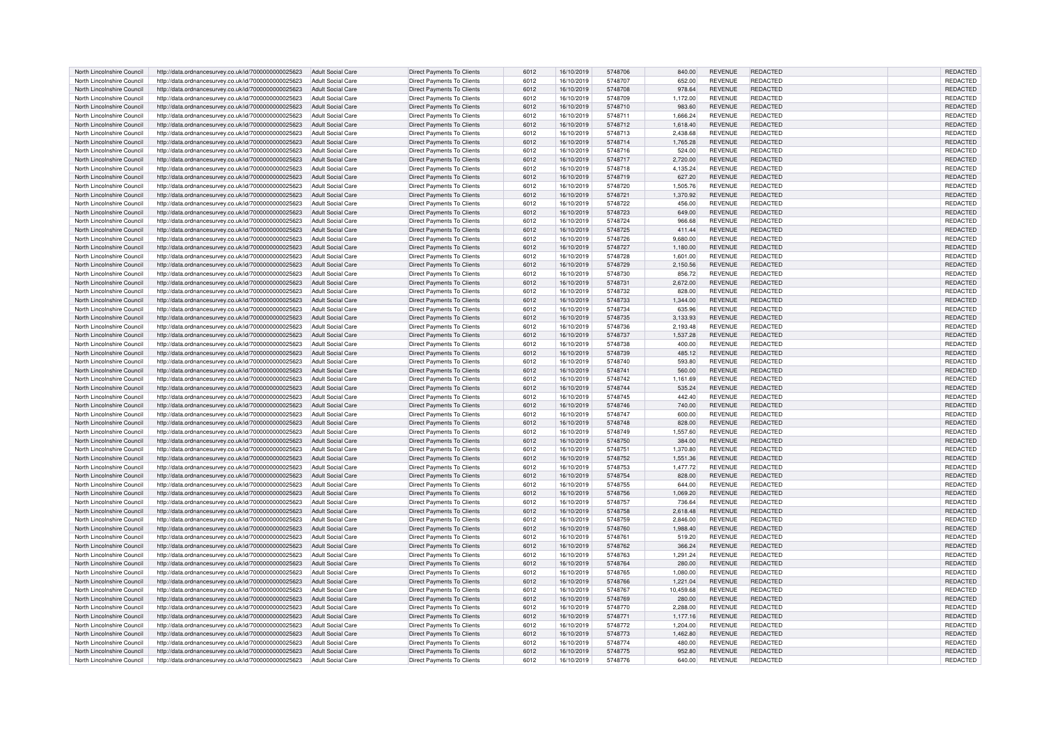| North Lincolnshire Council | http://data.ordnancesurvey.co.uk/id/7000000000025623 | <b>Adult Social Care</b> | <b>Direct Payments To Clients</b> | 6012 | 16/10/2019 | 5748706 | 840.00    | <b>REVENUE</b> | REDACTED        | REDACTED        |
|----------------------------|------------------------------------------------------|--------------------------|-----------------------------------|------|------------|---------|-----------|----------------|-----------------|-----------------|
| North Lincolnshire Council | http://data.ordnancesurvey.co.uk/id/7000000000025623 | <b>Adult Social Care</b> | Direct Payments To Clients        | 6012 | 16/10/2019 | 5748707 | 652.00    | REVENUE        | REDACTED        | REDACTED        |
| North Lincolnshire Council | http://data.ordnancesurvey.co.uk/id/7000000000025623 | <b>Adult Social Care</b> | Direct Payments To Clients        | 6012 | 16/10/2019 | 5748708 | 978.64    | <b>REVENUE</b> | <b>REDACTED</b> | <b>REDACTED</b> |
| North Lincolnshire Council | http://data.ordnancesurvey.co.uk/id/7000000000025623 | <b>Adult Social Care</b> | Direct Payments To Clients        | 6012 | 16/10/2019 | 5748709 | 1,172.00  | <b>REVENUE</b> | REDACTED        | REDACTED        |
| North Lincolnshire Council |                                                      | <b>Adult Social Care</b> | <b>Direct Payments To Clients</b> | 6012 | 16/10/2019 | 5748710 |           | <b>REVENUE</b> | REDACTED        | <b>REDACTED</b> |
|                            | http://data.ordnancesurvey.co.uk/id/7000000000025623 |                          |                                   |      |            |         | 983.60    |                |                 |                 |
| North Lincolnshire Council | http://data.ordnancesurvey.co.uk/id/7000000000025623 | <b>Adult Social Care</b> | Direct Payments To Clients        | 6012 | 16/10/2019 | 5748711 | 1,666.24  | REVENUE        | REDACTED        | REDACTED        |
| North Lincolnshire Council | http://data.ordnancesurvey.co.uk/id/7000000000025623 | Adult Social Care        | <b>Direct Payments To Clients</b> | 6012 | 16/10/2019 | 5748712 | 1,618.40  | <b>REVENUE</b> | REDACTED        | REDACTED        |
| North Lincolnshire Council | http://data.ordnancesurvey.co.uk/id/7000000000025623 | <b>Adult Social Care</b> | Direct Payments To Clients        | 6012 | 16/10/2019 | 5748713 | 2,438.68  | <b>REVENUE</b> | REDACTED        | REDACTED        |
| North Lincolnshire Council | http://data.ordnancesurvey.co.uk/id/7000000000025623 | <b>Adult Social Care</b> | Direct Payments To Clients        | 6012 | 16/10/2019 | 5748714 | 1,765.28  | REVENUE        | REDACTED        | REDACTED        |
| North Lincolnshire Council | http://data.ordnancesurvey.co.uk/id/7000000000025623 | Adult Social Care        | Direct Payments To Clients        | 6012 | 16/10/2019 | 5748716 | 524.00    | <b>REVENUE</b> | REDACTED        | REDACTED        |
| North Lincolnshire Council | http://data.ordnancesurvey.co.uk/id/7000000000025623 | <b>Adult Social Care</b> | Direct Payments To Clients        | 6012 | 16/10/2019 | 5748717 | 2,720.00  | <b>REVENUE</b> | REDACTED        | REDACTED        |
| North Lincolnshire Council | http://data.ordnancesurvey.co.uk/id/7000000000025623 | <b>Adult Social Care</b> | <b>Direct Payments To Clients</b> | 6012 | 16/10/2019 | 5748718 | 4,135.24  | REVENUE        | REDACTED        | REDACTED        |
| North Lincolnshire Council | http://data.ordnancesurvey.co.uk/id/7000000000025623 | <b>Adult Social Care</b> | Direct Payments To Clients        | 6012 | 16/10/2019 | 5748719 | 627.20    | <b>REVENUE</b> | REDACTED        | REDACTED        |
| North Lincolnshire Council |                                                      | <b>Adult Social Care</b> |                                   |      |            | 5748720 |           | <b>REVENUE</b> | REDACTED        |                 |
|                            | http://data.ordnancesurvey.co.uk/id/7000000000025623 |                          | Direct Payments To Clients        | 6012 | 16/10/2019 |         | 1,505.76  |                |                 | REDACTED        |
| North Lincolnshire Council | http://data.ordnancesurvey.co.uk/id/7000000000025623 | <b>Adult Social Care</b> | <b>Direct Payments To Clients</b> | 6012 | 16/10/2019 | 5748721 | 1,370.92  | <b>REVENUE</b> | REDACTED        | REDACTED        |
| North Lincolnshire Council | http://data.ordnancesurvey.co.uk/id/7000000000025623 | <b>Adult Social Care</b> | Direct Payments To Clients        | 6012 | 16/10/2019 | 5748722 | 456.00    | REVENUE        | REDACTED        | REDACTED        |
| North Lincolnshire Council | http://data.ordnancesurvey.co.uk/id/7000000000025623 | Adult Social Care        | <b>Direct Payments To Clients</b> | 6012 | 16/10/2019 | 5748723 | 649.00    | <b>REVENUE</b> | REDACTED        | REDACTED        |
| North Lincolnshire Council | http://data.ordnancesurvey.co.uk/id/7000000000025623 | Adult Social Care        | Direct Payments To Clients        | 6012 | 16/10/2019 | 5748724 | 966.68    | REVENUE        | REDACTED        | REDACTED        |
| North Lincolnshire Council | http://data.ordnancesurvey.co.uk/id/7000000000025623 | <b>Adult Social Care</b> | <b>Direct Payments To Clients</b> | 6012 | 16/10/2019 | 5748725 | 411.44    | <b>REVENUE</b> | REDACTED        | REDACTED        |
| North Lincolnshire Council | http://data.ordnancesurvey.co.uk/id/7000000000025623 | Adult Social Care        | Direct Payments To Clients        | 6012 | 16/10/2019 | 5748726 | 9.680.00  | <b>REVENUE</b> | REDACTED        | REDACTED        |
| North Lincolnshire Council | http://data.ordnancesurvey.co.uk/id/7000000000025623 | <b>Adult Social Care</b> | Direct Payments To Clients        | 6012 | 16/10/2019 | 5748727 | 1,180.00  | <b>REVENUE</b> | REDACTED        | REDACTED        |
| North Lincolnshire Council | http://data.ordnancesurvey.co.uk/id/7000000000025623 | <b>Adult Social Care</b> | Direct Payments To Clients        | 6012 | 16/10/2019 | 5748728 | 1,601.00  | REVENUE        | REDACTED        | REDACTED        |
| North Lincolnshire Council | http://data.ordnancesurvey.co.uk/id/7000000000025623 | Adult Social Care        | Direct Payments To Clients        | 6012 | 16/10/2019 | 5748729 | 2,150.56  | <b>REVENUE</b> | <b>REDACTED</b> | <b>REDACTED</b> |
|                            |                                                      |                          |                                   |      |            |         |           |                |                 |                 |
| North Lincolnshire Council | http://data.ordnancesurvey.co.uk/id/7000000000025623 | <b>Adult Social Care</b> | <b>Direct Payments To Clients</b> | 6012 | 16/10/2019 | 5748730 | 856.72    | <b>REVENUE</b> | REDACTED        | REDACTED        |
| North Lincolnshire Council | http://data.ordnancesurvey.co.uk/id/7000000000025623 | <b>Adult Social Care</b> | <b>Direct Payments To Clients</b> | 6012 | 16/10/2019 | 5748731 | 2.672.00  | <b>REVENUE</b> | REDACTED        | <b>REDACTED</b> |
| North Lincolnshire Council | http://data.ordnancesurvey.co.uk/id/7000000000025623 | Adult Social Care        | Direct Payments To Clients        | 6012 | 16/10/2019 | 5748732 | 828.00    | <b>REVENUE</b> | REDACTED        | REDACTED        |
| North Lincolnshire Council | http://data.ordnancesurvey.co.uk/id/7000000000025623 | <b>Adult Social Care</b> | <b>Direct Payments To Clients</b> | 6012 | 16/10/2019 | 5748733 | 1,344.00  | <b>REVENUE</b> | REDACTED        | REDACTED        |
| North Lincolnshire Council | http://data.ordnancesurvey.co.uk/id/7000000000025623 | Adult Social Care        | Direct Payments To Clients        | 6012 | 16/10/2019 | 5748734 | 635.96    | <b>REVENUE</b> | REDACTED        | REDACTED        |
| North Lincolnshire Council | http://data.ordnancesurvey.co.uk/id/7000000000025623 | <b>Adult Social Care</b> | Direct Payments To Clients        | 6012 | 16/10/2019 | 5748735 | 3,133.93  | REVENUE        | <b>REDACTED</b> | REDACTED        |
| North Lincolnshire Council | http://data.ordnancesurvey.co.uk/id/7000000000025623 | <b>Adult Social Care</b> | <b>Direct Payments To Clients</b> | 6012 | 16/10/2019 | 5748736 | 2,193.48  | <b>REVENUE</b> | REDACTED        | REDACTED        |
| North Lincolnshire Council | http://data.ordnancesurvey.co.uk/id/7000000000025623 | <b>Adult Social Care</b> | Direct Payments To Clients        | 6012 | 16/10/2019 | 5748737 | 1,537.28  | <b>REVENUE</b> | REDACTED        | REDACTED        |
|                            |                                                      |                          |                                   |      |            |         | 400.00    |                |                 |                 |
| North Lincolnshire Council | http://data.ordnancesurvey.co.uk/id/7000000000025623 | <b>Adult Social Care</b> | Direct Payments To Clients        | 6012 | 16/10/2019 | 5748738 |           | REVENUE        | REDACTED        | REDACTED        |
| North Lincolnshire Council | http://data.ordnancesurvey.co.uk/id/7000000000025623 | Adult Social Care        | Direct Payments To Clients        | 6012 | 16/10/2019 | 5748739 | 485.12    | <b>REVENUE</b> | REDACTED        | REDACTED        |
| North Lincolnshire Council | http://data.ordnancesurvey.co.uk/id/7000000000025623 | <b>Adult Social Care</b> | Direct Payments To Clients        | 6012 | 16/10/2019 | 5748740 | 593.80    | REVENUE        | REDACTED        | REDACTED        |
| North Lincolnshire Council | http://data.ordnancesurvey.co.uk/id/7000000000025623 | <b>Adult Social Care</b> | Direct Payments To Clients        | 6012 | 16/10/2019 | 5748741 | 560.00    | <b>REVENUE</b> | <b>REDACTED</b> | REDACTED        |
| North Lincolnshire Council | http://data.ordnancesurvey.co.uk/id/7000000000025623 | Adult Social Care        | Direct Payments To Clients        | 6012 | 16/10/2019 | 5748742 | 1,161.69  | <b>REVENUE</b> | REDACTED        | REDACTED        |
| North Lincolnshire Council | http://data.ordnancesurvey.co.uk/id/7000000000025623 | <b>Adult Social Care</b> | Direct Payments To Clients        | 6012 | 16/10/2019 | 5748744 | 535.24    | <b>REVENUE</b> | REDACTED        | REDACTED        |
| North Lincolnshire Council | http://data.ordnancesurvey.co.uk/id/7000000000025623 | <b>Adult Social Care</b> | <b>Direct Payments To Clients</b> | 6012 | 16/10/2019 | 5748745 | 442.40    | <b>REVENUE</b> | REDACTED        | REDACTED        |
| North Lincolnshire Council | http://data.ordnancesurvey.co.uk/id/7000000000025623 | <b>Adult Social Care</b> | Direct Payments To Clients        | 6012 | 16/10/2019 | 5748746 | 740.00    | <b>REVENUE</b> | REDACTED        | REDACTED        |
| North Lincolnshire Council | http://data.ordnancesurvey.co.uk/id/7000000000025623 | <b>Adult Social Care</b> | <b>Direct Payments To Clients</b> | 6012 | 16/10/2019 | 5748747 | 600.00    | <b>REVENUE</b> | REDACTED        | REDACTED        |
| North Lincolnshire Council | http://data.ordnancesurvey.co.uk/id/7000000000025623 | <b>Adult Social Care</b> | Direct Payments To Clients        | 6012 | 16/10/2019 | 5748748 | 828.00    | <b>REVENUE</b> | REDACTED        | REDACTED        |
|                            |                                                      |                          |                                   |      |            |         |           |                |                 |                 |
| North Lincolnshire Council | http://data.ordnancesurvey.co.uk/id/7000000000025623 | <b>Adult Social Care</b> | <b>Direct Payments To Clients</b> | 6012 | 16/10/2019 | 5748749 | 1,557.60  | <b>REVENUE</b> | REDACTED        | REDACTED        |
| North Lincolnshire Council | http://data.ordnancesurvey.co.uk/id/7000000000025623 | Adult Social Care        | Direct Payments To Clients        | 6012 | 16/10/2019 | 5748750 | 384.00    | <b>REVENUE</b> | REDACTED        | <b>REDACTED</b> |
| North Lincolnshire Council | http://data.ordnancesurvey.co.uk/id/7000000000025623 | <b>Adult Social Care</b> | Direct Payments To Clients        | 6012 | 16/10/2019 | 5748751 | 1,370.80  | <b>REVENUE</b> | REDACTED        | REDACTED        |
| North Lincolnshire Council | http://data.ordnancesurvey.co.uk/id/7000000000025623 | <b>Adult Social Care</b> | <b>Direct Payments To Clients</b> | 6012 | 16/10/2019 | 5748752 | 1,551.36  | <b>REVENUE</b> | <b>REDACTED</b> | REDACTED        |
| North Lincolnshire Council | http://data.ordnancesurvey.co.uk/id/7000000000025623 | Adult Social Care        | <b>Direct Payments To Clients</b> | 6012 | 16/10/2019 | 5748753 | 1.477.72  | <b>REVENUE</b> | REDACTED        | REDACTED        |
| North Lincolnshire Council | http://data.ordnancesurvey.co.uk/id/7000000000025623 | <b>Adult Social Care</b> | Direct Payments To Clients        | 6012 | 16/10/2019 | 5748754 | 828.00    | <b>REVENUE</b> | REDACTED        | REDACTED        |
| North Lincolnshire Council | http://data.ordnancesurvey.co.uk/id/7000000000025623 | <b>Adult Social Care</b> | <b>Direct Payments To Clients</b> | 6012 | 16/10/2019 | 5748755 | 644.00    | REVENUE        | REDACTED        | REDACTED        |
| North Lincolnshire Council | http://data.ordnancesurvey.co.uk/id/7000000000025623 | Adult Social Care        | Direct Payments To Clients        | 6012 | 16/10/2019 | 5748756 | 1,069.20  | <b>REVENUE</b> | REDACTED        | REDACTED        |
| North Lincolnshire Council | http://data.ordnancesurvey.co.uk/id/7000000000025623 | <b>Adult Social Care</b> | <b>Direct Payments To Clients</b> | 6012 | 16/10/2019 | 5748757 | 736.64    | REVENUE        | REDACTED        | REDACTED        |
| North Lincolnshire Council | http://data.ordnancesurvey.co.uk/id/7000000000025623 | <b>Adult Social Care</b> | <b>Direct Payments To Clients</b> | 6012 | 16/10/2019 | 5748758 | 2.618.48  | <b>REVENUE</b> | REDACTED        | <b>REDACTED</b> |
| North Lincolnshire Council |                                                      | Adult Social Care        |                                   | 6012 |            | 5748759 |           | <b>REVENUE</b> | REDACTED        |                 |
|                            | http://data.ordnancesurvey.co.uk/id/7000000000025623 |                          | <b>Direct Payments To Clients</b> |      | 16/10/2019 |         | 2,846.00  |                |                 | REDACTED        |
| North Lincolnshire Council | http://data.ordnancesurvey.co.uk/id/7000000000025623 | <b>Adult Social Care</b> | <b>Direct Payments To Clients</b> | 6012 | 16/10/2019 | 5748760 | 1,988.40  | <b>REVENUE</b> | REDACTED        | REDACTED        |
| North Lincolnshire Council | http://data.ordnancesurvey.co.uk/id/7000000000025623 | Adult Social Care        | <b>Direct Payments To Clients</b> | 6012 | 16/10/2019 | 5748761 | 519.20    | <b>REVENUE</b> | REDACTED        | REDACTED        |
| North Lincolnshire Council | http://data.ordnancesurvey.co.uk/id/7000000000025623 | <b>Adult Social Care</b> | <b>Direct Payments To Clients</b> | 6012 | 16/10/2019 | 5748762 | 366.24    | <b>REVENUE</b> | <b>REDACTED</b> | REDACTED        |
| North Lincolnshire Council | http://data.ordnancesurvey.co.uk/id/7000000000025623 | <b>Adult Social Care</b> | <b>Direct Payments To Clients</b> | 6012 | 16/10/2019 | 5748763 | 1,291.24  | <b>REVENUE</b> | REDACTED        | REDACTED        |
| North Lincolnshire Council | http://data.ordnancesurvey.co.uk/id/7000000000025623 | Adult Social Care        | Direct Payments To Clients        | 6012 | 16/10/2019 | 5748764 | 280.00    | <b>REVENUE</b> | REDACTED        | REDACTED        |
| North Lincolnshire Council | http://data.ordnancesurvey.co.uk/id/7000000000025623 | <b>Adult Social Care</b> | Direct Payments To Clients        | 6012 | 16/10/2019 | 5748765 | 1.080.00  | REVENUE        | REDACTED        | <b>REDACTED</b> |
| North Lincolnshire Council | http://data.ordnancesurvey.co.uk/id/7000000000025623 | Adult Social Care        | Direct Payments To Clients        | 6012 | 16/10/2019 | 5748766 | 1,221.04  | <b>REVENUE</b> | REDACTED        | REDACTED        |
| North Lincolnshire Council | http://data.ordnancesurvey.co.uk/id/7000000000025623 | <b>Adult Social Care</b> | Direct Payments To Clients        | 6012 | 16/10/2019 | 5748767 | 10,459.68 | <b>REVENUE</b> | REDACTED        | REDACTED        |
| North Lincolnshire Council | http://data.ordnancesurvey.co.uk/id/7000000000025623 | Adult Social Care        | Direct Payments To Clients        | 6012 | 16/10/2019 | 5748769 | 280.00    | REVENUE        | <b>REDACTED</b> | REDACTED        |
| North Lincolnshire Council | http://data.ordnancesurvey.co.uk/id/7000000000025623 | Adult Social Care        | Direct Payments To Clients        | 6012 | 16/10/2019 | 5748770 | 2.288.00  | <b>REVENUE</b> | REDACTED        | REDACTED        |
|                            |                                                      |                          | Direct Payments To Clients        |      |            |         |           | <b>REVENUE</b> |                 |                 |
| North Lincolnshire Council | http://data.ordnancesurvey.co.uk/id/7000000000025623 | <b>Adult Social Care</b> |                                   | 6012 | 16/10/2019 | 5748771 | 1,177.16  |                | REDACTED        | REDACTED        |
| North Lincolnshire Council | http://data.ordnancesurvey.co.uk/id/7000000000025623 | <b>Adult Social Care</b> | <b>Direct Payments To Clients</b> | 6012 | 16/10/2019 | 5748772 | 1,204.00  | REVENUE        | REDACTED        | REDACTED        |
| North Lincolnshire Council | http://data.ordnancesurvey.co.uk/id/7000000000025623 | <b>Adult Social Care</b> | Direct Payments To Clients        | 6012 | 16/10/2019 | 5748773 | 1,462.80  | <b>REVENUE</b> | REDACTED        | REDACTED        |
| North Lincolnshire Council | http://data.ordnancesurvey.co.uk/id/7000000000025623 | <b>Adult Social Care</b> | Direct Payments To Clients        | 6012 | 16/10/2019 | 5748774 | 480.00    | REVENUE        | REDACTED        | REDACTED        |
| North Lincolnshire Council | http://data.ordnancesurvey.co.uk/id/7000000000025623 | <b>Adult Social Care</b> | <b>Direct Payments To Clients</b> | 6012 | 16/10/2019 | 5748775 | 952.80    | <b>REVENUE</b> | REDACTED        | <b>REDACTED</b> |
| North Lincolnshire Council | http://data.ordnancesurvey.co.uk/id/7000000000025623 | <b>Adult Social Care</b> | <b>Direct Payments To Clients</b> | 6012 | 16/10/2019 | 5748776 | 640.00    | <b>REVENUE</b> | REDACTED        | REDACTED        |
|                            |                                                      |                          |                                   |      |            |         |           |                |                 |                 |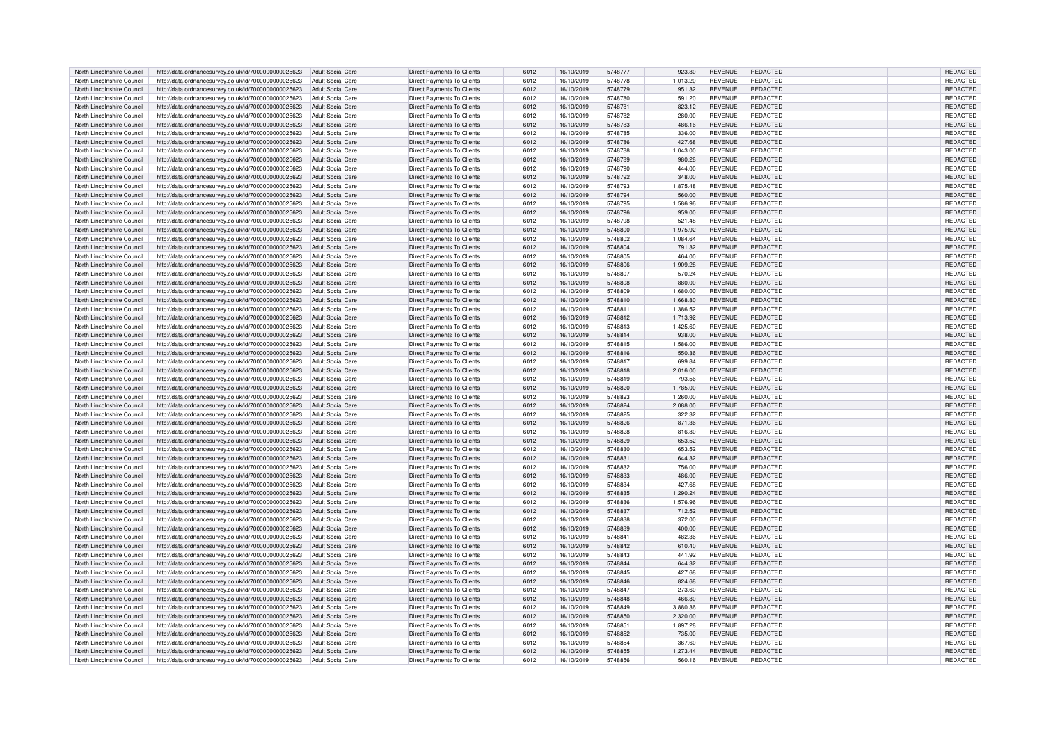| North Lincolnshire Council                               | http://data.ordnancesurvey.co.uk/id/7000000000025623                                                         | Adult Social Care                                    | Direct Payments To Clients                                      | 6012         | 16/10/2019               | 5748777            | 923.80           | <b>REVENUE</b>                   | <b>REDACTED</b>             | <b>REDACTED</b>      |
|----------------------------------------------------------|--------------------------------------------------------------------------------------------------------------|------------------------------------------------------|-----------------------------------------------------------------|--------------|--------------------------|--------------------|------------------|----------------------------------|-----------------------------|----------------------|
| North Lincolnshire Council                               | http://data.ordnancesurvey.co.uk/id/7000000000025623                                                         | <b>Adult Social Care</b>                             | Direct Payments To Clients                                      | 6012         | 16/10/2019               | 5748778            | 1,013.20         | REVENUE                          | REDACTED                    | REDACTED             |
| North Lincolnshire Council                               | http://data.ordnancesurvey.co.uk/id/7000000000025623                                                         | Adult Social Care                                    | Direct Payments To Clients                                      | 6012         | 16/10/2019               | 5748779            | 951.32           | <b>REVENUE</b>                   | REDACTED                    | <b>REDACTED</b>      |
| North Lincolnshire Council                               | http://data.ordnancesurvey.co.uk/id/7000000000025623                                                         | <b>Adult Social Care</b>                             | <b>Direct Payments To Clients</b>                               | 6012         | 16/10/2019               | 5748780            | 591.20           | <b>REVENUE</b>                   | REDACTED                    | REDACTED             |
| North Lincolnshire Council                               | http://data.ordnancesurvey.co.uk/id/7000000000025623                                                         | <b>Adult Social Care</b>                             | <b>Direct Payments To Clients</b>                               | 6012         | 16/10/2019               | 5748781            | 823.12           | <b>REVENUE</b>                   | REDACTED                    | <b>REDACTED</b>      |
| North Lincolnshire Council                               | http://data.ordnancesurvey.co.uk/id/7000000000025623                                                         | Adult Social Care                                    | Direct Payments To Clients                                      | 6012         | 16/10/2019               | 5748782            | 280.00           | <b>REVENUE</b>                   | REDACTED                    | REDACTED             |
| North Lincolnshire Council                               | http://data.ordnancesurvey.co.uk/id/7000000000025623                                                         | <b>Adult Social Care</b>                             | <b>Direct Payments To Clients</b>                               | 6012         | 16/10/2019               | 5748783            | 486.16           | <b>REVENUE</b>                   | REDACTED                    | REDACTED             |
| North Lincolnshire Council                               | http://data.ordnancesurvey.co.uk/id/7000000000025623                                                         | Adult Social Care                                    | <b>Direct Payments To Clients</b>                               | 6012         | 16/10/2019               | 5748785            | 336.00           | <b>REVENUE</b>                   | REDACTED                    | REDACTED             |
| North Lincolnshire Council                               | http://data.ordnancesurvey.co.uk/id/7000000000025623                                                         | Adult Social Care                                    | <b>Direct Payments To Clients</b>                               | 6012         | 16/10/2019               | 5748786            | 427.68           | <b>REVENUE</b>                   | REDACTED                    | REDACTED             |
| North Lincolnshire Council                               | http://data.ordnancesurvey.co.uk/id/7000000000025623                                                         | <b>Adult Social Care</b>                             | <b>Direct Payments To Clients</b>                               | 6012         | 16/10/2019               | 5748788            | 1,043.00         | REVENUE                          | REDACTED                    | REDACTED             |
| North Lincolnshire Council                               | http://data.ordnancesurvey.co.uk/id/7000000000025623                                                         | <b>Adult Social Care</b>                             | Direct Payments To Clients                                      | 6012         | 16/10/2019               | 5748789            | 980.28           | <b>REVENUE</b>                   | REDACTED                    | REDACTED             |
| North Lincolnshire Council                               | http://data.ordnancesurvey.co.uk/id/7000000000025623                                                         | <b>Adult Social Care</b>                             | <b>Direct Payments To Clients</b>                               | 6012         | 16/10/2019               | 5748790            | 444.00           | REVENUE                          | REDACTED                    | <b>REDACTED</b>      |
| North Lincolnshire Council                               | http://data.ordnancesurvey.co.uk/id/7000000000025623                                                         | Adult Social Care                                    | Direct Payments To Clients                                      | 6012         | 16/10/2019               | 5748792            | 348.00           | <b>REVENUE</b>                   | REDACTED                    | REDACTED             |
| North Lincolnshire Council                               | http://data.ordnancesurvey.co.uk/id/7000000000025623                                                         | <b>Adult Social Care</b>                             | Direct Payments To Clients                                      | 6012         | 16/10/2019               | 5748793            | 1,875.48         | REVENUE                          | REDACTED                    | REDACTED             |
| North Lincolnshire Council                               | http://data.ordnancesurvey.co.uk/id/7000000000025623                                                         | <b>Adult Social Care</b>                             | <b>Direct Payments To Clients</b>                               | 6012         | 16/10/2019               | 5748794            | 560.00           | <b>REVENUE</b>                   | REDACTED                    | REDACTED             |
| North Lincolnshire Council                               | http://data.ordnancesurvey.co.uk/id/7000000000025623                                                         | Adult Social Care                                    | Direct Payments To Clients                                      | 6012         | 16/10/2019               | 5748795            | 1,586.96         | REVENUE                          | REDACTED                    | REDACTED             |
| North Lincolnshire Council                               | http://data.ordnancesurvey.co.uk/id/7000000000025623                                                         | Adult Social Care                                    | <b>Direct Payments To Clients</b>                               | 6012         | 16/10/2019               | 5748796            | 959.00           | <b>REVENUE</b>                   | REDACTED                    | <b>REDACTED</b>      |
| North Lincolnshire Council                               | http://data.ordnancesurvey.co.uk/id/7000000000025623                                                         | Adult Social Care                                    | <b>Direct Payments To Clients</b>                               | 6012         | 16/10/2019               | 5748798            | 521.48           | <b>REVENUE</b>                   | REDACTED                    | REDACTED             |
| North Lincolnshire Council                               | http://data.ordnancesurvey.co.uk/id/7000000000025623                                                         | <b>Adult Social Care</b>                             | Direct Payments To Clients                                      | 6012         | 16/10/2019               | 5748800            | 1,975.92         | REVENUE                          | REDACTED                    | REDACTED             |
| North Lincolnshire Council                               | http://data.ordnancesurvey.co.uk/id/7000000000025623                                                         | <b>Adult Social Care</b>                             | Direct Payments To Clients                                      | 6012         | 16/10/2019               | 5748802            | 1,084.64         | <b>REVENUE</b>                   | REDACTED                    | REDACTED             |
| North Lincolnshire Council                               | http://data.ordnancesurvey.co.uk/id/7000000000025623                                                         | <b>Adult Social Care</b>                             | Direct Payments To Clients                                      | 6012         | 16/10/2019               | 5748804            | 791.32           | <b>REVENUE</b>                   | REDACTED                    | <b>REDACTED</b>      |
| North Lincolnshire Council                               | http://data.ordnancesurvey.co.uk/id/7000000000025623                                                         | <b>Adult Social Care</b>                             | <b>Direct Payments To Clients</b>                               | 6012         | 16/10/2019               | 5748805            | 464.00           | <b>REVENUE</b>                   | REDACTED                    | REDACTED             |
| North Lincolnshire Council                               | http://data.ordnancesurvey.co.uk/id/7000000000025623                                                         | Adult Social Care                                    | Direct Payments To Clients                                      | 6012         | 16/10/2019               | 5748806            | 1.909.28         | <b>REVENUE</b>                   | REDACTED                    | <b>REDACTED</b>      |
| North Lincolnshire Council                               | http://data.ordnancesurvey.co.uk/id/7000000000025623                                                         | <b>Adult Social Care</b>                             | <b>Direct Payments To Clients</b>                               | 6012         | 16/10/2019               | 5748807            | 570.24           | <b>REVENUE</b>                   | REDACTED                    | REDACTED             |
| North Lincolnshire Council                               | http://data.ordnancesurvey.co.uk/id/7000000000025623                                                         | <b>Adult Social Care</b>                             | <b>Direct Payments To Clients</b>                               | 6012         | 16/10/2019               | 5748808            | 880.00           | <b>REVENUE</b>                   | <b>REDACTED</b>             | REDACTED             |
| North Lincolnshire Council                               | http://data.ordnancesurvey.co.uk/id/7000000000025623                                                         | Adult Social Care                                    | Direct Payments To Clients                                      | 6012         | 16/10/2019               | 5748809            | 1.680.00         | <b>REVENUE</b>                   | REDACTED                    | REDACTED             |
| North Lincolnshire Council                               | http://data.ordnancesurvey.co.uk/id/7000000000025623                                                         | Adult Social Care                                    | <b>Direct Payments To Clients</b>                               | 6012         | 16/10/2019               | 5748810            | 1,668.80         | <b>REVENUE</b>                   | REDACTED                    | REDACTED             |
| North Lincolnshire Council                               | http://data.ordnancesurvey.co.uk/id/7000000000025623                                                         | <b>Adult Social Care</b>                             | Direct Payments To Clients                                      | 6012         | 16/10/2019               | 5748811            | 1,386.52         | REVENUE                          | REDACTED                    | REDACTED             |
| North Lincolnshire Council                               | http://data.ordnancesurvey.co.uk/id/7000000000025623                                                         | <b>Adult Social Care</b>                             | Direct Payments To Clients                                      | 6012         | 16/10/2019               | 5748812            | 1,713.92         | <b>REVENUE</b>                   | REDACTED                    | REDACTED             |
| North Lincolnshire Council                               | http://data.ordnancesurvey.co.uk/id/7000000000025623                                                         | <b>Adult Social Care</b>                             | Direct Payments To Clients                                      | 6012         | 16/10/2019               | 5748813            | 1,425.60         | REVENUE                          | REDACTED                    | REDACTED             |
| North Lincolnshire Council                               | http://data.ordnancesurvey.co.uk/id/7000000000025623                                                         | <b>Adult Social Care</b>                             | Direct Payments To Clients                                      | 6012         | 16/10/2019               | 5748814            | 938.00           | <b>REVENUE</b>                   | REDACTED                    | REDACTED             |
| North Lincolnshire Council                               | http://data.ordnancesurvey.co.uk/id/7000000000025623                                                         | <b>Adult Social Care</b>                             | <b>Direct Payments To Clients</b>                               | 6012         | 16/10/2019               | 5748815            | 1,586.00         | <b>REVENUE</b>                   | REDACTED                    | REDACTED             |
| North Lincolnshire Council                               | http://data.ordnancesurvey.co.uk/id/7000000000025623                                                         | Adult Social Care                                    | <b>Direct Payments To Clients</b>                               | 6012         | 16/10/2019               | 5748816            | 550.36           | <b>REVENUE</b>                   | REDACTED                    | <b>REDACTED</b>      |
| North Lincolnshire Council                               | http://data.ordnancesurvey.co.uk/id/7000000000025623                                                         | <b>Adult Social Care</b>                             | Direct Payments To Clients                                      | 6012         | 16/10/2019               | 5748817            | 699.84           | REVENUE                          | REDACTED                    | REDACTED             |
| North Lincolnshire Council                               | http://data.ordnancesurvey.co.uk/id/7000000000025623                                                         | <b>Adult Social Care</b>                             | <b>Direct Payments To Clients</b>                               | 6012         | 16/10/2019               | 5748818            | 2,016.00         | <b>REVENUE</b>                   | REDACTED                    | REDACTED             |
| North Lincolnshire Council                               | http://data.ordnancesurvev.co.uk/id/7000000000025623                                                         | Adult Social Care                                    | Direct Payments To Clients                                      | 6012         | 16/10/2019               | 5748819            | 793.56           | <b>REVENUE</b>                   | REDACTED                    | REDACTED             |
| North Lincolnshire Council                               | http://data.ordnancesurvey.co.uk/id/7000000000025623                                                         | <b>Adult Social Care</b>                             | Direct Payments To Clients                                      | 6012         | 16/10/2019               | 5748820            | 1,785.00         | <b>REVENUE</b>                   | REDACTED                    | REDACTED             |
| North Lincolnshire Council                               | http://data.ordnancesurvey.co.uk/id/7000000000025623                                                         | <b>Adult Social Care</b>                             | <b>Direct Payments To Clients</b>                               | 6012         | 16/10/2019               | 5748823            | 1,260.00         | REVENUE                          | REDACTED                    | REDACTED             |
| North Lincolnshire Council                               | http://data.ordnancesurvey.co.uk/id/7000000000025623                                                         | Adult Social Care                                    | Direct Payments To Clients                                      | 6012         | 16/10/2019               | 5748824            | 2,088.00         | <b>REVENUE</b>                   | REDACTED                    | REDACTED             |
| North Lincolnshire Council                               | http://data.ordnancesurvey.co.uk/id/7000000000025623                                                         | <b>Adult Social Care</b>                             | Direct Payments To Clients                                      | 6012         | 16/10/2019               | 5748825            | 322.32           | REVENUE                          | REDACTED                    | REDACTED             |
| North Lincolnshire Council                               | http://data.ordnancesurvey.co.uk/id/7000000000025623                                                         | <b>Adult Social Care</b>                             | Direct Payments To Clients                                      | 6012         | 16/10/2019               | 5748826            | 871.36           | <b>REVENUE</b>                   | REDACTED                    | <b>REDACTED</b>      |
| North Lincolnshire Council                               | http://data.ordnancesurvey.co.uk/id/7000000000025623                                                         | <b>Adult Social Care</b>                             | <b>Direct Payments To Clients</b>                               | 6012         | 16/10/2019               | 5748828            | 816.80           | <b>REVENUE</b>                   | REDACTED                    | REDACTED             |
| North Lincolnshire Council                               | http://data.ordnancesurvey.co.uk/id/7000000000025623                                                         | <b>Adult Social Care</b>                             | <b>Direct Payments To Clients</b>                               | 6012         | 16/10/2019               | 5748829            | 653.52           | REVENUE                          | REDACTED                    | REDACTED             |
| North Lincolnshire Council                               | http://data.ordnancesurvey.co.uk/id/7000000000025623                                                         | Adult Social Care                                    | Direct Payments To Clients                                      | 6012         | 16/10/2019               | 5748830            | 653.52           | REVENUE                          | REDACTED                    | REDACTED             |
| North Lincolnshire Council                               | http://data.ordnancesurvey.co.uk/id/7000000000025623                                                         | <b>Adult Social Care</b>                             | <b>Direct Payments To Clients</b>                               | 6012         | 16/10/2019               | 5748831            | 644.32           | <b>REVENUE</b>                   | <b>REDACTED</b>             | REDACTED             |
| North Lincolnshire Council                               | http://data.ordnancesurvey.co.uk/id/7000000000025623                                                         | <b>Adult Social Care</b>                             | <b>Direct Payments To Clients</b>                               | 6012         | 16/10/2019               | 5748832            | 756.00           | <b>REVENUE</b>                   | REDACTED                    | REDACTED             |
| North Lincolnshire Council                               | http://data.ordnancesurvey.co.uk/id/7000000000025623                                                         | Adult Social Care                                    | Direct Payments To Clients                                      | 6012         | 16/10/2019               | 5748833            | 486.00           | <b>REVENUE</b>                   | REDACTED                    | REDACTED             |
| North Lincolnshire Council                               | http://data.ordnancesurvey.co.uk/id/7000000000025623                                                         | <b>Adult Social Care</b>                             | <b>Direct Payments To Clients</b>                               | 6012         | 16/10/2019               | 5748834            | 427.68           | REVENUE                          | REDACTED                    | REDACTED             |
| North Lincolnshire Council                               | http://data.ordnancesurvey.co.uk/id/7000000000025623                                                         | <b>Adult Social Care</b>                             | Direct Payments To Clients                                      | 6012         | 16/10/2019               | 5748835            | 1,290.24         | <b>REVENUE</b>                   | REDACTED                    | REDACTED             |
| North Lincolnshire Council                               | http://data.ordnancesurvey.co.uk/id/7000000000025623                                                         | <b>Adult Social Care</b>                             | <b>Direct Payments To Clients</b>                               | 6012         | 16/10/2019               | 5748836            | 1,576.96         | <b>REVENUE</b>                   | REDACTED                    | REDACTED             |
| North Lincolnshire Council<br>North Lincolnshire Council | http://data.ordnancesurvey.co.uk/id/7000000000025623                                                         | <b>Adult Social Care</b><br>Adult Social Care        | Direct Payments To Clients                                      | 6012         | 16/10/2019               | 5748837            | 712.52           | <b>REVENUE</b>                   | REDACTED<br><b>REDACTED</b> | <b>REDACTED</b>      |
|                                                          | http://data.ordnancesurvey.co.uk/id/7000000000025623                                                         |                                                      | <b>Direct Payments To Clients</b>                               | 6012         | 16/10/2019               | 5748838            | 372.00           | <b>REVENUE</b>                   |                             | REDACTED             |
| North Lincolnshire Council<br>North Lincolnshire Council | http://data.ordnancesurvey.co.uk/id/7000000000025623<br>http://data.ordnancesurvey.co.uk/id/7000000000025623 | <b>Adult Social Care</b><br>Adult Social Care        | Direct Payments To Clients<br><b>Direct Payments To Clients</b> | 6012<br>6012 | 16/10/2019<br>16/10/2019 | 5748839<br>5748841 | 400.00<br>482.36 | <b>REVENUE</b><br><b>REVENUE</b> | REDACTED<br>REDACTED        | REDACTED<br>REDACTED |
|                                                          |                                                                                                              |                                                      |                                                                 |              |                          |                    |                  | <b>REVENUE</b>                   |                             | REDACTED             |
| North Lincolnshire Council                               | http://data.ordnancesurvey.co.uk/id/7000000000025623                                                         | <b>Adult Social Care</b><br><b>Adult Social Care</b> | Direct Payments To Clients<br><b>Direct Payments To Clients</b> | 6012<br>6012 | 16/10/2019               | 5748842<br>5748843 | 610.40           | REVENUE                          | REDACTED<br><b>REDACTED</b> | REDACTED             |
| North Lincolnshire Council<br>North Lincolnshire Council | http://data.ordnancesurvey.co.uk/id/7000000000025623<br>http://data.ordnancesurvey.co.uk/id/7000000000025623 | Adult Social Care                                    | Direct Payments To Clients                                      | 6012         | 16/10/2019<br>16/10/2019 | 5748844            | 441.92<br>644.32 | <b>REVENUE</b>                   | REDACTED                    | <b>REDACTED</b>      |
| North Lincolnshire Council                               |                                                                                                              | <b>Adult Social Care</b>                             | <b>Direct Payments To Clients</b>                               | 6012         | 16/10/2019               | 5748845            | 427.68           | <b>REVENUE</b>                   | REDACTED                    | REDACTED             |
| North Lincolnshire Council                               | http://data.ordnancesurvey.co.uk/id/7000000000025623<br>http://data.ordnancesurvey.co.uk/id/7000000000025623 | Adult Social Care                                    | <b>Direct Payments To Clients</b>                               | 6012         | 16/10/2019               | 5748846            | 824.68           | <b>REVENUE</b>                   | REDACTED                    | REDACTED             |
| North Lincolnshire Council                               | http://data.ordnancesurvey.co.uk/id/7000000000025623                                                         | <b>Adult Social Care</b>                             | Direct Payments To Clients                                      | 6012         | 16/10/2019               | 5748847            | 273.60           | <b>REVENUE</b>                   | REDACTED                    | REDACTED             |
| North Lincolnshire Council                               | http://data.ordnancesurvey.co.uk/id/7000000000025623                                                         | Adult Social Care                                    | Direct Payments To Clients                                      | 6012         | 16/10/2019               | 5748848            | 466.80           | REVENUE                          | REDACTED                    | REDACTED             |
| North Lincolnshire Council                               | http://data.ordnancesurvey.co.uk/id/7000000000025623                                                         | Adult Social Care                                    | Direct Payments To Clients                                      | 6012         | 16/10/2019               | 5748849            | 3.880.36         | <b>REVENUE</b>                   | REDACTED                    | REDACTED             |
| North Lincolnshire Council                               | http://data.ordnancesurvey.co.uk/id/7000000000025623                                                         | <b>Adult Social Care</b>                             | Direct Payments To Clients                                      | 6012         | 16/10/2019               | 5748850            | 2,320.00         | <b>REVENUE</b>                   | REDACTED                    | REDACTED             |
| North Lincolnshire Council                               | http://data.ordnancesurvey.co.uk/id/7000000000025623                                                         | <b>Adult Social Care</b>                             | Direct Payments To Clients                                      | 6012         | 16/10/2019               | 5748851            | 1,897.28         | REVENUE                          | REDACTED                    | REDACTED             |
| North Lincolnshire Council                               | http://data.ordnancesurvey.co.uk/id/7000000000025623                                                         | <b>Adult Social Care</b>                             | Direct Payments To Clients                                      | 6012         | 16/10/2019               | 5748852            | 735.00           | <b>REVENUE</b>                   | REDACTED                    | REDACTED             |
| North Lincolnshire Council                               | http://data.ordnancesurvey.co.uk/id/7000000000025623                                                         | <b>Adult Social Care</b>                             | Direct Payments To Clients                                      | 6012         | 16/10/2019               | 5748854            | 367.60           | REVENUE                          | REDACTED                    | REDACTED             |
| North Lincolnshire Council                               | http://data.ordnancesurvey.co.uk/id/7000000000025623                                                         | <b>Adult Social Care</b>                             | <b>Direct Payments To Clients</b>                               | 6012         | 16/10/2019               | 5748855            | 1,273.44         | <b>REVENUE</b>                   | REDACTED                    | <b>REDACTED</b>      |
| North Lincolnshire Council                               | http://data.ordnancesurvey.co.uk/id/7000000000025623                                                         | <b>Adult Social Care</b>                             | Direct Payments To Clients                                      | 6012         | 16/10/2019               | 5748856            | 560.16           | <b>REVENUE</b>                   | REDACTED                    | REDACTED             |
|                                                          |                                                                                                              |                                                      |                                                                 |              |                          |                    |                  |                                  |                             |                      |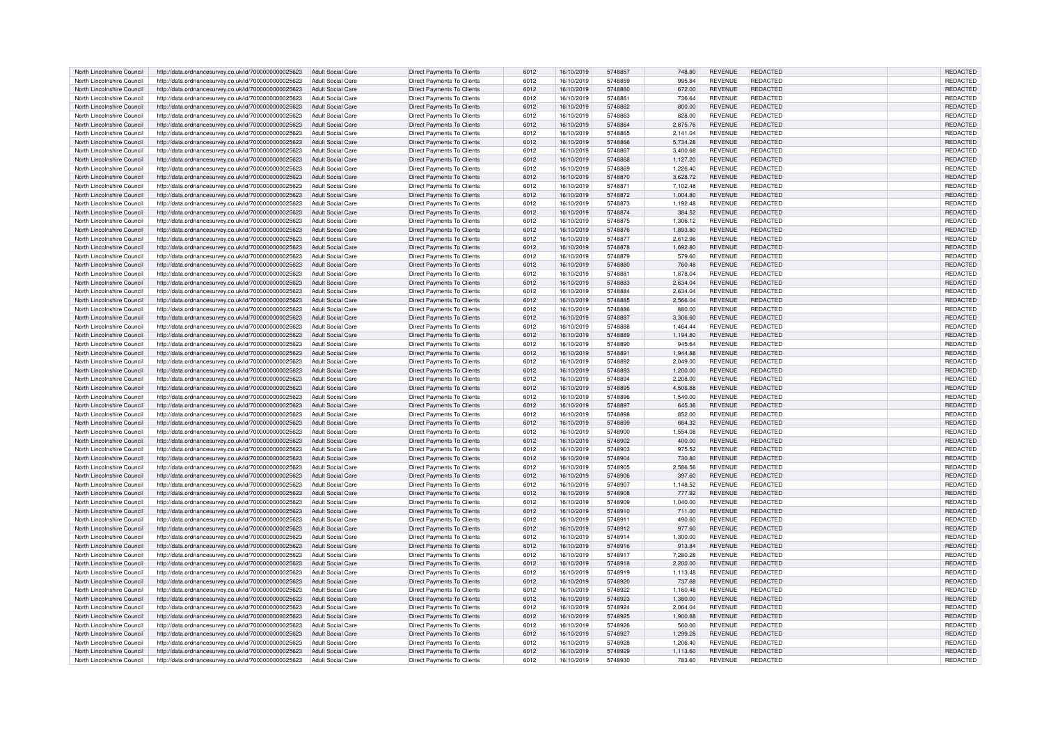| North Lincolnshire Council | http://data.ordnancesurvey.co.uk/id/7000000000025623 | <b>Adult Social Care</b> | <b>Direct Payments To Clients</b> | 6012 | 16/10/2019 | 5748857 | 748.80   | <b>REVENUE</b> | REDACTED        | REDACTED        |
|----------------------------|------------------------------------------------------|--------------------------|-----------------------------------|------|------------|---------|----------|----------------|-----------------|-----------------|
| North Lincolnshire Council | http://data.ordnancesurvey.co.uk/id/7000000000025623 | <b>Adult Social Care</b> | Direct Payments To Clients        | 6012 | 16/10/2019 | 5748859 | 995.84   | REVENUE        | REDACTED        | REDACTED        |
| North Lincolnshire Council | http://data.ordnancesurvey.co.uk/id/7000000000025623 | <b>Adult Social Care</b> | Direct Payments To Clients        | 6012 | 16/10/2019 | 5748860 | 672.00   | <b>REVENUE</b> | <b>REDACTED</b> | <b>REDACTED</b> |
| North Lincolnshire Council | http://data.ordnancesurvey.co.uk/id/7000000000025623 | <b>Adult Social Care</b> | Direct Payments To Clients        | 6012 | 16/10/2019 | 5748861 | 736.64   | <b>REVENUE</b> | REDACTED        | REDACTED        |
| North Lincolnshire Council | http://data.ordnancesurvey.co.uk/id/7000000000025623 | <b>Adult Social Care</b> | Direct Payments To Clients        | 6012 | 16/10/2019 | 5748862 | 800.00   | <b>REVENUE</b> | REDACTED        | <b>REDACTED</b> |
|                            |                                                      |                          |                                   |      |            |         | 828.00   |                |                 |                 |
| North Lincolnshire Council | http://data.ordnancesurvey.co.uk/id/7000000000025623 | <b>Adult Social Care</b> | Direct Payments To Clients        | 6012 | 16/10/2019 | 5748863 |          | <b>REVENUE</b> | REDACTED        | REDACTED        |
| North Lincolnshire Council | http://data.ordnancesurvey.co.uk/id/7000000000025623 | Adult Social Care        | <b>Direct Payments To Clients</b> | 6012 | 16/10/2019 | 5748864 | 2,875.76 | <b>REVENUE</b> | REDACTED        | REDACTED        |
| North Lincolnshire Council | http://data.ordnancesurvey.co.uk/id/7000000000025623 | <b>Adult Social Care</b> | Direct Payments To Clients        | 6012 | 16/10/2019 | 5748865 | 2,141.04 | <b>REVENUE</b> | REDACTED        | REDACTED        |
| North Lincolnshire Council | http://data.ordnancesurvey.co.uk/id/7000000000025623 | <b>Adult Social Care</b> | Direct Payments To Clients        | 6012 | 16/10/2019 | 5748866 | 5,734.28 | REVENUE        | REDACTED        | REDACTED        |
| North Lincolnshire Council | http://data.ordnancesurvey.co.uk/id/7000000000025623 | <b>Adult Social Care</b> | Direct Payments To Clients        | 6012 | 16/10/2019 | 5748867 | 3.400.68 | <b>REVENUE</b> | REDACTED        | REDACTED        |
| North Lincolnshire Council | http://data.ordnancesurvey.co.uk/id/7000000000025623 | <b>Adult Social Care</b> | Direct Payments To Clients        | 6012 | 16/10/2019 | 5748868 | 1,127.20 | <b>REVENUE</b> | REDACTED        | REDACTED        |
| North Lincolnshire Council | http://data.ordnancesurvey.co.uk/id/7000000000025623 | <b>Adult Social Care</b> | <b>Direct Payments To Clients</b> | 6012 | 16/10/2019 | 5748869 | 1,226.40 | REVENUE        | REDACTED        | REDACTED        |
| North Lincolnshire Council | http://data.ordnancesurvey.co.uk/id/7000000000025623 | <b>Adult Social Care</b> | Direct Payments To Clients        | 6012 | 16/10/2019 | 5748870 | 3,628.72 | <b>REVENUE</b> | REDACTED        | REDACTED        |
| North Lincolnshire Council | http://data.ordnancesurvey.co.uk/id/7000000000025623 | <b>Adult Social Care</b> | Direct Payments To Clients        | 6012 | 16/10/2019 | 574887  | 7,102.48 | REVENUE        | REDACTED        | REDACTED        |
| North Lincolnshire Council | http://data.ordnancesurvey.co.uk/id/7000000000025623 | <b>Adult Social Care</b> | <b>Direct Payments To Clients</b> | 6012 | 16/10/2019 | 5748872 | 1,004.80 | <b>REVENUE</b> | REDACTED        | REDACTED        |
| North Lincolnshire Council | http://data.ordnancesurvey.co.uk/id/7000000000025623 | <b>Adult Social Care</b> | Direct Payments To Clients        | 6012 | 16/10/2019 | 5748873 | 1,192.48 | REVENUE        | REDACTED        | REDACTED        |
| North Lincolnshire Council | http://data.ordnancesurvey.co.uk/id/7000000000025623 | Adult Social Care        | <b>Direct Payments To Clients</b> | 6012 | 16/10/2019 | 5748874 | 384.52   | <b>REVENUE</b> | REDACTED        | REDACTED        |
| North Lincolnshire Council | http://data.ordnancesurvey.co.uk/id/7000000000025623 | Adult Social Care        | Direct Payments To Clients        | 6012 | 16/10/2019 | 5748875 | 1,306.12 | REVENUE        | REDACTED        | REDACTED        |
| North Lincolnshire Council | http://data.ordnancesurvey.co.uk/id/7000000000025623 | <b>Adult Social Care</b> | <b>Direct Payments To Clients</b> | 6012 | 16/10/2019 | 5748876 | 1,893.80 | <b>REVENUE</b> | REDACTED        | REDACTED        |
| North Lincolnshire Council |                                                      | <b>Adult Social Care</b> |                                   | 6012 | 16/10/2019 | 5748877 | 2.612.96 | <b>REVENUE</b> | REDACTED        | REDACTED        |
|                            | http://data.ordnancesurvey.co.uk/id/7000000000025623 |                          | Direct Payments To Clients        |      |            |         |          |                |                 |                 |
| North Lincolnshire Council | http://data.ordnancesurvey.co.uk/id/7000000000025623 | <b>Adult Social Care</b> | Direct Payments To Clients        | 6012 | 16/10/2019 | 5748878 | 1,692.80 | <b>REVENUE</b> | REDACTED        | REDACTED        |
| North Lincolnshire Council | http://data.ordnancesurvey.co.uk/id/7000000000025623 | <b>Adult Social Care</b> | Direct Payments To Clients        | 6012 | 16/10/2019 | 5748879 | 579.60   | REVENUE        | REDACTED        | REDACTED        |
| North Lincolnshire Council | http://data.ordnancesurvey.co.uk/id/7000000000025623 | Adult Social Care        | Direct Payments To Clients        | 6012 | 16/10/2019 | 5748880 | 760.48   | <b>REVENUE</b> | REDACTED        | <b>REDACTED</b> |
| North Lincolnshire Council | http://data.ordnancesurvey.co.uk/id/7000000000025623 | <b>Adult Social Care</b> | <b>Direct Payments To Clients</b> | 6012 | 16/10/2019 | 574888  | 1,878.04 | <b>REVENUE</b> | REDACTED        | REDACTED        |
| North Lincolnshire Council | http://data.ordnancesurvey.co.uk/id/7000000000025623 | <b>Adult Social Care</b> | <b>Direct Payments To Clients</b> | 6012 | 16/10/2019 | 5748883 | 2.634.04 | <b>REVENUE</b> | REDACTED        | <b>REDACTED</b> |
| North Lincolnshire Council | http://data.ordnancesurvey.co.uk/id/7000000000025623 | Adult Social Care        | Direct Payments To Clients        | 6012 | 16/10/2019 | 5748884 | 2,634.04 | <b>REVENUE</b> | REDACTED        | REDACTED        |
| North Lincolnshire Council | http://data.ordnancesurvey.co.uk/id/7000000000025623 | <b>Adult Social Care</b> | <b>Direct Payments To Clients</b> | 6012 | 16/10/2019 | 5748885 | 2,566.04 | <b>REVENUE</b> | REDACTED        | REDACTED        |
| North Lincolnshire Council | http://data.ordnancesurvey.co.uk/id/7000000000025623 | Adult Social Care        | Direct Payments To Clients        | 6012 | 16/10/2019 | 5748886 | 880.00   | <b>REVENUE</b> | REDACTED        | REDACTED        |
| North Lincolnshire Council | http://data.ordnancesurvey.co.uk/id/7000000000025623 | <b>Adult Social Care</b> | Direct Payments To Clients        | 6012 | 16/10/2019 | 5748887 | 3,306.60 | REVENUE        | REDACTED        | REDACTED        |
| North Lincolnshire Council | http://data.ordnancesurvey.co.uk/id/7000000000025623 | <b>Adult Social Care</b> | <b>Direct Payments To Clients</b> | 6012 | 16/10/2019 | 5748888 | 1,464.44 | <b>REVENUE</b> | REDACTED        | REDACTED        |
| North Lincolnshire Council | http://data.ordnancesurvey.co.uk/id/7000000000025623 | <b>Adult Social Care</b> | Direct Payments To Clients        | 6012 | 16/10/2019 | 5748889 | 1,194.80 | <b>REVENUE</b> | REDACTED        | REDACTED        |
| North Lincolnshire Council | http://data.ordnancesurvey.co.uk/id/7000000000025623 | <b>Adult Social Care</b> | Direct Payments To Clients        | 6012 | 16/10/2019 | 5748890 | 945.64   | REVENUE        | REDACTED        | REDACTED        |
| North Lincolnshire Council | http://data.ordnancesurvey.co.uk/id/7000000000025623 | Adult Social Care        | Direct Payments To Clients        | 6012 | 16/10/2019 | 5748891 | 1,944.88 | <b>REVENUE</b> | REDACTED        | REDACTED        |
| North Lincolnshire Council | http://data.ordnancesurvey.co.uk/id/7000000000025623 | <b>Adult Social Care</b> | Direct Payments To Clients        | 6012 | 16/10/2019 | 5748892 | 2,049.00 | <b>REVENUE</b> | REDACTED        | REDACTED        |
| North Lincolnshire Council | http://data.ordnancesurvey.co.uk/id/7000000000025623 | <b>Adult Social Care</b> | Direct Payments To Clients        | 6012 | 16/10/2019 | 5748893 | 1.200.00 | <b>REVENUE</b> | REDACTED        | REDACTED        |
| North Lincolnshire Council | http://data.ordnancesurvey.co.uk/id/7000000000025623 | <b>Adult Social Care</b> | Direct Payments To Clients        | 6012 | 16/10/2019 | 5748894 | 2,208.00 | <b>REVENUE</b> | REDACTED        | REDACTED        |
| North Lincolnshire Council | http://data.ordnancesurvey.co.uk/id/7000000000025623 | <b>Adult Social Care</b> | Direct Payments To Clients        | 6012 | 16/10/2019 | 5748895 | 4,506.88 | <b>REVENUE</b> | REDACTED        | REDACTED        |
|                            |                                                      |                          |                                   |      |            |         |          |                |                 |                 |
| North Lincolnshire Council | http://data.ordnancesurvey.co.uk/id/7000000000025623 | <b>Adult Social Care</b> | <b>Direct Payments To Clients</b> | 6012 | 16/10/2019 | 5748896 | 1,540.00 | REVENUE        | REDACTED        | REDACTED        |
| North Lincolnshire Council | http://data.ordnancesurvey.co.uk/id/7000000000025623 | <b>Adult Social Care</b> | Direct Payments To Clients        | 6012 | 16/10/2019 | 5748897 | 645.36   | <b>REVENUE</b> | REDACTED        | REDACTED        |
| North Lincolnshire Council | http://data.ordnancesurvey.co.uk/id/7000000000025623 | <b>Adult Social Care</b> | Direct Payments To Clients        | 6012 | 16/10/2019 | 5748898 | 852.00   | <b>REVENUE</b> | REDACTED        | REDACTED        |
| North Lincolnshire Council | http://data.ordnancesurvey.co.uk/id/7000000000025623 | <b>Adult Social Care</b> | Direct Payments To Clients        | 6012 | 16/10/2019 | 5748899 | 684.32   | <b>REVENUE</b> | REDACTED        | REDACTED        |
| North Lincolnshire Council | http://data.ordnancesurvey.co.uk/id/7000000000025623 | <b>Adult Social Care</b> | <b>Direct Payments To Clients</b> | 6012 | 16/10/2019 | 5748900 | 1,554.08 | <b>REVENUE</b> | REDACTED        | REDACTED        |
| North Lincolnshire Council | http://data.ordnancesurvey.co.uk/id/7000000000025623 | Adult Social Care        | Direct Payments To Clients        | 6012 | 16/10/2019 | 5748902 | 400.00   | <b>REVENUE</b> | REDACTED        | <b>REDACTED</b> |
| North Lincolnshire Council | http://data.ordnancesurvey.co.uk/id/7000000000025623 | <b>Adult Social Care</b> | Direct Payments To Clients        | 6012 | 16/10/2019 | 5748903 | 975.52   | <b>REVENUE</b> | REDACTED        | REDACTED        |
| North Lincolnshire Council | http://data.ordnancesurvey.co.uk/id/7000000000025623 | <b>Adult Social Care</b> | <b>Direct Payments To Clients</b> | 6012 | 16/10/2019 | 5748904 | 730.80   | <b>REVENUE</b> | <b>REDACTED</b> | REDACTED        |
| North Lincolnshire Council | http://data.ordnancesurvey.co.uk/id/7000000000025623 | Adult Social Care        | Direct Payments To Clients        | 6012 | 16/10/2019 | 5748905 | 2.586.56 | <b>REVENUE</b> | REDACTED        | REDACTED        |
| North Lincolnshire Council | http://data.ordnancesurvey.co.uk/id/7000000000025623 | <b>Adult Social Care</b> | Direct Payments To Clients        | 6012 | 16/10/2019 | 5748906 | 397.60   | <b>REVENUE</b> | REDACTED        | REDACTED        |
| North Lincolnshire Council | http://data.ordnancesurvey.co.uk/id/7000000000025623 | <b>Adult Social Care</b> | Direct Payments To Clients        | 6012 | 16/10/2019 | 5748907 | 1,148.52 | REVENUE        | REDACTED        | REDACTED        |
| North Lincolnshire Council | http://data.ordnancesurvey.co.uk/id/7000000000025623 | Adult Social Care        | Direct Payments To Clients        | 6012 | 16/10/2019 | 5748908 | 777.92   | <b>REVENUE</b> | REDACTED        | REDACTED        |
| North Lincolnshire Council | http://data.ordnancesurvey.co.uk/id/7000000000025623 | <b>Adult Social Care</b> | <b>Direct Payments To Clients</b> | 6012 | 16/10/2019 | 5748909 | 1,040.00 | <b>REVENUE</b> | REDACTED        | REDACTED        |
| North Lincolnshire Council | http://data.ordnancesurvey.co.uk/id/7000000000025623 | <b>Adult Social Care</b> | <b>Direct Payments To Clients</b> | 6012 | 16/10/2019 | 5748910 | 711.00   | <b>REVENUE</b> | REDACTED        | <b>REDACTED</b> |
| North Lincolnshire Council | http://data.ordnancesurvey.co.uk/id/7000000000025623 | Adult Social Care        | <b>Direct Payments To Clients</b> | 6012 | 16/10/2019 | 5748911 | 490.60   | <b>REVENUE</b> | REDACTED        | REDACTED        |
| North Lincolnshire Council | http://data.ordnancesurvey.co.uk/id/7000000000025623 | <b>Adult Social Care</b> | <b>Direct Payments To Clients</b> | 6012 | 16/10/2019 | 5748912 | 977.60   | <b>REVENUE</b> | REDACTED        | REDACTED        |
| North Lincolnshire Council | http://data.ordnancesurvey.co.uk/id/7000000000025623 | Adult Social Care        | Direct Payments To Clients        | 6012 | 16/10/2019 | 5748914 | 1,300.00 | <b>REVENUE</b> | REDACTED        | REDACTED        |
| North Lincolnshire Council | http://data.ordnancesurvey.co.uk/id/7000000000025623 | <b>Adult Social Care</b> | <b>Direct Payments To Clients</b> | 6012 | 16/10/2019 | 5748916 | 913.84   | <b>REVENUE</b> | <b>REDACTED</b> | REDACTED        |
| North Lincolnshire Council | http://data.ordnancesurvey.co.uk/id/7000000000025623 | <b>Adult Social Care</b> | <b>Direct Payments To Clients</b> | 6012 | 16/10/2019 | 5748917 | 7,280.28 | <b>REVENUE</b> | REDACTED        | REDACTED        |
| North Lincolnshire Council | http://data.ordnancesurvey.co.uk/id/7000000000025623 | Adult Social Care        | Direct Payments To Clients        | 6012 | 16/10/2019 | 5748918 | 2,200.00 | <b>REVENUE</b> | REDACTED        | REDACTED        |
| North Lincolnshire Council | http://data.ordnancesurvey.co.uk/id/7000000000025623 | <b>Adult Social Care</b> | Direct Payments To Clients        | 6012 | 16/10/2019 | 5748919 | 1,113.48 | REVENUE        | REDACTED        | <b>REDACTED</b> |
| North Lincolnshire Council | http://data.ordnancesurvey.co.uk/id/7000000000025623 | Adult Social Care        |                                   | 6012 | 16/10/2019 | 5748920 |          | <b>REVENUE</b> | REDACTED        | REDACTED        |
|                            |                                                      |                          | Direct Payments To Clients        |      |            |         | 737.68   |                |                 |                 |
| North Lincolnshire Council | http://data.ordnancesurvey.co.uk/id/7000000000025623 | <b>Adult Social Care</b> | Direct Payments To Clients        | 6012 | 16/10/2019 | 5748922 | 1,160.48 | <b>REVENUE</b> | REDACTED        | REDACTED        |
| North Lincolnshire Council | http://data.ordnancesurvey.co.uk/id/7000000000025623 | Adult Social Care        | Direct Payments To Clients        | 6012 | 16/10/2019 | 5748923 | 1,380.00 | REVENUE        | <b>REDACTED</b> | REDACTED        |
| North Lincolnshire Council | http://data.ordnancesurvey.co.uk/id/7000000000025623 | Adult Social Care        | Direct Payments To Clients        | 6012 | 16/10/2019 | 5748924 | 2,064.04 | <b>REVENUE</b> | REDACTED        | REDACTED        |
| North Lincolnshire Council | http://data.ordnancesurvey.co.uk/id/7000000000025623 | <b>Adult Social Care</b> | Direct Payments To Clients        | 6012 | 16/10/2019 | 5748925 | 1,900.88 | <b>REVENUE</b> | REDACTED        | REDACTED        |
| North Lincolnshire Council | http://data.ordnancesurvey.co.uk/id/7000000000025623 | <b>Adult Social Care</b> | <b>Direct Payments To Clients</b> | 6012 | 16/10/2019 | 5748926 | 560.00   | REVENUE        | REDACTED        | REDACTED        |
| North Lincolnshire Council | http://data.ordnancesurvey.co.uk/id/7000000000025623 | <b>Adult Social Care</b> | Direct Payments To Clients        | 6012 | 16/10/2019 | 5748927 | 1,299.28 | <b>REVENUE</b> | REDACTED        | REDACTED        |
| North Lincolnshire Council | http://data.ordnancesurvey.co.uk/id/7000000000025623 | <b>Adult Social Care</b> | Direct Payments To Clients        | 6012 | 16/10/2019 | 5748928 | 1.206.40 | REVENUE        | REDACTED        | REDACTED        |
| North Lincolnshire Council | http://data.ordnancesurvey.co.uk/id/7000000000025623 | <b>Adult Social Care</b> | <b>Direct Payments To Clients</b> | 6012 | 16/10/2019 | 5748929 | 1,113.60 | <b>REVENUE</b> | REDACTED        | <b>REDACTED</b> |
| North Lincolnshire Council | http://data.ordnancesurvey.co.uk/id/7000000000025623 | <b>Adult Social Care</b> | Direct Payments To Clients        | 6012 | 16/10/2019 | 5748930 | 783.60   | <b>REVENUE</b> | REDACTED        | REDACTED        |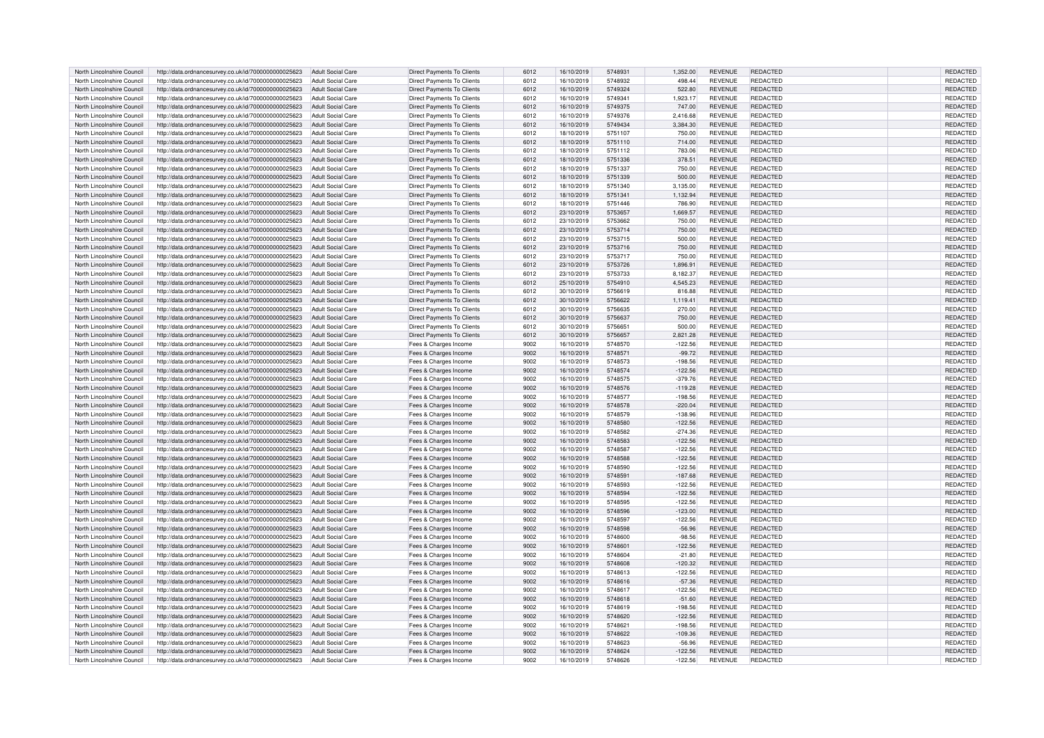| North Lincolnshire Council | http://data.ordnancesurvey.co.uk/id/7000000000025623 | <b>Adult Social Care</b> | <b>Direct Payments To Clients</b> | 6012 | 16/10/2019 | 5748931 | 1,352.00  | <b>REVENUE</b> | REDACTED        | REDACTED        |
|----------------------------|------------------------------------------------------|--------------------------|-----------------------------------|------|------------|---------|-----------|----------------|-----------------|-----------------|
| North Lincolnshire Council | http://data.ordnancesurvey.co.uk/id/7000000000025623 | <b>Adult Social Care</b> | Direct Payments To Clients        | 6012 | 16/10/2019 | 5748932 | 498.44    | REVENUE        | REDACTED        | REDACTED        |
| North Lincolnshire Council | http://data.ordnancesurvey.co.uk/id/7000000000025623 | <b>Adult Social Care</b> | Direct Payments To Clients        | 6012 | 16/10/2019 | 5749324 | 522.80    | <b>REVENUE</b> | <b>REDACTED</b> | <b>REDACTED</b> |
| North Lincolnshire Council | http://data.ordnancesurvey.co.uk/id/7000000000025623 | <b>Adult Social Care</b> | <b>Direct Payments To Clients</b> | 6012 | 16/10/2019 | 5749341 | 1,923.17  | <b>REVENUE</b> | <b>REDACTED</b> | REDACTED        |
| North Lincolnshire Council |                                                      | <b>Adult Social Care</b> |                                   | 6012 | 16/10/2019 | 5749375 | 747.00    | <b>REVENUE</b> | REDACTED        | <b>REDACTED</b> |
|                            | http://data.ordnancesurvey.co.uk/id/7000000000025623 |                          | Direct Payments To Clients        |      |            |         |           |                |                 |                 |
| North Lincolnshire Council | http://data.ordnancesurvey.co.uk/id/7000000000025623 | <b>Adult Social Care</b> | Direct Payments To Clients        | 6012 | 16/10/2019 | 5749376 | 2,416.68  | REVENUE        | REDACTED        | REDACTED        |
| North Lincolnshire Council | http://data.ordnancesurvey.co.uk/id/7000000000025623 | Adult Social Care        | <b>Direct Payments To Clients</b> | 6012 | 16/10/2019 | 5749434 | 3.384.30  | <b>REVENUE</b> | REDACTED        | REDACTED        |
| North Lincolnshire Council | http://data.ordnancesurvey.co.uk/id/7000000000025623 | <b>Adult Social Care</b> | Direct Payments To Clients        | 6012 | 18/10/2019 | 5751107 | 750.00    | <b>REVENUE</b> | REDACTED        | REDACTED        |
| North Lincolnshire Council | http://data.ordnancesurvey.co.uk/id/7000000000025623 | <b>Adult Social Care</b> | Direct Payments To Clients        | 6012 | 18/10/2019 | 5751110 | 714.00    | REVENUE        | REDACTED        | REDACTED        |
| North Lincolnshire Council | http://data.ordnancesurvey.co.uk/id/7000000000025623 | Adult Social Care        | Direct Payments To Clients        | 6012 | 18/10/2019 | 5751112 | 783.06    | <b>REVENUE</b> | REDACTED        | REDACTED        |
| North Lincolnshire Council | http://data.ordnancesurvey.co.uk/id/7000000000025623 | <b>Adult Social Care</b> | Direct Payments To Clients        | 6012 | 18/10/2019 | 5751336 | 378.51    | <b>REVENUE</b> | REDACTED        | REDACTED        |
| North Lincolnshire Council | http://data.ordnancesurvey.co.uk/id/7000000000025623 | <b>Adult Social Care</b> | <b>Direct Payments To Clients</b> | 6012 | 18/10/2019 | 5751337 | 750.00    | REVENUE        | REDACTED        | REDACTED        |
| North Lincolnshire Council | http://data.ordnancesurvey.co.uk/id/7000000000025623 | <b>Adult Social Care</b> | Direct Payments To Clients        | 6012 | 18/10/2019 | 5751339 | 500.00    | <b>REVENUE</b> | REDACTED        | REDACTED        |
| North Lincolnshire Council |                                                      | <b>Adult Social Care</b> |                                   |      |            | 5751340 |           | REVENUE        | REDACTED        |                 |
|                            | http://data.ordnancesurvey.co.uk/id/7000000000025623 |                          | Direct Payments To Clients        | 6012 | 18/10/2019 |         | 3,135.00  |                |                 | REDACTED        |
| North Lincolnshire Council | http://data.ordnancesurvey.co.uk/id/7000000000025623 | <b>Adult Social Care</b> | <b>Direct Payments To Clients</b> | 6012 | 18/10/2019 | 5751341 | 1,132.94  | <b>REVENUE</b> | REDACTED        | REDACTED        |
| North Lincolnshire Council | http://data.ordnancesurvey.co.uk/id/7000000000025623 | <b>Adult Social Care</b> | Direct Payments To Clients        | 6012 | 18/10/2019 | 5751446 | 786.90    | REVENUE        | REDACTED        | REDACTED        |
| North Lincolnshire Council | http://data.ordnancesurvey.co.uk/id/7000000000025623 | Adult Social Care        | <b>Direct Payments To Clients</b> | 6012 | 23/10/2019 | 5753657 | 1.669.57  | <b>REVENUE</b> | REDACTED        | REDACTED        |
| North Lincolnshire Council | http://data.ordnancesurvey.co.uk/id/7000000000025623 | Adult Social Care        | Direct Payments To Clients        | 6012 | 23/10/2019 | 5753662 | 750.00    | REVENUE        | REDACTED        | REDACTED        |
| North Lincolnshire Council | http://data.ordnancesurvey.co.uk/id/7000000000025623 | <b>Adult Social Care</b> | <b>Direct Payments To Clients</b> | 6012 | 23/10/2019 | 5753714 | 750.00    | <b>REVENUE</b> | REDACTED        | REDACTED        |
| North Lincolnshire Council | http://data.ordnancesurvev.co.uk/id/7000000000025623 | Adult Social Care        | Direct Payments To Clients        | 6012 | 23/10/2019 | 5753715 | 500.00    | REVENUE        | REDACTED        | REDACTED        |
| North Lincolnshire Council | http://data.ordnancesurvey.co.uk/id/7000000000025623 | <b>Adult Social Care</b> | Direct Payments To Clients        | 6012 | 23/10/2019 | 5753716 | 750.00    | <b>REVENUE</b> | REDACTED        | REDACTED        |
| North Lincolnshire Council | http://data.ordnancesurvey.co.uk/id/7000000000025623 | <b>Adult Social Care</b> | Direct Payments To Clients        | 6012 | 23/10/2019 | 5753717 | 750.00    | REVENUE        | <b>REDACTED</b> | REDACTED        |
| North Lincolnshire Council | http://data.ordnancesurvey.co.uk/id/7000000000025623 | Adult Social Care        | Direct Payments To Clients        | 6012 | 23/10/2019 | 5753726 | 1,896.91  | <b>REVENUE</b> | <b>REDACTED</b> | <b>REDACTED</b> |
|                            |                                                      |                          |                                   |      |            |         |           |                |                 |                 |
| North Lincolnshire Council | http://data.ordnancesurvey.co.uk/id/7000000000025623 | <b>Adult Social Care</b> | <b>Direct Payments To Clients</b> | 6012 | 23/10/2019 | 5753733 | 8,182.37  | <b>REVENUE</b> | REDACTED        | REDACTED        |
| North Lincolnshire Council | http://data.ordnancesurvey.co.uk/id/7000000000025623 | <b>Adult Social Care</b> | <b>Direct Payments To Clients</b> | 6012 | 25/10/2019 | 5754910 | 4.545.23  | <b>REVENUE</b> | REDACTED        | <b>REDACTED</b> |
| North Lincolnshire Council | http://data.ordnancesurvey.co.uk/id/7000000000025623 | Adult Social Care        | <b>Direct Payments To Clients</b> | 6012 | 30/10/2019 | 5756619 | 816.88    | <b>REVENUE</b> | REDACTED        | REDACTED        |
| North Lincolnshire Council | http://data.ordnancesurvey.co.uk/id/7000000000025623 | <b>Adult Social Care</b> | <b>Direct Payments To Clients</b> | 6012 | 30/10/2019 | 5756622 | 1,119.41  | <b>REVENUE</b> | REDACTED        | REDACTED        |
| North Lincolnshire Council | http://data.ordnancesurvey.co.uk/id/7000000000025623 | Adult Social Care        | Direct Payments To Clients        | 6012 | 30/10/2019 | 5756635 | 270.00    | <b>REVENUE</b> | REDACTED        | REDACTED        |
| North Lincolnshire Council | http://data.ordnancesurvey.co.uk/id/7000000000025623 | <b>Adult Social Care</b> | Direct Payments To Clients        | 6012 | 30/10/2019 | 5756637 | 750.00    | REVENUE        | <b>REDACTED</b> | REDACTED        |
| North Lincolnshire Council | http://data.ordnancesurvey.co.uk/id/7000000000025623 | <b>Adult Social Care</b> | <b>Direct Payments To Clients</b> | 6012 | 30/10/2019 | 5756651 | 500.00    | REVENUE        | REDACTED        | REDACTED        |
| North Lincolnshire Council | http://data.ordnancesurvey.co.uk/id/7000000000025623 | <b>Adult Social Care</b> | Direct Payments To Clients        | 6012 | 30/10/2019 | 5756657 | 2,821.28  | <b>REVENUE</b> | REDACTED        | REDACTED        |
| North Lincolnshire Council | http://data.ordnancesurvey.co.uk/id/7000000000025623 | <b>Adult Social Care</b> | Fees & Charges Income             | 9002 | 16/10/2019 | 5748570 | $-122.56$ | REVENUE        | REDACTED        | REDACTED        |
|                            |                                                      |                          |                                   |      |            |         |           |                |                 |                 |
| North Lincolnshire Council | http://data.ordnancesurvey.co.uk/id/7000000000025623 | Adult Social Care        | Fees & Charges Income             | 9002 | 16/10/2019 | 5748571 | $-99.72$  | <b>REVENUE</b> | REDACTED        | REDACTED        |
| North Lincolnshire Council | http://data.ordnancesurvey.co.uk/id/7000000000025623 | <b>Adult Social Care</b> | Fees & Charges Income             | 9002 | 16/10/2019 | 5748573 | $-198.56$ | <b>REVENUE</b> | REDACTED        | REDACTED        |
| North Lincolnshire Council | http://data.ordnancesurvey.co.uk/id/7000000000025623 | Adult Social Care        | Fees & Charges Income             | 9002 | 16/10/2019 | 5748574 | $-122.56$ | <b>REVENUE</b> | REDACTED        | REDACTED        |
| North Lincolnshire Council | http://data.ordnancesurvey.co.uk/id/7000000000025623 | Adult Social Care        | Fees & Charges Income             | 9002 | 16/10/2019 | 5748575 | $-379.76$ | <b>REVENUE</b> | REDACTED        | REDACTED        |
| North Lincolnshire Council | http://data.ordnancesurvey.co.uk/id/7000000000025623 | <b>Adult Social Care</b> | Fees & Charges Income             | 9002 | 16/10/2019 | 5748576 | $-119.28$ | <b>REVENUE</b> | REDACTED        | REDACTED        |
| North Lincolnshire Council | http://data.ordnancesurvey.co.uk/id/7000000000025623 | <b>Adult Social Care</b> | Fees & Charges Income             | 9002 | 16/10/2019 | 5748577 | $-198.56$ | REVENUE        | REDACTED        | REDACTED        |
| North Lincolnshire Council | http://data.ordnancesurvey.co.uk/id/7000000000025623 | <b>Adult Social Care</b> | Fees & Charges Income             | 9002 | 16/10/2019 | 5748578 | $-220.04$ | <b>REVENUE</b> | REDACTED        | REDACTED        |
| North Lincolnshire Council | http://data.ordnancesurvey.co.uk/id/7000000000025623 | <b>Adult Social Care</b> | Fees & Charges Income             | 9002 | 16/10/2019 | 5748579 | $-138.96$ | REVENUE        | REDACTED        | REDACTED        |
| North Lincolnshire Council | http://data.ordnancesurvey.co.uk/id/7000000000025623 | Adult Social Care        | Fees & Charges Income             | 9002 | 16/10/2019 | 5748580 | $-122.56$ | <b>REVENUE</b> | REDACTED        | REDACTED        |
|                            |                                                      |                          |                                   |      |            |         |           | <b>REVENUE</b> | REDACTED        |                 |
| North Lincolnshire Council | http://data.ordnancesurvey.co.uk/id/7000000000025623 | <b>Adult Social Care</b> | Fees & Charges Income             | 9002 | 16/10/2019 | 5748582 | $-274.36$ |                |                 | REDACTED        |
| North Lincolnshire Council | http://data.ordnancesurvey.co.uk/id/7000000000025623 | Adult Social Care        | Fees & Charges Income             | 9002 | 16/10/2019 | 5748583 | $-122.56$ | <b>REVENUE</b> | REDACTED        | REDACTED        |
| North Lincolnshire Council | http://data.ordnancesurvey.co.uk/id/7000000000025623 | <b>Adult Social Care</b> | Fees & Charges Income             | 9002 | 16/10/2019 | 5748587 | $-122.56$ | <b>REVENUE</b> | REDACTED        | REDACTED        |
| North Lincolnshire Council | http://data.ordnancesurvey.co.uk/id/7000000000025623 | <b>Adult Social Care</b> | Fees & Charges Income             | 9002 | 16/10/2019 | 5748588 | $-122.56$ | <b>REVENUE</b> | <b>REDACTED</b> | REDACTED        |
| North Lincolnshire Council | http://data.ordnancesurvey.co.uk/id/7000000000025623 | Adult Social Care        | Fees & Charges Income             | 9002 | 16/10/2019 | 5748590 | $-122.56$ | <b>REVENUE</b> | REDACTED        | REDACTED        |
| North Lincolnshire Council | http://data.ordnancesurvey.co.uk/id/7000000000025623 | <b>Adult Social Care</b> | Fees & Charges Income             | 9002 | 16/10/2019 | 5748591 | $-187.68$ | <b>REVENUE</b> | REDACTED        | REDACTED        |
| North Lincolnshire Council | http://data.ordnancesurvey.co.uk/id/7000000000025623 | <b>Adult Social Care</b> | Fees & Charges Income             | 9002 | 16/10/2019 | 5748593 | $-122.56$ | REVENUE        | REDACTED        | REDACTED        |
| North Lincolnshire Council | http://data.ordnancesurvey.co.uk/id/7000000000025623 | Adult Social Care        | Fees & Charges Income             | 9002 | 16/10/2019 | 5748594 | $-122.56$ | <b>REVENUE</b> | REDACTED        | REDACTED        |
| North Lincolnshire Council | http://data.ordnancesurvey.co.uk/id/7000000000025623 | <b>Adult Social Care</b> | Fees & Charges Income             | 9002 | 16/10/2019 | 5748595 | $-122.56$ | REVENUE        | REDACTED        | REDACTED        |
| North Lincolnshire Council | http://data.ordnancesurvey.co.uk/id/7000000000025623 | <b>Adult Social Care</b> | Fees & Charges Income             | 9002 | 16/10/2019 | 5748596 | $-123.00$ | <b>REVENUE</b> | REDACTED        | <b>REDACTED</b> |
| North Lincolnshire Council | http://data.ordnancesurvey.co.uk/id/7000000000025623 | Adult Social Care        | Fees & Charges Income             | 9002 | 16/10/2019 | 5748597 | $-122.56$ | <b>REVENUE</b> | REDACTED        | REDACTED        |
|                            |                                                      |                          |                                   |      |            |         |           |                |                 |                 |
| North Lincolnshire Council | http://data.ordnancesurvey.co.uk/id/7000000000025623 | <b>Adult Social Care</b> | Fees & Charges Income             | 9002 | 16/10/2019 | 5748598 | $-56.96$  | REVENUE        | REDACTED        | REDACTED        |
| North Lincolnshire Council | http://data.ordnancesurvey.co.uk/id/7000000000025623 | Adult Social Care        | Fees & Charges Income             | 9002 | 16/10/2019 | 5748600 | $-98.56$  | <b>REVENUE</b> | REDACTED        | REDACTED        |
| North Lincolnshire Council | http://data.ordnancesurvey.co.uk/id/7000000000025623 | <b>Adult Social Care</b> | Fees & Charges Income             | 9002 | 16/10/2019 | 5748601 | $-122.56$ | <b>REVENUE</b> | <b>REDACTED</b> | REDACTED        |
| North Lincolnshire Council | http://data.ordnancesurvey.co.uk/id/7000000000025623 | <b>Adult Social Care</b> | Fees & Charges Income             | 9002 | 16/10/2019 | 5748604 | $-21.80$  | <b>REVENUE</b> | <b>REDACTED</b> | REDACTED        |
| North Lincolnshire Council | http://data.ordnancesurvey.co.uk/id/7000000000025623 | Adult Social Care        | Fees & Charges Income             | 9002 | 16/10/2019 | 5748608 | $-120.32$ | <b>REVENUE</b> | REDACTED        | <b>REDACTED</b> |
| North Lincolnshire Council | http://data.ordnancesurvey.co.uk/id/7000000000025623 | <b>Adult Social Care</b> | Fees & Charges Income             | 9002 | 16/10/2019 | 5748613 | $-122.56$ | REVENUE        | REDACTED        | <b>REDACTED</b> |
| North Lincolnshire Council | http://data.ordnancesurvey.co.uk/id/7000000000025623 | Adult Social Care        | Fees & Charges Income             | 9002 | 16/10/2019 | 5748616 | $-57.36$  | <b>REVENUE</b> | REDACTED        | REDACTED        |
| North Lincolnshire Council | http://data.ordnancesurvey.co.uk/id/7000000000025623 | <b>Adult Social Care</b> | Fees & Charges Income             | 9002 | 16/10/2019 | 5748617 | $-122.56$ | <b>REVENUE</b> | REDACTED        | REDACTED        |
| North Lincolnshire Council | http://data.ordnancesurvey.co.uk/id/7000000000025623 | Adult Social Care        | Fees & Charges Income             | 9002 | 16/10/2019 | 5748618 | $-51.60$  | REVENUE        | REDACTED        | REDACTED        |
| North Lincolnshire Council | http://data.ordnancesurvey.co.uk/id/7000000000025623 | Adult Social Care        | Fees & Charges Income             | 9002 | 16/10/2019 | 5748619 | $-198.56$ | <b>REVENUE</b> | REDACTED        | REDACTED        |
|                            |                                                      |                          |                                   |      |            |         |           | <b>REVENUE</b> |                 |                 |
| North Lincolnshire Council | http://data.ordnancesurvey.co.uk/id/7000000000025623 | <b>Adult Social Care</b> | Fees & Charges Income             | 9002 | 16/10/2019 | 5748620 | $-122.56$ |                | REDACTED        | REDACTED        |
| North Lincolnshire Council | http://data.ordnancesurvey.co.uk/id/7000000000025623 | <b>Adult Social Care</b> | Fees & Charges Income             | 9002 | 16/10/2019 | 5748621 | $-198.56$ | REVENUE        | REDACTED        | REDACTED        |
| North Lincolnshire Council | http://data.ordnancesurvey.co.uk/id/7000000000025623 | <b>Adult Social Care</b> | Fees & Charges Income             | 9002 | 16/10/2019 | 5748622 | $-109.36$ | <b>REVENUE</b> | REDACTED        | REDACTED        |
| North Lincolnshire Council | http://data.ordnancesurvey.co.uk/id/7000000000025623 | <b>Adult Social Care</b> | Fees & Charges Income             | 9002 | 16/10/2019 | 5748623 | $-56.96$  | REVENUE        | REDACTED        | REDACTED        |
| North Lincolnshire Council | http://data.ordnancesurvey.co.uk/id/7000000000025623 | <b>Adult Social Care</b> | Fees & Charges Income             | 9002 | 16/10/2019 | 5748624 | $-122.56$ | <b>REVENUE</b> | REDACTED        | <b>REDACTED</b> |
| North Lincolnshire Council | http://data.ordnancesurvey.co.uk/id/7000000000025623 | Adult Social Care        | Fees & Charges Income             | 9002 | 16/10/2019 | 5748626 | $-122.56$ | <b>REVENUE</b> | REDACTED        | REDACTED        |
|                            |                                                      |                          |                                   |      |            |         |           |                |                 |                 |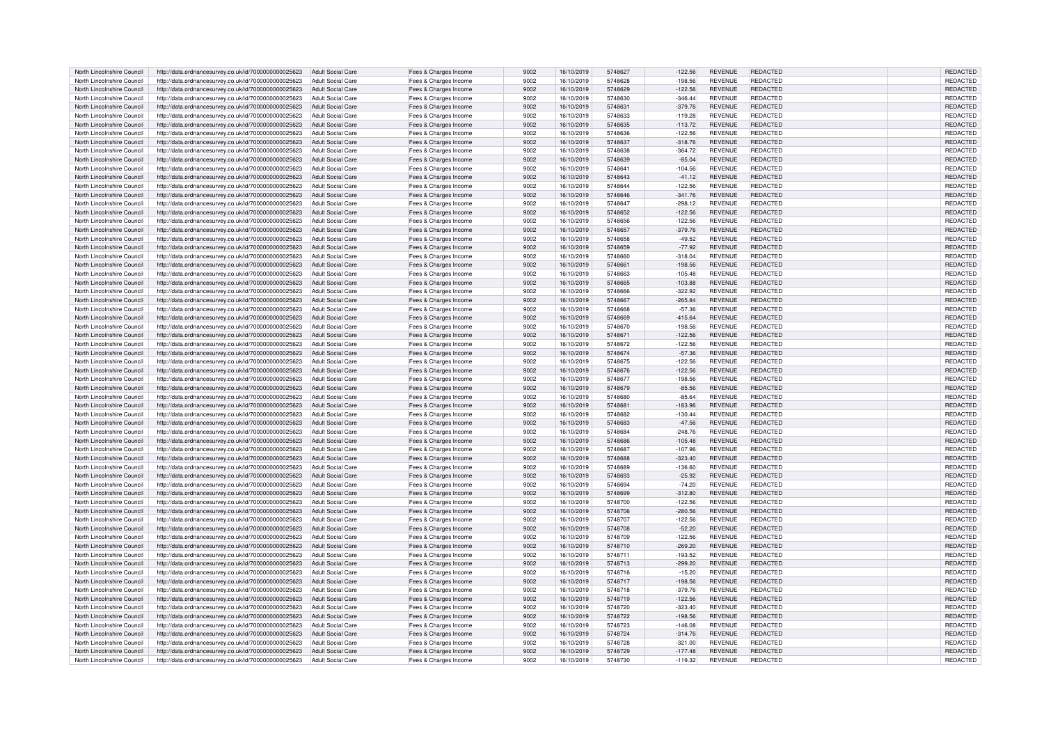| North Lincolnshire Council | http://data.ordnancesurvey.co.uk/id/7000000000025623                                                         | Adult Social Care        | Fees & Charges Income | 9002 | 16/10/2019 | 5748627 | $-122.56$ | <b>REVENUE</b> | REDACTED        | REDACTED        |
|----------------------------|--------------------------------------------------------------------------------------------------------------|--------------------------|-----------------------|------|------------|---------|-----------|----------------|-----------------|-----------------|
| North Lincolnshire Council | http://data.ordnancesurvey.co.uk/id/7000000000025623                                                         | Adult Social Care        | Fees & Charges Income | 9002 | 16/10/2019 | 5748628 | $-198.56$ | REVENUE        | REDACTED        | REDACTED        |
| North Lincolnshire Council | http://data.ordnancesurvey.co.uk/id/7000000000025623                                                         | <b>Adult Social Care</b> | Fees & Charges Income | 9002 | 16/10/2019 | 5748629 | $-122.56$ | <b>REVENUE</b> | REDACTED        | <b>REDACTED</b> |
| North Lincolnshire Council | http://data.ordnancesurvey.co.uk/id/7000000000025623                                                         | <b>Adult Social Care</b> | Fees & Charges Income | 9002 | 16/10/2019 | 5748630 | $-346.44$ | <b>REVENUE</b> | REDACTED        | REDACTED        |
| North Lincolnshire Council | http://data.ordnancesurvey.co.uk/id/7000000000025623                                                         | <b>Adult Social Care</b> | Fees & Charges Income | 9002 | 16/10/2019 | 5748631 | $-379.76$ | <b>REVENUE</b> | REDACTED        | <b>REDACTED</b> |
|                            |                                                                                                              |                          |                       |      |            |         |           |                |                 |                 |
| North Lincolnshire Council | http://data.ordnancesurvey.co.uk/id/7000000000025623                                                         | <b>Adult Social Care</b> | Fees & Charges Income | 9002 | 16/10/2019 | 5748633 | $-119.28$ | <b>REVENUE</b> | REDACTED        | REDACTED        |
| North Lincolnshire Council | http://data.ordnancesurvey.co.uk/id/7000000000025623                                                         | <b>Adult Social Care</b> | Fees & Charges Income | 9002 | 16/10/2019 | 5748635 | $-113.72$ | REVENUE        | <b>REDACTED</b> | REDACTED        |
| North Lincolnshire Council | http://data.ordnancesurvey.co.uk/id/7000000000025623                                                         | <b>Adult Social Care</b> | Fees & Charges Income | 9002 | 16/10/2019 | 5748636 | $-122.56$ | <b>REVENUE</b> | REDACTED        | REDACTED        |
| North Lincolnshire Council | http://data.ordnancesurvey.co.uk/id/7000000000025623                                                         | <b>Adult Social Care</b> | Fees & Charges Income | 9002 | 16/10/2019 | 5748637 | $-318.76$ | <b>REVENUE</b> | REDACTED        | <b>REDACTED</b> |
| North Lincolnshire Council | http://data.ordnancesurvey.co.uk/id/7000000000025623                                                         | <b>Adult Social Care</b> | Fees & Charges Income | 9002 | 16/10/2019 | 5748638 | $-364.72$ | <b>REVENUE</b> | <b>REDACTED</b> | REDACTED        |
| North Lincolnshire Council | http://data.ordnancesurvey.co.uk/id/7000000000025623                                                         | <b>Adult Social Care</b> | Fees & Charges Income | 9002 | 16/10/2019 | 5748639 | $-85.04$  | <b>REVENUE</b> | REDACTED        | REDACTED        |
| North Lincolnshire Counci  | http://data.ordnancesurvey.co.uk/id/7000000000025623                                                         | <b>Adult Social Care</b> | Fees & Charges Income | 9002 | 16/10/2019 | 574864  | $-104.56$ | REVENUE        | REDACTED        | <b>REDACTED</b> |
| North Lincolnshire Council | http://data.ordnancesurvey.co.uk/id/7000000000025623                                                         | <b>Adult Social Care</b> | Fees & Charges Income | 9002 | 16/10/2019 | 5748643 | $-41.12$  | <b>REVENUE</b> | REDACTED        | REDACTED        |
| North Lincolnshire Council | http://data.ordnancesurvey.co.uk/id/7000000000025623                                                         | <b>Adult Social Care</b> | Fees & Charges Income | 9002 | 16/10/2019 | 5748644 | $-122.56$ | <b>REVENUE</b> | REDACTED        | REDACTED        |
|                            |                                                                                                              |                          |                       |      |            |         |           |                |                 |                 |
| North Lincolnshire Council | http://data.ordnancesurvey.co.uk/id/7000000000025623                                                         | <b>Adult Social Care</b> | Fees & Charges Income | 9002 | 16/10/2019 | 5748646 | $-341.76$ | <b>REVENUE</b> | REDACTED        | REDACTED        |
| North Lincolnshire Council | http://data.ordnancesurvey.co.uk/id/7000000000025623                                                         | <b>Adult Social Care</b> | Fees & Charges Income | 9002 | 16/10/2019 | 5748647 | $-298.12$ | <b>REVENUE</b> | REDACTED        | REDACTED        |
| North Lincolnshire Council | http://data.ordnancesurvey.co.uk/id/7000000000025623                                                         | <b>Adult Social Care</b> | Fees & Charges Income | 9002 | 16/10/2019 | 5748652 | $-122.56$ | <b>REVENUE</b> | REDACTED        | REDACTED        |
| North Lincolnshire Council | http://data.ordnancesurvey.co.uk/id/7000000000025623                                                         | <b>Adult Social Care</b> | Fees & Charges Income | 9002 | 16/10/2019 | 5748656 | $-122.56$ | <b>REVENUE</b> | REDACTED        | REDACTED        |
| North Lincolnshire Council | http://data.ordnancesurvey.co.uk/id/7000000000025623                                                         | <b>Adult Social Care</b> | Fees & Charges Income | 9002 | 16/10/2019 | 5748657 | $-379.76$ | <b>REVENUE</b> | REDACTED        | REDACTED        |
| North Lincolnshire Council | http://data.ordnancesurvey.co.uk/id/7000000000025623                                                         | <b>Adult Social Care</b> | Fees & Charges Income | 9002 | 16/10/2019 | 5748658 | $-49.52$  | <b>REVENUE</b> | <b>REDACTED</b> | REDACTED        |
| North Lincolnshire Council | http://data.ordnancesurvey.co.uk/id/7000000000025623                                                         | <b>Adult Social Care</b> | Fees & Charges Income | 9002 | 16/10/2019 | 5748659 | $-77.92$  | <b>REVENUE</b> | REDACTED        | REDACTED        |
| North Lincolnshire Council | http://data.ordnancesurvey.co.uk/id/7000000000025623                                                         | <b>Adult Social Care</b> | Fees & Charges Income | 9002 | 16/10/2019 | 5748660 | $-318.04$ | REVENUE        | REDACTED        | REDACTED        |
| North Lincolnshire Council | http://data.ordnancesurvey.co.uk/id/7000000000025623                                                         | <b>Adult Social Care</b> |                       | 9002 | 16/10/2019 | 5748661 | $-198.56$ | <b>REVENUE</b> | REDACTED        | REDACTED        |
|                            |                                                                                                              |                          | Fees & Charges Income |      |            |         |           |                |                 |                 |
| North Lincolnshire Council | http://data.ordnancesurvey.co.uk/id/7000000000025623                                                         | Adult Social Care        | Fees & Charges Income | 9002 | 16/10/2019 | 5748663 | $-105.48$ | <b>REVENUE</b> | REDACTED        | REDACTED        |
| North Lincolnshire Council | http://data.ordnancesurvey.co.uk/id/7000000000025623                                                         | <b>Adult Social Care</b> | Fees & Charges Income | 9002 | 16/10/2019 | 5748665 | $-103.88$ | <b>REVENUE</b> | <b>REDACTED</b> | REDACTED        |
| North Lincolnshire Council | http://data.ordnancesurvey.co.uk/id/7000000000025623                                                         | <b>Adult Social Care</b> | Fees & Charges Income | 9002 | 16/10/2019 | 5748666 | $-322.92$ | <b>REVENUE</b> | REDACTED        | REDACTED        |
| North Lincolnshire Council | http://data.ordnancesurvey.co.uk/id/7000000000025623                                                         | Adult Social Care        | Fees & Charges Income | 9002 | 16/10/2019 | 5748667 | $-265.84$ | <b>REVENUE</b> | REDACTED        | REDACTED        |
| North Lincolnshire Council | http://data.ordnancesurvey.co.uk/id/7000000000025623                                                         | <b>Adult Social Care</b> | Fees & Charges Income | 9002 | 16/10/2019 | 5748668 | $-57.36$  | REVENUE        | REDACTED        | REDACTED        |
| North Lincolnshire Council | http://data.ordnancesurvey.co.uk/id/7000000000025623                                                         | <b>Adult Social Care</b> | Fees & Charges Income | 9002 | 16/10/2019 | 5748669 | $-415.64$ | <b>REVENUE</b> | REDACTED        | REDACTED        |
| North Lincolnshire Council | http://data.ordnancesurvey.co.uk/id/7000000000025623                                                         | <b>Adult Social Care</b> | Fees & Charges Income | 9002 | 16/10/2019 | 5748670 | $-198.56$ | REVENUE        | REDACTED        | REDACTED        |
| North Lincolnshire Council | http://data.ordnancesurvey.co.uk/id/7000000000025623                                                         | <b>Adult Social Care</b> | Fees & Charges Income | 9002 | 16/10/2019 | 5748671 | $-122.56$ | <b>REVENUE</b> | REDACTED        | REDACTED        |
| North Lincolnshire Council | http://data.ordnancesurvey.co.uk/id/7000000000025623                                                         | <b>Adult Social Care</b> | Fees & Charges Income | 9002 | 16/10/2019 | 5748672 | $-122.56$ | <b>REVENUE</b> | REDACTED        | REDACTED        |
| North Lincolnshire Council | http://data.ordnancesurvey.co.uk/id/7000000000025623                                                         | <b>Adult Social Care</b> |                       | 9002 | 16/10/2019 | 5748674 | $-57.36$  | <b>REVENUE</b> | REDACTED        | REDACTED        |
|                            |                                                                                                              |                          | Fees & Charges Income |      |            |         |           |                |                 |                 |
| North Lincolnshire Council | http://data.ordnancesurvey.co.uk/id/7000000000025623                                                         | <b>Adult Social Care</b> | Fees & Charges Income | 9002 | 16/10/2019 | 5748675 | $-122.56$ | <b>REVENUE</b> | REDACTED        | REDACTED        |
| North Lincolnshire Council | http://data.ordnancesurvey.co.uk/id/7000000000025623                                                         | <b>Adult Social Care</b> | Fees & Charges Income | 9002 | 16/10/2019 | 5748676 | $-122.56$ | <b>REVENUE</b> | REDACTED        | REDACTED        |
| North Lincolnshire Council | http://data.ordnancesurvey.co.uk/id/7000000000025623                                                         | <b>Adult Social Care</b> | Fees & Charges Income | 9002 | 16/10/2019 | 5748677 | $-198.56$ | <b>REVENUE</b> | REDACTED        | REDACTED        |
| North Lincolnshire Council | http://data.ordnancesurvey.co.uk/id/7000000000025623                                                         | <b>Adult Social Care</b> | Fees & Charges Income | 9002 | 16/10/2019 | 5748679 | $-85.56$  | <b>REVENUE</b> | REDACTED        | REDACTED        |
| North Lincolnshire Council | http://data.ordnancesurvey.co.uk/id/7000000000025623                                                         | Adult Social Care        | Fees & Charges Income | 9002 | 16/10/2019 | 5748680 | $-85.64$  | REVENUE        | REDACTED        | REDACTED        |
| North Lincolnshire Council | http://data.ordnancesurvey.co.uk/id/7000000000025623                                                         | <b>Adult Social Care</b> | Fees & Charges Income | 9002 | 16/10/2019 | 5748681 | $-183.96$ | <b>REVENUE</b> | REDACTED        | REDACTED        |
| North Lincolnshire Council | http://data.ordnancesurvey.co.uk/id/7000000000025623                                                         | <b>Adult Social Care</b> | Fees & Charges Income | 9002 | 16/10/2019 | 5748682 | $-130.44$ | REVENUE        | REDACTED        | REDACTED        |
| North Lincolnshire Council | http://data.ordnancesurvey.co.uk/id/7000000000025623                                                         | <b>Adult Social Care</b> | Fees & Charges Income | 9002 | 16/10/2019 | 5748683 | $-47.56$  | <b>REVENUE</b> | REDACTED        | <b>REDACTED</b> |
|                            |                                                                                                              | Adult Social Care        |                       | 9002 |            | 5748684 |           | <b>REVENUE</b> | REDACTED        | REDACTED        |
| North Lincolnshire Council | http://data.ordnancesurvey.co.uk/id/7000000000025623                                                         |                          | Fees & Charges Income |      | 16/10/2019 |         | $-248.76$ |                |                 |                 |
| North Lincolnshire Council | http://data.ordnancesurvey.co.uk/id/7000000000025623                                                         | <b>Adult Social Care</b> | Fees & Charges Income | 9002 | 16/10/2019 | 5748686 | $-105.48$ | REVENUE        | REDACTED        | REDACTED        |
| North Lincolnshire Council | http://data.ordnancesurvey.co.uk/id/7000000000025623                                                         | Adult Social Care        | Fees & Charges Income | 9002 | 16/10/2019 | 5748687 | $-107.96$ | <b>REVENUE</b> | REDACTED        | REDACTED        |
| North Lincolnshire Council | http://data.ordnancesurvey.co.uk/id/7000000000025623                                                         | <b>Adult Social Care</b> | Fees & Charges Income | 9002 | 16/10/2019 | 5748688 | $-323.40$ | <b>REVENUE</b> | REDACTED        | REDACTED        |
| North Lincolnshire Council | http://data.ordnancesurvey.co.uk/id/7000000000025623                                                         | <b>Adult Social Care</b> | Fees & Charges Income | 9002 | 16/10/2019 | 5748689 | $-136.60$ | <b>REVENUE</b> | REDACTED        | REDACTED        |
| North Lincolnshire Council | http://data.ordnancesurvey.co.uk/id/7000000000025623                                                         | <b>Adult Social Care</b> | Fees & Charges Income | 9002 | 16/10/2019 | 5748693 | $-25.92$  | <b>REVENUE</b> | REDACTED        | REDACTED        |
| North Lincolnshire Council | http://data.ordnancesurvey.co.uk/id/7000000000025623                                                         | <b>Adult Social Care</b> | Fees & Charges Income | 9002 | 16/10/2019 | 5748694 | $-74.20$  | REVENUE        | REDACTED        | REDACTED        |
| North Lincolnshire Council | http://data.ordnancesurvey.co.uk/id/7000000000025623                                                         | <b>Adult Social Care</b> | Fees & Charges Income | 9002 | 16/10/2019 | 5748699 | $-312.80$ | <b>REVENUE</b> | REDACTED        | REDACTED        |
| North Lincolnshire Council | http://data.ordnancesurvey.co.uk/id/7000000000025623                                                         | <b>Adult Social Care</b> | Fees & Charges Income | 9002 | 16/10/2019 | 5748700 | $-122.56$ | REVENUE        | REDACTED        | REDACTED        |
| North Lincolnshire Council | http://data.ordnancesurvey.co.uk/id/7000000000025623                                                         | <b>Adult Social Care</b> | Fees & Charges Income | 9002 | 16/10/2019 | 5748706 | $-280.56$ | <b>REVENUE</b> | REDACTED        | <b>REDACTED</b> |
| North Lincolnshire Council |                                                                                                              | Adult Social Care        | Fees & Charges Income | 9002 | 16/10/2019 | 5748707 | $-122.56$ | <b>REVENUE</b> | <b>REDACTED</b> | REDACTED        |
| North Lincolnshire Council | http://data.ordnancesurvey.co.uk/id/7000000000025623<br>http://data.ordnancesurvey.co.uk/id/7000000000025623 | <b>Adult Social Care</b> |                       | 9002 | 16/10/2019 | 5748708 | $-52.20$  | REVENUE        | REDACTED        | REDACTED        |
|                            |                                                                                                              |                          | Fees & Charges Income |      |            |         |           |                |                 |                 |
| North Lincolnshire Council | http://data.ordnancesurvey.co.uk/id/7000000000025623                                                         | <b>Adult Social Care</b> | Fees & Charges Income | 9002 | 16/10/2019 | 5748709 | $-122.56$ | REVENUE        | REDACTED        | REDACTED        |
| North Lincolnshire Council | http://data.ordnancesurvey.co.uk/id/7000000000025623                                                         | <b>Adult Social Care</b> | Fees & Charges Income | 9002 | 16/10/2019 | 5748710 | $-269.20$ | <b>REVENUE</b> | REDACTED        | REDACTED        |
| North Lincolnshire Council | http://data.ordnancesurvey.co.uk/id/7000000000025623                                                         | <b>Adult Social Care</b> | Fees & Charges Income | 9002 | 16/10/2019 | 574871  | $-193.52$ | <b>REVENUE</b> | <b>REDACTED</b> | REDACTED        |
| North Lincolnshire Council | http://data.ordnancesurvey.co.uk/id/7000000000025623                                                         | <b>Adult Social Care</b> | Fees & Charges Income | 9002 | 16/10/2019 | 5748713 | $-299.20$ | <b>REVENUE</b> | REDACTED        | <b>REDACTED</b> |
| North Lincolnshire Council | http://data.ordnancesurvey.co.uk/id/7000000000025623                                                         | <b>Adult Social Care</b> | Fees & Charges Income | 9002 | 16/10/2019 | 5748716 | $-15.20$  | REVENUE        | REDACTED        | REDACTED        |
| North Lincolnshire Council | http://data.ordnancesurvey.co.uk/id/7000000000025623                                                         | Adult Social Care        | Fees & Charges Income | 9002 | 16/10/2019 | 5748717 | $-198.56$ | <b>REVENUE</b> | REDACTED        | REDACTED        |
| North Lincolnshire Council | http://data.ordnancesurvey.co.uk/id/7000000000025623                                                         | <b>Adult Social Care</b> | Fees & Charges Income | 9002 | 16/10/2019 | 5748718 | $-379.76$ | <b>REVENUE</b> | REDACTED        | <b>REDACTED</b> |
| North Lincolnshire Council | http://data.ordnancesurvey.co.uk/id/7000000000025623                                                         | Adult Social Care        | Fees & Charges Income | 9002 | 16/10/2019 | 5748719 | $-122.56$ | REVENUE        | REDACTED        | REDACTED        |
| North Lincolnshire Council |                                                                                                              | <b>Adult Social Care</b> |                       | 9002 | 16/10/2019 | 5748720 | $-323.40$ | <b>REVENUE</b> | REDACTED        | REDACTED        |
|                            | http://data.ordnancesurvey.co.uk/id/7000000000025623                                                         |                          | Fees & Charges Income |      |            |         |           |                |                 |                 |
| North Lincolnshire Council | http://data.ordnancesurvey.co.uk/id/7000000000025623                                                         | <b>Adult Social Care</b> | Fees & Charges Income | 9002 | 16/10/2019 | 5748722 | $-198.56$ | <b>REVENUE</b> | REDACTED        | REDACTED        |
| North Lincolnshire Council | http://data.ordnancesurvey.co.uk/id/7000000000025623                                                         | <b>Adult Social Care</b> | Fees & Charges Income | 9002 | 16/10/2019 | 5748723 | $-146.08$ | REVENUE        | REDACTED        | REDACTED        |
| North Lincolnshire Council | http://data.ordnancesurvey.co.uk/id/7000000000025623                                                         | <b>Adult Social Care</b> | Fees & Charges Income | 9002 | 16/10/2019 | 5748724 | $-314.76$ | <b>REVENUE</b> | REDACTED        | REDACTED        |
| North Lincolnshire Council | http://data.ordnancesurvey.co.uk/id/7000000000025623                                                         | <b>Adult Social Care</b> | Fees & Charges Income | 9002 | 16/10/2019 | 5748728 | $-321.00$ | REVENUE        | REDACTED        | REDACTED        |
| North Lincolnshire Council | http://data.ordnancesurvey.co.uk/id/7000000000025623                                                         | <b>Adult Social Care</b> | Fees & Charges Income | 9002 | 16/10/2019 | 5748729 | $-177.48$ | <b>REVENUE</b> | REDACTED        | <b>REDACTED</b> |
| North Lincolnshire Council | http://data.ordnancesurvey.co.uk/id/7000000000025623                                                         | Adult Social Care        | Fees & Charges Income | 9002 | 16/10/2019 | 5748730 | $-119.32$ | <b>REVENUE</b> | REDACTED        | REDACTED        |
|                            |                                                                                                              |                          |                       |      |            |         |           |                |                 |                 |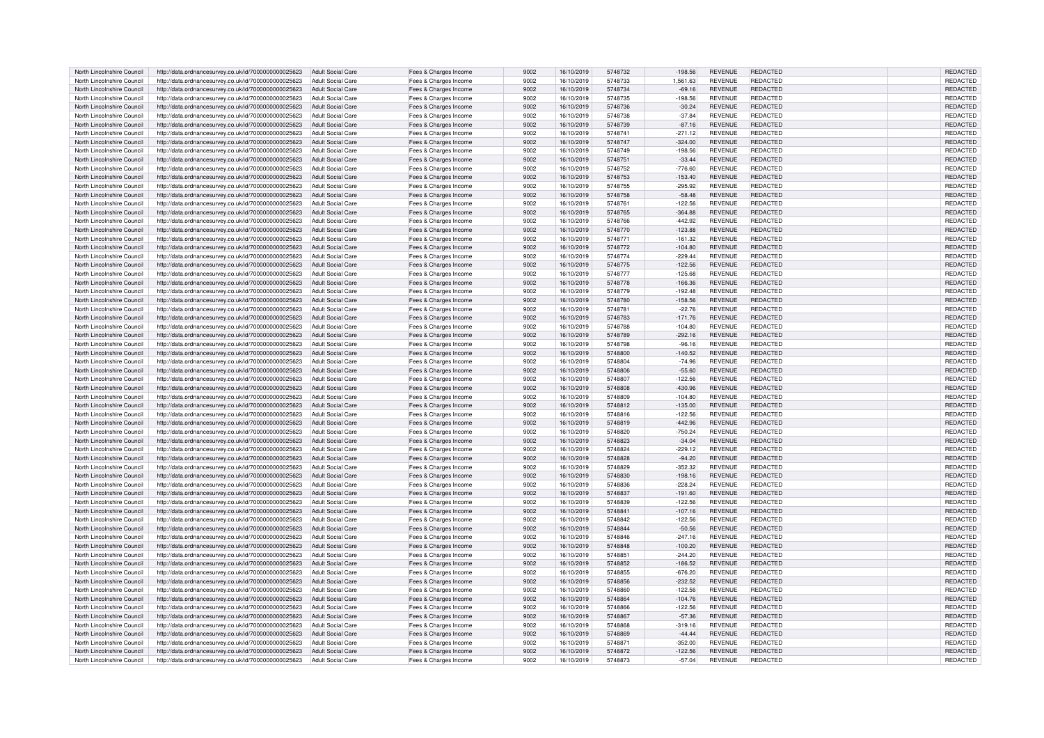| North Lincolnshire Council | http://data.ordnancesurvey.co.uk/id/7000000000025623 | Adult Social Care        | Fees & Charges Income | 9002 | 16/10/2019 | 5748732 | $-198.56$ | <b>REVENUE</b> | REDACTED        | REDACTED        |
|----------------------------|------------------------------------------------------|--------------------------|-----------------------|------|------------|---------|-----------|----------------|-----------------|-----------------|
| North Lincolnshire Council | http://data.ordnancesurvey.co.uk/id/7000000000025623 | Adult Social Care        | Fees & Charges Income | 9002 | 16/10/2019 | 5748733 | 1,561.63  | REVENUE        | REDACTED        | REDACTED        |
| North Lincolnshire Council | http://data.ordnancesurvey.co.uk/id/7000000000025623 | <b>Adult Social Care</b> | Fees & Charges Income | 9002 | 16/10/2019 | 5748734 | $-69.16$  | <b>REVENUE</b> | REDACTED        | <b>REDACTED</b> |
| North Lincolnshire Council | http://data.ordnancesurvey.co.uk/id/7000000000025623 | <b>Adult Social Care</b> | Fees & Charges Income | 9002 | 16/10/2019 | 5748735 | $-198.56$ | <b>REVENUE</b> | REDACTED        | REDACTED        |
| North Lincolnshire Council | http://data.ordnancesurvey.co.uk/id/7000000000025623 | <b>Adult Social Care</b> | Fees & Charges Income | 9002 | 16/10/2019 | 5748736 | $-30.24$  | <b>REVENUE</b> | REDACTED        | <b>REDACTED</b> |
|                            |                                                      |                          |                       |      |            |         |           |                |                 |                 |
| North Lincolnshire Council | http://data.ordnancesurvey.co.uk/id/7000000000025623 | <b>Adult Social Care</b> | Fees & Charges Income | 9002 | 16/10/2019 | 5748738 | $-37.84$  | <b>REVENUE</b> | REDACTED        | REDACTED        |
| North Lincolnshire Council | http://data.ordnancesurvey.co.uk/id/7000000000025623 | <b>Adult Social Care</b> | Fees & Charges Income | 9002 | 16/10/2019 | 5748739 | $-87.16$  | REVENUE        | <b>REDACTED</b> | REDACTED        |
| North Lincolnshire Council | http://data.ordnancesurvey.co.uk/id/7000000000025623 | <b>Adult Social Care</b> | Fees & Charges Income | 9002 | 16/10/2019 | 5748741 | $-271.12$ | <b>REVENUE</b> | REDACTED        | REDACTED        |
| North Lincolnshire Council | http://data.ordnancesurvey.co.uk/id/7000000000025623 | <b>Adult Social Care</b> | Fees & Charges Income | 9002 | 16/10/2019 | 5748747 | $-324.00$ | <b>REVENUE</b> | <b>REDACTED</b> | <b>REDACTED</b> |
| North Lincolnshire Council | http://data.ordnancesurvey.co.uk/id/7000000000025623 | <b>Adult Social Care</b> | Fees & Charges Income | 9002 | 16/10/2019 | 5748749 | $-198.56$ | <b>REVENUE</b> | <b>REDACTED</b> | REDACTED        |
| North Lincolnshire Council | http://data.ordnancesurvey.co.uk/id/7000000000025623 | <b>Adult Social Care</b> | Fees & Charges Income | 9002 | 16/10/2019 | 5748751 | $-33.44$  | <b>REVENUE</b> | REDACTED        | REDACTED        |
| North Lincolnshire Counci  | http://data.ordnancesurvey.co.uk/id/7000000000025623 | <b>Adult Social Care</b> | Fees & Charges Income | 9002 | 16/10/2019 | 5748752 | $-776.60$ | REVENUE        | REDACTED        | <b>REDACTED</b> |
| North Lincolnshire Council | http://data.ordnancesurvey.co.uk/id/7000000000025623 | <b>Adult Social Care</b> | Fees & Charges Income | 9002 | 16/10/2019 | 5748753 | $-153.40$ | <b>REVENUE</b> | REDACTED        | REDACTED        |
|                            |                                                      |                          |                       |      |            |         |           |                |                 |                 |
| North Lincolnshire Council | http://data.ordnancesurvey.co.uk/id/7000000000025623 | <b>Adult Social Care</b> | Fees & Charges Income | 9002 | 16/10/2019 | 5748755 | $-295.92$ | <b>REVENUE</b> | REDACTED        | REDACTED        |
| North Lincolnshire Council | http://data.ordnancesurvey.co.uk/id/7000000000025623 | <b>Adult Social Care</b> | Fees & Charges Income | 9002 | 16/10/2019 | 5748758 | $-58.48$  | <b>REVENUE</b> | REDACTED        | REDACTED        |
| North Lincolnshire Council | http://data.ordnancesurvey.co.uk/id/7000000000025623 | <b>Adult Social Care</b> | Fees & Charges Income | 9002 | 16/10/2019 | 5748761 | $-122.56$ | <b>REVENUE</b> | REDACTED        | REDACTED        |
| North Lincolnshire Council | http://data.ordnancesurvey.co.uk/id/7000000000025623 | <b>Adult Social Care</b> | Fees & Charges Income | 9002 | 16/10/2019 | 5748765 | $-364.88$ | <b>REVENUE</b> | REDACTED        | REDACTED        |
| North Lincolnshire Council | http://data.ordnancesurvey.co.uk/id/7000000000025623 | <b>Adult Social Care</b> | Fees & Charges Income | 9002 | 16/10/2019 | 5748766 | $-442.92$ | <b>REVENUE</b> | REDACTED        | REDACTED        |
| North Lincolnshire Council | http://data.ordnancesurvey.co.uk/id/7000000000025623 | <b>Adult Social Care</b> | Fees & Charges Income | 9002 | 16/10/2019 | 5748770 | $-123.88$ | <b>REVENUE</b> | REDACTED        | REDACTED        |
| North Lincolnshire Council | http://data.ordnancesurvey.co.uk/id/7000000000025623 | <b>Adult Social Care</b> | Fees & Charges Income | 9002 | 16/10/2019 | 5748771 | $-161.32$ | <b>REVENUE</b> | <b>REDACTED</b> | REDACTED        |
| North Lincolnshire Council | http://data.ordnancesurvey.co.uk/id/7000000000025623 | <b>Adult Social Care</b> | Fees & Charges Income | 9002 | 16/10/2019 | 5748772 | $-104.80$ | <b>REVENUE</b> | REDACTED        | <b>REDACTED</b> |
| North Lincolnshire Council | http://data.ordnancesurvey.co.uk/id/7000000000025623 | <b>Adult Social Care</b> | Fees & Charges Income | 9002 | 16/10/2019 | 5748774 | $-229.44$ | REVENUE        | REDACTED        | REDACTED        |
| North Lincolnshire Council | http://data.ordnancesurvey.co.uk/id/7000000000025623 | <b>Adult Social Care</b> | Fees & Charges Income | 9002 | 16/10/2019 | 5748775 | $-122.56$ | <b>REVENUE</b> | REDACTED        | <b>REDACTED</b> |
|                            |                                                      |                          |                       |      |            |         |           |                |                 |                 |
| North Lincolnshire Council | http://data.ordnancesurvey.co.uk/id/7000000000025623 | Adult Social Care        | Fees & Charges Income | 9002 | 16/10/2019 | 5748777 | $-125.68$ | <b>REVENUE</b> | REDACTED        | REDACTED        |
| North Lincolnshire Council | http://data.ordnancesurvey.co.uk/id/7000000000025623 | <b>Adult Social Care</b> | Fees & Charges Income | 9002 | 16/10/2019 | 5748778 | $-166.36$ | REVENUE        | <b>REDACTED</b> | REDACTED        |
| North Lincolnshire Council | http://data.ordnancesurvey.co.uk/id/7000000000025623 | <b>Adult Social Care</b> | Fees & Charges Income | 9002 | 16/10/2019 | 5748779 | $-192.48$ | <b>REVENUE</b> | REDACTED        | REDACTED        |
| North Lincolnshire Council | http://data.ordnancesurvey.co.uk/id/7000000000025623 | Adult Social Care        | Fees & Charges Income | 9002 | 16/10/2019 | 5748780 | $-158.56$ | <b>REVENUE</b> | REDACTED        | REDACTED        |
| North Lincolnshire Council | http://data.ordnancesurvey.co.uk/id/7000000000025623 | <b>Adult Social Care</b> | Fees & Charges Income | 9002 | 16/10/2019 | 5748781 | $-22.76$  | <b>REVENUE</b> | REDACTED        | REDACTED        |
| North Lincolnshire Council | http://data.ordnancesurvey.co.uk/id/7000000000025623 | <b>Adult Social Care</b> | Fees & Charges Income | 9002 | 16/10/2019 | 5748783 | $-171.76$ | <b>REVENUE</b> | REDACTED        | REDACTED        |
| North Lincolnshire Council | http://data.ordnancesurvey.co.uk/id/7000000000025623 | <b>Adult Social Care</b> | Fees & Charges Income | 9002 | 16/10/2019 | 5748788 | $-104.80$ | REVENUE        | REDACTED        | REDACTED        |
| North Lincolnshire Council | http://data.ordnancesurvey.co.uk/id/7000000000025623 | <b>Adult Social Care</b> | Fees & Charges Income | 9002 | 16/10/2019 | 5748789 | $-292.16$ | <b>REVENUE</b> | REDACTED        | REDACTED        |
|                            |                                                      |                          |                       |      |            |         |           |                |                 |                 |
| North Lincolnshire Council | http://data.ordnancesurvey.co.uk/id/7000000000025623 | <b>Adult Social Care</b> | Fees & Charges Income | 9002 | 16/10/2019 | 5748798 | $-96.16$  | <b>REVENUE</b> | REDACTED        | REDACTED        |
| North Lincolnshire Council | http://data.ordnancesurvey.co.uk/id/7000000000025623 | <b>Adult Social Care</b> | Fees & Charges Income | 9002 | 16/10/2019 | 5748800 | $-140.52$ | <b>REVENUE</b> | REDACTED        | <b>REDACTED</b> |
| North Lincolnshire Council | http://data.ordnancesurvey.co.uk/id/7000000000025623 | <b>Adult Social Care</b> | Fees & Charges Income | 9002 | 16/10/2019 | 5748804 | $-74.96$  | <b>REVENUE</b> | REDACTED        | REDACTED        |
| North Lincolnshire Council | http://data.ordnancesurvey.co.uk/id/7000000000025623 | <b>Adult Social Care</b> | Fees & Charges Income | 9002 | 16/10/2019 | 5748806 | $-55.60$  | <b>REVENUE</b> | REDACTED        | REDACTED        |
| North Lincolnshire Council | http://data.ordnancesurvey.co.uk/id/7000000000025623 | <b>Adult Social Care</b> | Fees & Charges Income | 9002 | 16/10/2019 | 5748807 | $-122.56$ | <b>REVENUE</b> | REDACTED        | REDACTED        |
| North Lincolnshire Council | http://data.ordnancesurvey.co.uk/id/7000000000025623 | <b>Adult Social Care</b> | Fees & Charges Income | 9002 | 16/10/2019 | 5748808 | $-430.96$ | <b>REVENUE</b> | REDACTED        | REDACTED        |
| North Lincolnshire Council | http://data.ordnancesurvey.co.uk/id/7000000000025623 | Adult Social Care        | Fees & Charges Income | 9002 | 16/10/2019 | 5748809 | $-104.80$ | REVENUE        | REDACTED        | REDACTED        |
| North Lincolnshire Council | http://data.ordnancesurvey.co.uk/id/7000000000025623 | <b>Adult Social Care</b> | Fees & Charges Income | 9002 | 16/10/2019 | 5748812 | $-135.00$ | <b>REVENUE</b> | REDACTED        | REDACTED        |
| North Lincolnshire Council | http://data.ordnancesurvey.co.uk/id/7000000000025623 | <b>Adult Social Care</b> | Fees & Charges Income | 9002 | 16/10/2019 | 5748816 | $-122.56$ | REVENUE        | REDACTED        | REDACTED        |
| North Lincolnshire Council |                                                      | <b>Adult Social Care</b> | Fees & Charges Income | 9002 | 16/10/2019 | 5748819 | $-442.96$ | <b>REVENUE</b> | REDACTED        | <b>REDACTED</b> |
|                            | http://data.ordnancesurvey.co.uk/id/7000000000025623 |                          |                       |      |            |         |           |                |                 |                 |
| North Lincolnshire Council | http://data.ordnancesurvey.co.uk/id/7000000000025623 | Adult Social Care        | Fees & Charges Income | 9002 | 16/10/2019 | 5748820 | $-750.24$ | <b>REVENUE</b> | REDACTED        | REDACTED        |
| North Lincolnshire Council | http://data.ordnancesurvey.co.uk/id/7000000000025623 | <b>Adult Social Care</b> | Fees & Charges Income | 9002 | 16/10/2019 | 5748823 | $-34.04$  | REVENUE        | REDACTED        | REDACTED        |
| North Lincolnshire Council | http://data.ordnancesurvey.co.uk/id/7000000000025623 | Adult Social Care        | Fees & Charges Income | 9002 | 16/10/2019 | 5748824 | $-229.12$ | <b>REVENUE</b> | REDACTED        | REDACTED        |
| North Lincolnshire Council | http://data.ordnancesurvey.co.uk/id/7000000000025623 | <b>Adult Social Care</b> | Fees & Charges Income | 9002 | 16/10/2019 | 5748828 | $-94.20$  | <b>REVENUE</b> | REDACTED        | REDACTED        |
| North Lincolnshire Council | http://data.ordnancesurvey.co.uk/id/7000000000025623 | <b>Adult Social Care</b> | Fees & Charges Income | 9002 | 16/10/2019 | 5748829 | $-352.32$ | <b>REVENUE</b> | REDACTED        | REDACTED        |
| North Lincolnshire Council | http://data.ordnancesurvey.co.uk/id/7000000000025623 | <b>Adult Social Care</b> | Fees & Charges Income | 9002 | 16/10/2019 | 5748830 | $-198.16$ | <b>REVENUE</b> | REDACTED        | REDACTED        |
| North Lincolnshire Council | http://data.ordnancesurvey.co.uk/id/7000000000025623 | <b>Adult Social Care</b> | Fees & Charges Income | 9002 | 16/10/2019 | 5748836 | $-228.24$ | REVENUE        | REDACTED        | REDACTED        |
| North Lincolnshire Council | http://data.ordnancesurvey.co.uk/id/7000000000025623 | <b>Adult Social Care</b> | Fees & Charges Income | 9002 | 16/10/2019 | 5748837 | $-191.60$ | <b>REVENUE</b> | REDACTED        | REDACTED        |
| North Lincolnshire Council | http://data.ordnancesurvey.co.uk/id/7000000000025623 | <b>Adult Social Care</b> | Fees & Charges Income | 9002 | 16/10/2019 | 5748839 | $-122.56$ | REVENUE        | REDACTED        | REDACTED        |
|                            |                                                      |                          |                       |      |            |         |           |                |                 |                 |
| North Lincolnshire Council | http://data.ordnancesurvey.co.uk/id/7000000000025623 | <b>Adult Social Care</b> | Fees & Charges Income | 9002 | 16/10/2019 | 5748841 | $-107.16$ | <b>REVENUE</b> | REDACTED        | <b>REDACTED</b> |
| North Lincolnshire Council | http://data.ordnancesurvey.co.uk/id/7000000000025623 | Adult Social Care        | Fees & Charges Income | 9002 | 16/10/2019 | 5748842 | $-122.56$ | <b>REVENUE</b> | <b>REDACTED</b> | REDACTED        |
| North Lincolnshire Council | http://data.ordnancesurvey.co.uk/id/7000000000025623 | <b>Adult Social Care</b> | Fees & Charges Income | 9002 | 16/10/2019 | 5748844 | $-50.56$  | REVENUE        | REDACTED        | REDACTED        |
| North Lincolnshire Council | http://data.ordnancesurvey.co.uk/id/7000000000025623 | <b>Adult Social Care</b> | Fees & Charges Income | 9002 | 16/10/2019 | 5748846 | $-247.16$ | <b>REVENUE</b> | REDACTED        | REDACTED        |
| North Lincolnshire Council | http://data.ordnancesurvey.co.uk/id/7000000000025623 | <b>Adult Social Care</b> | Fees & Charges Income | 9002 | 16/10/2019 | 5748848 | $-100.20$ | <b>REVENUE</b> | REDACTED        | REDACTED        |
| North Lincolnshire Council | http://data.ordnancesurvey.co.uk/id/7000000000025623 | <b>Adult Social Care</b> | Fees & Charges Income | 9002 | 16/10/2019 | 5748851 | $-244.20$ | <b>REVENUE</b> | <b>REDACTED</b> | REDACTED        |
| North Lincolnshire Council | http://data.ordnancesurvey.co.uk/id/7000000000025623 | <b>Adult Social Care</b> | Fees & Charges Income | 9002 | 16/10/2019 | 5748852 | $-186.52$ | <b>REVENUE</b> | REDACTED        | <b>REDACTED</b> |
| North Lincolnshire Council | http://data.ordnancesurvey.co.uk/id/7000000000025623 | <b>Adult Social Care</b> | Fees & Charges Income | 9002 | 16/10/2019 | 5748855 | $-676.20$ | REVENUE        | REDACTED        | REDACTED        |
| North Lincolnshire Council | http://data.ordnancesurvey.co.uk/id/7000000000025623 | Adult Social Care        | Fees & Charges Income | 9002 | 16/10/2019 | 5748856 | $-232.52$ | <b>REVENUE</b> | REDACTED        | REDACTED        |
|                            |                                                      |                          |                       |      |            |         |           |                |                 |                 |
| North Lincolnshire Council | http://data.ordnancesurvey.co.uk/id/7000000000025623 | <b>Adult Social Care</b> | Fees & Charges Income | 9002 | 16/10/2019 | 5748860 | $-122.56$ | <b>REVENUE</b> | REDACTED        | <b>REDACTED</b> |
| North Lincolnshire Council | http://data.ordnancesurvey.co.uk/id/7000000000025623 | Adult Social Care        | Fees & Charges Income | 9002 | 16/10/2019 | 5748864 | $-104.76$ | REVENUE        | REDACTED        | REDACTED        |
| North Lincolnshire Council | http://data.ordnancesurvey.co.uk/id/7000000000025623 | <b>Adult Social Care</b> | Fees & Charges Income | 9002 | 16/10/2019 | 5748866 | $-122.56$ | <b>REVENUE</b> | REDACTED        | REDACTED        |
| North Lincolnshire Council | http://data.ordnancesurvey.co.uk/id/7000000000025623 | <b>Adult Social Care</b> | Fees & Charges Income | 9002 | 16/10/2019 | 5748867 | $-57.36$  | <b>REVENUE</b> | REDACTED        | REDACTED        |
| North Lincolnshire Council | http://data.ordnancesurvey.co.uk/id/7000000000025623 | <b>Adult Social Care</b> | Fees & Charges Income | 9002 | 16/10/2019 | 5748868 | $-319.16$ | REVENUE        | REDACTED        | REDACTED        |
| North Lincolnshire Council | http://data.ordnancesurvey.co.uk/id/7000000000025623 | <b>Adult Social Care</b> | Fees & Charges Income | 9002 | 16/10/2019 | 5748869 | $-44.44$  | <b>REVENUE</b> | REDACTED        | REDACTED        |
| North Lincolnshire Council | http://data.ordnancesurvey.co.uk/id/7000000000025623 | <b>Adult Social Care</b> | Fees & Charges Income | 9002 | 16/10/2019 | 574887  | $-352.00$ | REVENUE        | REDACTED        | REDACTED        |
| North Lincolnshire Council | http://data.ordnancesurvey.co.uk/id/7000000000025623 | <b>Adult Social Care</b> | Fees & Charges Income | 9002 | 16/10/2019 | 5748872 | $-122.56$ | <b>REVENUE</b> | REDACTED        | <b>REDACTED</b> |
| North Lincolnshire Council | http://data.ordnancesurvey.co.uk/id/7000000000025623 | Adult Social Care        | Fees & Charges Income | 9002 | 16/10/2019 | 5748873 | $-57.04$  | <b>REVENUE</b> | REDACTED        | REDACTED        |
|                            |                                                      |                          |                       |      |            |         |           |                |                 |                 |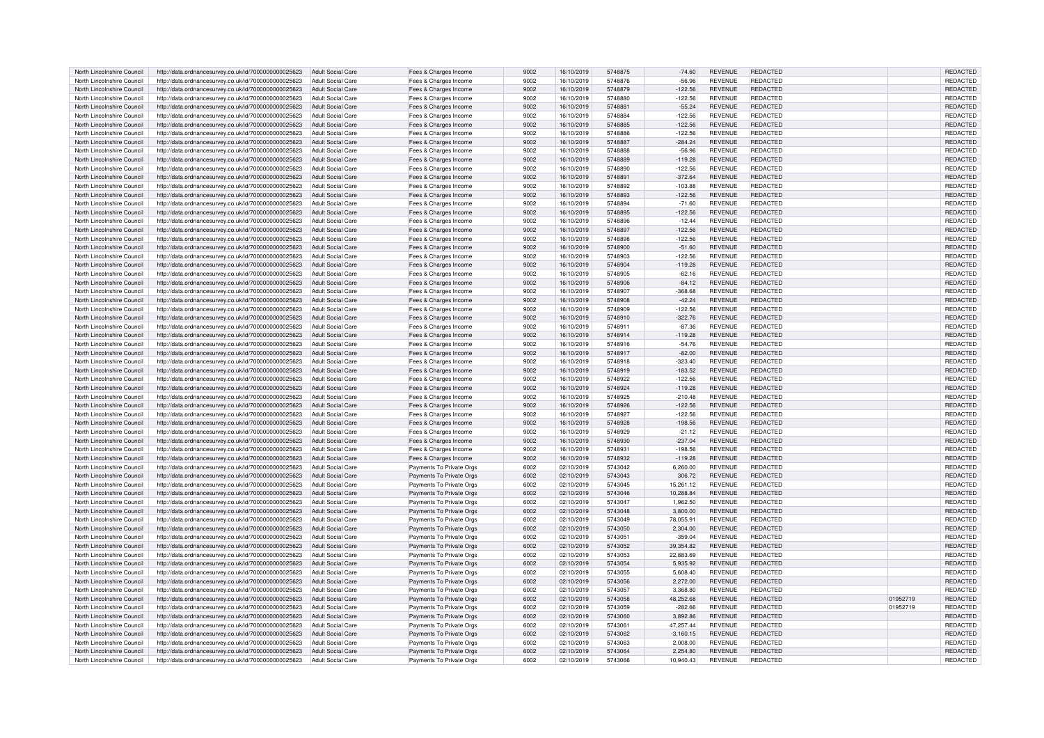| North Lincolnshire Council | http://data.ordnancesurvey.co.uk/id/7000000000025623 | Adult Social Care        | Fees & Charges Income    | 9002 | 16/10/2019 | 5748875 | $-74.60$    | <b>REVENUE</b> | REDACTED        |          | <b>REDACTED</b> |
|----------------------------|------------------------------------------------------|--------------------------|--------------------------|------|------------|---------|-------------|----------------|-----------------|----------|-----------------|
| North Lincolnshire Council | http://data.ordnancesurvey.co.uk/id/7000000000025623 | Adult Social Care        | Fees & Charges Income    | 9002 | 16/10/2019 | 5748876 | $-56.96$    | REVENUE        | REDACTED        |          | REDACTED        |
| North Lincolnshire Council | http://data.ordnancesurvey.co.uk/id/7000000000025623 | <b>Adult Social Care</b> | Fees & Charges Income    | 9002 | 16/10/2019 | 5748879 | $-122.56$   | <b>REVENUE</b> | REDACTED        |          | <b>REDACTED</b> |
| North Lincolnshire Council | http://data.ordnancesurvey.co.uk/id/7000000000025623 | <b>Adult Social Care</b> | Fees & Charges Income    | 9002 | 16/10/2019 | 5748880 | $-122.56$   | <b>REVENUE</b> | REDACTED        |          | REDACTED        |
| North Lincolnshire Council | http://data.ordnancesurvey.co.uk/id/7000000000025623 | <b>Adult Social Care</b> | Fees & Charges Income    | 9002 | 16/10/2019 | 5748881 | $-55.24$    | <b>REVENUE</b> | REDACTED        |          | <b>REDACTED</b> |
|                            |                                                      |                          |                          |      |            |         |             |                |                 |          |                 |
| North Lincolnshire Council | http://data.ordnancesurvey.co.uk/id/7000000000025623 | <b>Adult Social Care</b> | Fees & Charges Income    | 9002 | 16/10/2019 | 5748884 | $-122.56$   | <b>REVENUE</b> | REDACTED        |          | REDACTED        |
| North Lincolnshire Council | http://data.ordnancesurvey.co.uk/id/7000000000025623 | <b>Adult Social Care</b> | Fees & Charges Income    | 9002 | 16/10/2019 | 5748885 | $-122.56$   | REVENUE        | <b>REDACTED</b> |          | REDACTED        |
| North Lincolnshire Council | http://data.ordnancesurvey.co.uk/id/7000000000025623 | <b>Adult Social Care</b> | Fees & Charges Income    | 9002 | 16/10/2019 | 5748886 | $-122.56$   | <b>REVENUE</b> | REDACTED        |          | REDACTED        |
| North Lincolnshire Council | http://data.ordnancesurvey.co.uk/id/7000000000025623 | <b>Adult Social Care</b> | Fees & Charges Income    | 9002 | 16/10/2019 | 5748887 | $-284.24$   | <b>REVENUE</b> | REDACTED        |          | <b>REDACTED</b> |
| North Lincolnshire Council | http://data.ordnancesurvey.co.uk/id/7000000000025623 | <b>Adult Social Care</b> | Fees & Charges Income    | 9002 | 16/10/2019 | 5748888 | $-56.96$    | <b>REVENUE</b> | <b>REDACTED</b> |          | REDACTED        |
| North Lincolnshire Council | http://data.ordnancesurvey.co.uk/id/7000000000025623 | <b>Adult Social Care</b> | Fees & Charges Income    | 9002 | 16/10/2019 | 5748889 | $-119.28$   | <b>REVENUE</b> | REDACTED        |          | REDACTED        |
| North Lincolnshire Counci  | http://data.ordnancesurvey.co.uk/id/7000000000025623 | <b>Adult Social Care</b> | Fees & Charges Income    | 9002 | 16/10/2019 | 5748890 | $-122.56$   | REVENUE        | REDACTED        |          | <b>REDACTED</b> |
|                            |                                                      |                          |                          | 9002 | 16/10/2019 | 5748891 | $-372.64$   | <b>REVENUE</b> | REDACTED        |          | REDACTED        |
| North Lincolnshire Council | http://data.ordnancesurvey.co.uk/id/7000000000025623 | <b>Adult Social Care</b> | Fees & Charges Income    |      |            |         |             |                |                 |          |                 |
| North Lincolnshire Council | http://data.ordnancesurvey.co.uk/id/7000000000025623 | <b>Adult Social Care</b> | Fees & Charges Income    | 9002 | 16/10/2019 | 5748892 | $-103.88$   | <b>REVENUE</b> | REDACTED        |          | REDACTED        |
| North Lincolnshire Council | http://data.ordnancesurvey.co.uk/id/7000000000025623 | <b>Adult Social Care</b> | Fees & Charges Income    | 9002 | 16/10/2019 | 5748893 | $-122.56$   | <b>REVENUE</b> | REDACTED        |          | REDACTED        |
| North Lincolnshire Council | http://data.ordnancesurvey.co.uk/id/7000000000025623 | <b>Adult Social Care</b> | Fees & Charges Income    | 9002 | 16/10/2019 | 5748894 | $-71.60$    | <b>REVENUE</b> | REDACTED        |          | REDACTED        |
| North Lincolnshire Council | http://data.ordnancesurvey.co.uk/id/7000000000025623 | <b>Adult Social Care</b> | Fees & Charges Income    | 9002 | 16/10/2019 | 5748895 | $-122.56$   | <b>REVENUE</b> | REDACTED        |          | REDACTED        |
| North Lincolnshire Council | http://data.ordnancesurvey.co.uk/id/7000000000025623 | <b>Adult Social Care</b> | Fees & Charges Income    | 9002 | 16/10/2019 | 5748896 | $-12.44$    | <b>REVENUE</b> | REDACTED        |          | REDACTED        |
| North Lincolnshire Council | http://data.ordnancesurvey.co.uk/id/7000000000025623 | <b>Adult Social Care</b> | Fees & Charges Income    | 9002 | 16/10/2019 | 5748897 | $-122.56$   | <b>REVENUE</b> | REDACTED        |          | REDACTED        |
| North Lincolnshire Council | http://data.ordnancesurvey.co.uk/id/7000000000025623 | <b>Adult Social Care</b> | Fees & Charges Income    | 9002 | 16/10/2019 | 5748898 | $-122.56$   | REVENUE        | <b>REDACTED</b> |          | REDACTED        |
| North Lincolnshire Council |                                                      | <b>Adult Social Care</b> | Fees & Charges Income    | 9002 | 16/10/2019 | 5748900 | $-51.60$    | <b>REVENUE</b> | REDACTED        |          | <b>REDACTED</b> |
|                            | http://data.ordnancesurvey.co.uk/id/7000000000025623 |                          |                          |      |            |         |             |                |                 |          |                 |
| North Lincolnshire Council | http://data.ordnancesurvey.co.uk/id/7000000000025623 | <b>Adult Social Care</b> | Fees & Charges Income    | 9002 | 16/10/2019 | 5748903 | $-122.56$   | REVENUE        | REDACTED        |          | REDACTED        |
| North Lincolnshire Council | http://data.ordnancesurvey.co.uk/id/7000000000025623 | <b>Adult Social Care</b> | Fees & Charges Income    | 9002 | 16/10/2019 | 5748904 | $-119.28$   | <b>REVENUE</b> | REDACTED        |          | <b>REDACTED</b> |
| North Lincolnshire Council | http://data.ordnancesurvey.co.uk/id/7000000000025623 | Adult Social Care        | Fees & Charges Income    | 9002 | 16/10/2019 | 5748905 | $-62.16$    | <b>REVENUE</b> | REDACTED        |          | REDACTED        |
| North Lincolnshire Council | http://data.ordnancesurvey.co.uk/id/7000000000025623 | <b>Adult Social Care</b> | Fees & Charges Income    | 9002 | 16/10/2019 | 5748906 | $-84.12$    | <b>REVENUE</b> | <b>REDACTED</b> |          | REDACTED        |
| North Lincolnshire Council | http://data.ordnancesurvey.co.uk/id/7000000000025623 | <b>Adult Social Care</b> | Fees & Charges Income    | 9002 | 16/10/2019 | 5748907 | $-368.68$   | <b>REVENUE</b> | REDACTED        |          | REDACTED        |
| North Lincolnshire Council | http://data.ordnancesurvey.co.uk/id/7000000000025623 | Adult Social Care        | Fees & Charges Income    | 9002 | 16/10/2019 | 5748908 | $-42.24$    | <b>REVENUE</b> | REDACTED        |          | REDACTED        |
| North Lincolnshire Council | http://data.ordnancesurvey.co.uk/id/7000000000025623 | <b>Adult Social Care</b> | Fees & Charges Income    | 9002 | 16/10/2019 | 5748909 | $-122.56$   | <b>REVENUE</b> | REDACTED        |          | REDACTED        |
|                            |                                                      |                          |                          |      |            | 5748910 |             |                |                 |          |                 |
| North Lincolnshire Council | http://data.ordnancesurvey.co.uk/id/7000000000025623 | <b>Adult Social Care</b> | Fees & Charges Income    | 9002 | 16/10/2019 |         | $-322.76$   | <b>REVENUE</b> | REDACTED        |          | REDACTED        |
| North Lincolnshire Council | http://data.ordnancesurvey.co.uk/id/7000000000025623 | <b>Adult Social Care</b> | Fees & Charges Income    | 9002 | 16/10/2019 | 5748911 | $-87.36$    | REVENUE        | REDACTED        |          | REDACTED        |
| North Lincolnshire Council | http://data.ordnancesurvey.co.uk/id/7000000000025623 | <b>Adult Social Care</b> | Fees & Charges Income    | 9002 | 16/10/2019 | 5748914 | $-119.28$   | <b>REVENUE</b> | REDACTED        |          | REDACTED        |
| North Lincolnshire Council | http://data.ordnancesurvey.co.uk/id/7000000000025623 | <b>Adult Social Care</b> | Fees & Charges Income    | 9002 | 16/10/2019 | 5748916 | $-54.76$    | <b>REVENUE</b> | REDACTED        |          | REDACTED        |
| North Lincolnshire Council | http://data.ordnancesurvey.co.uk/id/7000000000025623 | <b>Adult Social Care</b> | Fees & Charges Income    | 9002 | 16/10/2019 | 5748917 | $-82.00$    | <b>REVENUE</b> | REDACTED        |          | <b>REDACTED</b> |
| North Lincolnshire Council | http://data.ordnancesurvey.co.uk/id/7000000000025623 | <b>Adult Social Care</b> | Fees & Charges Income    | 9002 | 16/10/2019 | 5748918 | $-323.40$   | <b>REVENUE</b> | REDACTED        |          | REDACTED        |
| North Lincolnshire Council | http://data.ordnancesurvey.co.uk/id/7000000000025623 | <b>Adult Social Care</b> | Fees & Charges Income    | 9002 | 16/10/2019 | 5748919 | $-183.52$   | <b>REVENUE</b> | REDACTED        |          | REDACTED        |
| North Lincolnshire Council | http://data.ordnancesurvey.co.uk/id/7000000000025623 | <b>Adult Social Care</b> | Fees & Charges Income    | 9002 | 16/10/2019 | 5748922 | $-122.56$   | <b>REVENUE</b> | REDACTED        |          | REDACTED        |
|                            |                                                      |                          |                          |      |            |         |             |                |                 |          |                 |
| North Lincolnshire Council | http://data.ordnancesurvey.co.uk/id/7000000000025623 | <b>Adult Social Care</b> | Fees & Charges Income    | 9002 | 16/10/2019 | 5748924 | $-119.28$   | <b>REVENUE</b> | REDACTED        |          | REDACTED        |
| North Lincolnshire Council | http://data.ordnancesurvey.co.uk/id/7000000000025623 | Adult Social Care        | Fees & Charges Income    | 9002 | 16/10/2019 | 5748925 | $-210.48$   | REVENUE        | REDACTED        |          | REDACTED        |
| North Lincolnshire Council | http://data.ordnancesurvey.co.uk/id/7000000000025623 | <b>Adult Social Care</b> | Fees & Charges Income    | 9002 | 16/10/2019 | 5748926 | $-122.56$   | <b>REVENUE</b> | REDACTED        |          | REDACTED        |
| North Lincolnshire Council | http://data.ordnancesurvey.co.uk/id/7000000000025623 | <b>Adult Social Care</b> | Fees & Charges Income    | 9002 | 16/10/2019 | 5748927 | $-122.56$   | REVENUE        | REDACTED        |          | REDACTED        |
| North Lincolnshire Council | http://data.ordnancesurvey.co.uk/id/7000000000025623 | <b>Adult Social Care</b> | Fees & Charges Income    | 9002 | 16/10/2019 | 5748928 | $-198.56$   | <b>REVENUE</b> | REDACTED        |          | <b>REDACTED</b> |
| North Lincolnshire Council | http://data.ordnancesurvey.co.uk/id/7000000000025623 | Adult Social Care        | Fees & Charges Income    | 9002 | 16/10/2019 | 5748929 | $-21.12$    | <b>REVENUE</b> | REDACTED        |          | REDACTED        |
| North Lincolnshire Council | http://data.ordnancesurvey.co.uk/id/7000000000025623 | <b>Adult Social Care</b> | Fees & Charges Income    | 9002 | 16/10/2019 | 5748930 | $-237.04$   | REVENUE        | REDACTED        |          | REDACTED        |
| North Lincolnshire Council | http://data.ordnancesurvey.co.uk/id/7000000000025623 | Adult Social Care        | Fees & Charges Income    | 9002 | 16/10/2019 | 5748931 | $-198.56$   | <b>REVENUE</b> | REDACTED        |          | REDACTED        |
| North Lincolnshire Council | http://data.ordnancesurvey.co.uk/id/7000000000025623 | <b>Adult Social Care</b> | Fees & Charges Income    | 9002 | 16/10/2019 | 5748932 | $-119.28$   | <b>REVENUE</b> | REDACTED        |          | REDACTED        |
|                            |                                                      |                          |                          |      |            |         |             |                |                 |          |                 |
| North Lincolnshire Council | http://data.ordnancesurvey.co.uk/id/7000000000025623 | <b>Adult Social Care</b> | Payments To Private Orgs | 6002 | 02/10/2019 | 5743042 | 6,260.00    | <b>REVENUE</b> | REDACTED        |          | REDACTED        |
| North Lincolnshire Council | http://data.ordnancesurvey.co.uk/id/7000000000025623 | <b>Adult Social Care</b> | Payments To Private Orgs | 6002 | 02/10/2019 | 5743043 | 306.72      | <b>REVENUE</b> | REDACTED        |          | REDACTED        |
| North Lincolnshire Council | http://data.ordnancesurvey.co.uk/id/7000000000025623 | <b>Adult Social Care</b> | Payments To Private Orgs | 6002 | 02/10/2019 | 5743045 | 15.261.12   | REVENUE        | REDACTED        |          | REDACTED        |
| North Lincolnshire Council | http://data.ordnancesurvey.co.uk/id/7000000000025623 | <b>Adult Social Care</b> | Payments To Private Orgs | 6002 | 02/10/2019 | 5743046 | 10,288.84   | <b>REVENUE</b> | REDACTED        |          | REDACTED        |
| North Lincolnshire Council | http://data.ordnancesurvey.co.uk/id/7000000000025623 | <b>Adult Social Care</b> | Payments To Private Orgs | 6002 | 02/10/2019 | 5743047 | 1,962.50    | <b>REVENUE</b> | REDACTED        |          | REDACTED        |
| North Lincolnshire Council | http://data.ordnancesurvey.co.uk/id/7000000000025623 | <b>Adult Social Care</b> | Payments To Private Orgs | 6002 | 02/10/2019 | 5743048 | 3,800,00    | <b>REVENUE</b> | REDACTED        |          | <b>REDACTED</b> |
| North Lincolnshire Council | http://data.ordnancesurvey.co.uk/id/7000000000025623 | <b>Adult Social Care</b> | Payments To Private Orgs | 6002 | 02/10/2019 | 5743049 | 78,055.91   | <b>REVENUE</b> | <b>REDACTED</b> |          | REDACTED        |
| North Lincolnshire Council | http://data.ordnancesurvey.co.uk/id/7000000000025623 | <b>Adult Social Care</b> | Payments To Private Orgs | 6002 | 02/10/2019 | 5743050 | 2,304.00    | REVENUE        | REDACTED        |          | REDACTED        |
|                            |                                                      |                          |                          |      |            |         |             |                |                 |          |                 |
| North Lincolnshire Council | http://data.ordnancesurvev.co.uk/id/7000000000025623 | <b>Adult Social Care</b> | Payments To Private Orgs | 6002 | 02/10/2019 | 5743051 | $-359.04$   | REVENUE        | REDACTED        |          | REDACTED        |
| North Lincolnshire Council | http://data.ordnancesurvey.co.uk/id/7000000000025623 | <b>Adult Social Care</b> | Payments To Private Orgs | 6002 | 02/10/2019 | 5743052 | 39,354.82   | <b>REVENUE</b> | REDACTED        |          | REDACTED        |
| North Lincolnshire Council | http://data.ordnancesurvey.co.uk/id/7000000000025623 | <b>Adult Social Care</b> | Payments To Private Orgs | 6002 | 02/10/2019 | 5743053 | 22,883.69   | REVENUE        | <b>REDACTED</b> |          | REDACTED        |
| North Lincolnshire Council | http://data.ordnancesurvey.co.uk/id/7000000000025623 | <b>Adult Social Care</b> | Payments To Private Orgs | 6002 | 02/10/2019 | 5743054 | 5.935.92    | <b>REVENUE</b> | <b>REDACTED</b> |          | <b>REDACTED</b> |
| North Lincolnshire Council | http://data.ordnancesurvey.co.uk/id/7000000000025623 | <b>Adult Social Care</b> | Payments To Private Orgs | 6002 | 02/10/2019 | 5743055 | 5,608.40    | REVENUE        | REDACTED        |          | REDACTED        |
| North Lincolnshire Council | http://data.ordnancesurvey.co.uk/id/7000000000025623 | Adult Social Care        | Payments To Private Orgs | 6002 | 02/10/2019 | 5743056 | 2,272.00    | <b>REVENUE</b> | REDACTED        |          | <b>REDACTED</b> |
| North Lincolnshire Council | http://data.ordnancesurvey.co.uk/id/7000000000025623 | <b>Adult Social Care</b> | Payments To Private Orgs | 6002 | 02/10/2019 | 5743057 | 3,368.80    | <b>REVENUE</b> | REDACTED        |          | <b>REDACTED</b> |
| North Lincolnshire Council |                                                      | Adult Social Care        |                          | 6002 | 02/10/2019 | 5743058 | 48,252.68   | REVENUE        | REDACTED        | 01952719 | REDACTED        |
|                            | http://data.ordnancesurvey.co.uk/id/7000000000025623 |                          | Payments To Private Orgs |      |            |         |             |                |                 |          |                 |
| North Lincolnshire Council | http://data.ordnancesurvey.co.uk/id/7000000000025623 | <b>Adult Social Care</b> | Payments To Private Orgs | 6002 | 02/10/2019 | 5743059 | $-282.66$   | <b>REVENUE</b> | REDACTED        | 01952719 | REDACTED        |
| North Lincolnshire Council | http://data.ordnancesurvey.co.uk/id/7000000000025623 | <b>Adult Social Care</b> | Payments To Private Orgs | 6002 | 02/10/2019 | 5743060 | 3,892.86    | <b>REVENUE</b> | REDACTED        |          | REDACTED        |
| North Lincolnshire Council | http://data.ordnancesurvey.co.uk/id/7000000000025623 | <b>Adult Social Care</b> | Payments To Private Orgs | 6002 | 02/10/2019 | 5743061 | 47,257.44   | REVENUE        | REDACTED        |          | REDACTED        |
| North Lincolnshire Council | http://data.ordnancesurvey.co.uk/id/7000000000025623 | <b>Adult Social Care</b> | Payments To Private Orgs | 6002 | 02/10/2019 | 5743062 | $-3,160.15$ | <b>REVENUE</b> | REDACTED        |          | REDACTED        |
| North Lincolnshire Council | http://data.ordnancesurvey.co.uk/id/7000000000025623 | <b>Adult Social Care</b> | Payments To Private Orgs | 6002 | 02/10/2019 | 5743063 | 2.008.00    | REVENUE        | REDACTED        |          | REDACTED        |
| North Lincolnshire Council | http://data.ordnancesurvey.co.uk/id/7000000000025623 | <b>Adult Social Care</b> | Payments To Private Orgs | 6002 | 02/10/2019 | 5743064 | 2 254 80    | <b>REVENUE</b> | REDACTED        |          | <b>REDACTED</b> |
| North Lincolnshire Council | http://data.ordnancesurvey.co.uk/id/7000000000025623 | Adult Social Care        | Payments To Private Orgs | 6002 | 02/10/2019 | 5743066 | 10,940.43   | <b>REVENUE</b> | REDACTED        |          | REDACTED        |
|                            |                                                      |                          |                          |      |            |         |             |                |                 |          |                 |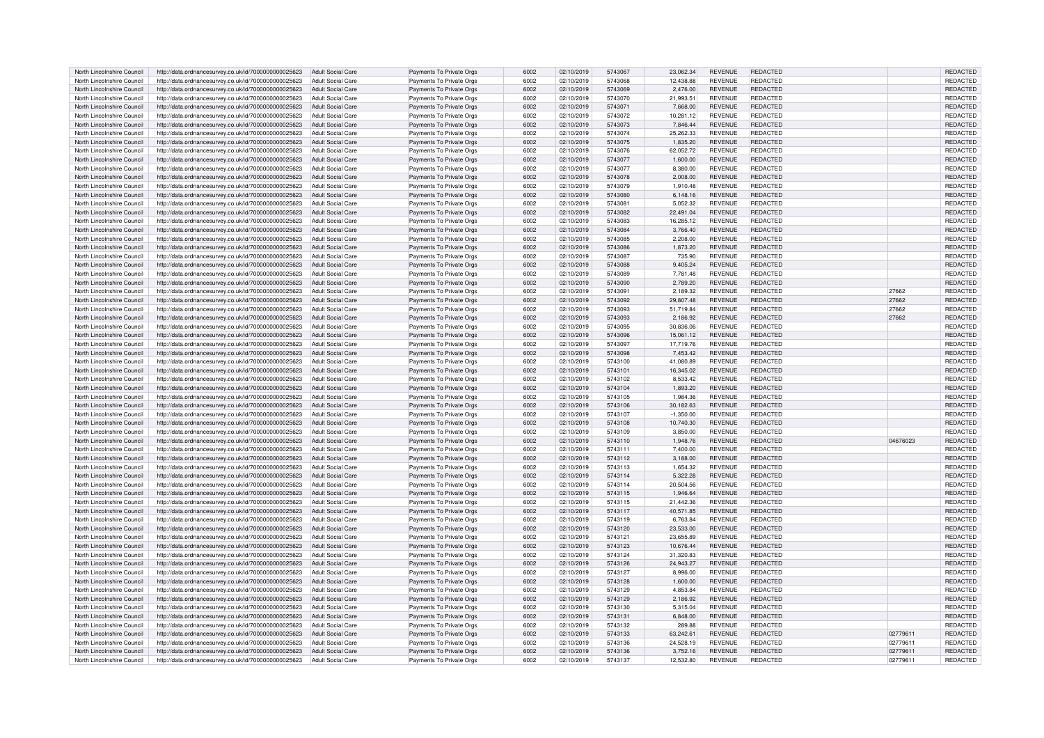| North Lincolnshire Council                               | http://data.ordnancesurvey.co.uk/id/7000000000025623                                                         | Adult Social Care                      | Payments To Private Orgs                             | 6002 | 02/10/2019               | 5743067            | 23.062.34             | <b>REVENUE</b> | <b>REDACTED</b> |          | <b>REDACTED</b> |
|----------------------------------------------------------|--------------------------------------------------------------------------------------------------------------|----------------------------------------|------------------------------------------------------|------|--------------------------|--------------------|-----------------------|----------------|-----------------|----------|-----------------|
| North Lincolnshire Council                               | http://data.ordnancesurvey.co.uk/id/7000000000025623                                                         | <b>Adult Social Care</b>               | Payments To Private Orgs                             | 6002 | 02/10/2019               | 5743068            | 12,438.88             | REVENUE        | REDACTED        |          | REDACTED        |
| North Lincolnshire Council                               | http://data.ordnancesurvey.co.uk/id/7000000000025623                                                         | Adult Social Care                      | Payments To Private Orgs                             | 6002 | 02/10/2019               | 5743069            | 2,476.00              | <b>REVENUE</b> | <b>REDACTED</b> |          | REDACTED        |
| North Lincolnshire Council                               | http://data.ordnancesurvey.co.uk/id/7000000000025623                                                         | <b>Adult Social Care</b>               | Payments To Private Orgs                             | 6002 | 02/10/2019               | 5743070            | 21,993.51             | <b>REVENUE</b> | REDACTED        |          | REDACTED        |
| North Lincolnshire Council                               | http://data.ordnancesurvey.co.uk/id/7000000000025623                                                         | <b>Adult Social Care</b>               | Payments To Private Orgs                             | 6002 | 02/10/2019               | 5743071            | 7,668.00              | <b>REVENUE</b> | <b>REDACTED</b> |          | <b>REDACTED</b> |
| North Lincolnshire Council                               | http://data.ordnancesurvey.co.uk/id/7000000000025623                                                         | Adult Social Care                      | Payments To Private Orgs                             | 6002 | 02/10/2019               | 5743072            | 10,281.12             | <b>REVENUE</b> | REDACTED        |          | REDACTED        |
| North Lincolnshire Council                               | http://data.ordnancesurvey.co.uk/id/7000000000025623                                                         | <b>Adult Social Care</b>               | Payments To Private Orgs                             | 6002 | 02/10/2019               | 5743073            | 7,846.44              | <b>REVENUE</b> | <b>REDACTED</b> |          | REDACTED        |
| North Lincolnshire Council                               | http://data.ordnancesurvey.co.uk/id/7000000000025623                                                         | Adult Social Care                      | Payments To Private Orgs                             | 6002 | 02/10/2019               | 5743074            | 25,262.33             | <b>REVENUE</b> | REDACTED        |          | REDACTED        |
| North Lincolnshire Council                               | http://data.ordnancesurvey.co.uk/id/7000000000025623                                                         | <b>Adult Social Care</b>               | Payments To Private Orgs                             | 6002 | 02/10/2019               | 5743075            | 1,835.20              | <b>REVENUE</b> | <b>REDACTED</b> |          | REDACTED        |
| North Lincolnshire Council                               | http://data.ordnancesurvey.co.uk/id/7000000000025623                                                         | <b>Adult Social Care</b>               | Payments To Private Orgs                             | 6002 | 02/10/2019               | 5743076            | 62,052.72             | REVENUE        | REDACTED        |          | REDACTED        |
| North Lincolnshire Council                               | http://data.ordnancesurvey.co.uk/id/7000000000025623                                                         | <b>Adult Social Care</b>               | Payments To Private Orgs                             | 6002 | 02/10/2019               | 5743077            | 1,600.00              | <b>REVENUE</b> | REDACTED        |          | REDACTED        |
| North Lincolnshire Council                               | http://data.ordnancesurvey.co.uk/id/7000000000025623                                                         | <b>Adult Social Care</b>               | Payments To Private Orgs                             | 6002 | 02/10/2019               | 5743077            | 8.380.00              | REVENUE        | REDACTED        |          | <b>REDACTED</b> |
| North Lincolnshire Council                               | http://data.ordnancesurvey.co.uk/id/7000000000025623                                                         | <b>Adult Social Care</b>               | Payments To Private Orgs                             | 6002 | 02/10/2019               | 5743078            | 2,008.00              | <b>REVENUE</b> | REDACTED        |          | REDACTED        |
| North Lincolnshire Council                               | http://data.ordnancesurvey.co.uk/id/7000000000025623                                                         | <b>Adult Social Care</b>               | Payments To Private Orgs                             | 6002 | 02/10/2019               | 5743079            | 1,910.48              | <b>REVENUE</b> | REDACTED        |          | REDACTED        |
| North Lincolnshire Council                               | http://data.ordnancesurvey.co.uk/id/7000000000025623                                                         | <b>Adult Social Care</b>               | Payments To Private Orgs                             | 6002 | 02/10/2019               | 5743080            | 6.148.16              | <b>REVENUE</b> | <b>REDACTED</b> |          | REDACTED        |
|                                                          |                                                                                                              |                                        |                                                      | 6002 |                          | 5743081            | 5,052.32              | <b>REVENUE</b> | REDACTED        |          | REDACTED        |
| North Lincolnshire Council<br>North Lincolnshire Council | http://data.ordnancesurvey.co.uk/id/7000000000025623                                                         | Adult Social Care<br>Adult Social Care | Payments To Private Orgs                             | 6002 | 02/10/2019               | 5743082            | 22.491.04             | <b>REVENUE</b> | REDACTED        |          | <b>REDACTED</b> |
| North Lincolnshire Council                               | http://data.ordnancesurvey.co.uk/id/7000000000025623<br>http://data.ordnancesurvey.co.uk/id/7000000000025623 | Adult Social Care                      | Payments To Private Orgs<br>Payments To Private Oras | 6002 | 02/10/2019<br>02/10/2019 | 5743083            | 16.285.12             | <b>REVENUE</b> | REDACTED        |          | REDACTED        |
|                                                          |                                                                                                              |                                        |                                                      |      |                          | 5743084            |                       |                |                 |          |                 |
| North Lincolnshire Council                               | http://data.ordnancesurvey.co.uk/id/7000000000025623                                                         | <b>Adult Social Care</b>               | Payments To Private Orgs                             | 6002 | 02/10/2019               |                    | 3,766.40              | <b>REVENUE</b> | REDACTED        |          | REDACTED        |
| North Lincolnshire Council                               | http://data.ordnancesurvey.co.uk/id/7000000000025623                                                         | <b>Adult Social Care</b>               | Payments To Private Orgs                             | 6002 | 02/10/2019               | 5743085            | 2.208.00              | <b>REVENUE</b> | REDACTED        |          | REDACTED        |
| North Lincolnshire Council                               | http://data.ordnancesurvey.co.uk/id/7000000000025623                                                         | Adult Social Care                      | Payments To Private Orgs                             | 6002 | 02/10/2019               | 5743086            | 1,873.20              | <b>REVENUE</b> | <b>REDACTED</b> |          | <b>REDACTED</b> |
| North Lincolnshire Council                               | http://data.ordnancesurvey.co.uk/id/7000000000025623                                                         | <b>Adult Social Care</b>               | Payments To Private Orgs                             | 6002 | 02/10/2019               | 5743087            | 735.90                | <b>REVENUE</b> | REDACTED        |          | REDACTED        |
| North Lincolnshire Council                               | http://data.ordnancesurvey.co.uk/id/7000000000025623                                                         | Adult Social Care                      | Payments To Private Orgs                             | 6002 | 02/10/2019               | 5743088            | 9.405.24              | <b>REVENUE</b> | REDACTED        |          | <b>REDACTED</b> |
| North Lincolnshire Council                               | http://data.ordnancesurvey.co.uk/id/7000000000025623                                                         | <b>Adult Social Care</b>               | Payments To Private Orgs                             | 6002 | 02/10/2019               | 5743089            | 7,781.48              | <b>REVENUE</b> | REDACTED        |          | REDACTED        |
| North Lincolnshire Council                               | http://data.ordnancesurvey.co.uk/id/7000000000025623                                                         | <b>Adult Social Care</b>               | Payments To Private Orgs                             | 6002 | 02/10/2019               | 5743090            | 2,789.20              | <b>REVENUE</b> | <b>REDACTED</b> |          | REDACTED        |
| North Lincolnshire Council                               | http://data.ordnancesurvey.co.uk/id/7000000000025623                                                         | Adult Social Care                      | Payments To Private Orgs                             | 6002 | 02/10/2019               | 5743091            | 2.189.32              | <b>REVENUE</b> | REDACTED        | 27662    | REDACTED        |
| North Lincolnshire Council                               | http://data.ordnancesurvey.co.uk/id/7000000000025623                                                         | <b>Adult Social Care</b>               | Payments To Private Orgs                             | 6002 | 02/10/2019               | 5743092            | 29,807.48             | <b>REVENUE</b> | <b>REDACTED</b> | 27662    | REDACTED        |
| North Lincolnshire Council                               | http://data.ordnancesurvey.co.uk/id/7000000000025623                                                         | Adult Social Care                      | Payments To Private Orgs                             | 6002 | 02/10/2019               | 5743093            | 51,719.84             | REVENUE        | REDACTED        | 27662    | REDACTED        |
| North Lincolnshire Council                               | http://data.ordnancesurvey.co.uk/id/7000000000025623                                                         | <b>Adult Social Care</b>               | Payments To Private Orgs                             | 6002 | 02/10/2019               | 5743093            | 2,186.92              | <b>REVENUE</b> | REDACTED        | 27662    | REDACTED        |
| North Lincolnshire Council                               | http://data.ordnancesurvey.co.uk/id/7000000000025623                                                         | <b>Adult Social Care</b>               | Payments To Private Orgs                             | 6002 | 02/10/2019               | 5743095            | 30.836.06             | REVENUE        | REDACTED        |          | REDACTED        |
| North Lincolnshire Council                               | http://data.ordnancesurvey.co.uk/id/7000000000025623                                                         | Adult Social Care                      | Payments To Private Orgs                             | 6002 | 02/10/2019               | 5743096            | 15,061.12             | <b>REVENUE</b> | REDACTED        |          | <b>REDACTED</b> |
| North Lincolnshire Council                               | http://data.ordnancesurvey.co.uk/id/7000000000025623                                                         | <b>Adult Social Care</b>               | Payments To Private Orgs                             | 6002 | 02/10/2019               | 5743097            | 17,719.76             | <b>REVENUE</b> | REDACTED        |          | REDACTED        |
| North Lincolnshire Council                               | http://data.ordnancesurvey.co.uk/id/7000000000025623                                                         | Adult Social Care                      | Payments To Private Orgs                             | 6002 | 02/10/2019               | 5743098            | 7.453.42              | <b>REVENUE</b> | REDACTED        |          | <b>REDACTED</b> |
| North Lincolnshire Council                               | http://data.ordnancesurvey.co.uk/id/7000000000025623                                                         | <b>Adult Social Care</b>               | Payments To Private Orgs                             | 6002 | 02/10/2019               | 5743100            | 41,080.89             | <b>REVENUE</b> | REDACTED        |          | REDACTED        |
| North Lincolnshire Council                               | http://data.ordnancesurvey.co.uk/id/7000000000025623                                                         | <b>Adult Social Care</b>               | Payments To Private Orgs                             | 6002 | 02/10/2019               | 5743101            | 16,345.02             | <b>REVENUE</b> | <b>REDACTED</b> |          | REDACTED        |
| North Lincolnshire Council                               | http://data.ordnancesurvev.co.uk/id/7000000000025623                                                         | Adult Social Care                      | Payments To Private Orgs                             | 6002 | 02/10/2019               | 5743102            | 8.533.42              | <b>REVENUE</b> | REDACTED        |          | REDACTED        |
| North Lincolnshire Council                               | http://data.ordnancesurvey.co.uk/id/7000000000025623                                                         | <b>Adult Social Care</b>               | Payments To Private Orgs                             | 6002 | 02/10/2019               | 5743104            | 1,893.20              | <b>REVENUE</b> | REDACTED        |          | REDACTED        |
| North Lincolnshire Council                               | http://data.ordnancesurvey.co.uk/id/7000000000025623                                                         | <b>Adult Social Care</b>               | Payments To Private Orgs                             | 6002 | 02/10/2019               | 5743105            | 1,984.36              | REVENUE        | <b>REDACTED</b> |          | REDACTED        |
| North Lincolnshire Council                               | http://data.ordnancesurvey.co.uk/id/7000000000025623                                                         | Adult Social Care                      | Payments To Private Orgs                             | 6002 | 02/10/2019               | 5743106            | 30,182.63             | <b>REVENUE</b> | REDACTED        |          | <b>REDACTED</b> |
| North Lincolnshire Council                               | http://data.ordnancesurvey.co.uk/id/7000000000025623                                                         | <b>Adult Social Care</b>               | Payments To Private Orgs                             | 6002 | 02/10/2019               | 5743107            | $-1,350.00$           | <b>REVENUE</b> | REDACTED        |          | REDACTED        |
| North Lincolnshire Council                               | http://data.ordnancesurvey.co.uk/id/7000000000025623                                                         | <b>Adult Social Care</b>               | Payments To Private Orgs                             | 6002 | 02/10/2019               | 5743108            | 10.740.30             | <b>REVENUE</b> | REDACTED        |          | <b>REDACTED</b> |
| North Lincolnshire Council                               | http://data.ordnancesurvey.co.uk/id/7000000000025623                                                         | <b>Adult Social Care</b>               | Payments To Private Orgs                             | 6002 | 02/10/2019               | 5743109            | 3,850.00              | <b>REVENUE</b> | REDACTED        |          | REDACTED        |
| North Lincolnshire Council                               | http://data.ordnancesurvey.co.uk/id/7000000000025623                                                         | <b>Adult Social Care</b>               | Payments To Private Orgs                             | 6002 | 02/10/2019               | 5743110            | 1,948.76              | REVENUE        | REDACTED        | 04676023 | REDACTED        |
| North Lincolnshire Council                               | http://data.ordnancesurvey.co.uk/id/7000000000025623                                                         | Adult Social Care                      | Payments To Private Orgs                             | 6002 | 02/10/2019               | 5743111            | 7,400.00              | <b>REVENUE</b> | REDACTED        |          | REDACTED        |
| North Lincolnshire Council                               | http://data.ordnancesurvey.co.uk/id/7000000000025623                                                         | <b>Adult Social Care</b>               | Payments To Private Orgs                             | 6002 | 02/10/2019               | 5743112            | 3,188.00              | <b>REVENUE</b> | <b>REDACTED</b> |          | REDACTED        |
| North Lincolnshire Council                               | http://data.ordnancesurvey.co.uk/id/7000000000025623                                                         | <b>Adult Social Care</b>               | Payments To Private Orgs                             | 6002 | 02/10/2019               | 5743113            | 1,654.32              | <b>REVENUE</b> | REDACTED        |          | REDACTED        |
| North Lincolnshire Council                               | http://data.ordnancesurvey.co.uk/id/7000000000025623                                                         | <b>Adult Social Care</b>               | Payments To Private Orgs                             | 6002 | 02/10/2019               | 5743114            | 5,322.28              | <b>REVENUE</b> | <b>REDACTED</b> |          | REDACTED        |
| North Lincolnshire Council                               | http://data.ordnancesurvey.co.uk/id/7000000000025623                                                         | <b>Adult Social Care</b>               | Payments To Private Orgs                             | 6002 | 02/10/2019               | 5743114            | 20.504.56             | REVENUE        | REDACTED        |          | REDACTED        |
| North Lincolnshire Council                               | http://data.ordnancesurvey.co.uk/id/7000000000025623                                                         | <b>Adult Social Care</b>               | Payments To Private Orgs                             | 6002 | 02/10/2019               | 5743115            | 1,946.64              | <b>REVENUE</b> | REDACTED        |          | REDACTED        |
| North Lincolnshire Council                               | http://data.ordnancesurvey.co.uk/id/7000000000025623                                                         | <b>Adult Social Care</b>               | Payments To Private Orgs                             | 6002 | 02/10/2019               | 5743115            | 21,442.36             | <b>REVENUE</b> | REDACTED        |          | REDACTED        |
| North Lincolnshire Council                               | http://data.ordnancesurvey.co.uk/id/7000000000025623                                                         | <b>Adult Social Care</b>               | Payments To Private Orgs                             | 6002 | 02/10/2019               | 5743117            | 40.571.85             | <b>REVENUE</b> | REDACTED        |          | <b>REDACTED</b> |
| North Lincolnshire Council                               | http://data.ordnancesurvey.co.uk/id/7000000000025623                                                         | Adult Social Care                      | Payments To Private Orgs                             | 6002 | 02/10/2019               | 5743119            | 6,763.84              | <b>REVENUE</b> | <b>REDACTED</b> |          | REDACTED        |
| North Lincolnshire Council                               | http://data.ordnancesurvey.co.uk/id/7000000000025623                                                         | <b>Adult Social Care</b>               | Payments To Private Orgs                             | 6002 | 02/10/2019               | 5743120            | 23,533.00             | <b>REVENUE</b> | REDACTED        |          | REDACTED        |
| North Lincolnshire Council                               | http://data.ordnancesurvev.co.uk/id/7000000000025623                                                         | Adult Social Care                      | Payments To Private Orgs                             | 6002 | 02/10/2019               | 5743121            | 23.655.89             | <b>REVENUE</b> | REDACTED        |          | REDACTED        |
| North Lincolnshire Council                               | http://data.ordnancesurvey.co.uk/id/7000000000025623                                                         | <b>Adult Social Care</b>               | Payments To Private Orgs                             | 6002 | 02/10/2019               | 5743123            | 10,676.44             | <b>REVENUE</b> | <b>REDACTED</b> |          | REDACTED        |
| North Lincolnshire Council                               | http://data.ordnancesurvey.co.uk/id/7000000000025623                                                         | <b>Adult Social Care</b>               | Payments To Private Orgs                             | 6002 | 02/10/2019               | 5743124            | 31,320.83             | <b>REVENUE</b> | <b>REDACTED</b> |          | REDACTED        |
| North Lincolnshire Council                               | http://data.ordnancesurvey.co.uk/id/7000000000025623                                                         | Adult Social Care                      | Payments To Private Orgs                             | 6002 | 02/10/2019               | 5743126            | 24.943.27             | <b>REVENUE</b> | <b>REDACTED</b> |          | <b>REDACTED</b> |
| North Lincolnshire Council                               | http://data.ordnancesurvey.co.uk/id/7000000000025623                                                         | <b>Adult Social Care</b>               | Payments To Private Orgs                             | 6002 | 02/10/2019               | 5743127            | 8,996.00              | <b>REVENUE</b> | REDACTED        |          | REDACTED        |
| North Lincolnshire Council                               | http://data.ordnancesurvey.co.uk/id/7000000000025623                                                         | Adult Social Care                      | Payments To Private Orgs                             | 6002 | 02/10/2019               | 5743128            | 1.600.00              | <b>REVENUE</b> | REDACTED        |          | <b>REDACTED</b> |
| North Lincolnshire Council                               | http://data.ordnancesurvey.co.uk/id/7000000000025623                                                         | <b>Adult Social Care</b>               | Payments To Private Orgs                             | 6002 | 02/10/2019               | 5743129            | 4,853.84              | REVENUE        | <b>REDACTED</b> |          | REDACTED        |
| North Lincolnshire Council                               |                                                                                                              | <b>Adult Social Care</b>               | Payments To Private Orgs                             | 6002 | 02/10/2019               | 5743129            | 2.186.92              | REVENUE        | REDACTED        |          | REDACTED        |
| North Lincolnshire Council                               | http://data.ordnancesurvey.co.uk/id/7000000000025623<br>http://data.ordnancesurvey.co.uk/id/7000000000025623 | Adult Social Care                      | Payments To Private Orgs                             | 6002 | 02/10/2019               | 5743130            | 5.315.04              | <b>REVENUE</b> | REDACTED        |          | REDACTED        |
| North Lincolnshire Council                               | http://data.ordnancesurvey.co.uk/id/7000000000025623                                                         | <b>Adult Social Care</b>               | Payments To Private Orgs                             | 6002 | 02/10/2019               | 5743131            | 6,848.00              | <b>REVENUE</b> | REDACTED        |          | REDACTED        |
| North Lincolnshire Council                               | http://data.ordnancesurvey.co.uk/id/7000000000025623                                                         | <b>Adult Social Care</b>               | Payments To Private Orgs                             | 6002 | 02/10/2019               | 5743132            | 289.88                | REVENUE        | REDACTED        |          | REDACTED        |
|                                                          |                                                                                                              |                                        |                                                      | 6002 |                          | 5743133            |                       | <b>REVENUE</b> |                 | 02779611 |                 |
| North Lincolnshire Council                               | http://data.ordnancesurvey.co.uk/id/7000000000025623                                                         | <b>Adult Social Care</b>               | Payments To Private Orgs                             |      | 02/10/2019               |                    | 63,242.61             |                | <b>REDACTED</b> |          | REDACTED        |
| North Lincolnshire Council<br>North Lincolnshire Council | http://data.ordnancesurvey.co.uk/id/7000000000025623                                                         | <b>Adult Social Care</b>               | Payments To Private Orgs                             | 6002 | 02/10/2019               | 5743136<br>5743136 | 24.528.19<br>3 752 16 | REVENUE        | REDACTED        | 0277961  | REDACTED        |
|                                                          | http://data.ordnancesurvey.co.uk/id/7000000000025623                                                         | <b>Adult Social Care</b>               | Payments To Private Orgs                             | 6002 | 02/10/2019               |                    |                       | <b>REVENUE</b> | REDACTED        | 02779611 | <b>REDACTED</b> |
| North Lincolnshire Council                               | http://data.ordnancesurvey.co.uk/id/7000000000025623                                                         | Adult Social Care                      | Payments To Private Orgs                             | 6002 | 02/10/2019               | 5743137            | 12,532.80             | <b>REVENUE</b> | REDACTED        | 02779611 | REDACTED        |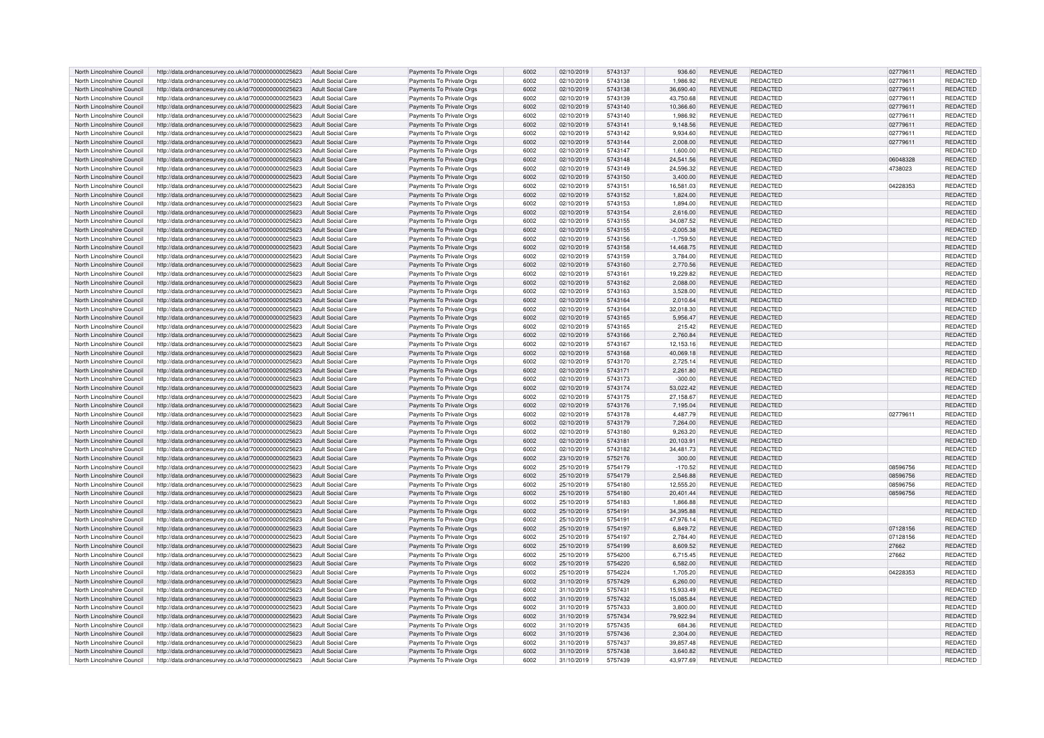| North Lincolnshire Council | http://data.ordnancesurvey.co.uk/id/7000000000025623 | Adult Social Care        | Payments To Private Orgs | 6002 | 02/10/2019 | 5743137 | 936.60      | <b>REVENUE</b> | <b>REDACTED</b> | 02779611 | <b>REDACTED</b> |
|----------------------------|------------------------------------------------------|--------------------------|--------------------------|------|------------|---------|-------------|----------------|-----------------|----------|-----------------|
| North Lincolnshire Council | http://data.ordnancesurvey.co.uk/id/7000000000025623 | Adult Social Care        | Payments To Private Orgs | 6002 | 02/10/2019 | 5743138 | 1,986.92    | REVENUE        | REDACTED        | 02779611 | REDACTED        |
| North Lincolnshire Council | http://data.ordnancesurvey.co.uk/id/7000000000025623 | <b>Adult Social Care</b> | Payments To Private Orgs | 6002 | 02/10/2019 | 5743138 | 36,690.40   | <b>REVENUE</b> | REDACTED        | 02779611 | <b>REDACTED</b> |
| North Lincolnshire Council | http://data.ordnancesurvey.co.uk/id/7000000000025623 | <b>Adult Social Care</b> | Payments To Private Orgs | 6002 | 02/10/2019 | 5743139 | 43,750.68   | <b>REVENUE</b> | REDACTED        | 02779611 | REDACTED        |
| North Lincolnshire Council | http://data.ordnancesurvey.co.uk/id/7000000000025623 | <b>Adult Social Care</b> | Payments To Private Orgs | 6002 | 02/10/2019 | 5743140 | 10.366.60   | <b>REVENUE</b> | REDACTED        | 02779611 | <b>REDACTED</b> |
|                            |                                                      |                          |                          |      |            |         |             |                |                 |          |                 |
| North Lincolnshire Council | http://data.ordnancesurvey.co.uk/id/7000000000025623 | Adult Social Care        | Payments To Private Orgs | 6002 | 02/10/2019 | 5743140 | 1,986.92    | <b>REVENUE</b> | REDACTED        | 02779611 | REDACTED        |
| North Lincolnshire Council | http://data.ordnancesurvey.co.uk/id/7000000000025623 | <b>Adult Social Care</b> | Payments To Private Orgs | 6002 | 02/10/2019 | 5743141 | 9,148.56    | <b>REVENUE</b> | REDACTED        | 02779611 | REDACTED        |
| North Lincolnshire Council | http://data.ordnancesurvey.co.uk/id/7000000000025623 | <b>Adult Social Care</b> | Payments To Private Orgs | 6002 | 02/10/2019 | 5743142 | 9,934.60    | <b>REVENUE</b> | REDACTED        | 02779611 | REDACTED        |
| North Lincolnshire Council | http://data.ordnancesurvey.co.uk/id/7000000000025623 | <b>Adult Social Care</b> | Payments To Private Orgs | 6002 | 02/10/2019 | 5743144 | 2,008.00    | <b>REVENUE</b> | <b>REDACTED</b> | 02779611 | <b>REDACTED</b> |
| North Lincolnshire Council | http://data.ordnancesurvey.co.uk/id/7000000000025623 | <b>Adult Social Care</b> | Payments To Private Orgs | 6002 | 02/10/2019 | 5743147 | 1,600.00    | <b>REVENUE</b> | REDACTED        |          | REDACTED        |
| North Lincolnshire Council | http://data.ordnancesurvey.co.uk/id/7000000000025623 | <b>Adult Social Care</b> | Payments To Private Orgs | 6002 | 02/10/2019 | 5743148 | 24,541.56   | <b>REVENUE</b> | REDACTED        | 06048328 | REDACTED        |
| North Lincolnshire Counci  | http://data.ordnancesurvey.co.uk/id/7000000000025623 | <b>Adult Social Care</b> | Payments To Private Orgs | 6002 | 02/10/2019 | 5743149 | 24,596.32   | REVENUE        | REDACTED        | 4738023  | <b>REDACTED</b> |
| North Lincolnshire Council | http://data.ordnancesurvey.co.uk/id/7000000000025623 | <b>Adult Social Care</b> | Payments To Private Orgs | 6002 | 02/10/2019 | 5743150 | 3,400.00    | <b>REVENUE</b> | REDACTED        |          | REDACTED        |
|                            |                                                      |                          |                          |      |            |         |             |                |                 |          |                 |
| North Lincolnshire Council | http://data.ordnancesurvey.co.uk/id/7000000000025623 | <b>Adult Social Care</b> | Payments To Private Orgs | 6002 | 02/10/2019 | 5743151 | 16,581.03   | <b>REVENUE</b> | REDACTED        | 04228353 | REDACTED        |
| North Lincolnshire Council | http://data.ordnancesurvey.co.uk/id/7000000000025623 | <b>Adult Social Care</b> | Payments To Private Orgs | 6002 | 02/10/2019 | 5743152 | 1.824.00    | <b>REVENUE</b> | REDACTED        |          | REDACTED        |
| North Lincolnshire Council | http://data.ordnancesurvey.co.uk/id/7000000000025623 | Adult Social Care        | Payments To Private Orgs | 6002 | 02/10/2019 | 5743153 | 1,894.00    | <b>REVENUE</b> | REDACTED        |          | REDACTED        |
| North Lincolnshire Council | http://data.ordnancesurvey.co.uk/id/7000000000025623 | Adult Social Care        | Payments To Private Orgs | 6002 | 02/10/2019 | 5743154 | 2,616.00    | <b>REVENUE</b> | REDACTED        |          | REDACTED        |
| North Lincolnshire Council | http://data.ordnancesurvey.co.uk/id/7000000000025623 | <b>Adult Social Care</b> | Payments To Private Orgs | 6002 | 02/10/2019 | 5743155 | 34.087.52   | <b>REVENUE</b> | REDACTED        |          | REDACTED        |
| North Lincolnshire Council | http://data.ordnancesurvey.co.uk/id/7000000000025623 | <b>Adult Social Care</b> | Payments To Private Orgs | 6002 | 02/10/2019 | 5743155 | $-2,005.38$ | <b>REVENUE</b> | REDACTED        |          | REDACTED        |
| North Lincolnshire Council | http://data.ordnancesurvey.co.uk/id/7000000000025623 | <b>Adult Social Care</b> | Payments To Private Orgs | 6002 | 02/10/2019 | 5743156 | $-1,759.50$ | REVENUE        | <b>REDACTED</b> |          | REDACTED        |
| North Lincolnshire Council | http://data.ordnancesurvey.co.uk/id/7000000000025623 | <b>Adult Social Care</b> | Payments To Private Orgs | 6002 | 02/10/2019 | 5743158 | 14,468.75   | <b>REVENUE</b> | REDACTED        |          | <b>REDACTED</b> |
| North Lincolnshire Council | http://data.ordnancesurvey.co.uk/id/7000000000025623 | <b>Adult Social Care</b> | Payments To Private Orgs | 6002 | 02/10/2019 | 5743159 | 3,784.00    | REVENUE        | REDACTED        |          | REDACTED        |
| North Lincolnshire Council | http://data.ordnancesurvey.co.uk/id/7000000000025623 | <b>Adult Social Care</b> | Payments To Private Orgs | 6002 | 02/10/2019 | 5743160 | 2,770.56    | <b>REVENUE</b> | REDACTED        |          | <b>REDACTED</b> |
|                            |                                                      |                          |                          | 6002 |            |         |             |                |                 |          |                 |
| North Lincolnshire Council | http://data.ordnancesurvey.co.uk/id/7000000000025623 | <b>Adult Social Care</b> | Payments To Private Orgs |      | 02/10/2019 | 5743161 | 19,229.82   | <b>REVENUE</b> | REDACTED        |          | REDACTED        |
| North Lincolnshire Council | http://data.ordnancesurvey.co.uk/id/7000000000025623 | <b>Adult Social Care</b> | Payments To Private Orgs | 6002 | 02/10/2019 | 5743162 | 2,088.00    | <b>REVENUE</b> | <b>REDACTED</b> |          | REDACTED        |
| North Lincolnshire Council | http://data.ordnancesurvey.co.uk/id/7000000000025623 | Adult Social Care        | Payments To Private Orgs | 6002 | 02/10/2019 | 5743163 | 3,528.00    | <b>REVENUE</b> | REDACTED        |          | REDACTED        |
| North Lincolnshire Council | http://data.ordnancesurvey.co.uk/id/7000000000025623 | <b>Adult Social Care</b> | Payments To Private Orgs | 6002 | 02/10/2019 | 5743164 | 2,010.64    | <b>REVENUE</b> | <b>REDACTED</b> |          | REDACTED        |
| North Lincolnshire Council | http://data.ordnancesurvey.co.uk/id/7000000000025623 | <b>Adult Social Care</b> | Payments To Private Orgs | 6002 | 02/10/2019 | 5743164 | 32,018.30   | <b>REVENUE</b> | REDACTED        |          | REDACTED        |
| North Lincolnshire Council | http://data.ordnancesurvey.co.uk/id/7000000000025623 | <b>Adult Social Care</b> | Payments To Private Orgs | 6002 | 02/10/2019 | 5743165 | 5,956.47    | <b>REVENUE</b> | REDACTED        |          | REDACTED        |
| North Lincolnshire Council | http://data.ordnancesurvey.co.uk/id/7000000000025623 | Adult Social Care        | Payments To Private Orgs | 6002 | 02/10/2019 | 5743165 | 215.42      | <b>REVENUE</b> | REDACTED        |          | REDACTED        |
| North Lincolnshire Council | http://data.ordnancesurvey.co.uk/id/7000000000025623 | <b>Adult Social Care</b> | Payments To Private Orgs | 6002 | 02/10/2019 | 5743166 | 2,760.84    | <b>REVENUE</b> | REDACTED        |          | REDACTED        |
| North Lincolnshire Council | http://data.ordnancesurvey.co.uk/id/7000000000025623 | <b>Adult Social Care</b> | Payments To Private Orgs | 6002 | 02/10/2019 | 5743167 | 12,153.16   | <b>REVENUE</b> | REDACTED        |          | REDACTED        |
| North Lincolnshire Council | http://data.ordnancesurvey.co.uk/id/7000000000025623 | <b>Adult Social Care</b> | Payments To Private Orgs | 6002 | 02/10/2019 | 5743168 | 40.069.18   | <b>REVENUE</b> | REDACTED        |          | <b>REDACTED</b> |
|                            |                                                      |                          |                          |      |            |         |             |                |                 |          |                 |
| North Lincolnshire Council | http://data.ordnancesurvey.co.uk/id/7000000000025623 | <b>Adult Social Care</b> | Payments To Private Orgs | 6002 | 02/10/2019 | 5743170 | 2,725.14    | <b>REVENUE</b> | REDACTED        |          | REDACTED        |
| North Lincolnshire Council | http://data.ordnancesurvey.co.uk/id/7000000000025623 | <b>Adult Social Care</b> | Payments To Private Orgs | 6002 | 02/10/2019 | 5743171 | 2,261.80    | <b>REVENUE</b> | REDACTED        |          | REDACTED        |
| North Lincolnshire Council | http://data.ordnancesurvev.co.uk/id/7000000000025623 | <b>Adult Social Care</b> | Payments To Private Orgs | 6002 | 02/10/2019 | 5743173 | $-300.00$   | <b>REVENUE</b> | REDACTED        |          | REDACTED        |
| North Lincolnshire Council | http://data.ordnancesurvey.co.uk/id/7000000000025623 | <b>Adult Social Care</b> | Payments To Private Orgs | 6002 | 02/10/2019 | 5743174 | 53,022.42   | <b>REVENUE</b> | REDACTED        |          | REDACTED        |
| North Lincolnshire Council | http://data.ordnancesurvey.co.uk/id/7000000000025623 | Adult Social Care        | Payments To Private Orgs | 6002 | 02/10/2019 | 5743175 | 27,158.67   | REVENUE        | <b>REDACTED</b> |          | REDACTED        |
| North Lincolnshire Council | http://data.ordnancesurvey.co.uk/id/7000000000025623 | <b>Adult Social Care</b> | Payments To Private Orgs | 6002 | 02/10/2019 | 5743176 | 7,195.04    | <b>REVENUE</b> | REDACTED        |          | REDACTED        |
| North Lincolnshire Council | http://data.ordnancesurvey.co.uk/id/7000000000025623 | <b>Adult Social Care</b> | Payments To Private Orgs | 6002 | 02/10/2019 | 5743178 | 4,487.79    | <b>REVENUE</b> | REDACTED        | 02779611 | REDACTED        |
| North Lincolnshire Council | http://data.ordnancesurvey.co.uk/id/7000000000025623 | <b>Adult Social Care</b> | Payments To Private Orgs | 6002 | 02/10/2019 | 5743179 | 7,264.00    | <b>REVENUE</b> | REDACTED        |          | <b>REDACTED</b> |
| North Lincolnshire Council | http://data.ordnancesurvey.co.uk/id/7000000000025623 | <b>Adult Social Care</b> | Payments To Private Orgs | 6002 | 02/10/2019 | 5743180 | 9,263.20    | <b>REVENUE</b> | REDACTED        |          | REDACTED        |
| North Lincolnshire Council | http://data.ordnancesurvey.co.uk/id/7000000000025623 | <b>Adult Social Care</b> | Payments To Private Orgs | 6002 | 02/10/2019 | 5743181 | 20,103.91   | REVENUE        | REDACTED        |          | REDACTED        |
| North Lincolnshire Council | http://data.ordnancesurvey.co.uk/id/7000000000025623 | Adult Social Care        | Payments To Private Orgs | 6002 | 02/10/2019 | 5743182 | 34,481.73   | <b>REVENUE</b> | REDACTED        |          | REDACTED        |
|                            |                                                      |                          |                          |      |            |         |             |                |                 |          |                 |
| North Lincolnshire Council | http://data.ordnancesurvey.co.uk/id/7000000000025623 | <b>Adult Social Care</b> | Payments To Private Orgs | 6002 | 23/10/2019 | 5752176 | 300.00      | <b>REVENUE</b> | REDACTED        |          | REDACTED        |
| North Lincolnshire Council | http://data.ordnancesurvey.co.uk/id/7000000000025623 | <b>Adult Social Care</b> | Payments To Private Orgs | 6002 | 25/10/2019 | 5754179 | $-170.52$   | <b>REVENUE</b> | REDACTED        | 08596756 | REDACTED        |
| North Lincolnshire Council | http://data.ordnancesurvey.co.uk/id/7000000000025623 | <b>Adult Social Care</b> | Payments To Private Orgs | 6002 | 25/10/2019 | 5754179 | 2,546.88    | <b>REVENUE</b> | REDACTED        | 08596756 | REDACTED        |
| North Lincolnshire Council | http://data.ordnancesurvey.co.uk/id/7000000000025623 | <b>Adult Social Care</b> | Payments To Private Orgs | 6002 | 25/10/2019 | 5754180 | 12.555.20   | REVENUE        | REDACTED        | 08596756 | REDACTED        |
| North Lincolnshire Council | http://data.ordnancesurvey.co.uk/id/7000000000025623 | <b>Adult Social Care</b> | Payments To Private Orgs | 6002 | 25/10/2019 | 5754180 | 20,401.44   | <b>REVENUE</b> | REDACTED        | 08596756 | REDACTED        |
| North Lincolnshire Council | http://data.ordnancesurvey.co.uk/id/7000000000025623 | <b>Adult Social Care</b> | Payments To Private Orgs | 6002 | 25/10/2019 | 5754183 | 1,866.88    | REVENUE        | REDACTED        |          | REDACTED        |
| North Lincolnshire Council | http://data.ordnancesurvev.co.uk/id/7000000000025623 | <b>Adult Social Care</b> | Payments To Private Orgs | 6002 | 25/10/2019 | 5754191 | 34,395.88   | <b>REVENUE</b> | REDACTED        |          | <b>REDACTED</b> |
| North Lincolnshire Council | http://data.ordnancesurvey.co.uk/id/7000000000025623 | Adult Social Care        | Payments To Private Orgs | 6002 | 25/10/2019 | 5754191 | 47,976.14   | <b>REVENUE</b> | <b>REDACTED</b> |          | REDACTED        |
| North Lincolnshire Council | http://data.ordnancesurvey.co.uk/id/7000000000025623 | <b>Adult Social Care</b> | Payments To Private Orgs | 6002 | 25/10/2019 | 5754197 | 6,849.72    | <b>REVENUE</b> | REDACTED        | 07128156 | REDACTED        |
| North Lincolnshire Council | http://data.ordnancesurvev.co.uk/id/7000000000025623 | <b>Adult Social Care</b> | Payments To Private Orgs | 6002 | 25/10/2019 | 5754197 | 2.784.40    | <b>REVENUE</b> | REDACTED        | 07128156 | REDACTED        |
|                            |                                                      |                          |                          |      |            |         |             |                |                 |          |                 |
| North Lincolnshire Council | http://data.ordnancesurvey.co.uk/id/7000000000025623 | <b>Adult Social Care</b> | Payments To Private Orgs | 6002 | 25/10/2019 | 5754199 | 8,609.52    | <b>REVENUE</b> | REDACTED        | 27662    | REDACTED        |
| North Lincolnshire Council | http://data.ordnancesurvey.co.uk/id/7000000000025623 | <b>Adult Social Care</b> | Payments To Private Orgs | 6002 | 25/10/2019 | 5754200 | 6,715.45    | <b>REVENUE</b> | <b>REDACTED</b> | 27662    | REDACTED        |
| North Lincolnshire Council | http://data.ordnancesurvey.co.uk/id/7000000000025623 | <b>Adult Social Care</b> | Payments To Private Orgs | 6002 | 25/10/2019 | 5754220 | 6,582.00    | <b>REVENUE</b> | REDACTED        |          | <b>REDACTED</b> |
| North Lincolnshire Council | http://data.ordnancesurvey.co.uk/id/7000000000025623 | <b>Adult Social Care</b> | Payments To Private Orgs | 6002 | 25/10/2019 | 5754224 | 1,705.20    | REVENUE        | REDACTED        | 04228353 | REDACTED        |
| North Lincolnshire Council | http://data.ordnancesurvey.co.uk/id/7000000000025623 | Adult Social Care        | Payments To Private Orgs | 6002 | 31/10/2019 | 5757429 | 6,260.00    | <b>REVENUE</b> | REDACTED        |          | REDACTED        |
| North Lincolnshire Council | http://data.ordnancesurvey.co.uk/id/7000000000025623 | <b>Adult Social Care</b> | Payments To Private Orgs | 6002 | 31/10/2019 | 5757431 | 15,933.49   | <b>REVENUE</b> | REDACTED        |          | <b>REDACTED</b> |
| North Lincolnshire Council | http://data.ordnancesurvey.co.uk/id/7000000000025623 | Adult Social Care        | Payments To Private Orgs | 6002 | 31/10/2019 | 5757432 | 15,085.84   | <b>REVENUE</b> | REDACTED        |          | REDACTED        |
| North Lincolnshire Council | http://data.ordnancesurvey.co.uk/id/7000000000025623 | <b>Adult Social Care</b> | Payments To Private Orgs | 6002 | 31/10/2019 | 5757433 | 3,800.00    | <b>REVENUE</b> | REDACTED        |          | REDACTED        |
| North Lincolnshire Council | http://data.ordnancesurvey.co.uk/id/7000000000025623 | <b>Adult Social Care</b> | Payments To Private Orgs | 6002 | 31/10/2019 | 5757434 | 79,922.94   | <b>REVENUE</b> | REDACTED        |          | REDACTED        |
| North Lincolnshire Council | http://data.ordnancesurvey.co.uk/id/7000000000025623 | <b>Adult Social Care</b> | Payments To Private Orgs | 6002 | 31/10/2019 | 5757435 | 684.36      | <b>REVENUE</b> | REDACTED        |          | REDACTED        |
|                            |                                                      |                          |                          |      |            |         |             |                |                 |          |                 |
| North Lincolnshire Council | http://data.ordnancesurvey.co.uk/id/7000000000025623 | <b>Adult Social Care</b> | Payments To Private Orgs | 6002 | 31/10/2019 | 5757436 | 2,304.00    | <b>REVENUE</b> | REDACTED        |          | REDACTED        |
| North Lincolnshire Council | http://data.ordnancesurvey.co.uk/id/7000000000025623 | <b>Adult Social Care</b> | Payments To Private Orgs | 6002 | 31/10/2019 | 5757437 | 39.857.48   | REVENUE        | REDACTED        |          | REDACTED        |
| North Lincolnshire Council | http://data.ordnancesurvey.co.uk/id/7000000000025623 | <b>Adult Social Care</b> | Payments To Private Orgs | 6002 | 31/10/2019 | 5757438 | 3 640 82    | <b>REVENUE</b> | <b>REDACTED</b> |          | <b>REDACTED</b> |
| North Lincolnshire Council | http://data.ordnancesurvey.co.uk/id/7000000000025623 | Adult Social Care        | Payments To Private Orgs | 6002 | 31/10/2019 | 5757439 | 43,977.69   | <b>REVENUE</b> | REDACTED        |          | REDACTED        |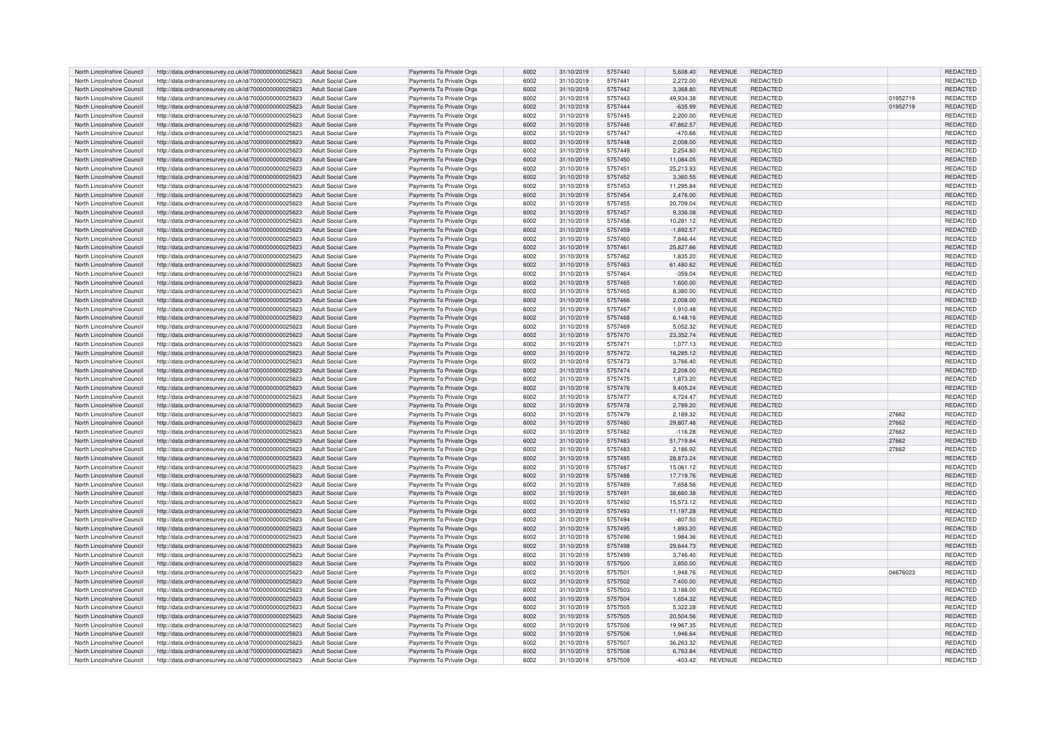| North Lincolnshire Council                               | http://data.ordnancesurvey.co.uk/id/7000000000025623                                                         | Adult Social Care                                    | Payments To Private Orgs                             | 6002         | 31/10/2019               | 5757440            | 5.608.40              | <b>REVENUE</b>                   | <b>REDACTED</b>      |          | <b>REDACTED</b>      |
|----------------------------------------------------------|--------------------------------------------------------------------------------------------------------------|------------------------------------------------------|------------------------------------------------------|--------------|--------------------------|--------------------|-----------------------|----------------------------------|----------------------|----------|----------------------|
| North Lincolnshire Council                               | http://data.ordnancesurvey.co.uk/id/7000000000025623                                                         | Adult Social Care                                    | Payments To Private Orgs                             | 6002         | 31/10/2019               | 5757441            | 2,272.00              | REVENUE                          | REDACTED             |          | REDACTED             |
| North Lincolnshire Council                               | http://data.ordnancesurvey.co.uk/id/7000000000025623                                                         | <b>Adult Social Care</b>                             | Payments To Private Orgs                             | 6002         | 31/10/2019               | 5757442            | 3,368.80              | <b>REVENUE</b>                   | REDACTED             |          | <b>REDACTED</b>      |
| North Lincolnshire Council                               | http://data.ordnancesurvey.co.uk/id/7000000000025623                                                         | <b>Adult Social Care</b>                             | Payments To Private Orgs                             | 6002         | 31/10/2019               | 5757443            | 49,934.38             | <b>REVENUE</b>                   | REDACTED             | 01952719 | REDACTED             |
| North Lincolnshire Council                               | http://data.ordnancesurvey.co.uk/id/7000000000025623                                                         | <b>Adult Social Care</b>                             | Payments To Private Orgs                             | 6002         | 31/10/2019               | 5757444            | $-635.99$             | <b>REVENUE</b>                   | REDACTED             | 01952719 | <b>REDACTED</b>      |
| North Lincolnshire Council                               | http://data.ordnancesurvey.co.uk/id/7000000000025623                                                         | Adult Social Care                                    | Payments To Private Orgs                             | 6002         | 31/10/2019               | 5757445            | 2,200.00              | <b>REVENUE</b>                   | REDACTED             |          | REDACTED             |
| North Lincolnshire Council                               | http://data.ordnancesurvey.co.uk/id/7000000000025623                                                         | <b>Adult Social Care</b>                             | Payments To Private Orgs                             | 6002         | 31/10/2019               | 5757446            | 47,862.57             | <b>REVENUE</b>                   | REDACTED             |          | REDACTED             |
| North Lincolnshire Council                               | http://data.ordnancesurvey.co.uk/id/7000000000025623                                                         | <b>Adult Social Care</b>                             | Payments To Private Orgs                             | 6002         | 31/10/2019               | 5757447            | $-470.66$             | <b>REVENUE</b>                   | REDACTED             |          | REDACTED             |
| North Lincolnshire Council                               | http://data.ordnancesurvey.co.uk/id/7000000000025623                                                         | <b>Adult Social Care</b>                             | Payments To Private Orgs                             | 6002         | 31/10/2019               | 5757448            | 2,008.00              | <b>REVENUE</b>                   | <b>REDACTED</b>      |          | <b>REDACTED</b>      |
| North Lincolnshire Council                               | http://data.ordnancesurvey.co.uk/id/7000000000025623                                                         | <b>Adult Social Care</b>                             | Payments To Private Orgs                             | 6002         | 31/10/2019               | 5757449            | 2,254.80              | <b>REVENUE</b>                   | <b>REDACTED</b>      |          | REDACTED             |
| North Lincolnshire Council                               | http://data.ordnancesurvey.co.uk/id/7000000000025623                                                         | <b>Adult Social Care</b>                             | Payments To Private Orgs                             | 6002         | 31/10/2019               | 5757450            | 11,084.05             | <b>REVENUE</b>                   | REDACTED             |          | REDACTED             |
| North Lincolnshire Counci                                | http://data.ordnancesurvey.co.uk/id/7000000000025623                                                         | <b>Adult Social Care</b>                             | Payments To Private Orgs                             | 6002         | 31/10/2019               | 575745             | 25,213.93             | REVENUE                          | REDACTED             |          | REDACTED             |
| North Lincolnshire Council                               | http://data.ordnancesurvey.co.uk/id/7000000000025623                                                         | <b>Adult Social Care</b>                             | Payments To Private Orgs                             | 6002         | 31/10/2019               | 5757452            | 3,360.55              | <b>REVENUE</b>                   | REDACTED             |          | REDACTED             |
| North Lincolnshire Council                               | http://data.ordnancesurvey.co.uk/id/7000000000025623                                                         | <b>Adult Social Care</b>                             | Payments To Private Orgs                             | 6002         | 31/10/2019               | 5757453            | 11,295.84             | <b>REVENUE</b>                   | REDACTED             |          | REDACTED             |
| North Lincolnshire Council                               | http://data.ordnancesurvey.co.uk/id/7000000000025623                                                         | <b>Adult Social Care</b>                             | Payments To Private Orgs                             | 6002         | 31/10/2019               | 5757454            | 2.476.00              | <b>REVENUE</b>                   | REDACTED             |          | REDACTED             |
| North Lincolnshire Council                               | http://data.ordnancesurvey.co.uk/id/7000000000025623                                                         | Adult Social Care                                    | Payments To Private Orgs                             | 6002         | 31/10/2019               | 5757455            | 20,709.04             | <b>REVENUE</b>                   | REDACTED             |          | REDACTED             |
| North Lincolnshire Council                               | http://data.ordnancesurvey.co.uk/id/7000000000025623                                                         | Adult Social Care                                    | Payments To Private Orgs                             | 6002         | 31/10/2019               | 5757457            | 9,336.08              | <b>REVENUE</b>                   | REDACTED             |          | REDACTED             |
| North Lincolnshire Council                               | http://data.ordnancesurvey.co.uk/id/7000000000025623                                                         | <b>Adult Social Care</b>                             | Payments To Private Orgs                             | 6002         | 31/10/2019               | 5757458            | 10.281.12             | <b>REVENUE</b>                   | REDACTED             |          | REDACTED             |
| North Lincolnshire Council                               | http://data.ordnancesurvey.co.uk/id/7000000000025623                                                         | <b>Adult Social Care</b>                             | Payments To Private Orgs                             | 6002         | 31/10/2019               | 5757459            | $-1,892.57$           | <b>REVENUE</b>                   | REDACTED             |          | REDACTED             |
| North Lincolnshire Council                               | http://data.ordnancesurvey.co.uk/id/7000000000025623                                                         | <b>Adult Social Care</b>                             | Payments To Private Orgs                             | 6002         | 31/10/2019               | 5757460            | 7,846.44              | REVENUE                          | <b>REDACTED</b>      |          | REDACTED             |
| North Lincolnshire Council                               | http://data.ordnancesurvey.co.uk/id/7000000000025623                                                         | <b>Adult Social Care</b>                             | Payments To Private Orgs                             | 6002         | 31/10/2019               | 5757461            | 25,827.66             | <b>REVENUE</b>                   | REDACTED             |          | <b>REDACTED</b>      |
| North Lincolnshire Council                               | http://data.ordnancesurvey.co.uk/id/7000000000025623                                                         | <b>Adult Social Care</b>                             | Payments To Private Orgs                             | 6002         | 31/10/2019               | 5757462            | 1,835.20              | REVENUE                          | REDACTED             |          | REDACTED             |
| North Lincolnshire Council                               | http://data.ordnancesurvey.co.uk/id/7000000000025623                                                         | <b>Adult Social Care</b>                             | Payments To Private Orgs                             | 6002         | 31/10/2019               | 5757463            | 61.480.62             | <b>REVENUE</b>                   | REDACTED             |          | <b>REDACTED</b>      |
| North Lincolnshire Council                               | http://data.ordnancesurvey.co.uk/id/7000000000025623                                                         | <b>Adult Social Care</b>                             | Payments To Private Orgs                             | 6002         | 31/10/2019               | 5757464            | $-359.04$             | REVENUE                          | REDACTED             |          | REDACTED             |
| North Lincolnshire Council                               | http://data.ordnancesurvey.co.uk/id/7000000000025623                                                         | <b>Adult Social Care</b>                             | Payments To Private Orgs                             | 6002         | 31/10/2019               | 5757465            | 1,600.00              | <b>REVENUE</b>                   | <b>REDACTED</b>      |          | REDACTED             |
| North Lincolnshire Council                               | http://data.ordnancesurvey.co.uk/id/7000000000025623                                                         | Adult Social Care                                    | Payments To Private Orgs                             | 6002         | 31/10/2019               | 5757465            | 8.380.00              | <b>REVENUE</b>                   | REDACTED             |          | REDACTED             |
| North Lincolnshire Council                               | http://data.ordnancesurvey.co.uk/id/7000000000025623                                                         | <b>Adult Social Care</b>                             | Payments To Private Orgs                             | 6002         | 31/10/2019               | 5757466            | 2,008.00              | <b>REVENUE</b>                   | <b>REDACTED</b>      |          | REDACTED             |
| North Lincolnshire Council                               | http://data.ordnancesurvey.co.uk/id/7000000000025623                                                         | <b>Adult Social Care</b>                             | Payments To Private Orgs                             | 6002         | 31/10/2019               | 5757467            | 1,910.48              | <b>REVENUE</b>                   | REDACTED             |          | REDACTED             |
| North Lincolnshire Council                               | http://data.ordnancesurvey.co.uk/id/7000000000025623                                                         | <b>Adult Social Care</b>                             | Payments To Private Orgs                             | 6002         | 31/10/2019               | 5757468            | 6,148.16              | <b>REVENUE</b>                   | REDACTED             |          | REDACTED             |
| North Lincolnshire Council                               | http://data.ordnancesurvey.co.uk/id/7000000000025623                                                         | <b>Adult Social Care</b>                             | Payments To Private Orgs                             | 6002         | 31/10/2019               | 5757469            | 5.052.32              | REVENUE                          | REDACTED             |          | REDACTED             |
| North Lincolnshire Council                               | http://data.ordnancesurvey.co.uk/id/7000000000025623                                                         | <b>Adult Social Care</b>                             | Payments To Private Orgs                             | 6002         | 31/10/2019               | 5757470            | 23,352.74             | <b>REVENUE</b>                   | REDACTED             |          | REDACTED             |
| North Lincolnshire Council                               | http://data.ordnancesurvey.co.uk/id/7000000000025623                                                         | <b>Adult Social Care</b>                             | Payments To Private Orgs                             | 6002         | 31/10/2019               | 5757471            | 1,077.13              | <b>REVENUE</b>                   | REDACTED             |          | REDACTED             |
| North Lincolnshire Council                               | http://data.ordnancesurvey.co.uk/id/7000000000025623                                                         | <b>Adult Social Care</b>                             | Payments To Private Orgs                             | 6002         | 31/10/2019               | 5757472            | 16.285.12             | <b>REVENUE</b>                   | REDACTED             |          | <b>REDACTED</b>      |
| North Lincolnshire Council                               | http://data.ordnancesurvey.co.uk/id/7000000000025623                                                         | <b>Adult Social Care</b>                             | Payments To Private Orgs                             | 6002         | 31/10/2019               | 5757473            | 3,766.40              | <b>REVENUE</b>                   | REDACTED             |          | REDACTED             |
| North Lincolnshire Council                               | http://data.ordnancesurvey.co.uk/id/7000000000025623                                                         | <b>Adult Social Care</b>                             | Payments To Private Orgs                             | 6002         | 31/10/2019               | 5757474            | 2,208.00              | <b>REVENUE</b>                   | REDACTED             |          | REDACTED             |
| North Lincolnshire Council                               | http://data.ordnancesurvev.co.uk/id/7000000000025623                                                         | <b>Adult Social Care</b>                             | Payments To Private Orgs                             | 6002         | 31/10/2019               | 5757475            | 1.873.20              | <b>REVENUE</b>                   | REDACTED             |          | REDACTED             |
| North Lincolnshire Council                               | http://data.ordnancesurvey.co.uk/id/7000000000025623                                                         | <b>Adult Social Care</b>                             | Payments To Private Orgs                             | 6002         | 31/10/2019               | 5757476            | 9,405.24              | <b>REVENUE</b>                   | REDACTED             |          | REDACTED             |
| North Lincolnshire Council                               | http://data.ordnancesurvey.co.uk/id/7000000000025623                                                         | Adult Social Care                                    | Payments To Private Orgs                             | 6002         | 31/10/2019               | 5757477            | 4,724.47              | REVENUE                          | <b>REDACTED</b>      |          | REDACTED             |
| North Lincolnshire Council                               | http://data.ordnancesurvey.co.uk/id/7000000000025623                                                         | <b>Adult Social Care</b>                             | Payments To Private Orgs                             | 6002         | 31/10/2019               | 5757478            | 2,789.20              | <b>REVENUE</b>                   | REDACTED             |          | REDACTED             |
| North Lincolnshire Council                               | http://data.ordnancesurvey.co.uk/id/7000000000025623                                                         | <b>Adult Social Care</b>                             | Payments To Private Orgs                             | 6002         | 31/10/2019               | 5757479            | 2,189.32              | <b>REVENUE</b>                   | REDACTED             | 27662    | REDACTED             |
| North Lincolnshire Council                               | http://data.ordnancesurvey.co.uk/id/7000000000025623                                                         | <b>Adult Social Care</b>                             | Payments To Private Orgs                             | 6002         | 31/10/2019               | 5757480            | 29,807.48             | <b>REVENUE</b>                   | REDACTED             | 27662    | <b>REDACTED</b>      |
| North Lincolnshire Council                               | http://data.ordnancesurvey.co.uk/id/7000000000025623                                                         | Adult Social Care                                    | Payments To Private Orgs                             | 6002         | 31/10/2019               | 5757482            | $-116.28$             | <b>REVENUE</b>                   | REDACTED             | 27662    | REDACTED             |
| North Lincolnshire Council                               | http://data.ordnancesurvey.co.uk/id/7000000000025623                                                         | <b>Adult Social Care</b>                             | Payments To Private Orgs                             | 6002         | 31/10/2019               | 5757483            | 51,719.84             | REVENUE                          | REDACTED             | 27662    | REDACTED             |
| North Lincolnshire Council                               | http://data.ordnancesurvey.co.uk/id/7000000000025623                                                         | Adult Social Care                                    | Payments To Private Orgs                             | 6002         | 31/10/2019               | 5757483            | 2,186.92              | <b>REVENUE</b>                   | REDACTED             | 27662    | REDACTED             |
| North Lincolnshire Council                               | http://data.ordnancesurvey.co.uk/id/7000000000025623                                                         | <b>Adult Social Care</b>                             | Payments To Private Orgs                             | 6002         | 31/10/2019               | 5757485            | 28,873.24             | <b>REVENUE</b>                   | REDACTED             |          | REDACTED             |
| North Lincolnshire Council                               | http://data.ordnancesurvey.co.uk/id/7000000000025623                                                         | <b>Adult Social Care</b>                             | Payments To Private Orgs                             | 6002         | 31/10/2019               | 5757487            | 15,061.12             | <b>REVENUE</b>                   | REDACTED             |          | REDACTED             |
| North Lincolnshire Council                               | http://data.ordnancesurvey.co.uk/id/7000000000025623                                                         | <b>Adult Social Care</b>                             | Payments To Private Orgs                             | 6002         | 31/10/2019               | 5757488            | 17,719.76             | <b>REVENUE</b>                   | REDACTED             |          | REDACTED             |
| North Lincolnshire Council                               | http://data.ordnancesurvey.co.uk/id/7000000000025623                                                         | <b>Adult Social Care</b>                             | Payments To Private Orgs                             | 6002         | 31/10/2019               | 5757489            | 7,658.56              | REVENUE                          | REDACTED             |          | REDACTED             |
| North Lincolnshire Council                               | http://data.ordnancesurvey.co.uk/id/7000000000025623                                                         | <b>Adult Social Care</b>                             | Payments To Private Orgs                             | 6002         | 31/10/2019               | 5757491            | 38,660.38             | <b>REVENUE</b>                   | REDACTED             |          | REDACTED             |
| North Lincolnshire Council                               | http://data.ordnancesurvey.co.uk/id/7000000000025623                                                         | <b>Adult Social Care</b>                             | Payments To Private Orgs                             | 6002         | 31/10/2019               | 5757492            | 15,573.12             | <b>REVENUE</b>                   | REDACTED             |          | REDACTED             |
| North Lincolnshire Council                               | http://data.ordnancesurvey.co.uk/id/7000000000025623                                                         | <b>Adult Social Care</b>                             | Payments To Private Orgs                             | 6002         | 31/10/2019               | 5757493            | 11.197.28             | <b>REVENUE</b>                   | REDACTED             |          | <b>REDACTED</b>      |
| North Lincolnshire Council                               | http://data.ordnancesurvey.co.uk/id/7000000000025623                                                         | Adult Social Care                                    | Payments To Private Orgs                             | 6002         | 31/10/2019               | 5757494            | $-807.50$             | <b>REVENUE</b>                   | <b>REDACTED</b>      |          | REDACTED             |
| North Lincolnshire Council                               | http://data.ordnancesurvey.co.uk/id/7000000000025623                                                         | <b>Adult Social Care</b>                             | Payments To Private Orgs                             | 6002         | 31/10/2019               | 5757495            | 1,893.20              | REVENUE                          | REDACTED             |          | REDACTED             |
| North Lincolnshire Council                               | http://data.ordnancesurvev.co.uk/id/7000000000025623                                                         | <b>Adult Social Care</b>                             | Payments To Private Orgs                             | 6002         | 31/10/2019               | 5757496            | 1.984.36              | <b>REVENUE</b>                   | REDACTED             |          | REDACTED             |
| North Lincolnshire Council                               | http://data.ordnancesurvey.co.uk/id/7000000000025623                                                         | <b>Adult Social Care</b>                             | Payments To Private Orgs                             | 6002         | 31/10/2019               | 5757498            | 29,644.73             | <b>REVENUE</b>                   | REDACTED             |          | REDACTED             |
| North Lincolnshire Council                               | http://data.ordnancesurvey.co.uk/id/7000000000025623                                                         | <b>Adult Social Care</b>                             | Payments To Private Orgs                             | 6002         | 31/10/2019               | 5757499            | 3,746.40              | REVENUE                          | <b>REDACTED</b>      |          | REDACTED             |
| North Lincolnshire Council                               | http://data.ordnancesurvey.co.uk/id/7000000000025623                                                         | <b>Adult Social Care</b>                             | Payments To Private Orgs                             | 6002         | 31/10/2019               | 5757500            | 3.850.00              | <b>REVENUE</b>                   | REDACTED             |          | <b>REDACTED</b>      |
| North Lincolnshire Council                               | http://data.ordnancesurvey.co.uk/id/7000000000025623                                                         | <b>Adult Social Care</b>                             | Payments To Private Orgs                             | 6002         | 31/10/2019               | 5757501            | 1,948.76              | <b>REVENUE</b>                   | REDACTED             | 04676023 | REDACTED             |
| North Lincolnshire Council                               | http://data.ordnancesurvey.co.uk/id/7000000000025623                                                         | Adult Social Care                                    | Payments To Private Orgs                             | 6002         | 31/10/2019               | 5757502            | 7.400.00              | <b>REVENUE</b>                   | REDACTED             |          | <b>REDACTED</b>      |
| North Lincolnshire Council                               | http://data.ordnancesurvey.co.uk/id/7000000000025623                                                         | <b>Adult Social Care</b>                             | Payments To Private Orgs                             | 6002         | 31/10/2019               | 5757503            | 3,188.00              | <b>REVENUE</b>                   | REDACTED             |          | <b>REDACTED</b>      |
| North Lincolnshire Council                               | http://data.ordnancesurvey.co.uk/id/7000000000025623                                                         | Adult Social Care                                    | Payments To Private Orgs                             | 6002         | 31/10/2019               | 5757504            | 1,654.32              | REVENUE                          | REDACTED             |          | REDACTED             |
| North Lincolnshire Council                               | http://data.ordnancesurvey.co.uk/id/7000000000025623                                                         | <b>Adult Social Care</b>                             | Payments To Private Orgs                             | 6002<br>6002 | 31/10/2019               | 5757505            | 5.322.28              | <b>REVENUE</b><br><b>REVENUE</b> | REDACTED             |          | REDACTED             |
| North Lincolnshire Council                               | http://data.ordnancesurvey.co.uk/id/7000000000025623                                                         | <b>Adult Social Care</b>                             | Payments To Private Orgs                             |              | 31/10/2019               | 5757505            | 20,504.56             |                                  | REDACTED             |          | REDACTED             |
| North Lincolnshire Council                               | http://data.ordnancesurvey.co.uk/id/7000000000025623                                                         | <b>Adult Social Care</b>                             | Payments To Private Orgs                             | 6002<br>6002 | 31/10/2019               | 5757506            | 19,967.35             | REVENUE<br><b>REVENUE</b>        | REDACTED<br>REDACTED |          | REDACTED<br>REDACTED |
| North Lincolnshire Council<br>North Lincolnshire Council | http://data.ordnancesurvey.co.uk/id/7000000000025623<br>http://data.ordnancesurvey.co.uk/id/7000000000025623 | <b>Adult Social Care</b><br><b>Adult Social Care</b> | Payments To Private Orgs<br>Payments To Private Orgs | 6002         | 31/10/2019<br>31/10/2019 | 5757506<br>5757507 | 1,946.64<br>36,263.32 | REVENUE                          | REDACTED             |          | REDACTED             |
| North Lincolnshire Council                               | http://data.ordnancesurvey.co.uk/id/7000000000025623                                                         | <b>Adult Social Care</b>                             | Payments To Private Orgs                             | 6002         | 31/10/2019               | 5757508            | 6,763.84              | <b>REVENUE</b>                   | REDACTED             |          | <b>REDACTED</b>      |
| North Lincolnshire Council                               | http://data.ordnancesurvey.co.uk/id/7000000000025623                                                         | Adult Social Care                                    | Payments To Private Orgs                             | 6002         | 31/10/2019               | 5757509            | $-403.42$             | <b>REVENUE</b>                   | REDACTED             |          | REDACTED             |
|                                                          |                                                                                                              |                                                      |                                                      |              |                          |                    |                       |                                  |                      |          |                      |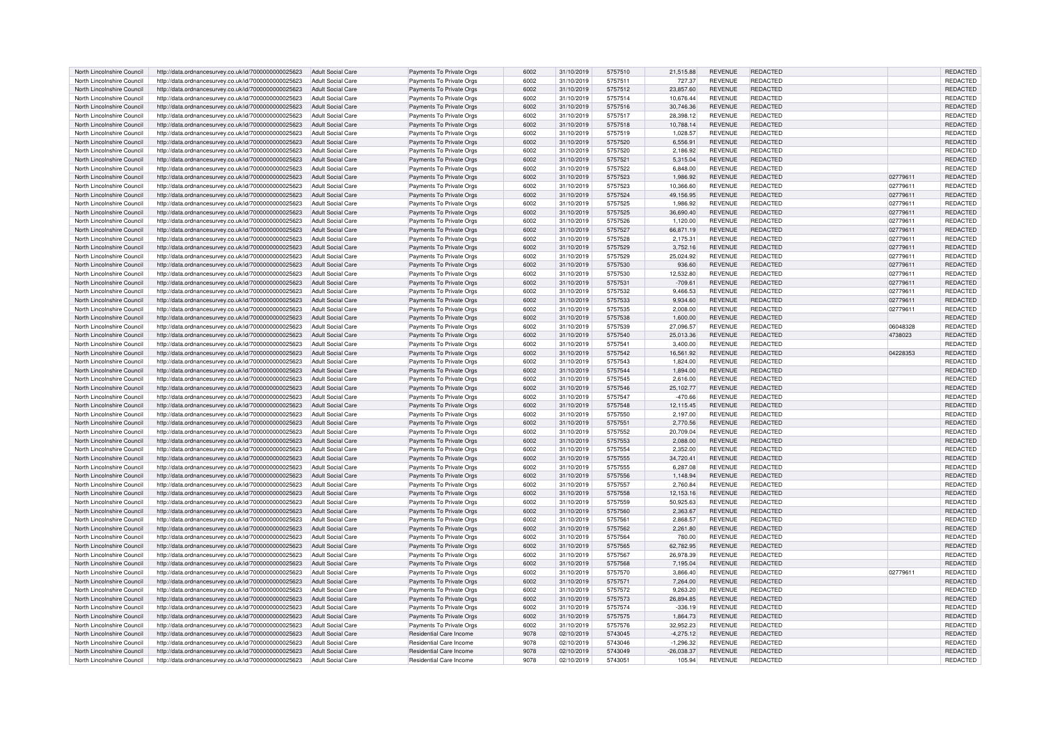| North Lincolnshire Council                               | http://data.ordnancesurvey.co.uk/id/7000000000025623                                                         | Adult Social Care                             | Payments To Private Orgs                             | 6002         | 31/10/2019               | 5757510            | 21.515.88             | REVENUE                          | REDACTED                    |                      | <b>REDACTED</b>             |
|----------------------------------------------------------|--------------------------------------------------------------------------------------------------------------|-----------------------------------------------|------------------------------------------------------|--------------|--------------------------|--------------------|-----------------------|----------------------------------|-----------------------------|----------------------|-----------------------------|
| North Lincolnshire Council                               | http://data.ordnancesurvey.co.uk/id/7000000000025623                                                         | <b>Adult Social Care</b>                      | Payments To Private Orgs                             | 6002         | 31/10/2019               | 5757511            | 727.37                | REVENUE                          | REDACTED                    |                      | REDACTED                    |
| North Lincolnshire Council                               | http://data.ordnancesurvey.co.uk/id/7000000000025623                                                         | Adult Social Care                             | Payments To Private Orgs                             | 6002         | 31/10/2019               | 5757512            | 23.857.60             | REVENUE                          | REDACTED                    |                      | REDACTED                    |
| North Lincolnshire Council                               | http://data.ordnancesurvey.co.uk/id/7000000000025623                                                         | <b>Adult Social Care</b>                      | Payments To Private Orgs                             | 6002         | 31/10/2019               | 5757514            | 10.676.44             | <b>REVENUE</b>                   | REDACTED                    |                      | REDACTED                    |
| North Lincolnshire Council                               | http://data.ordnancesurvey.co.uk/id/7000000000025623                                                         | <b>Adult Social Care</b>                      | Payments To Private Orgs                             | 6002         | 31/10/2019               | 5757516            | 30.746.36             | <b>REVENUE</b>                   | <b>REDACTED</b>             |                      | <b>REDACTED</b>             |
| North Lincolnshire Council                               | http://data.ordnancesurvey.co.uk/id/7000000000025623                                                         | Adult Social Care                             | Payments To Private Orgs                             | 6002         | 31/10/2019               | 5757517            | 28,398.12             | <b>REVENUE</b>                   | <b>REDACTED</b>             |                      | REDACTED                    |
| North Lincolnshire Council                               | http://data.ordnancesurvey.co.uk/id/7000000000025623                                                         | <b>Adult Social Care</b>                      | Payments To Private Orgs                             | 6002         | 31/10/2019               | 5757518            | 10,788.14             | <b>REVENUE</b>                   | <b>REDACTED</b>             |                      | REDACTED                    |
| North Lincolnshire Council                               | http://data.ordnancesurvey.co.uk/id/7000000000025623                                                         | Adult Social Care                             | Payments To Private Orgs                             | 6002         | 31/10/2019               | 5757519            | 1,028.57              | <b>REVENUE</b>                   | <b>REDACTED</b>             |                      | REDACTED                    |
| North Lincolnshire Council                               | http://data.ordnancesurvey.co.uk/id/7000000000025623                                                         | <b>Adult Social Care</b>                      | Payments To Private Orgs                             | 6002         | 31/10/2019               | 5757520            | 6,556.91              | <b>REVENUE</b>                   | <b>REDACTED</b>             |                      | REDACTED                    |
| North Lincolnshire Council                               | http://data.ordnancesurvey.co.uk/id/7000000000025623                                                         | <b>Adult Social Care</b>                      | Payments To Private Orgs                             | 6002         | 31/10/2019               | 5757520            | 2,186.92              | <b>REVENUE</b>                   | <b>REDACTED</b>             |                      | REDACTED                    |
| North Lincolnshire Council                               | http://data.ordnancesurvey.co.uk/id/7000000000025623                                                         | <b>Adult Social Care</b>                      | Payments To Private Orgs                             | 6002         | 31/10/2019               | 5757521            | 5,315.04              | <b>REVENUE</b>                   | <b>REDACTED</b>             |                      | REDACTED                    |
| North Lincolnshire Council                               | http://data.ordnancesurvey.co.uk/id/7000000000025623                                                         | <b>Adult Social Care</b>                      | Payments To Private Orgs                             | 6002         | 31/10/2019               | 5757522            | 6,848.00              | <b>REVENUE</b>                   | REDACTED                    |                      | <b>REDACTED</b>             |
| North Lincolnshire Council                               | http://data.ordnancesurvey.co.uk/id/7000000000025623                                                         | Adult Social Care                             | Payments To Private Orgs                             | 6002         | 31/10/2019               | 5757523            | 1,986.92              | <b>REVENUE</b>                   | <b>REDACTED</b>             | 02779611             | REDACTED                    |
| North Lincolnshire Council                               | http://data.ordnancesurvey.co.uk/id/7000000000025623                                                         | <b>Adult Social Care</b>                      | Payments To Private Orgs                             | 6002         | 31/10/2019               | 5757523            | 10,366.60             | <b>REVENUE</b>                   | REDACTED                    | 02779611             | REDACTED                    |
| North Lincolnshire Council                               | http://data.ordnancesurvey.co.uk/id/7000000000025623                                                         | Adult Social Care                             | Payments To Private Orgs                             | 6002         | 31/10/2019               | 5757524            | 49.156.95             | <b>REVENUE</b>                   | <b>REDACTED</b>             | 02779611             | REDACTED                    |
|                                                          |                                                                                                              |                                               |                                                      | 6002         |                          | 5757525            |                       | <b>REVENUE</b>                   |                             |                      | REDACTED                    |
| North Lincolnshire Council                               | http://data.ordnancesurvey.co.uk/id/7000000000025623                                                         | Adult Social Care<br>Adult Social Care        | Payments To Private Orgs                             | 6002         | 31/10/2019               | 5757525            | 1,986.92              | <b>REVENUE</b>                   | REDACTED<br><b>REDACTED</b> | 02779611<br>02779611 | <b>REDACTED</b>             |
| North Lincolnshire Council<br>North Lincolnshire Council | http://data.ordnancesurvey.co.uk/id/7000000000025623<br>http://data.ordnancesurvev.co.uk/id/7000000000025623 | Adult Social Care                             | Payments To Private Orgs<br>Payments To Private Oras | 6002         | 31/10/2019<br>31/10/2019 | 5757526            | 36,690.40<br>1.120.00 | <b>REVENUE</b>                   | REDACTED                    | 02779611             | REDACTED                    |
|                                                          |                                                                                                              |                                               |                                                      |              |                          |                    |                       |                                  |                             |                      |                             |
| North Lincolnshire Council                               | http://data.ordnancesurvey.co.uk/id/7000000000025623                                                         | Adult Social Care                             | Payments To Private Orgs                             | 6002         | 31/10/2019               | 5757527            | 66,871.19             | <b>REVENUE</b>                   | REDACTED                    | 02779611             | REDACTED                    |
| North Lincolnshire Council                               | http://data.ordnancesurvey.co.uk/id/7000000000025623                                                         | <b>Adult Social Care</b>                      | Payments To Private Orgs                             | 6002         | 31/10/2019               | 5757528            | 2,175.31              | <b>REVENUE</b>                   | REDACTED                    | 02779611             | REDACTED                    |
| North Lincolnshire Council                               | http://data.ordnancesurvey.co.uk/id/7000000000025623                                                         | Adult Social Care                             | Payments To Private Orgs                             | 6002         | 31/10/2019               | 5757529            | 3,752.16              | <b>REVENUE</b>                   | <b>REDACTED</b>             | 02779611             | <b>REDACTED</b>             |
| North Lincolnshire Council                               | http://data.ordnancesurvey.co.uk/id/7000000000025623                                                         | <b>Adult Social Care</b>                      | Payments To Private Orgs                             | 6002         | 31/10/2019               | 5757529            | 25,024.92             | <b>REVENUE</b>                   | REDACTED                    | 02779611             | REDACTED                    |
| North Lincolnshire Council                               | http://data.ordnancesurvey.co.uk/id/7000000000025623                                                         | Adult Social Care                             | Payments To Private Orgs                             | 6002         | 31/10/2019               | 5757530            | 936.60                | <b>REVENUE</b>                   | <b>REDACTED</b>             | 02779611             | <b>REDACTED</b>             |
| North Lincolnshire Council                               | http://data.ordnancesurvey.co.uk/id/7000000000025623                                                         | <b>Adult Social Care</b>                      | Payments To Private Orgs                             | 6002         | 31/10/2019               | 5757530            | 12,532.80             | <b>REVENUE</b>                   | REDACTED                    | 02779611             | REDACTED                    |
| North Lincolnshire Council                               | http://data.ordnancesurvey.co.uk/id/7000000000025623                                                         | <b>Adult Social Care</b>                      | Payments To Private Orgs                             | 6002         | 31/10/2019               | 5757531            | $-709.61$             | <b>REVENUE</b>                   | <b>REDACTED</b>             | 02779611             | REDACTED                    |
| North Lincolnshire Council                               | http://data.ordnancesurvey.co.uk/id/7000000000025623                                                         | <b>Adult Social Care</b>                      | Payments To Private Orgs                             | 6002         | 31/10/2019               | 5757532            | 9.466.53              | <b>REVENUE</b>                   | <b>REDACTED</b>             | 0277961              | REDACTED                    |
| North Lincolnshire Council                               | http://data.ordnancesurvey.co.uk/id/7000000000025623                                                         | <b>Adult Social Care</b>                      | Payments To Private Orgs                             | 6002         | 31/10/2019               | 5757533            | 9,934.60              | <b>REVENUE</b>                   | <b>REDACTED</b>             | 02779611             | <b>REDACTED</b>             |
| North Lincolnshire Council                               | http://data.ordnancesurvey.co.uk/id/7000000000025623                                                         | Adult Social Care                             | Payments To Private Orgs                             | 6002         | 31/10/2019               | 5757535            | 2,008.00              | <b>REVENUE</b>                   | REDACTED                    | 02779611             | REDACTED                    |
| North Lincolnshire Council                               | http://data.ordnancesurvey.co.uk/id/7000000000025623                                                         | <b>Adult Social Care</b>                      | Payments To Private Orgs                             | 6002         | 31/10/2019               | 5757538            | 1,600.00              | <b>REVENUE</b>                   | REDACTED                    |                      | REDACTED                    |
| North Lincolnshire Council                               | http://data.ordnancesurvey.co.uk/id/7000000000025623                                                         | <b>Adult Social Care</b>                      | Payments To Private Orgs                             | 6002         | 31/10/2019               | 5757539            | 27.096.57             | <b>REVENUE</b>                   | <b>REDACTED</b>             | 06048328             | REDACTED                    |
| North Lincolnshire Council                               | http://data.ordnancesurvey.co.uk/id/7000000000025623                                                         | Adult Social Care                             | Payments To Private Orgs                             | 6002         | 31/10/2019               | 5757540            | 25,013.36             | <b>REVENUE</b>                   | <b>REDACTED</b>             | 4738023              | REDACTED                    |
| North Lincolnshire Council                               | http://data.ordnancesurvey.co.uk/id/7000000000025623                                                         | <b>Adult Social Care</b>                      | Payments To Private Orgs                             | 6002         | 31/10/2019               | 5757541            | 3,400.00              | <b>REVENUE</b>                   | REDACTED                    |                      | REDACTED                    |
| North Lincolnshire Council                               | http://data.ordnancesurvev.co.uk/id/7000000000025623                                                         | Adult Social Care                             | Payments To Private Oras                             | 6002         | 31/10/2019               | 5757542            | 16.561.92             | <b>REVENUE</b>                   | <b>REDACTED</b>             | 04228353             | <b>REDACTED</b>             |
| North Lincolnshire Council                               | http://data.ordnancesurvey.co.uk/id/7000000000025623                                                         | <b>Adult Social Care</b>                      | Payments To Private Orgs                             | 6002         | 31/10/2019               | 5757543            | 1,824.00              | <b>REVENUE</b>                   | <b>REDACTED</b>             |                      | REDACTED                    |
| North Lincolnshire Council                               | http://data.ordnancesurvey.co.uk/id/7000000000025623                                                         | <b>Adult Social Care</b>                      | Payments To Private Orgs                             | 6002         | 31/10/2019               | 5757544            | 1,894.00              | <b>REVENUE</b>                   | <b>REDACTED</b>             |                      | REDACTED                    |
| North Lincolnshire Council                               | http://data.ordnancesurvev.co.uk/id/7000000000025623                                                         | <b>Adult Social Care</b>                      | Payments To Private Orgs                             | 6002         | 31/10/2019               | 5757545            | 2.616.00              | <b>REVENUE</b>                   | <b>REDACTED</b>             |                      | REDACTED                    |
| North Lincolnshire Council                               | http://data.ordnancesurvey.co.uk/id/7000000000025623                                                         | <b>Adult Social Care</b>                      | Payments To Private Orgs                             | 6002         | 31/10/2019               | 5757546            | 25,102.77             | <b>REVENUE</b>                   | <b>REDACTED</b>             |                      | REDACTED                    |
| North Lincolnshire Council                               | http://data.ordnancesurvey.co.uk/id/7000000000025623                                                         | <b>Adult Social Care</b>                      | Payments To Private Orgs                             | 6002         | 31/10/2019               | 5757547            | $-470.66$             | REVENUE                          | REDACTED                    |                      | <b>REDACTED</b>             |
| North Lincolnshire Council                               | http://data.ordnancesurvey.co.uk/id/7000000000025623                                                         | <b>Adult Social Care</b>                      | Payments To Private Orgs                             | 6002         | 31/10/2019               | 5757548            | 12,115.45             | <b>REVENUE</b>                   | <b>REDACTED</b>             |                      | REDACTED                    |
| North Lincolnshire Council                               | http://data.ordnancesurvey.co.uk/id/7000000000025623                                                         | <b>Adult Social Care</b>                      | Payments To Private Orgs                             | 6002         | 31/10/2019               | 5757550            | 2,197.00              | <b>REVENUE</b>                   | REDACTED                    |                      | REDACTED                    |
| North Lincolnshire Council                               | http://data.ordnancesurvey.co.uk/id/7000000000025623                                                         | Adult Social Care                             | Payments To Private Orgs                             | 6002         | 31/10/2019               | 5757551            | 2.770.56              | <b>REVENUE</b>                   | <b>REDACTED</b>             |                      | <b>REDACTED</b>             |
| North Lincolnshire Council                               | http://data.ordnancesurvey.co.uk/id/7000000000025623                                                         | Adult Social Care                             | Payments To Private Orgs                             | 6002         | 31/10/2019               | 5757552            | 20,709.04             | <b>REVENUE</b>                   | REDACTED                    |                      | REDACTED                    |
| North Lincolnshire Council                               | http://data.ordnancesurvey.co.uk/id/7000000000025623                                                         | <b>Adult Social Care</b>                      | Payments To Private Orgs                             | 6002         | 31/10/2019               | 5757553            | 2,088.00              | <b>REVENUE</b>                   | REDACTED                    |                      | REDACTED                    |
| North Lincolnshire Council                               | http://data.ordnancesurvey.co.uk/id/7000000000025623                                                         | <b>Adult Social Care</b>                      | Payments To Private Orgs                             | 6002         | 31/10/2019               | 5757554            | 2,352.00              | <b>REVENUE</b>                   | REDACTED                    |                      | REDACTED                    |
| North Lincolnshire Council                               | http://data.ordnancesurvey.co.uk/id/7000000000025623                                                         | <b>Adult Social Care</b>                      | Payments To Private Orgs                             | 6002         | 31/10/2019               | 5757555            | 34,720.41             | <b>REVENUE</b>                   | <b>REDACTED</b>             |                      | REDACTED                    |
| North Lincolnshire Council                               | http://data.ordnancesurvey.co.uk/id/7000000000025623                                                         | <b>Adult Social Care</b>                      | Payments To Private Orgs                             | 6002         | 31/10/2019               | 5757555            | 6,287.08              | <b>REVENUE</b>                   | REDACTED                    |                      | REDACTED                    |
| North Lincolnshire Council                               | http://data.ordnancesurvey.co.uk/id/7000000000025623                                                         | <b>Adult Social Care</b>                      | Payments To Private Orgs                             | 6002         | 31/10/2019               | 5757556            | 1,148.94              | <b>REVENUE</b>                   | <b>REDACTED</b>             |                      | REDACTED                    |
| North Lincolnshire Council                               | http://data.ordnancesurvey.co.uk/id/7000000000025623                                                         | <b>Adult Social Care</b>                      | Payments To Private Orgs                             | 6002         | 31/10/2019               | 5757557            | 2.760.84              | <b>REVENUE</b>                   | REDACTED                    |                      | REDACTED                    |
| North Lincolnshire Council                               | http://data.ordnancesurvey.co.uk/id/7000000000025623                                                         | <b>Adult Social Care</b>                      | Payments To Private Orgs                             | 6002         | 31/10/2019               | 5757558            | 12,153.16             | <b>REVENUE</b>                   | <b>REDACTED</b>             |                      | REDACTED                    |
|                                                          |                                                                                                              |                                               |                                                      |              |                          |                    |                       |                                  |                             |                      |                             |
| North Lincolnshire Council<br>North Lincolnshire Council | http://data.ordnancesurvey.co.uk/id/7000000000025623<br>http://data.ordnancesurvev.co.uk/id/7000000000025623 | <b>Adult Social Care</b><br>Adult Social Care | Payments To Private Orgs<br>Payments To Private Oras | 6002<br>6002 | 31/10/2019<br>31/10/2019 | 5757559<br>5757560 | 50,925.63<br>2.363.67 | <b>REVENUE</b><br><b>REVENUE</b> | REDACTED<br><b>REDACTED</b> |                      | REDACTED<br><b>REDACTED</b> |
| North Lincolnshire Council                               |                                                                                                              | Adult Social Care                             |                                                      | 6002         |                          | 5757561            | 286857                | <b>REVENUE</b>                   |                             |                      |                             |
|                                                          | http://data.ordnancesurvey.co.uk/id/7000000000025623                                                         |                                               | Payments To Private Orgs                             |              | 31/10/2019               |                    |                       |                                  | REDACTED                    |                      | REDACTED                    |
| North Lincolnshire Council                               | http://data.ordnancesurvey.co.uk/id/7000000000025623                                                         | <b>Adult Social Care</b>                      | Payments To Private Orgs                             | 6002         | 31/10/2019               | 5757562            | 2,261.80              | <b>REVENUE</b>                   | REDACTED                    |                      | REDACTED                    |
| North Lincolnshire Council                               | http://data.ordnancesurvev.co.uk/id/7000000000025623                                                         | <b>Adult Social Care</b>                      | Payments To Private Orgs                             | 6002         | 31/10/2019               | 5757564            | 780.00                | <b>REVENUE</b>                   | <b>REDACTED</b>             |                      | REDACTED                    |
| North Lincolnshire Council                               | http://data.ordnancesurvey.co.uk/id/7000000000025623                                                         | <b>Adult Social Care</b>                      | Payments To Private Orgs                             | 6002         | 31/10/2019               | 5757565            | 62,782.95             | <b>REVENUE</b>                   | <b>REDACTED</b>             |                      | REDACTED                    |
| North Lincolnshire Council                               | http://data.ordnancesurvey.co.uk/id/7000000000025623                                                         | <b>Adult Social Care</b>                      | Payments To Private Orgs                             | 6002         | 31/10/2019               | 5757567            | 26,978.39             | <b>REVENUE</b>                   | <b>REDACTED</b>             |                      | REDACTED                    |
| North Lincolnshire Council                               | http://data.ordnancesurvey.co.uk/id/7000000000025623                                                         | Adult Social Care                             | Payments To Private Orgs                             | 6002         | 31/10/2019               | 5757568            | 7,195.04              | <b>REVENUE</b>                   | <b>REDACTED</b>             |                      | <b>REDACTED</b>             |
| North Lincolnshire Council                               | http://data.ordnancesurvey.co.uk/id/7000000000025623                                                         | Adult Social Care                             | Payments To Private Orgs                             | 6002         | 31/10/2019               | 5757570            | 3,866.40              | <b>REVENUE</b>                   | REDACTED                    | 02779611             | REDACTED                    |
| North Lincolnshire Council                               | http://data.ordnancesurvey.co.uk/id/7000000000025623                                                         | Adult Social Care                             | Payments To Private Orgs                             | 6002         | 31/10/2019               | 5757571            | 7,264.00              | <b>REVENUE</b>                   | <b>REDACTED</b>             |                      | REDACTED                    |
| North Lincolnshire Council                               | http://data.ordnancesurvey.co.uk/id/7000000000025623                                                         | <b>Adult Social Care</b>                      | Payments To Private Orgs                             | 6002         | 31/10/2019               | 5757572            | 9,263.20              | <b>REVENUE</b>                   | <b>REDACTED</b>             |                      | REDACTED                    |
| North Lincolnshire Council                               | http://data.ordnancesurvey.co.uk/id/7000000000025623                                                         | <b>Adult Social Care</b>                      | Payments To Private Orgs                             | 6002         | 31/10/2019               | 5757573            | 26,894.85             | REVENUE                          | REDACTED                    |                      | <b>REDACTED</b>             |
| North Lincolnshire Council                               | http://data.ordnancesurvey.co.uk/id/7000000000025623                                                         | <b>Adult Social Care</b>                      | Payments To Private Orgs                             | 6002         | 31/10/2019               | 5757574            | $-336.19$             | <b>REVENUE</b>                   | <b>REDACTED</b>             |                      | REDACTED                    |
| North Lincolnshire Council                               | http://data.ordnancesurvey.co.uk/id/7000000000025623                                                         | <b>Adult Social Care</b>                      | Payments To Private Orgs                             | 6002         | 31/10/2019               | 5757575            | 1,864.73              | <b>REVENUE</b>                   | REDACTED                    |                      | REDACTED                    |
| North Lincolnshire Council                               | http://data.ordnancesurvey.co.uk/id/7000000000025623                                                         | <b>Adult Social Care</b>                      | Payments To Private Orgs                             | 6002         | 31/10/2019               | 5757576            | 32,952.23             | REVENUE                          | REDACTED                    |                      | REDACTED                    |
| North Lincolnshire Council                               | http://data.ordnancesurvey.co.uk/id/7000000000025623                                                         | <b>Adult Social Care</b>                      | Residential Care Income                              | 9078         | 02/10/2019               | 5743045            | $-4,275.12$           | <b>REVENUE</b>                   | REDACTED                    |                      | REDACTED                    |
| North Lincolnshire Council                               | http://data.ordnancesurvey.co.uk/id/7000000000025623                                                         | <b>Adult Social Care</b>                      | <b>Residential Care Incom</b>                        | 9078         | 02/10/2019               | 5743046            | $-1.296.32$           | <b>REVENUE</b>                   | REDACTED                    |                      | REDACTED                    |
| North Lincolnshire Council                               | http://data.ordnancesurvey.co.uk/id/7000000000025623                                                         | <b>Adult Social Care</b>                      | <b>Residential Care Income</b>                       | 9078         | 02/10/2019               | 5743049            | $-26,038.37$          | <b>REVENUE</b>                   | <b>REDACTED</b>             |                      | <b>REDACTED</b>             |
| North Lincolnshire Council                               | http://data.ordnancesurvey.co.uk/id/7000000000025623                                                         | Adult Social Care                             | Residential Care Income                              | 9078         | 02/10/2019               | 5743051            | 105.94                | <b>REVENUE</b>                   | REDACTED                    |                      | REDACTED                    |
|                                                          |                                                                                                              |                                               |                                                      |              |                          |                    |                       |                                  |                             |                      |                             |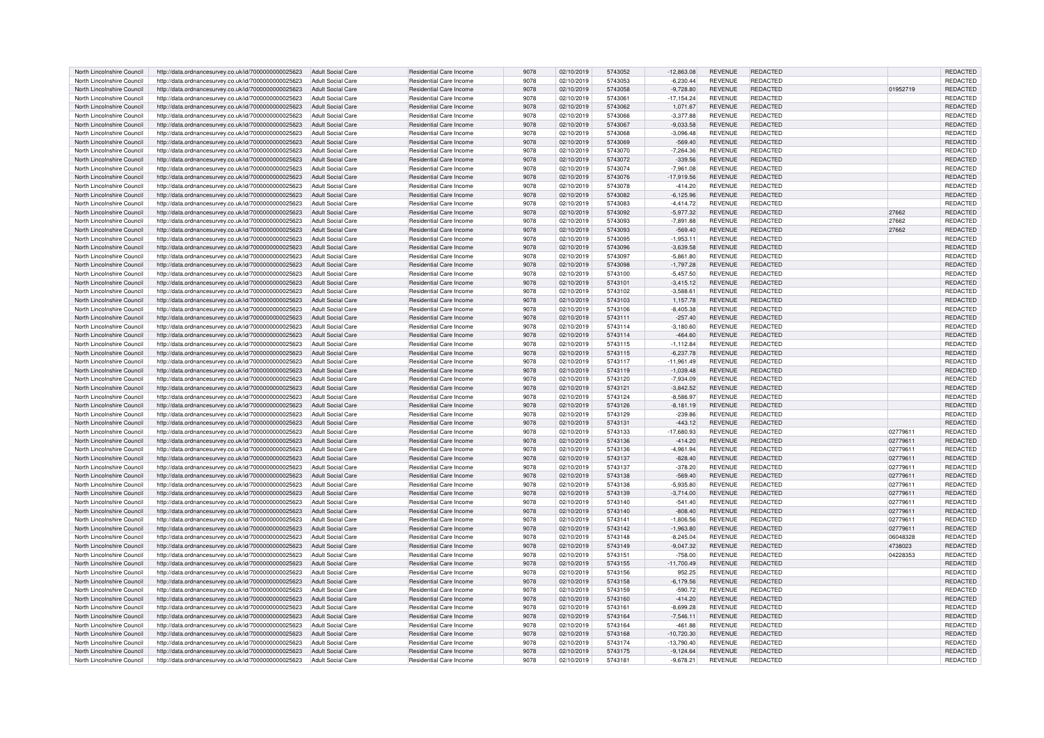| North Lincolnshire Council                               | http://data.ordnancesurvey.co.uk/id/7000000000025623                                                         | Adult Social Care                                    | Residential Care Income                                   | 9078         | 02/10/2019               | 5743052            | $-12,863.08$               | <b>REVENUE</b>            | <b>REDACTED</b>             |          | <b>REDACTED</b> |
|----------------------------------------------------------|--------------------------------------------------------------------------------------------------------------|------------------------------------------------------|-----------------------------------------------------------|--------------|--------------------------|--------------------|----------------------------|---------------------------|-----------------------------|----------|-----------------|
| North Lincolnshire Council                               | http://data.ordnancesurvey.co.uk/id/7000000000025623                                                         | Adult Social Care                                    | Residential Care Income                                   | 9078         | 02/10/2019               | 5743053            | $-6,230.44$                | <b>REVENUE</b>            | REDACTED                    |          | REDACTED        |
| North Lincolnshire Council                               | http://data.ordnancesurvey.co.uk/id/7000000000025623                                                         | <b>Adult Social Care</b>                             | <b>Residential Care Income</b>                            | 9078         | 02/10/2019               | 5743058            | $-9,728.80$                | <b>REVENUE</b>            | REDACTED                    | 01952719 | REDACTED        |
| North Lincolnshire Council                               | http://data.ordnancesurvey.co.uk/id/7000000000025623                                                         | <b>Adult Social Care</b>                             | Residential Care Income                                   | 9078         | 02/10/2019               | 5743061            | $-17, 154.24$              | <b>REVENUE</b>            | REDACTED                    |          | REDACTED        |
| North Lincolnshire Council                               | http://data.ordnancesurvey.co.uk/id/7000000000025623                                                         | <b>Adult Social Care</b>                             | Residential Care Income                                   | 9078         | 02/10/2019               | 5743062            | 1.071.67                   | <b>REVENUE</b>            | REDACTED                    |          | <b>REDACTED</b> |
| North Lincolnshire Council                               | http://data.ordnancesurvey.co.uk/id/7000000000025623                                                         | <b>Adult Social Care</b>                             | Residential Care Income                                   | 9078         | 02/10/2019               | 5743066            | $-3,377.88$                | <b>REVENUE</b>            | REDACTED                    |          | REDACTED        |
| North Lincolnshire Council                               | http://data.ordnancesurvey.co.uk/id/7000000000025623                                                         | <b>Adult Social Care</b>                             | <b>Residential Care Income</b>                            | 9078         | 02/10/2019               | 5743067            | $-9,033.58$                | <b>REVENUE</b>            | REDACTED                    |          | REDACTED        |
| North Lincolnshire Council                               | http://data.ordnancesurvey.co.uk/id/7000000000025623                                                         | <b>Adult Social Care</b>                             | Residential Care Income                                   | 9078         | 02/10/2019               | 5743068            | $-3,096.48$                | <b>REVENUE</b>            | <b>REDACTED</b>             |          | REDACTED        |
| North Lincolnshire Council                               | http://data.ordnancesurvey.co.uk/id/7000000000025623                                                         | <b>Adult Social Care</b>                             | Residential Care Income                                   | 9078         | 02/10/2019               | 5743069            | $-569.40$                  | <b>REVENUE</b>            | <b>REDACTED</b>             |          | <b>REDACTED</b> |
| North Lincolnshire Council                               | http://data.ordnancesurvey.co.uk/id/7000000000025623                                                         | <b>Adult Social Care</b>                             | Residential Care Income                                   | 9078         | 02/10/2019               | 5743070            | $-7,264.36$                | <b>REVENUE</b>            | REDACTED                    |          | REDACTED        |
| North Lincolnshire Council                               | http://data.ordnancesurvey.co.uk/id/7000000000025623                                                         | <b>Adult Social Care</b>                             | Residential Care Income                                   | 9078         | 02/10/2019               | 5743072            | $-339.56$                  | <b>REVENUE</b>            | REDACTED                    |          | REDACTED        |
| North Lincolnshire Council                               | http://data.ordnancesurvey.co.uk/id/7000000000025623                                                         | Adult Social Care                                    | <b>Residential Care Income</b>                            | 9078         | 02/10/2019               | 5743074            | $-7,961.08$                | REVENUE                   | REDACTED                    |          | <b>REDACTED</b> |
| North Lincolnshire Council                               | http://data.ordnancesurvey.co.uk/id/7000000000025623                                                         | <b>Adult Social Care</b>                             | <b>Residential Care Income</b>                            | 9078         | 02/10/2019               | 5743076            | $-17,919.56$               | <b>REVENUE</b>            | REDACTED                    |          | REDACTED        |
| North Lincolnshire Council                               | http://data.ordnancesurvey.co.uk/id/7000000000025623                                                         | <b>Adult Social Care</b>                             | Residential Care Income                                   | 9078         | 02/10/2019               | 5743078            | $-414.20$                  | <b>REVENUE</b>            | REDACTED                    |          | REDACTED        |
| North Lincolnshire Council                               | http://data.ordnancesurvey.co.uk/id/7000000000025623                                                         | <b>Adult Social Care</b>                             | <b>Residential Care Income</b>                            | 9078         | 02/10/2019               | 5743082            | $-6.125.96$                | <b>REVENUE</b>            | REDACTED                    |          | REDACTED        |
|                                                          |                                                                                                              |                                                      |                                                           |              |                          |                    |                            |                           |                             |          |                 |
| North Lincolnshire Council                               | http://data.ordnancesurvey.co.uk/id/7000000000025623                                                         | <b>Adult Social Care</b><br><b>Adult Social Care</b> | Residential Care Income                                   | 9078<br>9078 | 02/10/2019               | 5743083<br>5743092 | $-4.414.72$                | <b>REVENUE</b><br>REVENUE | REDACTED<br><b>REDACTED</b> | 27662    | REDACTED        |
| North Lincolnshire Council<br>North Lincolnshire Council | http://data.ordnancesurvey.co.uk/id/7000000000025623<br>http://data.ordnancesurvev.co.uk/id/7000000000025623 | <b>Adult Social Care</b>                             | <b>Residential Care Income</b><br>Residential Care Income | 9078         | 02/10/2019<br>02/10/2019 | 5743093            | $-5,977.32$<br>$-7.891.88$ | <b>REVENUE</b>            | REDACTED                    |          | REDACTED        |
|                                                          |                                                                                                              |                                                      |                                                           |              |                          |                    |                            |                           |                             | 27662    | REDACTED        |
| North Lincolnshire Council                               | http://data.ordnancesurvey.co.uk/id/7000000000025623                                                         | <b>Adult Social Care</b>                             | <b>Residential Care Income</b>                            | 9078         | 02/10/2019               | 5743093            | $-569.40$                  | <b>REVENUE</b>            | REDACTED                    | 27662    | REDACTED        |
| North Lincolnshire Council                               | http://data.ordnancesurvey.co.uk/id/7000000000025623                                                         | <b>Adult Social Care</b>                             | Residential Care Income                                   | 9078         | 02/10/2019               | 5743095            | $-1,953.11$                | <b>REVENUE</b>            | <b>REDACTED</b>             |          | REDACTED        |
| North Lincolnshire Council                               | http://data.ordnancesurvey.co.uk/id/7000000000025623                                                         | Adult Social Care                                    | Residential Care Income                                   | 9078         | 02/10/2019               | 5743096            | $-3,639.58$                | <b>REVENUE</b>            | REDACTED                    |          | <b>REDACTED</b> |
| North Lincolnshire Council                               | http://data.ordnancesurvey.co.uk/id/7000000000025623                                                         | <b>Adult Social Care</b>                             | Residential Care Income                                   | 9078         | 02/10/2019               | 5743097            | $-5,861.80$                | REVENUE                   | REDACTED                    |          | REDACTED        |
| North Lincolnshire Council                               | http://data.ordnancesurvey.co.uk/id/7000000000025623                                                         | <b>Adult Social Care</b>                             | Residential Care Income                                   | 9078         | 02/10/2019               | 5743098            | $-1,797.28$                | <b>REVENUE</b>            | REDACTED                    |          | REDACTED        |
| North Lincolnshire Council                               | http://data.ordnancesurvey.co.uk/id/7000000000025623                                                         | <b>Adult Social Care</b>                             | Residential Care Income                                   | 9078         | 02/10/2019               | 5743100            | $-5,457.50$                | <b>REVENUE</b>            | REDACTED                    |          | REDACTED        |
| North Lincolnshire Council                               | http://data.ordnancesurvey.co.uk/id/7000000000025623                                                         | <b>Adult Social Care</b>                             | <b>Residential Care Income</b>                            | 9078         | 02/10/2019               | 5743101            | $-3,415.12$                | <b>REVENUE</b>            | REDACTED                    |          | REDACTED        |
| North Lincolnshire Council                               | http://data.ordnancesurvey.co.uk/id/7000000000025623                                                         | Adult Social Care                                    | <b>Residential Care Income</b>                            | 9078         | 02/10/2019               | 5743102            | $-3.588.61$                | <b>REVENUE</b>            | REDACTED                    |          | REDACTED        |
| North Lincolnshire Council                               | http://data.ordnancesurvey.co.uk/id/7000000000025623                                                         | <b>Adult Social Care</b>                             | <b>Residential Care Income</b>                            | 9078         | 02/10/2019               | 5743103            | 1,157.78                   | <b>REVENUE</b>            | <b>REDACTED</b>             |          | <b>REDACTED</b> |
| North Lincolnshire Council                               | http://data.ordnancesurvey.co.uk/id/7000000000025623                                                         | <b>Adult Social Care</b>                             | Residential Care Income                                   | 9078         | 02/10/2019               | 5743106            | $-8,405.38$                | <b>REVENUE</b>            | REDACTED                    |          | REDACTED        |
| North Lincolnshire Council                               | http://data.ordnancesurvey.co.uk/id/7000000000025623                                                         | <b>Adult Social Care</b>                             | Residential Care Income                                   | 9078         | 02/10/2019               | 5743111            | $-257.40$                  | <b>REVENUE</b>            | REDACTED                    |          | REDACTED        |
| North Lincolnshire Council                               | http://data.ordnancesurvey.co.uk/id/7000000000025623                                                         | Adult Social Care                                    | Residential Care Income                                   | 9078         | 02/10/2019               | 5743114            | $-3,180.60$                | <b>REVENUE</b>            | REDACTED                    |          | <b>REDACTED</b> |
| North Lincolnshire Council                               | http://data.ordnancesurvey.co.uk/id/7000000000025623                                                         | <b>Adult Social Care</b>                             | Residential Care Income                                   | 9078         | 02/10/2019               | 5743114            | $-464.60$                  | <b>REVENUE</b>            | <b>REDACTED</b>             |          | REDACTED        |
| North Lincolnshire Council                               | http://data.ordnancesurvey.co.uk/id/7000000000025623                                                         | <b>Adult Social Care</b>                             | Residential Care Income                                   | 9078         | 02/10/2019               | 5743115            | $-1,112.84$                | <b>REVENUE</b>            | REDACTED                    |          | REDACTED        |
| North Lincolnshire Council                               | http://data.ordnancesurvey.co.uk/id/7000000000025623                                                         | <b>Adult Social Care</b>                             | Residential Care Income                                   | 9078         | 02/10/2019               | 5743115            | $-6.237.78$                | <b>REVENUE</b>            | REDACTED                    |          | <b>REDACTED</b> |
| North Lincolnshire Council                               | http://data.ordnancesurvey.co.uk/id/7000000000025623                                                         | <b>Adult Social Care</b>                             | Residential Care Income                                   | 9078         | 02/10/2019               | 5743117            | $-11,961.49$               | <b>REVENUE</b>            | REDACTED                    |          | REDACTED        |
| North Lincolnshire Council                               | http://data.ordnancesurvey.co.uk/id/7000000000025623                                                         | <b>Adult Social Care</b>                             | Residential Care Income                                   | 9078         | 02/10/2019               | 5743119            | $-1,039.48$                | <b>REVENUE</b>            | REDACTED                    |          | REDACTED        |
| North Lincolnshire Council                               | http://data.ordnancesurvey.co.uk/id/7000000000025623                                                         | <b>Adult Social Care</b>                             | Residential Care Income                                   | 9078         | 02/10/2019               | 5743120            | $-7.934.09$                | <b>REVENUE</b>            | REDACTED                    |          | REDACTED        |
| North Lincolnshire Council                               | http://data.ordnancesurvey.co.uk/id/7000000000025623                                                         | <b>Adult Social Care</b>                             | Residential Care Income                                   | 9078         | 02/10/2019               | 5743121            | $-3,842.52$                | <b>REVENUE</b>            | REDACTED                    |          | REDACTED        |
| North Lincolnshire Council                               | http://data.ordnancesurvey.co.uk/id/7000000000025623                                                         | Adult Social Care                                    | Residential Care Income                                   | 9078         | 02/10/2019               | 5743124            | $-8,586.97$                | <b>REVENUE</b>            | <b>REDACTED</b>             |          | REDACTED        |
| North Lincolnshire Council                               | http://data.ordnancesurvey.co.uk/id/7000000000025623                                                         | <b>Adult Social Care</b>                             | Residential Care Income                                   | 9078         | 02/10/2019               | 5743126            | $-8,181.19$                | <b>REVENUE</b>            | REDACTED                    |          | REDACTED        |
| North Lincolnshire Council                               | http://data.ordnancesurvey.co.uk/id/7000000000025623                                                         | <b>Adult Social Care</b>                             | Residential Care Income                                   | 9078         | 02/10/2019               | 5743129            | $-239.86$                  | REVENUE                   | REDACTED                    |          | REDACTED        |
| North Lincolnshire Council                               | http://data.ordnancesurvey.co.uk/id/7000000000025623                                                         | <b>Adult Social Care</b>                             | Residential Care Income                                   | 9078         | 02/10/2019               | 5743131            | $-443.12$                  | <b>REVENUE</b>            | REDACTED                    |          | REDACTED        |
| North Lincolnshire Council                               | http://data.ordnancesurvey.co.uk/id/7000000000025623                                                         | <b>Adult Social Care</b>                             | Residential Care Income                                   | 9078         | 02/10/2019               | 5743133            | $-17,680.93$               | <b>REVENUE</b>            | <b>REDACTED</b>             | 02779611 | REDACTED        |
| North Lincolnshire Council                               | http://data.ordnancesurvey.co.uk/id/7000000000025623                                                         | <b>Adult Social Care</b>                             | <b>Residential Care Income</b>                            | 9078         | 02/10/2019               | 5743136            | $-414.20$                  | <b>REVENUE</b>            | REDACTED                    | 02779611 | REDACTED        |
| North Lincolnshire Council                               | http://data.ordnancesurvey.co.uk/id/7000000000025623                                                         | Adult Social Care                                    | Residential Care Income                                   | 9078         | 02/10/2019               | 5743136            | $-4,961.94$                | <b>REVENUE</b>            | <b>REDACTED</b>             | 02779611 | REDACTED        |
| North Lincolnshire Council                               | http://data.ordnancesurvey.co.uk/id/7000000000025623                                                         | <b>Adult Social Care</b>                             | Residential Care Income                                   | 9078         | 02/10/2019               | 5743137            | $-828.40$                  | <b>REVENUE</b>            | <b>REDACTED</b>             | 02779611 | REDACTED        |
| North Lincolnshire Council                               | http://data.ordnancesurvey.co.uk/id/7000000000025623                                                         | <b>Adult Social Care</b>                             | Residential Care Income                                   | 9078         | 02/10/2019               | 5743137            | $-378.20$                  | <b>REVENUE</b>            | REDACTED                    | 02779611 | REDACTED        |
| North Lincolnshire Council                               | http://data.ordnancesurvey.co.uk/id/7000000000025623                                                         | <b>Adult Social Care</b>                             | Residential Care Income                                   | 9078         | 02/10/2019               | 5743138            | $-569.40$                  | <b>REVENUE</b>            | <b>REDACTED</b>             | 02779611 | REDACTED        |
| North Lincolnshire Council                               | http://data.ordnancesurvey.co.uk/id/7000000000025623                                                         | Adult Social Care                                    | Residential Care Income                                   | 9078         | 02/10/2019               | 5743138            | $-5,935.80$                | <b>REVENUE</b>            | REDACTED                    | 02779611 | <b>REDACTED</b> |
| North Lincolnshire Council                               | http://data.ordnancesurvey.co.uk/id/7000000000025623                                                         | <b>Adult Social Care</b>                             | Residential Care Income                                   | 9078         | 02/10/2019               | 5743139            | $-3,714.00$                | <b>REVENUE</b>            | <b>REDACTED</b>             | 02779611 | REDACTED        |
| North Lincolnshire Council                               | http://data.ordnancesurvey.co.uk/id/7000000000025623                                                         | <b>Adult Social Care</b>                             | Residential Care Income                                   | 9078         | 02/10/2019               | 5743140            | $-541.40$                  | <b>REVENUE</b>            | REDACTED                    | 02779611 | REDACTED        |
| North Lincolnshire Council                               | http://data.ordnancesurvey.co.uk/id/7000000000025623                                                         | <b>Adult Social Care</b>                             | Residential Care Income                                   | 9078         | 02/10/2019               | 5743140            | $-808.40$                  | <b>REVENUE</b>            | REDACTED                    | 02779611 | <b>REDACTED</b> |
| North Lincolnshire Council                               | http://data.ordnancesurvey.co.uk/id/7000000000025623                                                         | <b>Adult Social Care</b>                             | Residential Care Income                                   | 9078         | 02/10/2019               | 5743141            | $-1,806.56$                | <b>REVENUE</b>            | <b>REDACTED</b>             | 02779611 | REDACTED        |
| North Lincolnshire Council                               | http://data.ordnancesurvey.co.uk/id/7000000000025623                                                         | <b>Adult Social Care</b>                             | Residential Care Income                                   | 9078         | 02/10/2019               | 5743142            | $-1,963.80$                | <b>REVENUE</b>            | <b>REDACTED</b>             | 02779611 | REDACTED        |
| North Lincolnshire Council                               | http://data.ordnancesurvey.co.uk/id/7000000000025623                                                         | <b>Adult Social Care</b>                             | Residential Care Income                                   | 9078         | 02/10/2019               | 5743148            | $-8.245.04$                | <b>REVENUE</b>            | REDACTED                    | 06048328 | REDACTED        |
|                                                          |                                                                                                              |                                                      |                                                           |              |                          |                    |                            |                           |                             |          |                 |
| North Lincolnshire Council                               | http://data.ordnancesurvey.co.uk/id/7000000000025623                                                         | <b>Adult Social Care</b>                             | Residential Care Income                                   | 9078         | 02/10/2019               | 5743149            | $-9,047.32$                | <b>REVENUE</b>            | REDACTED                    | 4738023  | REDACTED        |
| North Lincolnshire Council                               | http://data.ordnancesurvey.co.uk/id/7000000000025623                                                         | <b>Adult Social Care</b>                             | Residential Care Income                                   | 9078         | 02/10/2019               | 5743151            | $-758.00$                  | <b>REVENUE</b>            | <b>REDACTED</b>             | 04228353 | REDACTED        |
| North Lincolnshire Council                               | http://data.ordnancesurvey.co.uk/id/7000000000025623                                                         | <b>Adult Social Care</b>                             | Residential Care Income                                   | 9078         | 02/10/2019               | 5743155            | $-11,700.49$               | <b>REVENUE</b>            | REDACTED                    |          | <b>REDACTED</b> |
| North Lincolnshire Council                               | http://data.ordnancesurvey.co.uk/id/7000000000025623                                                         | <b>Adult Social Care</b>                             | Residential Care Income                                   | 9078         | 02/10/2019               | 5743156            | 952.25                     | <b>REVENUE</b>            | REDACTED                    |          | REDACTED        |
| North Lincolnshire Council                               | http://data.ordnancesurvey.co.uk/id/7000000000025623                                                         | Adult Social Care                                    | Residential Care Income                                   | 9078         | 02/10/2019               | 5743158            | $-6,179.56$                | <b>REVENUE</b>            | REDACTED                    |          | REDACTED        |
| North Lincolnshire Council                               | http://data.ordnancesurvey.co.uk/id/7000000000025623                                                         | <b>Adult Social Care</b>                             | Residential Care Income                                   | 9078         | 02/10/2019               | 5743159            | $-590.72$                  | <b>REVENUE</b>            | REDACTED                    |          | <b>REDACTED</b> |
| North Lincolnshire Council                               | http://data.ordnancesurvey.co.uk/id/7000000000025623                                                         | Adult Social Care                                    | <b>Residential Care Income</b>                            | 9078         | 02/10/2019               | 5743160            | $-414.20$                  | <b>REVENUE</b>            | <b>REDACTED</b>             |          | <b>REDACTED</b> |
| North Lincolnshire Council                               | http://data.ordnancesurvey.co.uk/id/7000000000025623                                                         | <b>Adult Social Care</b>                             | Residential Care Income                                   | 9078         | 02/10/2019               | 5743161            | $-8.699.28$                | <b>REVENUE</b>            | REDACTED                    |          | REDACTED        |
| North Lincolnshire Council                               | http://data.ordnancesurvey.co.uk/id/7000000000025623                                                         | <b>Adult Social Care</b>                             | Residential Care Income                                   | 9078         | 02/10/2019               | 5743164            | $-7,546.11$                | <b>REVENUE</b>            | <b>REDACTED</b>             |          | REDACTED        |
| North Lincolnshire Council                               | http://data.ordnancesurvey.co.uk/id/7000000000025623                                                         | <b>Adult Social Care</b>                             | Residential Care Income                                   | 9078         | 02/10/2019               | 5743164            | $-461.88$                  | <b>REVENUE</b>            | REDACTED                    |          | REDACTED        |
| North Lincolnshire Council                               | http://data.ordnancesurvey.co.uk/id/7000000000025623                                                         | <b>Adult Social Care</b>                             | Residential Care Income                                   | 9078         | 02/10/2019               | 5743168            | $-10,720.30$               | <b>REVENUE</b>            | <b>REDACTED</b>             |          | REDACTED        |
| North Lincolnshire Council                               | http://data.ordnancesurvey.co.uk/id/7000000000025623                                                         | <b>Adult Social Care</b>                             | <b>Residential Care Income</b>                            | 9078         | 02/10/2019               | 5743174            | $-13,790.40$               | <b>REVENUE</b>            | <b>REDACTED</b>             |          | REDACTED        |
| North Lincolnshire Council                               | http://data.ordnancesurvey.co.uk/id/7000000000025623                                                         | <b>Adult Social Care</b>                             | <b>Residential Care Income</b>                            | 9078         | 02/10/2019               | 5743175            | $-9,124.64$                | <b>REVENUE</b>            | <b>REDACTED</b>             |          | <b>REDACTED</b> |
| North Lincolnshire Council                               | http://data.ordnancesurvey.co.uk/id/7000000000025623                                                         | Adult Social Care                                    | Residential Care Income                                   | 9078         | 02/10/2019               | 5743181            | $-9,678.21$                | <b>REVENUE</b>            | REDACTED                    |          | REDACTED        |
|                                                          |                                                                                                              |                                                      |                                                           |              |                          |                    |                            |                           |                             |          |                 |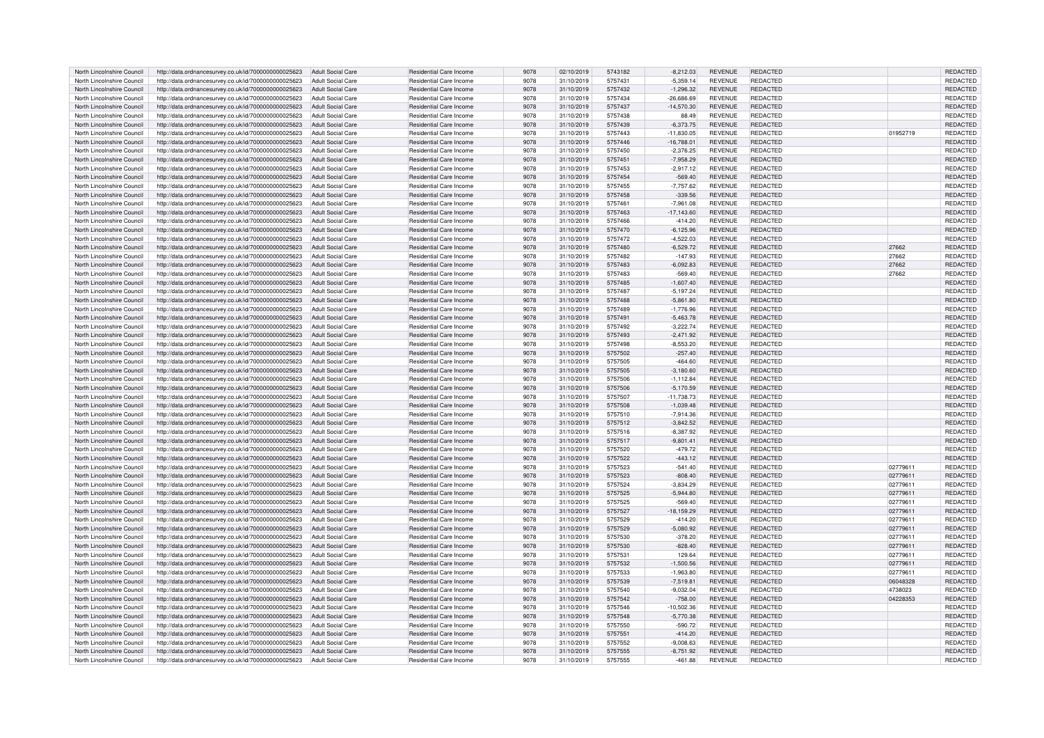| North Lincolnshire Council                               | http://data.ordnancesurvey.co.uk/id/7000000000025623                                                         | Adult Social Care                             | Residential Care Income                                   | 9078         | 02/10/2019               | 5743182            | $-8,212.03$  | <b>REVENUE</b>                   | <b>REDACTED</b>                    |          | REDACTED        |
|----------------------------------------------------------|--------------------------------------------------------------------------------------------------------------|-----------------------------------------------|-----------------------------------------------------------|--------------|--------------------------|--------------------|--------------|----------------------------------|------------------------------------|----------|-----------------|
| North Lincolnshire Council                               | http://data.ordnancesurvey.co.uk/id/7000000000025623                                                         | Adult Social Care                             | Residential Care Income                                   | 9078         | 31/10/2019               | 5757431            | $-5,359.14$  | <b>REVENUE</b>                   | REDACTED                           |          | REDACTED        |
| North Lincolnshire Council                               | http://data.ordnancesurvey.co.uk/id/7000000000025623                                                         | <b>Adult Social Care</b>                      | <b>Residential Care Income</b>                            | 9078         | 31/10/2019               | 5757432            | $-1,296.32$  | <b>REVENUE</b>                   | <b>REDACTED</b>                    |          | REDACTED        |
| North Lincolnshire Council                               | http://data.ordnancesurvey.co.uk/id/7000000000025623                                                         | <b>Adult Social Care</b>                      | Residential Care Income                                   | 9078         | 31/10/2019               | 5757434            | $-26,686.69$ | <b>REVENUE</b>                   | <b>REDACTED</b>                    |          | REDACTED        |
| North Lincolnshire Council                               | http://data.ordnancesurvey.co.uk/id/7000000000025623                                                         | <b>Adult Social Care</b>                      | Residential Care Income                                   | 9078         | 31/10/2019               | 5757437            | $-14.570.30$ | <b>REVENUE</b>                   | <b>REDACTED</b>                    |          | REDACTED        |
| North Lincolnshire Council                               | http://data.ordnancesurvey.co.uk/id/7000000000025623                                                         | Adult Social Care                             | Residential Care Income                                   | 9078         | 31/10/2019               | 5757438            | 88.49        | <b>REVENUE</b>                   | <b>REDACTED</b>                    |          | REDACTED        |
| North Lincolnshire Council                               | http://data.ordnancesurvey.co.uk/id/7000000000025623                                                         | <b>Adult Social Care</b>                      | <b>Residential Care Income</b>                            | 9078         | 31/10/2019               | 5757439            | $-6,373.75$  | <b>REVENUE</b>                   | <b>REDACTED</b>                    |          | REDACTED        |
| North Lincolnshire Council                               | http://data.ordnancesurvey.co.uk/id/7000000000025623                                                         | Adult Social Care                             | Residential Care Income                                   | 9078         | 31/10/2019               | 5757443            | $-11,830.05$ | <b>REVENUE</b>                   | REDACTED                           | 01952719 | REDACTED        |
| North Lincolnshire Council                               | http://data.ordnancesurvey.co.uk/id/7000000000025623                                                         | <b>Adult Social Care</b>                      | <b>Residential Care Income</b>                            | 9078         | 31/10/2019               | 5757446            | $-16,788.01$ | <b>REVENUE</b>                   | <b>REDACTED</b>                    |          | <b>REDACTED</b> |
| North Lincolnshire Council                               | http://data.ordnancesurvey.co.uk/id/7000000000025623                                                         | <b>Adult Social Care</b>                      | Residential Care Income                                   | 9078         | 31/10/2019               | 5757450            | $-2,376.25$  | <b>REVENUE</b>                   | <b>REDACTED</b>                    |          | REDACTED        |
| North Lincolnshire Council                               | http://data.ordnancesurvey.co.uk/id/7000000000025623                                                         | <b>Adult Social Care</b>                      | Residential Care Income                                   | 9078         | 31/10/2019               | 5757451            | $-7,958.29$  | <b>REVENUE</b>                   | <b>REDACTED</b>                    |          | REDACTED        |
| North Lincolnshire Council                               | http://data.ordnancesurvey.co.uk/id/7000000000025623                                                         | Adult Social Care                             | Residential Care Income                                   | 9078         | 31/10/2019               | 5757453            | $-2,917.12$  | REVENUE                          | REDACTED                           |          | REDACTED        |
| North Lincolnshire Council                               | http://data.ordnancesurvey.co.uk/id/7000000000025623                                                         | <b>Adult Social Care</b>                      | <b>Residential Care Income</b>                            | 9078         | 31/10/2019               | 5757454            | $-569.40$    | <b>REVENUE</b>                   | <b>REDACTED</b>                    |          | REDACTED        |
| North Lincolnshire Council                               | http://data.ordnancesurvey.co.uk/id/7000000000025623                                                         | <b>Adult Social Care</b>                      | Residential Care Income                                   | 9078         | 31/10/2019               | 5757455            | $-7,757.62$  | <b>REVENUE</b>                   | <b>REDACTED</b>                    |          | REDACTED        |
| North Lincolnshire Council                               | http://data.ordnancesurvey.co.uk/id/7000000000025623                                                         | <b>Adult Social Care</b>                      | <b>Residential Care Income</b>                            | 9078         | 31/10/2019               | 5757458            | $-339.56$    | <b>REVENUE</b>                   | <b>REDACTED</b>                    |          | REDACTED        |
| North Lincolnshire Council                               | http://data.ordnancesurvey.co.uk/id/7000000000025623                                                         | <b>Adult Social Care</b>                      | Residential Care Income                                   | 9078         | 31/10/2019               | 5757461            | $-7,961.08$  | <b>REVENUE</b>                   | <b>REDACTED</b>                    |          | REDACTED        |
| North Lincolnshire Council                               | http://data.ordnancesurvey.co.uk/id/7000000000025623                                                         | Adult Social Care                             | Residential Care Income                                   | 9078         | 31/10/2019               | 5757463            | $-17,143.60$ | <b>REVENUE</b>                   | <b>REDACTED</b>                    |          | REDACTED        |
| North Lincolnshire Council                               | http://data.ordnancesurvev.co.uk/id/7000000000025623                                                         | <b>Adult Social Care</b>                      | Residential Care Income                                   | 9078         | 31/10/2019               | 5757466            | $-414.20$    | <b>REVENUE</b>                   | REDACTED                           |          | REDACTED        |
| North Lincolnshire Council                               | http://data.ordnancesurvey.co.uk/id/7000000000025623                                                         | <b>Adult Social Care</b>                      | <b>Residential Care Income</b>                            | 9078         | 31/10/2019               | 5757470            | $-6,125.96$  | REVENUE                          | REDACTED                           |          | REDACTED        |
| North Lincolnshire Council                               | http://data.ordnancesurvey.co.uk/id/7000000000025623                                                         | <b>Adult Social Care</b>                      | Residential Care Income                                   | 9078         | 31/10/2019               | 5757472            | $-4,522.03$  | <b>REVENUE</b>                   | REDACTED                           |          | REDACTED        |
| North Lincolnshire Council                               |                                                                                                              | Adult Social Care                             | <b>Residential Care Income</b>                            | 9078         |                          | 5757480            | $-6,529.72$  | <b>REVENUE</b>                   | <b>REDACTED</b>                    | 27662    | REDACTED        |
| North Lincolnshire Council                               | http://data.ordnancesurvey.co.uk/id/7000000000025623                                                         | <b>Adult Social Care</b>                      | Residential Care Income                                   | 9078         | 31/10/2019<br>31/10/2019 | 5757482            | $-147.93$    | <b>REVENUE</b>                   | REDACTED                           | 27662    | REDACTED        |
| North Lincolnshire Council                               | http://data.ordnancesurvey.co.uk/id/7000000000025623<br>http://data.ordnancesurvey.co.uk/id/7000000000025623 | <b>Adult Social Care</b>                      | <b>Residential Care Income</b>                            | 9078         | 31/10/2019               | 5757483            | $-6,092.83$  | <b>REVENUE</b>                   | <b>REDACTED</b>                    | 27662    | REDACTED        |
|                                                          |                                                                                                              |                                               |                                                           |              |                          |                    |              |                                  |                                    |          |                 |
| North Lincolnshire Council                               | http://data.ordnancesurvey.co.uk/id/7000000000025623                                                         | <b>Adult Social Care</b>                      | <b>Residential Care Income</b>                            | 9078         | 31/10/2019               | 5757483            | $-569.40$    | <b>REVENUE</b>                   | <b>REDACTED</b>                    | 27662    | REDACTED        |
| North Lincolnshire Council<br>North Lincolnshire Council | http://data.ordnancesurvey.co.uk/id/7000000000025623                                                         | <b>Adult Social Care</b><br>Adult Social Care | <b>Residential Care Income</b><br>Residential Care Income | 9078<br>9078 | 31/10/2019<br>31/10/2019 | 5757485<br>5757487 | $-1,607.40$  | <b>REVENUE</b><br><b>REVENUE</b> | <b>REDACTED</b><br><b>REDACTED</b> |          | REDACTED        |
|                                                          | http://data.ordnancesurvey.co.uk/id/7000000000025623                                                         |                                               |                                                           |              |                          |                    | $-5,197.24$  |                                  |                                    |          | REDACTED        |
| North Lincolnshire Council                               | http://data.ordnancesurvey.co.uk/id/7000000000025623                                                         | <b>Adult Social Care</b>                      | <b>Residential Care Income</b>                            | 9078         | 31/10/2019               | 5757488            | $-5,861.80$  | <b>REVENUE</b>                   | <b>REDACTED</b>                    |          | <b>REDACTED</b> |
| North Lincolnshire Council                               | http://data.ordnancesurvey.co.uk/id/7000000000025623                                                         | <b>Adult Social Care</b>                      | Residential Care Income                                   | 9078         | 31/10/2019               | 5757489            | $-1,776.96$  | <b>REVENUE</b>                   | REDACTED                           |          | REDACTED        |
| North Lincolnshire Council                               | http://data.ordnancesurvey.co.uk/id/7000000000025623                                                         | <b>Adult Social Care</b>                      | <b>Residential Care Income</b>                            | 9078         | 31/10/2019               | 5757491            | $-5,463.78$  | <b>REVENUE</b>                   | <b>REDACTED</b>                    |          | REDACTED        |
| North Lincolnshire Council                               | http://data.ordnancesurvey.co.uk/id/7000000000025623                                                         | Adult Social Care                             | Residential Care Income                                   | 9078         | 31/10/2019               | 5757492            | $-3.222.74$  | <b>REVENUE</b>                   | REDACTED                           |          | <b>REDACTED</b> |
| North Lincolnshire Council                               | http://data.ordnancesurvey.co.uk/id/7000000000025623                                                         | <b>Adult Social Care</b>                      | Residential Care Income                                   | 9078         | 31/10/2019               | 5757493            | $-2,471.92$  | <b>REVENUE</b>                   | <b>REDACTED</b>                    |          | <b>REDACTED</b> |
| North Lincolnshire Council                               | http://data.ordnancesurvey.co.uk/id/7000000000025623                                                         | <b>Adult Social Care</b>                      | Residential Care Income                                   | 9078         | 31/10/2019               | 5757498            | $-8,553.20$  | <b>REVENUE</b>                   | <b>REDACTED</b>                    |          | REDACTED        |
| North Lincolnshire Council                               | http://data.ordnancesurvey.co.uk/id/7000000000025623                                                         | <b>Adult Social Care</b>                      | Residential Care Income                                   | 9078         | 31/10/2019               | 5757502            | $-257.40$    | <b>REVENUE</b>                   | <b>REDACTED</b>                    |          | REDACTED        |
| North Lincolnshire Council                               | http://data.ordnancesurvey.co.uk/id/7000000000025623                                                         | <b>Adult Social Care</b>                      | Residential Care Income                                   | 9078         | 31/10/2019               | 5757505            | -464.60      | <b>REVENUE</b>                   | <b>REDACTED</b>                    |          | REDACTED        |
| North Lincolnshire Council                               | http://data.ordnancesurvey.co.uk/id/7000000000025623                                                         | <b>Adult Social Care</b>                      | Residential Care Income                                   | 9078         | 31/10/2019               | 5757505            | $-3,180.60$  | <b>REVENUE</b>                   | <b>REDACTED</b>                    |          | REDACTED        |
| North Lincolnshire Council                               | http://data.ordnancesurvey.co.uk/id/7000000000025623                                                         | Adult Social Care                             | Residential Care Income                                   | 9078         | 31/10/2019               | 5757506            | $-1.112.84$  | <b>REVENUE</b>                   | <b>REDACTED</b>                    |          | REDACTED        |
| North Lincolnshire Council                               | http://data.ordnancesurvey.co.uk/id/7000000000025623                                                         | <b>Adult Social Care</b>                      | Residential Care Income                                   | 9078         | 31/10/2019               | 5757506            | $-5,170.59$  | <b>REVENUE</b>                   | <b>REDACTED</b>                    |          | REDACTED        |
| North Lincolnshire Council                               | http://data.ordnancesurvey.co.uk/id/7000000000025623                                                         | Adult Social Care                             | Residential Care Income                                   | 9078         | 31/10/2019               | 5757507            | $-11,738.73$ | <b>REVENUE</b>                   | <b>REDACTED</b>                    |          | REDACTED        |
| North Lincolnshire Council                               | http://data.ordnancesurvey.co.uk/id/7000000000025623                                                         | <b>Adult Social Care</b>                      | Residential Care Income                                   | 9078         | 31/10/2019               | 5757508            | $-1,039.48$  | <b>REVENUE</b>                   | <b>REDACTED</b>                    |          | REDACTED        |
| North Lincolnshire Council                               | http://data.ordnancesurvey.co.uk/id/7000000000025623                                                         | <b>Adult Social Care</b>                      | Residential Care Income                                   | 9078         | 31/10/2019               | 5757510            | $-7,914.36$  | <b>REVENUE</b>                   | REDACTED                           |          | REDACTED        |
| North Lincolnshire Council                               | http://data.ordnancesurvey.co.uk/id/7000000000025623                                                         | <b>Adult Social Care</b>                      | Residential Care Income                                   | 9078         | 31/10/2019               | 5757512            | $-3,842.52$  | <b>REVENUE</b>                   | <b>REDACTED</b>                    |          | REDACTED        |
| North Lincolnshire Council                               | http://data.ordnancesurvey.co.uk/id/7000000000025623                                                         | <b>Adult Social Care</b>                      | Residential Care Income                                   | 9078         | 31/10/2019               | 5757516            | $-8,387.92$  | <b>REVENUE</b>                   | <b>REDACTED</b>                    |          | REDACTED        |
| North Lincolnshire Council                               | http://data.ordnancesurvey.co.uk/id/7000000000025623                                                         | <b>Adult Social Care</b>                      | <b>Residential Care Income</b>                            | 9078         | 31/10/2019               | 5757517            | $-9,801.41$  | <b>REVENUE</b>                   | REDACTED                           |          | REDACTED        |
| North Lincolnshire Council                               | http://data.ordnancesurvey.co.uk/id/7000000000025623                                                         | Adult Social Care                             | Residential Care Income                                   | 9078         | 31/10/2019               | 5757520            | $-479.72$    | <b>REVENUE</b>                   | <b>REDACTED</b>                    |          | REDACTED        |
| North Lincolnshire Council                               | http://data.ordnancesurvey.co.uk/id/7000000000025623                                                         | <b>Adult Social Care</b>                      | Residential Care Income                                   | 9078         | 31/10/2019               | 5757522            | $-443.12$    | <b>REVENUE</b>                   | <b>REDACTED</b>                    |          | REDACTED        |
| North Lincolnshire Council                               | http://data.ordnancesurvey.co.uk/id/7000000000025623                                                         | <b>Adult Social Care</b>                      | Residential Care Income                                   | 9078         | 31/10/2019               | 5757523            | $-541.40$    | <b>REVENUE</b>                   | <b>REDACTED</b>                    | 02779611 | REDACTED        |
| North Lincolnshire Council                               | http://data.ordnancesurvey.co.uk/id/7000000000025623                                                         | <b>Adult Social Care</b>                      | <b>Residential Care Income</b>                            | 9078         | 31/10/2019               | 5757523            | $-808.40$    | <b>REVENUE</b>                   | <b>REDACTED</b>                    | 02779611 | REDACTED        |
| North Lincolnshire Council                               | http://data.ordnancesurvey.co.uk/id/7000000000025623                                                         | <b>Adult Social Care</b>                      | Residential Care Income                                   | 9078         | 31/10/2019               | 5757524            | $-3.834.29$  | <b>REVENUE</b>                   | REDACTED                           | 02779611 | REDACTED        |
| North Lincolnshire Council                               | http://data.ordnancesurvey.co.uk/id/7000000000025623                                                         | <b>Adult Social Care</b>                      | Residential Care Income                                   | 9078         | 31/10/2019               | 5757525            | $-5,944.80$  | <b>REVENUE</b>                   | <b>REDACTED</b>                    | 02779611 | REDACTED        |
| North Lincolnshire Council                               | http://data.ordnancesurvey.co.uk/id/7000000000025623                                                         | <b>Adult Social Care</b>                      | Residential Care Income                                   | 9078         | 31/10/2019               | 5757525            | 569.40       | <b>REVENUE</b>                   | <b>REDACTED</b>                    | 02779611 | REDACTED        |
| North Lincolnshire Council                               | http://data.ordnancesurvey.co.uk/id/7000000000025623                                                         | <b>Adult Social Care</b>                      | Residential Care Income                                   | 9078         | 31/10/2019               | 5757527            | $-18.159.29$ | <b>REVENUE</b>                   | <b>REDACTED</b>                    | 02779611 | REDACTED        |
| North Lincolnshire Council                               | http://data.ordnancesurvey.co.uk/id/7000000000025623                                                         | <b>Adult Social Care</b>                      | Residential Care Income                                   | 9078         | 31/10/2019               | 5757529            | $-414.20$    | <b>REVENUE</b>                   | REDACTED                           | 02779611 | REDACTED        |
| North Lincolnshire Council                               | http://data.ordnancesurvey.co.uk/id/7000000000025623                                                         | <b>Adult Social Care</b>                      | Residential Care Income                                   | 9078         | 31/10/2019               | 5757529            | $-5,080.92$  | <b>REVENUE</b>                   | <b>REDACTED</b>                    | 02779611 | REDACTED        |
| North Lincolnshire Council                               | http://data.ordnancesurvey.co.uk/id/7000000000025623                                                         | Adult Social Care                             | Residential Care Income                                   | 9078         | 31/10/2019               | 5757530            | $-378.20$    | <b>REVENUE</b>                   | <b>REDACTED</b>                    | 02779611 | REDACTED        |
| North Lincolnshire Council                               | http://data.ordnancesurvey.co.uk/id/7000000000025623                                                         | <b>Adult Social Care</b>                      | Residential Care Income                                   | 9078         | 31/10/2019               | 5757530            | $-828.40$    | <b>REVENUE</b>                   | <b>REDACTED</b>                    | 02779611 | REDACTED        |
| North Lincolnshire Council                               | http://data.ordnancesurvey.co.uk/id/7000000000025623                                                         | <b>Adult Social Care</b>                      | Residential Care Income                                   | 9078         | 31/10/2019               | 5757531            | 129.64       | <b>REVENUE</b>                   | <b>REDACTED</b>                    | 02779611 | REDACTED        |
| North Lincolnshire Council                               | http://data.ordnancesurvey.co.uk/id/7000000000025623                                                         | <b>Adult Social Care</b>                      | Residential Care Income                                   | 9078         | 31/10/2019               | 5757532            | $-1.500.56$  | <b>REVENUE</b>                   | <b>REDACTED</b>                    | 02779611 | <b>REDACTED</b> |
| North Lincolnshire Council                               | http://data.ordnancesurvey.co.uk/id/7000000000025623                                                         | <b>Adult Social Care</b>                      | Residential Care Income                                   | 9078         | 31/10/2019               | 5757533            | $-1,963.80$  | <b>REVENUE</b>                   | REDACTED                           | 02779611 | REDACTED        |
| North Lincolnshire Council                               | http://data.ordnancesurvey.co.uk/id/7000000000025623                                                         | Adult Social Care                             | Residential Care Income                                   | 9078         | 31/10/2019               | 5757539            | $-7,519.81$  | <b>REVENUE</b>                   | <b>REDACTED</b>                    | 06048328 | <b>REDACTED</b> |
| North Lincolnshire Council                               | http://data.ordnancesurvey.co.uk/id/7000000000025623                                                         | <b>Adult Social Care</b>                      | Residential Care Income                                   | 9078         | 31/10/2019               | 5757540            | $-9,032.04$  | <b>REVENUE</b>                   | <b>REDACTED</b>                    | 4738023  | <b>REDACTED</b> |
| North Lincolnshire Council                               | http://data.ordnancesurvey.co.uk/id/7000000000025623                                                         | Adult Social Care                             | Residential Care Income                                   | 9078         | 31/10/2019               | 5757542            | $-758.00$    | <b>REVENUE</b>                   | <b>REDACTED</b>                    | 04228353 | <b>REDACTED</b> |
| North Lincolnshire Council                               | http://data.ordnancesurvey.co.uk/id/7000000000025623                                                         | Adult Social Care                             | Residential Care Income                                   | 9078         | 31/10/2019               | 5757546            | $-10,502.36$ | <b>REVENUE</b>                   | <b>REDACTED</b>                    |          | REDACTED        |
| North Lincolnshire Council                               | http://data.ordnancesurvey.co.uk/id/7000000000025623                                                         | <b>Adult Social Care</b>                      | Residential Care Income                                   | 9078         | 31/10/2019               | 5757548            | $-5,770.38$  | <b>REVENUE</b>                   | <b>REDACTED</b>                    |          | REDACTED        |
| North Lincolnshire Council                               | http://data.ordnancesurvey.co.uk/id/7000000000025623                                                         | <b>Adult Social Care</b>                      | Residential Care Income                                   | 9078         | 31/10/2019               | 5757550            | $-590.72$    | <b>REVENUE</b>                   | REDACTED                           |          | REDACTED        |
| North Lincolnshire Council                               | http://data.ordnancesurvey.co.uk/id/7000000000025623                                                         | <b>Adult Social Care</b>                      | <b>Residential Care Income</b>                            | 9078         | 31/10/2019               | 5757551            | $-414.20$    | <b>REVENUE</b>                   | <b>REDACTED</b>                    |          | REDACTED        |
| North Lincolnshire Council                               | http://data.ordnancesurvey.co.uk/id/7000000000025623                                                         | <b>Adult Social Care</b>                      | <b>Residential Care Income</b>                            | 9078         | 31/10/2019               | 5757552            | $-9.008.63$  | <b>REVENUE</b>                   | <b>REDACTED</b>                    |          | <b>REDACTED</b> |
| North Lincolnshire Council                               | http://data.ordnancesurvey.co.uk/id/7000000000025623                                                         | Adult Social Care                             | <b>Residential Care Income</b>                            | 9078         | 31/10/2019               | 5757555            | $-8,751.92$  | <b>REVENUE</b>                   | <b>REDACTED</b>                    |          | REDACTED        |
| North Lincolnshire Council                               | http://data.ordnancesurvey.co.uk/id/7000000000025623                                                         | <b>Adult Social Care</b>                      | Residential Care Income                                   | 9078         | 31/10/2019               | 5757555            | $-461.88$    | <b>REVENUE</b>                   | REDACTED                           |          | REDACTED        |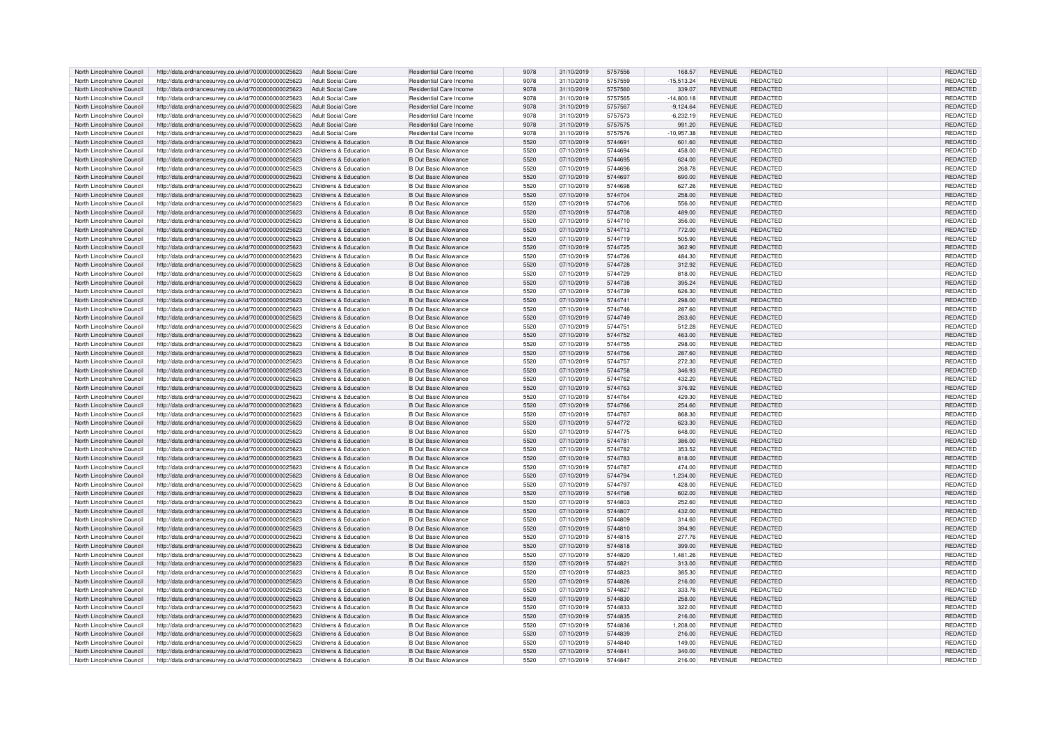| North Lincolnshire Council | http://data.ordnancesurvey.co.uk/id/7000000000025623 | Adult Social Care        | Residential Care Income        | 9078 | 31/10/2019 | 5757556 | 168.57       | <b>REVENUE</b> | <b>REDACTED</b> | <b>REDACTED</b> |
|----------------------------|------------------------------------------------------|--------------------------|--------------------------------|------|------------|---------|--------------|----------------|-----------------|-----------------|
| North Lincolnshire Council | http://data.ordnancesurvey.co.uk/id/7000000000025623 | <b>Adult Social Care</b> | Residential Care Income        | 9078 | 31/10/2019 | 5757559 | $-15,513.24$ | REVENUE        | REDACTED        | REDACTED        |
| North Lincolnshire Council | http://data.ordnancesurvey.co.uk/id/7000000000025623 | Adult Social Care        | Residential Care Income        | 9078 | 31/10/2019 | 5757560 | 339.07       | <b>REVENUE</b> | <b>REDACTED</b> | <b>REDACTED</b> |
| North Lincolnshire Council | http://data.ordnancesurvey.co.uk/id/7000000000025623 | <b>Adult Social Care</b> | Residential Care Income        | 9078 | 31/10/2019 | 5757565 | $-14,800.18$ | <b>REVENUE</b> | REDACTED        | REDACTED        |
| North Lincolnshire Council | http://data.ordnancesurvey.co.uk/id/7000000000025623 | <b>Adult Social Care</b> | Residential Care Income        | 9078 | 31/10/2019 | 5757567 | $-9.124.64$  | <b>REVENUE</b> | <b>REDACTED</b> | <b>REDACTED</b> |
| North Lincolnshire Council | http://data.ordnancesurvey.co.uk/id/7000000000025623 | Adult Social Care        | Residential Care Income        | 9078 | 31/10/2019 | 5757573 | $-6,232.19$  | <b>REVENUE</b> | REDACTED        | REDACTED        |
| North Lincolnshire Council | http://data.ordnancesurvey.co.uk/id/7000000000025623 | <b>Adult Social Care</b> | <b>Residential Care Income</b> | 9078 | 31/10/2019 | 5757575 | 991.20       | <b>REVENUE</b> | REDACTED        | REDACTED        |
| North Lincolnshire Council | http://data.ordnancesurvey.co.uk/id/7000000000025623 | <b>Adult Social Care</b> | Residential Care Income        | 9078 | 31/10/2019 | 5757576 | $-10,957.38$ | REVENUE        | REDACTED        | REDACTED        |
| North Lincolnshire Council | http://data.ordnancesurvey.co.uk/id/7000000000025623 | Childrens & Education    | <b>B Out Basic Allowance</b>   | 5520 | 07/10/2019 | 5744691 | 601.60       | <b>REVENUE</b> | <b>REDACTED</b> | <b>REDACTED</b> |
| North Lincolnshire Council | http://data.ordnancesurvey.co.uk/id/7000000000025623 | Childrens & Education    | <b>B Out Basic Allowance</b>   | 5520 | 07/10/2019 | 5744694 | 458.00       | <b>REVENUE</b> | REDACTED        | REDACTED        |
| North Lincolnshire Council | http://data.ordnancesurvey.co.uk/id/7000000000025623 | Childrens & Education    | <b>B</b> Out Basic Allowance   | 5520 | 07/10/2019 | 5744695 | 624.00       | <b>REVENUE</b> | <b>REDACTED</b> | REDACTED        |
| North Lincolnshire Council | http://data.ordnancesurvey.co.uk/id/7000000000025623 | Childrens & Education    | <b>B Out Basic Allowance</b>   | 5520 | 07/10/2019 | 5744696 | 268.78       | REVENUE        | REDACTED        | <b>REDACTED</b> |
| North Lincolnshire Council | http://data.ordnancesurvey.co.uk/id/7000000000025623 | Childrens & Education    | <b>B</b> Out Basic Allowance   | 5520 | 07/10/2019 | 5744697 | 690.00       | <b>REVENUE</b> | REDACTED        | REDACTED        |
| North Lincolnshire Council | http://data.ordnancesurvey.co.uk/id/7000000000025623 | Childrens & Education    | <b>B Out Basic Allowance</b>   | 5520 | 07/10/2019 | 5744698 | 627.26       | <b>REVENUE</b> | REDACTED        | REDACTED        |
| North Lincolnshire Council | http://data.ordnancesurvey.co.uk/id/7000000000025623 | Childrens & Education    | <b>B Out Basic Allowance</b>   | 5520 | 07/10/2019 | 5744704 | 258.00       | <b>REVENUE</b> | <b>REDACTED</b> | REDACTED        |
| North Lincolnshire Council | http://data.ordnancesurvey.co.uk/id/7000000000025623 | Childrens & Education    | <b>B</b> Out Basic Allowance   | 5520 | 07/10/2019 | 5744706 | 556.00       | <b>REVENUE</b> | REDACTED        | REDACTED        |
| North Lincolnshire Council | http://data.ordnancesurvey.co.uk/id/7000000000025623 | Childrens & Education    | <b>B</b> Out Basic Allowance   | 5520 | 07/10/2019 | 5744708 | 489.00       | REVENUE        | <b>REDACTED</b> | REDACTED        |
| North Lincolnshire Council | http://data.ordnancesurvev.co.uk/id/7000000000025623 | Childrens & Education    | <b>B</b> Out Basic Allowance   | 5520 | 07/10/2019 | 5744710 | 356.00       | <b>REVENUE</b> | REDACTED        | REDACTED        |
| North Lincolnshire Council | http://data.ordnancesurvey.co.uk/id/7000000000025623 | Childrens & Education    | <b>B</b> Out Basic Allowance   | 5520 | 07/10/2019 | 5744713 | 772.00       | REVENUE        | REDACTED        | REDACTED        |
| North Lincolnshire Council | http://data.ordnancesurvey.co.uk/id/7000000000025623 | Childrens & Education    | <b>B Out Basic Allowance</b>   | 5520 | 07/10/2019 | 5744719 | 505.90       | <b>REVENUE</b> | <b>REDACTED</b> | REDACTED        |
| North Lincolnshire Council | http://data.ordnancesurvey.co.uk/id/7000000000025623 | Childrens & Education    | <b>B</b> Out Basic Allowance   | 5520 | 07/10/2019 | 5744725 | 362.90       | <b>REVENUE</b> | REDACTED        | <b>REDACTED</b> |
| North Lincolnshire Council | http://data.ordnancesurvey.co.uk/id/7000000000025623 | Childrens & Education    | <b>B Out Basic Allowance</b>   | 5520 | 07/10/2019 | 5744726 | 484.30       | REVENUE        | REDACTED        | REDACTED        |
| North Lincolnshire Council | http://data.ordnancesurvey.co.uk/id/7000000000025623 | Childrens & Education    | <b>B</b> Out Basic Allowance   | 5520 | 07/10/2019 | 5744728 | 312.92       | <b>REVENUE</b> | REDACTED        | REDACTED        |
| North Lincolnshire Council | http://data.ordnancesurvey.co.uk/id/7000000000025623 | Childrens & Education    | <b>B Out Basic Allowance</b>   | 5520 | 07/10/2019 | 5744729 | 818.00       | <b>REVENUE</b> | <b>REDACTED</b> | REDACTED        |
| North Lincolnshire Council | http://data.ordnancesurvey.co.uk/id/7000000000025623 | Childrens & Education    | <b>B Out Basic Allowance</b>   | 5520 | 07/10/2019 | 5744738 | 395.24       | <b>REVENUE</b> | <b>REDACTED</b> | REDACTED        |
| North Lincolnshire Council | http://data.ordnancesurvey.co.uk/id/7000000000025623 | Childrens & Education    | <b>B Out Basic Allowance</b>   | 5520 | 07/10/2019 | 5744739 | 626.30       | <b>REVENUE</b> | REDACTED        | REDACTED        |
| North Lincolnshire Council | http://data.ordnancesurvey.co.uk/id/7000000000025623 | Childrens & Education    | <b>B Out Basic Allowance</b>   | 5520 | 07/10/2019 | 5744741 | 298.00       | <b>REVENUE</b> | <b>REDACTED</b> | <b>REDACTED</b> |
| North Lincolnshire Council | http://data.ordnancesurvey.co.uk/id/7000000000025623 | Childrens & Education    | <b>B Out Basic Allowance</b>   | 5520 | 07/10/2019 | 5744746 | 287.60       | REVENUE        | REDACTED        | REDACTED        |
| North Lincolnshire Council | http://data.ordnancesurvey.co.uk/id/7000000000025623 | Childrens & Education    | <b>B</b> Out Basic Allowance   | 5520 | 07/10/2019 | 5744749 | 263.60       | <b>REVENUE</b> | REDACTED        | REDACTED        |
| North Lincolnshire Council | http://data.ordnancesurvey.co.uk/id/7000000000025623 | Childrens & Education    | <b>B</b> Out Basic Allowance   | 5520 | 07/10/2019 | 5744751 | 512.28       | REVENUE        | REDACTED        | REDACTED        |
| North Lincolnshire Council | http://data.ordnancesurvey.co.uk/id/7000000000025623 | Childrens & Education    | B Out Basic Allowance          | 5520 | 07/10/2019 | 5744752 | 463.00       | <b>REVENUE</b> | <b>REDACTED</b> | REDACTED        |
| North Lincolnshire Council | http://data.ordnancesurvey.co.uk/id/7000000000025623 | Childrens & Education    | <b>B Out Basic Allowance</b>   | 5520 | 07/10/2019 | 5744755 | 298.00       | REVENUE        | REDACTED        | REDACTED        |
| North Lincolnshire Council | http://data.ordnancesurvey.co.uk/id/7000000000025623 | Childrens & Education    | <b>B</b> Out Basic Allowance   | 5520 | 07/10/2019 | 5744756 | 287.60       | <b>REVENUE</b> | REDACTED        | <b>REDACTED</b> |
| North Lincolnshire Council | http://data.ordnancesurvey.co.uk/id/7000000000025623 | Childrens & Education    | <b>B Out Basic Allowance</b>   | 5520 | 07/10/2019 | 5744757 | 272.30       | <b>REVENUE</b> | REDACTED        | REDACTED        |
| North Lincolnshire Council | http://data.ordnancesurvey.co.uk/id/7000000000025623 | Childrens & Education    | <b>B Out Basic Allowance</b>   | 5520 | 07/10/2019 | 5744758 | 346.93       | <b>REVENUE</b> | REDACTED        | REDACTED        |
| North Lincolnshire Council | http://data.ordnancesurvev.co.uk/id/7000000000025623 | Childrens & Education    | <b>B Out Basic Allowance</b>   | 5520 | 07/10/2019 | 5744762 | 432.20       | <b>REVENUE</b> | REDACTED        | REDACTED        |
| North Lincolnshire Council | http://data.ordnancesurvey.co.uk/id/7000000000025623 | Childrens & Education    | <b>B</b> Out Basic Allowance   | 5520 | 07/10/2019 | 5744763 | 376.92       | <b>REVENUE</b> | REDACTED        | REDACTED        |
| North Lincolnshire Council | http://data.ordnancesurvey.co.uk/id/7000000000025623 | Childrens & Education    | <b>B Out Basic Allowance</b>   | 5520 | 07/10/2019 | 5744764 | 429.30       | REVENUE        | REDACTED        | REDACTED        |
| North Lincolnshire Council | http://data.ordnancesurvey.co.uk/id/7000000000025623 | Childrens & Education    | <b>B</b> Out Basic Allowance   | 5520 | 07/10/2019 | 5744766 | 254.60       | <b>REVENUE</b> | REDACTED        | REDACTED        |
| North Lincolnshire Council | http://data.ordnancesurvey.co.uk/id/7000000000025623 | Childrens & Education    | <b>B Out Basic Allowance</b>   | 5520 | 07/10/2019 | 5744767 | 868.30       | REVENUE        | REDACTED        | REDACTED        |
| North Lincolnshire Council | http://data.ordnancesurvey.co.uk/id/7000000000025623 | Childrens & Education    | <b>B Out Basic Allowance</b>   | 5520 | 07/10/2019 | 5744772 | 623.30       | <b>REVENUE</b> | REDACTED        | <b>REDACTED</b> |
| North Lincolnshire Council | http://data.ordnancesurvey.co.uk/id/7000000000025623 | Childrens & Education    | B Out Basic Allowance          | 5520 | 07/10/2019 | 5744775 | 648.00       | <b>REVENUE</b> | REDACTED        | REDACTED        |
| North Lincolnshire Council | http://data.ordnancesurvey.co.uk/id/7000000000025623 | Childrens & Education    | <b>B</b> Out Basic Allowance   | 5520 | 07/10/2019 | 5744781 | 386.00       | REVENUE        | REDACTED        | REDACTED        |
| North Lincolnshire Council | http://data.ordnancesurvey.co.uk/id/7000000000025623 | Childrens & Education    | <b>B Out Basic Allowance</b>   | 5520 | 07/10/2019 | 5744782 | 353.52       | REVENUE        | REDACTED        | REDACTED        |
| North Lincolnshire Council | http://data.ordnancesurvey.co.uk/id/7000000000025623 | Childrens & Education    | <b>B Out Basic Allowance</b>   | 5520 | 07/10/2019 | 5744783 | 818.00       | <b>REVENUE</b> | <b>REDACTED</b> | REDACTED        |
| North Lincolnshire Council | http://data.ordnancesurvey.co.uk/id/7000000000025623 | Childrens & Education    | <b>B Out Basic Allowance</b>   | 5520 | 07/10/2019 | 5744787 | 474.00       | <b>REVENUE</b> | REDACTED        | REDACTED        |
| North Lincolnshire Council | http://data.ordnancesurvey.co.uk/id/7000000000025623 | Childrens & Education    | <b>B</b> Out Basic Allowance   | 5520 | 07/10/2019 | 5744794 | 1,234.00     | <b>REVENUE</b> | REDACTED        | REDACTED        |
| North Lincolnshire Council | http://data.ordnancesurvey.co.uk/id/7000000000025623 | Childrens & Education    | <b>B</b> Out Basic Allowance   | 5520 | 07/10/2019 | 5744797 | 428.00       | REVENUE        | REDACTED        | REDACTED        |
| North Lincolnshire Council | http://data.ordnancesurvey.co.uk/id/7000000000025623 | Childrens & Education    | <b>B</b> Out Basic Allowance   | 5520 | 07/10/2019 | 5744798 | 602.00       | <b>REVENUE</b> | REDACTED        | REDACTED        |
| North Lincolnshire Council | http://data.ordnancesurvey.co.uk/id/7000000000025623 | Childrens & Education    | <b>B Out Basic Allowance</b>   | 5520 | 07/10/2019 | 5744803 | 252.60       | <b>REVENUE</b> | REDACTED        | REDACTED        |
| North Lincolnshire Council | http://data.ordnancesurvey.co.uk/id/7000000000025623 | Childrens & Education    | <b>B Out Basic Allowance</b>   | 5520 | 07/10/2019 | 5744807 | 432.00       | <b>REVENUE</b> | REDACTED        | <b>REDACTED</b> |
| North Lincolnshire Council | http://data.ordnancesurvey.co.uk/id/7000000000025623 | Childrens & Education    | <b>B Out Basic Allowance</b>   | 5520 | 07/10/2019 | 5744809 | 314.60       | <b>REVENUE</b> | REDACTED        | REDACTED        |
| North Lincolnshire Council | http://data.ordnancesurvey.co.uk/id/7000000000025623 | Childrens & Education    | <b>B</b> Out Basic Allowance   | 5520 | 07/10/2019 | 5744810 | 394.90       | <b>REVENUE</b> | REDACTED        | REDACTED        |
| North Lincolnshire Council | http://data.ordnancesurvey.co.uk/id/7000000000025623 | Childrens & Education    | <b>B Out Basic Allowance</b>   | 5520 | 07/10/2019 | 5744815 | 277.76       | <b>REVENUE</b> | REDACTED        | REDACTED        |
| North Lincolnshire Council | http://data.ordnancesurvey.co.uk/id/7000000000025623 | Childrens & Education    | <b>B Out Basic Allowance</b>   | 5520 | 07/10/2019 | 5744818 | 399.00       | <b>REVENUE</b> | <b>REDACTED</b> | REDACTED        |
| North Lincolnshire Council | http://data.ordnancesurvey.co.uk/id/7000000000025623 | Childrens & Education    | <b>B Out Basic Allowance</b>   | 5520 | 07/10/2019 | 5744820 | 1,481.26     | <b>REVENUE</b> | <b>REDACTED</b> | REDACTED        |
| North Lincolnshire Council | http://data.ordnancesurvey.co.uk/id/7000000000025623 | Childrens & Education    | <b>B</b> Out Basic Allowance   | 5520 | 07/10/2019 | 5744821 | 313.00       | <b>REVENUE</b> | REDACTED        | <b>REDACTED</b> |
| North Lincolnshire Council | http://data.ordnancesurvey.co.uk/id/7000000000025623 | Childrens & Education    | <b>B Out Basic Allowance</b>   | 5520 | 07/10/2019 | 5744823 | 385.30       | REVENUE        | REDACTED        | REDACTED        |
| North Lincolnshire Council | http://data.ordnancesurvey.co.uk/id/7000000000025623 | Childrens & Education    | <b>B</b> Out Basic Allowance   | 5520 | 07/10/2019 | 5744826 | 216.00       | <b>REVENUE</b> | REDACTED        | REDACTED        |
| North Lincolnshire Council | http://data.ordnancesurvey.co.uk/id/7000000000025623 | Childrens & Education    | <b>B Out Basic Allowance</b>   | 5520 | 07/10/2019 | 5744827 | 333.76       | <b>REVENUE</b> | REDACTED        | <b>REDACTED</b> |
| North Lincolnshire Council | http://data.ordnancesurvey.co.uk/id/7000000000025623 | Childrens & Education    | B Out Basic Allowance          | 5520 | 07/10/2019 | 5744830 | 258.00       | REVENUE        | REDACTED        | REDACTED        |
| North Lincolnshire Council | http://data.ordnancesurvey.co.uk/id/7000000000025623 | Childrens & Education    | <b>B</b> Out Basic Allowance   | 5520 | 07/10/2019 | 5744833 | 322.00       | <b>REVENUE</b> | REDACTED        | REDACTED        |
| North Lincolnshire Council | http://data.ordnancesurvey.co.uk/id/7000000000025623 | Childrens & Education    | <b>B</b> Out Basic Allowance   | 5520 | 07/10/2019 | 5744835 | 216.00       | <b>REVENUE</b> | REDACTED        | REDACTED        |
| North Lincolnshire Council | http://data.ordnancesurvey.co.uk/id/7000000000025623 | Childrens & Education    | <b>B Out Basic Allowance</b>   | 5520 | 07/10/2019 | 5744836 | 1,208.00     | REVENUE        | REDACTED        | REDACTED        |
| North Lincolnshire Council | http://data.ordnancesurvey.co.uk/id/7000000000025623 | Childrens & Education    | <b>B</b> Out Basic Allowance   | 5520 | 07/10/2019 | 5744839 | 216.00       | <b>REVENUE</b> | <b>REDACTED</b> | REDACTED        |
| North Lincolnshire Council | http://data.ordnancesurvey.co.uk/id/7000000000025623 | Childrens & Education    | <b>B Out Basic Allowance</b>   | 5520 | 07/10/2019 | 5744840 | 149.00       | REVENUE        | <b>REDACTED</b> | REDACTED        |
| North Lincolnshire Council | http://data.ordnancesurvey.co.uk/id/7000000000025623 | Childrens & Education    | <b>B.Out Basic Allowance</b>   | 5520 | 07/10/2019 | 5744841 | 340.00       | <b>REVENUE</b> | <b>REDACTED</b> | <b>REDACTED</b> |
| North Lincolnshire Council | http://data.ordnancesurvey.co.uk/id/7000000000025623 | Childrens & Education    | <b>B Out Basic Allowance</b>   | 5520 | 07/10/2019 | 5744847 | 216.00       | <b>REVENUE</b> | REDACTED        | <b>REDACTED</b> |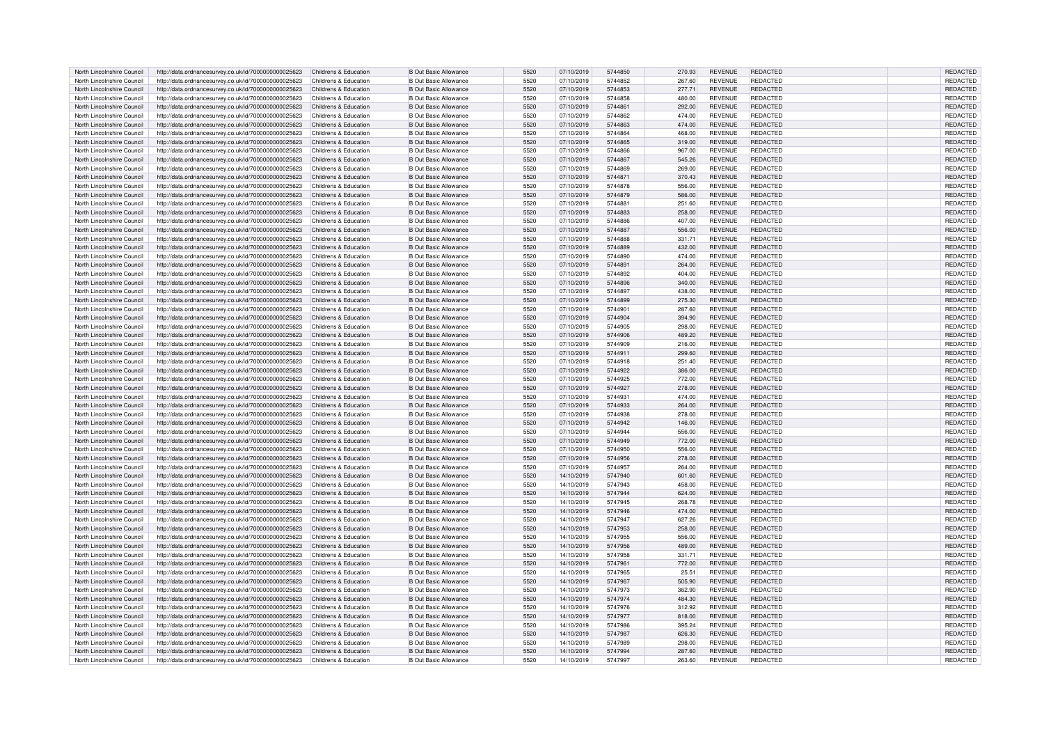| North Lincolnshire Council | http://data.ordnancesurvey.co.uk/id/7000000000025623 | Childrens & Education | <b>B Out Basic Allowance</b> | 5520 | 07/10/2019 | 5744850 | 270.93 | REVENUE        | REDACTED        | <b>REDACTED</b> |
|----------------------------|------------------------------------------------------|-----------------------|------------------------------|------|------------|---------|--------|----------------|-----------------|-----------------|
| North Lincolnshire Council | http://data.ordnancesurvey.co.uk/id/7000000000025623 | Childrens & Education | <b>B Out Basic Allowance</b> | 5520 | 07/10/2019 | 5744852 | 267.60 | REVENUE        | REDACTED        | REDACTED        |
| North Lincolnshire Council | http://data.ordnancesurvey.co.uk/id/7000000000025623 | Childrens & Education | <b>B Out Basic Allowance</b> | 5520 |            | 5744853 |        | <b>REVENUE</b> | REDACTED        | REDACTED        |
|                            |                                                      |                       |                              |      | 07/10/2019 |         | 277.71 |                |                 |                 |
| North Lincolnshire Council | http://data.ordnancesurvey.co.uk/id/7000000000025623 | Childrens & Education | <b>B Out Basic Allowance</b> | 5520 | 07/10/2019 | 5744858 | 480.00 | <b>REVENUE</b> | REDACTED        | REDACTED        |
| North Lincolnshire Council | http://data.ordnancesurvey.co.uk/id/7000000000025623 | Childrens & Education | <b>B Out Basic Allowance</b> | 5520 | 07/10/2019 | 5744861 | 292.00 | <b>REVENUE</b> | <b>REDACTED</b> | REDACTED        |
| North Lincolnshire Council | http://data.ordnancesurvey.co.uk/id/7000000000025623 | Childrens & Education | <b>B Out Basic Allowance</b> | 5520 | 07/10/2019 | 5744862 | 474.00 | <b>REVENUE</b> | <b>REDACTED</b> | <b>REDACTED</b> |
| North Lincolnshire Council | http://data.ordnancesurvey.co.uk/id/7000000000025623 | Childrens & Education | <b>B Out Basic Allowance</b> | 5520 | 07/10/2019 | 5744863 | 474.00 | <b>REVENUE</b> | <b>REDACTED</b> | REDACTED        |
| North Lincolnshire Council | http://data.ordnancesurvey.co.uk/id/7000000000025623 | Childrens & Education | <b>B</b> Out Basic Allowance | 5520 | 07/10/2019 | 5744864 | 468.00 | <b>REVENUE</b> | REDACTED        | REDACTED        |
| North Lincolnshire Council | http://data.ordnancesurvey.co.uk/id/7000000000025623 | Childrens & Education | <b>B Out Basic Allowance</b> | 5520 | 07/10/2019 | 5744865 | 319.00 | <b>REVENUE</b> | <b>REDACTED</b> | <b>REDACTED</b> |
|                            |                                                      |                       |                              |      |            |         |        |                |                 |                 |
| North Lincolnshire Council | http://data.ordnancesurvey.co.uk/id/7000000000025623 | Childrens & Education | <b>B Out Basic Allowance</b> | 5520 | 07/10/2019 | 5744866 | 967.00 | <b>REVENUE</b> | <b>REDACTED</b> | REDACTED        |
| North Lincolnshire Council | http://data.ordnancesurvey.co.uk/id/7000000000025623 | Childrens & Education | <b>B Out Basic Allowance</b> | 5520 | 07/10/2019 | 5744867 | 545.26 | <b>REVENUE</b> | <b>REDACTED</b> | REDACTED        |
| North Lincolnshire Council | http://data.ordnancesurvey.co.uk/id/7000000000025623 | Childrens & Education | <b>B Out Basic Allowance</b> | 5520 | 07/10/2019 | 5744869 | 269.00 | REVENUE        | <b>REDACTED</b> | <b>REDACTED</b> |
| North Lincolnshire Council | http://data.ordnancesurvey.co.uk/id/7000000000025623 | Childrens & Education | <b>B Out Basic Allowance</b> | 5520 | 07/10/2019 | 5744871 | 370.43 | <b>REVENUE</b> | <b>REDACTED</b> | REDACTED        |
| North Lincolnshire Council | http://data.ordnancesurvey.co.uk/id/7000000000025623 | Childrens & Education | <b>B Out Basic Allowance</b> | 5520 | 07/10/2019 | 5744878 | 556.00 | <b>REVENUE</b> | REDACTED        | REDACTED        |
| North Lincolnshire Council | http://data.ordnancesurvey.co.uk/id/7000000000025623 | Childrens & Education | <b>B Out Basic Allowance</b> | 5520 | 07/10/2019 | 5744879 | 586.00 | <b>REVENUE</b> | <b>REDACTED</b> | REDACTED        |
|                            |                                                      |                       |                              |      |            |         |        |                |                 |                 |
| North Lincolnshire Council | http://data.ordnancesurvey.co.uk/id/7000000000025623 | Childrens & Education | <b>B Out Basic Allowance</b> | 5520 | 07/10/2019 | 5744881 | 251.60 | <b>REVENUE</b> | <b>REDACTED</b> | REDACTED        |
| North Lincolnshire Council | http://data.ordnancesurvey.co.uk/id/7000000000025623 | Childrens & Education | <b>B Out Basic Allowance</b> | 5520 | 07/10/2019 | 5744883 | 258.00 | <b>REVENUE</b> | <b>REDACTED</b> | REDACTED        |
| North Lincolnshire Council | http://data.ordnancesurvev.co.uk/id/7000000000025623 | Childrens & Education | <b>B</b> Out Basic Allowance | 5520 | 07/10/2019 | 5744886 | 407.00 | <b>REVENUE</b> | REDACTED        | REDACTED        |
| North Lincolnshire Council | http://data.ordnancesurvey.co.uk/id/7000000000025623 | Childrens & Education | <b>B Out Basic Allowance</b> | 5520 | 07/10/2019 | 5744887 | 556.00 | REVENUE        | <b>REDACTED</b> | <b>REDACTED</b> |
| North Lincolnshire Council | http://data.ordnancesurvey.co.uk/id/7000000000025623 | Childrens & Education | <b>B Out Basic Allowance</b> | 5520 | 07/10/2019 | 5744888 | 331.71 | REVENUE        | REDACTED        | REDACTED        |
| North Lincolnshire Council | http://data.ordnancesurvey.co.uk/id/7000000000025623 | Childrens & Education | <b>B Out Basic Allowance</b> | 5520 | 07/10/2019 | 5744889 | 432.00 | <b>REVENUE</b> | <b>REDACTED</b> | REDACTED        |
| North Lincolnshire Council | http://data.ordnancesurvey.co.uk/id/7000000000025623 | Childrens & Education | <b>B Out Basic Allowance</b> | 5520 | 07/10/2019 | 5744890 | 474.00 | REVENUE        | REDACTED        | REDACTED        |
|                            |                                                      |                       |                              |      |            |         |        |                |                 |                 |
| North Lincolnshire Council | http://data.ordnancesurvey.co.uk/id/7000000000025623 | Childrens & Education | <b>B Out Basic Allowance</b> | 5520 | 07/10/2019 | 5744891 | 264.00 | <b>REVENUE</b> | <b>REDACTED</b> | REDACTED        |
| North Lincolnshire Council | http://data.ordnancesurvey.co.uk/id/7000000000025623 | Childrens & Education | <b>B Out Basic Allowance</b> | 5520 | 07/10/2019 | 5744892 | 404.00 | <b>REVENUE</b> | <b>REDACTED</b> | <b>REDACTED</b> |
| North Lincolnshire Council | http://data.ordnancesurvey.co.uk/id/7000000000025623 | Childrens & Education | <b>B Out Basic Allowance</b> | 5520 | 07/10/2019 | 5744896 | 340.00 | <b>REVENUE</b> | <b>REDACTED</b> | REDACTED        |
| North Lincolnshire Council | http://data.ordnancesurvey.co.uk/id/7000000000025623 | Childrens & Education | <b>B Out Basic Allowance</b> | 5520 | 07/10/2019 | 5744897 | 438.00 | <b>REVENUE</b> | REDACTED        | REDACTED        |
| North Lincolnshire Council | http://data.ordnancesurvey.co.uk/id/7000000000025623 | Childrens & Education | <b>B Out Basic Allowance</b> | 5520 | 07/10/2019 | 5744899 | 275.30 | <b>REVENUE</b> | <b>REDACTED</b> | <b>REDACTED</b> |
| North Lincolnshire Council | http://data.ordnancesurvey.co.uk/id/7000000000025623 | Childrens & Education | <b>B Out Basic Allowance</b> | 5520 | 07/10/2019 | 5744901 | 287.60 | REVENUE        | REDACTED        | REDACTED        |
| North Lincolnshire Council | http://data.ordnancesurvey.co.uk/id/7000000000025623 | Childrens & Education | <b>B Out Basic Allowance</b> | 5520 | 07/10/2019 | 5744904 | 394.90 | <b>REVENUE</b> | <b>REDACTED</b> | REDACTED        |
| North Lincolnshire Council |                                                      | Childrens & Education | B Out Basic Allowance        | 5520 |            | 5744905 |        | <b>REVENUE</b> | REDACTED        |                 |
|                            | http://data.ordnancesurvey.co.uk/id/7000000000025623 |                       |                              |      | 07/10/2019 |         | 298.00 |                |                 | <b>REDACTED</b> |
| North Lincolnshire Council | http://data.ordnancesurvey.co.uk/id/7000000000025623 | Childrens & Education | <b>B Out Basic Allowance</b> | 5520 | 07/10/2019 | 5744906 | 489.20 | <b>REVENUE</b> | REDACTED        | REDACTED        |
| North Lincolnshire Council | http://data.ordnancesurvey.co.uk/id/7000000000025623 | Childrens & Education | <b>B Out Basic Allowance</b> | 5520 | 07/10/2019 | 5744909 | 216.00 | REVENUE        | REDACTED        | REDACTED        |
| North Lincolnshire Council | http://data.ordnancesurvey.co.uk/id/7000000000025623 | Childrens & Education | <b>B Out Basic Allowance</b> | 5520 | 07/10/2019 | 5744911 | 299.60 | <b>REVENUE</b> | <b>REDACTED</b> | <b>REDACTED</b> |
| North Lincolnshire Council | http://data.ordnancesurvey.co.uk/id/7000000000025623 | Childrens & Education | <b>B</b> Out Basic Allowance | 5520 | 07/10/2019 | 5744918 | 251.40 | REVENUE        | REDACTED        | REDACTED        |
| North Lincolnshire Council | http://data.ordnancesurvey.co.uk/id/7000000000025623 | Childrens & Education | <b>B Out Basic Allowance</b> | 5520 | 07/10/2019 | 5744922 | 386.00 | <b>REVENUE</b> | <b>REDACTED</b> | REDACTED        |
| North Lincolnshire Council | http://data.ordnancesurvev.co.uk/id/7000000000025623 | Childrens & Education | <b>B Out Basic Allowance</b> | 5520 | 07/10/2019 | 5744925 | 772.00 | <b>REVENUE</b> | <b>REDACTED</b> | REDACTED        |
|                            | http://data.ordnancesurvey.co.uk/id/7000000000025623 | Childrens & Education | <b>B Out Basic Allowance</b> | 5520 | 07/10/2019 | 5744927 |        | REVENUE        | <b>REDACTED</b> | REDACTED        |
| North Lincolnshire Council |                                                      |                       |                              |      |            |         | 278.00 |                |                 |                 |
| North Lincolnshire Council | http://data.ordnancesurvey.co.uk/id/7000000000025623 | Childrens & Education | <b>B Out Basic Allowance</b> | 5520 | 07/10/2019 | 5744931 | 474.00 | REVENUE        | REDACTED        | REDACTED        |
| North Lincolnshire Council | http://data.ordnancesurvey.co.uk/id/7000000000025623 | Childrens & Education | <b>B Out Basic Allowance</b> | 5520 | 07/10/2019 | 5744933 | 264.00 | <b>REVENUE</b> | <b>REDACTED</b> | REDACTED        |
| North Lincolnshire Council | http://data.ordnancesurvey.co.uk/id/7000000000025623 | Childrens & Education | <b>B Out Basic Allowance</b> | 5520 | 07/10/2019 | 5744938 | 278.00 | <b>REVENUE</b> | REDACTED        | <b>REDACTED</b> |
| North Lincolnshire Council | http://data.ordnancesurvey.co.uk/id/7000000000025623 | Childrens & Education | <b>B Out Basic Allowance</b> | 5520 | 07/10/2019 | 5744942 | 146.00 | <b>REVENUE</b> | REDACTED        | REDACTED        |
| North Lincolnshire Council | http://data.ordnancesurvey.co.uk/id/7000000000025623 | Childrens & Education | <b>B Out Basic Allowance</b> | 5520 | 07/10/2019 | 5744944 | 556.00 | <b>REVENUE</b> | <b>REDACTED</b> | <b>REDACTED</b> |
| North Lincolnshire Council | http://data.ordnancesurvey.co.uk/id/7000000000025623 | Childrens & Education | <b>B Out Basic Allowance</b> | 5520 | 07/10/2019 | 5744949 | 772.00 | <b>REVENUE</b> | REDACTED        | REDACTED        |
| North Lincolnshire Council | http://data.ordnancesurvey.co.uk/id/7000000000025623 | Childrens & Education | <b>B Out Basic Allowance</b> | 5520 | 07/10/2019 | 5744950 | 556.00 | REVENUE        | REDACTED        | REDACTED        |
| North Lincolnshire Council | http://data.ordnancesurvey.co.uk/id/7000000000025623 | Childrens & Education | <b>B Out Basic Allowance</b> | 5520 | 07/10/2019 | 5744956 | 278.00 | <b>REVENUE</b> | <b>REDACTED</b> | REDACTED        |
|                            |                                                      |                       |                              |      |            |         |        |                |                 |                 |
| North Lincolnshire Council | http://data.ordnancesurvey.co.uk/id/7000000000025623 | Childrens & Education | <b>B Out Basic Allowance</b> | 5520 | 07/10/2019 | 5744957 | 264.00 | <b>REVENUE</b> | <b>REDACTED</b> | REDACTED        |
| North Lincolnshire Council | http://data.ordnancesurvey.co.uk/id/7000000000025623 | Childrens & Education | <b>B Out Basic Allowance</b> | 5520 | 14/10/2019 | 5747940 | 601.60 | <b>REVENUE</b> | <b>REDACTED</b> | REDACTED        |
| North Lincolnshire Council | http://data.ordnancesurvey.co.uk/id/7000000000025623 | Childrens & Education | <b>B Out Basic Allowance</b> | 5520 | 14/10/2019 | 5747943 | 458.00 | REVENUE        | REDACTED        | <b>REDACTED</b> |
| North Lincolnshire Council | http://data.ordnancesurvey.co.uk/id/7000000000025623 | Childrens & Education | <b>B Out Basic Allowance</b> | 5520 | 14/10/2019 | 5747944 | 624.00 | <b>REVENUE</b> | <b>REDACTED</b> | REDACTED        |
| North Lincolnshire Council | http://data.ordnancesurvey.co.uk/id/7000000000025623 | Childrens & Education | <b>B Out Basic Allowance</b> | 5520 | 14/10/2019 | 5747945 | 268.78 | <b>REVENUE</b> | REDACTED        | REDACTED        |
| North Lincolnshire Council | http://data.ordnancesurvey.co.uk/id/7000000000025623 | Childrens & Education | <b>B Out Basic Allowance</b> | 5520 | 14/10/2019 | 5747946 | 474.00 | <b>REVENUE</b> | <b>REDACTED</b> | <b>REDACTED</b> |
| North Lincolnshire Council | http://data.ordnancesurvey.co.uk/id/7000000000025623 | Childrens & Education | <b>B Out Basic Allowance</b> | 5520 | 14/10/2019 | 5747947 | 627.26 | <b>REVENUE</b> | <b>REDACTED</b> | REDACTED        |
|                            |                                                      |                       |                              |      |            |         |        |                |                 |                 |
| North Lincolnshire Council | http://data.ordnancesurvey.co.uk/id/7000000000025623 | Childrens & Education | <b>B Out Basic Allowance</b> | 5520 | 14/10/2019 | 5747953 | 258.00 | <b>REVENUE</b> | <b>REDACTED</b> | REDACTED        |
| North Lincolnshire Council | http://data.ordnancesurvey.co.uk/id/7000000000025623 | Childrens & Education | <b>B</b> Out Basic Allowance | 5520 | 14/10/2019 | 5747955 | 556.00 | REVENUE        | REDACTED        | REDACTED        |
| North Lincolnshire Council | http://data.ordnancesurvey.co.uk/id/7000000000025623 | Childrens & Education | <b>B Out Basic Allowance</b> | 5520 | 14/10/2019 | 5747956 | 489.00 | REVENUE        | REDACTED        | REDACTED        |
| North Lincolnshire Council | http://data.ordnancesurvey.co.uk/id/7000000000025623 | Childrens & Education | <b>B Out Basic Allowance</b> | 5520 | 14/10/2019 | 5747958 | 331.71 | REVENUE        | REDACTED        | REDACTED        |
| North Lincolnshire Council | http://data.ordnancesurvey.co.uk/id/7000000000025623 | Childrens & Education | <b>B Out Basic Allowance</b> | 5520 | 14/10/2019 | 5747961 | 772.00 | <b>REVENUE</b> | <b>REDACTED</b> | REDACTED        |
| North Lincolnshire Council | http://data.ordnancesurvey.co.uk/id/7000000000025623 | Childrens & Education | <b>B Out Basic Allowance</b> | 5520 | 14/10/2019 | 5747965 | 25.51  | REVENUE        | REDACTED        | REDACTED        |
| North Lincolnshire Council | http://data.ordnancesurvey.co.uk/id/7000000000025623 | Childrens & Education | <b>B Out Basic Allowance</b> | 5520 | 14/10/2019 | 5747967 | 505.90 | <b>REVENUE</b> | <b>REDACTED</b> | REDACTED        |
| North Lincolnshire Council | http://data.ordnancesurvey.co.uk/id/7000000000025623 | Childrens & Education | <b>B Out Basic Allowance</b> | 5520 | 14/10/2019 | 5747973 | 362.90 | REVENUE        | <b>REDACTED</b> | <b>REDACTED</b> |
| North Lincolnshire Council |                                                      | Childrens & Education |                              |      | 14/10/2019 | 5747974 |        | <b>REVENUE</b> | <b>REDACTED</b> |                 |
|                            | http://data.ordnancesurvey.co.uk/id/7000000000025623 |                       | <b>B Out Basic Allowance</b> | 5520 |            |         | 484.30 |                |                 | REDACTED        |
| North Lincolnshire Council | http://data.ordnancesurvey.co.uk/id/7000000000025623 | Childrens & Education | <b>B</b> Out Basic Allowance | 5520 | 14/10/2019 | 5747976 | 312.92 | <b>REVENUE</b> | REDACTED        | REDACTED        |
| North Lincolnshire Council | http://data.ordnancesurvey.co.uk/id/7000000000025623 | Childrens & Education | <b>B Out Basic Allowance</b> | 5520 | 14/10/2019 | 5747977 | 818.00 | <b>REVENUE</b> | REDACTED        | REDACTED        |
| North Lincolnshire Council | http://data.ordnancesurvey.co.uk/id/7000000000025623 | Childrens & Education | <b>B Out Basic Allowance</b> | 5520 | 14/10/2019 | 5747986 | 395.24 | REVENUE        | REDACTED        | REDACTED        |
| North Lincolnshire Council | http://data.ordnancesurvey.co.uk/id/7000000000025623 | Childrens & Education | <b>B Out Basic Allowance</b> | 5520 | 14/10/2019 | 5747987 | 626.30 | <b>REVENUE</b> | <b>REDACTED</b> | REDACTED        |
| North Lincolnshire Council | http://data.ordnancesurvey.co.uk/id/7000000000025623 | Childrens & Education | <b>B Out Basic Allowance</b> | 5520 | 14/10/2019 | 5747989 | 298.00 | <b>REVENUE</b> | <b>REDACTED</b> | <b>REDACTED</b> |
| North Lincolnshire Council | http://data.ordnancesurvey.co.uk/id/7000000000025623 | Childrens & Education | <b>B</b> Out Basic Allowance | 5520 | 14/10/2019 | 5747994 | 287.60 | <b>REVENUE</b> | <b>REDACTED</b> | REDACTED        |
| North Lincolnshire Council | http://data.ordnancesurvey.co.uk/id/7000000000025623 | Childrens & Education | <b>B Out Basic Allowance</b> | 5520 | 14/10/2019 | 5747997 | 263.60 | <b>REVENUE</b> | REDACTED        | REDACTED        |
|                            |                                                      |                       |                              |      |            |         |        |                |                 |                 |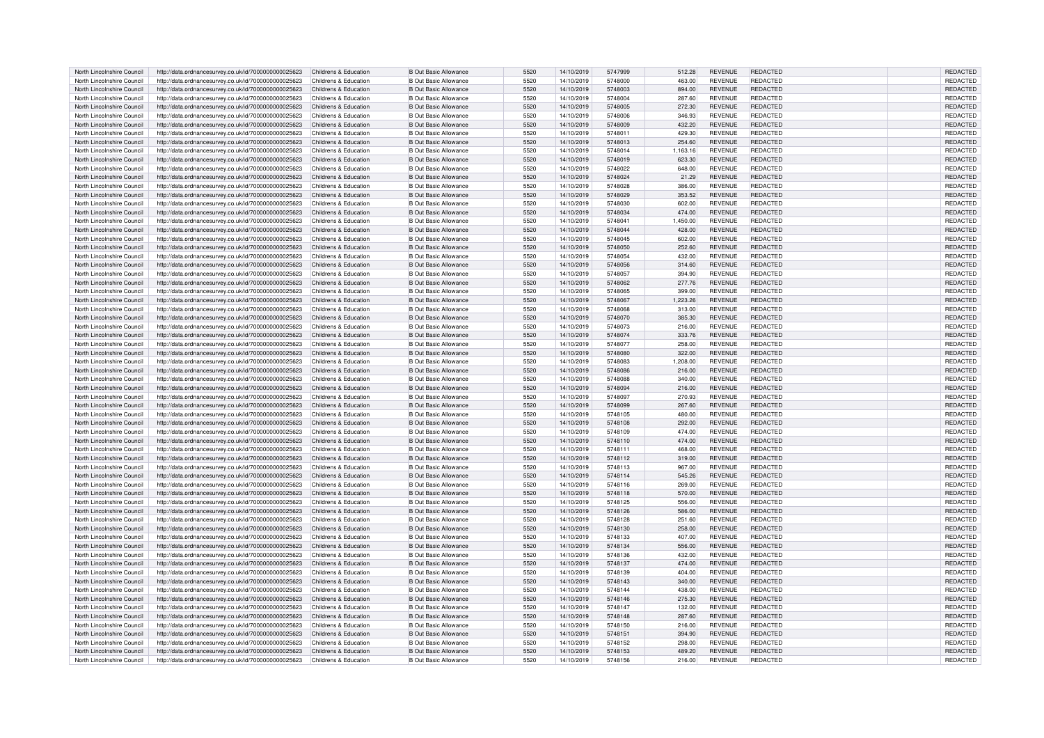| North Lincolnshire Council | http://data.ordnancesurvey.co.uk/id/7000000000025623 | Childrens & Education | <b>B Out Basic Allowance</b> | 5520 | 14/10/2019 | 5747999 | 512.28   | <b>REVENUE</b> | <b>REDACTED</b> | <b>REDACTED</b> |
|----------------------------|------------------------------------------------------|-----------------------|------------------------------|------|------------|---------|----------|----------------|-----------------|-----------------|
| North Lincolnshire Council | http://data.ordnancesurvey.co.uk/id/7000000000025623 | Childrens & Education | <b>B Out Basic Allowance</b> | 5520 | 14/10/2019 | 5748000 | 463.00   | REVENUE        | REDACTED        | REDACTED        |
| North Lincolnshire Council | http://data.ordnancesurvey.co.uk/id/7000000000025623 | Childrens & Education | <b>B</b> Out Basic Allowance | 5520 | 14/10/2019 | 5748003 | 894.00   | <b>REVENUE</b> | <b>REDACTED</b> | <b>REDACTED</b> |
| North Lincolnshire Council | http://data.ordnancesurvey.co.uk/id/7000000000025623 | Childrens & Education | <b>B Out Basic Allowance</b> | 5520 | 14/10/2019 | 5748004 | 287.60   | <b>REVENUE</b> | REDACTED        | REDACTED        |
| North Lincolnshire Council | http://data.ordnancesurvey.co.uk/id/7000000000025623 | Childrens & Education | <b>B Out Basic Allowance</b> | 5520 | 14/10/2019 | 5748005 | 272.30   | <b>REVENUE</b> | <b>REDACTED</b> | <b>REDACTED</b> |
| North Lincolnshire Council | http://data.ordnancesurvey.co.uk/id/7000000000025623 | Childrens & Education | <b>B</b> Out Basic Allowance | 5520 | 14/10/2019 | 5748006 | 346.93   | <b>REVENUE</b> | REDACTED        | REDACTED        |
| North Lincolnshire Council | http://data.ordnancesurvey.co.uk/id/7000000000025623 | Childrens & Education | <b>B</b> Out Basic Allowance | 5520 | 14/10/2019 | 5748009 | 432.20   | <b>REVENUE</b> | REDACTED        | REDACTED        |
| North Lincolnshire Council | http://data.ordnancesurvey.co.uk/id/7000000000025623 | Childrens & Education | <b>B</b> Out Basic Allowance | 5520 | 14/10/2019 | 5748011 | 429.30   | REVENUE        | REDACTED        | REDACTED        |
| North Lincolnshire Council | http://data.ordnancesurvey.co.uk/id/7000000000025623 | Childrens & Education | <b>B Out Basic Allowance</b> | 5520 | 14/10/2019 | 5748013 | 254.60   | <b>REVENUE</b> | <b>REDACTED</b> | <b>REDACTED</b> |
| North Lincolnshire Council | http://data.ordnancesurvey.co.uk/id/7000000000025623 | Childrens & Education | <b>B Out Basic Allowance</b> | 5520 | 14/10/2019 | 5748014 | 1,163.16 | REVENUE        | REDACTED        | REDACTED        |
| North Lincolnshire Council | http://data.ordnancesurvey.co.uk/id/7000000000025623 | Childrens & Education | <b>B</b> Out Basic Allowance | 5520 | 14/10/2019 | 5748019 | 623.30   | <b>REVENUE</b> | <b>REDACTED</b> | REDACTED        |
| North Lincolnshire Council | http://data.ordnancesurvey.co.uk/id/7000000000025623 | Childrens & Education | <b>B Out Basic Allowance</b> | 5520 | 14/10/2019 | 5748022 | 648.00   | REVENUE        | REDACTED        | <b>REDACTED</b> |
| North Lincolnshire Council | http://data.ordnancesurvey.co.uk/id/7000000000025623 | Childrens & Education | <b>B</b> Out Basic Allowance | 5520 | 14/10/2019 | 5748024 | 21.29    | <b>REVENUE</b> | REDACTED        | REDACTED        |
| North Lincolnshire Council | http://data.ordnancesurvey.co.uk/id/7000000000025623 | Childrens & Education | <b>B Out Basic Allowance</b> | 5520 | 14/10/2019 | 5748028 | 386.00   | <b>REVENUE</b> | REDACTED        | REDACTED        |
| North Lincolnshire Council | http://data.ordnancesurvey.co.uk/id/7000000000025623 | Childrens & Education | <b>B Out Basic Allowance</b> | 5520 | 14/10/2019 | 5748029 | 353.52   | <b>REVENUE</b> | <b>REDACTED</b> | REDACTED        |
| North Lincolnshire Council | http://data.ordnancesurvey.co.uk/id/7000000000025623 | Childrens & Education | <b>B</b> Out Basic Allowance | 5520 | 14/10/2019 | 5748030 | 602.00   | <b>REVENUE</b> | REDACTED        | REDACTED        |
| North Lincolnshire Council | http://data.ordnancesurvey.co.uk/id/7000000000025623 | Childrens & Education | <b>B</b> Out Basic Allowance | 5520 | 14/10/2019 | 5748034 | 474.00   | <b>REVENUE</b> | <b>REDACTED</b> | REDACTED        |
| North Lincolnshire Council | http://data.ordnancesurvey.co.uk/id/7000000000025623 | Childrens & Education | <b>B</b> Out Basic Allowance | 5520 | 14/10/2019 | 5748041 | 1.450.00 | <b>REVENUE</b> | REDACTED        | REDACTED        |
| North Lincolnshire Council | http://data.ordnancesurvey.co.uk/id/7000000000025623 | Childrens & Education | <b>B</b> Out Basic Allowance | 5520 | 14/10/2019 | 5748044 | 428.00   | REVENUE        | REDACTED        | <b>REDACTED</b> |
| North Lincolnshire Council | http://data.ordnancesurvey.co.uk/id/7000000000025623 | Childrens & Education | <b>B Out Basic Allowance</b> | 5520 | 14/10/2019 | 5748045 | 602.00   | <b>REVENUE</b> | <b>REDACTED</b> | REDACTED        |
| North Lincolnshire Council | http://data.ordnancesurvey.co.uk/id/7000000000025623 | Childrens & Education | <b>B</b> Out Basic Allowance | 5520 | 14/10/2019 | 5748050 | 252.60   | <b>REVENUE</b> | REDACTED        | <b>REDACTED</b> |
| North Lincolnshire Council | http://data.ordnancesurvey.co.uk/id/7000000000025623 | Childrens & Education | <b>B Out Basic Allowance</b> | 5520 | 14/10/2019 | 5748054 | 432.00   | REVENUE        | REDACTED        | REDACTED        |
| North Lincolnshire Council | http://data.ordnancesurvey.co.uk/id/7000000000025623 | Childrens & Education | <b>B</b> Out Basic Allowance | 5520 | 14/10/2019 | 5748056 | 314.60   | <b>REVENUE</b> | REDACTED        | <b>REDACTED</b> |
| North Lincolnshire Council | http://data.ordnancesurvey.co.uk/id/7000000000025623 | Childrens & Education | <b>B Out Basic Allowance</b> | 5520 | 14/10/2019 | 5748057 | 394.90   | <b>REVENUE</b> | REDACTED        | REDACTED        |
| North Lincolnshire Council | http://data.ordnancesurvey.co.uk/id/7000000000025623 | Childrens & Education | <b>B Out Basic Allowance</b> | 5520 | 14/10/2019 | 5748062 | 277.76   | <b>REVENUE</b> | <b>REDACTED</b> | REDACTED        |
| North Lincolnshire Council | http://data.ordnancesurvey.co.uk/id/7000000000025623 | Childrens & Education | <b>B</b> Out Basic Allowance | 5520 | 14/10/2019 | 5748065 | 399.00   | <b>REVENUE</b> | REDACTED        | REDACTED        |
| North Lincolnshire Council | http://data.ordnancesurvey.co.uk/id/7000000000025623 | Childrens & Education | <b>B</b> Out Basic Allowance | 5520 | 14/10/2019 | 5748067 | 1,223.26 | <b>REVENUE</b> | <b>REDACTED</b> | <b>REDACTED</b> |
| North Lincolnshire Council | http://data.ordnancesurvey.co.uk/id/7000000000025623 | Childrens & Education | <b>B Out Basic Allowance</b> | 5520 | 14/10/2019 | 5748068 | 313.00   | REVENUE        | REDACTED        | REDACTED        |
| North Lincolnshire Council | http://data.ordnancesurvey.co.uk/id/7000000000025623 | Childrens & Education | <b>B</b> Out Basic Allowance | 5520 | 14/10/2019 | 5748070 | 385.30   | <b>REVENUE</b> | REDACTED        | REDACTED        |
| North Lincolnshire Council | http://data.ordnancesurvey.co.uk/id/7000000000025623 | Childrens & Education | <b>B Out Basic Allowance</b> | 5520 | 14/10/2019 | 5748073 | 216.00   | REVENUE        | REDACTED        | REDACTED        |
| North Lincolnshire Council | http://data.ordnancesurvey.co.uk/id/7000000000025623 | Childrens & Education | B Out Basic Allowance        | 5520 | 14/10/2019 | 5748074 | 333.76   | <b>REVENUE</b> | <b>REDACTED</b> | REDACTED        |
| North Lincolnshire Council | http://data.ordnancesurvey.co.uk/id/7000000000025623 | Childrens & Education | <b>B</b> Out Basic Allowance | 5520 | 14/10/2019 | 5748077 | 258.00   | REVENUE        | REDACTED        | REDACTED        |
| North Lincolnshire Council | http://data.ordnancesurvey.co.uk/id/7000000000025623 | Childrens & Education | <b>B</b> Out Basic Allowance | 5520 | 14/10/2019 | 5748080 | 322.00   | <b>REVENUE</b> | REDACTED        | <b>REDACTED</b> |
| North Lincolnshire Council | http://data.ordnancesurvey.co.uk/id/7000000000025623 | Childrens & Education | <b>B Out Basic Allowance</b> | 5520 | 14/10/2019 | 5748083 | 1,208.00 | <b>REVENUE</b> | REDACTED        | REDACTED        |
| North Lincolnshire Council | http://data.ordnancesurvey.co.uk/id/7000000000025623 | Childrens & Education | <b>B Out Basic Allowance</b> | 5520 | 14/10/2019 | 5748086 | 216.00   | <b>REVENUE</b> | REDACTED        | REDACTED        |
| North Lincolnshire Council | http://data.ordnancesurvev.co.uk/id/7000000000025623 | Childrens & Education | <b>B</b> Out Basic Allowance | 5520 | 14/10/2019 | 5748088 | 340.00   | <b>REVENUE</b> | REDACTED        | REDACTED        |
| North Lincolnshire Council | http://data.ordnancesurvey.co.uk/id/7000000000025623 | Childrens & Education | <b>B</b> Out Basic Allowance | 5520 | 14/10/2019 | 5748094 | 216.00   | <b>REVENUE</b> | REDACTED        | REDACTED        |
| North Lincolnshire Council | http://data.ordnancesurvey.co.uk/id/7000000000025623 | Childrens & Education | <b>B Out Basic Allowance</b> | 5520 | 14/10/2019 | 5748097 | 270.93   | REVENUE        | REDACTED        | REDACTED        |
| North Lincolnshire Council | http://data.ordnancesurvey.co.uk/id/7000000000025623 | Childrens & Education | <b>B</b> Out Basic Allowance | 5520 | 14/10/2019 | 5748099 | 267.60   | <b>REVENUE</b> | REDACTED        | REDACTED        |
| North Lincolnshire Council | http://data.ordnancesurvey.co.uk/id/7000000000025623 | Childrens & Education | <b>B Out Basic Allowance</b> | 5520 | 14/10/2019 | 5748105 | 480.00   | REVENUE        | REDACTED        | REDACTED        |
| North Lincolnshire Council | http://data.ordnancesurvey.co.uk/id/7000000000025623 | Childrens & Education | <b>B Out Basic Allowance</b> | 5520 | 14/10/2019 | 5748108 | 292.00   | <b>REVENUE</b> | REDACTED        | <b>REDACTED</b> |
| North Lincolnshire Council | http://data.ordnancesurvey.co.uk/id/7000000000025623 | Childrens & Education | <b>B</b> Out Basic Allowance | 5520 | 14/10/2019 | 5748109 | 474.00   | <b>REVENUE</b> | REDACTED        | <b>REDACTED</b> |
| North Lincolnshire Council | http://data.ordnancesurvey.co.uk/id/7000000000025623 | Childrens & Education | <b>B</b> Out Basic Allowance | 5520 | 14/10/2019 | 5748110 | 474.00   | REVENUE        | REDACTED        | REDACTED        |
| North Lincolnshire Council | http://data.ordnancesurvey.co.uk/id/7000000000025623 | Childrens & Education | <b>B Out Basic Allowance</b> | 5520 | 14/10/2019 | 5748111 | 468.00   | REVENUE        | REDACTED        | REDACTED        |
| North Lincolnshire Council | http://data.ordnancesurvey.co.uk/id/7000000000025623 | Childrens & Education | <b>B Out Basic Allowance</b> | 5520 | 14/10/2019 | 5748112 | 319.00   | <b>REVENUE</b> | <b>REDACTED</b> | REDACTED        |
| North Lincolnshire Council | http://data.ordnancesurvey.co.uk/id/7000000000025623 | Childrens & Education | <b>B Out Basic Allowance</b> | 5520 | 14/10/2019 | 5748113 | 967.00   | <b>REVENUE</b> | REDACTED        | REDACTED        |
| North Lincolnshire Council | http://data.ordnancesurvey.co.uk/id/7000000000025623 | Childrens & Education | <b>B</b> Out Basic Allowance | 5520 | 14/10/2019 | 5748114 | 545.26   | <b>REVENUE</b> | <b>REDACTED</b> | REDACTED        |
| North Lincolnshire Council | http://data.ordnancesurvey.co.uk/id/7000000000025623 | Childrens & Education | <b>B Out Basic Allowance</b> | 5520 | 14/10/2019 | 5748116 | 269.00   | REVENUE        | REDACTED        | REDACTED        |
| North Lincolnshire Council | http://data.ordnancesurvey.co.uk/id/7000000000025623 | Childrens & Education | <b>B</b> Out Basic Allowance | 5520 | 14/10/2019 | 5748118 | 570.00   | <b>REVENUE</b> | REDACTED        | REDACTED        |
| North Lincolnshire Council | http://data.ordnancesurvey.co.uk/id/7000000000025623 | Childrens & Education | <b>B Out Basic Allowance</b> | 5520 | 14/10/2019 | 5748125 | 556.00   | <b>REVENUE</b> | REDACTED        | REDACTED        |
| North Lincolnshire Council | http://data.ordnancesurvey.co.uk/id/7000000000025623 | Childrens & Education | <b>B Out Basic Allowance</b> | 5520 | 14/10/2019 | 5748126 | 586.00   | <b>REVENUE</b> | REDACTED        | <b>REDACTED</b> |
| North Lincolnshire Council | http://data.ordnancesurvey.co.uk/id/7000000000025623 | Childrens & Education | <b>B Out Basic Allowance</b> | 5520 | 14/10/2019 | 5748128 | 251.60   | <b>REVENUE</b> | REDACTED        | REDACTED        |
| North Lincolnshire Council | http://data.ordnancesurvey.co.uk/id/7000000000025623 | Childrens & Education | <b>B</b> Out Basic Allowance | 5520 | 14/10/2019 | 5748130 | 258.00   | <b>REVENUE</b> | REDACTED        | REDACTED        |
| North Lincolnshire Council | http://data.ordnancesurvey.co.uk/id/7000000000025623 | Childrens & Education | <b>B</b> Out Basic Allowance | 5520 | 14/10/2019 | 5748133 | 407.00   | <b>REVENUE</b> | REDACTED        | REDACTED        |
| North Lincolnshire Council | http://data.ordnancesurvey.co.uk/id/7000000000025623 | Childrens & Education | <b>B Out Basic Allowance</b> | 5520 | 14/10/2019 | 5748134 | 556.00   | <b>REVENUE</b> | <b>REDACTED</b> | REDACTED        |
| North Lincolnshire Council | http://data.ordnancesurvey.co.uk/id/7000000000025623 | Childrens & Education | <b>B Out Basic Allowance</b> | 5520 | 14/10/2019 | 5748136 | 432.00   | <b>REVENUE</b> | <b>REDACTED</b> | REDACTED        |
| North Lincolnshire Council | http://data.ordnancesurvey.co.uk/id/7000000000025623 | Childrens & Education | <b>B</b> Out Basic Allowance | 5520 | 14/10/2019 | 5748137 | 474.00   | <b>REVENUE</b> | REDACTED        | <b>REDACTED</b> |
| North Lincolnshire Council | http://data.ordnancesurvey.co.uk/id/7000000000025623 | Childrens & Education | <b>B</b> Out Basic Allowance | 5520 | 14/10/2019 | 5748139 | 404.00   | REVENUE        | REDACTED        | REDACTED        |
| North Lincolnshire Council | http://data.ordnancesurvey.co.uk/id/7000000000025623 | Childrens & Education | <b>B</b> Out Basic Allowance | 5520 | 14/10/2019 | 5748143 | 340.00   | <b>REVENUE</b> | REDACTED        | REDACTED        |
| North Lincolnshire Council | http://data.ordnancesurvey.co.uk/id/7000000000025623 | Childrens & Education | <b>B Out Basic Allowance</b> | 5520 | 14/10/2019 | 5748144 | 438.00   | <b>REVENUE</b> | REDACTED        | <b>REDACTED</b> |
| North Lincolnshire Council | http://data.ordnancesurvey.co.uk/id/7000000000025623 | Childrens & Education | B Out Basic Allowance        | 5520 | 14/10/2019 | 5748146 | 275.30   | REVENUE        | REDACTED        | REDACTED        |
| North Lincolnshire Council | http://data.ordnancesurvey.co.uk/id/7000000000025623 | Childrens & Education | <b>B</b> Out Basic Allowance | 5520 | 14/10/2019 | 5748147 | 132.00   | <b>REVENUE</b> | REDACTED        | REDACTED        |
| North Lincolnshire Council | http://data.ordnancesurvey.co.uk/id/7000000000025623 | Childrens & Education | <b>B</b> Out Basic Allowance | 5520 | 14/10/2019 | 5748148 | 287.60   | <b>REVENUE</b> | REDACTED        | REDACTED        |
| North Lincolnshire Council | http://data.ordnancesurvey.co.uk/id/7000000000025623 | Childrens & Education | <b>B Out Basic Allowance</b> | 5520 | 14/10/2019 | 5748150 | 216.00   | REVENUE        | REDACTED        | REDACTED        |
| North Lincolnshire Council | http://data.ordnancesurvey.co.uk/id/7000000000025623 | Childrens & Education | <b>B</b> Out Basic Allowance | 5520 | 14/10/2019 | 5748151 | 394.90   | <b>REVENUE</b> | <b>REDACTED</b> | REDACTED        |
| North Lincolnshire Council | http://data.ordnancesurvey.co.uk/id/7000000000025623 | Childrens & Education | <b>B Out Basic Allowance</b> | 5520 | 14/10/2019 | 5748152 | 298.00   | REVENUE        | <b>REDACTED</b> | REDACTED        |
| North Lincolnshire Council | http://data.ordnancesurvey.co.uk/id/7000000000025623 | Childrens & Education | <b>B.Out Basic Allowance</b> | 5520 | 14/10/2019 | 5748153 | 489.20   | <b>REVENUE</b> | <b>REDACTED</b> | <b>REDACTED</b> |
| North Lincolnshire Council | http://data.ordnancesurvey.co.uk/id/7000000000025623 | Childrens & Education | <b>B Out Basic Allowance</b> | 5520 | 14/10/2019 | 5748156 | 216.00   | <b>REVENUE</b> | REDACTED        | <b>REDACTED</b> |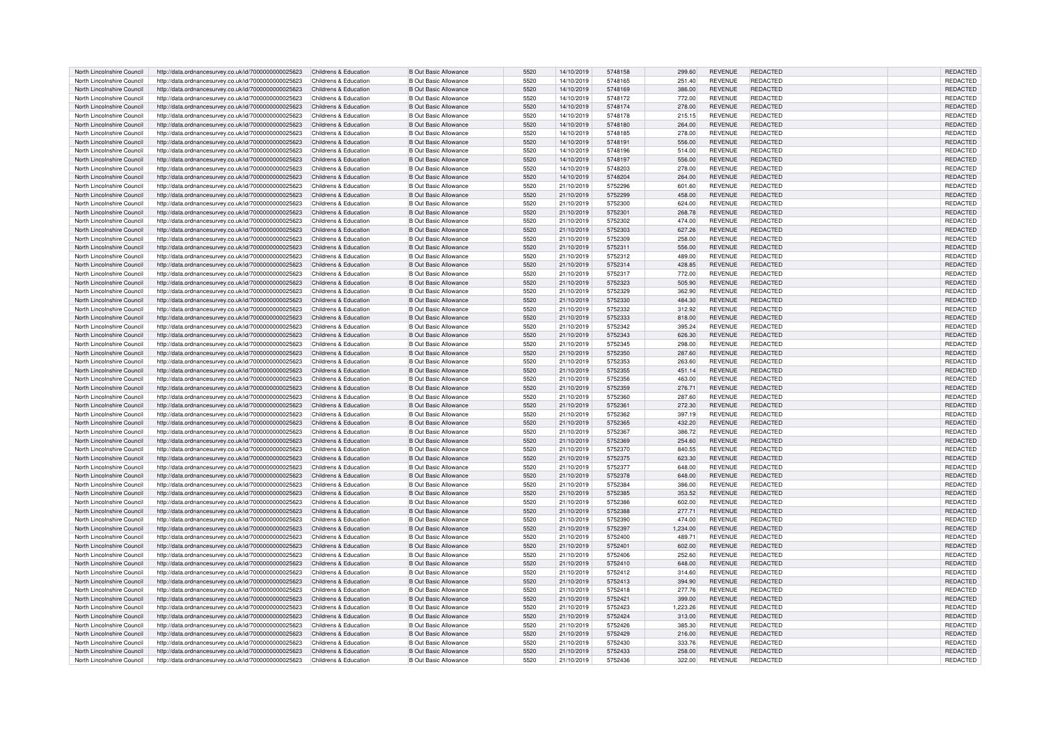| North Lincolnshire Council | http://data.ordnancesurvey.co.uk/id/7000000000025623 | Childrens & Education | <b>B Out Basic Allowance</b> | 5520 | 14/10/2019 | 5748158 | 299.60   | REVENUE        | REDACTED        | <b>REDACTED</b> |
|----------------------------|------------------------------------------------------|-----------------------|------------------------------|------|------------|---------|----------|----------------|-----------------|-----------------|
| North Lincolnshire Council | http://data.ordnancesurvey.co.uk/id/7000000000025623 | Childrens & Education | <b>B Out Basic Allowance</b> | 5520 | 14/10/2019 | 5748165 | 251.40   | REVENUE        | REDACTED        | REDACTED        |
| North Lincolnshire Council | http://data.ordnancesurvey.co.uk/id/7000000000025623 | Childrens & Education | <b>B Out Basic Allowance</b> | 5520 |            | 5748169 |          | <b>REVENUE</b> | REDACTED        | REDACTED        |
|                            |                                                      |                       |                              |      | 14/10/2019 |         | 386.00   |                |                 |                 |
| North Lincolnshire Council | http://data.ordnancesurvey.co.uk/id/7000000000025623 | Childrens & Education | <b>B Out Basic Allowance</b> | 5520 | 14/10/2019 | 5748172 | 772.00   | <b>REVENUE</b> | REDACTED        | REDACTED        |
| North Lincolnshire Council | http://data.ordnancesurvey.co.uk/id/7000000000025623 | Childrens & Education | <b>B Out Basic Allowance</b> | 5520 | 14/10/2019 | 5748174 | 278.00   | <b>REVENUE</b> | <b>REDACTED</b> | REDACTED        |
| North Lincolnshire Council | http://data.ordnancesurvey.co.uk/id/7000000000025623 | Childrens & Education | <b>B Out Basic Allowance</b> | 5520 | 14/10/2019 | 5748178 | 215.15   | <b>REVENUE</b> | <b>REDACTED</b> | <b>REDACTED</b> |
| North Lincolnshire Council | http://data.ordnancesurvey.co.uk/id/7000000000025623 | Childrens & Education | <b>B Out Basic Allowance</b> | 5520 | 14/10/2019 | 5748180 | 264.00   | <b>REVENUE</b> | <b>REDACTED</b> | REDACTED        |
| North Lincolnshire Council | http://data.ordnancesurvey.co.uk/id/7000000000025623 | Childrens & Education | <b>B Out Basic Allowance</b> | 5520 | 14/10/2019 | 5748185 | 278.00   | <b>REVENUE</b> | REDACTED        | REDACTED        |
| North Lincolnshire Council | http://data.ordnancesurvey.co.uk/id/7000000000025623 | Childrens & Education | <b>B Out Basic Allowance</b> | 5520 | 14/10/2019 | 5748191 | 556.00   | <b>REVENUE</b> | <b>REDACTED</b> | <b>REDACTED</b> |
|                            |                                                      |                       |                              |      |            |         |          |                |                 |                 |
| North Lincolnshire Council | http://data.ordnancesurvey.co.uk/id/7000000000025623 | Childrens & Education | <b>B Out Basic Allowance</b> | 5520 | 14/10/2019 | 5748196 | 514.00   | <b>REVENUE</b> | <b>REDACTED</b> | REDACTED        |
| North Lincolnshire Council | http://data.ordnancesurvey.co.uk/id/7000000000025623 | Childrens & Education | <b>B Out Basic Allowance</b> | 5520 | 14/10/2019 | 5748197 | 556.00   | <b>REVENUE</b> | <b>REDACTED</b> | REDACTED        |
| North Lincolnshire Council | http://data.ordnancesurvey.co.uk/id/7000000000025623 | Childrens & Education | <b>B Out Basic Allowance</b> | 5520 | 14/10/2019 | 5748203 | 278.00   | REVENUE        | <b>REDACTED</b> | <b>REDACTED</b> |
| North Lincolnshire Council | http://data.ordnancesurvey.co.uk/id/7000000000025623 | Childrens & Education | <b>B Out Basic Allowance</b> | 5520 | 14/10/2019 | 5748204 | 264.00   | <b>REVENUE</b> | <b>REDACTED</b> | REDACTED        |
| North Lincolnshire Council | http://data.ordnancesurvey.co.uk/id/7000000000025623 | Childrens & Education | <b>B Out Basic Allowance</b> | 5520 | 21/10/2019 | 5752296 | 601.60   | <b>REVENUE</b> | REDACTED        | REDACTED        |
| North Lincolnshire Council | http://data.ordnancesurvey.co.uk/id/7000000000025623 | Childrens & Education | <b>B Out Basic Allowance</b> | 5520 | 21/10/2019 | 5752299 | 458.00   | <b>REVENUE</b> | <b>REDACTED</b> | REDACTED        |
| North Lincolnshire Council | http://data.ordnancesurvey.co.uk/id/7000000000025623 | Childrens & Education | <b>B Out Basic Allowance</b> | 5520 | 21/10/2019 | 5752300 | 624.00   | <b>REVENUE</b> | <b>REDACTED</b> | REDACTED        |
|                            |                                                      | Childrens & Education |                              | 5520 |            |         |          |                | <b>REDACTED</b> |                 |
| North Lincolnshire Council | http://data.ordnancesurvey.co.uk/id/7000000000025623 |                       | <b>B Out Basic Allowance</b> |      | 21/10/2019 | 5752301 | 268.78   | <b>REVENUE</b> |                 | REDACTED        |
| North Lincolnshire Council | http://data.ordnancesurvev.co.uk/id/7000000000025623 | Childrens & Education | <b>B</b> Out Basic Allowance | 5520 | 21/10/2019 | 5752302 | 474.00   | <b>REVENUE</b> | REDACTED        | REDACTED        |
| North Lincolnshire Council | http://data.ordnancesurvey.co.uk/id/7000000000025623 | Childrens & Education | <b>B Out Basic Allowance</b> | 5520 | 21/10/2019 | 5752303 | 627.26   | REVENUE        | <b>REDACTED</b> | REDACTED        |
| North Lincolnshire Council | http://data.ordnancesurvey.co.uk/id/7000000000025623 | Childrens & Education | <b>B Out Basic Allowance</b> | 5520 | 21/10/2019 | 5752309 | 258.00   | <b>REVENUE</b> | REDACTED        | REDACTED        |
| North Lincolnshire Council | http://data.ordnancesurvey.co.uk/id/7000000000025623 | Childrens & Education | <b>B Out Basic Allowance</b> | 5520 | 21/10/2019 | 5752311 | 556.00   | <b>REVENUE</b> | <b>REDACTED</b> | REDACTED        |
| North Lincolnshire Council | http://data.ordnancesurvey.co.uk/id/7000000000025623 | Childrens & Education | <b>B Out Basic Allowance</b> | 5520 | 21/10/2019 | 5752312 | 489.00   | REVENUE        | REDACTED        | REDACTED        |
| North Lincolnshire Council | http://data.ordnancesurvey.co.uk/id/7000000000025623 | Childrens & Education | <b>B Out Basic Allowance</b> | 5520 | 21/10/2019 | 5752314 | 428.85   | <b>REVENUE</b> | <b>REDACTED</b> | REDACTED        |
| North Lincolnshire Council | http://data.ordnancesurvey.co.uk/id/7000000000025623 | Childrens & Education | <b>B Out Basic Allowance</b> | 5520 | 21/10/2019 | 5752317 | 772.00   | REVENUE        | <b>REDACTED</b> | <b>REDACTED</b> |
|                            |                                                      |                       |                              |      |            |         |          |                |                 |                 |
| North Lincolnshire Council | http://data.ordnancesurvey.co.uk/id/7000000000025623 | Childrens & Education | <b>B Out Basic Allowance</b> | 5520 | 21/10/2019 | 5752323 | 505.90   | <b>REVENUE</b> | <b>REDACTED</b> | REDACTED        |
| North Lincolnshire Council | http://data.ordnancesurvey.co.uk/id/7000000000025623 | Childrens & Education | <b>B Out Basic Allowance</b> | 5520 | 21/10/2019 | 5752329 | 362.90   | <b>REVENUE</b> | REDACTED        | <b>REDACTED</b> |
| North Lincolnshire Council | http://data.ordnancesurvey.co.uk/id/7000000000025623 | Childrens & Education | <b>B Out Basic Allowance</b> | 5520 | 21/10/2019 | 5752330 | 484.30   | <b>REVENUE</b> | <b>REDACTED</b> | <b>REDACTED</b> |
| North Lincolnshire Council | http://data.ordnancesurvey.co.uk/id/7000000000025623 | Childrens & Education | <b>B Out Basic Allowance</b> | 5520 | 21/10/2019 | 5752332 | 312.92   | REVENUE        | REDACTED        | REDACTED        |
| North Lincolnshire Council | http://data.ordnancesurvey.co.uk/id/7000000000025623 | Childrens & Education | <b>B Out Basic Allowance</b> | 5520 | 21/10/2019 | 5752333 | 818.00   | <b>REVENUE</b> | <b>REDACTED</b> | REDACTED        |
| North Lincolnshire Council | http://data.ordnancesurvey.co.uk/id/7000000000025623 | Childrens & Education | B Out Basic Allowance        | 5520 | 21/10/2019 | 5752342 | 395.24   | <b>REVENUE</b> | REDACTED        | <b>REDACTED</b> |
| North Lincolnshire Council | http://data.ordnancesurvey.co.uk/id/7000000000025623 | Childrens & Education | <b>B Out Basic Allowance</b> | 5520 | 21/10/2019 | 5752343 | 626.30   | <b>REVENUE</b> | REDACTED        | REDACTED        |
| North Lincolnshire Council | http://data.ordnancesurvey.co.uk/id/7000000000025623 | Childrens & Education | <b>B Out Basic Allowance</b> | 5520 | 21/10/2019 | 5752345 | 298.00   | REVENUE        | REDACTED        | REDACTED        |
|                            |                                                      |                       |                              |      |            |         |          |                |                 |                 |
| North Lincolnshire Council | http://data.ordnancesurvey.co.uk/id/7000000000025623 | Childrens & Education | <b>B Out Basic Allowance</b> | 5520 | 21/10/2019 | 5752350 | 287.60   | <b>REVENUE</b> | <b>REDACTED</b> | <b>REDACTED</b> |
| North Lincolnshire Council | http://data.ordnancesurvey.co.uk/id/7000000000025623 | Childrens & Education | <b>B Out Basic Allowance</b> | 5520 | 21/10/2019 | 5752353 | 263.60   | REVENUE        | REDACTED        | REDACTED        |
| North Lincolnshire Council | http://data.ordnancesurvey.co.uk/id/7000000000025623 | Childrens & Education | <b>B Out Basic Allowance</b> | 5520 | 21/10/2019 | 5752355 | 451.14   | <b>REVENUE</b> | <b>REDACTED</b> | REDACTED        |
| North Lincolnshire Council | http://data.ordnancesurvev.co.uk/id/7000000000025623 | Childrens & Education | <b>B Out Basic Allowance</b> | 5520 | 21/10/2019 | 5752356 | 463.00   | <b>REVENUE</b> | REDACTED        | REDACTED        |
| North Lincolnshire Council | http://data.ordnancesurvey.co.uk/id/7000000000025623 | Childrens & Education | <b>B Out Basic Allowance</b> | 5520 | 21/10/2019 | 5752359 | 276.71   | REVENUE        | <b>REDACTED</b> | REDACTED        |
| North Lincolnshire Council | http://data.ordnancesurvey.co.uk/id/7000000000025623 | Childrens & Education | <b>B Out Basic Allowance</b> | 5520 | 21/10/2019 | 5752360 | 287.60   | REVENUE        | REDACTED        | REDACTED        |
| North Lincolnshire Council | http://data.ordnancesurvey.co.uk/id/7000000000025623 | Childrens & Education | <b>B Out Basic Allowance</b> | 5520 | 21/10/2019 | 5752361 | 272.30   | <b>REVENUE</b> | <b>REDACTED</b> | REDACTED        |
| North Lincolnshire Council |                                                      | Childrens & Education | <b>B Out Basic Allowance</b> | 5520 |            | 5752362 | 397.19   | <b>REVENUE</b> | REDACTED        | <b>REDACTED</b> |
|                            | http://data.ordnancesurvey.co.uk/id/7000000000025623 |                       |                              |      | 21/10/2019 |         |          |                |                 |                 |
| North Lincolnshire Council | http://data.ordnancesurvey.co.uk/id/7000000000025623 | Childrens & Education | <b>B Out Basic Allowance</b> | 5520 | 21/10/2019 | 5752365 | 432.20   | REVENUE        | REDACTED        | REDACTED        |
| North Lincolnshire Council | http://data.ordnancesurvey.co.uk/id/7000000000025623 | Childrens & Education | <b>B Out Basic Allowance</b> | 5520 | 21/10/2019 | 5752367 | 386.72   | <b>REVENUE</b> | <b>REDACTED</b> | <b>REDACTED</b> |
| North Lincolnshire Council | http://data.ordnancesurvey.co.uk/id/7000000000025623 | Childrens & Education | <b>B Out Basic Allowance</b> | 5520 | 21/10/2019 | 5752369 | 254.60   | <b>REVENUE</b> | REDACTED        | REDACTED        |
| North Lincolnshire Council | http://data.ordnancesurvey.co.uk/id/7000000000025623 | Childrens & Education | <b>B Out Basic Allowance</b> | 5520 | 21/10/2019 | 5752370 | 840.55   | REVENUE        | REDACTED        | REDACTED        |
| North Lincolnshire Council | http://data.ordnancesurvey.co.uk/id/7000000000025623 | Childrens & Education | <b>B Out Basic Allowance</b> | 5520 | 21/10/2019 | 5752375 | 623.30   | <b>REVENUE</b> | <b>REDACTED</b> | REDACTED        |
| North Lincolnshire Council | http://data.ordnancesurvey.co.uk/id/7000000000025623 | Childrens & Education | <b>B Out Basic Allowance</b> | 5520 | 21/10/2019 | 5752377 | 648.00   | <b>REVENUE</b> | <b>REDACTED</b> | REDACTED        |
| North Lincolnshire Council | http://data.ordnancesurvey.co.uk/id/7000000000025623 | Childrens & Education | <b>B Out Basic Allowance</b> | 5520 | 21/10/2019 | 5752378 | 648.00   | <b>REVENUE</b> | <b>REDACTED</b> | REDACTED        |
| North Lincolnshire Council | http://data.ordnancesurvey.co.uk/id/7000000000025623 | Childrens & Education | <b>B Out Basic Allowance</b> | 5520 | 21/10/2019 | 5752384 | 386.00   | REVENUE        | REDACTED        | <b>REDACTED</b> |
|                            |                                                      |                       |                              |      |            |         |          |                |                 |                 |
| North Lincolnshire Council | http://data.ordnancesurvey.co.uk/id/7000000000025623 | Childrens & Education | <b>B Out Basic Allowance</b> | 5520 | 21/10/2019 | 5752385 | 353.52   | <b>REVENUE</b> | <b>REDACTED</b> | REDACTED        |
| North Lincolnshire Council | http://data.ordnancesurvey.co.uk/id/7000000000025623 | Childrens & Education | <b>B Out Basic Allowance</b> | 5520 | 21/10/2019 | 5752386 | 602.00   | <b>REVENUE</b> | REDACTED        | REDACTED        |
| North Lincolnshire Council | http://data.ordnancesurvey.co.uk/id/7000000000025623 | Childrens & Education | <b>B Out Basic Allowance</b> | 5520 | 21/10/2019 | 5752388 | 277.71   | <b>REVENUE</b> | <b>REDACTED</b> | <b>REDACTED</b> |
| North Lincolnshire Council | http://data.ordnancesurvey.co.uk/id/7000000000025623 | Childrens & Education | <b>B Out Basic Allowance</b> | 5520 | 21/10/2019 | 5752390 | 474.00   | <b>REVENUE</b> | <b>REDACTED</b> | REDACTED        |
| North Lincolnshire Council | http://data.ordnancesurvey.co.uk/id/7000000000025623 | Childrens & Education | <b>B Out Basic Allowance</b> | 5520 | 21/10/2019 | 5752397 | 1,234.00 | <b>REVENUE</b> | <b>REDACTED</b> | REDACTED        |
| North Lincolnshire Council | http://data.ordnancesurvey.co.uk/id/7000000000025623 | Childrens & Education | <b>B</b> Out Basic Allowance | 5520 | 21/10/2019 | 5752400 | 489.71   | REVENUE        | REDACTED        | REDACTED        |
| North Lincolnshire Council | http://data.ordnancesurvey.co.uk/id/7000000000025623 | Childrens & Education | <b>B Out Basic Allowance</b> | 5520 | 21/10/2019 | 5752401 | 602.00   | REVENUE        | REDACTED        | REDACTED        |
| North Lincolnshire Council | http://data.ordnancesurvey.co.uk/id/7000000000025623 | Childrens & Education | <b>B Out Basic Allowance</b> | 5520 | 21/10/2019 | 5752406 | 252.60   | <b>REVENUE</b> | REDACTED        | REDACTED        |
| North Lincolnshire Council |                                                      | Childrens & Education | <b>B Out Basic Allowance</b> |      |            | 5752410 |          | <b>REVENUE</b> | <b>REDACTED</b> |                 |
|                            | http://data.ordnancesurvey.co.uk/id/7000000000025623 |                       |                              | 5520 | 21/10/2019 |         | 648.00   |                |                 | REDACTED        |
| North Lincolnshire Council | http://data.ordnancesurvey.co.uk/id/7000000000025623 | Childrens & Education | <b>B Out Basic Allowance</b> | 5520 | 21/10/2019 | 5752412 | 314.60   | REVENUE        | REDACTED        | REDACTED        |
| North Lincolnshire Council | http://data.ordnancesurvey.co.uk/id/7000000000025623 | Childrens & Education | <b>B Out Basic Allowance</b> | 5520 | 21/10/2019 | 5752413 | 394.90   | <b>REVENUE</b> | <b>REDACTED</b> | REDACTED        |
| North Lincolnshire Council | http://data.ordnancesurvey.co.uk/id/7000000000025623 | Childrens & Education | <b>B Out Basic Allowance</b> | 5520 | 21/10/2019 | 5752418 | 277.76   | REVENUE        | <b>REDACTED</b> | <b>REDACTED</b> |
| North Lincolnshire Council | http://data.ordnancesurvey.co.uk/id/7000000000025623 | Childrens & Education | <b>B Out Basic Allowance</b> | 5520 | 21/10/2019 | 5752421 | 399.00   | <b>REVENUE</b> | <b>REDACTED</b> | REDACTED        |
| North Lincolnshire Council | http://data.ordnancesurvey.co.uk/id/7000000000025623 | Childrens & Education | <b>B</b> Out Basic Allowance | 5520 | 21/10/2019 | 5752423 | 1,223.26 | <b>REVENUE</b> | REDACTED        | REDACTED        |
| North Lincolnshire Council | http://data.ordnancesurvey.co.uk/id/7000000000025623 | Childrens & Education | <b>B Out Basic Allowance</b> | 5520 | 21/10/2019 | 5752424 | 313.00   | <b>REVENUE</b> | REDACTED        | REDACTED        |
| North Lincolnshire Council | http://data.ordnancesurvey.co.uk/id/7000000000025623 | Childrens & Education | <b>B Out Basic Allowance</b> | 5520 | 21/10/2019 | 5752426 | 385.30   | REVENUE        | REDACTED        | REDACTED        |
| North Lincolnshire Council | http://data.ordnancesurvey.co.uk/id/7000000000025623 | Childrens & Education | <b>B Out Basic Allowance</b> | 5520 | 21/10/2019 | 5752429 | 216.00   | <b>REVENUE</b> | <b>REDACTED</b> | REDACTED        |
| North Lincolnshire Council |                                                      | Childrens & Education | <b>B Out Basic Allowance</b> | 5520 | 21/10/2019 | 5752430 |          | <b>REVENUE</b> | <b>REDACTED</b> |                 |
|                            | http://data.ordnancesurvey.co.uk/id/7000000000025623 |                       |                              |      |            |         | 333.76   |                |                 | REDACTED        |
| North Lincolnshire Council | http://data.ordnancesurvey.co.uk/id/7000000000025623 | Childrens & Education | <b>B Out Basic Allowance</b> | 5520 | 21/10/2019 | 5752433 | 258.00   | <b>REVENUE</b> | <b>REDACTED</b> | REDACTED        |
| North Lincolnshire Council | http://data.ordnancesurvey.co.uk/id/7000000000025623 | Childrens & Education | <b>B Out Basic Allowance</b> | 5520 | 21/10/2019 | 5752436 | 322.00   | <b>REVENUE</b> | REDACTED        | REDACTED        |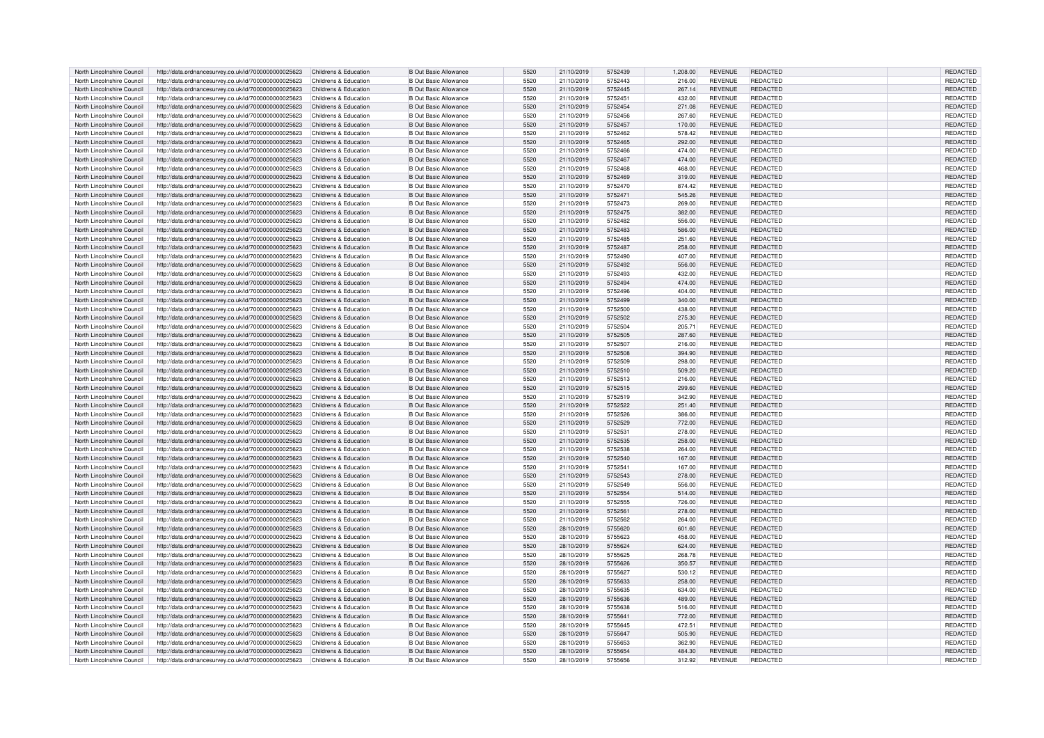| North Lincolnshire Council | http://data.ordnancesurvey.co.uk/id/7000000000025623 | Childrens & Education | <b>B Out Basic Allowance</b> | 5520 | 21/10/2019 | 5752439 | 1.208.00 | <b>REVENUE</b> | <b>REDACTED</b> | <b>REDACTED</b> |
|----------------------------|------------------------------------------------------|-----------------------|------------------------------|------|------------|---------|----------|----------------|-----------------|-----------------|
| North Lincolnshire Council | http://data.ordnancesurvey.co.uk/id/7000000000025623 | Childrens & Education | <b>B Out Basic Allowance</b> | 5520 | 21/10/2019 | 5752443 | 216.00   | REVENUE        | REDACTED        | REDACTED        |
| North Lincolnshire Council | http://data.ordnancesurvey.co.uk/id/7000000000025623 | Childrens & Education | <b>B</b> Out Basic Allowance | 5520 | 21/10/2019 | 5752445 | 267.14   | <b>REVENUE</b> | <b>REDACTED</b> | <b>REDACTED</b> |
| North Lincolnshire Council | http://data.ordnancesurvey.co.uk/id/7000000000025623 | Childrens & Education | <b>B Out Basic Allowance</b> | 5520 | 21/10/2019 | 5752451 | 432.00   | <b>REVENUE</b> | REDACTED        | REDACTED        |
| North Lincolnshire Council | http://data.ordnancesurvey.co.uk/id/7000000000025623 | Childrens & Education | <b>B Out Basic Allowance</b> | 5520 | 21/10/2019 | 5752454 | 271.08   | <b>REVENUE</b> | <b>REDACTED</b> | <b>REDACTED</b> |
| North Lincolnshire Council | http://data.ordnancesurvey.co.uk/id/7000000000025623 | Childrens & Education | <b>B</b> Out Basic Allowance | 5520 | 21/10/2019 | 5752456 | 267.60   | REVENUE        | REDACTED        | REDACTED        |
| North Lincolnshire Council | http://data.ordnancesurvey.co.uk/id/7000000000025623 | Childrens & Education | <b>B</b> Out Basic Allowance | 5520 | 21/10/2019 | 5752457 | 170.00   | <b>REVENUE</b> | REDACTED        | REDACTED        |
| North Lincolnshire Council | http://data.ordnancesurvey.co.uk/id/7000000000025623 | Childrens & Education | <b>B</b> Out Basic Allowance | 5520 | 21/10/2019 | 5752462 | 578.42   | REVENUE        | REDACTED        | REDACTED        |
| North Lincolnshire Council | http://data.ordnancesurvey.co.uk/id/7000000000025623 | Childrens & Education | <b>B Out Basic Allowance</b> | 5520 | 21/10/2019 | 5752465 | 292.00   | <b>REVENUE</b> | <b>REDACTED</b> | <b>REDACTED</b> |
| North Lincolnshire Council | http://data.ordnancesurvey.co.uk/id/7000000000025623 | Childrens & Education | <b>B Out Basic Allowance</b> | 5520 | 21/10/2019 | 5752466 | 474.00   | <b>REVENUE</b> | REDACTED        | REDACTED        |
| North Lincolnshire Council | http://data.ordnancesurvey.co.uk/id/7000000000025623 | Childrens & Education | <b>B</b> Out Basic Allowance | 5520 | 21/10/2019 | 5752467 | 474.00   | <b>REVENUE</b> | <b>REDACTED</b> | REDACTED        |
| North Lincolnshire Council | http://data.ordnancesurvey.co.uk/id/7000000000025623 | Childrens & Education | <b>B Out Basic Allowance</b> | 5520 | 21/10/2019 | 5752468 | 468.00   | REVENUE        | REDACTED        | <b>REDACTED</b> |
| North Lincolnshire Council | http://data.ordnancesurvey.co.uk/id/7000000000025623 | Childrens & Education | <b>B</b> Out Basic Allowance | 5520 | 21/10/2019 | 5752469 | 319.00   | <b>REVENUE</b> | REDACTED        | REDACTED        |
| North Lincolnshire Council | http://data.ordnancesurvey.co.uk/id/7000000000025623 | Childrens & Education | <b>B Out Basic Allowance</b> | 5520 | 21/10/2019 | 5752470 | 874.42   | <b>REVENUE</b> | REDACTED        | REDACTED        |
| North Lincolnshire Council | http://data.ordnancesurvey.co.uk/id/7000000000025623 | Childrens & Education | <b>B Out Basic Allowance</b> | 5520 | 21/10/2019 | 5752471 | 545.26   | <b>REVENUE</b> | <b>REDACTED</b> | REDACTED        |
| North Lincolnshire Council | http://data.ordnancesurvey.co.uk/id/7000000000025623 | Childrens & Education | <b>B</b> Out Basic Allowance | 5520 | 21/10/2019 | 5752473 | 269.00   | <b>REVENUE</b> | REDACTED        | REDACTED        |
| North Lincolnshire Council | http://data.ordnancesurvey.co.uk/id/7000000000025623 | Childrens & Education | <b>B</b> Out Basic Allowance | 5520 | 21/10/2019 | 5752475 | 382.00   | REVENUE        | <b>REDACTED</b> | REDACTED        |
| North Lincolnshire Council | http://data.ordnancesurvey.co.uk/id/7000000000025623 | Childrens & Education | <b>B</b> Out Basic Allowance | 5520 | 21/10/2019 | 5752482 | 556.00   | <b>REVENUE</b> | REDACTED        | REDACTED        |
| North Lincolnshire Council | http://data.ordnancesurvey.co.uk/id/7000000000025623 | Childrens & Education | <b>B</b> Out Basic Allowance | 5520 | 21/10/2019 | 5752483 | 586.00   | REVENUE        | REDACTED        | <b>REDACTED</b> |
| North Lincolnshire Council | http://data.ordnancesurvey.co.uk/id/7000000000025623 | Childrens & Education | <b>B Out Basic Allowance</b> | 5520 | 21/10/2019 | 5752485 | 251.60   | <b>REVENUE</b> | <b>REDACTED</b> | REDACTED        |
| North Lincolnshire Council | http://data.ordnancesurvey.co.uk/id/7000000000025623 | Childrens & Education | <b>B</b> Out Basic Allowance | 5520 | 21/10/2019 | 5752487 | 258.00   | <b>REVENUE</b> | REDACTED        | <b>REDACTED</b> |
| North Lincolnshire Council | http://data.ordnancesurvey.co.uk/id/7000000000025623 | Childrens & Education | <b>B Out Basic Allowance</b> | 5520 | 21/10/2019 | 5752490 | 407.00   | REVENUE        | REDACTED        | REDACTED        |
| North Lincolnshire Council | http://data.ordnancesurvey.co.uk/id/7000000000025623 | Childrens & Education | <b>B</b> Out Basic Allowance | 5520 | 21/10/2019 | 5752492 | 556.00   | <b>REVENUE</b> | REDACTED        | REDACTED        |
| North Lincolnshire Council | http://data.ordnancesurvey.co.uk/id/7000000000025623 | Childrens & Education | <b>B Out Basic Allowance</b> | 5520 | 21/10/2019 | 5752493 | 432.00   | <b>REVENUE</b> | <b>REDACTED</b> | REDACTED        |
| North Lincolnshire Council | http://data.ordnancesurvey.co.uk/id/7000000000025623 | Childrens & Education | <b>B Out Basic Allowance</b> | 5520 | 21/10/2019 | 5752494 | 474.00   | <b>REVENUE</b> | <b>REDACTED</b> | REDACTED        |
| North Lincolnshire Council | http://data.ordnancesurvey.co.uk/id/7000000000025623 | Childrens & Education | <b>B</b> Out Basic Allowance | 5520 | 21/10/2019 | 5752496 | 404.00   | <b>REVENUE</b> | REDACTED        | REDACTED        |
| North Lincolnshire Council | http://data.ordnancesurvey.co.uk/id/7000000000025623 | Childrens & Education | <b>B</b> Out Basic Allowance | 5520 | 21/10/2019 | 5752499 | 340.00   | <b>REVENUE</b> | <b>REDACTED</b> | <b>REDACTED</b> |
| North Lincolnshire Council | http://data.ordnancesurvey.co.uk/id/7000000000025623 | Childrens & Education | <b>B Out Basic Allowance</b> | 5520 | 21/10/2019 | 5752500 | 438.00   | <b>REVENUE</b> | REDACTED        | REDACTED        |
| North Lincolnshire Council | http://data.ordnancesurvey.co.uk/id/7000000000025623 | Childrens & Education | <b>B</b> Out Basic Allowance | 5520 | 21/10/2019 | 5752502 | 275.30   | <b>REVENUE</b> | REDACTED        | REDACTED        |
| North Lincolnshire Council | http://data.ordnancesurvey.co.uk/id/7000000000025623 | Childrens & Education | <b>B Out Basic Allowance</b> | 5520 | 21/10/2019 | 5752504 | 205.71   | REVENUE        | REDACTED        | REDACTED        |
| North Lincolnshire Council | http://data.ordnancesurvey.co.uk/id/7000000000025623 | Childrens & Education | B Out Basic Allowance        | 5520 | 21/10/2019 | 5752505 | 287.60   | <b>REVENUE</b> | <b>REDACTED</b> | REDACTED        |
| North Lincolnshire Council | http://data.ordnancesurvey.co.uk/id/7000000000025623 | Childrens & Education | <b>B</b> Out Basic Allowance | 5520 | 21/10/2019 | 5752507 | 216.00   | REVENUE        | REDACTED        | REDACTED        |
| North Lincolnshire Council | http://data.ordnancesurvey.co.uk/id/7000000000025623 | Childrens & Education | <b>B</b> Out Basic Allowance | 5520 | 21/10/2019 | 5752508 | 394.90   | <b>REVENUE</b> | REDACTED        | <b>REDACTED</b> |
| North Lincolnshire Council | http://data.ordnancesurvey.co.uk/id/7000000000025623 | Childrens & Education | <b>B Out Basic Allowance</b> | 5520 | 21/10/2019 | 5752509 | 298.00   | <b>REVENUE</b> | REDACTED        | REDACTED        |
| North Lincolnshire Council | http://data.ordnancesurvey.co.uk/id/7000000000025623 | Childrens & Education | <b>B Out Basic Allowance</b> | 5520 | 21/10/2019 | 5752510 | 509.20   | <b>REVENUE</b> | REDACTED        | REDACTED        |
| North Lincolnshire Council | http://data.ordnancesurvev.co.uk/id/7000000000025623 | Childrens & Education | <b>B</b> Out Basic Allowance | 5520 | 21/10/2019 | 5752513 | 216.00   | <b>REVENUE</b> | REDACTED        | REDACTED        |
| North Lincolnshire Council | http://data.ordnancesurvey.co.uk/id/7000000000025623 | Childrens & Education | <b>B</b> Out Basic Allowance | 5520 | 21/10/2019 | 5752515 | 299.60   | <b>REVENUE</b> | REDACTED        | REDACTED        |
| North Lincolnshire Council | http://data.ordnancesurvey.co.uk/id/7000000000025623 | Childrens & Education | <b>B Out Basic Allowance</b> | 5520 | 21/10/2019 | 5752519 | 342.90   | REVENUE        | REDACTED        | REDACTED        |
| North Lincolnshire Council | http://data.ordnancesurvey.co.uk/id/7000000000025623 | Childrens & Education | <b>B</b> Out Basic Allowance | 5520 | 21/10/2019 | 5752522 | 251.40   | <b>REVENUE</b> | REDACTED        | REDACTED        |
| North Lincolnshire Council | http://data.ordnancesurvey.co.uk/id/7000000000025623 | Childrens & Education | <b>B Out Basic Allowance</b> | 5520 | 21/10/2019 | 5752526 | 386.00   | REVENUE        | REDACTED        | REDACTED        |
| North Lincolnshire Council | http://data.ordnancesurvey.co.uk/id/7000000000025623 | Childrens & Education | <b>B</b> Out Basic Allowance | 5520 | 21/10/2019 | 5752529 | 772.00   | <b>REVENUE</b> | REDACTED        | <b>REDACTED</b> |
| North Lincolnshire Council | http://data.ordnancesurvey.co.uk/id/7000000000025623 | Childrens & Education | <b>B</b> Out Basic Allowance | 5520 | 21/10/2019 | 5752531 | 278.00   | <b>REVENUE</b> | REDACTED        | <b>REDACTED</b> |
| North Lincolnshire Council | http://data.ordnancesurvey.co.uk/id/7000000000025623 | Childrens & Education | <b>B</b> Out Basic Allowance | 5520 | 21/10/2019 | 5752535 | 258.00   | REVENUE        | REDACTED        | REDACTED        |
| North Lincolnshire Council | http://data.ordnancesurvey.co.uk/id/7000000000025623 | Childrens & Education | <b>B Out Basic Allowance</b> | 5520 | 21/10/2019 | 5752538 | 264.00   | REVENUE        | REDACTED        | REDACTED        |
| North Lincolnshire Council | http://data.ordnancesurvey.co.uk/id/7000000000025623 | Childrens & Education | <b>B Out Basic Allowance</b> | 5520 | 21/10/2019 | 5752540 | 167.00   | <b>REVENUE</b> | <b>REDACTED</b> | REDACTED        |
| North Lincolnshire Council | http://data.ordnancesurvey.co.uk/id/7000000000025623 | Childrens & Education | <b>B Out Basic Allowance</b> | 5520 | 21/10/2019 | 5752541 | 167.00   | <b>REVENUE</b> | REDACTED        | REDACTED        |
| North Lincolnshire Council | http://data.ordnancesurvey.co.uk/id/7000000000025623 | Childrens & Education | <b>B</b> Out Basic Allowance | 5520 | 21/10/2019 | 5752543 | 278.00   | <b>REVENUE</b> | <b>REDACTED</b> | REDACTED        |
| North Lincolnshire Council | http://data.ordnancesurvey.co.uk/id/7000000000025623 | Childrens & Education | <b>B Out Basic Allowance</b> | 5520 | 21/10/2019 | 5752549 | 556.00   | REVENUE        | REDACTED        | REDACTED        |
| North Lincolnshire Council | http://data.ordnancesurvey.co.uk/id/7000000000025623 | Childrens & Education | <b>B</b> Out Basic Allowance | 5520 | 21/10/2019 | 5752554 | 514.00   | <b>REVENUE</b> | REDACTED        | REDACTED        |
| North Lincolnshire Council | http://data.ordnancesurvey.co.uk/id/7000000000025623 | Childrens & Education | <b>B Out Basic Allowance</b> | 5520 | 21/10/2019 | 5752555 | 726.00   | <b>REVENUE</b> | REDACTED        | REDACTED        |
| North Lincolnshire Council | http://data.ordnancesurvey.co.uk/id/7000000000025623 | Childrens & Education | <b>B Out Basic Allowance</b> | 5520 | 21/10/2019 | 5752561 | 278.00   | <b>REVENUE</b> | REDACTED        | <b>REDACTED</b> |
| North Lincolnshire Council | http://data.ordnancesurvey.co.uk/id/7000000000025623 | Childrens & Education | <b>B Out Basic Allowance</b> | 5520 | 21/10/2019 | 5752562 | 264.00   | <b>REVENUE</b> | REDACTED        | REDACTED        |
| North Lincolnshire Council | http://data.ordnancesurvey.co.uk/id/7000000000025623 | Childrens & Education | <b>B</b> Out Basic Allowance | 5520 | 28/10/2019 | 5755620 | 601.60   | <b>REVENUE</b> | REDACTED        | REDACTED        |
| North Lincolnshire Council | http://data.ordnancesurvey.co.uk/id/7000000000025623 | Childrens & Education | <b>B</b> Out Basic Allowance | 5520 | 28/10/2019 | 5755623 | 458.00   | <b>REVENUE</b> | REDACTED        | REDACTED        |
| North Lincolnshire Council | http://data.ordnancesurvey.co.uk/id/7000000000025623 | Childrens & Education | <b>B Out Basic Allowance</b> | 5520 | 28/10/2019 | 5755624 | 624.00   | <b>REVENUE</b> | <b>REDACTED</b> | REDACTED        |
| North Lincolnshire Council | http://data.ordnancesurvey.co.uk/id/7000000000025623 | Childrens & Education | <b>B Out Basic Allowance</b> | 5520 | 28/10/2019 | 5755625 | 268.78   | <b>REVENUE</b> | <b>REDACTED</b> | REDACTED        |
| North Lincolnshire Council | http://data.ordnancesurvey.co.uk/id/7000000000025623 | Childrens & Education | <b>B</b> Out Basic Allowance | 5520 | 28/10/2019 | 5755626 | 350.57   | <b>REVENUE</b> | REDACTED        | <b>REDACTED</b> |
| North Lincolnshire Council | http://data.ordnancesurvey.co.uk/id/7000000000025623 | Childrens & Education | <b>B</b> Out Basic Allowance | 5520 | 28/10/2019 | 5755627 | 530.12   | REVENUE        | REDACTED        | REDACTED        |
| North Lincolnshire Council | http://data.ordnancesurvey.co.uk/id/7000000000025623 | Childrens & Education | <b>B</b> Out Basic Allowance | 5520 | 28/10/2019 | 5755633 | 258.00   | <b>REVENUE</b> | REDACTED        | REDACTED        |
| North Lincolnshire Council | http://data.ordnancesurvey.co.uk/id/7000000000025623 | Childrens & Education | <b>B Out Basic Allowance</b> | 5520 | 28/10/2019 | 5755635 | 634.00   | <b>REVENUE</b> | REDACTED        | <b>REDACTED</b> |
| North Lincolnshire Council | http://data.ordnancesurvey.co.uk/id/7000000000025623 | Childrens & Education | B Out Basic Allowance        | 5520 | 28/10/2019 | 5755636 | 489.00   | <b>REVENUE</b> | REDACTED        | REDACTED        |
| North Lincolnshire Council | http://data.ordnancesurvey.co.uk/id/7000000000025623 | Childrens & Education | <b>B Out Basic Allowance</b> | 5520 | 28/10/2019 | 5755638 | 516.00   | <b>REVENUE</b> | REDACTED        | REDACTED        |
| North Lincolnshire Council | http://data.ordnancesurvey.co.uk/id/7000000000025623 | Childrens & Education | <b>B</b> Out Basic Allowance | 5520 | 28/10/2019 | 5755641 | 772.00   | <b>REVENUE</b> | REDACTED        | REDACTED        |
| North Lincolnshire Council | http://data.ordnancesurvey.co.uk/id/7000000000025623 | Childrens & Education | <b>B Out Basic Allowance</b> | 5520 | 28/10/2019 | 5755645 | 472.51   | REVENUE        | REDACTED        | REDACTED        |
| North Lincolnshire Council | http://data.ordnancesurvey.co.uk/id/7000000000025623 | Childrens & Education | <b>B</b> Out Basic Allowance | 5520 | 28/10/2019 | 5755647 | 505.90   | <b>REVENUE</b> | <b>REDACTED</b> | REDACTED        |
| North Lincolnshire Council | http://data.ordnancesurvey.co.uk/id/7000000000025623 | Childrens & Education | <b>B Out Basic Allowance</b> | 5520 | 28/10/2019 | 5755653 | 362.90   | REVENUE        | <b>REDACTED</b> | REDACTED        |
| North Lincolnshire Council | http://data.ordnancesurvey.co.uk/id/7000000000025623 | Childrens & Education | <b>B.Out Basic Allowance</b> | 5520 | 28/10/2019 | 5755654 | 484.30   | <b>REVENUE</b> | <b>REDACTED</b> | <b>REDACTED</b> |
| North Lincolnshire Council | http://data.ordnancesurvey.co.uk/id/7000000000025623 | Childrens & Education | <b>B Out Basic Allowance</b> | 5520 | 28/10/2019 | 5755656 | 312.92   | <b>REVENUE</b> | REDACTED        | <b>REDACTED</b> |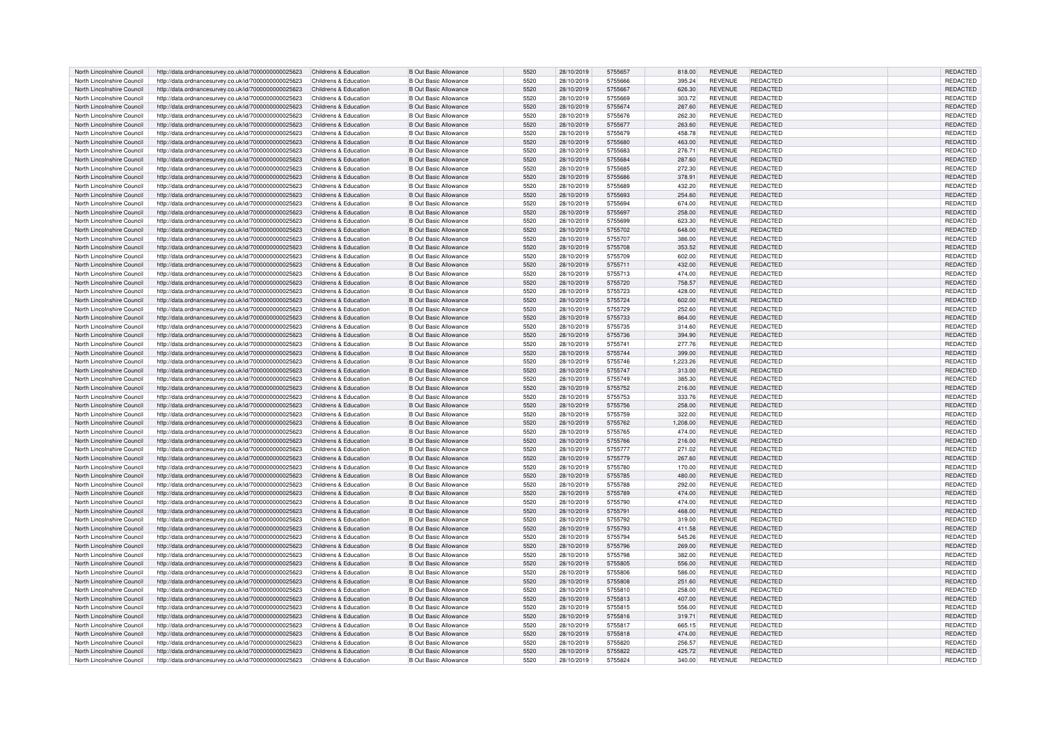| North Lincolnshire Council | http://data.ordnancesurvey.co.uk/id/7000000000025623 | Childrens & Education | <b>B Out Basic Allowance</b> | 5520 | 28/10/2019 | 5755657 | 818.00   | REVENUE        | REDACTED        | <b>REDACTED</b> |
|----------------------------|------------------------------------------------------|-----------------------|------------------------------|------|------------|---------|----------|----------------|-----------------|-----------------|
| North Lincolnshire Council | http://data.ordnancesurvey.co.uk/id/7000000000025623 | Childrens & Education | <b>B Out Basic Allowance</b> | 5520 | 28/10/2019 | 5755666 | 395.24   | REVENUE        | REDACTED        | REDACTED        |
| North Lincolnshire Council | http://data.ordnancesurvey.co.uk/id/7000000000025623 | Childrens & Education | <b>B Out Basic Allowance</b> | 5520 | 28/10/2019 | 5755667 | 626.30   | <b>REVENUE</b> | REDACTED        | REDACTED        |
|                            |                                                      |                       |                              |      |            |         |          |                |                 |                 |
| North Lincolnshire Council | http://data.ordnancesurvey.co.uk/id/7000000000025623 | Childrens & Education | <b>B Out Basic Allowance</b> | 5520 | 28/10/2019 | 5755669 | 303.72   | <b>REVENUE</b> | REDACTED        | REDACTED        |
| North Lincolnshire Council | http://data.ordnancesurvey.co.uk/id/7000000000025623 | Childrens & Education | <b>B Out Basic Allowance</b> | 5520 | 28/10/2019 | 5755674 | 287.60   | <b>REVENUE</b> | <b>REDACTED</b> | REDACTED        |
| North Lincolnshire Council | http://data.ordnancesurvey.co.uk/id/7000000000025623 | Childrens & Education | <b>B Out Basic Allowance</b> | 5520 | 28/10/2019 | 5755676 | 262.30   | <b>REVENUE</b> | <b>REDACTED</b> | <b>REDACTED</b> |
| North Lincolnshire Council | http://data.ordnancesurvey.co.uk/id/7000000000025623 | Childrens & Education | <b>B Out Basic Allowance</b> | 5520 | 28/10/2019 | 5755677 | 263.60   | <b>REVENUE</b> | <b>REDACTED</b> | REDACTED        |
| North Lincolnshire Council | http://data.ordnancesurvey.co.uk/id/7000000000025623 | Childrens & Education | <b>B Out Basic Allowance</b> | 5520 | 28/10/2019 | 5755679 | 458.78   | <b>REVENUE</b> | <b>REDACTED</b> | REDACTED        |
| North Lincolnshire Council | http://data.ordnancesurvey.co.uk/id/7000000000025623 | Childrens & Education | <b>B Out Basic Allowance</b> | 5520 | 28/10/2019 | 5755680 | 463.00   | <b>REVENUE</b> | <b>REDACTED</b> | <b>REDACTED</b> |
|                            |                                                      |                       |                              |      |            |         |          |                |                 |                 |
| North Lincolnshire Council | http://data.ordnancesurvey.co.uk/id/7000000000025623 | Childrens & Education | <b>B Out Basic Allowance</b> | 5520 | 28/10/2019 | 5755683 | 276.71   | <b>REVENUE</b> | <b>REDACTED</b> | REDACTED        |
| North Lincolnshire Council | http://data.ordnancesurvey.co.uk/id/7000000000025623 | Childrens & Education | <b>B Out Basic Allowance</b> | 5520 | 28/10/2019 | 5755684 | 287.60   | <b>REVENUE</b> | <b>REDACTED</b> | REDACTED        |
| North Lincolnshire Council | http://data.ordnancesurvey.co.uk/id/7000000000025623 | Childrens & Education | <b>B Out Basic Allowance</b> | 5520 | 28/10/2019 | 5755685 | 272.30   | REVENUE        | <b>REDACTED</b> | <b>REDACTED</b> |
| North Lincolnshire Council | http://data.ordnancesurvey.co.uk/id/7000000000025623 | Childrens & Education | <b>B Out Basic Allowance</b> | 5520 | 28/10/2019 | 5755686 | 378.91   | <b>REVENUE</b> | <b>REDACTED</b> | REDACTED        |
| North Lincolnshire Council | http://data.ordnancesurvey.co.uk/id/7000000000025623 | Childrens & Education | <b>B Out Basic Allowance</b> | 5520 | 28/10/2019 | 5755689 | 432.20   | <b>REVENUE</b> | REDACTED        | REDACTED        |
| North Lincolnshire Council | http://data.ordnancesurvey.co.uk/id/7000000000025623 | Childrens & Education | <b>B Out Basic Allowance</b> | 5520 | 28/10/2019 | 5755693 | 254.60   | <b>REVENUE</b> | <b>REDACTED</b> | REDACTED        |
|                            |                                                      |                       |                              |      |            |         |          |                |                 |                 |
| North Lincolnshire Council | http://data.ordnancesurvey.co.uk/id/7000000000025623 | Childrens & Education | <b>B Out Basic Allowance</b> | 5520 | 28/10/2019 | 5755694 | 674.00   | <b>REVENUE</b> | <b>REDACTED</b> | REDACTED        |
| North Lincolnshire Council | http://data.ordnancesurvey.co.uk/id/7000000000025623 | Childrens & Education | <b>B Out Basic Allowance</b> | 5520 | 28/10/2019 | 5755697 | 258.00   | <b>REVENUE</b> | <b>REDACTED</b> | REDACTED        |
| North Lincolnshire Council | http://data.ordnancesurvev.co.uk/id/7000000000025623 | Childrens & Education | <b>B</b> Out Basic Allowance | 5520 | 28/10/2019 | 5755699 | 623.30   | <b>REVENUE</b> | <b>REDACTED</b> | REDACTED        |
| North Lincolnshire Council | http://data.ordnancesurvey.co.uk/id/7000000000025623 | Childrens & Education | <b>B Out Basic Allowance</b> | 5520 | 28/10/2019 | 5755702 | 648.00   | REVENUE        | <b>REDACTED</b> | <b>REDACTED</b> |
| North Lincolnshire Council | http://data.ordnancesurvey.co.uk/id/7000000000025623 | Childrens & Education | <b>B Out Basic Allowance</b> | 5520 | 28/10/2019 | 5755707 | 386.00   | <b>REVENUE</b> | REDACTED        | REDACTED        |
| North Lincolnshire Council | http://data.ordnancesurvey.co.uk/id/7000000000025623 | Childrens & Education | <b>B Out Basic Allowance</b> | 5520 | 28/10/2019 | 5755708 | 353.52   | <b>REVENUE</b> | <b>REDACTED</b> | REDACTED        |
| North Lincolnshire Council | http://data.ordnancesurvey.co.uk/id/7000000000025623 | Childrens & Education | <b>B Out Basic Allowance</b> | 5520 | 28/10/2019 | 5755709 | 602.00   | REVENUE        | REDACTED        | REDACTED        |
|                            |                                                      |                       |                              |      |            |         |          |                |                 |                 |
| North Lincolnshire Council | http://data.ordnancesurvey.co.uk/id/7000000000025623 | Childrens & Education | <b>B Out Basic Allowance</b> | 5520 | 28/10/2019 | 5755711 | 432.00   | <b>REVENUE</b> | <b>REDACTED</b> | REDACTED        |
| North Lincolnshire Council | http://data.ordnancesurvey.co.uk/id/7000000000025623 | Childrens & Education | <b>B Out Basic Allowance</b> | 5520 | 28/10/2019 | 5755713 | 474.00   | <b>REVENUE</b> | <b>REDACTED</b> | <b>REDACTED</b> |
| North Lincolnshire Council | http://data.ordnancesurvey.co.uk/id/7000000000025623 | Childrens & Education | <b>B Out Basic Allowance</b> | 5520 | 28/10/2019 | 5755720 | 758.57   | <b>REVENUE</b> | <b>REDACTED</b> | REDACTED        |
| North Lincolnshire Council | http://data.ordnancesurvey.co.uk/id/7000000000025623 | Childrens & Education | <b>B Out Basic Allowance</b> | 5520 | 28/10/2019 | 5755723 | 428.00   | <b>REVENUE</b> | <b>REDACTED</b> | REDACTED        |
| North Lincolnshire Council | http://data.ordnancesurvey.co.uk/id/7000000000025623 | Childrens & Education | <b>B Out Basic Allowance</b> | 5520 | 28/10/2019 | 5755724 | 602.00   | <b>REVENUE</b> | <b>REDACTED</b> | <b>REDACTED</b> |
| North Lincolnshire Council | http://data.ordnancesurvey.co.uk/id/7000000000025623 | Childrens & Education | <b>B Out Basic Allowance</b> | 5520 | 28/10/2019 | 5755729 | 252.60   | REVENUE        | REDACTED        | REDACTED        |
| North Lincolnshire Council | http://data.ordnancesurvey.co.uk/id/7000000000025623 | Childrens & Education | <b>B Out Basic Allowance</b> | 5520 | 28/10/2019 | 5755733 | 864.00   | <b>REVENUE</b> | <b>REDACTED</b> | REDACTED        |
| North Lincolnshire Council |                                                      | Childrens & Education | B Out Basic Allowance        | 5520 |            |         |          | <b>REVENUE</b> | REDACTED        |                 |
|                            | http://data.ordnancesurvey.co.uk/id/7000000000025623 |                       |                              |      | 28/10/2019 | 5755735 | 314.60   |                |                 | <b>REDACTED</b> |
| North Lincolnshire Council | http://data.ordnancesurvey.co.uk/id/7000000000025623 | Childrens & Education | <b>B Out Basic Allowance</b> | 5520 | 28/10/2019 | 5755736 | 394.90   | <b>REVENUE</b> | REDACTED        | REDACTED        |
| North Lincolnshire Council | http://data.ordnancesurvey.co.uk/id/7000000000025623 | Childrens & Education | <b>B Out Basic Allowance</b> | 5520 | 28/10/2019 | 5755741 | 277.76   | REVENUE        | REDACTED        | REDACTED        |
| North Lincolnshire Council | http://data.ordnancesurvey.co.uk/id/7000000000025623 | Childrens & Education | <b>B Out Basic Allowance</b> | 5520 | 28/10/2019 | 5755744 | 399.00   | <b>REVENUE</b> | <b>REDACTED</b> | <b>REDACTED</b> |
| North Lincolnshire Council | http://data.ordnancesurvey.co.uk/id/7000000000025623 | Childrens & Education | <b>B</b> Out Basic Allowance | 5520 | 28/10/2019 | 5755746 | 1,223.26 | REVENUE        | REDACTED        | REDACTED        |
| North Lincolnshire Council | http://data.ordnancesurvey.co.uk/id/7000000000025623 | Childrens & Education | <b>B Out Basic Allowance</b> | 5520 | 28/10/2019 | 5755747 | 313.00   | <b>REVENUE</b> | <b>REDACTED</b> | REDACTED        |
| North Lincolnshire Council | http://data.ordnancesurvev.co.uk/id/7000000000025623 | Childrens & Education | <b>B Out Basic Allowance</b> | 5520 | 28/10/2019 | 5755749 | 385.30   | <b>REVENUE</b> | <b>REDACTED</b> | REDACTED        |
|                            | http://data.ordnancesurvey.co.uk/id/7000000000025623 | Childrens & Education | <b>B Out Basic Allowance</b> | 5520 |            | 5755752 |          | REVENUE        | <b>REDACTED</b> | REDACTED        |
| North Lincolnshire Council |                                                      |                       |                              |      | 28/10/2019 |         | 216.00   |                |                 |                 |
| North Lincolnshire Council | http://data.ordnancesurvey.co.uk/id/7000000000025623 | Childrens & Education | <b>B Out Basic Allowance</b> | 5520 | 28/10/2019 | 5755753 | 333.76   | REVENUE        | REDACTED        | REDACTED        |
| North Lincolnshire Council | http://data.ordnancesurvey.co.uk/id/7000000000025623 | Childrens & Education | <b>B Out Basic Allowance</b> | 5520 | 28/10/2019 | 5755756 | 258.00   | <b>REVENUE</b> | <b>REDACTED</b> | REDACTED        |
| North Lincolnshire Council | http://data.ordnancesurvey.co.uk/id/7000000000025623 | Childrens & Education | <b>B Out Basic Allowance</b> | 5520 | 28/10/2019 | 5755759 | 322.00   | <b>REVENUE</b> | REDACTED        | <b>REDACTED</b> |
| North Lincolnshire Council | http://data.ordnancesurvey.co.uk/id/7000000000025623 | Childrens & Education | <b>B Out Basic Allowance</b> | 5520 | 28/10/2019 | 5755762 | 1,208.00 | REVENUE        | REDACTED        | REDACTED        |
| North Lincolnshire Council | http://data.ordnancesurvey.co.uk/id/7000000000025623 | Childrens & Education | <b>B Out Basic Allowance</b> | 5520 | 28/10/2019 | 5755765 | 474.00   | <b>REVENUE</b> | <b>REDACTED</b> | <b>REDACTED</b> |
| North Lincolnshire Council | http://data.ordnancesurvey.co.uk/id/7000000000025623 | Childrens & Education | <b>B Out Basic Allowance</b> | 5520 | 28/10/2019 | 5755766 | 216.00   | <b>REVENUE</b> | REDACTED        | REDACTED        |
| North Lincolnshire Council | http://data.ordnancesurvey.co.uk/id/7000000000025623 | Childrens & Education | <b>B Out Basic Allowance</b> | 5520 | 28/10/2019 | 5755777 | 271.02   | <b>REVENUE</b> | REDACTED        | REDACTED        |
| North Lincolnshire Council | http://data.ordnancesurvey.co.uk/id/7000000000025623 | Childrens & Education | <b>B Out Basic Allowance</b> | 5520 | 28/10/2019 | 5755779 | 267.60   | <b>REVENUE</b> | <b>REDACTED</b> | REDACTED        |
|                            |                                                      |                       |                              |      |            |         |          |                |                 |                 |
| North Lincolnshire Council | http://data.ordnancesurvey.co.uk/id/7000000000025623 | Childrens & Education | <b>B Out Basic Allowance</b> | 5520 | 28/10/2019 | 5755780 | 170.00   | <b>REVENUE</b> | <b>REDACTED</b> | REDACTED        |
| North Lincolnshire Council | http://data.ordnancesurvey.co.uk/id/7000000000025623 | Childrens & Education | <b>B Out Basic Allowance</b> | 5520 | 28/10/2019 | 5755785 | 480.00   | <b>REVENUE</b> | <b>REDACTED</b> | REDACTED        |
| North Lincolnshire Council | http://data.ordnancesurvey.co.uk/id/7000000000025623 | Childrens & Education | <b>B Out Basic Allowance</b> | 5520 | 28/10/2019 | 5755788 | 292.00   | REVENUE        | REDACTED        | <b>REDACTED</b> |
| North Lincolnshire Council | http://data.ordnancesurvey.co.uk/id/7000000000025623 | Childrens & Education | <b>B Out Basic Allowance</b> | 5520 | 28/10/2019 | 5755789 | 474.00   | <b>REVENUE</b> | <b>REDACTED</b> | REDACTED        |
| North Lincolnshire Council | http://data.ordnancesurvey.co.uk/id/7000000000025623 | Childrens & Education | <b>B Out Basic Allowance</b> | 5520 | 28/10/2019 | 5755790 | 474.00   | <b>REVENUE</b> | REDACTED        | REDACTED        |
| North Lincolnshire Council | http://data.ordnancesurvey.co.uk/id/7000000000025623 | Childrens & Education | <b>B Out Basic Allowance</b> | 5520 | 28/10/2019 | 5755791 | 468.00   | <b>REVENUE</b> | <b>REDACTED</b> | <b>REDACTED</b> |
| North Lincolnshire Council |                                                      | Childrens & Education | <b>B Out Basic Allowance</b> | 5520 |            | 5755792 |          | <b>REVENUE</b> | <b>REDACTED</b> | REDACTED        |
|                            | http://data.ordnancesurvey.co.uk/id/7000000000025623 |                       |                              |      | 28/10/2019 |         | 319.00   |                |                 |                 |
| North Lincolnshire Council | http://data.ordnancesurvey.co.uk/id/7000000000025623 | Childrens & Education | <b>B Out Basic Allowance</b> | 5520 | 28/10/2019 | 5755793 | 411.58   | <b>REVENUE</b> | <b>REDACTED</b> | REDACTED        |
| North Lincolnshire Council | http://data.ordnancesurvey.co.uk/id/7000000000025623 | Childrens & Education | <b>B</b> Out Basic Allowance | 5520 | 28/10/2019 | 5755794 | 545.26   | REVENUE        | REDACTED        | REDACTED        |
| North Lincolnshire Council | http://data.ordnancesurvey.co.uk/id/7000000000025623 | Childrens & Education | <b>B Out Basic Allowance</b> | 5520 | 28/10/2019 | 5755796 | 269.00   | REVENUE        | REDACTED        | REDACTED        |
| North Lincolnshire Council | http://data.ordnancesurvey.co.uk/id/7000000000025623 | Childrens & Education | <b>B Out Basic Allowance</b> | 5520 | 28/10/2019 | 5755798 | 382.00   | <b>REVENUE</b> | REDACTED        | REDACTED        |
| North Lincolnshire Council | http://data.ordnancesurvey.co.uk/id/7000000000025623 | Childrens & Education | <b>B Out Basic Allowance</b> | 5520 | 28/10/2019 | 5755805 | 556.00   | <b>REVENUE</b> | <b>REDACTED</b> | REDACTED        |
| North Lincolnshire Council | http://data.ordnancesurvey.co.uk/id/7000000000025623 | Childrens & Education | <b>B Out Basic Allowance</b> | 5520 | 28/10/2019 | 5755806 | 586.00   | REVENUE        | REDACTED        | REDACTED        |
| North Lincolnshire Council | http://data.ordnancesurvey.co.uk/id/7000000000025623 | Childrens & Education | <b>B Out Basic Allowance</b> | 5520 | 28/10/2019 | 5755808 | 251.60   | <b>REVENUE</b> | <b>REDACTED</b> | REDACTED        |
|                            |                                                      |                       |                              |      |            |         |          |                |                 |                 |
| North Lincolnshire Council | http://data.ordnancesurvey.co.uk/id/7000000000025623 | Childrens & Education | <b>B Out Basic Allowance</b> | 5520 | 28/10/2019 | 5755810 | 258.00   | REVENUE        | <b>REDACTED</b> | <b>REDACTED</b> |
| North Lincolnshire Council | http://data.ordnancesurvey.co.uk/id/7000000000025623 | Childrens & Education | <b>B Out Basic Allowance</b> | 5520 | 28/10/2019 | 5755813 | 407.00   | <b>REVENUE</b> | <b>REDACTED</b> | REDACTED        |
| North Lincolnshire Council | http://data.ordnancesurvey.co.uk/id/7000000000025623 | Childrens & Education | <b>B</b> Out Basic Allowance | 5520 | 28/10/2019 | 5755815 | 556.00   | <b>REVENUE</b> | REDACTED        | <b>REDACTED</b> |
| North Lincolnshire Council | http://data.ordnancesurvey.co.uk/id/7000000000025623 | Childrens & Education | <b>B Out Basic Allowance</b> | 5520 | 28/10/2019 | 5755816 | 319.71   | <b>REVENUE</b> | REDACTED        | REDACTED        |
| North Lincolnshire Council | http://data.ordnancesurvey.co.uk/id/7000000000025623 | Childrens & Education | <b>B Out Basic Allowance</b> | 5520 | 28/10/2019 | 5755817 | 665.15   | REVENUE        | REDACTED        | REDACTED        |
| North Lincolnshire Council | http://data.ordnancesurvey.co.uk/id/7000000000025623 | Childrens & Education | <b>B Out Basic Allowance</b> | 5520 | 28/10/2019 | 5755818 | 474.00   | <b>REVENUE</b> | <b>REDACTED</b> | REDACTED        |
| North Lincolnshire Council | http://data.ordnancesurvey.co.uk/id/7000000000025623 | Childrens & Education | <b>B Out Basic Allowance</b> | 5520 | 28/10/2019 | 5755820 | 256.57   | <b>REVENUE</b> | <b>REDACTED</b> | REDACTED        |
| North Lincolnshire Council | http://data.ordnancesurvey.co.uk/id/7000000000025623 | Childrens & Education | <b>B</b> Out Basic Allowance | 5520 | 28/10/2019 | 5755822 | 425.72   | <b>REVENUE</b> | <b>REDACTED</b> | REDACTED        |
| North Lincolnshire Council | http://data.ordnancesurvey.co.uk/id/7000000000025623 | Childrens & Education | <b>B Out Basic Allowance</b> | 5520 | 28/10/2019 | 5755824 | 340.00   | <b>REVENUE</b> | REDACTED        | REDACTED        |
|                            |                                                      |                       |                              |      |            |         |          |                |                 |                 |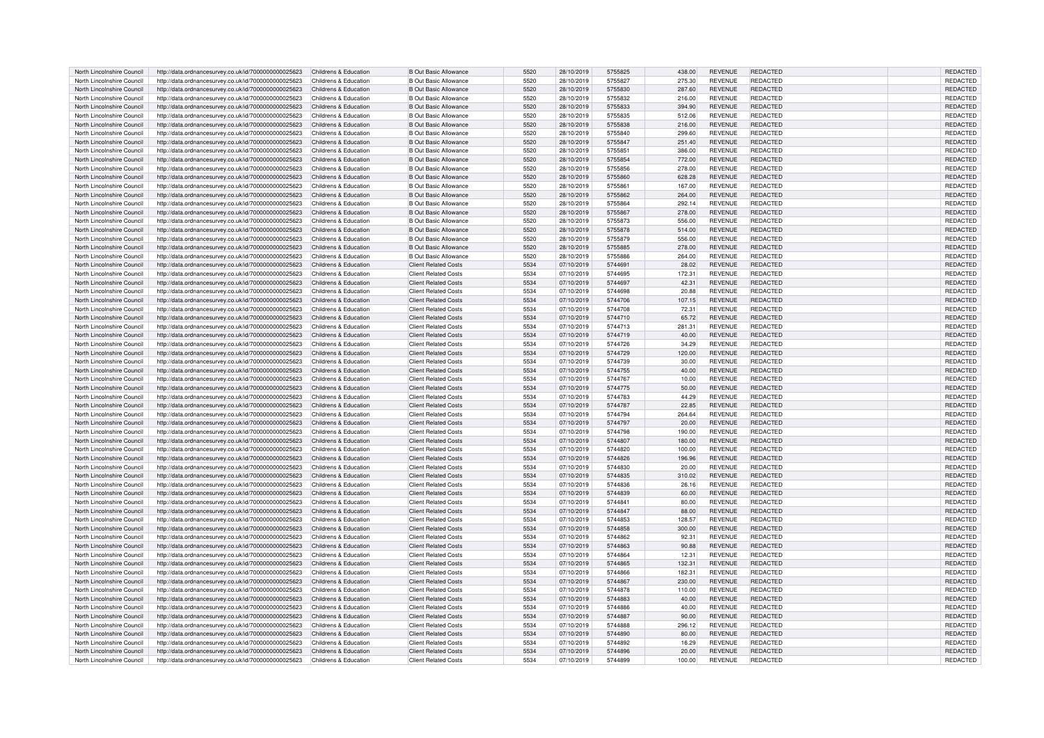| North Lincolnshire Council | http://data.ordnancesurvey.co.uk/id/7000000000025623 | Childrens & Education | <b>B Out Basic Allowance</b> | 5520 | 28/10/2019 | 5755825 | 438.00 | REVENUE        | REDACTED        | <b>REDACTED</b> |
|----------------------------|------------------------------------------------------|-----------------------|------------------------------|------|------------|---------|--------|----------------|-----------------|-----------------|
| North Lincolnshire Council | http://data.ordnancesurvey.co.uk/id/7000000000025623 | Childrens & Education | <b>B Out Basic Allowance</b> | 5520 | 28/10/2019 | 5755827 | 275.30 | REVENUE        | REDACTED        | REDACTED        |
| North Lincolnshire Council | http://data.ordnancesurvey.co.uk/id/7000000000025623 | Childrens & Education | <b>B Out Basic Allowance</b> | 5520 | 28/10/2019 | 5755830 |        | <b>REVENUE</b> | REDACTED        | REDACTED        |
|                            |                                                      |                       |                              |      |            |         | 287.60 |                |                 |                 |
| North Lincolnshire Council | http://data.ordnancesurvey.co.uk/id/7000000000025623 | Childrens & Education | <b>B Out Basic Allowance</b> | 5520 | 28/10/2019 | 5755832 | 216.00 | <b>REVENUE</b> | REDACTED        | REDACTED        |
| North Lincolnshire Council | http://data.ordnancesurvey.co.uk/id/7000000000025623 | Childrens & Education | <b>B Out Basic Allowance</b> | 5520 | 28/10/2019 | 5755833 | 394.90 | <b>REVENUE</b> | <b>REDACTED</b> | REDACTED        |
| North Lincolnshire Council | http://data.ordnancesurvey.co.uk/id/7000000000025623 | Childrens & Education | <b>B Out Basic Allowance</b> | 5520 | 28/10/2019 | 5755835 | 512.06 | <b>REVENUE</b> | <b>REDACTED</b> | REDACTED        |
| North Lincolnshire Council | http://data.ordnancesurvey.co.uk/id/7000000000025623 | Childrens & Education | <b>B Out Basic Allowance</b> | 5520 | 28/10/2019 | 5755838 | 216.00 | <b>REVENUE</b> | <b>REDACTED</b> | REDACTED        |
| North Lincolnshire Council | http://data.ordnancesurvey.co.uk/id/7000000000025623 | Childrens & Education | <b>B</b> Out Basic Allowance | 5520 | 28/10/2019 | 5755840 | 299.60 | <b>REVENUE</b> | REDACTED        | <b>REDACTED</b> |
| North Lincolnshire Council | http://data.ordnancesurvey.co.uk/id/7000000000025623 | Childrens & Education | <b>B Out Basic Allowance</b> | 5520 | 28/10/2019 | 5755847 | 251.40 | <b>REVENUE</b> | <b>REDACTED</b> | <b>REDACTED</b> |
|                            |                                                      |                       |                              |      |            |         |        |                |                 |                 |
| North Lincolnshire Council | http://data.ordnancesurvey.co.uk/id/7000000000025623 | Childrens & Education | <b>B Out Basic Allowance</b> | 5520 | 28/10/2019 | 5755851 | 386.00 | <b>REVENUE</b> | <b>REDACTED</b> | REDACTED        |
| North Lincolnshire Council | http://data.ordnancesurvey.co.uk/id/7000000000025623 | Childrens & Education | B Out Basic Allowance        | 5520 | 28/10/2019 | 5755854 | 772.00 | <b>REVENUE</b> | <b>REDACTED</b> | REDACTED        |
| North Lincolnshire Council | http://data.ordnancesurvey.co.uk/id/7000000000025623 | Childrens & Education | <b>B Out Basic Allowance</b> | 5520 | 28/10/2019 | 5755856 | 278.00 | REVENUE        | <b>REDACTED</b> | <b>REDACTED</b> |
| North Lincolnshire Council | http://data.ordnancesurvey.co.uk/id/7000000000025623 | Childrens & Education | <b>B Out Basic Allowance</b> | 5520 | 28/10/2019 | 5755860 | 628.28 | <b>REVENUE</b> | <b>REDACTED</b> | REDACTED        |
| North Lincolnshire Council | http://data.ordnancesurvey.co.uk/id/7000000000025623 | Childrens & Education | <b>B Out Basic Allowance</b> | 5520 | 28/10/2019 | 5755861 | 167.00 | <b>REVENUE</b> | REDACTED        | REDACTED        |
| North Lincolnshire Council | http://data.ordnancesurvey.co.uk/id/7000000000025623 | Childrens & Education | <b>B Out Basic Allowance</b> | 5520 | 28/10/2019 | 5755862 | 264.00 | <b>REVENUE</b> | <b>REDACTED</b> | REDACTED        |
|                            |                                                      |                       |                              |      |            |         |        |                |                 |                 |
| North Lincolnshire Council | http://data.ordnancesurvey.co.uk/id/7000000000025623 | Childrens & Education | <b>B Out Basic Allowance</b> | 5520 | 28/10/2019 | 5755864 | 292.14 | <b>REVENUE</b> | <b>REDACTED</b> | REDACTED        |
| North Lincolnshire Council | http://data.ordnancesurvey.co.uk/id/7000000000025623 | Childrens & Education | <b>B</b> Out Basic Allowance | 5520 | 28/10/2019 | 5755867 | 278.00 | REVENUE        | <b>REDACTED</b> | REDACTED        |
| North Lincolnshire Council | http://data.ordnancesurvev.co.uk/id/7000000000025623 | Childrens & Education | <b>B</b> Out Basic Allowance | 5520 | 28/10/2019 | 5755873 | 556.00 | <b>REVENUE</b> | REDACTED        | REDACTED        |
| North Lincolnshire Council | http://data.ordnancesurvey.co.uk/id/7000000000025623 | Childrens & Education | <b>B Out Basic Allowance</b> | 5520 | 28/10/2019 | 5755878 | 514.00 | REVENUE        | <b>REDACTED</b> | <b>REDACTED</b> |
| North Lincolnshire Council | http://data.ordnancesurvey.co.uk/id/7000000000025623 | Childrens & Education | <b>B Out Basic Allowance</b> | 5520 | 28/10/2019 | 5755879 | 556.00 | <b>REVENUE</b> | <b>REDACTED</b> | REDACTED        |
| North Lincolnshire Council | http://data.ordnancesurvey.co.uk/id/7000000000025623 | Childrens & Education | <b>B Out Basic Allowance</b> | 5520 | 28/10/2019 | 5755885 | 278.00 | <b>REVENUE</b> | <b>REDACTED</b> | REDACTED        |
| North Lincolnshire Council | http://data.ordnancesurvey.co.uk/id/7000000000025623 | Childrens & Education | <b>B Out Basic Allowance</b> | 5520 | 28/10/2019 | 5755886 | 264.00 | REVENUE        | REDACTED        | REDACTED        |
|                            |                                                      |                       |                              |      |            |         |        |                |                 |                 |
| North Lincolnshire Council | http://data.ordnancesurvey.co.uk/id/7000000000025623 | Childrens & Education | <b>Client Related Costs</b>  | 5534 | 07/10/2019 | 5744691 | 28.02  | <b>REVENUE</b> | <b>REDACTED</b> | REDACTED        |
| North Lincolnshire Council | http://data.ordnancesurvey.co.uk/id/7000000000025623 | Childrens & Education | <b>Client Related Costs</b>  | 5534 | 07/10/2019 | 5744695 | 172.31 | <b>REVENUE</b> | <b>REDACTED</b> | <b>REDACTED</b> |
| North Lincolnshire Council | http://data.ordnancesurvey.co.uk/id/7000000000025623 | Childrens & Education | <b>Client Related Costs</b>  | 5534 | 07/10/2019 | 5744697 | 42.31  | <b>REVENUE</b> | <b>REDACTED</b> | REDACTED        |
| North Lincolnshire Council | http://data.ordnancesurvey.co.uk/id/7000000000025623 | Childrens & Education | <b>Client Related Costs</b>  | 5534 | 07/10/2019 | 5744698 | 20.88  | <b>REVENUE</b> | REDACTED        | REDACTED        |
| North Lincolnshire Council | http://data.ordnancesurvey.co.uk/id/7000000000025623 | Childrens & Education | <b>Client Related Costs</b>  | 5534 | 07/10/2019 | 5744706 | 107.15 | <b>REVENUE</b> | <b>REDACTED</b> | <b>REDACTED</b> |
| North Lincolnshire Council | http://data.ordnancesurvey.co.uk/id/7000000000025623 | Childrens & Education | <b>Client Related Costs</b>  | 5534 | 07/10/2019 | 5744708 | 72.31  | REVENUE        | REDACTED        | REDACTED        |
| North Lincolnshire Council | http://data.ordnancesurvey.co.uk/id/7000000000025623 | Childrens & Education | <b>Client Related Costs</b>  | 5534 | 07/10/2019 | 5744710 | 65.72  | <b>REVENUE</b> | <b>REDACTED</b> | REDACTED        |
| North Lincolnshire Council |                                                      | Childrens & Education | <b>Client Related Costs</b>  | 5534 |            | 5744713 | 281.31 | <b>REVENUE</b> | REDACTED        |                 |
|                            | http://data.ordnancesurvey.co.uk/id/7000000000025623 |                       |                              |      | 07/10/2019 |         |        |                |                 | <b>REDACTED</b> |
| North Lincolnshire Council | http://data.ordnancesurvey.co.uk/id/7000000000025623 | Childrens & Education | <b>Client Related Costs</b>  | 5534 | 07/10/2019 | 5744719 | 40.00  | <b>REVENUE</b> | <b>REDACTED</b> | REDACTED        |
| North Lincolnshire Council | http://data.ordnancesurvey.co.uk/id/7000000000025623 | Childrens & Education | <b>Client Related Costs</b>  | 5534 | 07/10/2019 | 5744726 | 34.29  | REVENUE        | REDACTED        | REDACTED        |
| North Lincolnshire Council | http://data.ordnancesurvey.co.uk/id/7000000000025623 | Childrens & Education | <b>Client Related Costs</b>  | 5534 | 07/10/2019 | 5744729 | 120.00 | <b>REVENUE</b> | <b>REDACTED</b> | <b>REDACTED</b> |
| North Lincolnshire Council | http://data.ordnancesurvey.co.uk/id/7000000000025623 | Childrens & Education | <b>Client Related Costs</b>  | 5534 | 07/10/2019 | 5744739 | 30.00  | <b>REVENUE</b> | REDACTED        | REDACTED        |
| North Lincolnshire Council | http://data.ordnancesurvey.co.uk/id/7000000000025623 | Childrens & Education | <b>Client Related Costs</b>  | 5534 | 07/10/2019 | 5744755 | 40.00  | <b>REVENUE</b> | <b>REDACTED</b> | REDACTED        |
| North Lincolnshire Council | http://data.ordnancesurvev.co.uk/id/7000000000025623 | Childrens & Education | <b>Client Related Costs</b>  | 5534 | 07/10/2019 | 5744767 | 10.00  | <b>REVENUE</b> | <b>REDACTED</b> | REDACTED        |
|                            | http://data.ordnancesurvey.co.uk/id/7000000000025623 | Childrens & Education | <b>Client Related Costs</b>  | 5534 |            | 5744775 | 50.00  | <b>REVENUE</b> | <b>REDACTED</b> | REDACTED        |
| North Lincolnshire Council |                                                      |                       |                              |      | 07/10/2019 |         |        |                |                 |                 |
| North Lincolnshire Council | http://data.ordnancesurvey.co.uk/id/7000000000025623 | Childrens & Education | <b>Client Related Costs</b>  | 5534 | 07/10/2019 | 5744783 | 44.29  | REVENUE        | REDACTED        | REDACTED        |
| North Lincolnshire Council | http://data.ordnancesurvey.co.uk/id/7000000000025623 | Childrens & Education | <b>Client Related Costs</b>  | 5534 | 07/10/2019 | 5744787 | 22.85  | <b>REVENUE</b> | <b>REDACTED</b> | REDACTED        |
| North Lincolnshire Council | http://data.ordnancesurvey.co.uk/id/7000000000025623 | Childrens & Education | <b>Client Related Costs</b>  | 5534 | 07/10/2019 | 5744794 | 264.64 | <b>REVENUE</b> | REDACTED        | REDACTED        |
| North Lincolnshire Council | http://data.ordnancesurvey.co.uk/id/7000000000025623 | Childrens & Education | <b>Client Related Costs</b>  | 5534 | 07/10/2019 | 5744797 | 20.00  | <b>REVENUE</b> | <b>REDACTED</b> | REDACTED        |
| North Lincolnshire Council | http://data.ordnancesurvey.co.uk/id/7000000000025623 | Childrens & Education | <b>Client Related Costs</b>  | 5534 | 07/10/2019 | 5744798 | 190.00 | <b>REVENUE</b> | <b>REDACTED</b> | <b>REDACTED</b> |
| North Lincolnshire Council | http://data.ordnancesurvey.co.uk/id/7000000000025623 | Childrens & Education | <b>Client Related Costs</b>  | 5534 | 07/10/2019 | 5744807 | 180.00 | <b>REVENUE</b> | REDACTED        | REDACTED        |
| North Lincolnshire Council | http://data.ordnancesurvey.co.uk/id/7000000000025623 | Childrens & Education | <b>Client Related Costs</b>  | 5534 | 07/10/2019 | 5744820 | 100.00 | <b>REVENUE</b> | REDACTED        | REDACTED        |
| North Lincolnshire Council | http://data.ordnancesurvey.co.uk/id/7000000000025623 | Childrens & Education | <b>Client Related Costs</b>  | 5534 | 07/10/2019 | 5744826 | 196.96 | <b>REVENUE</b> | <b>REDACTED</b> | REDACTED        |
|                            |                                                      |                       |                              |      |            |         |        |                |                 |                 |
| North Lincolnshire Council | http://data.ordnancesurvey.co.uk/id/7000000000025623 | Childrens & Education | <b>Client Related Costs</b>  | 5534 | 07/10/2019 | 5744830 | 20.00  | <b>REVENUE</b> | <b>REDACTED</b> | REDACTED        |
| North Lincolnshire Council | http://data.ordnancesurvey.co.uk/id/7000000000025623 | Childrens & Education | <b>Client Related Costs</b>  | 5534 | 07/10/2019 | 5744835 | 310.02 | <b>REVENUE</b> | <b>REDACTED</b> | REDACTED        |
| North Lincolnshire Council | http://data.ordnancesurvey.co.uk/id/7000000000025623 | Childrens & Education | <b>Client Related Costs</b>  | 5534 | 07/10/2019 | 5744836 | 26.16  | REVENUE        | REDACTED        | <b>REDACTED</b> |
| North Lincolnshire Council | http://data.ordnancesurvey.co.uk/id/7000000000025623 | Childrens & Education | <b>Client Related Costs</b>  | 5534 | 07/10/2019 | 5744839 | 60.00  | <b>REVENUE</b> | <b>REDACTED</b> | REDACTED        |
| North Lincolnshire Council | http://data.ordnancesurvey.co.uk/id/7000000000025623 | Childrens & Education | <b>Client Related Costs</b>  | 5534 | 07/10/2019 | 5744841 | 80.00  | <b>REVENUE</b> | REDACTED        | REDACTED        |
| North Lincolnshire Council | http://data.ordnancesurvey.co.uk/id/7000000000025623 | Childrens & Education | <b>Client Related Costs</b>  | 5534 | 07/10/2019 | 5744847 | 88.00  | <b>REVENUE</b> | <b>REDACTED</b> | REDACTED        |
| North Lincolnshire Council | http://data.ordnancesurvey.co.uk/id/7000000000025623 | Childrens & Education | <b>Client Related Costs</b>  | 5534 | 07/10/2019 | 5744853 | 128.57 | <b>REVENUE</b> | REDACTED        | REDACTED        |
|                            |                                                      |                       |                              |      |            |         |        |                |                 |                 |
| North Lincolnshire Council | http://data.ordnancesurvey.co.uk/id/7000000000025623 | Childrens & Education | <b>Client Related Costs</b>  | 5534 | 07/10/2019 | 5744858 | 300.00 | <b>REVENUE</b> | <b>REDACTED</b> | REDACTED        |
| North Lincolnshire Council | http://data.ordnancesurvey.co.uk/id/7000000000025623 | Childrens & Education | <b>Client Related Costs</b>  | 5534 | 07/10/2019 | 5744862 | 92.31  | REVENUE        | <b>REDACTED</b> | REDACTED        |
| North Lincolnshire Council | http://data.ordnancesurvey.co.uk/id/7000000000025623 | Childrens & Education | <b>Client Related Costs</b>  | 5534 | 07/10/2019 | 5744863 | 90.88  | REVENUE        | REDACTED        | REDACTED        |
| North Lincolnshire Council | http://data.ordnancesurvey.co.uk/id/7000000000025623 | Childrens & Education | <b>Client Related Costs</b>  | 5534 | 07/10/2019 | 5744864 | 12.31  | <b>REVENUE</b> | REDACTED        | REDACTED        |
| North Lincolnshire Council | http://data.ordnancesurvey.co.uk/id/7000000000025623 | Childrens & Education | <b>Client Related Costs</b>  | 5534 | 07/10/2019 | 5744865 | 132.31 | <b>REVENUE</b> | <b>REDACTED</b> | REDACTED        |
| North Lincolnshire Council | http://data.ordnancesurvey.co.uk/id/7000000000025623 | Childrens & Education | <b>Client Related Costs</b>  | 5534 | 07/10/2019 | 5744866 | 182.31 | <b>REVENUE</b> | REDACTED        | REDACTED        |
| North Lincolnshire Council | http://data.ordnancesurvey.co.uk/id/7000000000025623 | Childrens & Education | <b>Client Related Costs</b>  | 5534 | 07/10/2019 | 5744867 | 230.00 | <b>REVENUE</b> | <b>REDACTED</b> | <b>REDACTED</b> |
|                            |                                                      |                       |                              |      |            |         |        |                |                 |                 |
| North Lincolnshire Council | http://data.ordnancesurvey.co.uk/id/7000000000025623 | Childrens & Education | <b>Client Related Costs</b>  | 5534 | 07/10/2019 | 5744878 | 110.00 | REVENUE        | <b>REDACTED</b> | <b>REDACTED</b> |
| North Lincolnshire Council | http://data.ordnancesurvey.co.uk/id/7000000000025623 | Childrens & Education | <b>Client Related Costs</b>  | 5534 | 07/10/2019 | 5744883 | 40.00  | REVENUE        | <b>REDACTED</b> | <b>REDACTED</b> |
| North Lincolnshire Council | http://data.ordnancesurvey.co.uk/id/7000000000025623 | Childrens & Education | <b>Client Related Costs</b>  | 5534 | 07/10/2019 | 5744886 | 40.00  | <b>REVENUE</b> | <b>REDACTED</b> | REDACTED        |
| North Lincolnshire Council | http://data.ordnancesurvey.co.uk/id/7000000000025623 | Childrens & Education | <b>Client Related Costs</b>  | 5534 | 07/10/2019 | 5744887 | 90.00  | <b>REVENUE</b> | REDACTED        | REDACTED        |
| North Lincolnshire Council | http://data.ordnancesurvey.co.uk/id/7000000000025623 | Childrens & Education | <b>Client Related Costs</b>  | 5534 | 07/10/2019 | 5744888 | 296.12 | REVENUE        | REDACTED        | REDACTED        |
| North Lincolnshire Council | http://data.ordnancesurvey.co.uk/id/7000000000025623 | Childrens & Education | <b>Client Related Costs</b>  | 5534 | 07/10/2019 | 5744890 | 80.00  | <b>REVENUE</b> | <b>REDACTED</b> | REDACTED        |
| North Lincolnshire Council | http://data.ordnancesurvey.co.uk/id/7000000000025623 | Childrens & Education | Client Related Cost:         | 5534 | 07/10/2019 | 5744892 | 16.29  | <b>REVENUE</b> | <b>REDACTED</b> | <b>REDACTED</b> |
| North Lincolnshire Council | http://data.ordnancesurvey.co.uk/id/7000000000025623 | Childrens & Education | <b>Client Related Costs</b>  | 5534 | 07/10/2019 | 5744896 | 20.00  | <b>REVENUE</b> | <b>REDACTED</b> | REDACTED        |
|                            |                                                      |                       |                              |      |            |         |        |                |                 |                 |
| North Lincolnshire Council | http://data.ordnancesurvey.co.uk/id/7000000000025623 | Childrens & Education | <b>Client Related Costs</b>  | 5534 | 07/10/2019 | 5744899 | 100.00 | <b>REVENUE</b> | REDACTED        | REDACTED        |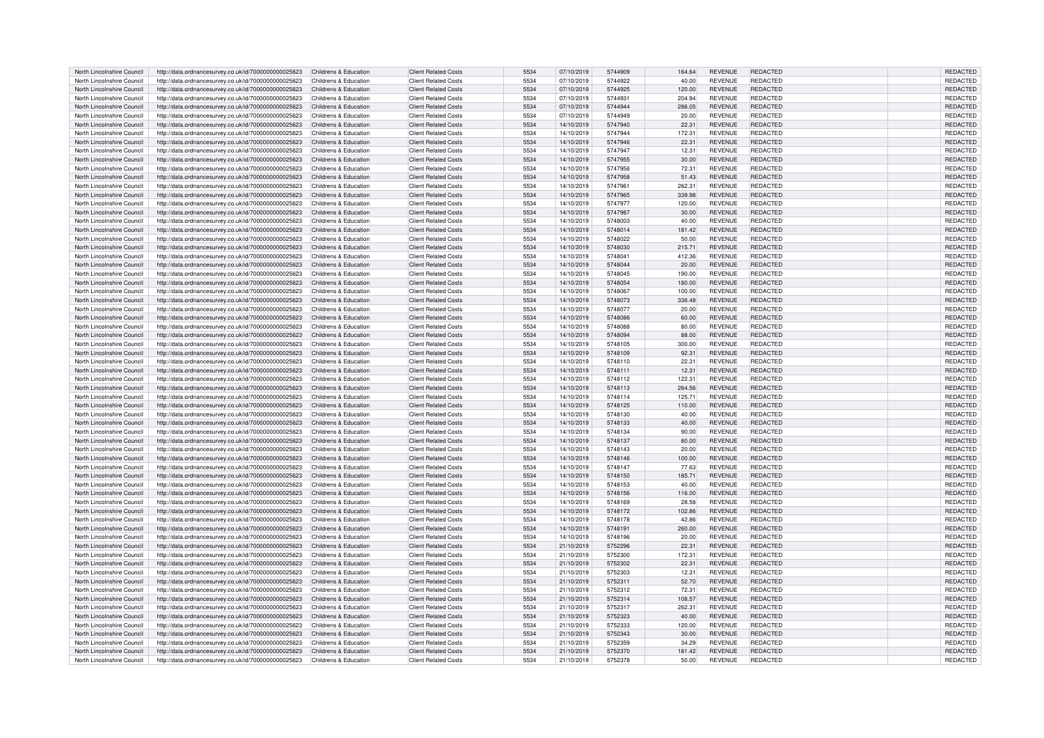| North Lincolnshire Council | http://data.ordnancesurvey.co.uk/id/7000000000025623 | Childrens & Education | <b>Client Related Costs</b> | 5534 | 07/10/2019 | 5744909 | 164.64 | <b>REVENUE</b> | <b>REDACTED</b> | REDACTED        |
|----------------------------|------------------------------------------------------|-----------------------|-----------------------------|------|------------|---------|--------|----------------|-----------------|-----------------|
| North Lincolnshire Council | http://data.ordnancesurvey.co.uk/id/7000000000025623 | Childrens & Education | <b>Client Related Costs</b> | 5534 | 07/10/2019 | 5744922 | 40.00  | <b>REVENUE</b> | REDACTED        | REDACTED        |
| North Lincolnshire Council | http://data.ordnancesurvey.co.uk/id/7000000000025623 | Childrens & Education | <b>Client Related Costs</b> | 5534 | 07/10/2019 | 5744925 | 120.00 | <b>REVENUE</b> | <b>REDACTED</b> | <b>REDACTED</b> |
| North Lincolnshire Council | http://data.ordnancesurvey.co.uk/id/7000000000025623 | Childrens & Education | <b>Client Related Costs</b> | 5534 | 07/10/2019 | 5744931 | 204.94 | <b>REVENUE</b> | <b>REDACTED</b> | REDACTED        |
| North Lincolnshire Council | http://data.ordnancesurvey.co.uk/id/7000000000025623 | Childrens & Education | <b>Client Related Costs</b> | 5534 | 07/10/2019 | 5744944 | 286.05 | REVENUE        | <b>REDACTED</b> | REDACTED        |
| North Lincolnshire Council | http://data.ordnancesurvey.co.uk/id/7000000000025623 | Childrens & Education | <b>Client Related Costs</b> | 5534 | 07/10/2019 | 5744949 | 20.00  | <b>REVENUE</b> | <b>REDACTED</b> | REDACTED        |
| North Lincolnshire Council | http://data.ordnancesurvey.co.uk/id/7000000000025623 | Childrens & Education | <b>Client Related Costs</b> | 5534 | 14/10/2019 | 5747940 | 22.31  | REVENUE        | REDACTED        | REDACTED        |
| North Lincolnshire Council | http://data.ordnancesurvey.co.uk/id/7000000000025623 | Childrens & Education | <b>Client Related Costs</b> | 5534 | 14/10/2019 | 5747944 | 172.31 | <b>REVENUE</b> | REDACTED        | REDACTED        |
| North Lincolnshire Council | http://data.ordnancesurvey.co.uk/id/7000000000025623 | Childrens & Education | <b>Client Related Costs</b> | 5534 | 14/10/2019 | 5747946 | 22.31  | <b>REVENUE</b> | REDACTED        | REDACTED        |
| North Lincolnshire Council | http://data.ordnancesurvey.co.uk/id/7000000000025623 | Childrens & Education | <b>Client Related Costs</b> | 5534 | 14/10/2019 | 5747947 | 12.31  | REVENUE        | REDACTED        | REDACTED        |
| North Lincolnshire Council | http://data.ordnancesurvey.co.uk/id/7000000000025623 | Childrens & Education | <b>Client Related Costs</b> | 5534 | 14/10/2019 | 5747955 | 30.00  | <b>REVENUE</b> | <b>REDACTED</b> | <b>REDACTED</b> |
| North Lincolnshire Council | http://data.ordnancesurvey.co.uk/id/7000000000025623 | Childrens & Education | <b>Client Related Costs</b> | 5534 | 14/10/2019 | 5747956 | 72.31  | <b>REVENUE</b> | REDACTED        | REDACTED        |
| North Lincolnshire Council | http://data.ordnancesurvey.co.uk/id/7000000000025623 | Childrens & Education | <b>Client Related Costs</b> | 5534 | 14/10/2019 | 5747958 | 51.43  | <b>REVENUE</b> | REDACTED        | REDACTED        |
| North Lincolnshire Council | http://data.ordnancesurvey.co.uk/id/7000000000025623 | Childrens & Education | <b>Client Related Costs</b> | 5534 | 14/10/2019 | 5747961 | 262.31 | <b>REVENUE</b> | REDACTED        | REDACTED        |
| North Lincolnshire Council | http://data.ordnancesurvey.co.uk/id/7000000000025623 | Childrens & Education | <b>Client Related Costs</b> | 5534 | 14/10/2019 | 5747965 | 339.98 | REVENUE        | <b>REDACTED</b> | REDACTED        |
| North Lincolnshire Council | http://data.ordnancesurvey.co.uk/id/7000000000025623 | Childrens & Education | <b>Client Related Costs</b> | 5534 | 14/10/2019 | 5747977 | 120.00 | <b>REVENUE</b> | <b>REDACTED</b> | REDACTED        |
| North Lincolnshire Council | http://data.ordnancesurvey.co.uk/id/7000000000025623 | Childrens & Education | <b>Client Related Costs</b> | 5534 | 14/10/2019 | 5747987 | 30.00  | REVENUE        | REDACTED        | REDACTED        |
| North Lincolnshire Council | http://data.ordnancesurvey.co.uk/id/7000000000025623 | Childrens & Education | <b>Client Related Costs</b> | 5534 | 14/10/2019 | 5748003 | 40.00  | <b>REVENUE</b> | <b>REDACTED</b> | REDACTED        |
| North Lincolnshire Council | http://data.ordnancesurvey.co.uk/id/7000000000025623 | Childrens & Education | <b>Client Related Costs</b> | 5534 | 14/10/2019 | 5748014 | 181.42 | <b>REVENUE</b> | REDACTED        | REDACTED        |
| North Lincolnshire Council | http://data.ordnancesurvey.co.uk/id/7000000000025623 | Childrens & Education | <b>Client Related Costs</b> | 5534 | 14/10/2019 | 5748022 | 50.00  | REVENUE        | REDACTED        | REDACTED        |
| North Lincolnshire Council | http://data.ordnancesurvey.co.uk/id/7000000000025623 | Childrens & Education | <b>Client Related Costs</b> | 5534 | 14/10/2019 | 5748030 | 215.71 | <b>REVENUE</b> | REDACTED        | <b>REDACTED</b> |
| North Lincolnshire Council | http://data.ordnancesurvey.co.uk/id/7000000000025623 | Childrens & Education | <b>Client Related Costs</b> | 5534 | 14/10/2019 | 5748041 | 412.36 | <b>REVENUE</b> | <b>REDACTED</b> | <b>REDACTED</b> |
| North Lincolnshire Council | http://data.ordnancesurvey.co.uk/id/7000000000025623 | Childrens & Education | <b>Client Related Costs</b> | 5534 | 14/10/2019 | 5748044 | 20.00  | REVENUE        | REDACTED        | REDACTED        |
| North Lincolnshire Council | http://data.ordnancesurvey.co.uk/id/7000000000025623 | Childrens & Education | <b>Client Related Costs</b> | 5534 | 14/10/2019 | 5748045 | 190.00 | <b>REVENUE</b> | REDACTED        | REDACTED        |
| North Lincolnshire Council | http://data.ordnancesurvey.co.uk/id/7000000000025623 | Childrens & Education | <b>Client Related Costs</b> | 5534 | 14/10/2019 | 5748054 | 180.00 | REVENUE        | <b>REDACTED</b> | <b>REDACTED</b> |
| North Lincolnshire Council | http://data.ordnancesurvey.co.uk/id/7000000000025623 | Childrens & Education | <b>Client Related Costs</b> | 5534 | 14/10/2019 | 5748067 | 100.00 | <b>REVENUE</b> | REDACTED        | REDACTED        |
| North Lincolnshire Council | http://data.ordnancesurvey.co.uk/id/7000000000025623 | Childrens & Education | <b>Client Related Costs</b> | 5534 | 14/10/2019 | 5748073 | 336.48 | <b>REVENUE</b> | REDACTED        | REDACTED        |
| North Lincolnshire Council | http://data.ordnancesurvey.co.uk/id/7000000000025623 | Childrens & Education | <b>Client Related Costs</b> | 5534 | 14/10/2019 | 5748077 | 20.00  | REVENUE        | <b>REDACTED</b> | REDACTED        |
| North Lincolnshire Council | http://data.ordnancesurvey.co.uk/id/7000000000025623 | Childrens & Education | <b>Client Related Costs</b> | 5534 | 14/10/2019 | 5748086 | 60.00  | <b>REVENUE</b> | <b>REDACTED</b> | REDACTED        |
| North Lincolnshire Council |                                                      | Childrens & Education | <b>Client Related Costs</b> | 5534 | 14/10/2019 | 5748088 | 80.00  | REVENUE        | REDACTED        | REDACTED        |
| North Lincolnshire Council | http://data.ordnancesurvey.co.uk/id/7000000000025623 | Childrens & Education | <b>Client Related Costs</b> | 5534 | 14/10/2019 | 5748094 | 88.00  | <b>REVENUE</b> | REDACTED        | <b>REDACTED</b> |
|                            | http://data.ordnancesurvey.co.uk/id/7000000000025623 |                       |                             |      |            |         |        |                |                 |                 |
| North Lincolnshire Council | http://data.ordnancesurvey.co.uk/id/7000000000025623 | Childrens & Education | <b>Client Related Costs</b> | 5534 | 14/10/2019 | 5748105 | 300.00 | <b>REVENUE</b> | REDACTED        | REDACTED        |
| North Lincolnshire Council | http://data.ordnancesurvey.co.uk/id/7000000000025623 | Childrens & Education | <b>Client Related Costs</b> | 5534 | 14/10/2019 | 5748109 | 92.31  | REVENUE        | REDACTED        | REDACTED        |
| North Lincolnshire Council | http://data.ordnancesurvey.co.uk/id/7000000000025623 | Childrens & Education | <b>Client Related Costs</b> | 5534 | 14/10/2019 | 5748110 | 22.31  | <b>REVENUE</b> | REDACTED        | REDACTED        |
| North Lincolnshire Council | http://data.ordnancesurvey.co.uk/id/7000000000025623 | Childrens & Education | <b>Client Related Costs</b> | 5534 | 14/10/2019 | 5748111 | 12.31  | <b>REVENUE</b> | <b>REDACTED</b> | REDACTED        |
| North Lincolnshire Council | http://data.ordnancesurvey.co.uk/id/7000000000025623 | Childrens & Education | <b>Client Related Costs</b> | 5534 | 14/10/2019 | 5748112 | 122.31 | <b>REVENUE</b> | REDACTED        | REDACTED        |
| North Lincolnshire Council | http://data.ordnancesurvey.co.uk/id/7000000000025623 | Childrens & Education | <b>Client Related Costs</b> | 5534 | 14/10/2019 | 5748113 | 264.56 | <b>REVENUE</b> | REDACTED        | <b>REDACTED</b> |
| North Lincolnshire Council | http://data.ordnancesurvey.co.uk/id/7000000000025623 | Childrens & Education | <b>Client Related Costs</b> | 5534 | 14/10/2019 | 5748114 | 125.71 | REVENUE        | REDACTED        | REDACTED        |
| North Lincolnshire Council | http://data.ordnancesurvey.co.uk/id/7000000000025623 | Childrens & Education | <b>Client Related Costs</b> | 5534 | 14/10/2019 | 5748125 | 110.00 | <b>REVENUE</b> | REDACTED        | REDACTED        |
| North Lincolnshire Council | http://data.ordnancesurvey.co.uk/id/7000000000025623 | Childrens & Education | <b>Client Related Costs</b> | 5534 | 14/10/2019 | 5748130 | 40.00  | <b>REVENUE</b> | REDACTED        | REDACTED        |
| North Lincolnshire Council | http://data.ordnancesurvey.co.uk/id/7000000000025623 | Childrens & Education | <b>Client Related Costs</b> | 5534 | 14/10/2019 | 5748133 | 40.00  | <b>REVENUE</b> | REDACTED        | REDACTED        |
| North Lincolnshire Council | http://data.ordnancesurvey.co.uk/id/7000000000025623 | Childrens & Education | <b>Client Related Costs</b> | 5534 | 14/10/2019 | 5748134 | 90.00  | <b>REVENUE</b> | REDACTED        | REDACTED        |
| North Lincolnshire Council | http://data.ordnancesurvey.co.uk/id/7000000000025623 | Childrens & Education | <b>Client Related Costs</b> | 5534 | 14/10/2019 | 5748137 | 80.00  | REVENUE        | <b>REDACTED</b> | REDACTED        |
| North Lincolnshire Council | http://data.ordnancesurvey.co.uk/id/7000000000025623 | Childrens & Education | <b>Client Related Costs</b> | 5534 | 14/10/2019 | 5748143 | 20.00  | <b>REVENUE</b> | REDACTED        | REDACTED        |
| North Lincolnshire Council | http://data.ordnancesurvey.co.uk/id/7000000000025623 | Childrens & Education | <b>Client Related Costs</b> | 5534 | 14/10/2019 | 5748146 | 100.00 | <b>REVENUE</b> | <b>REDACTED</b> | REDACTED        |
| North Lincolnshire Council | http://data.ordnancesurvey.co.uk/id/7000000000025623 | Childrens & Education | <b>Client Related Costs</b> | 5534 | 14/10/2019 | 5748147 | 77.63  | <b>REVENUE</b> | <b>REDACTED</b> | REDACTED        |
| North Lincolnshire Council | http://data.ordnancesurvey.co.uk/id/7000000000025623 | Childrens & Education | <b>Client Related Costs</b> | 5534 | 14/10/2019 | 5748150 | 185.71 | <b>REVENUE</b> | REDACTED        | <b>REDACTED</b> |
| North Lincolnshire Council | http://data.ordnancesurvey.co.uk/id/7000000000025623 | Childrens & Education | <b>Client Related Costs</b> | 5534 | 14/10/2019 | 5748153 | 40.00  | REVENUE        | REDACTED        | REDACTED        |
| North Lincolnshire Council | http://data.ordnancesurvey.co.uk/id/7000000000025623 | Childrens & Education | <b>Client Related Costs</b> | 5534 | 14/10/2019 | 5748156 | 116.00 | <b>REVENUE</b> | REDACTED        | REDACTED        |
| North Lincolnshire Council | http://data.ordnancesurvey.co.uk/id/7000000000025623 | Childrens & Education | <b>Client Related Costs</b> | 5534 | 14/10/2019 | 5748169 | 28.58  | REVENUE        | REDACTED        | REDACTED        |
| North Lincolnshire Council | http://data.ordnancesurvey.co.uk/id/7000000000025623 | Childrens & Education | <b>Client Related Costs</b> | 5534 | 14/10/2019 | 5748172 | 102.86 | <b>REVENUE</b> | REDACTED        | REDACTED        |
| North Lincolnshire Council | http://data.ordnancesurvey.co.uk/id/7000000000025623 | Childrens & Education | <b>Client Related Costs</b> | 5534 | 14/10/2019 | 5748178 | 42.86  | <b>REVENUE</b> | <b>REDACTED</b> | REDACTED        |
| North Lincolnshire Council | http://data.ordnancesurvey.co.uk/id/7000000000025623 | Childrens & Education | <b>Client Related Costs</b> | 5534 | 14/10/2019 | 5748191 | 260.00 | <b>REVENUE</b> | REDACTED        | REDACTED        |
| North Lincolnshire Council | http://data.ordnancesurvey.co.uk/id/7000000000025623 | Childrens & Education | <b>Client Related Costs</b> | 5534 | 14/10/2019 | 5748196 | 20.00  | REVENUE        | REDACTED        | REDACTED        |
| North Lincolnshire Council | http://data.ordnancesurvey.co.uk/id/7000000000025623 | Childrens & Education | <b>Client Related Costs</b> | 5534 | 21/10/2019 | 5752296 | 22.31  | <b>REVENUE</b> | <b>REDACTED</b> | <b>REDACTED</b> |
| North Lincolnshire Council | http://data.ordnancesurvey.co.uk/id/7000000000025623 | Childrens & Education | <b>Client Related Costs</b> | 5534 | 21/10/2019 | 5752300 | 172.31 | <b>REVENUE</b> | <b>REDACTED</b> | REDACTED        |
| North Lincolnshire Council | http://data.ordnancesurvey.co.uk/id/7000000000025623 | Childrens & Education | <b>Client Related Costs</b> | 5534 | 21/10/2019 | 5752302 | 22.31  | <b>REVENUE</b> | <b>REDACTED</b> | REDACTED        |
| North Lincolnshire Council | http://data.ordnancesurvey.co.uk/id/7000000000025623 | Childrens & Education | <b>Client Related Costs</b> | 5534 | 21/10/2019 | 5752303 | 12.31  | REVENUE        | REDACTED        | REDACTED        |
| North Lincolnshire Council | http://data.ordnancesurvey.co.uk/id/7000000000025623 | Childrens & Education | <b>Client Related Costs</b> | 5534 | 21/10/2019 | 5752311 | 52.70  | <b>REVENUE</b> | REDACTED        | <b>REDACTED</b> |
| North Lincolnshire Council | http://data.ordnancesurvey.co.uk/id/7000000000025623 | Childrens & Education | <b>Client Related Costs</b> | 5534 | 21/10/2019 | 5752312 | 72.31  | <b>REVENUE</b> | <b>REDACTED</b> | <b>REDACTED</b> |
| North Lincolnshire Council | http://data.ordnancesurvey.co.uk/id/7000000000025623 | Childrens & Education | <b>Client Related Costs</b> | 5534 | 21/10/2019 | 5752314 | 108.57 | <b>REVENUE</b> | REDACTED        | REDACTED        |
| North Lincolnshire Council | http://data.ordnancesurvey.co.uk/id/7000000000025623 | Childrens & Education | <b>Client Related Costs</b> | 5534 | 21/10/2019 | 5752317 | 262.31 | <b>REVENUE</b> | REDACTED        | REDACTED        |
| North Lincolnshire Council | http://data.ordnancesurvey.co.uk/id/7000000000025623 | Childrens & Education | <b>Client Related Costs</b> | 5534 | 21/10/2019 | 5752323 | 40.00  | <b>REVENUE</b> | <b>REDACTED</b> | <b>REDACTED</b> |
| North Lincolnshire Council | http://data.ordnancesurvey.co.uk/id/7000000000025623 | Childrens & Education | <b>Client Related Costs</b> | 5534 | 21/10/2019 | 5752333 | 120.00 | REVENUE        | REDACTED        | REDACTED        |
| North Lincolnshire Council | http://data.ordnancesurvey.co.uk/id/7000000000025623 | Childrens & Education | <b>Client Related Costs</b> | 5534 | 21/10/2019 | 5752343 | 30.00  | <b>REVENUE</b> | <b>REDACTED</b> | REDACTED        |
| North Lincolnshire Council | http://data.ordnancesurvey.co.uk/id/7000000000025623 | Childrens & Education | <b>Client Related Costs</b> | 5534 | 21/10/2019 | 5752359 | 34.29  | REVENUE        | <b>REDACTED</b> | REDACTED        |
| North Lincolnshire Council | http://data.ordnancesurvey.co.uk/id/7000000000025623 | Childrens & Education | Client Related Costs        | 5534 | 21/10/2019 | 5752370 | 181.42 | <b>REVENUE</b> | <b>REDACTED</b> | <b>REDACTED</b> |
| North Lincolnshire Council | http://data.ordnancesurvey.co.uk/id/7000000000025623 | Childrens & Education | <b>Client Related Costs</b> | 5534 | 21/10/2019 | 5752378 | 50.00  | <b>REVENUE</b> | REDACTED        | <b>REDACTED</b> |
|                            |                                                      |                       |                             |      |            |         |        |                |                 |                 |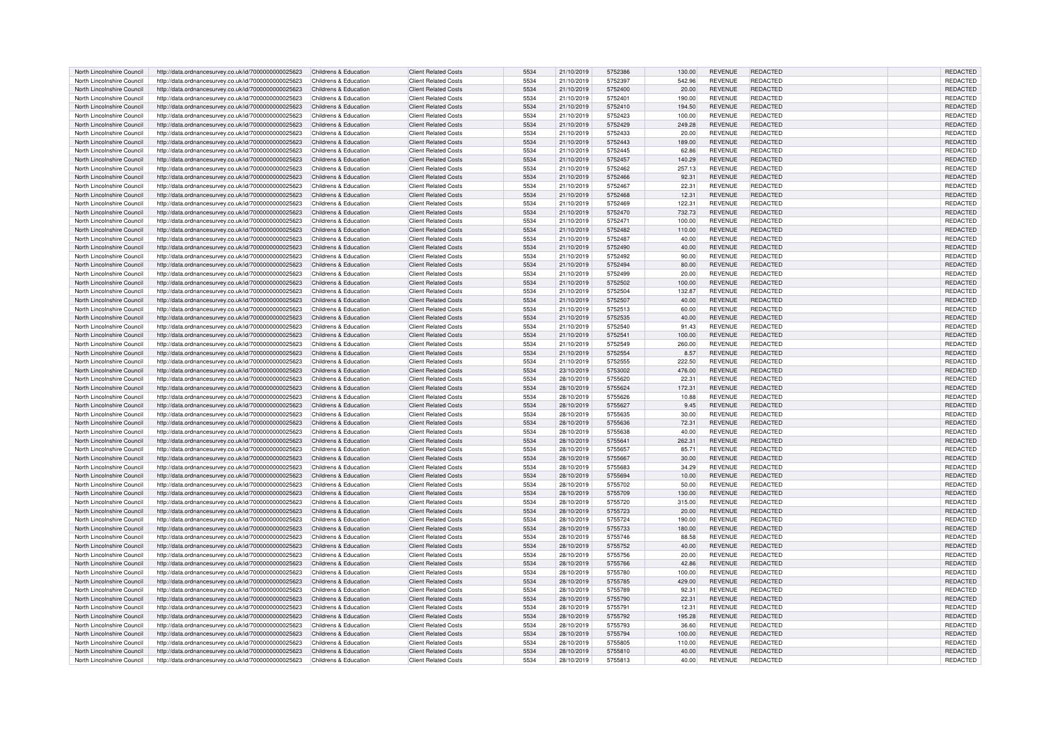| North Lincolnshire Council | http://data.ordnancesurvey.co.uk/id/7000000000025623 | Childrens & Education | <b>Client Related Costs</b> | 5534 | 21/10/2019 | 5752386 | 130.00 | <b>REVENUE</b> | REDACTED        | <b>REDACTED</b> |
|----------------------------|------------------------------------------------------|-----------------------|-----------------------------|------|------------|---------|--------|----------------|-----------------|-----------------|
| North Lincolnshire Council | http://data.ordnancesurvey.co.uk/id/7000000000025623 | Childrens & Education | <b>Client Related Costs</b> | 5534 | 21/10/2019 | 5752397 | 542.96 | REVENUE        | REDACTED        | REDACTED        |
| North Lincolnshire Council | http://data.ordnancesurvey.co.uk/id/7000000000025623 | Childrens & Education | <b>Client Related Costs</b> | 5534 | 21/10/2019 | 5752400 | 20.00  | <b>REVENUE</b> | REDACTED        | REDACTED        |
| North Lincolnshire Council | http://data.ordnancesurvey.co.uk/id/7000000000025623 | Childrens & Education | <b>Client Related Costs</b> | 5534 | 21/10/2019 | 575240  | 190.00 | <b>REVENUE</b> | REDACTED        | REDACTED        |
| North Lincolnshire Council | http://data.ordnancesurvey.co.uk/id/7000000000025623 | Childrens & Education | <b>Client Related Costs</b> | 5534 | 21/10/2019 | 5752410 | 194.50 | <b>REVENUE</b> | <b>REDACTED</b> | REDACTED        |
|                            |                                                      |                       |                             |      |            |         |        |                |                 |                 |
| North Lincolnshire Council | http://data.ordnancesurvey.co.uk/id/7000000000025623 | Childrens & Education | <b>Client Related Costs</b> | 5534 | 21/10/2019 | 5752423 | 100.00 | <b>REVENUE</b> | <b>REDACTED</b> | <b>REDACTED</b> |
| North Lincolnshire Council | http://data.ordnancesurvey.co.uk/id/7000000000025623 | Childrens & Education | <b>Client Related Costs</b> | 5534 | 21/10/2019 | 5752429 | 249.28 | <b>REVENUE</b> | <b>REDACTED</b> | REDACTED        |
| North Lincolnshire Council | http://data.ordnancesurvey.co.uk/id/7000000000025623 | Childrens & Education | <b>Client Related Costs</b> | 5534 | 21/10/2019 | 5752433 | 20.00  | <b>REVENUE</b> | REDACTED        | REDACTED        |
| North Lincolnshire Council | http://data.ordnancesurvey.co.uk/id/7000000000025623 | Childrens & Education | <b>Client Related Costs</b> | 5534 | 21/10/2019 | 5752443 | 189.00 | <b>REVENUE</b> | <b>REDACTED</b> | <b>REDACTED</b> |
| North Lincolnshire Council | http://data.ordnancesurvey.co.uk/id/7000000000025623 | Childrens & Education | <b>Client Related Costs</b> | 5534 | 21/10/2019 | 5752445 | 62.86  | <b>REVENUE</b> | <b>REDACTED</b> | REDACTED        |
| North Lincolnshire Council | http://data.ordnancesurvey.co.uk/id/7000000000025623 | Childrens & Education | <b>Client Related Costs</b> | 5534 | 21/10/2019 | 5752457 | 140.29 | <b>REVENUE</b> | <b>REDACTED</b> | REDACTED        |
| North Lincolnshire Council | http://data.ordnancesurvey.co.uk/id/7000000000025623 | Childrens & Education | Client Related Costs        | 5534 | 21/10/2019 | 5752462 | 257.13 | REVENUE        | <b>REDACTED</b> | <b>REDACTED</b> |
| North Lincolnshire Council | http://data.ordnancesurvey.co.uk/id/7000000000025623 | Childrens & Education | <b>Client Related Costs</b> | 5534 | 21/10/2019 | 5752466 | 92.31  | <b>REVENUE</b> | <b>REDACTED</b> | REDACTED        |
| North Lincolnshire Council | http://data.ordnancesurvey.co.uk/id/7000000000025623 | Childrens & Education | <b>Client Related Costs</b> | 5534 | 21/10/2019 | 5752467 | 22.31  | <b>REVENUE</b> | REDACTED        | REDACTED        |
|                            |                                                      |                       |                             |      |            |         |        |                |                 |                 |
| North Lincolnshire Council | http://data.ordnancesurvey.co.uk/id/7000000000025623 | Childrens & Education | <b>Client Related Costs</b> | 5534 | 21/10/2019 | 5752468 | 12.31  | <b>REVENUE</b> | <b>REDACTED</b> | REDACTED        |
| North Lincolnshire Council | http://data.ordnancesurvey.co.uk/id/7000000000025623 | Childrens & Education | <b>Client Related Costs</b> | 5534 | 21/10/2019 | 5752469 | 122.31 | REVENUE        | <b>REDACTED</b> | REDACTED        |
| North Lincolnshire Council | http://data.ordnancesurvey.co.uk/id/7000000000025623 | Childrens & Education | <b>Client Related Costs</b> | 5534 | 21/10/2019 | 5752470 | 732.73 | REVENUE        | <b>REDACTED</b> | REDACTED        |
| North Lincolnshire Council | http://data.ordnancesurvev.co.uk/id/7000000000025623 | Childrens & Education | <b>Client Related Costs</b> | 5534 | 21/10/2019 | 5752471 | 100.00 | <b>REVENUE</b> | REDACTED        | REDACTED        |
| North Lincolnshire Council | http://data.ordnancesurvey.co.uk/id/7000000000025623 | Childrens & Education | <b>Client Related Costs</b> | 5534 | 21/10/2019 | 5752482 | 110.00 | REVENUE        | <b>REDACTED</b> | REDACTED        |
| North Lincolnshire Council | http://data.ordnancesurvey.co.uk/id/7000000000025623 | Childrens & Education | <b>Client Related Costs</b> | 5534 | 21/10/2019 | 5752487 | 40.00  | <b>REVENUE</b> | <b>REDACTED</b> | REDACTED        |
| North Lincolnshire Council | http://data.ordnancesurvey.co.uk/id/7000000000025623 | Childrens & Education | <b>Client Related Costs</b> | 5534 | 21/10/2019 | 5752490 | 40.00  | <b>REVENUE</b> | <b>REDACTED</b> | REDACTED        |
| North Lincolnshire Council | http://data.ordnancesurvey.co.uk/id/7000000000025623 | Childrens & Education | <b>Client Related Costs</b> | 5534 | 21/10/2019 | 5752492 | 90.00  | REVENUE        | REDACTED        | REDACTED        |
| North Lincolnshire Council | http://data.ordnancesurvey.co.uk/id/7000000000025623 | Childrens & Education | <b>Client Related Costs</b> | 5534 | 21/10/2019 | 5752494 | 80.00  | <b>REVENUE</b> | <b>REDACTED</b> | REDACTED        |
|                            |                                                      |                       |                             |      |            |         |        |                |                 |                 |
| North Lincolnshire Council | http://data.ordnancesurvey.co.uk/id/7000000000025623 | Childrens & Education | <b>Client Related Costs</b> | 5534 | 21/10/2019 | 5752499 | 20.00  | <b>REVENUE</b> | <b>REDACTED</b> | <b>REDACTED</b> |
| North Lincolnshire Council | http://data.ordnancesurvey.co.uk/id/7000000000025623 | Childrens & Education | <b>Client Related Costs</b> | 5534 | 21/10/2019 | 5752502 | 100.00 | <b>REVENUE</b> | <b>REDACTED</b> | REDACTED        |
| North Lincolnshire Council | http://data.ordnancesurvey.co.uk/id/7000000000025623 | Childrens & Education | <b>Client Related Costs</b> | 5534 | 21/10/2019 | 5752504 | 132.87 | <b>REVENUE</b> | <b>REDACTED</b> | REDACTED        |
| North Lincolnshire Council | http://data.ordnancesurvey.co.uk/id/7000000000025623 | Childrens & Education | <b>Client Related Costs</b> | 5534 | 21/10/2019 | 5752507 | 40.00  | <b>REVENUE</b> | <b>REDACTED</b> | <b>REDACTED</b> |
| North Lincolnshire Council | http://data.ordnancesurvey.co.uk/id/7000000000025623 | Childrens & Education | <b>Client Related Costs</b> | 5534 | 21/10/2019 | 5752513 | 60.00  | REVENUE        | REDACTED        | REDACTED        |
| North Lincolnshire Council | http://data.ordnancesurvey.co.uk/id/7000000000025623 | Childrens & Education | <b>Client Related Costs</b> | 5534 | 21/10/2019 | 5752535 | 40.00  | <b>REVENUE</b> | <b>REDACTED</b> | REDACTED        |
| North Lincolnshire Council | http://data.ordnancesurvey.co.uk/id/7000000000025623 | Childrens & Education | <b>Client Related Costs</b> | 5534 | 21/10/2019 | 5752540 | 91.43  | <b>REVENUE</b> | REDACTED        | <b>REDACTED</b> |
| North Lincolnshire Council | http://data.ordnancesurvey.co.uk/id/7000000000025623 | Childrens & Education | <b>Client Related Costs</b> | 5534 | 21/10/2019 | 5752541 | 100.00 | <b>REVENUE</b> | <b>REDACTED</b> | REDACTED        |
| North Lincolnshire Council | http://data.ordnancesurvey.co.uk/id/7000000000025623 | Childrens & Education | <b>Client Related Costs</b> | 5534 | 21/10/2019 | 5752549 | 260.00 | REVENUE        | REDACTED        | REDACTED        |
| North Lincolnshire Council | http://data.ordnancesurvey.co.uk/id/7000000000025623 | Childrens & Education | <b>Client Related Costs</b> | 5534 | 21/10/2019 | 5752554 | 8.57   | <b>REVENUE</b> | <b>REDACTED</b> | <b>REDACTED</b> |
|                            |                                                      |                       |                             |      |            |         |        |                |                 |                 |
| North Lincolnshire Council | http://data.ordnancesurvey.co.uk/id/7000000000025623 | Childrens & Education | <b>Client Related Costs</b> | 5534 | 21/10/2019 | 5752555 | 222.50 | <b>REVENUE</b> | REDACTED        | REDACTED        |
| North Lincolnshire Council | http://data.ordnancesurvey.co.uk/id/7000000000025623 | Childrens & Education | <b>Client Related Costs</b> | 5534 | 23/10/2019 | 5753002 | 476.00 | <b>REVENUE</b> | <b>REDACTED</b> | REDACTED        |
| North Lincolnshire Council | http://data.ordnancesurvev.co.uk/id/7000000000025623 | Childrens & Education | <b>Client Related Costs</b> | 5534 | 28/10/2019 | 5755620 | 22.31  | <b>REVENUE</b> | REDACTED        | REDACTED        |
| North Lincolnshire Council | http://data.ordnancesurvey.co.uk/id/7000000000025623 | Childrens & Education | <b>Client Related Costs</b> | 5534 | 28/10/2019 | 5755624 | 172.31 | <b>REVENUE</b> | <b>REDACTED</b> | REDACTED        |
| North Lincolnshire Council | http://data.ordnancesurvey.co.uk/id/7000000000025623 | Childrens & Education | <b>Client Related Costs</b> | 5534 | 28/10/2019 | 5755626 | 10.88  | REVENUE        | REDACTED        | REDACTED        |
| North Lincolnshire Council | http://data.ordnancesurvey.co.uk/id/7000000000025623 | Childrens & Education | <b>Client Related Costs</b> | 5534 | 28/10/2019 | 5755627 | 9.45   | <b>REVENUE</b> | <b>REDACTED</b> | REDACTED        |
| North Lincolnshire Council | http://data.ordnancesurvey.co.uk/id/7000000000025623 | Childrens & Education | <b>Client Related Costs</b> | 5534 | 28/10/2019 | 5755635 | 30.00  | <b>REVENUE</b> | REDACTED        | REDACTED        |
| North Lincolnshire Council | http://data.ordnancesurvey.co.uk/id/7000000000025623 | Childrens & Education | <b>Client Related Costs</b> | 5534 | 28/10/2019 | 5755636 | 72.31  | <b>REVENUE</b> | <b>REDACTED</b> | REDACTED        |
|                            |                                                      |                       | <b>Client Related Costs</b> | 5534 |            |         |        | <b>REVENUE</b> |                 |                 |
| North Lincolnshire Council | http://data.ordnancesurvey.co.uk/id/7000000000025623 | Childrens & Education |                             |      | 28/10/2019 | 5755638 | 40.00  |                | <b>REDACTED</b> | <b>REDACTED</b> |
| North Lincolnshire Council | http://data.ordnancesurvey.co.uk/id/7000000000025623 | Childrens & Education | <b>Client Related Costs</b> | 5534 | 28/10/2019 | 5755641 | 262.31 | <b>REVENUE</b> | REDACTED        | REDACTED        |
| North Lincolnshire Council | http://data.ordnancesurvey.co.uk/id/7000000000025623 | Childrens & Education | <b>Client Related Costs</b> | 5534 | 28/10/2019 | 5755657 | 85.71  | REVENUE        | REDACTED        | REDACTED        |
| North Lincolnshire Council | http://data.ordnancesurvey.co.uk/id/7000000000025623 | Childrens & Education | <b>Client Related Costs</b> | 5534 | 28/10/2019 | 5755667 | 30.00  | <b>REVENUE</b> | <b>REDACTED</b> | REDACTED        |
| North Lincolnshire Council | http://data.ordnancesurvey.co.uk/id/7000000000025623 | Childrens & Education | <b>Client Related Costs</b> | 5534 | 28/10/2019 | 5755683 | 34.29  | <b>REVENUE</b> | <b>REDACTED</b> | REDACTED        |
| North Lincolnshire Council | http://data.ordnancesurvey.co.uk/id/7000000000025623 | Childrens & Education | <b>Client Related Costs</b> | 5534 | 28/10/2019 | 5755694 | 10.00  | <b>REVENUE</b> | <b>REDACTED</b> | REDACTED        |
| North Lincolnshire Council | http://data.ordnancesurvey.co.uk/id/7000000000025623 | Childrens & Education | <b>Client Related Costs</b> | 5534 | 28/10/2019 | 5755702 | 50.00  | <b>REVENUE</b> | REDACTED        | <b>REDACTED</b> |
| North Lincolnshire Council | http://data.ordnancesurvey.co.uk/id/7000000000025623 | Childrens & Education | <b>Client Related Costs</b> | 5534 | 28/10/2019 | 5755709 | 130.00 | <b>REVENUE</b> | <b>REDACTED</b> | REDACTED        |
| North Lincolnshire Council | http://data.ordnancesurvey.co.uk/id/7000000000025623 | Childrens & Education | <b>Client Related Costs</b> | 5534 | 28/10/2019 | 5755720 | 315.00 | REVENUE        | REDACTED        | REDACTED        |
| North Lincolnshire Council | http://data.ordnancesurvey.co.uk/id/7000000000025623 | Childrens & Education | <b>Client Related Costs</b> | 5534 | 28/10/2019 | 5755723 | 20.00  | <b>REVENUE</b> | <b>REDACTED</b> | REDACTED        |
| North Lincolnshire Council | http://data.ordnancesurvey.co.uk/id/7000000000025623 | Childrens & Education | <b>Client Related Costs</b> | 5534 | 28/10/2019 | 5755724 | 190.00 | <b>REVENUE</b> | <b>REDACTED</b> | REDACTED        |
|                            |                                                      |                       |                             |      |            |         |        |                |                 |                 |
| North Lincolnshire Council | http://data.ordnancesurvey.co.uk/id/7000000000025623 | Childrens & Education | <b>Client Related Costs</b> | 5534 | 28/10/2019 | 5755733 | 180.00 | <b>REVENUE</b> | <b>REDACTED</b> | REDACTED        |
| North Lincolnshire Council | http://data.ordnancesurvey.co.uk/id/7000000000025623 | Childrens & Education | <b>Client Related Costs</b> | 5534 | 28/10/2019 | 5755746 | 88.58  | REVENUE        | REDACTED        | REDACTED        |
| North Lincolnshire Council | http://data.ordnancesurvey.co.uk/id/7000000000025623 | Childrens & Education | <b>Client Related Costs</b> | 5534 | 28/10/2019 | 5755752 | 40.00  | REVENUE        | REDACTED        | REDACTED        |
| North Lincolnshire Council | http://data.ordnancesurvey.co.uk/id/7000000000025623 | Childrens & Education | <b>Client Related Costs</b> | 5534 | 28/10/2019 | 5755756 | 20.00  | <b>REVENUE</b> | REDACTED        | REDACTED        |
| North Lincolnshire Council | http://data.ordnancesurvey.co.uk/id/7000000000025623 | Childrens & Education | <b>Client Related Costs</b> | 5534 | 28/10/2019 | 5755766 | 42.86  | <b>REVENUE</b> | <b>REDACTED</b> | REDACTED        |
| North Lincolnshire Council | http://data.ordnancesurvey.co.uk/id/7000000000025623 | Childrens & Education | <b>Client Related Costs</b> | 5534 | 28/10/2019 | 5755780 | 100.00 | REVENUE        | REDACTED        | REDACTED        |
| North Lincolnshire Council | http://data.ordnancesurvey.co.uk/id/7000000000025623 | Childrens & Education | <b>Client Related Costs</b> | 5534 | 28/10/2019 | 5755785 | 429.00 | REVENUE        | <b>REDACTED</b> | REDACTED        |
| North Lincolnshire Council | http://data.ordnancesurvey.co.uk/id/7000000000025623 | Childrens & Education | <b>Client Related Costs</b> | 5534 | 28/10/2019 | 5755789 | 92.31  | REVENUE        | <b>REDACTED</b> | <b>REDACTED</b> |
| North Lincolnshire Council | http://data.ordnancesurvey.co.uk/id/7000000000025623 | Childrens & Education | <b>Client Related Costs</b> | 5534 | 28/10/2019 | 5755790 | 22.31  | REVENUE        | <b>REDACTED</b> | <b>REDACTED</b> |
| North Lincolnshire Council | http://data.ordnancesurvey.co.uk/id/7000000000025623 | Childrens & Education | <b>Client Related Costs</b> | 5534 | 28/10/2019 | 5755791 | 12.31  | <b>REVENUE</b> | REDACTED        | REDACTED        |
| North Lincolnshire Council | http://data.ordnancesurvey.co.uk/id/7000000000025623 | Childrens & Education | <b>Client Related Costs</b> | 5534 | 28/10/2019 | 5755792 | 195.28 | <b>REVENUE</b> | REDACTED        | REDACTED        |
|                            |                                                      |                       |                             |      |            |         |        |                |                 |                 |
| North Lincolnshire Council | http://data.ordnancesurvey.co.uk/id/7000000000025623 | Childrens & Education | <b>Client Related Costs</b> | 5534 | 28/10/2019 | 5755793 | 36.60  | REVENUE        | REDACTED        | REDACTED        |
| North Lincolnshire Council | http://data.ordnancesurvey.co.uk/id/7000000000025623 | Childrens & Education | <b>Client Related Costs</b> | 5534 | 28/10/2019 | 5755794 | 100.00 | <b>REVENUE</b> | <b>REDACTED</b> | REDACTED        |
| North Lincolnshire Council | http://data.ordnancesurvey.co.uk/id/7000000000025623 | Childrens & Education | <b>Client Related Costs</b> | 5534 | 28/10/2019 | 5755805 | 110.00 | <b>REVENUE</b> | <b>REDACTED</b> | <b>REDACTED</b> |
| North Lincolnshire Council | http://data.ordnancesurvey.co.uk/id/7000000000025623 | Childrens & Education | <b>Client Related Costs</b> | 5534 | 28/10/2019 | 5755810 | 40.00  | <b>REVENUE</b> | <b>REDACTED</b> | REDACTED        |
| North Lincolnshire Council | http://data.ordnancesurvey.co.uk/id/7000000000025623 | Childrens & Education | <b>Client Related Costs</b> | 5534 | 28/10/2019 | 5755813 | 40.00  | <b>REVENUE</b> | REDACTED        | REDACTED        |
|                            |                                                      |                       |                             |      |            |         |        |                |                 |                 |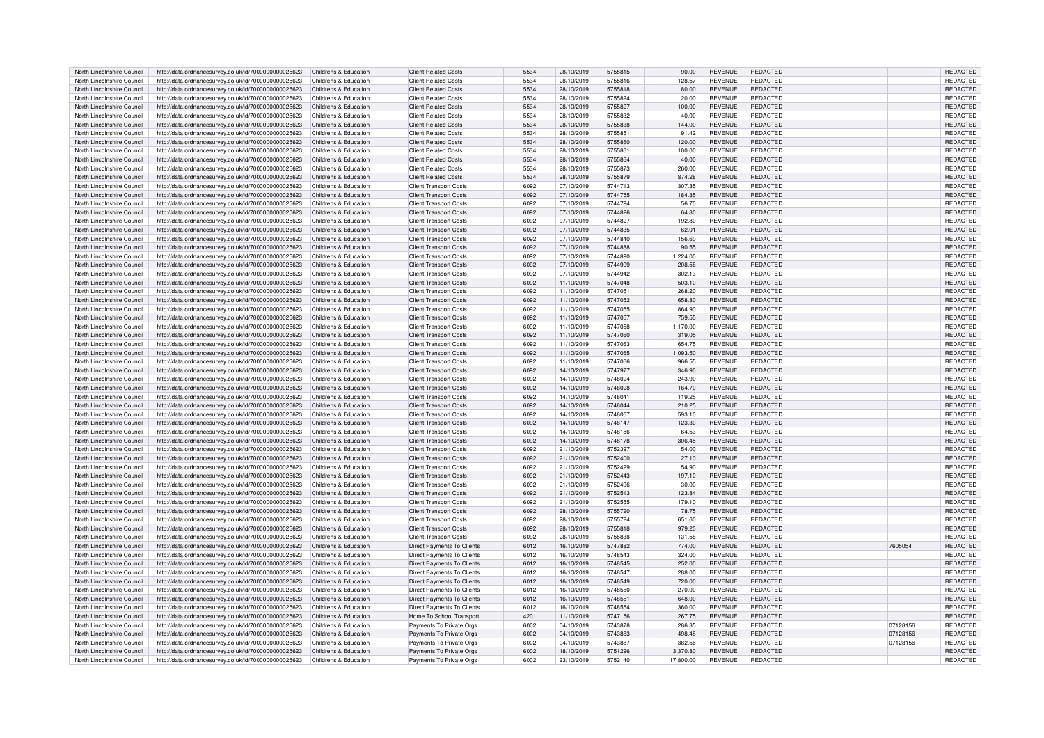| North Lincolnshire Council                               | http://data.ordnancesurvey.co.uk/id/7000000000025623                                                         | Childrens & Education                          | <b>Client Related Costs</b>                                    | 5534         | 28/10/2019               | 5755815            | 90.00           | REVENUE                          | REDACTED                    |          | <b>REDACTED</b>      |
|----------------------------------------------------------|--------------------------------------------------------------------------------------------------------------|------------------------------------------------|----------------------------------------------------------------|--------------|--------------------------|--------------------|-----------------|----------------------------------|-----------------------------|----------|----------------------|
| North Lincolnshire Council                               | http://data.ordnancesurvey.co.uk/id/7000000000025623                                                         | Childrens & Education                          | <b>Client Related Costs</b>                                    | 5534         | 28/10/2019               | 5755816            | 128.57          | REVENUE                          | <b>REDACTED</b>             |          | REDACTED             |
| North Lincolnshire Council                               | http://data.ordnancesurvey.co.uk/id/7000000000025623                                                         | Childrens & Education                          | <b>Client Related Costs</b>                                    | 5534         | 28/10/2019               | 5755818            | 80.00           | <b>REVENUE</b>                   | <b>REDACTED</b>             |          | REDACTED             |
| North Lincolnshire Council                               | http://data.ordnancesurvey.co.uk/id/7000000000025623                                                         | Childrens & Education                          | <b>Client Related Costs</b>                                    | 5534         | 28/10/2019               | 5755824            | 20.00           | <b>REVENUE</b>                   | REDACTED                    |          | REDACTED             |
| North Lincolnshire Council                               | http://data.ordnancesurvey.co.uk/id/7000000000025623                                                         | Childrens & Education                          | <b>Client Related Costs</b>                                    | 5534         | 28/10/2019               | 5755827            | 100.00          | <b>REVENUE</b>                   | <b>REDACTED</b>             |          | <b>REDACTED</b>      |
| North Lincolnshire Council                               | http://data.ordnancesurvey.co.uk/id/7000000000025623                                                         | Childrens & Education                          | <b>Client Related Costs</b>                                    | 5534         | 28/10/2019               | 5755832            | 40.00           | <b>REVENUE</b>                   | <b>REDACTED</b>             |          | REDACTED             |
| North Lincolnshire Council                               | http://data.ordnancesurvey.co.uk/id/7000000000025623                                                         | Childrens & Education                          | <b>Client Related Costs</b>                                    | 5534         | 28/10/2019               | 5755838            | 144.00          | <b>REVENUE</b>                   | REDACTED                    |          | REDACTED             |
| North Lincolnshire Council                               | http://data.ordnancesurvey.co.uk/id/7000000000025623                                                         | Childrens & Education                          | <b>Client Related Costs</b>                                    | 5534         | 28/10/2019               | 5755851            | 91.42           | <b>REVENUE</b>                   | <b>REDACTED</b>             |          | REDACTED             |
| North Lincolnshire Council                               | http://data.ordnancesurvey.co.uk/id/7000000000025623                                                         | Childrens & Education                          | <b>Client Related Costs</b>                                    | 5534         | 28/10/2019               | 5755860            | 120.00          | <b>REVENUE</b>                   | <b>REDACTED</b>             |          | REDACTED             |
| North Lincolnshire Council                               | http://data.ordnancesurvey.co.uk/id/7000000000025623                                                         | Childrens & Education                          | <b>Client Related Costs</b>                                    | 5534         | 28/10/2019               | 5755861            | 100.00          | <b>REVENUE</b>                   | REDACTED                    |          | REDACTED             |
| North Lincolnshire Council                               | http://data.ordnancesurvey.co.uk/id/7000000000025623                                                         | Childrens & Education                          | <b>Client Related Costs</b>                                    | 5534         | 28/10/2019               | 5755864            | 40.00           | <b>REVENUE</b>                   | <b>REDACTED</b>             |          | REDACTED             |
| North Lincolnshire Council                               | http://data.ordnancesurvey.co.uk/id/7000000000025623                                                         | Childrens & Education                          | <b>Client Related Costs</b>                                    | 5534         | 28/10/2019               | 5755873            | 260.00          | REVENUE                          | REDACTED                    |          | <b>REDACTED</b>      |
| North Lincolnshire Council                               | http://data.ordnancesurvey.co.uk/id/7000000000025623                                                         | Childrens & Education                          | <b>Client Related Costs</b>                                    | 5534         | 28/10/2019               | 5755879            | 874.28          | <b>REVENUE</b>                   | <b>REDACTED</b>             |          | REDACTED             |
| North Lincolnshire Council                               | http://data.ordnancesurvey.co.uk/id/7000000000025623                                                         | Childrens & Education                          | <b>Client Transport Costs</b>                                  | 6092         | 07/10/2019               | 5744713            | 307.35          | <b>REVENUE</b>                   | REDACTED                    |          | REDACTED             |
| North Lincolnshire Council                               | http://data.ordnancesurvey.co.uk/id/7000000000025623                                                         | Childrens & Education                          | <b>Client Transport Costs</b>                                  | 6092         | 07/10/2019               | 5744755            | 184.35          | <b>REVENUE</b>                   | <b>REDACTED</b>             |          | REDACTED             |
|                                                          |                                                                                                              |                                                |                                                                |              |                          |                    |                 |                                  |                             |          |                      |
| North Lincolnshire Council                               | http://data.ordnancesurvey.co.uk/id/7000000000025623                                                         | Childrens & Education                          | <b>Client Transport Costs</b>                                  | 6092         | 07/10/2019               | 5744794            | 56.70           | REVENUE                          | REDACTED                    |          | REDACTED             |
| North Lincolnshire Council<br>North Lincolnshire Council | http://data.ordnancesurvey.co.uk/id/7000000000025623<br>http://data.ordnancesurvey.co.uk/id/7000000000025623 | Childrens & Education<br>Childrens & Education | <b>Client Transport Costs</b><br><b>Client Transport Costs</b> | 6092<br>6092 | 07/10/2019<br>07/10/2019 | 5744826<br>5744827 | 64.80<br>192.80 | <b>REVENUE</b><br><b>REVENUE</b> | <b>REDACTED</b><br>REDACTED |          | REDACTED<br>REDACTED |
|                                                          |                                                                                                              |                                                |                                                                |              |                          |                    |                 |                                  |                             |          |                      |
| North Lincolnshire Council                               | http://data.ordnancesurvey.co.uk/id/7000000000025623                                                         | Childrens & Education                          | <b>Client Transport Costs</b>                                  | 6092         | 07/10/2019               | 5744835            | 62.01           | REVENUE                          | REDACTED                    |          | REDACTED             |
| North Lincolnshire Council                               | http://data.ordnancesurvey.co.uk/id/7000000000025623                                                         | Childrens & Education                          | <b>Client Transport Costs</b>                                  | 6092         | 07/10/2019               | 5744840            | 156.60          | <b>REVENUE</b>                   | REDACTED                    |          | REDACTED             |
| North Lincolnshire Council                               | http://data.ordnancesurvey.co.uk/id/7000000000025623                                                         | Childrens & Education                          | <b>Client Transport Costs</b>                                  | 6092         | 07/10/2019               | 5744888            | 90.55           | <b>REVENUE</b>                   | <b>REDACTED</b>             |          | REDACTED             |
| North Lincolnshire Council                               | http://data.ordnancesurvey.co.uk/id/7000000000025623                                                         | Childrens & Education                          | <b>Client Transport Costs</b>                                  | 6092         | 07/10/2019               | 5744890            | 1,224.00        | REVENUE                          | REDACTED                    |          | REDACTED             |
| North Lincolnshire Council                               | http://data.ordnancesurvey.co.uk/id/7000000000025623                                                         | Childrens & Education                          | <b>Client Transport Costs</b>                                  | 6092         | 07/10/2019               | 5744909            | 208.58          | <b>REVENUE</b>                   | <b>REDACTED</b>             |          | <b>REDACTED</b>      |
| North Lincolnshire Council                               | http://data.ordnancesurvey.co.uk/id/7000000000025623                                                         | Childrens & Education                          | <b>Client Transport Costs</b>                                  | 6092         | 07/10/2019               | 5744942            | 302.13          | REVENUE                          | REDACTED                    |          | REDACTED             |
| North Lincolnshire Council                               | http://data.ordnancesurvey.co.uk/id/7000000000025623                                                         | Childrens & Education                          | <b>Client Transport Costs</b>                                  | 6092         | 11/10/2019               | 5747048            | 503.10          | <b>REVENUE</b>                   | REDACTED                    |          | REDACTED             |
| North Lincolnshire Council                               | http://data.ordnancesurvey.co.uk/id/7000000000025623                                                         | Childrens & Education                          | <b>Client Transport Costs</b>                                  | 6092         | 11/10/2019               | 5747051            | 268.20          | <b>REVENUE</b>                   | <b>REDACTED</b>             |          | REDACTED             |
| North Lincolnshire Council                               | http://data.ordnancesurvey.co.uk/id/7000000000025623                                                         | Childrens & Education                          | <b>Client Transport Costs</b>                                  | 6092         | 11/10/2019               | 5747052            | 658.80          | <b>REVENUE</b>                   | <b>REDACTED</b>             |          | <b>REDACTED</b>      |
| North Lincolnshire Council                               | http://data.ordnancesurvey.co.uk/id/7000000000025623                                                         | Childrens & Education                          | <b>Client Transport Costs</b>                                  | 6092         | 11/10/2019               | 5747055            | 864.90          | <b>REVENUE</b>                   | REDACTED                    |          | REDACTED             |
| North Lincolnshire Council                               | http://data.ordnancesurvey.co.uk/id/7000000000025623                                                         | Childrens & Education                          | <b>Client Transport Costs</b>                                  | 6092         | 11/10/2019               | 5747057            | 759.55          | <b>REVENUE</b>                   | REDACTED                    |          | REDACTED             |
| North Lincolnshire Council                               | http://data.ordnancesurvey.co.uk/id/7000000000025623                                                         | Childrens & Education                          | <b>Client Transport Costs</b>                                  | 6092         | 11/10/2019               | 5747058            | 1,170.00        | <b>REVENUE</b>                   | <b>REDACTED</b>             |          | <b>REDACTED</b>      |
| North Lincolnshire Council                               | http://data.ordnancesurvey.co.uk/id/7000000000025623                                                         | Childrens & Education                          | <b>Client Transport Costs</b>                                  | 6092         | 11/10/2019               | 5747060            | 319.05          | <b>REVENUE</b>                   | <b>REDACTED</b>             |          | REDACTED             |
| North Lincolnshire Council                               | http://data.ordnancesurvey.co.uk/id/7000000000025623                                                         | Childrens & Education                          | <b>Client Transport Costs</b>                                  | 6092         | 11/10/2019               | 5747063            | 654.75          | <b>REVENUE</b>                   | REDACTED                    |          | REDACTED             |
| North Lincolnshire Council                               | http://data.ordnancesurvey.co.uk/id/7000000000025623                                                         | Childrens & Education                          | <b>Client Transport Costs</b>                                  | 6092         | 11/10/2019               | 5747065            | 1.093.50        | <b>REVENUE</b>                   | <b>REDACTED</b>             |          | <b>REDACTED</b>      |
| North Lincolnshire Council                               | http://data.ordnancesurvey.co.uk/id/7000000000025623                                                         | Childrens & Education                          | <b>Client Transport Costs</b>                                  | 6092         | 11/10/2019               | 5747066            | 966.55          | <b>REVENUE</b>                   | REDACTED                    |          | REDACTED             |
| North Lincolnshire Council                               | http://data.ordnancesurvey.co.uk/id/7000000000025623                                                         | Childrens & Education                          | <b>Client Transport Costs</b>                                  | 6092         | 14/10/2019               | 5747977            | 346.90          | <b>REVENUE</b>                   | <b>REDACTED</b>             |          | REDACTED             |
| North Lincolnshire Council                               | http://data.ordnancesurvey.co.uk/id/7000000000025623                                                         | Childrens & Education                          | <b>Client Transport Costs</b>                                  | 6092         | 14/10/2019               | 5748024            | 243.90          | <b>REVENUE</b>                   | <b>REDACTED</b>             |          | REDACTED             |
| North Lincolnshire Council                               | http://data.ordnancesurvey.co.uk/id/7000000000025623                                                         | Childrens & Education                          | <b>Client Transport Costs</b>                                  | 6092         | 14/10/2019               | 5748028            | 164.70          | <b>REVENUE</b>                   | <b>REDACTED</b>             |          | REDACTED             |
| North Lincolnshire Council                               | http://data.ordnancesurvey.co.uk/id/7000000000025623                                                         | Childrens & Education                          | <b>Client Transport Costs</b>                                  | 6092         | 14/10/2019               | 5748041            | 119.25          | REVENUE                          | <b>REDACTED</b>             |          | REDACTED             |
| North Lincolnshire Council                               | http://data.ordnancesurvey.co.uk/id/7000000000025623                                                         | Childrens & Education                          | <b>Client Transport Costs</b>                                  | 6092         | 14/10/2019               | 5748044            | 210.25          | REVENUE                          | <b>REDACTED</b>             |          | REDACTED             |
| North Lincolnshire Council                               | http://data.ordnancesurvey.co.uk/id/7000000000025623                                                         | Childrens & Education                          | <b>Client Transport Costs</b>                                  | 6092         | 14/10/2019               | 5748067            | 593.10          | <b>REVENUE</b>                   | REDACTED                    |          | REDACTED             |
| North Lincolnshire Council                               | http://data.ordnancesurvey.co.uk/id/7000000000025623                                                         | Childrens & Education                          | <b>Client Transport Costs</b>                                  | 6092         | 14/10/2019               | 5748147            | 123.30          | <b>REVENUE</b>                   | <b>REDACTED</b>             |          | <b>REDACTED</b>      |
| North Lincolnshire Council                               | http://data.ordnancesurvey.co.uk/id/7000000000025623                                                         | Childrens & Education                          | <b>Client Transport Costs</b>                                  | 6092         | 14/10/2019               | 5748156            | 64.53           | <b>REVENUE</b>                   | <b>REDACTED</b>             |          | <b>REDACTED</b>      |
| North Lincolnshire Council                               | http://data.ordnancesurvey.co.uk/id/7000000000025623                                                         | Childrens & Education                          | <b>Client Transport Costs</b>                                  | 6092         | 14/10/2019               | 5748178            | 306.45          | REVENUE                          | REDACTED                    |          | REDACTED             |
| North Lincolnshire Council                               | http://data.ordnancesurvey.co.uk/id/7000000000025623                                                         | Childrens & Education                          | <b>Client Transport Costs</b>                                  | 6092         | 21/10/2019               | 5752397            | 54.00           | <b>REVENUE</b>                   | REDACTED                    |          | REDACTED             |
| North Lincolnshire Council                               | http://data.ordnancesurvey.co.uk/id/7000000000025623                                                         | Childrens & Education                          | <b>Client Transport Costs</b>                                  | 6092         | 21/10/2019               | 5752400            | 27.10           | <b>REVENUE</b>                   | <b>REDACTED</b>             |          | REDACTED             |
| North Lincolnshire Council                               | http://data.ordnancesurvey.co.uk/id/7000000000025623                                                         | Childrens & Education                          | <b>Client Transport Costs</b>                                  | 6092         | 21/10/2019               | 5752429            | 54.90           | REVENUE                          | REDACTED                    |          | REDACTED             |
| North Lincolnshire Council                               | http://data.ordnancesurvey.co.uk/id/7000000000025623                                                         | Childrens & Education                          | <b>Client Transport Costs</b>                                  | 6092         | 21/10/2019               | 5752443            | 197.10          | REVENUE                          | <b>REDACTED</b>             |          | REDACTED             |
| North Lincolnshire Council                               | http://data.ordnancesurvey.co.uk/id/7000000000025623                                                         | Childrens & Education                          | <b>Client Transport Costs</b>                                  | 6092         | 21/10/2019               | 5752496            | 30.00           | <b>REVENUE</b>                   | REDACTED                    |          | REDACTED             |
|                                                          |                                                                                                              |                                                |                                                                |              |                          |                    |                 |                                  | <b>REDACTED</b>             |          |                      |
| North Lincolnshire Council                               | http://data.ordnancesurvey.co.uk/id/7000000000025623                                                         | Childrens & Education                          | <b>Client Transport Costs</b>                                  | 6092         | 21/10/2019               | 5752513            | 123.84          | <b>REVENUE</b>                   |                             |          | REDACTED             |
| North Lincolnshire Council                               | http://data.ordnancesurvey.co.uk/id/7000000000025623                                                         | Childrens & Education                          | <b>Client Transport Costs</b>                                  | 6092         | 21/10/2019               | 5752555            | 179.10          | <b>REVENUE</b>                   | REDACTED                    |          | REDACTED             |
| North Lincolnshire Council<br>North Lincolnshire Council | http://data.ordnancesurvey.co.uk/id/7000000000025623                                                         | Childrens & Education                          | <b>Client Transport Costs</b>                                  | 6092         | 28/10/2019               | 5755720            | 78.75           | <b>REVENUE</b><br><b>REVENUE</b> | <b>REDACTED</b>             |          | <b>REDACTED</b>      |
|                                                          | http://data.ordnancesurvey.co.uk/id/7000000000025623                                                         | Childrens & Education                          | <b>Client Transport Costs</b>                                  | 6092         | 28/10/2019               | 5755724            | 651.60          |                                  | REDACTED                    |          | REDACTED             |
| North Lincolnshire Council                               | http://data.ordnancesurvey.co.uk/id/7000000000025623                                                         | Childrens & Education                          | <b>Client Transport Costs</b>                                  | 6092         | 28/10/2019               | 5755818            | 979.20          | <b>REVENUE</b>                   | REDACTED                    |          | REDACTED             |
| North Lincolnshire Council                               | http://data.ordnancesurvey.co.uk/id/7000000000025623                                                         | Childrens & Education                          | <b>Client Transport Costs</b>                                  | 6092         | 28/10/2019               | 5755838            | 131.58          | <b>REVENUE</b>                   | <b>REDACTED</b>             |          | REDACTED             |
| North Lincolnshire Council                               | http://data.ordnancesurvey.co.uk/id/7000000000025623                                                         | Childrens & Education                          | Direct Payments To Clients                                     | 6012         | 16/10/2019               | 5747882            | 774.00          | <b>REVENUE</b>                   | REDACTED                    | 7605054  | REDACTED             |
| North Lincolnshire Council                               | http://data.ordnancesurvey.co.uk/id/7000000000025623                                                         | Childrens & Education                          | Direct Payments To Clients                                     | 6012         | 16/10/2019               | 5748543            | 324.00          | <b>REVENUE</b>                   | REDACTED                    |          | REDACTED             |
| North Lincolnshire Council                               | http://data.ordnancesurvey.co.uk/id/7000000000025623                                                         | Childrens & Education                          | Direct Payments To Clients                                     | 6012         | 16/10/2019               | 5748545            | 252.00          | <b>REVENUE</b>                   | <b>REDACTED</b>             |          | REDACTED             |
| North Lincolnshire Council                               | http://data.ordnancesurvey.co.uk/id/7000000000025623                                                         | Childrens & Education                          | <b>Direct Payments To Clients</b>                              | 6012         | 16/10/2019               | 5748547            | 288.00          | <b>REVENUE</b>                   | REDACTED                    |          | REDACTED             |
| North Lincolnshire Council                               | http://data.ordnancesurvey.co.uk/id/7000000000025623                                                         | Childrens & Education                          | Direct Payments To Clients                                     | 6012         | 16/10/2019               | 5748549            | 720.00          | <b>REVENUE</b>                   | <b>REDACTED</b>             |          | REDACTED             |
| North Lincolnshire Council                               | http://data.ordnancesurvey.co.uk/id/7000000000025623                                                         | Childrens & Education                          | Direct Payments To Clients                                     | 6012         | 16/10/2019               | 5748550            | 270.00          | REVENUE                          | <b>REDACTED</b>             |          | REDACTED             |
| North Lincolnshire Council                               | http://data.ordnancesurvey.co.uk/id/7000000000025623                                                         | Childrens & Education                          | Direct Payments To Clients                                     | 6012         | 16/10/2019               | 5748551            | 648.00          | <b>REVENUE</b>                   | REDACTED                    |          | <b>REDACTED</b>      |
| North Lincolnshire Council                               | http://data.ordnancesurvey.co.uk/id/7000000000025623                                                         | Childrens & Education                          | <b>Direct Payments To Clients</b>                              | 6012         | 16/10/2019               | 5748554            | 360.00          | <b>REVENUE</b>                   | <b>REDACTED</b>             |          | <b>REDACTED</b>      |
| North Lincolnshire Council                               | http://data.ordnancesurvey.co.uk/id/7000000000025623                                                         | Childrens & Education                          | Home To School Transport                                       | 4201         | 11/10/2019               | 5747156            | 267.75          | <b>REVENUE</b>                   | REDACTED                    |          | REDACTED             |
| North Lincolnshire Council                               | http://data.ordnancesurvey.co.uk/id/7000000000025623                                                         | Childrens & Education                          | Payments To Private Orgs                                       | 6002         | 04/10/2019               | 5743878            | 286.35          | <b>REVENUE</b>                   | REDACTED                    | 07128156 | REDACTED             |
| North Lincolnshire Council                               | http://data.ordnancesurvey.co.uk/id/7000000000025623                                                         | Childrens & Education                          | Payments To Private Orgs                                       | 6002         | 04/10/2019               | 5743883            | 498.48          | <b>REVENUE</b>                   | <b>REDACTED</b>             | 07128156 | REDACTED             |
| North Lincolnshire Council                               | http://data.ordnancesurvey.co.uk/id/7000000000025623                                                         | Childrens & Education                          | Payments To Private Orgs                                       | 6002         | 04/10/2019               | 5743887            | 382.56          | REVENUE                          | <b>REDACTED</b>             | 07128156 | REDACTED             |
| North Lincolnshire Council                               | http://data.ordnancesurvey.co.uk/id/7000000000025623                                                         | Childrens & Education                          | Payments To Private Orgs                                       | 6002         | 18/10/2019               | 5751296            | 3.370.80        | <b>REVENUE</b>                   | <b>REDACTED</b>             |          | <b>REDACTED</b>      |
|                                                          |                                                                                                              | Childrens & Education                          | Payments To Private Orgs                                       | 6002         | 23/10/2019               | 5752140            | 17,800.00       | <b>REVENUE</b>                   | REDACTED                    |          | REDACTED             |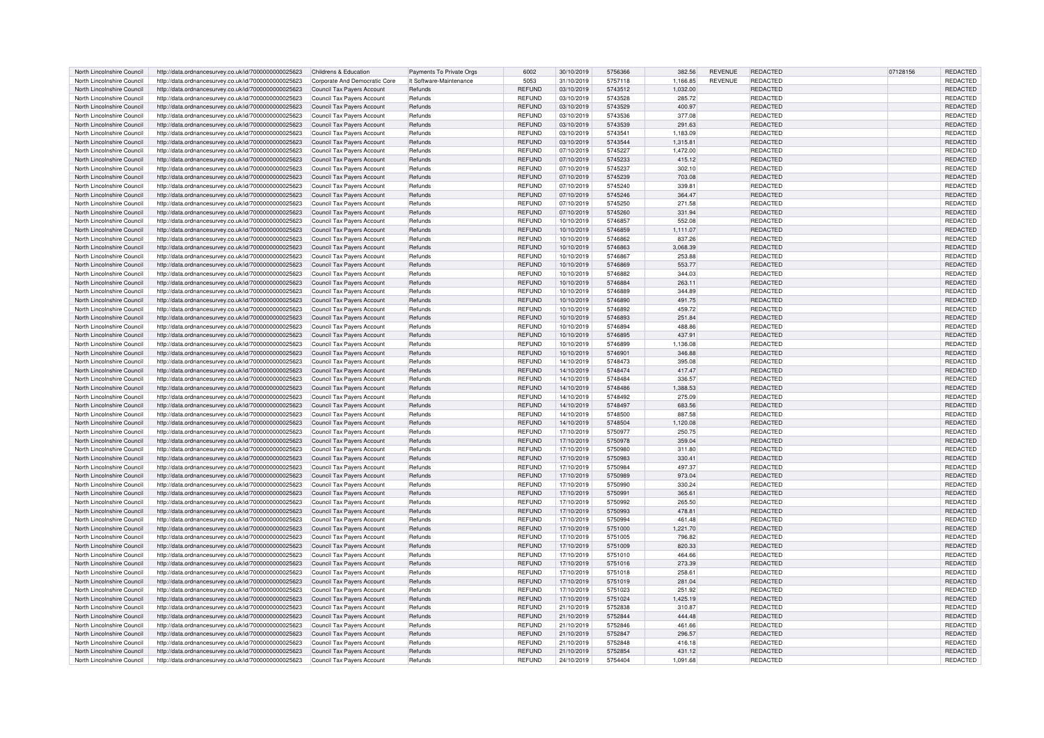| North Lincolnshire Council | http://data.ordnancesurvey.co.uk/id/7000000000025623 | Childrens & Education             | Payments To Private Orgs | 6002           | 30/10/2019 | 5756366 | 382.56   | <b>REVENUE</b> | <b>REDACTED</b> | 07128156 | REDACTED        |
|----------------------------|------------------------------------------------------|-----------------------------------|--------------------------|----------------|------------|---------|----------|----------------|-----------------|----------|-----------------|
| North Lincolnshire Council | http://data.ordnancesurvey.co.uk/id/7000000000025623 | Corporate And Democratic Core     | It Software-Maintenance  | 5053           | 31/10/2019 | 5757118 | 1,166.85 | <b>REVENUE</b> | REDACTED        |          | REDACTED        |
| North Lincolnshire Council | http://data.ordnancesurvey.co.uk/id/7000000000025623 | Council Tax Payers Account        | Refunds                  | <b>REFUND</b>  | 03/10/2019 | 5743512 | 1.032.00 |                | REDACTED        |          | <b>REDACTED</b> |
| North Lincolnshire Council | http://data.ordnancesurvey.co.uk/id/7000000000025623 | Council Tax Payers Account        | Refunds                  | <b>REFUND</b>  | 03/10/2019 | 5743528 | 285.72   |                | REDACTED        |          | REDACTED        |
| North Lincolnshire Council | http://data.ordnancesurvey.co.uk/id/7000000000025623 | <b>Council Tax Payers Account</b> | Refunds                  | REFUND         | 03/10/2019 | 5743529 | 400.97   |                | REDACTED        |          | REDACTED        |
| North Lincolnshire Council | http://data.ordnancesurvey.co.uk/id/7000000000025623 | Council Tax Payers Account        | Refunds                  | <b>REFUND</b>  | 03/10/2019 | 5743536 | 377.08   |                | REDACTED        |          | REDACTED        |
| North Lincolnshire Council | http://data.ordnancesurvey.co.uk/id/7000000000025623 | Council Tax Payers Account        | Refunds                  | <b>REFUND</b>  | 03/10/2019 | 5743539 | 291.63   |                | REDACTED        |          | REDACTED        |
| North Lincolnshire Council | http://data.ordnancesurvey.co.uk/id/7000000000025623 | Council Tax Payers Account        | Refunds                  | REFUND         | 03/10/2019 | 5743541 | 1,183.09 |                | REDACTED        |          | REDACTED        |
| North Lincolnshire Council | http://data.ordnancesurvey.co.uk/id/7000000000025623 | Council Tax Payers Account        | Refunds                  | <b>REFUND</b>  | 03/10/2019 | 5743544 | 1,315.81 |                | REDACTED        |          | REDACTED        |
| North Lincolnshire Council | http://data.ordnancesurvey.co.uk/id/7000000000025623 | Council Tax Payers Account        | Refunds                  | <b>REFUND</b>  | 07/10/2019 | 5745227 | 1.472.00 |                | REDACTED        |          | REDACTED        |
| North Lincolnshire Council | http://data.ordnancesurvey.co.uk/id/7000000000025623 | Council Tax Payers Account        | Refunds                  | <b>REFUND</b>  | 07/10/2019 | 5745233 | 415.12   |                | <b>REDACTED</b> |          | REDACTED        |
| North Lincolnshire Council | http://data.ordnancesurvey.co.uk/id/7000000000025623 | Council Tax Payers Account        | Refunds                  | <b>REFUND</b>  | 07/10/2019 | 5745237 | 302.10   |                | REDACTED        |          | REDACTED        |
| North Lincolnshire Council | http://data.ordnancesurvey.co.uk/id/7000000000025623 | Council Tax Payers Account        | Refunds                  | <b>REFUND</b>  | 07/10/2019 | 5745239 | 703.08   |                | <b>REDACTED</b> |          | REDACTED        |
| North Lincolnshire Council | http://data.ordnancesurvey.co.uk/id/7000000000025623 | Council Tax Payers Account        | Refunds                  | REFUND         | 07/10/2019 | 5745240 | 339.81   |                | REDACTED        |          | REDACTED        |
| North Lincolnshire Council | http://data.ordnancesurvey.co.uk/id/7000000000025623 | <b>Council Tax Payers Account</b> | Refunds                  | REFUND         | 07/10/2019 | 5745246 | 364.47   |                | <b>REDACTED</b> |          | REDACTED        |
| North Lincolnshire Council | http://data.ordnancesurvey.co.uk/id/7000000000025623 | Council Tax Payers Account        | Refunds                  | <b>REFUND</b>  | 07/10/2019 | 5745250 | 271.58   |                | REDACTED        |          | REDACTED        |
| North Lincolnshire Council | http://data.ordnancesurvey.co.uk/id/7000000000025623 | Council Tax Payers Account        | Refunds                  | <b>REFUND</b>  | 07/10/2019 | 5745260 | 331.94   |                | REDACTED        |          | REDACTED        |
| North Lincolnshire Council | http://data.ordnancesurvey.co.uk/id/7000000000025623 | Council Tax Payers Account        | Refunds                  | <b>REFUND</b>  | 10/10/2019 | 5746857 | 552.08   |                | REDACTED        |          | REDACTED        |
| North Lincolnshire Council | http://data.ordnancesurvey.co.uk/id/7000000000025623 | Council Tax Payers Account        | Refunds                  | <b>REFUND</b>  | 10/10/2019 | 5746859 | 1,111.07 |                | <b>REDACTED</b> |          | REDACTED        |
| North Lincolnshire Council | http://data.ordnancesurvey.co.uk/id/7000000000025623 | Council Tax Payers Account        | Refunds                  | <b>REFUND</b>  | 10/10/2019 | 5746862 | 837.26   |                | REDACTED        |          | REDACTED        |
| North Lincolnshire Council | http://data.ordnancesurvey.co.uk/id/7000000000025623 | Council Tax Payers Account        | Refunds                  | <b>REFUND</b>  | 10/10/2019 | 5746863 | 3.068.39 |                | REDACTED        |          | REDACTED        |
| North Lincolnshire Council | http://data.ordnancesurvey.co.uk/id/7000000000025623 | Council Tax Payers Account        | Refunds                  | <b>REFUND</b>  | 10/10/2019 | 5746867 | 253.88   |                | <b>REDACTED</b> |          | REDACTED        |
| North Lincolnshire Council | http://data.ordnancesurvey.co.uk/id/7000000000025623 | Council Tax Payers Account        | Refunds                  | <b>REFUND</b>  | 10/10/2019 | 5746869 | 553.77   |                | REDACTED        |          | REDACTED        |
| North Lincolnshire Council | http://data.ordnancesurvey.co.uk/id/7000000000025623 | Council Tax Payers Account        | Refunds                  | REFUND         | 10/10/2019 | 5746882 | 344.03   |                | REDACTED        |          | REDACTED        |
| North Lincolnshire Council | http://data.ordnancesurvey.co.uk/id/7000000000025623 | Council Tax Payers Account        | Refunds                  | <b>REFUND</b>  | 10/10/2019 | 5746884 | 263.11   |                | <b>REDACTED</b> |          | <b>REDACTED</b> |
| North Lincolnshire Council | http://data.ordnancesurvey.co.uk/id/7000000000025623 | Council Tax Payers Account        | Refunds                  | <b>REFUND</b>  | 10/10/2019 | 5746889 | 344.89   |                | REDACTED        |          | REDACTED        |
| North Lincolnshire Council | http://data.ordnancesurvey.co.uk/id/7000000000025623 | Council Tax Payers Account        | Refunds                  | <b>REFUND</b>  | 10/10/2019 | 5746890 | 491.75   |                | REDACTED        |          | REDACTED        |
| North Lincolnshire Council | http://data.ordnancesurvey.co.uk/id/7000000000025623 | Council Tax Payers Account        | Refunds                  | <b>REFUND</b>  | 10/10/2019 | 5746892 | 459.72   |                | REDACTED        |          | REDACTED        |
| North Lincolnshire Council | http://data.ordnancesurvey.co.uk/id/7000000000025623 | Council Tax Payers Account        | Refunds                  | <b>REFUND</b>  | 10/10/2019 | 5746893 | 251.84   |                | REDACTED        |          | REDACTED        |
| North Lincolnshire Council | http://data.ordnancesurvey.co.uk/id/7000000000025623 | Council Tax Payers Account        | Refunds                  | <b>REFUND</b>  | 10/10/2019 | 5746894 | 488.86   |                | REDACTED        |          | REDACTED        |
| North Lincolnshire Council | http://data.ordnancesurvey.co.uk/id/7000000000025623 | Council Tax Payers Account        | Refunds                  | <b>REFUND</b>  | 10/10/2019 | 5746895 | 437.91   |                | <b>REDACTED</b> |          | <b>REDACTED</b> |
| North Lincolnshire Council | http://data.ordnancesurvey.co.uk/id/7000000000025623 | Council Tax Payers Account        | Refunds                  | <b>REFUND</b>  | 10/10/2019 | 5746899 | 1,136.08 |                | REDACTED        |          | REDACTED        |
| North Lincolnshire Council | http://data.ordnancesurvey.co.uk/id/7000000000025623 | <b>Council Tax Payers Account</b> | Refunds                  | <b>REFUND</b>  | 10/10/2019 | 5746901 | 346.88   |                | REDACTED        |          | REDACTED        |
| North Lincolnshire Council | http://data.ordnancesurvey.co.uk/id/7000000000025623 | Council Tax Payers Account        | Refunds                  | REFUND         | 14/10/2019 | 5748473 | 395.08   |                | REDACTED        |          | REDACTED        |
| North Lincolnshire Council | http://data.ordnancesurvey.co.uk/id/7000000000025623 | Council Tax Payers Account        | Refunds                  | <b>REFUND</b>  | 14/10/2019 | 5748474 | 417.47   |                | <b>REDACTED</b> |          | REDACTED        |
| North Lincolnshire Council | http://data.ordnancesurvey.co.uk/id/7000000000025623 | Council Tax Payers Account        | Refunds                  | <b>REFUND</b>  | 14/10/2019 | 5748484 | 336.57   |                | REDACTED        |          | REDACTED        |
| North Lincolnshire Council | http://data.ordnancesurvey.co.uk/id/7000000000025623 | Council Tax Payers Account        | Refunds                  | <b>REFUND</b>  | 14/10/2019 | 5748486 | 1,388.53 |                | REDACTED        |          | REDACTED        |
| North Lincolnshire Council | http://data.ordnancesurvey.co.uk/id/7000000000025623 | Council Tax Payers Account        | Refunds                  | <b>REFUND</b>  | 14/10/2019 | 5748492 | 275.09   |                | <b>REDACTED</b> |          | REDACTED        |
| North Lincolnshire Council | http://data.ordnancesurvey.co.uk/id/7000000000025623 | Council Tax Payers Account        | Refunds                  | <b>REFUND</b>  | 14/10/2019 | 5748497 | 683.56   |                | <b>REDACTED</b> |          | REDACTED        |
| North Lincolnshire Council | http://data.ordnancesurvey.co.uk/id/7000000000025623 | Council Tax Payers Account        | Refunds                  | <b>REFUND</b>  | 14/10/2019 | 5748500 | 887.58   |                | REDACTED        |          | REDACTED        |
| North Lincolnshire Council | http://data.ordnancesurvey.co.uk/id/7000000000025623 | <b>Council Tax Payers Account</b> | Refunds                  | <b>REFUND</b>  | 14/10/2019 | 5748504 | 1.120.08 |                | <b>REDACTED</b> |          | REDACTED        |
| North Lincolnshire Council | http://data.ordnancesurvey.co.uk/id/7000000000025623 | Council Tax Payers Account        | Refunds                  | <b>REFUND</b>  | 17/10/2019 | 5750977 | 250.75   |                | REDACTED        |          | REDACTED        |
| North Lincolnshire Council | http://data.ordnancesurvey.co.uk/id/7000000000025623 | Council Tax Payers Account        | Refunds                  | <b>REFUND</b>  | 17/10/2019 | 5750978 | 359.04   |                | REDACTED        |          | REDACTED        |
| North Lincolnshire Council | http://data.ordnancesurvey.co.uk/id/7000000000025623 | Council Tax Payers Account        | Refunds                  | REFUND         | 17/10/2019 | 5750980 | 311.80   |                | REDACTED        |          | REDACTED        |
| North Lincolnshire Council | http://data.ordnancesurvey.co.uk/id/7000000000025623 | Council Tax Payers Account        | Refunds                  | REFUND         | 17/10/2019 | 5750983 | 330.41   |                | REDACTED        |          | REDACTED        |
| North Lincolnshire Council | http://data.ordnancesurvey.co.uk/id/7000000000025623 | Council Tax Payers Account        | Refunds                  | <b>REFUND</b>  | 17/10/2019 | 5750984 | 497.37   |                | REDACTED        |          | REDACTED        |
| North Lincolnshire Council | http://data.ordnancesurvey.co.uk/id/7000000000025623 | Council Tax Payers Account        | Refunds                  | <b>REFUND</b>  | 17/10/2019 | 5750989 | 973.04   |                | <b>REDACTED</b> |          | REDACTED        |
| North Lincolnshire Council | http://data.ordnancesurvey.co.uk/id/7000000000025623 | Council Tax Payers Account        | Refunds                  | <b>REFUND</b>  | 17/10/2019 | 5750990 | 330.24   |                | REDACTED        |          | REDACTED        |
| North Lincolnshire Council | http://data.ordnancesurvey.co.uk/id/7000000000025623 | Council Tax Payers Account        | Refunds                  | <b>REFUND</b>  | 17/10/2019 | 5750991 | 365.61   |                | REDACTED        |          | REDACTED        |
| North Lincolnshire Council | http://data.ordnancesurvey.co.uk/id/7000000000025623 | Council Tax Payers Account        | Refunds                  | <b>REFUND</b>  | 17/10/2019 | 5750992 | 265.50   |                | REDACTED        |          | REDACTED        |
| North Lincolnshire Council | http://data.ordnancesurvey.co.uk/id/7000000000025623 | <b>Council Tax Payers Account</b> | Refunds                  | <b>REFUND</b>  | 17/10/2019 | 5750993 | 478.81   |                | REDACTED        |          | REDACTED        |
| North Lincolnshire Council | http://data.ordnancesurvey.co.uk/id/7000000000025623 | Council Tax Payers Account        | Refunds                  | <b>REFUND</b>  | 17/10/2019 | 5750994 | 461.48   |                | <b>REDACTED</b> |          | REDACTED        |
| North Lincolnshire Council | http://data.ordnancesurvey.co.uk/id/7000000000025623 | Council Tax Payers Account        | Refunds                  | <b>REFUND</b>  | 17/10/2019 | 5751000 | 1,221.70 |                | REDACTED        |          | REDACTED        |
| North Lincolnshire Council | http://data.ordnancesurvey.co.uk/id/7000000000025623 | Council Tax Payers Account        | Refunds                  | <b>REFUND</b>  | 17/10/2019 | 5751005 | 796.82   |                | REDACTED        |          | REDACTED        |
| North Lincolnshire Council | http://data.ordnancesurvey.co.uk/id/7000000000025623 | Council Tax Payers Account        | Refunds                  | REFUND         | 17/10/2019 | 5751009 | 820.33   |                | <b>REDACTED</b> |          | REDACTED        |
| North Lincolnshire Council | http://data.ordnancesurvey.co.uk/id/7000000000025623 | Council Tax Payers Account        | Refunds                  | REFUND         | 17/10/2019 | 5751010 | 464.66   |                | REDACTED        |          | REDACTED        |
| North Lincolnshire Council | http://data.ordnancesurvey.co.uk/id/7000000000025623 | Council Tax Payers Account        | Refunds                  | <b>REFUND</b>  | 17/10/2019 | 5751016 | 273.39   |                | <b>REDACTED</b> |          | REDACTED        |
| North Lincolnshire Council | http://data.ordnancesurvey.co.uk/id/7000000000025623 | Council Tax Payers Account        | Refunds                  | <b>REFUND</b>  | 17/10/2019 | 5751018 | 258.61   |                | REDACTED        |          | REDACTED        |
| North Lincolnshire Council | http://data.ordnancesurvey.co.uk/id/7000000000025623 | Council Tax Payers Account        | Refunds                  | <b>REFUND</b>  | 17/10/2019 | 5751019 | 281.04   |                | REDACTED        |          | REDACTED        |
| North Lincolnshire Council | http://data.ordnancesurvey.co.uk/id/7000000000025623 | Council Tax Payers Account        | Refunds                  | <b>REFUND</b>  | 17/10/2019 | 5751023 | 251.92   |                | REDACTED        |          | <b>REDACTED</b> |
| North Lincolnshire Council | http://data.ordnancesurvey.co.uk/id/7000000000025623 | Council Tax Payers Account        | Refunds                  | <b>REFUND</b>  | 17/10/2019 | 5751024 | 1,425.19 |                | REDACTED        |          | REDACTED        |
| North Lincolnshire Council | http://data.ordnancesurvey.co.uk/id/7000000000025623 | Council Tax Payers Account        | Refunds                  | <b>REFUND</b>  | 21/10/2019 | 5752838 | 310.87   |                | REDACTED        |          | REDACTED        |
| North Lincolnshire Council | http://data.ordnancesurvey.co.uk/id/7000000000025623 | Council Tax Payers Account        | Refunds                  | <b>REFUND</b>  | 21/10/2019 | 5752844 | 444.48   |                | <b>REDACTED</b> |          | <b>REDACTED</b> |
| North Lincolnshire Council | http://data.ordnancesurvey.co.uk/id/7000000000025623 | Council Tax Payers Account        | Refunds                  | <b>REFUND</b>  | 21/10/2019 | 5752846 | 461.66   |                | REDACTED        |          | REDACTED        |
| North Lincolnshire Council | http://data.ordnancesurvey.co.uk/id/7000000000025623 | Council Tax Payers Account        | Refunds                  | <b>REFUND</b>  | 21/10/2019 | 5752847 | 296.57   |                | REDACTED        |          | REDACTED        |
| North Lincolnshire Council | http://data.ordnancesurvey.co.uk/id/7000000000025623 | Council Tax Payers Account        | Refunds                  | REFUND         | 21/10/2019 | 5752848 | 416.18   |                | REDACTED        |          | REDACTED        |
| North Lincolnshire Council | http://data.ordnancesurvey.co.uk/id/7000000000025623 | Council Tax Payers Account        | Refunds                  | <b>REELIND</b> | 21/10/2019 | 5752854 | 43112    |                | <b>REDACTED</b> |          | <b>REDACTED</b> |
| North Lincolnshire Council | http://data.ordnancesurvey.co.uk/id/7000000000025623 | Council Tax Payers Account        | Refunds                  | <b>REFUND</b>  | 24/10/2019 | 5754404 | 1,091.68 |                | REDACTED        |          | <b>REDACTED</b> |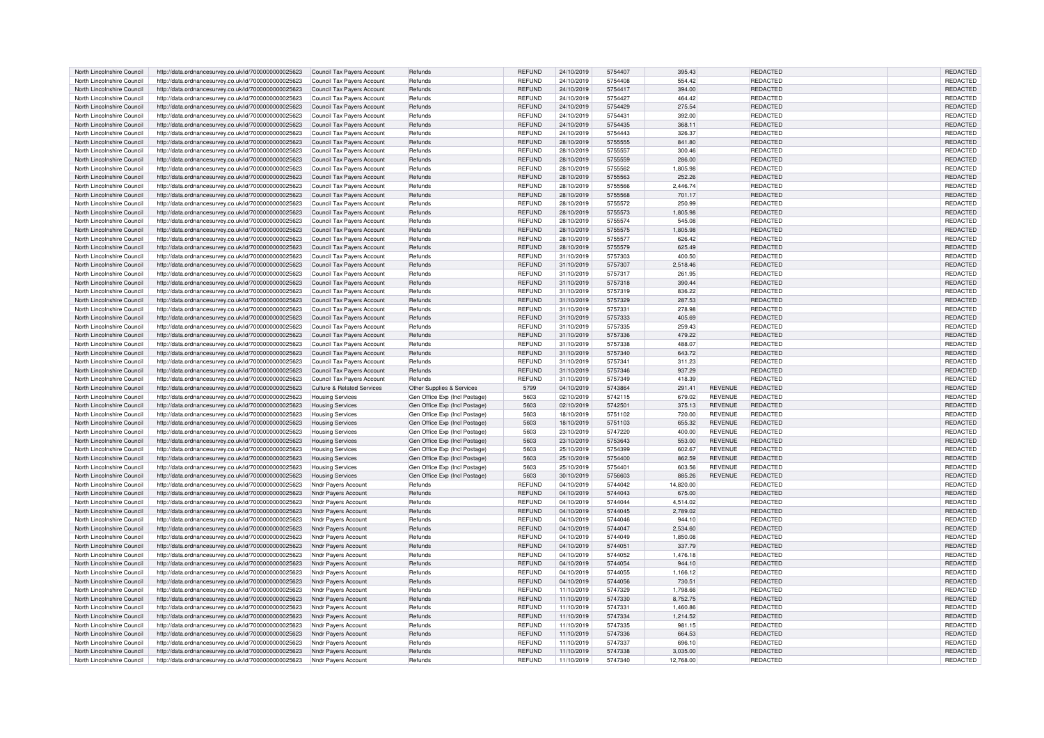| North Lincolnshire Council | http://data.ordnancesurvey.co.uk/id/7000000000025623 | Council Tax Payers Account            | Refunds                       | <b>REFUND</b>  | 24/10/2019 | 5754407            | 395.43    |                | REDACTED        | REDACTED        |
|----------------------------|------------------------------------------------------|---------------------------------------|-------------------------------|----------------|------------|--------------------|-----------|----------------|-----------------|-----------------|
| North Lincolnshire Council | http://data.ordnancesurvey.co.uk/id/7000000000025623 | Council Tax Payers Account            | Refunds                       | REFUND         | 24/10/2019 | 5754408            | 554.42    |                | REDACTED        | REDACTED        |
| North Lincolnshire Council | http://data.ordnancesurvey.co.uk/id/7000000000025623 | Council Tax Payers Account            | Refunds                       | <b>REFUND</b>  | 24/10/2019 | 5754417            | 394.00    |                | REDACTED        | <b>REDACTED</b> |
| North Lincolnshire Council | http://data.ordnancesurvey.co.uk/id/7000000000025623 | Council Tax Payers Account            | Refunds                       | REFUND         | 24/10/2019 | 5754427            | 464.42    |                | REDACTED        | REDACTED        |
| North Lincolnshire Council | http://data.ordnancesurvey.co.uk/id/7000000000025623 | Council Tax Payers Account            | Refunds                       | REFUND         | 24/10/2019 | 5754429            | 275.54    |                | REDACTED        | REDACTED        |
| North Lincolnshire Council | http://data.ordnancesurvey.co.uk/id/7000000000025623 | Council Tax Payers Account            | Refunds                       | <b>REFUND</b>  | 24/10/2019 | 5754431            | 392.00    |                | REDACTED        | REDACTED        |
| North Lincolnshire Council | http://data.ordnancesurvey.co.uk/id/7000000000025623 | Council Tax Payers Account            | Refunds                       | <b>REFUND</b>  | 24/10/2019 | 5754435            | 368.11    |                | REDACTED        | REDACTED        |
| North Lincolnshire Council | http://data.ordnancesurvey.co.uk/id/7000000000025623 | Council Tax Payers Account            | Refunds                       | REFUND         | 24/10/2019 | 5754443            | 326.37    |                | REDACTED        | REDACTED        |
| North Lincolnshire Council | http://data.ordnancesurvey.co.uk/id/7000000000025623 | Council Tax Payers Account            | Refunds                       | REFUND         | 28/10/2019 | 5755555            | 841.80    |                | REDACTED        | REDACTED        |
| North Lincolnshire Council | http://data.ordnancesurvey.co.uk/id/7000000000025623 | Council Tax Payers Account            | Refunds                       | REFUND         | 28/10/2019 | 5755557            | 300.46    |                | REDACTED        | REDACTED        |
| North Lincolnshire Council | http://data.ordnancesurvey.co.uk/id/7000000000025623 | Council Tax Payers Account            | Refunds                       | REFUND         | 28/10/2019 | 5755559            | 286.00    |                | <b>REDACTED</b> | REDACTED        |
| North Lincolnshire Council | http://data.ordnancesurvey.co.uk/id/7000000000025623 | Council Tax Payers Account            | Refunds                       | REFUND         | 28/10/2019 | 5755562            | 1,805.98  |                | REDACTED        | REDACTED        |
| North Lincolnshire Council | http://data.ordnancesurvey.co.uk/id/7000000000025623 | Council Tax Payers Account            | Refunds                       | <b>REFUND</b>  | 28/10/2019 | 5755563            | 252.26    |                | REDACTED        | REDACTED        |
| North Lincolnshire Council | http://data.ordnancesurvey.co.uk/id/7000000000025623 | Council Tax Payers Account            | Refunds                       | REFUND         | 28/10/2019 | 5755566            | 2,446.74  |                | REDACTED        | REDACTED        |
| North Lincolnshire Council | http://data.ordnancesurvey.co.uk/id/7000000000025623 | Council Tax Payers Account            | Refunds                       | REFUND         | 28/10/2019 | 5755568            | 701.17    |                | REDACTED        | REDACTED        |
| North Lincolnshire Council | http://data.ordnancesurvey.co.uk/id/7000000000025623 | Council Tax Payers Account            | Refunds                       | REFUND         | 28/10/2019 | 5755572            | 250.99    |                | REDACTED        | REDACTED        |
| North Lincolnshire Council | http://data.ordnancesurvey.co.uk/id/7000000000025623 | Council Tax Payers Account            | Refunds                       | <b>REFUND</b>  | 28/10/2019 | 5755573            | 1,805.98  |                | REDACTED        | REDACTED        |
| North Lincolnshire Council | http://data.ordnancesurvey.co.uk/id/7000000000025623 | Council Tax Payers Account            | Refunds                       | REFUND         | 28/10/2019 | 5755574            | 545.08    |                | REDACTED        | REDACTED        |
| North Lincolnshire Council | http://data.ordnancesurvey.co.uk/id/7000000000025623 | Council Tax Payers Account            | Refunds                       | REFUND         | 28/10/2019 | 5755575            | 1,805.98  |                | REDACTED        | REDACTED        |
| North Lincolnshire Council |                                                      |                                       | Refunds                       | REFUND         | 28/10/2019 | 5755577            | 626.42    |                | REDACTED        | REDACTED        |
| North Lincolnshire Council | http://data.ordnancesurvey.co.uk/id/7000000000025623 | Council Tax Payers Account            | Refunds                       | <b>REFUND</b>  | 28/10/2019 | 5755579            | 625.49    |                | REDACTED        | <b>REDACTED</b> |
|                            | http://data.ordnancesurvey.co.uk/id/7000000000025623 | Council Tax Payers Account            |                               |                |            |                    |           |                |                 |                 |
| North Lincolnshire Council | http://data.ordnancesurvey.co.uk/id/7000000000025623 | Council Tax Payers Account            | Refunds                       | REFUND         | 31/10/2019 | 5757303            | 400.50    |                | REDACTED        | REDACTED        |
| North Lincolnshire Council | http://data.ordnancesurvey.co.uk/id/7000000000025623 | Council Tax Payers Account            | Refunds                       | REFUND         | 31/10/2019 | 5757307            | 2,518.46  |                | REDACTED        | REDACTED        |
| North Lincolnshire Council | http://data.ordnancesurvey.co.uk/id/7000000000025623 | Council Tax Payers Account            | Refunds                       | REFUND         | 31/10/2019 | 5757317            | 261.95    |                | REDACTED        | REDACTED        |
| North Lincolnshire Council | http://data.ordnancesurvey.co.uk/id/7000000000025623 | Council Tax Payers Account            | Refunds                       | REFUND         | 31/10/2019 | 5757318            | 390.44    |                | <b>REDACTED</b> | <b>REDACTED</b> |
| North Lincolnshire Council | http://data.ordnancesurvey.co.uk/id/7000000000025623 | Council Tax Payers Account            | Refunds                       | REFUND         | 31/10/2019 | 5757319            | 836.22    |                | REDACTED        | REDACTED        |
| North Lincolnshire Council | http://data.ordnancesurvey.co.uk/id/7000000000025623 | Council Tax Payers Account            | Refunds                       | REFUND         | 31/10/2019 | 5757329            | 287.53    |                | REDACTED        | REDACTED        |
| North Lincolnshire Council | http://data.ordnancesurvey.co.uk/id/7000000000025623 | Council Tax Payers Account            | Refunds                       | REFUND         | 31/10/2019 | 5757331            | 278.98    |                | REDACTED        | REDACTED        |
| North Lincolnshire Council | http://data.ordnancesurvey.co.uk/id/7000000000025623 | Council Tax Payers Account            | Refunds                       | REFUND         | 31/10/2019 | 5757333            | 405.69    |                | REDACTED        | REDACTED        |
| North Lincolnshire Council | http://data.ordnancesurvey.co.uk/id/7000000000025623 | Council Tax Payers Account            | Refunds                       | REFUND         | 31/10/2019 | 5757335            | 259.43    |                | REDACTED        | REDACTED        |
| North Lincolnshire Council | http://data.ordnancesurvey.co.uk/id/7000000000025623 | Council Tax Payers Account            | Refunds                       | <b>REFUND</b>  | 31/10/2019 | 5757336            | 479.22    |                | REDACTED        | <b>REDACTED</b> |
| North Lincolnshire Council | http://data.ordnancesurvey.co.uk/id/7000000000025623 | Council Tax Payers Account            | Refunds                       | REFUND         | 31/10/2019 | 5757338            | 488.07    |                | REDACTED        | REDACTED        |
| North Lincolnshire Council | http://data.ordnancesurvey.co.uk/id/7000000000025623 | <b>Council Tax Payers Account</b>     | Refunds                       | <b>REFUND</b>  | 31/10/2019 | 5757340            | 643.72    |                | REDACTED        | REDACTED        |
| North Lincolnshire Council | http://data.ordnancesurvey.co.uk/id/7000000000025623 | Council Tax Payers Account            | Refunds                       | REFUND         | 31/10/2019 | 5757341            | 311.23    |                | REDACTED        | REDACTED        |
| North Lincolnshire Council | http://data.ordnancesurvey.co.uk/id/7000000000025623 | Council Tax Payers Account            | Refunds                       | REFUND         | 31/10/2019 | 5757346            | 937.29    |                | <b>REDACTED</b> | REDACTED        |
| North Lincolnshire Council | http://data.ordnancesurvey.co.uk/id/7000000000025623 | Council Tax Payers Account            | Refunds                       | REFUND         | 31/10/2019 | 5757349            | 418.39    |                | REDACTED        | REDACTED        |
| North Lincolnshire Council | http://data.ordnancesurvey.co.uk/id/7000000000025623 | <b>Culture &amp; Related Services</b> | Other Supplies & Services     | 5799           | 04/10/2019 | 5743864            | 291.41    | <b>REVENUE</b> | REDACTED        | REDACTED        |
| North Lincolnshire Council | http://data.ordnancesurvey.co.uk/id/7000000000025623 | <b>Housing Services</b>               | Gen Office Exp (Incl Postage) | 5603           | 02/10/2019 | 5742115            | 679.02    | REVENUE        | REDACTED        | REDACTED        |
| North Lincolnshire Council | http://data.ordnancesurvey.co.uk/id/7000000000025623 | <b>Housing Services</b>               | Gen Office Exp (Incl Postage) | 5603           | 02/10/2019 | 5742501            | 375.13    | <b>REVENUE</b> | REDACTED        | REDACTED        |
| North Lincolnshire Council | http://data.ordnancesurvey.co.uk/id/7000000000025623 | <b>Housing Services</b>               | Gen Office Exp (Incl Postage  | 5603           | 18/10/2019 | 5751102            | 720.00    | <b>REVENUE</b> | REDACTED        | REDACTED        |
| North Lincolnshire Council | http://data.ordnancesurvey.co.uk/id/7000000000025623 | <b>Housing Services</b>               | Gen Office Exp (Incl Postage) | 5603           | 18/10/2019 | 5751103            | 655.32    | <b>REVENUE</b> | REDACTED        | REDACTED        |
| North Lincolnshire Council | http://data.ordnancesurvey.co.uk/id/7000000000025623 | <b>Housing Services</b>               | Gen Office Exp (Incl Postage  | 5603           | 23/10/2019 | 5747220            | 400.00    | <b>REVENUE</b> | REDACTED        | REDACTED        |
| North Lincolnshire Council | http://data.ordnancesurvey.co.uk/id/7000000000025623 | <b>Housing Services</b>               | Gen Office Exp (Incl Postage) | 5603           | 23/10/2019 | 5753643            | 553.00    | REVENUE        | REDACTED        | REDACTED        |
| North Lincolnshire Council | http://data.ordnancesurvey.co.uk/id/7000000000025623 | <b>Housing Services</b>               | Gen Office Exp (Incl Postage) | 5603           | 25/10/2019 | 5754399            | 602.67    | <b>REVENUE</b> | REDACTED        | REDACTED        |
| North Lincolnshire Council | http://data.ordnancesurvey.co.uk/id/7000000000025623 | <b>Housing Services</b>               | Gen Office Exp (Incl Postage) | 5603           | 25/10/2019 | 5754400            | 862.59    | <b>REVENUE</b> | REDACTED        | REDACTED        |
| North Lincolnshire Council | http://data.ordnancesurvey.co.uk/id/7000000000025623 | <b>Housing Services</b>               | Gen Office Exp (Incl Postage) | 5603           | 25/10/2019 | 5754401            | 603.56    | <b>REVENUE</b> | REDACTED        | REDACTED        |
| North Lincolnshire Council | http://data.ordnancesurvey.co.uk/id/7000000000025623 | <b>Housing Services</b>               | Gen Office Exp (Incl Postage) | 5603           | 30/10/2019 | 5756603            | 885.26    | <b>REVENUE</b> | REDACTED        | REDACTED        |
| North Lincolnshire Council | http://data.ordnancesurvey.co.uk/id/7000000000025623 | Nndr Payers Account                   | Refunds                       | REFUND         | 04/10/2019 | 5744042            | 14,820.00 |                | REDACTED        | REDACTED        |
| North Lincolnshire Council | http://data.ordnancesurvey.co.uk/id/7000000000025623 | Nndr Payers Account                   | Refunds                       | REFUND         | 04/10/2019 | 5744043            | 675.00    |                | REDACTED        | REDACTED        |
| North Lincolnshire Council | http://data.ordnancesurvey.co.uk/id/7000000000025623 | <b>Nndr Payers Account</b>            | Refunds                       | REFUND         | 04/10/2019 | 5744044            | 4,514.02  |                | REDACTED        | REDACTED        |
|                            |                                                      |                                       |                               |                |            |                    |           |                |                 |                 |
| North Lincolnshire Council | http://data.ordnancesurvey.co.uk/id/7000000000025623 | <b>Nndr Payers Account</b>            | Refunds<br>Refunds            | REFUND         | 04/10/2019 | 5744045<br>5744046 | 2,789.02  |                | REDACTED        | REDACTED        |
| North Lincolnshire Council | http://data.ordnancesurvey.co.uk/id/7000000000025623 | Nndr Payers Account                   |                               | REFUND         | 04/10/2019 |                    | 944.10    |                | REDACTED        | REDACTED        |
| North Lincolnshire Council | http://data.ordnancesurvey.co.uk/id/7000000000025623 | <b>Nndr Payers Account</b>            | Refunds                       | REFUND         | 04/10/2019 | 5744047            | 2,534.60  |                | REDACTED        | REDACTED        |
| North Lincolnshire Council | http://data.ordnancesurvey.co.uk/id/7000000000025623 | Nndr Payers Account                   | Refunds                       | REFUND         | 04/10/2019 | 5744049            | 1.850.08  |                | REDACTED        | REDACTED        |
| North Lincolnshire Council | http://data.ordnancesurvey.co.uk/id/7000000000025623 | Nndr Payers Account                   | Refunds                       | REFUND         | 04/10/2019 | 5744051            | 337.79    |                | REDACTED        | REDACTED        |
| North Lincolnshire Council | http://data.ordnancesurvey.co.uk/id/7000000000025623 | Nndr Payers Account                   | Refunds                       | REFUND         | 04/10/2019 | 5744052            | 1,476.18  |                | REDACTED        | REDACTED        |
| North Lincolnshire Council | http://data.ordnancesurvey.co.uk/id/7000000000025623 | Nndr Payers Account                   | Refunds                       | <b>REFUND</b>  | 04/10/2019 | 5744054            | 944.10    |                | REDACTED        | REDACTED        |
| North Lincolnshire Council | http://data.ordnancesurvey.co.uk/id/7000000000025623 | Nndr Payers Account                   | Refunds                       | REFUND         | 04/10/2019 | 5744055            | 1,166.12  |                | REDACTED        | REDACTED        |
| North Lincolnshire Council | http://data.ordnancesurvey.co.uk/id/7000000000025623 | Nndr Payers Account                   | Refunds                       | REFUND         | 04/10/2019 | 5744056            | 730.51    |                | REDACTED        | REDACTED        |
| North Lincolnshire Council | http://data.ordnancesurvey.co.uk/id/7000000000025623 | <b>Nndr Payers Account</b>            | Refunds                       | <b>REFUND</b>  | 11/10/2019 | 5747329            | 1,798.66  |                | REDACTED        | <b>REDACTED</b> |
| North Lincolnshire Council | http://data.ordnancesurvey.co.uk/id/7000000000025623 | Nndr Payers Account                   | Refunds                       | REFUND         | 11/10/2019 | 5747330            | 8,752.75  |                | REDACTED        | REDACTED        |
| North Lincolnshire Council | http://data.ordnancesurvey.co.uk/id/7000000000025623 | Nndr Payers Account                   | Refunds                       | <b>REFUND</b>  | 11/10/2019 | 5747331            | 1.460.86  |                | REDACTED        | REDACTED        |
| North Lincolnshire Council | http://data.ordnancesurvey.co.uk/id/7000000000025623 | <b>Nndr Payers Account</b>            | Refunds                       | REFUND         | 11/10/2019 | 5747334            | 1,214.52  |                | <b>REDACTED</b> | <b>REDACTED</b> |
| North Lincolnshire Council | http://data.ordnancesurvey.co.uk/id/7000000000025623 | Nndr Payers Account                   | Refunds                       | REFUND         | 11/10/2019 | 5747335            | 981.15    |                | REDACTED        | REDACTED        |
| North Lincolnshire Council | http://data.ordnancesurvey.co.uk/id/7000000000025623 | Nndr Payers Account                   | Refunds                       | REFUND         | 11/10/2019 | 5747336            | 664.53    |                | REDACTED        | REDACTED        |
| North Lincolnshire Council | http://data.ordnancesurvey.co.uk/id/7000000000025623 | Nndr Payers Account                   | Refunds                       | REFUND         | 11/10/2019 | 5747337            | 696.10    |                | REDACTED        | REDACTED        |
| North Lincolnshire Council | http://data.ordnancesurvey.co.uk/id/7000000000025623 | Nndr Payers Account                   | Refunds                       | <b>REELIND</b> | 11/10/2019 | 5747338            | 3,035.00  |                | <b>REDACTED</b> | <b>REDACTED</b> |
| North Lincolnshire Council | http://data.ordnancesurvey.co.uk/id/7000000000025623 | Nndr Payers Account                   | Refunds                       | REFUND         | 11/10/2019 | 5747340            | 12,768.00 |                | REDACTED        | <b>REDACTED</b> |
|                            |                                                      |                                       |                               |                |            |                    |           |                |                 |                 |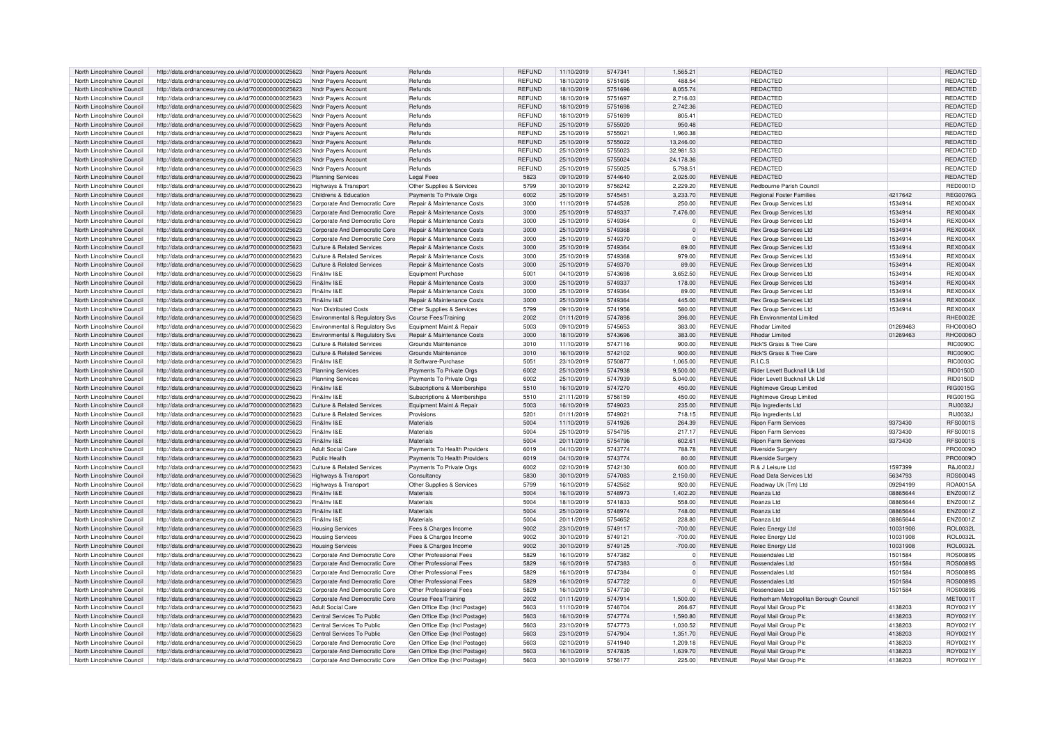| North Lincolnshire Council | http://data.ordnancesurvey.co.uk/id/7000000000025623 | Nndr Payers Account                   | Refunds                       | <b>REFUND</b> | 11/10/2019 | 5747341 | 1.565.21    |                | REDACTED                               |          | <b>REDACTED</b> |
|----------------------------|------------------------------------------------------|---------------------------------------|-------------------------------|---------------|------------|---------|-------------|----------------|----------------------------------------|----------|-----------------|
| North Lincolnshire Council | http://data.ordnancesurvey.co.uk/id/7000000000025623 | Nndr Payers Account                   | Refunds                       | REFUND        | 18/10/2019 | 5751695 | 488.54      |                | REDACTED                               |          | REDACTED        |
| North Lincolnshire Council | http://data.ordnancesurvey.co.uk/id/7000000000025623 | Nndr Payers Account                   | Refunds                       | <b>REFUND</b> | 18/10/2019 | 5751696 | 8,055.74    |                | REDACTED                               |          | REDACTED        |
|                            |                                                      |                                       |                               |               |            |         |             |                |                                        |          |                 |
| North Lincolnshire Council | http://data.ordnancesurvey.co.uk/id/7000000000025623 | Nndr Payers Account                   | Refunds                       | REFUND        | 18/10/2019 | 5751697 | 2,716.03    |                | REDACTED                               |          | REDACTED        |
| North Lincolnshire Council | http://data.ordnancesurvey.co.uk/id/7000000000025623 | Nndr Payers Account                   | Refunds                       | <b>REFUND</b> | 18/10/2019 | 5751698 | 2,742.36    |                | REDACTED                               |          | <b>REDACTED</b> |
| North Lincolnshire Council | http://data.ordnancesurvey.co.uk/id/7000000000025623 | Nndr Payers Account                   | Refunds                       | REFUND        | 18/10/2019 | 5751699 | 805.41      |                | REDACTED                               |          | REDACTED        |
| North Lincolnshire Council | http://data.ordnancesurvey.co.uk/id/7000000000025623 | Nndr Payers Account                   | Refunds                       | <b>REFUND</b> | 25/10/2019 | 5755020 | 950.48      |                | REDACTED                               |          | REDACTED        |
| North Lincolnshire Council | http://data.ordnancesurvey.co.uk/id/7000000000025623 | Nndr Payers Account                   | Refunds                       | REFUND        | 25/10/2019 | 5755021 | 1,960.38    |                | REDACTED                               |          | REDACTED        |
| North Lincolnshire Council | http://data.ordnancesurvey.co.uk/id/7000000000025623 | Nndr Payers Account                   | Refunds                       | <b>REFUND</b> | 25/10/2019 | 5755022 | 13,246.00   |                | REDACTED                               |          | REDACTED        |
| North Lincolnshire Council | http://data.ordnancesurvey.co.uk/id/7000000000025623 | Nndr Payers Account                   | Refunds                       | <b>REFUND</b> | 25/10/2019 | 5755023 | 32.981.53   |                | REDACTED                               |          | REDACTED        |
| North Lincolnshire Council | http://data.ordnancesurvey.co.uk/id/7000000000025623 | Nndr Payers Account                   | Refunds                       | <b>REFUND</b> | 25/10/2019 | 5755024 | 24,178.36   |                | REDACTED                               |          | <b>REDACTED</b> |
|                            |                                                      |                                       |                               |               |            |         |             |                |                                        |          |                 |
| North Lincolnshire Council | http://data.ordnancesurvey.co.uk/id/7000000000025623 | Nndr Payers Account                   | Refunds                       | REFUND        | 25/10/2019 | 5755025 | 5,798.51    |                | REDACTED                               |          | REDACTED        |
| North Lincolnshire Council | http://data.ordnancesurvey.co.uk/id/7000000000025623 | <b>Planning Services</b>              | <b>Legal Fees</b>             | 5823          | 09/10/2019 | 5744640 | 2,025.00    | <b>REVENUE</b> | REDACTED                               |          | REDACTED        |
| North Lincolnshire Council | http://data.ordnancesurvey.co.uk/id/7000000000025623 | <b>Highways &amp; Transport</b>       | Other Supplies & Services     | 5799          | 30/10/2019 | 5756242 | 2,229.20    | REVENUE        | Redbourne Parish Council               |          | <b>RED0001D</b> |
| North Lincolnshire Council | http://data.ordnancesurvey.co.uk/id/7000000000025623 | Childrens & Education                 | Payments To Private Orgs      | 6002          | 25/10/2019 | 5745451 | 3,233.70    | REVENUE        | Regional Foster Families               | 4217642  | <b>REG0076G</b> |
| North Lincolnshire Council | http://data.ordnancesurvey.co.uk/id/7000000000025623 | Corporate And Democratic Core         | Repair & Maintenance Costs    | 3000          | 11/10/2019 | 5744528 | 250.00      | REVENUE        | <b>Rex Group Services Ltd</b>          | 1534914  | <b>REX0004X</b> |
| North Lincolnshire Council | http://data.ordnancesurvey.co.uk/id/7000000000025623 | Corporate And Democratic Core         | Repair & Maintenance Costs    | 3000          | 25/10/2019 | 5749337 | 7.476.00    | <b>REVENUE</b> | <b>Rex Group Services Ltd</b>          | 1534914  | <b>REX0004X</b> |
| North Lincolnshire Council | http://data.ordnancesurvey.co.uk/id/7000000000025623 | Corporate And Democratic Core         | Repair & Maintenance Costs    | 3000          | 25/10/2019 | 5749364 | $\Omega$    | <b>REVENUE</b> | <b>Rex Group Services Ltd</b>          | 1534914  | <b>REX0004X</b> |
| North Lincolnshire Council | http://data.ordnancesurvey.co.uk/id/7000000000025623 | Corporate And Democratic Core         | Repair & Maintenance Costs    | 3000          | 25/10/2019 | 5749368 | $\mathbf 0$ | <b>REVENUE</b> | Rex Group Services Ltd                 | 1534914  | <b>REX0004X</b> |
| North Lincolnshire Council |                                                      |                                       |                               | 3000          |            | 5749370 |             | <b>REVENUE</b> |                                        |          | <b>REX0004X</b> |
|                            | http://data.ordnancesurvey.co.uk/id/7000000000025623 | Corporate And Democratic Core         | Repair & Maintenance Costs    |               | 25/10/2019 |         | $\Omega$    |                | Rex Group Services Ltd                 | 1534914  |                 |
| North Lincolnshire Council | http://data.ordnancesurvey.co.uk/id/7000000000025623 | <b>Culture &amp; Related Services</b> | Repair & Maintenance Costs    | 3000          | 25/10/2019 | 5749364 | 89.00       | <b>REVENUE</b> | <b>Rex Group Services Ltd</b>          | 1534914  | <b>REX0004X</b> |
| North Lincolnshire Council | http://data.ordnancesurvey.co.uk/id/7000000000025623 | Culture & Related Services            | Repair & Maintenance Costs    | 3000          | 25/10/2019 | 5749368 | 979.00      | <b>REVENUE</b> | Rex Group Services Ltd                 | 1534914  | <b>REX0004X</b> |
| North Lincolnshire Council | http://data.ordnancesurvey.co.uk/id/7000000000025623 | Culture & Related Services            | Repair & Maintenance Costs    | 3000          | 25/10/2019 | 5749370 | 89.00       | <b>REVENUE</b> | Rex Group Services Ltd                 | 1534914  | <b>REX0004X</b> |
| North Lincolnshire Council | http://data.ordnancesurvey.co.uk/id/7000000000025623 | Fin&Inv I&F                           | Equipment Purchase            | 5001          | 04/10/2019 | 5743698 | 3,652.50    | REVENUE        | Rex Group Services Ltd                 | 1534914  | <b>REX0004X</b> |
| North Lincolnshire Council | http://data.ordnancesurvey.co.uk/id/7000000000025623 | Fin&Inv I&E                           | Repair & Maintenance Costs    | 3000          | 25/10/2019 | 5749337 | 178.00      | <b>REVENUE</b> | <b>Rex Group Services Ltd</b>          | 1534914  | <b>REX0004X</b> |
| North Lincolnshire Council | http://data.ordnancesurvey.co.uk/id/7000000000025623 | Fin&Inv I&F                           | Repair & Maintenance Costs    | 3000          | 25/10/2019 | 5749364 | 89.00       | <b>REVENUE</b> | Rex Group Services Ltd                 | 1534914  | <b>REX0004X</b> |
| North Lincolnshire Council | http://data.ordnancesurvey.co.uk/id/7000000000025623 | Fin&Inv I&E                           | Repair & Maintenance Costs    | 3000          | 25/10/2019 | 5749364 | 445.00      | <b>REVENUE</b> | <b>Rex Group Services Ltd</b>          | 1534914  | <b>REX0004X</b> |
|                            |                                                      |                                       |                               |               |            |         |             |                |                                        |          |                 |
| North Lincolnshire Council | http://data.ordnancesurvey.co.uk/id/7000000000025623 | Non Distributed Costs                 | Other Supplies & Services     | 5799          | 09/10/2019 | 5741956 | 580.00      | <b>REVENUE</b> | <b>Rex Group Services Ltd</b>          | 1534914  | <b>REX0004X</b> |
| North Lincolnshire Council | http://data.ordnancesurvey.co.uk/id/7000000000025623 | Environmental & Regulatory Svs        | Course Fees/Training          | 2002          | 01/11/2019 | 5747898 | 396.00      | <b>REVENUE</b> | <b>Rh Environmental Limited</b>        |          | <b>RHE0002E</b> |
| North Lincolnshire Council | http://data.ordnancesurvey.co.uk/id/7000000000025623 | Environmental & Regulatory Svs        | Equipment Maint.& Repair      | 5003          | 09/10/2019 | 5745653 | 383.00      | <b>REVENUE</b> | Rhodar Limited                         | 01269463 | BHO0006C        |
| North Lincolnshire Council | http://data.ordnancesurvey.co.uk/id/7000000000025623 | Environmental & Regulatory Svs        | Repair & Maintenance Costs    | 3000          | 18/10/2019 | 5743696 | 383.00      | <b>REVENUE</b> | Rhodar Limited                         | 01269463 | <b>RHO0006C</b> |
| North Lincolnshire Council | http://data.ordnancesurvey.co.uk/id/7000000000025623 | Culture & Related Services            | Grounds Maintenance           | 3010          | 11/10/2019 | 5747116 | 900.00      | <b>REVENUE</b> | Rick'S Grass & Tree Care               |          | <b>RIC0090C</b> |
| North Lincolnshire Council | http://data.ordnancesurvey.co.uk/id/7000000000025623 | Culture & Related Services            | Grounds Maintenance           | 3010          | 16/10/2019 | 5742102 | 900.00      | <b>REVENUE</b> | <b>Rick'S Grass &amp; Tree Care</b>    |          | <b>RIC0090C</b> |
| North Lincolnshire Council | http://data.ordnancesurvey.co.uk/id/7000000000025623 | Fin&Inv I&F                           | It Software-Purchase          | 5051          | 23/10/2019 | 575087  | 1,065.00    | <b>REVENUE</b> | <b>R.LC.S</b>                          |          | <b>RIC0003C</b> |
| North Lincolnshire Council | http://data.ordnancesurvey.co.uk/id/7000000000025623 | <b>Planning Services</b>              | Payments To Private Orgs      | 6002          | 25/10/2019 | 5747938 | 9.500.00    | <b>REVENUE</b> | Rider Levett Bucknall Uk Ltd           |          | <b>RID0150D</b> |
|                            |                                                      |                                       |                               |               |            |         |             |                |                                        |          |                 |
| North Lincolnshire Council | http://data.ordnancesurvey.co.uk/id/7000000000025623 | <b>Planning Services</b>              | Payments To Private Orgs      | 6002          | 25/10/2019 | 5747939 | 5,040.00    | <b>REVENUE</b> | Rider Levett Bucknall Uk Ltd           |          | <b>RID0150D</b> |
| North Lincolnshire Council | http://data.ordnancesurvey.co.uk/id/7000000000025623 | Fin&Inv I&E                           | Subscriptions & Memberships   | 5510          | 16/10/2019 | 5747270 | 450.00      | <b>REVENUE</b> | Rightmove Group Limited                |          | RIG0015G        |
| North Lincolnshire Council | http://data.ordnancesurvey.co.uk/id/7000000000025623 | Fin&Inv I&E                           | Subscriptions & Memberships   | 5510          | 21/11/2019 | 5756159 | 450.00      | <b>REVENUE</b> | Rightmove Group Limited                |          | RIG0015G        |
| North Lincolnshire Council | http://data.ordnancesurvey.co.uk/id/7000000000025623 | Culture & Related Services            | Equipment Maint.& Repair      | 5003          | 16/10/2019 | 5749023 | 235.00      | <b>REVENUE</b> | Rijo Ingredients Ltd                   |          | RIJ0032J        |
| North Lincolnshire Council | http://data.ordnancesurvey.co.uk/id/7000000000025623 | Culture & Related Services            | Provisions                    | 5201          | 01/11/2019 | 5749021 | 718.15      | <b>REVENUE</b> | Rijo Ingredients Ltd                   |          | RIJ0032J        |
| North Lincolnshire Council | http://data.ordnancesurvey.co.uk/id/7000000000025623 | Fin&Inv I&E                           | Materials                     | 5004          | 11/10/2019 | 5741926 | 264.39      | <b>REVENUE</b> | <b>Ripon Farm Services</b>             | 9373430  | <b>RFS0001S</b> |
| North Lincolnshire Council | http://data.ordnancesurvey.co.uk/id/7000000000025623 | Fin&Inv I&E                           | Materials                     | 5004          | 25/10/2019 | 5754795 | 217.17      | <b>REVENUE</b> | <b>Ripon Farm Services</b>             | 9373430  | <b>RFS0001S</b> |
|                            |                                                      | Fin&Inv I&F                           | Materials                     | 5004          |            |         |             |                |                                        |          |                 |
| North Lincolnshire Council | http://data.ordnancesurvey.co.uk/id/7000000000025623 |                                       |                               |               | 20/11/2019 | 5754796 | 602.61      | <b>REVENUE</b> | <b>Ripon Farm Services</b>             | 9373430  | <b>RFS0001S</b> |
| North Lincolnshire Council | http://data.ordnancesurvey.co.uk/id/7000000000025623 | <b>Adult Social Care</b>              | Payments To Health Providers  | 6019          | 04/10/2019 | 5743774 | 788.78      | REVENUE        | Riverside Surgery                      |          | PRO0009O        |
| North Lincolnshire Council | http://data.ordnancesurvey.co.uk/id/7000000000025623 | Public Health                         | Payments To Health Providers  | 6019          | 04/10/2019 | 5743774 | 80.00       | <b>REVENUE</b> | Riverside Surgery                      |          | PRO0009O        |
| North Lincolnshire Council | http://data.ordnancesurvey.co.uk/id/7000000000025623 | <b>Culture &amp; Related Services</b> | Payments To Private Orgs      | 6002          | 02/10/2019 | 5742130 | 600.00      | REVENUE        | R & J Leisure Ltd                      | 1597399  | R&J0002J        |
| North Lincolnshire Council | http://data.ordnancesurvey.co.uk/id/7000000000025623 | Highways & Transport                  | Consultancy                   | 5830          | 30/10/2019 | 5747083 | 2.150.00    | <b>REVENUE</b> | Road Data Services Ltd                 | 5634793  | <b>RDS0004S</b> |
| North Lincolnshire Council | http://data.ordnancesurvey.co.uk/id/7000000000025623 | Highways & Transport                  | Other Supplies & Services     | 5799          | 16/10/2019 | 5742562 | 920.00      | <b>REVENUE</b> | Roadway Uk (Tm) Ltd                    | 09294199 | ROA0015A        |
| North Lincolnshire Council | http://data.ordnancesurvey.co.uk/id/7000000000025623 | Fin&Inv I&E                           | Materials                     | 5004          | 16/10/2019 | 5748973 | 1,402.20    | <b>REVENUE</b> | Roanza Ltd                             | 08865644 | ENZ0001Z        |
| North Lincolnshire Council | http://data.ordnancesurvey.co.uk/id/7000000000025623 | Fin&Inv I&E                           | Materials                     | 5004          | 18/10/2019 | 5741833 | 558.00      | <b>REVENUE</b> | Roanza Ltd                             | 08865644 | ENZ0001Z        |
|                            |                                                      |                                       |                               |               |            |         | 748.00      |                |                                        | 08865644 |                 |
| North Lincolnshire Council | http://data.ordnancesurvey.co.uk/id/7000000000025623 | Fin&Inv I&E                           | Materials                     | 5004          | 25/10/2019 | 5748974 |             | <b>REVENUE</b> | Roanza Ltd                             |          | ENZ0001Z        |
| North Lincolnshire Council | http://data.ordnancesurvey.co.uk/id/7000000000025623 | Fin&Inv I&E                           | Materials                     | 5004          | 20/11/2019 | 5754652 | 228.80      | REVENUE        | Roanza Ltd                             | 08865644 | ENZ0001Z        |
| North Lincolnshire Council | http://data.ordnancesurvey.co.uk/id/7000000000025623 | <b>Housing Services</b>               | Fees & Charges Income         | 9002          | 23/10/2019 | 5749117 | $-700.00$   | <b>REVENUE</b> | Rolec Energy Ltd                       | 10031908 | <b>ROL0032L</b> |
| North Lincolnshire Council | http://data.ordnancesurvey.co.uk/id/7000000000025623 | <b>Housing Services</b>               | Fees & Charges Income         | 9002          | 30/10/2019 | 574912  | $-700.00$   | <b>REVENUE</b> | Rolec Energy Ltd                       | 10031908 | <b>ROL0032L</b> |
| North Lincolnshire Council | http://data.ordnancesurvey.co.uk/id/7000000000025623 | <b>Housing Services</b>               | Fees & Charges Income         | 9002          | 30/10/2019 | 5749125 | $-700.00$   | <b>REVENUE</b> | Rolec Energy Ltd                       | 10031908 | <b>ROL0032L</b> |
| North Lincolnshire Council | http://data.ordnancesurvey.co.uk/id/7000000000025623 | Corporate And Democratic Core         | Other Professional Fees       | 5829          | 16/10/2019 | 5747382 | $\mathbf 0$ | REVENUE        | Rossendales Ltd                        | 1501584  | <b>ROS0089S</b> |
| North Lincolnshire Council | http://data.ordnancesurvey.co.uk/id/7000000000025623 | Corporate And Democratic Core         | Other Professional Fees       | 5829          | 16/10/2019 | 5747383 | $\Omega$    | <b>REVENUE</b> | Rossendales Ltd                        | 1501584  | <b>ROS0089S</b> |
| North Lincolnshire Council | http://data.ordnancesurvey.co.uk/id/7000000000025623 | Corporate And Democratic Core         | Other Professional Fees       | 5829          | 16/10/2019 | 5747384 | $\Omega$    | <b>REVENUE</b> | Rossendales Ltd                        | 1501584  | ROS0089S        |
| North Lincolnshire Council | http://data.ordnancesurvey.co.uk/id/7000000000025623 | Corporate And Democratic Core         | Other Professional Fees       | 5829          | 16/10/2019 | 5747722 | $\mathbf 0$ | <b>REVENUE</b> | Rossendales Ltd                        | 1501584  | <b>ROS0089S</b> |
|                            |                                                      |                                       |                               |               |            |         |             |                |                                        |          |                 |
| North Lincolnshire Council | http://data.ordnancesurvey.co.uk/id/7000000000025623 | Corporate And Democratic Core         | Other Professional Fees       | 5829          | 16/10/2019 | 5747730 | $\Omega$    | <b>REVENUE</b> | Rossendales Ltd                        | 1501584  | <b>ROS0089S</b> |
| North Lincolnshire Council | http://data.ordnancesurvey.co.uk/id/7000000000025623 | Corporate And Democratic Core         | Course Fees/Training          | 2002          | 01/11/2019 | 5747914 | 1,500.00    | <b>REVENUE</b> | Rotherham Metropolitan Borough Council |          | <b>MET0001T</b> |
| North Lincolnshire Council | http://data.ordnancesurvey.co.uk/id/7000000000025623 | Adult Social Care                     | Gen Office Exp (Incl Postage) | 5603          | 11/10/2019 | 5746704 | 266.67      | <b>REVENUE</b> | Royal Mail Group Plc                   | 4138203  | ROY0021Y        |
| North Lincolnshire Council | http://data.ordnancesurvey.co.uk/id/7000000000025623 | Central Services To Public            | Gen Office Exp (Incl Postage  | 5603          | 16/10/2019 | 5747774 | 1,590.80    | <b>REVENUE</b> | Royal Mail Group Plc                   | 4138203  | ROY0021Y        |
| North Lincolnshire Council | http://data.ordnancesurvey.co.uk/id/7000000000025623 | Central Services To Public            | Gen Office Exp (Incl Postage  | 5603          | 23/10/2019 | 5747773 | 1,030.52    | <b>REVENUE</b> | Royal Mail Group Plo                   | 4138203  | ROY0021Y        |
| North Lincolnshire Council | http://data.ordnancesurvey.co.uk/id/7000000000025623 | Central Services To Public            | Gen Office Exp (Incl Postage) | 5603          | 23/10/2019 | 5747904 | 1,351.70    | <b>REVENUE</b> | Royal Mail Group Plc                   | 4138203  | ROY0021Y        |
| North Lincolnshire Council | http://data.ordnancesurvey.co.uk/id/7000000000025623 | Corporate And Democratic Core         | Gen Office Exp (Incl Postage) | 5603          | 02/10/2019 | 5741940 | 1,209.18    | REVENUE        | Royal Mail Group Plo                   | 4138203  | ROY0021Y        |
| North Lincolnshire Council | http://data.ordnancesurvey.co.uk/id/7000000000025623 | Corporate And Democratic Core         | Gen Office Exp (Incl Postage) | 5603          | 16/10/2019 | 5747835 | 1,639.70    | <b>REVENUE</b> | Royal Mail Group Plc                   | 4138203  | ROY0021Y        |
|                            |                                                      |                                       |                               |               |            |         |             |                |                                        |          |                 |
| North Lincolnshire Council | http://data.ordnancesurvey.co.uk/id/7000000000025623 | Corporate And Democratic Core         | Gen Office Exp (Incl Postage  | 5603          | 30/10/2019 | 5756177 | 225.00      | REVENUE        | Royal Mail Group Plo                   | 4138203  | ROY0021Y        |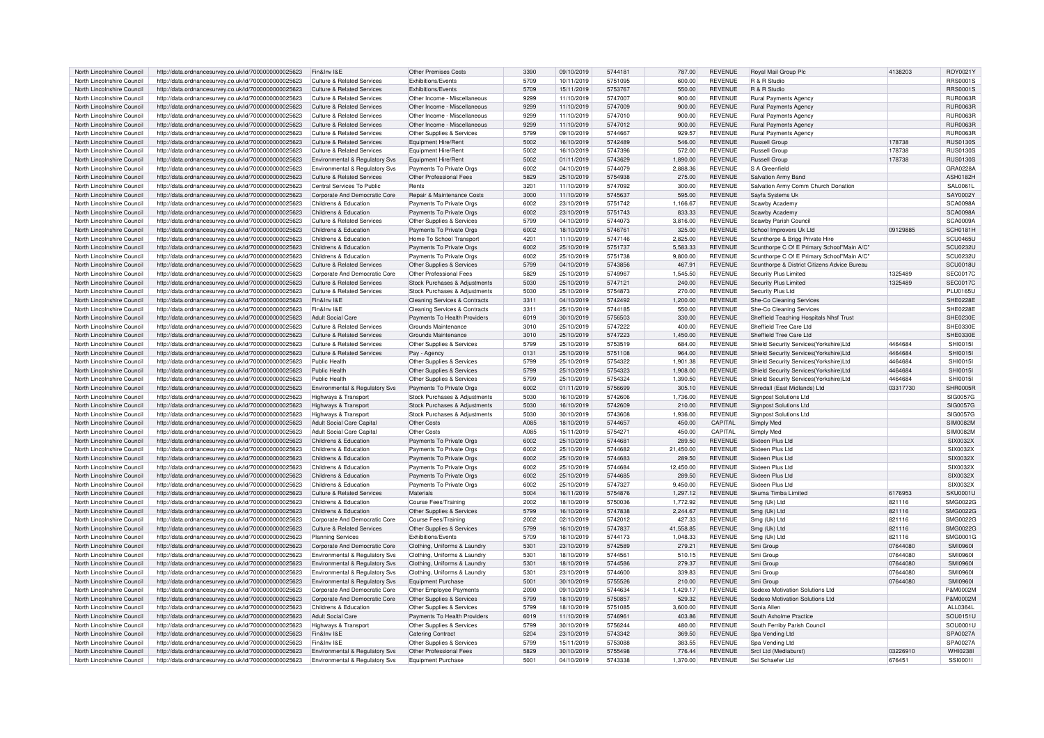| North Lincolnshire Council | http://data.ordnancesurvey.co.uk/id/7000000000025623 | Fin&Inv I&E                           | <b>Other Premises Costs</b>   | 3390 | 09/10/2019 | 5744181 | 787.00    | <b>REVENUE</b> | Royal Mail Group Plo                         | 4138203  | ROY0021Y        |
|----------------------------|------------------------------------------------------|---------------------------------------|-------------------------------|------|------------|---------|-----------|----------------|----------------------------------------------|----------|-----------------|
| North Lincolnshire Counci  | http://data.ordnancesurvey.co.uk/id/7000000000025623 | Culture & Related Services            | <b>Exhibitions/Events</b>     | 5709 | 10/11/2019 | 5751095 | 600.00    | <b>REVENUE</b> | R & R Studio                                 |          | <b>RRS0001S</b> |
| North Lincolnshire Council | http://data.ordnancesurvey.co.uk/id/7000000000025623 | Culture & Related Services            | Exhibitions/Events            | 5709 | 15/11/2019 | 5753767 | 550.00    | <b>REVENUE</b> | R & R Studio                                 |          | <b>RRS0001S</b> |
|                            |                                                      |                                       |                               |      |            |         |           |                |                                              |          |                 |
| North Lincolnshire Council | http://data.ordnancesurvey.co.uk/id/7000000000025623 | <b>Culture &amp; Related Services</b> | Other Income - Miscellaneous  | 9299 | 11/10/2019 | 5747007 | 900.00    | <b>REVENUE</b> | Rural Payments Agency                        |          | <b>RUR0063F</b> |
| North Lincolnshire Council | http://data.ordnancesurvey.co.uk/id/7000000000025623 | Culture & Related Services            | Other Income - Miscellaneous  | 9299 | 11/10/2019 | 5747009 | 900.00    | <b>REVENUE</b> | Rural Payments Agency                        |          | <b>RUR0063R</b> |
| North Lincolnshire Council | http://data.ordnancesurvey.co.uk/id/7000000000025623 | Culture & Related Services            | Other Income - Miscellaneous  | 9299 | 11/10/2019 | 5747010 | 900.00    | <b>REVENUE</b> | Rural Payments Agency                        |          | <b>RUR0063F</b> |
| North Lincolnshire Council | http://data.ordnancesurvey.co.uk/id/7000000000025623 | Culture & Related Services            | Other Income - Miscellaneous  | 9299 | 11/10/2019 | 5747012 | 900.00    | <b>REVENUE</b> | <b>Rural Payments Agency</b>                 |          | <b>RUR0063F</b> |
| North Lincolnshire Council | http://data.ordnancesurvey.co.uk/id/7000000000025623 | Culture & Related Services            | Other Supplies & Services     | 5799 | 09/10/2019 | 5744667 | 929.57    | <b>REVENUE</b> | Rural Payments Agency                        |          | <b>RUR0063R</b> |
| North Lincolnshire Council | http://data.ordnancesurvey.co.uk/id/7000000000025623 | <b>Culture &amp; Related Services</b> | Equipment Hire/Rent           | 5002 | 16/10/2019 | 5742489 | 546.00    | <b>REVENUE</b> | Russell Group                                | 178738   | <b>RUS0130S</b> |
|                            |                                                      |                                       |                               |      |            |         |           |                |                                              |          |                 |
| North Lincolnshire Council | http://data.ordnancesurvey.co.uk/id/7000000000025623 | <b>Culture &amp; Related Services</b> | Equipment Hire/Rent           | 5002 | 16/10/2019 | 5747396 | 572.00    | <b>REVENUE</b> | Russell Group                                | 178738   | <b>RUS0130S</b> |
| North Lincolnshire Counci  | http://data.ordnancesurvey.co.uk/id/7000000000025623 | Environmental & Regulatory Svs        | Equipment Hire/Rent           | 5002 | 01/11/2019 | 5743629 | 1,890.00  | <b>REVENUE</b> | Russell Group                                | 178738   | <b>RUS0130S</b> |
| North Lincolnshire Council | http://data.ordnancesurvey.co.uk/id/7000000000025623 | Environmental & Regulatory Svs        | Payments To Private Orgs      | 6002 | 04/10/2019 | 5744079 | 2,888.36  | <b>REVENUE</b> | S A Greenfield                               |          | GRA0228A        |
| North Lincolnshire Counci  | http://data.ordnancesurvey.co.uk/id/7000000000025623 | Culture & Related Services            | Other Professional Fees       | 5829 | 25/10/2019 | 5754938 | 275.00    | <b>REVENUE</b> | Salvation Army Band                          |          | <b>ASH0182H</b> |
| North Lincolnshire Council | http://data.ordnancesurvey.co.uk/id/7000000000025623 | Central Services To Public            | Rents                         | 3201 | 11/10/2019 | 5747092 | 300.00    | <b>REVENUE</b> | Salvation Army Comm Church Donation          |          | SAL0061         |
| North Lincolnshire Council | http://data.ordnancesurvey.co.uk/id/7000000000025623 | Corporate And Democratic Core         | Repair & Maintenance Costs    | 3000 | 11/10/2019 | 5745637 | 595.00    | <b>REVENUE</b> | Sayfa Systems Uk                             |          | <b>SAY0002Y</b> |
|                            |                                                      |                                       |                               |      |            |         |           |                |                                              |          |                 |
| North Lincolnshire Council | http://data.ordnancesurvey.co.uk/id/7000000000025623 | Childrens & Education                 | Payments To Private Orgs      | 6002 | 23/10/2019 | 5751742 | 1,166.67  | <b>REVENUE</b> | Scawby Academy                               |          | <b>SCA0098A</b> |
| North Lincolnshire Council | http://data.ordnancesurvey.co.uk/id/7000000000025623 | Childrens & Education                 | Payments To Private Orgs      | 6002 | 23/10/2019 | 5751743 | 833.33    | <b>REVENUE</b> | Scawby Academy                               |          | SCA0098A        |
| North Lincolnshire Council | http://data.ordnancesurvey.co.uk/id/7000000000025623 | Culture & Related Services            | Other Supplies & Services     | 5799 | 04/10/2019 | 5744073 | 3,816.00  | <b>REVENUE</b> | Scawby Parish Council                        |          | <b>SCA0009A</b> |
| North Lincolnshire Council | http://data.ordnancesurvey.co.uk/id/7000000000025623 | Childrens & Education                 | Payments To Private Orgs      | 6002 | 18/10/2019 | 5746761 | 325.00    | <b>REVENUE</b> | School Improvers Uk Ltd                      | 09129885 | <b>SCH0181H</b> |
| North Lincolnshire Council | http://data.ordnancesurvey.co.uk/id/7000000000025623 | Childrens & Education                 | Home To School Transport      | 4201 | 11/10/2019 | 5747146 | 2.825.00  | <b>REVENUE</b> | Scunthorpe & Brigg Private Hire              |          | SCU0465L        |
| North Lincolnshire Counci  | http://data.ordnancesurvey.co.uk/id/7000000000025623 | Childrens & Education                 | Payments To Private Orgs      | 6002 | 25/10/2019 | 5751737 | 5,583.33  | <b>REVENUE</b> | Scunthorpe C Of E Primary School"Main A/C"   |          | <b>SCU0232L</b> |
| North Lincolnshire Counci  | http://data.ordnancesurvey.co.uk/id/7000000000025623 | Childrens & Education                 | Payments To Private Orgs      | 6002 | 25/10/2019 | 5751738 | 9,800.00  | <b>REVENUE</b> | Scunthorpe C Of E Primary School"Main A/C'   |          | SCU0232L        |
|                            |                                                      |                                       |                               |      |            |         |           |                |                                              |          |                 |
| North Lincolnshire Council | http://data.ordnancesurvey.co.uk/id/7000000000025623 | Culture & Related Services            | Other Supplies & Services     | 5799 | 04/10/2019 | 5743856 | 467.91    | <b>REVENUE</b> | Scunthorpe & District Citizens Advice Bureau |          | <b>SCU0018U</b> |
| North Lincolnshire Council | http://data.ordnancesurvey.co.uk/id/7000000000025623 | Corporate And Democratic Core         | Other Professional Fees       | 5829 | 25/10/2019 | 5749967 | 1,545.50  | <b>REVENUE</b> | Security Plus Limited                        | 1325489  | <b>SEC0017C</b> |
| North Lincolnshire Council | http://data.ordnancesurvey.co.uk/id/7000000000025623 | <b>Culture &amp; Related Services</b> | Stock Purchases & Adjustments | 5030 | 25/10/2019 | 5747121 | 240.00    | <b>REVENUE</b> | Security Plus Limited                        | 1325489  | <b>SEC0017C</b> |
| North Lincolnshire Council | http://data.ordnancesurvey.co.uk/id/7000000000025623 | Culture & Related Services            | Stock Purchases & Adjustments | 5030 | 25/10/2019 | 5754873 | 270.00    | <b>REVENUE</b> | Security Plus Ltd                            |          | <b>PLU0165U</b> |
| North Lincolnshire Council | http://data.ordnancesurvey.co.uk/id/7000000000025623 | Fin&Inv I&E                           | Cleaning Services & Contracts | 3311 | 04/10/2019 | 5742492 | 1,200.00  | <b>REVENUE</b> | She-Co Cleaning Services                     |          | <b>SHE0228E</b> |
| North Lincolnshire Council | http://data.ordnancesurvey.co.uk/id/7000000000025623 | Fin&Inv I&E                           | Cleaning Services & Contracts | 3311 | 25/10/2019 | 5744185 | 550.00    | <b>REVENUE</b> | She-Co Cleaning Services                     |          | SHE0228E        |
| North Lincolnshire Council | http://data.ordnancesurvey.co.uk/id/7000000000025623 | <b>Adult Social Care</b>              | Payments To Health Providers  | 6019 | 30/10/2019 | 5756503 | 330.00    | <b>REVENUE</b> | Sheffield Teaching Hospitals Nhsf Trust      |          | <b>SHE0230E</b> |
|                            |                                                      |                                       |                               |      |            |         |           |                |                                              |          |                 |
| North Lincolnshire Council | http://data.ordnancesurvey.co.uk/id/7000000000025623 | Culture & Related Services            | Grounds Maintenance           | 3010 | 25/10/2019 | 5747222 | 400.00    | <b>REVENUE</b> | Sheffield Tree Care Ltd                      |          | SHE0330E        |
| North Lincolnshire Council | http://data.ordnancesurvey.co.uk/id/7000000000025623 | Culture & Related Services            | Grounds Maintenance           | 3010 | 25/10/2019 | 5747223 | 1,450.00  | <b>REVENUE</b> | Sheffield Tree Care Ltd                      |          | SHE0330E        |
| North Lincolnshire Counci  | http://data.ordnancesurvey.co.uk/id/7000000000025623 | Culture & Related Services            | Other Supplies & Services     | 5799 | 25/10/2019 | 5753519 | 684.00    | <b>REVENUE</b> | Shield Security Services(Yorkshire)Ltd       | 4464684  | <b>SHI0015I</b> |
| North Lincolnshire Counci  | http://data.ordnancesurvey.co.uk/id/7000000000025623 | Culture & Related Services            | Pay - Agency                  | 0131 | 25/10/2019 | 5751108 | 964.00    | <b>REVENUE</b> | Shield Security Services(Yorkshire)Ltd       | 4464684  | <b>SHI0015I</b> |
| North Lincolnshire Council | http://data.ordnancesurvey.co.uk/id/7000000000025623 | Public Health                         | Other Supplies & Services     | 5799 | 25/10/2019 | 5754322 | 1,901.38  | <b>REVENUE</b> | Shield Security Services (Yorkshire) Ltd     | 4464684  | SHI0015I        |
| North Lincolnshire Council | http://data.ordnancesurvey.co.uk/id/7000000000025623 | Public Health                         | Other Supplies & Services     | 5799 | 25/10/2019 | 5754323 | 1,908.00  | <b>REVENUE</b> | Shield Security Services(Yorkshire)Ltd       | 4464684  | SHI0015I        |
| North Lincolnshire Council | http://data.ordnancesurvey.co.uk/id/7000000000025623 | Public Health                         | Other Supplies & Services     | 5799 | 25/10/2019 | 5754324 | 1.390.50  | <b>REVENUE</b> | Shield Security Services(Yorkshire)Ltd       | 4464684  | <b>SHI0015I</b> |
|                            |                                                      |                                       |                               |      |            |         |           |                |                                              |          |                 |
| North Lincolnshire Council | http://data.ordnancesurvey.co.uk/id/7000000000025623 | Environmental & Regulatory Svs        | Payments To Private Orgs      | 6002 | 01/11/2019 | 5756699 | 305.10    | <b>REVENUE</b> | Shredall (East Midlands) Ltd                 | 03317730 | <b>SHR0005F</b> |
| North Lincolnshire Council | http://data.ordnancesurvey.co.uk/id/7000000000025623 | <b>Highways &amp; Transport</b>       | Stock Purchases & Adjustments | 5030 | 16/10/2019 | 5742606 | 1.736.00  | <b>REVENUE</b> | Signpost Solutions Ltd                       |          | SIG0057G        |
| North Lincolnshire Council | http://data.ordnancesurvey.co.uk/id/7000000000025623 | Highways & Transport                  | Stock Purchases & Adjustments | 5030 | 16/10/2019 | 5742609 | 210.00    | <b>REVENUE</b> | Signpost Solutions Ltd                       |          | SIG0057G        |
| North Lincolnshire Council | http://data.ordnancesurvey.co.uk/id/7000000000025623 | Highways & Transport                  | Stock Purchases & Adjustments | 5030 | 30/10/2019 | 5743608 | 1,936.00  | <b>REVENUE</b> | Signpost Solutions Ltd                       |          | SIG0057G        |
| North Lincolnshire Council | http://data.ordnancesurvey.co.uk/id/7000000000025623 | Adult Social Care Capital             | Other Costs                   | A085 | 18/10/2019 | 5744657 | 450.00    | CAPITAL        | Simply Med                                   |          | <b>SIM0082M</b> |
| North Lincolnshire Counci  | http://data.ordnancesurvey.co.uk/id/7000000000025623 | <b>Adult Social Care Capital</b>      | Other Costs                   | A085 | 15/11/2019 | 575427  | 450.00    | CAPITAL        | Simply Med                                   |          | <b>SIM0082M</b> |
| North Lincolnshire Council | http://data.ordnancesurvey.co.uk/id/7000000000025623 | Childrens & Education                 | Payments To Private Orgs      | 6002 | 25/10/2019 | 5744681 | 289.50    | <b>REVENUE</b> | Sixteen Plus Ltd                             |          | SIX0032X        |
| North Lincolnshire Council |                                                      | Childrens & Education                 |                               | 6002 |            | 5744682 | 21,450.00 | <b>REVENUE</b> | Sixteen Plus Ltd                             |          | SIX0032X        |
|                            | http://data.ordnancesurvey.co.uk/id/7000000000025623 |                                       | Payments To Private Orgs      |      | 25/10/2019 |         |           |                |                                              |          |                 |
| North Lincolnshire Council | http://data.ordnancesurvey.co.uk/id/7000000000025623 | Childrens & Education                 | Payments To Private Orgs      | 6002 | 25/10/2019 | 5744683 | 289.50    | <b>REVENUE</b> | Sixteen Plus Ltd                             |          | SIX0032X        |
| North Lincolnshire Council | http://data.ordnancesurvey.co.uk/id/7000000000025623 | Childrens & Education                 | Payments To Private Orgs      | 6002 | 25/10/2019 | 5744684 | 12.450.00 | <b>REVENUE</b> | Sixteen Plus Ltd                             |          | SIX0032X        |
| North Lincolnshire Council | http://data.ordnancesurvey.co.uk/id/7000000000025623 | Childrens & Education                 | Payments To Private Orgs      | 6002 | 25/10/2019 | 5744685 | 289.50    | <b>REVENUE</b> | Sixteen Plus Ltd                             |          | SIX0032X        |
| North Lincolnshire Council | http://data.ordnancesurvey.co.uk/id/7000000000025623 | Childrens & Education                 | Payments To Private Orgs      | 6002 | 25/10/2019 | 5747327 | 9.450.00  | <b>REVENUE</b> | Sixteen Plus Ltd                             |          | SIX0032X        |
| North Lincolnshire Council | http://data.ordnancesurvey.co.uk/id/7000000000025623 | Culture & Related Services            | Materials                     | 5004 | 16/11/2019 | 5754876 | 1,297.12  | <b>REVENUE</b> | Skuma Timba Limited                          | 6176953  | <b>SKU0001L</b> |
| North Lincolnshire Council | http://data.ordnancesurvey.co.uk/id/7000000000025623 | Childrens & Education                 | Course Fees/Training          | 2002 | 18/10/2019 | 5750036 | 1,772.92  | <b>REVENUE</b> | Smg (Uk) Ltd                                 | 821116   | SMG0022G        |
|                            |                                                      | Childrens & Education                 |                               | 5799 |            | 5747838 |           | <b>REVENUE</b> |                                              | 821116   | SMG0022G        |
| North Lincolnshire Council | http://data.ordnancesurvey.co.uk/id/7000000000025623 |                                       | Other Supplies & Services     |      | 16/10/2019 |         | 2,244.67  |                | Smg (Uk) Ltd                                 |          |                 |
| North Lincolnshire Council | http://data.ordnancesurvey.co.uk/id/7000000000025623 | Corporate And Democratic Core         | Course Fees/Training          | 2002 | 02/10/2019 | 5742012 | 427.33    | <b>REVENUE</b> | Smg (Uk) Ltd                                 | 821116   | SMG00220        |
| North Lincolnshire Council | http://data.ordnancesurvey.co.uk/id/7000000000025623 | Culture & Related Services            | Other Supplies & Services     | 5799 | 16/10/2019 | 5747837 | 41.558.85 | <b>REVENUE</b> | Smg (Uk) Ltd                                 | 821116   | SMG0022G        |
| North Lincolnshire Council | http://data.ordnancesurvey.co.uk/id/7000000000025623 | <b>Planning Services</b>              | <b>Exhibitions/Events</b>     | 5709 | 18/10/2019 | 5744173 | 1,048.33  | <b>REVENUE</b> | Smg (Uk) Ltd                                 | 821116   | SMG0001G        |
| North Lincolnshire Council | http://data.ordnancesurvey.co.uk/id/7000000000025623 | Corporate And Democratic Core         | Clothing, Uniforms & Laundry  | 5301 | 23/10/2019 | 5742589 | 279.21    | <b>REVENUE</b> | Smi Group                                    | 07644080 | SMI0960         |
| North Lincolnshire Council | http://data.ordnancesurvey.co.uk/id/7000000000025623 | Environmental & Regulatory Svs        | Clothing, Uniforms & Laundry  | 5301 | 18/10/2019 | 574456  | 510.15    | <b>REVENUE</b> | Smi Group                                    | 07644080 | <b>SMI09601</b> |
| North Lincolnshire Council | http://data.ordnancesurvey.co.uk/id/7000000000025623 | Environmental & Regulatory Svs        | Clothing, Uniforms & Laundry  | 5301 | 18/10/2019 | 5744586 | 279.37    | <b>REVENUE</b> | Smi Group                                    | 07644080 | <b>SMI09601</b> |
| North Lincolnshire Council | http://data.ordnancesurvey.co.uk/id/7000000000025623 | Environmental & Regulatory Svs        | Clothing, Uniforms & Laundry  | 5301 | 23/10/2019 | 5744600 | 339.83    | <b>REVENUE</b> | Smi Group                                    | 07644080 | <b>SMI09601</b> |
|                            |                                                      |                                       |                               |      |            |         |           |                |                                              |          |                 |
| North Lincolnshire Council | http://data.ordnancesurvey.co.uk/id/7000000000025623 | Environmental & Regulatory Svs        | Equipment Purchase            | 5001 | 30/10/2019 | 5755526 | 210.00    | <b>REVENUE</b> | Smi Group                                    | 07644080 | <b>SMI09601</b> |
| North Lincolnshire Council | http://data.ordnancesurvey.co.uk/id/7000000000025623 | Corporate And Democratic Core         | Other Employee Payments       | 2090 | 09/10/2019 | 5744634 | 1,429.17  | <b>REVENUE</b> | Sodexo Motivation Solutions Ltd              |          | P&M0002M        |
| North Lincolnshire Counci  | http://data.ordnancesurvey.co.uk/id/7000000000025623 | Corporate And Democratic Core         | Other Supplies & Services     | 5799 | 18/10/2019 | 5750857 | 529.32    | <b>REVENUE</b> | Sodexo Motivation Solutions Ltd              |          | P&M0002M        |
| North Lincolnshire Council | http://data.ordnancesurvey.co.uk/id/7000000000025623 | Childrens & Education                 | Other Supplies & Services     | 5799 | 18/10/2019 | 5751085 | 3,600.00  | <b>REVENUE</b> | Sonia Allen                                  |          | ALL0364L        |
| North Lincolnshire Council | http://data.ordnancesurvey.co.uk/id/7000000000025623 | <b>Adult Social Care</b>              | Payments To Health Providers  | 6019 | 11/10/2019 | 5746961 | 403.86    | <b>REVENUE</b> | South Axholme Practice                       |          | SOU0151L        |
| North Lincolnshire Council | http://data.ordnancesurvey.co.uk/id/7000000000025623 | Highways & Transport                  | Other Supplies & Services     | 5799 | 30/10/2019 | 5756244 | 480.00    | <b>REVENUE</b> | South Ferriby Parish Council                 |          | SOU0001L        |
| North Lincolnshire Counci  | http://data.ordnancesurvey.co.uk/id/7000000000025623 | Fin&Inv I&F                           | <b>Catering Contract</b>      | 5204 | 23/10/2019 | 5743342 | 369.50    | <b>REVENUE</b> | Spa Vending Ltd                              |          | SPA0027A        |
| North Lincolnshire Council |                                                      | Fin&Inv I&F                           |                               | 5799 | 15/11/2019 | 5753088 | 383.55    | <b>REVENUE</b> |                                              |          | SPA0027A        |
|                            | http://data.ordnancesurvey.co.uk/id/7000000000025623 |                                       | Other Supplies & Services     |      |            |         |           |                | Spa Vending Ltd                              |          |                 |
| North Lincolnshire Council | http://data.ordnancesurvey.co.uk/id/7000000000025623 | Environmental & Regulatory Svs        | Other Professional Fees       | 5829 | 30/10/2019 | 5755498 | 776.44    | <b>REVENUE</b> | Srcl Ltd (Mediaburst)                        | 03226910 | <b>WHI0238I</b> |
| North Lincolnshire Council | http://data.ordnancesurvey.co.uk/id/7000000000025623 | Environmental & Regulatory Svs        | Equipment Purchase            | 5001 | 04/10/2019 | 5743338 | 1.370.00  | <b>REVENUE</b> | Ssi Schaefer Ltd                             | 676451   | SSI00011        |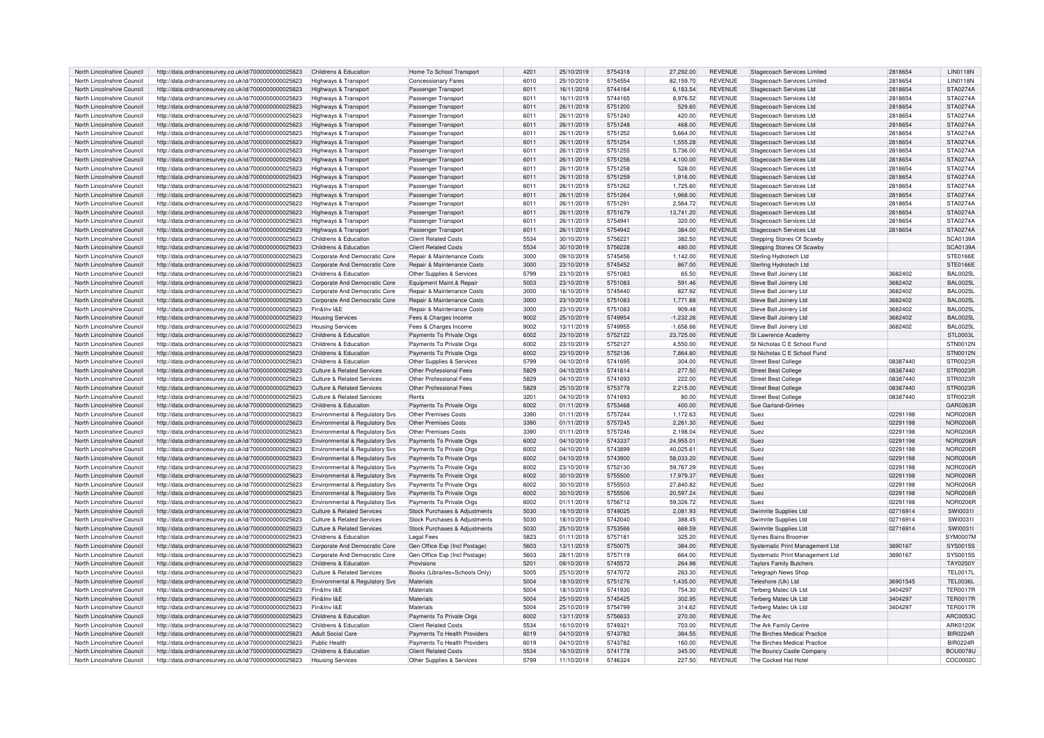| North Lincolnshire Council | http://data.ordnancesurvey.co.uk/id/7000000000025623 | Childrens & Education                 | Home To School Transport       | 4201 | 25/10/2019 | 5754318 | 27,292.00   | <b>REVENUE</b> | Stagecoach Services Limited     | 2818654  | <b>LIN0118N</b> |
|----------------------------|------------------------------------------------------|---------------------------------------|--------------------------------|------|------------|---------|-------------|----------------|---------------------------------|----------|-----------------|
|                            |                                                      |                                       |                                |      |            |         |             |                |                                 |          |                 |
| North Lincolnshire Council | http://data.ordnancesurvey.co.uk/id/7000000000025623 | Highways & Transport                  | Concessionary Fares            | 6010 | 25/10/2019 | 5754554 | 82,159.70   | <b>REVENUE</b> | Stagecoach Services Limited     | 2818654  | <b>LIN0118N</b> |
| North Lincolnshire Council | http://data.ordnancesurvey.co.uk/id/7000000000025623 | Highways & Transport                  | Passenger Transport            | 6011 | 16/11/2019 | 5744164 | 6,183.54    | <b>REVENUE</b> | Stagecoach Services Ltd         | 2818654  | STA0274A        |
| North Lincolnshire Council | http://data.ordnancesurvey.co.uk/id/7000000000025623 | Highways & Transport                  | Passenger Transport            | 6011 | 16/11/2019 | 5744165 | 8,976.52    | <b>REVENUE</b> | Stagecoach Services Ltd         | 2818654  | STA0274A        |
| North Lincolnshire Council | http://data.ordnancesurvey.co.uk/id/7000000000025623 | Highways & Transport                  | Passenger Transport            | 6011 | 26/11/2019 | 5751200 | 529.60      | <b>REVENUE</b> | Stagecoach Services Ltd         | 2818654  | STA0274A        |
|                            |                                                      |                                       |                                |      |            |         |             |                |                                 |          |                 |
| North Lincolnshire Council | http://data.ordnancesurvey.co.uk/id/7000000000025623 | Highways & Transport                  | Passenger Transport            | 6011 | 26/11/2019 | 5751240 | 420.00      | <b>REVENUE</b> | Stagecoach Services Ltd         | 2818654  | STA0274A        |
| North Lincolnshire Council | http://data.ordnancesurvey.co.uk/id/7000000000025623 | Highways & Transport                  | Passenger Transport            | 6011 | 26/11/2019 | 5751248 | 468.00      | <b>REVENUE</b> | Stagecoach Services Ltd         | 2818654  | STA0274A        |
| North Lincolnshire Council | http://data.ordnancesurvey.co.uk/id/7000000000025623 | Highways & Transport                  | Passenger Transport            | 6011 | 26/11/2019 | 5751252 | 5,664.00    | <b>REVENUE</b> | Stagecoach Services Ltd         | 2818654  | STA0274A        |
| North Lincolnshire Council | http://data.ordnancesurvey.co.uk/id/7000000000025623 |                                       | Passenger Transport            | 6011 | 26/11/2019 | 5751254 | 1,555.28    | <b>REVENUE</b> | Stagecoach Services Ltd         | 2818654  | STA0274A        |
|                            |                                                      | Highways & Transport                  |                                |      |            |         |             |                |                                 |          |                 |
| North Lincolnshire Council | http://data.ordnancesurvey.co.uk/id/7000000000025623 | Highways & Transport                  | Passenger Transport            | 6011 | 26/11/2019 | 5751255 | 5.736.00    | <b>REVENUE</b> | Stagecoach Services Ltd         | 2818654  | <b>STA0274A</b> |
| North Lincolnshire Council | http://data.ordnancesurvey.co.uk/id/7000000000025623 | Highways & Transport                  | Passenger Transport            | 6011 | 26/11/2019 | 5751256 | 4,100.00    | <b>REVENUE</b> | Stagecoach Services Ltd         | 2818654  | STA0274A        |
| North Lincolnshire Council | http://data.ordnancesurvey.co.uk/id/7000000000025623 | Highways & Transport                  | Passenger Transport            | 6011 | 26/11/2019 | 5751258 | 528.00      | <b>REVENUE</b> | Stagecoach Services Ltd         | 2818654  | STA0274A        |
|                            |                                                      |                                       |                                |      |            |         |             |                |                                 |          |                 |
| North Lincolnshire Council | http://data.ordnancesurvey.co.uk/id/7000000000025623 | Highways & Transport                  | Passenger Transport            | 6011 | 26/11/2019 | 5751259 | 1,916.00    | <b>REVENUE</b> | Stagecoach Services Ltd         | 2818654  | STA0274A        |
| North Lincolnshire Council | http://data.ordnancesurvey.co.uk/id/7000000000025623 | Highways & Transport                  | Passenger Transport            | 6011 | 26/11/2019 | 5751262 | 1,725.60    | <b>REVENUE</b> | Stagecoach Services Ltd         | 2818654  | <b>STA0274A</b> |
| North Lincolnshire Council | http://data.ordnancesurvey.co.uk/id/7000000000025623 | Highways & Transport                  | Passenger Transport            | 6011 | 26/11/2019 | 5751264 | 1,968.00    | <b>REVENUE</b> | Stagecoach Services Ltd         | 2818654  | STA0274A        |
| North Lincolnshire Council | http://data.ordnancesurvey.co.uk/id/7000000000025623 | Highways & Transport                  | Passenger Transport            | 6011 | 26/11/2019 | 575129  | 2,564.72    | <b>REVENUE</b> | Stagecoach Services Ltd         | 2818654  | STA0274A        |
|                            |                                                      |                                       |                                |      |            |         |             |                |                                 |          |                 |
| North Lincolnshire Council | http://data.ordnancesurvey.co.uk/id/7000000000025623 | Highways & Transport                  | Passenger Transport            | 6011 | 26/11/2019 | 5751679 | 13.741.20   | <b>REVENUE</b> | Stagecoach Services Ltd         | 2818654  | <b>STA0274A</b> |
| North Lincolnshire Council | http://data.ordnancesurvey.co.uk/id/7000000000025623 | Highways & Transport                  | Passenger Transport            | 6011 | 26/11/2019 | 5754941 | 320.00      | <b>REVENUE</b> | Stagecoach Services Ltd         | 2818654  | STA0274A        |
| North Lincolnshire Council | http://data.ordnancesurvey.co.uk/id/7000000000025623 | Highways & Transport                  | Passenger Transport            | 6011 | 26/11/2019 | 5754942 | 384.00      | <b>REVENUE</b> | Stagecoach Services Ltd         | 2818654  | STA0274A        |
| North Lincolnshire Council |                                                      | Childrens & Education                 | <b>Client Related Costs</b>    | 5534 | 30/10/2019 | 575622  | 382.50      | <b>REVENUE</b> |                                 |          | SCA0139A        |
|                            | http://data.ordnancesurvey.co.uk/id/7000000000025623 |                                       |                                |      |            |         |             |                | Stepping Stones Of Scawby       |          |                 |
| North Lincolnshire Council | http://data.ordnancesurvey.co.uk/id/7000000000025623 | Childrens & Education                 | <b>Client Related Costs</b>    | 5534 | 30/10/2019 | 5756228 | 480.00      | <b>REVENUE</b> | Stepping Stones Of Scawb        |          | SCA0139A        |
| North Lincolnshire Council | http://data.ordnancesurvey.co.uk/id/7000000000025623 | Corporate And Democratic Core         | Repair & Maintenance Costs     | 3000 | 09/10/2019 | 5745456 | 1.142.00    | <b>REVENUE</b> | Sterling Hydrotech Ltd          |          | STE0166E        |
| North Lincolnshire Council | http://data.ordnancesurvey.co.uk/id/7000000000025623 | Corporate And Democratic Core         | Repair & Maintenance Costs     | 3000 | 23/10/2019 | 5745452 | 867.00      | <b>REVENUE</b> | Sterling Hydrotech Ltd          |          | STE0166E        |
|                            |                                                      |                                       |                                |      |            |         |             |                |                                 |          |                 |
| North Lincolnshire Council | http://data.ordnancesurvey.co.uk/id/7000000000025623 | Childrens & Education                 | Other Supplies & Services      | 5799 | 23/10/2019 | 5751083 | 65.50       | <b>REVENUE</b> | Steve Ball Joinery Ltd          | 3682402  | <b>BAL0025L</b> |
| North Lincolnshire Council | http://data.ordnancesurvey.co.uk/id/7000000000025623 | Corporate And Democratic Core         | Equipment Maint.& Repair       | 5003 | 23/10/2019 | 5751083 | 591.46      | <b>REVENUE</b> | Steve Ball Joinery Ltd          | 3682402  | BAL0025L        |
| North Lincolnshire Council | http://data.ordnancesurvey.co.uk/id/7000000000025623 | Corporate And Democratic Core         | Repair & Maintenance Costs     | 3000 | 16/10/2019 | 5745440 | 827.92      | <b>REVENUE</b> | Steve Ball Joinery Ltd          | 3682402  | <b>BAL0025L</b> |
| North Lincolnshire Council | http://data.ordnancesurvey.co.uk/id/7000000000025623 | Corporate And Democratic Core         | Repair & Maintenance Costs     | 3000 | 23/10/2019 | 5751083 | 1,771.88    | <b>REVENUE</b> | Steve Ball Joinery Ltd          | 3682402  | <b>BAL0025L</b> |
|                            |                                                      |                                       |                                |      |            |         |             |                |                                 |          |                 |
| North Lincolnshire Council | http://data.ordnancesurvey.co.uk/id/7000000000025623 | Fin&Inv I&E                           | Repair & Maintenance Costs     | 3000 | 23/10/2019 | 5751083 | 909.48      | <b>REVENUE</b> | Steve Ball Joinery Ltd          | 3682402  | <b>BAL0025L</b> |
| North Lincolnshire Council | http://data.ordnancesurvey.co.uk/id/7000000000025623 | <b>Housing Services</b>               | Fees & Charges Income          | 9002 | 25/10/2019 | 5749954 | $-1.232.26$ | <b>REVENUE</b> | Steve Ball Joinery Ltd          | 3682402  | <b>BAL0025L</b> |
| North Lincolnshire Council | http://data.ordnancesurvey.co.uk/id/7000000000025623 | <b>Housing Services</b>               | Fees & Charges Income          | 9002 | 13/11/2019 | 5749955 | $-1,656.66$ | <b>REVENUE</b> | Steve Ball Joinery Ltd          | 3682402  | BAI 0025        |
|                            |                                                      |                                       |                                |      |            |         |             |                |                                 |          |                 |
| North Lincolnshire Council | http://data.ordnancesurvey.co.uk/id/7000000000025623 | Childrens & Education                 | Payments To Private Orgs       | 6002 | 23/10/2019 | 5752122 | 23,725.00   | <b>REVENUE</b> | St Lawrence Academy             |          | <b>STL0003L</b> |
| North Lincolnshire Council | http://data.ordnancesurvev.co.uk/id/7000000000025623 | Childrens & Education                 | Payments To Private Orgs       | 6002 | 23/10/2019 | 5752127 | 4.550.00    | <b>REVENUE</b> | St Nicholas C E School Fund     |          | <b>STN0012N</b> |
| North Lincolnshire Council | http://data.ordnancesurvey.co.uk/id/7000000000025623 | Childrens & Education                 | Payments To Private Orgs       | 6002 | 23/10/2019 | 5752136 | 7,864.80    | <b>REVENUE</b> | St Nicholas C E School Fund     |          | <b>STN0012N</b> |
| North Lincolnshire Council | http://data.ordnancesurvey.co.uk/id/7000000000025623 | Childrens & Education                 | Other Supplies & Services      | 5799 | 04/10/2019 | 5741695 | 304.00      | <b>REVENUE</b> | <b>Street Beat College</b>      | 08387440 | STR0023F        |
|                            |                                                      |                                       |                                |      |            |         |             |                |                                 |          |                 |
| North Lincolnshire Council | http://data.ordnancesurvey.co.uk/id/7000000000025623 | Culture & Related Services            | Other Professional Fees        | 5829 | 04/10/2019 | 5741614 | 277.50      | <b>REVENUE</b> | <b>Street Beat College</b>      | 08387440 | STR0023R        |
| North Lincolnshire Council | http://data.ordnancesurvey.co.uk/id/7000000000025623 | Culture & Related Services            | Other Professional Fees        | 5829 | 04/10/2019 | 5741693 | 222.00      | <b>REVENUE</b> | <b>Street Beat College</b>      | 08387440 | STR0023F        |
| North Lincolnshire Council | http://data.ordnancesurvey.co.uk/id/7000000000025623 | Culture & Related Services            | Other Professional Fees        | 5829 | 25/10/2019 | 5753778 | 2,215.00    | <b>REVENUE</b> | <b>Street Beat College</b>      | 08387440 | STR0023F        |
| North Lincolnshire Council | http://data.ordnancesurvey.co.uk/id/7000000000025623 | <b>Culture &amp; Related Services</b> | Rents                          | 3201 | 04/10/2019 | 5741693 | 80.00       | <b>REVENUE</b> | <b>Street Beat College</b>      | 08387440 | STR0023F        |
|                            |                                                      |                                       |                                |      |            |         |             |                |                                 |          |                 |
| North Lincolnshire Council | http://data.ordnancesurvey.co.uk/id/7000000000025623 | Childrens & Education                 | Payments To Private Orgs       | 6002 | 01/11/2019 | 5753468 | 400.00      | <b>REVENUE</b> | Sue Garland-Grimes              |          | GAR0263F        |
| North Lincolnshire Council | http://data.ordnancesurvey.co.uk/id/7000000000025623 | Environmental & Regulatory Svs        | Other Premises Costs           | 3390 | 01/11/2019 | 5757244 | 1.172.63    | <b>REVENUE</b> | Suez                            | 02291198 | NOR0206F        |
| North Lincolnshire Council | http://data.ordnancesurvey.co.uk/id/7000000000025623 | Environmental & Regulatory Svs        | <b>Other Premises Costs</b>    | 3390 | 01/11/2019 | 5757245 | 2,261.30    | <b>REVENUE</b> | Suez                            | 02291198 | <b>NOR0206F</b> |
| North Lincolnshire Council |                                                      |                                       | Other Premises Costs           | 3390 | 01/11/2019 | 5757246 | 2.198.04    | <b>REVENUE</b> | Suez                            | 02291198 | <b>NOR0206R</b> |
|                            | http://data.ordnancesurvey.co.uk/id/7000000000025623 | Environmental & Regulatory Svs        |                                |      |            |         |             |                |                                 |          |                 |
| North Lincolnshire Council | http://data.ordnancesurvey.co.uk/id/7000000000025623 | Environmental & Regulatory Svs        | Payments To Private Orgs       | 6002 | 04/10/2019 | 5743337 | 24,955.01   | <b>REVENUE</b> | Suez                            | 02291198 | <b>NOR0206R</b> |
| North Lincolnshire Council | http://data.ordnancesurvey.co.uk/id/7000000000025623 | Environmental & Regulatory Svs        | Payments To Private Orgs       | 6002 | 04/10/2019 | 5743899 | 40.025.61   | <b>REVENUE</b> | Suez                            | 02291198 | NOR0206R        |
| North Lincolnshire Council | http://data.ordnancesurvey.co.uk/id/7000000000025623 | Environmental & Regulatory Svs        | Payments To Private Orgs       | 6002 | 04/10/2019 | 5743900 | 58.033.20   | <b>REVENUE</b> | Suez                            | 02291198 | <b>NOR0206R</b> |
|                            |                                                      |                                       |                                |      |            |         |             |                |                                 |          |                 |
| North Lincolnshire Council | http://data.ordnancesurvey.co.uk/id/7000000000025623 | Environmental & Regulatory Svs        | Payments To Private Orgs       | 6002 | 23/10/2019 | 5752130 | 59,767.29   | <b>REVENUE</b> | Suez                            | 02291198 | NOR0206R        |
| North Lincolnshire Council | http://data.ordnancesurvey.co.uk/id/7000000000025623 | Environmental & Regulatory Sys        | Payments To Private Oras       | 6002 | 30/10/2019 | 5755500 | 17.979.37   | <b>REVENUE</b> | Suez                            | 02291198 | <b>NOR0206R</b> |
| North Lincolnshire Council | http://data.ordnancesurvey.co.uk/id/7000000000025623 | Environmental & Regulatory Svs        | Payments To Private Orgs       | 6002 | 30/10/2019 | 5755503 | 27,840.82   | <b>REVENUE</b> | Suez                            | 02291198 | NOR0206R        |
| North Lincolnshire Council | http://data.ordnancesurvey.co.uk/id/7000000000025623 | Environmental & Regulatory Svs        | Payments To Private Orgs       | 6002 | 30/10/2019 | 5755506 | 20,597.24   | <b>REVENUE</b> | Suez                            | 02291198 | <b>NOR0206F</b> |
|                            |                                                      |                                       |                                | 6002 |            | 5756712 |             | <b>REVENUE</b> |                                 |          | NOR0206R        |
| North Lincolnshire Council | http://data.ordnancesurvey.co.uk/id/7000000000025623 | Environmental & Regulatory Svs        | Payments To Private Orgs       |      | 01/11/2019 |         | 59,326.72   |                | Suez                            | 02291198 |                 |
| North Lincolnshire Council | http://data.ordnancesurvey.co.uk/id/7000000000025623 | <b>Culture &amp; Related Services</b> | Stock Purchases & Adjustments  | 5030 | 16/10/2019 | 5749025 | 2,081.93    | <b>REVENUE</b> | Swimrite Supplies Ltd           | 02716914 | SWI0031I        |
| North Lincolnshire Council | http://data.ordnancesurvey.co.uk/id/7000000000025623 | <b>Culture &amp; Related Services</b> | Stock Purchases & Adjustments  | 5030 | 18/10/2019 | 5742040 | 388.45      | <b>REVENUE</b> | Swimrite Supplies Ltd           | 02716914 | SWI0031         |
| North Lincolnshire Council | http://data.ordnancesurvey.co.uk/id/7000000000025623 | Culture & Related Services            | Stock Purchases & Adjustments  | 5030 | 25/10/2019 | 5753566 | 669.59      | <b>REVENUE</b> | Swimrite Supplies Ltd           | 02716914 | SWI0031I        |
|                            |                                                      |                                       |                                |      |            |         |             |                |                                 |          |                 |
| North Lincolnshire Council | http://data.ordnancesurvey.co.uk/id/7000000000025623 | Childrens & Education                 | Legal Fees                     | 5823 | 01/11/2019 | 575718  | 325.20      | <b>REVENUE</b> | Symes Bains Broome              |          | <b>SYM0007M</b> |
| North Lincolnshire Council | http://data.ordnancesurvey.co.uk/id/7000000000025623 | Corporate And Democratic Core         | Gen Office Exp (Incl Postage)  | 5603 | 13/11/2019 | 5750075 | 384.00      | <b>REVENUE</b> | Systematic Print Management Ltd | 3890167  | <b>SYS0015S</b> |
| North Lincolnshire Council | http://data.ordnancesurvey.co.uk/id/7000000000025623 | Corporate And Democratic Core         | Gen Office Exp (Incl Postage)  | 5603 | 28/11/2019 | 5757119 | 664.00      | <b>REVENUE</b> | Systematic Print Management Ltd | 3890167  | SYS0015S        |
| North Lincolnshire Council | http://data.ordnancesurvey.co.uk/id/7000000000025623 | Childrens & Education                 | Provisions                     | 5201 | 09/10/2019 | 5745572 | 264.98      | <b>REVENUE</b> | <b>Taylors Family Butchers</b>  |          | <b>TAY0250Y</b> |
|                            |                                                      |                                       |                                |      |            |         |             |                |                                 |          |                 |
| North Lincolnshire Council | http://data.ordnancesurvey.co.uk/id/7000000000025623 | Culture & Related Services            | Books (Libraries+Schools Only) | 5005 | 25/10/2019 | 5747072 | 283.30      | <b>REVENUE</b> | <b>Telegraph News Shop</b>      |          | <b>TEL0017L</b> |
| North Lincolnshire Council | http://data.ordnancesurvey.co.uk/id/7000000000025623 | Environmental & Regulatory Svs        | Materials                      | 5004 | 18/10/2019 | 5751276 | 1,435.00    | <b>REVENUE</b> | Teleshore (Uk) Ltd              | 36901545 | <b>TEL0036L</b> |
| North Lincolnshire Council | http://data.ordnancesurvey.co.uk/id/7000000000025623 | Fin&Inv I&E                           | Materials                      | 5004 | 18/10/2019 | 5741930 | 754.30      | <b>REVENUE</b> | Terberg Matec Uk Ltd            | 3404297  | <b>TER0017R</b> |
| North Lincolnshire Council | http://data.ordnancesurvey.co.uk/id/7000000000025623 | Fin&Inv I&F                           | Materials                      | 5004 | 25/10/2019 | 5745425 | 302.95      | <b>REVENUE</b> | Terberg Matec Uk Ltd            | 3404297  | <b>TER0017R</b> |
|                            |                                                      |                                       |                                |      |            |         |             |                |                                 |          |                 |
| North Lincolnshire Council | http://data.ordnancesurvey.co.uk/id/7000000000025623 | Fin&Inv I&F                           | Materials                      | 5004 | 25/10/2019 | 5754799 | 314.62      | <b>REVENUE</b> | Terberg Matec Uk Ltd            | 3404297  | <b>TER0017F</b> |
| North Lincolnshire Council | http://data.ordnancesurvey.co.uk/id/7000000000025623 | Childrens & Education                 | Payments To Private Orgs       | 6002 | 13/11/2019 | 5756633 | 270.00      | <b>REVENUE</b> | The Arc                         |          | ARC0053C        |
| North Lincolnshire Council | http://data.ordnancesurvey.co.uk/id/7000000000025623 | Childrens & Education                 | Client Related Costs           | 5534 | 16/10/2019 | 574932  | 703.00      | <b>REVENUE</b> | The Ark Family Centre           |          | ARK0120K        |
| North Lincolnshire Council | http://data.ordnancesurvey.co.uk/id/7000000000025623 | Adult Social Care                     | Payments To Health Providers   | 6019 | 04/10/2019 | 5743782 | 384.55      | <b>REVENUE</b> | The Birches Medical Practice    |          | RIR0224R        |
|                            |                                                      |                                       |                                |      |            |         |             |                |                                 |          |                 |
| North Lincolnshire Council | http://data.ordnancesurvey.co.uk/id/7000000000025623 | Public Health                         | Payments To Health Providers   | 6019 | 04/10/2019 | 5743782 | 160.00      | <b>REVENUE</b> | The Birches Medical Practice    |          | <b>BIR0224R</b> |
| North Lincolnshire Council | http://data.ordnancesurvey.co.uk/id/7000000000025623 | Childrens & Education                 | <b>Client Related Costs</b>    | 5534 | 16/10/2019 | 5741778 | 345.00      | <b>REVENUE</b> | The Bouncy Castle Company       |          | <b>BOU0078U</b> |
| North Lincolnshire Council | http://data.ordnancesurvey.co.uk/id/7000000000025623 | <b>Housing Services</b>               | Other Supplies & Services      | 5799 | 11/10/2019 | 5746324 | 227.50      | <b>REVENUE</b> | The Cocked Hat Hotel            |          | COC0002C        |
|                            |                                                      |                                       |                                |      |            |         |             |                |                                 |          |                 |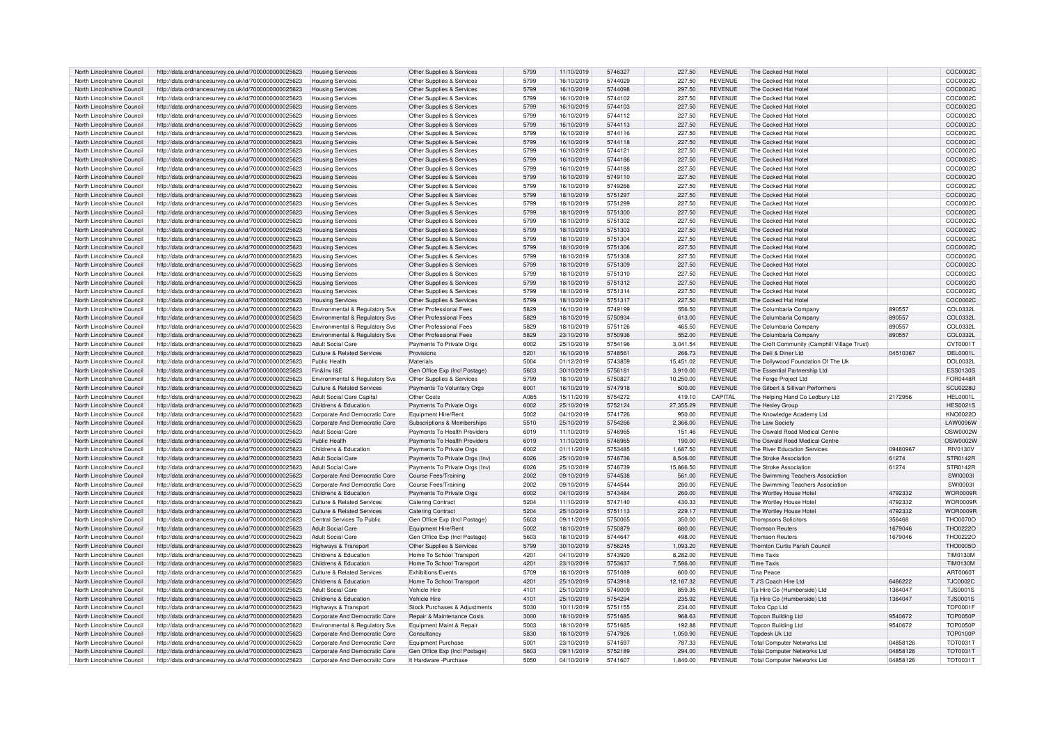| North Lincolnshire Council | http://data.ordnancesurvey.co.uk/id/7000000000025623 | <b>Housing Services</b>                   | Other Supplies & Services      | 5799 | 11/10/2019 | 5746327 | 227.50    | <b>REVENUE</b> | The Cocked Hat Hotel                         |          | COC00020        |
|----------------------------|------------------------------------------------------|-------------------------------------------|--------------------------------|------|------------|---------|-----------|----------------|----------------------------------------------|----------|-----------------|
| North Lincolnshire Council | http://data.ordnancesurvey.co.uk/id/7000000000025623 | <b>Housing Services</b>                   | Other Supplies & Services      | 5799 | 16/10/2019 | 5744029 | 227.50    | <b>REVENUE</b> | The Cocked Hat Hotel                         |          | COC0002C        |
| North Lincolnshire Council | http://data.ordnancesurvey.co.uk/id/7000000000025623 | <b>Housing Services</b>                   | Other Supplies & Services      | 5799 | 16/10/2019 | 5744098 | 297.50    | <b>REVENUE</b> | The Cocked Hat Hotel                         |          | COC0002C        |
| North Lincolnshire Council | http://data.ordnancesurvey.co.uk/id/7000000000025623 | <b>Housing Services</b>                   | Other Supplies & Services      | 5799 | 16/10/2019 | 5744102 | 227.50    | <b>REVENUE</b> | The Cocked Hat Hote                          |          | COC00020        |
| North Lincolnshire Council | http://data.ordnancesurvey.co.uk/id/7000000000025623 | <b>Housing Services</b>                   | Other Supplies & Services      | 5799 | 16/10/2019 | 5744103 | 227.50    | <b>REVENUE</b> | The Cocked Hat Hote                          |          | COC0002C        |
| North Lincolnshire Council | http://data.ordnancesurvey.co.uk/id/7000000000025623 | <b>Housing Services</b>                   | Other Supplies & Services      | 5799 | 16/10/2019 | 5744112 | 227.50    | <b>REVENUE</b> | The Cocked Hat Hotel                         |          | COC00020        |
| North Lincolnshire Council | http://data.ordnancesurvey.co.uk/id/7000000000025623 | <b>Housing Services</b>                   | Other Supplies & Services      | 5799 | 16/10/2019 | 5744113 | 227.50    | <b>REVENUE</b> | The Cocked Hat Hotel                         |          | COC0002C        |
| North Lincolnshire Council | http://data.ordnancesurvey.co.uk/id/7000000000025623 | <b>Housing Services</b>                   | Other Supplies & Services      | 5799 | 16/10/2019 | 5744116 | 227.50    | <b>REVENUE</b> | The Cocked Hat Hotel                         |          | COC00020        |
| North Lincolnshire Council | http://data.ordnancesurvey.co.uk/id/7000000000025623 | <b>Housing Services</b>                   | Other Supplies & Services      | 5799 | 16/10/2019 | 5744118 | 227.50    | <b>REVENUE</b> | The Cocked Hat Hotel                         |          | COC0002C        |
| North Lincolnshire Council | http://data.ordnancesurvey.co.uk/id/7000000000025623 | <b>Housing Services</b>                   | Other Supplies & Services      | 5799 | 16/10/2019 | 574412  | 227.50    | <b>REVENUE</b> | The Cocked Hat Hotel                         |          | COC0002C        |
| North Lincolnshire Council | http://data.ordnancesurvey.co.uk/id/7000000000025623 | <b>Housing Services</b>                   | Other Supplies & Services      | 5799 | 16/10/2019 | 5744186 | 227.50    | <b>REVENUE</b> | The Cocked Hat Hotel                         |          | COC00020        |
| North Lincolnshire Council | http://data.ordnancesurvey.co.uk/id/7000000000025623 | <b>Housing Services</b>                   | Other Supplies & Services      | 5799 | 16/10/2019 | 5744188 | 227.50    | <b>REVENUE</b> | The Cocked Hat Hotel                         |          | COC0002C        |
| North Lincolnshire Council | http://data.ordnancesurvey.co.uk/id/7000000000025623 | <b>Housing Services</b>                   | Other Supplies & Services      | 5799 | 16/10/2019 | 5749110 | 227.50    | <b>REVENUE</b> | The Cocked Hat Hotel                         |          | COC0002C        |
| North Lincolnshire Council | http://data.ordnancesurvey.co.uk/id/7000000000025623 | <b>Housing Services</b>                   | Other Supplies & Services      | 5799 | 16/10/2019 | 5749266 | 227.50    | <b>REVENUE</b> | The Cocked Hat Hote                          |          | COC0002C        |
| North Lincolnshire Council | http://data.ordnancesurvey.co.uk/id/7000000000025623 | <b>Housing Services</b>                   | Other Supplies & Services      | 5799 | 18/10/2019 | 5751297 | 227.50    | <b>REVENUE</b> | The Cocked Hat Hotel                         |          | COC0002C        |
| North Lincolnshire Council | http://data.ordnancesurvey.co.uk/id/7000000000025623 | <b>Housing Services</b>                   | Other Supplies & Services      | 5799 | 18/10/2019 | 5751299 | 227.50    | <b>REVENUE</b> | The Cocked Hat Hotel                         |          | COC00020        |
| North Lincolnshire Council |                                                      |                                           |                                | 5799 |            | 5751300 | 227.50    | <b>REVENUE</b> | The Cocked Hat Hote                          |          | COC0002C        |
|                            | http://data.ordnancesurvey.co.uk/id/7000000000025623 | <b>Housing Services</b>                   | Other Supplies & Services      | 5799 | 18/10/2019 | 5751302 |           |                |                                              |          |                 |
| North Lincolnshire Council | http://data.ordnancesurvey.co.uk/id/7000000000025623 | <b>Housing Services</b>                   | Other Supplies & Services      |      | 18/10/2019 |         | 227.50    | <b>REVENUE</b> | The Cocked Hat Hotel                         |          | COC00020        |
| North Lincolnshire Council | http://data.ordnancesurvey.co.uk/id/7000000000025623 | <b>Housing Services</b>                   | Other Supplies & Services      | 5799 | 18/10/2019 | 5751303 | 227.50    | <b>REVENUE</b> | The Cocked Hat Hote                          |          | COC0002C        |
| North Lincolnshire Council | http://data.ordnancesurvey.co.uk/id/7000000000025623 | <b>Housing Services</b>                   | Other Supplies & Services      | 5799 | 18/10/2019 | 5751304 | 227.50    | <b>REVENUE</b> | The Cocked Hat Hote                          |          | COC00020        |
| North Lincolnshire Council | http://data.ordnancesurvey.co.uk/id/7000000000025623 | <b>Housing Services</b>                   | Other Supplies & Services      | 5799 | 18/10/2019 | 5751306 | 227.50    | <b>REVENUE</b> | The Cocked Hat Hotel                         |          | COC00020        |
| North Lincolnshire Council | http://data.ordnancesurvey.co.uk/id/7000000000025623 | <b>Housing Services</b>                   | Other Supplies & Services      | 5799 | 18/10/2019 | 5751308 | 227.50    | <b>REVENUE</b> | The Cocked Hat Hote                          |          | COC00020        |
| North Lincolnshire Council | http://data.ordnancesurvey.co.uk/id/7000000000025623 | <b>Housing Services</b>                   | Other Supplies & Services      | 5799 | 18/10/2019 | 5751309 | 227.50    | <b>REVENUE</b> | The Cocked Hat Hotel                         |          | COC00020        |
| North Lincolnshire Council | http://data.ordnancesurvey.co.uk/id/7000000000025623 | <b>Housing Services</b>                   | Other Supplies & Services      | 5799 | 18/10/2019 | 5751310 | 227.50    | <b>REVENUE</b> | The Cocked Hat Hotel                         |          | COC0002C        |
| North Lincolnshire Council | http://data.ordnancesurvey.co.uk/id/7000000000025623 | <b>Housing Services</b>                   | Other Supplies & Services      | 5799 | 18/10/2019 | 5751312 | 227.50    | <b>REVENUE</b> | The Cocked Hat Hotel                         |          | COC00020        |
| North Lincolnshire Council | http://data.ordnancesurvey.co.uk/id/7000000000025623 | <b>Housing Services</b>                   | Other Supplies & Services      | 5799 | 18/10/2019 | 5751314 | 227.50    | <b>REVENUE</b> | The Cocked Hat Hotel                         |          | COC00020        |
| North Lincolnshire Council | http://data.ordnancesurvey.co.uk/id/7000000000025623 | <b>Housing Services</b>                   | Other Supplies & Services      | 5799 | 18/10/2019 | 5751317 | 227.50    | <b>REVENUE</b> | The Cocked Hat Hotel                         |          | COC0002C        |
| North Lincolnshire Council | http://data.ordnancesurvey.co.uk/id/7000000000025623 | <b>Environmental &amp; Regulatory Svs</b> | Other Professional Fees        | 5829 | 16/10/2019 | 5749199 | 556.50    | <b>REVENUE</b> | The Columbaria Company                       | 890557   | COL0332L        |
| North Lincolnshire Council | http://data.ordnancesurvey.co.uk/id/7000000000025623 | Environmental & Regulatory Svs            | Other Professional Fees        | 5829 | 18/10/2019 | 5750934 | 613.00    | <b>REVENUE</b> | The Columbaria Company                       | 890557   | COL0332L        |
| North Lincolnshire Council | http://data.ordnancesurvey.co.uk/id/7000000000025623 | Environmental & Regulatory Svs            | Other Professional Fees        | 5829 | 18/10/2019 | 5751126 | 465.50    | <b>REVENUE</b> | The Columbaria Company                       | 890557   | COL0332L        |
| North Lincolnshire Council | http://data.ordnancesurvey.co.uk/id/7000000000025623 | Environmental & Regulatory Svs            | Other Professional Fees        | 5829 | 23/10/2019 | 5750936 | 552.00    | <b>REVENUE</b> | The Columbaria Company                       | 890557   | COL0332L        |
| North Lincolnshire Council | http://data.ordnancesurvey.co.uk/id/7000000000025623 | <b>Adult Social Care</b>                  | Payments To Private Orgs       | 6002 | 25/10/2019 | 5754196 | 3,041.54  | <b>REVENUE</b> | The Croft Community (Camphill Village Trust) |          | CVT0001T        |
| North Lincolnshire Council | http://data.ordnancesurvey.co.uk/id/7000000000025623 | <b>Culture &amp; Related Services</b>     | Provisions                     | 5201 | 16/10/2019 | 574856  | 266.73    | <b>REVENUE</b> | The Deli & Diner Ltd                         | 04510367 | <b>DEL0001I</b> |
| North Lincolnshire Council | http://data.ordnancesurvey.co.uk/id/7000000000025623 | <b>Public Health</b>                      | Materials                      | 5004 | 01/12/2019 | 5743859 | 15.451.02 | <b>REVENUE</b> | The Dollywood Foundation Of The Uk           |          | <b>DOL0032L</b> |
| North Lincolnshire Council | http://data.ordnancesurvey.co.uk/id/7000000000025623 | Fin&Inv I&F                               | Gen Office Exp (Incl Postage)  | 5603 | 30/10/2019 | 575618  | 3,910.00  | <b>REVENUE</b> | The Essential Partnership Ltd                |          | <b>ESS0130S</b> |
| North Lincolnshire Council |                                                      |                                           |                                | 5799 |            | 5750827 |           | <b>REVENUE</b> |                                              |          |                 |
|                            | http://data.ordnancesurvey.co.uk/id/7000000000025623 | Environmental & Regulatory Svs            | Other Supplies & Services      |      | 18/10/2019 |         | 10,250.00 |                | The Forge Project Ltd                        |          | <b>FOR0448F</b> |
| North Lincolnshire Council | http://data.ordnancesurvey.co.uk/id/7000000000025623 | Culture & Related Services                | Payments To Voluntary Orgs     | 6001 | 16/10/2019 | 5747918 | 500.00    | <b>REVENUE</b> | The Gilbert & Sillivan Performers            |          | <b>SCU0228L</b> |
| North Lincolnshire Council | http://data.ordnancesurvey.co.uk/id/7000000000025623 | <b>Adult Social Care Capital</b>          | Other Costs                    | A085 | 15/11/2019 | 5754272 | 419.10    | CAPITAL        | The Helping Hand Co Ledbury Ltd              | 2172956  | <b>HEL0001L</b> |
| North Lincolnshire Council | http://data.ordnancesurvey.co.uk/id/7000000000025623 | Childrens & Education                     | Payments To Private Orgs       | 6002 | 25/10/2019 | 5752124 | 27,355.29 | <b>REVENUE</b> | The Hesley Group                             |          | <b>HES0021S</b> |
| North Lincolnshire Council | http://data.ordnancesurvey.co.uk/id/7000000000025623 | Corporate And Democratic Core             | Equipment Hire/Rent            | 5002 | 04/10/2019 | 5741726 | 950.00    | <b>REVENUE</b> | The Knowledge Academy Ltd                    |          | <b>KNO0022C</b> |
| North Lincolnshire Council | http://data.ordnancesurvey.co.uk/id/7000000000025623 | Corporate And Democratic Core             | Subscriptions & Memberships    | 5510 | 25/10/2019 | 5754266 | 2,366.00  | <b>REVENUE</b> | The Law Society                              |          | LAW0096W        |
| North Lincolnshire Council | http://data.ordnancesurvey.co.uk/id/7000000000025623 | <b>Adult Social Care</b>                  | Payments To Health Providers   | 6019 | 11/10/2019 | 5746965 | 151.46    | <b>REVENUE</b> | The Oswald Road Medical Centre               |          | OSW0002W        |
| North Lincolnshire Council | http://data.ordnancesurvey.co.uk/id/7000000000025623 | Public Health                             | Payments To Health Providers   | 6019 | 11/10/2019 | 5746965 | 190.00    | <b>REVENUE</b> | The Oswald Road Medical Centre               |          | OSW0002W        |
| North Lincolnshire Council | http://data.ordnancesurvey.co.uk/id/7000000000025623 | Childrens & Education                     | Payments To Private Orgs       | 6002 | 01/11/2019 | 5753485 | 1.687.50  | <b>REVENUE</b> | The River Education Services                 | 09480967 | <b>RIV0130V</b> |
| North Lincolnshire Council | http://data.ordnancesurvey.co.uk/id/7000000000025623 | <b>Adult Social Care</b>                  | Payments To Private Orgs (Inv) | 6026 | 25/10/2019 | 5746736 | 8,546.00  | <b>REVENUE</b> | The Stroke Association                       | 61274    | STR0142R        |
| North Lincolnshire Council | http://data.ordnancesurvey.co.uk/id/7000000000025623 | Adult Social Care                         | Payments To Private Orgs (Inv) | 6026 | 25/10/2019 | 5746739 | 15,866.50 | <b>REVENUE</b> | The Stroke Association                       | 61274    | STR0142F        |
| North Lincolnshire Council | http://data.ordnancesurvey.co.uk/id/7000000000025623 | Corporate And Democratic Core             | Course Fees/Training           | 2002 | 09/10/2019 | 5744538 | 561.00    | <b>REVENUE</b> | The Swimming Teachers Association            |          | SW100031        |
| North Lincolnshire Council | http://data.ordnancesurvey.co.uk/id/7000000000025623 | Corporate And Democratic Core             | Course Fees/Training           | 2002 | 09/10/2019 | 5744544 | 280.00    | <b>REVENUE</b> | The Swimming Teachers Association            |          | SW100031        |
| North Lincolnshire Council | http://data.ordnancesurvey.co.uk/id/7000000000025623 | Childrens & Education                     | Payments To Private Orgs       | 6002 | 04/10/2019 | 5743484 | 260.00    | <b>REVENUE</b> | The Wortley House Hotel                      | 4792332  | WOR0009F        |
| North Lincolnshire Council | http://data.ordnancesurvey.co.uk/id/7000000000025623 | <b>Culture &amp; Related Services</b>     | <b>Catering Contract</b>       | 5204 | 11/10/2019 | 5747140 | 430.33    | <b>REVENUE</b> | The Wortley House Hotel                      | 4792332  | WOR0009F        |
| North Lincolnshire Council | http://data.ordnancesurvey.co.uk/id/7000000000025623 | Culture & Related Services                | <b>Catering Contract</b>       | 5204 | 25/10/2019 | 5751113 | 229.17    | <b>REVENUE</b> | The Wortley House Hotel                      | 4792332  | WOR0009F        |
| North Lincolnshire Council | http://data.ordnancesurvey.co.uk/id/7000000000025623 | Central Services To Public                | Gen Office Exp (Incl Postage)  | 5603 | 09/11/2019 | 5750065 | 350.00    | <b>REVENUE</b> | <b>Thompsons Solicitors</b>                  | 356468   | <b>THO0070O</b> |
| North Lincolnshire Council | http://data.ordnancesurvey.co.uk/id/7000000000025623 | <b>Adult Social Care</b>                  | Equipment Hire/Rent            | 5002 | 18/10/2019 | 5750879 | 680.00    | <b>REVENUE</b> | <b>Thomson Reuters</b>                       | 1679046  | THO0222O        |
| North Lincolnshire Council | http://data.ordnancesurvey.co.uk/id/7000000000025623 | Adult Social Care                         | Gen Office Exp (Incl Postage)  | 5603 | 18/10/2019 | 5744647 | 498.00    | <b>REVENUE</b> | <b>Thomson Reuters</b>                       | 1679046  | THO0222O        |
| North Lincolnshire Council | http://data.ordnancesurvey.co.uk/id/7000000000025623 | Highways & Transport                      | Other Supplies & Services      | 5799 | 30/10/2019 | 5756245 | 1,093.20  | <b>REVENUE</b> | Thornton Curtis Parish Council               |          | <b>THO0005C</b> |
|                            |                                                      |                                           |                                |      |            |         |           |                |                                              |          |                 |
| North Lincolnshire Council | http://data.ordnancesurvey.co.uk/id/7000000000025623 | Childrens & Education                     | Home To School Transport       | 4201 | 04/10/2019 | 5743920 | 8.282.00  | <b>REVENUE</b> | <b>Time Taxis</b>                            |          | <b>TIM0130M</b> |
| North Lincolnshire Council | http://data.ordnancesurvey.co.uk/id/7000000000025623 | Childrens & Education                     | Home To School Transport       | 4201 | 23/10/2019 | 5753637 | 7,586.00  | <b>REVENUE</b> | <b>Time Taxis</b>                            |          | <b>TIM0130M</b> |
| North Lincolnshire Council | http://data.ordnancesurvey.co.uk/id/7000000000025623 | <b>Culture &amp; Related Services</b>     | Exhibitions/Events             | 5709 | 18/10/2019 | 5751089 | 600.00    | <b>REVENUE</b> | Tina Peace                                   |          | ART0060T        |
| North Lincolnshire Council | http://data.ordnancesurvey.co.uk/id/7000000000025623 | Childrens & Education                     | Home To School Transport       | 4201 | 25/10/2019 | 5743918 | 12,187.32 | <b>REVENUE</b> | T J'S Coach Hire Ltd                         | 6466222  | <b>TJC0002C</b> |
| North Lincolnshire Council | http://data.ordnancesurvey.co.uk/id/7000000000025623 | <b>Adult Social Care</b>                  | Vehicle Hire                   | 4101 | 25/10/2019 | 5749009 | 859.35    | <b>REVENUE</b> | Tis Hire Co (Humberside) Ltd                 | 1364047  | <b>TJS0001S</b> |
| North Lincolnshire Council | http://data.ordnancesurvey.co.uk/id/7000000000025623 | Childrens & Education                     | Vehicle Hire                   | 4101 | 25/10/2019 | 5754294 | 235.92    | <b>REVENUE</b> | Tjs Hire Co (Humberside) Ltd                 | 1364047  | <b>TJS0001S</b> |
| North Lincolnshire Council | http://data.ordnancesurvey.co.uk/id/7000000000025623 | Highways & Transport                      | Stock Purchases & Adjustments  | 5030 | 10/11/2019 | 5751155 | 234.00    | <b>REVENUE</b> | Tofco Cpp Ltd                                |          | <b>TOF0001F</b> |
| North Lincolnshire Council | http://data.ordnancesurvey.co.uk/id/7000000000025623 | Corporate And Democratic Core             | Repair & Maintenance Costs     | 3000 | 18/10/2019 | 5751685 | 968.63    | <b>REVENUE</b> | <b>Topcon Building Ltd</b>                   | 9540672  | <b>TOP0050F</b> |
| North Lincolnshire Council | http://data.ordnancesurvey.co.uk/id/7000000000025623 | <b>Environmental &amp; Regulatory Svs</b> | Equipment Maint.& Repair       | 5003 | 18/10/2019 | 5751685 | 192.88    | <b>REVENUE</b> | <b>Topcon Building Ltd</b>                   | 9540672  | <b>TOP0050F</b> |
| North Lincolnshire Council | http://data.ordnancesurvey.co.uk/id/7000000000025623 | Corporate And Democratic Core             | Consultancy                    | 5830 | 18/10/2019 | 5747926 | 1,050.90  | <b>REVENUE</b> | <b>Topdesk Uk Ltd</b>                        |          | <b>TOP0100P</b> |
| North Lincolnshire Council | http://data.ordnancesurvey.co.uk/id/7000000000025623 | Corporate And Democratic Core             | Equipment Purchase             | 5001 | 23/10/2019 | 5741597 | 787.33    | <b>REVENUE</b> | <b>Total Computer Networks Ltd</b>           | 04858126 | <b>TOT0031T</b> |
| North Lincolnshire Council | http://data.ordnancesurvey.co.uk/id/7000000000025623 | Corporate And Democratic Core             | Gen Office Exp (Incl Postage)  | 5603 | 09/11/2019 | 5752189 | 294.00    | <b>REVENUE</b> | <b>Total Computer Networks Ltd</b>           | 04858126 | <b>TOT0031T</b> |
| North Lincolnshire Council | http://data.ordnancesurvey.co.uk/id/7000000000025623 | Corporate And Democratic Core             | It Hardware -Purchase          | 5050 | 04/10/2019 | 5741607 | 1.840.00  | <b>REVENUE</b> | <b>Total Computer Networks Ltd</b>           | 04858126 | <b>TOT0031T</b> |
|                            |                                                      |                                           |                                |      |            |         |           |                |                                              |          |                 |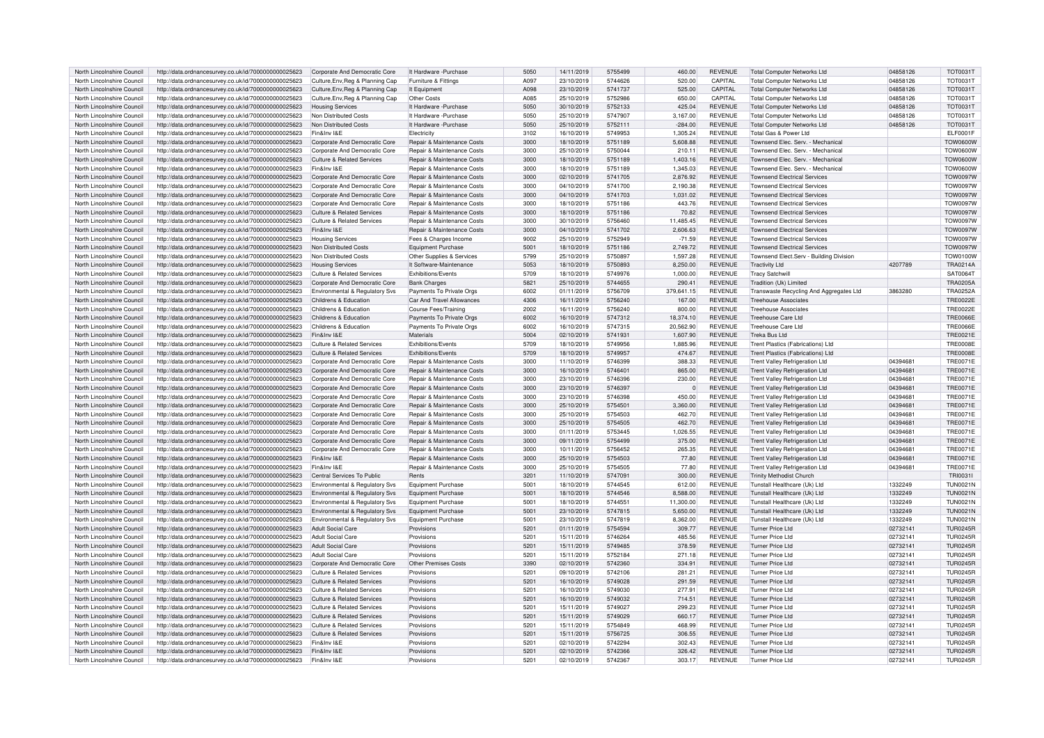| North Lincolnshire Council | http://data.ordnancesurvey.co.uk/id/7000000000025623 | Corporate And Democratic Core         | It Hardware - Purchase                | 5050          | 14/11/2019 | 5755499 | 460.00     | <b>REVENUE</b> | <b>Total Computer Networks Ltd</b>      | 04858126 | <b>TOT0031T</b> |
|----------------------------|------------------------------------------------------|---------------------------------------|---------------------------------------|---------------|------------|---------|------------|----------------|-----------------------------------------|----------|-----------------|
| North Lincolnshire Council | http://data.ordnancesurvey.co.uk/id/7000000000025623 | Culture, Env, Reg & Planning Cap      | Furniture & Fittings                  | A097          | 23/10/2019 | 5744626 | 520.00     | CAPITAL        | <b>Total Computer Networks Ltd</b>      | 04858126 | <b>TOT0031T</b> |
|                            |                                                      |                                       |                                       |               |            |         |            |                |                                         |          |                 |
| North Lincolnshire Council | http://data.ordnancesurvey.co.uk/id/7000000000025623 | Culture, Env, Reg & Planning Cap      | It Equipment                          | A098          | 23/10/2019 | 5741737 | 525.00     | CAPITAL        | <b>Total Computer Networks Ltd</b>      | 04858126 | <b>TOT0031T</b> |
| North Lincolnshire Council | http://data.ordnancesurvey.co.uk/id/7000000000025623 | Culture, Env, Reg & Planning Cap      | Other Costs                           | A085          | 25/10/2019 | 5752986 | 650.00     | CAPITAL        | <b>Total Computer Networks Ltd</b>      | 04858126 | <b>TOT0031T</b> |
| North Lincolnshire Council | http://data.ordnancesurvey.co.uk/id/7000000000025623 | <b>Housing Services</b>               | It Hardware -Purchase                 | 5050          | 30/10/2019 | 5752133 | 425.04     | <b>REVENUE</b> | <b>Total Computer Networks Ltd</b>      | 04858126 | <b>TOT0031T</b> |
| North Lincolnshire Council | http://data.ordnancesurvey.co.uk/id/7000000000025623 | Non Distributed Costs                 | It Hardware - Purchase                | 5050          | 25/10/2019 | 5747907 | 3,167.00   | <b>REVENUE</b> | <b>Total Computer Networks Ltd</b>      | 04858126 | <b>TOT0031T</b> |
|                            |                                                      |                                       |                                       |               |            |         |            |                |                                         |          |                 |
| North Lincolnshire Council | http://data.ordnancesurvey.co.uk/id/7000000000025623 | Non Distributed Costs                 | It Hardware -Purchase                 | 5050          | 25/10/2019 | 5752111 | $-284.00$  | <b>REVENUE</b> | <b>Total Computer Networks Ltd</b>      | 04858126 | <b>TOT0031T</b> |
| North Lincolnshire Council | http://data.ordnancesurvey.co.uk/id/7000000000025623 | Fin&Inv I&F                           | Electricity                           | 3102          | 16/10/2019 | 5749953 | 1,305.24   | <b>REVENUE</b> | Total Gas & Power Ltd                   |          | <b>ELF0001F</b> |
| North Lincolnshire Council | http://data.ordnancesurvey.co.uk/id/7000000000025623 | Corporate And Democratic Core         | Repair & Maintenance Costs            | 3000          | 18/10/2019 | 5751189 | 5,608.88   | <b>REVENUE</b> | Townsend Elec. Serv. - Mechanical       |          | <b>TOW0600W</b> |
| North Lincolnshire Council | http://data.ordnancesurvey.co.uk/id/7000000000025623 | Corporate And Democratic Core         | Repair & Maintenance Costs            | 3000          | 25/10/2019 | 5750044 | 210.11     | <b>REVENUE</b> | Townsend Elec. Serv. - Mechanical       |          | <b>TOW0600W</b> |
|                            |                                                      |                                       |                                       |               |            |         |            |                |                                         |          |                 |
| North Lincolnshire Counci  | http://data.ordnancesurvey.co.uk/id/7000000000025623 | <b>Culture &amp; Related Services</b> | Repair & Maintenance Costs            | 3000          | 18/10/2019 | 5751189 | 1,403.16   | <b>REVENUE</b> | Townsend Elec. Serv. - Mechanical       |          | TOW0600W        |
| North Lincolnshire Council | http://data.ordnancesurvey.co.uk/id/7000000000025623 | Fin&Inv I&F                           | Repair & Maintenance Costs            | 3000          | 18/10/2019 | 5751189 | 1,345.03   | <b>REVENUE</b> | Townsend Elec. Serv. - Mechanical       |          | <b>TOW0600W</b> |
| North Lincolnshire Council | http://data.ordnancesurvey.co.uk/id/7000000000025623 | Corporate And Democratic Core         | Repair & Maintenance Costs            | 3000          | 02/10/2019 | 5741705 | 2,876.92   | <b>REVENUE</b> | <b>Townsend Electrical Services</b>     |          | <b>TOW0097W</b> |
| North Lincolnshire Council | http://data.ordnancesurvey.co.uk/id/7000000000025623 | Corporate And Democratic Core         | Repair & Maintenance Costs            | 3000          | 04/10/2019 | 5741700 | 2,190.38   | <b>REVENUE</b> | <b>Townsend Electrical Services</b>     |          | <b>TOW0097W</b> |
| North Lincolnshire Council | http://data.ordnancesurvey.co.uk/id/7000000000025623 | Corporate And Democratic Core         | Repair & Maintenance Costs            | 3000          | 04/10/2019 | 5741703 | 1,031.02   | <b>REVENUE</b> | <b>Townsend Electrical Services</b>     |          | <b>TOW0097W</b> |
|                            |                                                      |                                       |                                       |               |            |         |            |                |                                         |          |                 |
| North Lincolnshire Council | http://data.ordnancesurvey.co.uk/id/7000000000025623 | Corporate And Democratic Core         | Repair & Maintenance Costs            | 3000          | 18/10/2019 | 5751186 | 443.76     | <b>REVENUE</b> | Townsend Electrical Services            |          | <b>TOW0097W</b> |
| North Lincolnshire Council | http://data.ordnancesurvey.co.uk/id/7000000000025623 | <b>Culture &amp; Related Services</b> | Repair & Maintenance Costs            | 3000          | 18/10/2019 | 5751186 | 70.82      | <b>REVENUE</b> | <b>Townsend Electrical Services</b>     |          | <b>TOW0097W</b> |
| North Lincolnshire Council | http://data.ordnancesurvey.co.uk/id/7000000000025623 | Culture & Related Services            | Repair & Maintenance Costs            | 3000          | 30/10/2019 | 5756460 | 11,485.45  | <b>REVENUE</b> | Townsend Electrical Services            |          | <b>TOW0097W</b> |
| North Lincolnshire Council | http://data.ordnancesurvey.co.uk/id/7000000000025623 | Fin&Inv I&E                           | Repair & Maintenance Costs            | 3000          | 04/10/2019 | 5741702 | 2,606.63   | <b>REVENUE</b> | <b>Townsend Electrical Services</b>     |          | <b>TOW0097W</b> |
|                            |                                                      |                                       |                                       |               |            |         |            |                |                                         |          |                 |
| North Lincolnshire Council | http://data.ordnancesurvey.co.uk/id/7000000000025623 | <b>Housing Services</b>               | Fees & Charges Income                 | 9002          | 25/10/2019 | 5752949 | $-71.59$   | <b>REVENUE</b> | <b>Townsend Electrical Services</b>     |          | <b>TOW0097W</b> |
| North Lincolnshire Council | http://data.ordnancesurvey.co.uk/id/7000000000025623 | Non Distributed Costs                 | Equipment Purchase                    | 5001          | 18/10/2019 | 5751186 | 2,749.72   | <b>REVENUE</b> | <b>Townsend Electrical Services</b>     |          | <b>TOW0097V</b> |
| North Lincolnshire Counci  | http://data.ordnancesurvey.co.uk/id/7000000000025623 | Non Distributed Costs                 | Other Supplies & Services             | 5799          | 25/10/2019 | 5750897 | 1,597.28   | <b>REVENUE</b> | Townsend Elect.Serv - Building Division |          | <b>TOW0100W</b> |
| North Lincolnshire Council | http://data.ordnancesurvey.co.uk/id/7000000000025623 | <b>Housing Services</b>               | It Software-Maintenance               | 5053          | 18/10/2019 | 5750893 | 8,250.00   | <b>REVENUE</b> | <b>Tractivity Ltd</b>                   | 4207789  | <b>TRA0214A</b> |
|                            |                                                      |                                       |                                       |               |            |         |            |                |                                         |          |                 |
| North Lincolnshire Council | http://data.ordnancesurvey.co.uk/id/7000000000025623 | <b>Culture &amp; Related Services</b> | Exhibitions/Events                    | 5709          | 18/10/2019 | 5749976 | 1,000.00   | <b>REVENUE</b> | <b>Tracy Satchwill</b>                  |          | SAT0064T        |
| North Lincolnshire Council | http://data.ordnancesurvey.co.uk/id/7000000000025623 | Corporate And Democratic Core         | <b>Bank Charges</b>                   | 5821          | 25/10/2019 | 5744655 | 290.41     | <b>REVENUE</b> | Tradition (Uk) Limited                  |          | <b>TRA0205A</b> |
| North Lincolnshire Council | http://data.ordnancesurvey.co.uk/id/7000000000025623 | Environmental & Regulatory Svs        | Payments To Private Orgs              | 6002          | 01/11/2019 | 5756709 | 379,641.15 | <b>REVENUE</b> | Transwaste Recycling And Aggregates Ltd | 3863280  | <b>TRA0252A</b> |
| North Lincolnshire Council | http://data.ordnancesurvey.co.uk/id/7000000000025623 | Childrens & Education                 | Car And Travel Allowances             | 4306          | 16/11/2019 | 5756240 | 167.00     | <b>REVENUE</b> | <b>Treehouse Associates</b>             |          | <b>TRE0022E</b> |
| North Lincolnshire Council |                                                      | Childrens & Education                 |                                       | 2002          |            | 5756240 | 800.00     | <b>REVENUE</b> | Treehouse Associates                    |          | <b>TRE0022E</b> |
|                            | http://data.ordnancesurvey.co.uk/id/7000000000025623 |                                       | Course Fees/Training                  |               | 16/11/2019 |         |            |                |                                         |          |                 |
| North Lincolnshire Council | http://data.ordnancesurvey.co.uk/id/7000000000025623 | Childrens & Education                 | Payments To Private Orgs              | 6002          | 16/10/2019 | 5747312 | 18,374.10  | <b>REVENUE</b> | Treehouse Care Ltd                      |          | <b>TRE0066E</b> |
| North Lincolnshire Council | http://data.ordnancesurvey.co.uk/id/7000000000025623 | Childrens & Education                 | Payments To Private Orgs              | 6002          | 16/10/2019 | 5747315 | 20,562.90  | <b>REVENUE</b> | Treehouse Care Ltd                      |          | <b>TRE0066E</b> |
| North Lincolnshire Counci  | http://data.ordnancesurvey.co.uk/id/7000000000025623 | Fin&Inv I&F                           | Materials                             | 5004          | 02/10/2019 | 5741931 | 1,607.90   | <b>REVENUE</b> | <b>Treka Bus Ltd</b>                    |          | <b>TRE0021E</b> |
| North Lincolnshire Counci  |                                                      | Culture & Related Services            | Exhibitions/Events                    | 5709          |            | 5749956 |            | <b>REVENUE</b> |                                         |          |                 |
|                            | http://data.ordnancesurvey.co.uk/id/7000000000025623 |                                       |                                       |               | 18/10/2019 |         | 1,885.96   |                | Trent Plastics (Fabrications) Ltd       |          | <b>TRE0008E</b> |
| North Lincolnshire Council | http://data.ordnancesurvey.co.uk/id/7000000000025623 | Culture & Related Services            | Exhibitions/Events                    | 5709          | 18/10/2019 | 5749957 | 474.67     | <b>REVENUE</b> | Trent Plastics (Fabrications) Ltd       |          | <b>TRE0008E</b> |
| North Lincolnshire Council | http://data.ordnancesurvey.co.uk/id/7000000000025623 | Corporate And Democratic Core         | Repair & Maintenance Costs            | 3000          | 11/10/2019 | 5746399 | 388.33     | <b>REVENUE</b> | Trent Valley Refrigeration Ltd          | 04394681 | <b>TRE0071E</b> |
| North Lincolnshire Council | http://data.ordnancesurvey.co.uk/id/7000000000025623 | Corporate And Democratic Core         | Repair & Maintenance Costs            | 3000          | 16/10/2019 | 5746401 | 865.00     | <b>REVENUE</b> | <b>Trent Valley Refrigeration Ltd</b>   | 04394681 | TRE0071E        |
| North Lincolnshire Council | http://data.ordnancesurvey.co.uk/id/7000000000025623 | Corporate And Democratic Core         | Repair & Maintenance Costs            | 3000          | 23/10/2019 | 5746396 | 230.00     | <b>REVENUE</b> | Trent Valley Refrigeration Ltd          | 04394681 | <b>TRE0071E</b> |
|                            |                                                      |                                       |                                       |               |            |         |            |                |                                         |          |                 |
| North Lincolnshire Council | http://data.ordnancesurvey.co.uk/id/7000000000025623 | Corporate And Democratic Core         | Repair & Maintenance Costs            | 3000          | 23/10/2019 | 5746397 |            | <b>REVENUE</b> | Trent Valley Refrigeration Ltd          | 04394681 | <b>TRE0071E</b> |
| North Lincolnshire Council | http://data.ordnancesurvey.co.uk/id/7000000000025623 | Corporate And Democratic Core         | Repair & Maintenance Costs            | 3000          | 23/10/2019 | 5746398 | 450.00     | <b>REVENUE</b> | Trent Valley Refrigeration Ltd          | 04394681 | <b>TRE0071E</b> |
| North Lincolnshire Council | http://data.ordnancesurvey.co.uk/id/7000000000025623 | Corporate And Democratic Core         | Repair & Maintenance Costs            | 3000          | 25/10/2019 | 5754501 | 3,360.00   | <b>REVENUE</b> | <b>Trent Valley Refrigeration Ltd</b>   | 04394681 | <b>TRE0071E</b> |
| North Lincolnshire Council | http://data.ordnancesurvey.co.uk/id/7000000000025623 | Corporate And Democratic Core         | Repair & Maintenance Costs            | 3000          | 25/10/2019 | 5754503 | 462.70     | <b>REVENUE</b> | Trent Valley Refrigeration Ltd          | 04394681 | TRE0071E        |
|                            |                                                      |                                       |                                       |               |            |         |            |                |                                         |          |                 |
| North Lincolnshire Council | http://data.ordnancesurvey.co.uk/id/7000000000025623 | Corporate And Democratic Core         | Repair & Maintenance Costs            | 3000          | 25/10/2019 | 5754505 | 462.70     | <b>REVENUE</b> | <b>Trent Valley Refrigeration Ltd</b>   | 0439468  | <b>TRE0071E</b> |
| North Lincolnshire Counci  | http://data.ordnancesurvey.co.uk/id/7000000000025623 | Corporate And Democratic Core         | <b>Benair &amp; Maintenance Costs</b> | 3000          | 01/11/2019 | 5753445 | 1,026.55   | <b>REVENUE</b> | <b>Trent Valley Refrigeration Ltd</b>   | 04394681 | <b>TRE0071E</b> |
| North Lincolnshire Counci  | http://data.ordnancesurvey.co.uk/id/7000000000025623 | Corporate And Democratic Core         | Repair & Maintenance Costs            | 3000          | 09/11/2019 | 5754499 | 375.00     | <b>REVENUE</b> | Trent Valley Refrigeration Ltd          | 04394681 | <b>TRE0071E</b> |
| North Lincolnshire Council | http://data.ordnancesurvey.co.uk/id/7000000000025623 | Corporate And Democratic Core         | Repair & Maintenance Costs            | 3000          | 10/11/2019 | 5756452 | 265.35     | <b>REVENUE</b> | <b>Trent Valley Refrigeration Ltd</b>   | 04394681 | <b>TRE0071E</b> |
|                            |                                                      |                                       |                                       |               |            |         |            |                |                                         |          |                 |
| North Lincolnshire Council | http://data.ordnancesurvey.co.uk/id/7000000000025623 | Fin&Inv I&F                           | Repair & Maintenance Costs            | 3000          | 25/10/2019 | 5754503 | 77.80      | <b>REVENUE</b> | <b>Trent Valley Refrigeration Ltd</b>   | 04394681 | TRE0071E        |
| North Lincolnshire Council | http://data.ordnancesurvey.co.uk/id/7000000000025623 | Fin&Inv I&F                           | Repair & Maintenance Costs            | 3000          | 25/10/2019 | 5754505 | 77.80      | <b>REVENUE</b> | <b>Trent Valley Refrigeration Ltd</b>   | 04394681 | <b>TRE0071E</b> |
| North Lincolnshire Council | http://data.ordnancesurvey.co.uk/id/7000000000025623 | Central Services To Public            | Rents                                 | 3201          | 11/10/2019 | 5747091 | 300.00     | <b>REVENUE</b> | <b>Trinity Methodist Church</b>         |          | TRI0031I        |
| North Lincolnshire Council | http://data.ordnancesurvey.co.uk/id/7000000000025623 | Environmental & Regulatory Svs        | Equipment Purchase                    | 5001          | 18/10/2019 | 5744545 | 612.00     | <b>REVENUE</b> | Tunstall Healthcare (Uk) Ltd            | 1332249  | <b>TUN0021N</b> |
|                            |                                                      |                                       |                                       | 5001          |            | 5744546 |            | REVENUE        |                                         |          |                 |
| North Lincolnshire Council | http://data.ordnancesurvey.co.uk/id/7000000000025623 | Environmental & Regulatory Svs        | Equipment Purchase                    |               | 18/10/2019 |         | 8,588.00   |                | Tunstall Healthcare (Uk) Ltd            | 1332249  | <b>TUN0021N</b> |
| North Lincolnshire Council | http://data.ordnancesurvey.co.uk/id/7000000000025623 | Environmental & Regulatory Svs        | <b>Equipment Purchase</b>             | 5001          | 18/10/2019 | 574455  | 11,300.00  | <b>REVENUE</b> | Tunstall Healthcare (Uk) Ltd            | 1332249  | <b>TUN0021N</b> |
| North Lincolnshire Council | http://data.ordnancesurvey.co.uk/id/7000000000025623 | Environmental & Regulatory Svs        | Equipment Purchase                    | 5001          | 23/10/2019 | 5747815 | 5,650.00   | <b>REVENUE</b> | Tunstall Healthcare (Uk) Ltd            | 1332249  | <b>TUN0021N</b> |
| North Lincolnshire Council | http://data.ordnancesurvey.co.uk/id/7000000000025623 | Environmental & Regulatory Svs        | Equipment Purchase                    | 5001          | 23/10/2019 | 5747819 | 8,362.00   | <b>REVENUE</b> | Tunstall Healthcare (Uk) Ltd            | 1332249  | <b>TUN0021N</b> |
|                            |                                                      |                                       |                                       |               |            |         |            |                |                                         |          |                 |
| North Lincolnshire Council | http://data.ordnancesurvey.co.uk/id/7000000000025623 | Adult Social Care                     | Provisions                            | 5201          | 01/11/2019 | 5754594 | 309.77     | <b>REVENUE</b> | Turner Price Ltd                        | 02732141 | <b>TUR0245R</b> |
| North Lincolnshire Council | http://data.ordnancesurvey.co.uk/id/7000000000025623 | <b>Adult Social Care</b>              | Provisions                            | 5201          | 15/11/2019 | 5746264 | 485.56     | <b>REVENUE</b> | <b>Turner Price Ltd</b>                 | 02732141 | <b>TUR0245R</b> |
| North Lincolnshire Council | http://data.ordnancesurvey.co.uk/id/7000000000025623 | <b>Adult Social Care</b>              | Provisions                            | 5201          | 15/11/2019 | 5749485 | 378.59     | <b>REVENUE</b> | Turner Price Ltd                        | 02732141 | <b>TUR0245R</b> |
| North Lincolnshire Council | http://data.ordnancesurvey.co.uk/id/7000000000025623 | Adult Social Care                     | Provisions                            | 5201          | 15/11/2019 | 5752184 | 271.18     | <b>REVENUE</b> | Turner Price Ltd                        | 02732141 | <b>TUR0245R</b> |
| North Lincolnshire Council | http://data.ordnancesurvey.co.uk/id/7000000000025623 | Corporate And Democratic Core         | Other Premises Costs                  | 3390          | 02/10/2019 | 5742360 | 334.91     | <b>REVENUE</b> | Turner Price Ltd                        | 02732141 | <b>TUR0245R</b> |
|                            |                                                      |                                       |                                       |               |            |         |            |                |                                         |          |                 |
| North Lincolnshire Council | http://data.ordnancesurvey.co.uk/id/7000000000025623 | Culture & Related Services            | Provisions                            | 5201          | 09/10/2019 | 5742106 | 281.21     | <b>REVENUE</b> | Turner Price Ltd                        | 02732141 | <b>TUR0245R</b> |
| North Lincolnshire Council | http://data.ordnancesurvey.co.uk/id/7000000000025623 | <b>Culture &amp; Related Services</b> | Provisions                            | 5201          | 16/10/2019 | 5749028 | 291.59     | <b>REVENUE</b> | Turner Price Ltd                        | 02732141 | <b>TUR0245R</b> |
| North Lincolnshire Council | http://data.ordnancesurvey.co.uk/id/7000000000025623 | Culture & Related Services            | Provisions                            | 5201          | 16/10/2019 | 5749030 | 277.91     | <b>REVENUE</b> | Turner Price Ltd                        | 02732141 | <b>TUR0245R</b> |
| North Lincolnshire Council | http://data.ordnancesurvey.co.uk/id/7000000000025623 | Culture & Related Services            | Provisions                            | 5201          | 16/10/2019 | 5749032 | 714.51     | <b>REVENUE</b> | Turner Price Ltd                        | 02732141 | <b>TUR0245R</b> |
|                            |                                                      |                                       |                                       |               |            | 5749027 |            |                |                                         |          |                 |
| North Lincolnshire Council | http://data.ordnancesurvey.co.uk/id/7000000000025623 | Culture & Related Services            | Provisions                            | 5201          | 15/11/2019 |         | 299.23     | <b>REVENUE</b> | Turner Price Ltd                        | 02732141 | <b>TUR0245R</b> |
| North Lincolnshire Council | http://data.ordnancesurvey.co.uk/id/7000000000025623 | <b>Culture &amp; Related Services</b> | Provisions                            | 5201          | 15/11/2019 | 5749029 | 660.17     | <b>REVENUE</b> | Turner Price Ltd                        | 02732141 | <b>TUR0245F</b> |
| North Lincolnshire Council | http://data.ordnancesurvey.co.uk/id/7000000000025623 | Culture & Related Services            | Provisions                            | 5201          | 15/11/2019 | 5754849 | 468.99     | <b>REVENUE</b> | <b>Turner Price Ltd</b>                 | 02732141 | <b>TUR0245F</b> |
| North Lincolnshire Council | http://data.ordnancesurvey.co.uk/id/7000000000025623 | Culture & Related Services            | Provisions                            | $520^{\circ}$ | 15/11/2019 | 5756725 | 306.55     | <b>REVENUE</b> | Turner Price Ltd                        | 02732141 | <b>TUR0245F</b> |
| North Lincolnshire Council |                                                      | Fin&Inv I&F                           | Provisions                            | 520           |            | 5742294 | 302.43     | <b>REVENUE</b> | Turner Price Ltd                        | 02732141 | <b>TUR0245R</b> |
|                            | http://data.ordnancesurvey.co.uk/id/7000000000025623 |                                       |                                       |               | 02/10/2019 |         |            |                |                                         |          |                 |
| North Lincolnshire Council | http://data.ordnancesurvey.co.uk/id/7000000000025623 | Fin&Inv I&E                           | Provisions                            | 5201          | 02/10/2019 | 5742366 | 326.42     | <b>REVENUE</b> | Turner Price Ltd                        | 02732141 | <b>TUR0245R</b> |
| North Lincolnshire Council | http://data.ordnancesurvey.co.uk/id/7000000000025623 | Fin&Inv I&E                           | Provisions                            | 5201          | 02/10/2019 | 5742367 | 303.17     | <b>REVENUE</b> | Turner Price Ltd                        | 02732141 | <b>TUR0245R</b> |
|                            |                                                      |                                       |                                       |               |            |         |            |                |                                         |          |                 |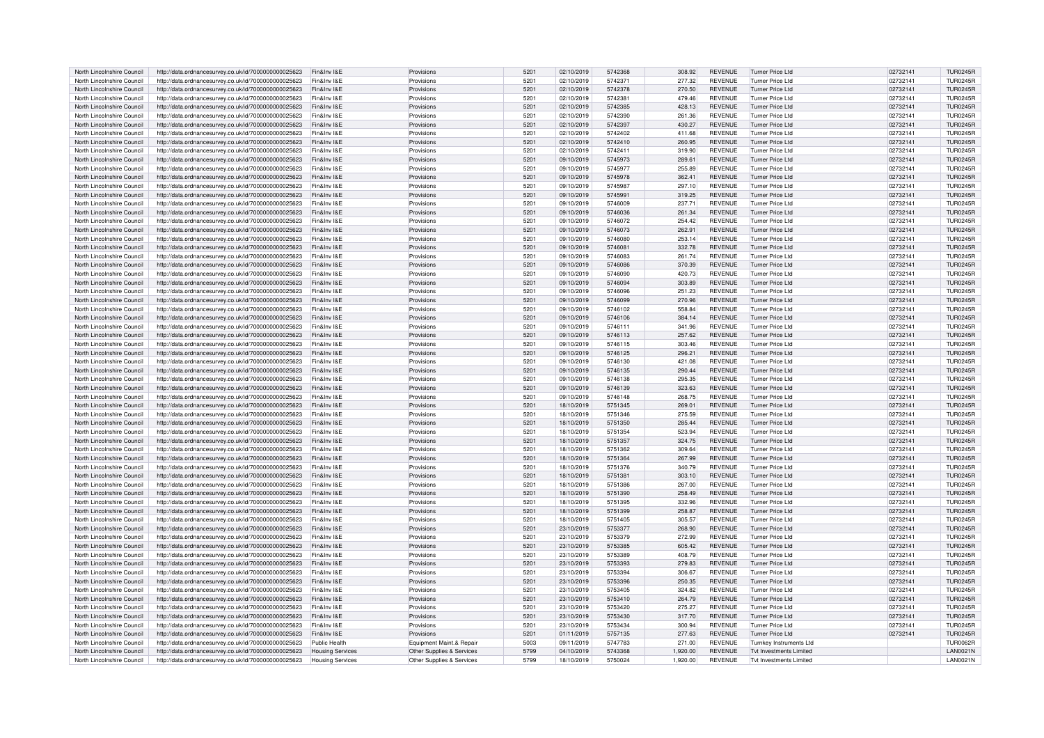| North Lincolnshire Council | http://data.ordnancesurvey.co.uk/id/7000000000025623 | Fin&Inv I&E             | Provisions                | 5201          | 02/10/2019 | 5742368 | 308.92   | <b>REVENUE</b> | <b>Turner Price Ltd</b>        | 02732141 | <b>TUR0245R</b> |
|----------------------------|------------------------------------------------------|-------------------------|---------------------------|---------------|------------|---------|----------|----------------|--------------------------------|----------|-----------------|
| North Lincolnshire Council | http://data.ordnancesurvey.co.uk/id/7000000000025623 | Fin&Inv I&E             | Provisions                | 5201          | 02/10/2019 | 5742371 | 277.32   | <b>REVENUE</b> | <b>Turner Price Ltd</b>        | 02732141 | <b>TUR0245R</b> |
| North Lincolnshire Council | http://data.ordnancesurvey.co.uk/id/7000000000025623 | Fin&Inv I&E             | Provisions                | 5201          | 02/10/2019 | 5742378 | 270.50   | <b>REVENUE</b> | <b>Turner Price Ltd</b>        | 02732141 | <b>TUR0245R</b> |
| North Lincolnshire Council | http://data.ordnancesurvey.co.uk/id/7000000000025623 | Fin&Inv I&F             | Provisions                | 5201          | 02/10/2019 | 5742381 | 479.46   | REVENUE        | <b>Turner Price Ltd</b>        | 02732141 | <b>TUR0245R</b> |
| North Lincolnshire Council | http://data.ordnancesurvey.co.uk/id/7000000000025623 | Fin&Inv I&E             | Provisions                | 5201          | 02/10/2019 | 5742385 | 428.13   | <b>REVENUE</b> | <b>Turner Price Ltd</b>        | 02732141 | <b>TUR0245R</b> |
| North Lincolnshire Council | http://data.ordnancesurvey.co.uk/id/7000000000025623 | Fin&Inv I&E             | Provisions                | 5201          | 02/10/2019 | 5742390 | 261.36   | <b>REVENUE</b> | Turner Price Ltd               | 02732141 | <b>TUR0245R</b> |
| North Lincolnshire Council | http://data.ordnancesurvey.co.uk/id/7000000000025623 | Fin&Inv I&E             | Provisions                | 5201          | 02/10/2019 | 5742397 | 430.27   | <b>REVENUE</b> | <b>Turner Price Ltd</b>        | 02732141 | <b>TUR0245R</b> |
| North Lincolnshire Council | http://data.ordnancesurvey.co.uk/id/7000000000025623 | Fin&Inv I&F             | Provisions                | 5201          | 02/10/2019 | 5742402 | 411.68   | <b>REVENUE</b> | Turner Price Ltd               | 02732141 | <b>TUR0245R</b> |
| North Lincolnshire Council | http://data.ordnancesurvey.co.uk/id/7000000000025623 | Fin&Inv I&E             | Provisions                | 5201          | 02/10/2019 | 5742410 | 260.95   | <b>REVENUE</b> | <b>Turner Price Ltd</b>        | 02732141 | <b>TUR0245R</b> |
| North Lincolnshire Council | http://data.ordnancesurvey.co.uk/id/7000000000025623 | Fin&Inv I&F             | Provisions                | 5201          | 02/10/2019 | 5742411 | 319.90   | REVENUE        | Turner Price Ltd               | 02732141 | TUR0245R        |
| North Lincolnshire Council | http://data.ordnancesurvey.co.uk/id/7000000000025623 | Fin&Inv I&F             | Provisions                | 5201          | 09/10/2019 | 5745973 | 289.61   | <b>REVENUE</b> | <b>Turner Price Ltd</b>        | 02732141 | <b>TUR0245R</b> |
| North Lincolnshire Council | http://data.ordnancesurvey.co.uk/id/7000000000025623 | Fin&Inv I&E             | Provisions                | 5201          | 09/10/2019 | 5745977 | 255.89   | REVENUE        | <b>Turner Price Ltd</b>        | 02732141 | <b>TUR0245R</b> |
| North Lincolnshire Council | http://data.ordnancesurvey.co.uk/id/7000000000025623 | Fin&Inv I&E             | Provisions                | 5201          | 09/10/2019 | 5745978 | 362.41   | <b>REVENUE</b> | Turner Price Ltd               | 02732141 | <b>TUR0245R</b> |
| North Lincolnshire Council | http://data.ordnancesurvey.co.uk/id/7000000000025623 | Fin&Inv I&E             | Provisions                | 5201          | 09/10/2019 | 5745987 | 297.10   | <b>REVENUE</b> | <b>Turner Price Ltd</b>        | 02732141 | <b>TUR0245R</b> |
| North Lincolnshire Council | http://data.ordnancesurvey.co.uk/id/7000000000025623 | Fin&Inv I&E             | Provisions                | 5201          | 09/10/2019 | 5745991 | 319.25   | <b>REVENUE</b> | <b>Turner Price Ltd</b>        | 02732141 | <b>TUR0245R</b> |
| North Lincolnshire Council | http://data.ordnancesurvey.co.uk/id/7000000000025623 | Fin&Inv I&F             | Provisions                | 5201          | 09/10/2019 | 5746009 | 237.71   | <b>REVENUE</b> | Turner Price Ltd               | 02732141 | <b>TUR0245R</b> |
| North Lincolnshire Council | http://data.ordnancesurvey.co.uk/id/7000000000025623 | Fin&Inv I&E             | Provisions                | 5201          | 09/10/2019 | 5746036 | 261.34   | <b>REVENUE</b> | <b>Turner Price Ltd</b>        | 02732141 | <b>TUR0245R</b> |
| North Lincolnshire Council | http://data.ordnancesurvey.co.uk/id/7000000000025623 | Fin&Inv I&E             | Provisions                | 5201          | 09/10/2019 | 5746072 | 254.42   | <b>REVENUE</b> | <b>Turner Price Ltd</b>        | 02732141 | <b>TUR0245R</b> |
| North Lincolnshire Council | http://data.ordnancesurvey.co.uk/id/7000000000025623 | Fin&Inv I&E             | Provisions                | 5201          | 09/10/2019 | 5746073 | 262.91   | <b>REVENUE</b> | <b>Turner Price Ltd</b>        | 02732141 | <b>TUR0245R</b> |
| North Lincolnshire Council | http://data.ordnancesurvey.co.uk/id/7000000000025623 | Fin&Inv I&F             | Provisions                | 520           | 09/10/2019 | 5746080 | 253.14   | REVENUE        | Turner Price Ltd               | 02732141 | <b>TUR0245R</b> |
| North Lincolnshire Council | http://data.ordnancesurvey.co.uk/id/7000000000025623 | Fin&Inv I&E             | Provisions                | 5201          | 09/10/2019 | 5746081 | 332.78   | <b>REVENUE</b> | <b>Turner Price Ltd</b>        | 02732141 | <b>TUR0245R</b> |
| North Lincolnshire Council | http://data.ordnancesurvey.co.uk/id/7000000000025623 | Fin&Inv I&E             | Provisions                | 5201          | 09/10/2019 | 5746083 | 261.74   | <b>REVENUE</b> | <b>Turner Price Ltd</b>        | 02732141 | <b>TUR0245R</b> |
| North Lincolnshire Council | http://data.ordnancesurvey.co.uk/id/7000000000025623 | Fin&Inv I&E             | Provisions                | 5201          | 09/10/2019 | 5746086 | 370.39   | <b>REVENUE</b> | Turner Price Ltd               | 02732141 | <b>TUR0245R</b> |
| North Lincolnshire Council | http://data.ordnancesurvey.co.uk/id/7000000000025623 | Fin&Inv I&E             | Provisions                | 5201          | 09/10/2019 | 5746090 | 420.73   | <b>REVENUE</b> | <b>Turner Price Ltd</b>        | 02732141 | <b>TUR0245R</b> |
| North Lincolnshire Council | http://data.ordnancesurvey.co.uk/id/7000000000025623 | Fin&Inv I&F             | Provisions                | 5201          | 09/10/2019 | 5746094 | 303.89   | <b>REVENUE</b> | <b>Turner Price Ltd</b>        | 02732141 | <b>TUR0245R</b> |
| North Lincolnshire Council | http://data.ordnancesurvey.co.uk/id/7000000000025623 | Fin&Inv I&E             | Provisions                | 5201          | 09/10/2019 | 5746096 | 251.23   | <b>REVENUE</b> | Turner Price Ltd               | 02732141 | <b>TUR0245R</b> |
| North Lincolnshire Council | http://data.ordnancesurvey.co.uk/id/7000000000025623 | Fin&Inv I&E             | Provisions                | 520           | 09/10/2019 | 5746099 | 270.96   | <b>REVENUE</b> | <b>Turner Price Ltd</b>        | 02732141 | <b>TUR0245R</b> |
| North Lincolnshire Council | http://data.ordnancesurvey.co.uk/id/7000000000025623 | Fin&Inv I&E             | Provisions                | 5201          | 09/10/2019 | 5746102 | 558.84   | <b>REVENUE</b> | <b>Turner Price Ltd</b>        | 02732141 | <b>TUR0245R</b> |
| North Lincolnshire Council | http://data.ordnancesurvey.co.uk/id/7000000000025623 | Fin&Inv I&E             | Provisions                | 5201          | 09/10/2019 | 5746106 | 384.14   | <b>REVENUE</b> | <b>Turner Price Ltd</b>        | 02732141 | <b>TUR0245R</b> |
| North Lincolnshire Council | http://data.ordnancesurvey.co.uk/id/7000000000025623 | Fin&Inv I&F             | Provisions                | 520           | 09/10/2019 | 5746111 | 341.96   | <b>REVENUE</b> | Turner Price Ltd               | 02732141 | <b>TUR0245R</b> |
| North Lincolnshire Council | http://data.ordnancesurvey.co.uk/id/7000000000025623 | Fin&Inv I&E             | Provisions                | 5201          | 09/10/2019 | 5746113 | 257.62   | <b>REVENUE</b> | <b>Turner Price Ltd</b>        | 02732141 | <b>TUR0245R</b> |
| North Lincolnshire Council | http://data.ordnancesurvey.co.uk/id/7000000000025623 | Fin&Inv I&E             | Provisions                | 5201          | 09/10/2019 | 5746115 | 303.46   | <b>REVENUE</b> | <b>Turner Price Ltd</b>        | 02732141 | <b>TUR0245R</b> |
| North Lincolnshire Council | http://data.ordnancesurvey.co.uk/id/7000000000025623 | Fin&Inv I&E             | Provisions                | 5201          | 09/10/2019 | 5746125 | 296.21   | <b>REVENUE</b> | Turner Price Ltd               | 02732141 | <b>TUR0245R</b> |
| North Lincolnshire Council | http://data.ordnancesurvey.co.uk/id/7000000000025623 | Fin&Inv I&E             | Provisions                | 5201          | 09/10/2019 | 5746130 | 421.08   | <b>REVENUE</b> | <b>Turner Price Ltd</b>        | 02732141 | <b>TUR0245R</b> |
| North Lincolnshire Council | http://data.ordnancesurvey.co.uk/id/7000000000025623 | Fin&Inv I&F             | Provisions                | 5201          | 09/10/2019 | 5746135 | 290.44   | <b>REVENUE</b> | Turner Price Ltd               | 02732141 | <b>TUR0245R</b> |
| North Lincolnshire Council | http://data.ordnancesurvey.co.uk/id/7000000000025623 | Fin&Inv I&F             | Provisions                | 5201          | 09/10/2019 | 5746138 | 295.35   | <b>REVENUE</b> | Turner Price Ltd               | 02732141 | TUR0245R        |
| North Lincolnshire Council | http://data.ordnancesurvey.co.uk/id/7000000000025623 | Fin&Inv I&E             | Provisions                | 5201          | 09/10/2019 | 5746139 | 323.63   | <b>REVENUE</b> | <b>Turner Price Ltd</b>        | 02732141 | <b>TUR0245R</b> |
| North Lincolnshire Council | http://data.ordnancesurvey.co.uk/id/7000000000025623 | Fin&Inv I&E             | Provisions                | 5201          | 09/10/2019 | 5746148 | 268.75   | <b>REVENUE</b> | <b>Turner Price Ltd</b>        | 02732141 | <b>TUR0245R</b> |
| North Lincolnshire Council | http://data.ordnancesurvey.co.uk/id/7000000000025623 | Fin&Inv I&E             | Provisions                | 5201          | 18/10/2019 | 5751345 | 269.01   | <b>REVENUE</b> | <b>Turner Price Ltd</b>        | 02732141 | <b>TUR0245R</b> |
| North Lincolnshire Council | http://data.ordnancesurvey.co.uk/id/7000000000025623 | Fin&Inv I&F             | Provisions                | 520           | 18/10/2019 | 5751346 | 275.59   | <b>REVENUE</b> | Turner Price Ltd               | 02732141 | <b>TUR0245R</b> |
| North Lincolnshire Council | http://data.ordnancesurvey.co.uk/id/7000000000025623 | Fin&Inv I&E             | Provisions                | 5201          | 18/10/2019 | 5751350 | 285.44   | <b>REVENUE</b> | Turner Price Ltd               | 02732141 | <b>TUR0245R</b> |
| North Lincolnshire Council | http://data.ordnancesurvey.co.uk/id/7000000000025623 | Fin&Inv I&E             | Provisions                | 5201          | 18/10/2019 | 5751354 | 523.94   | <b>REVENUE</b> | <b>Turner Price Ltd</b>        | 02732141 | <b>TUR0245R</b> |
| North Lincolnshire Council | http://data.ordnancesurvey.co.uk/id/7000000000025623 | Fin&Inv I&F             | Provisions                | 5201          | 18/10/2019 | 5751357 | 324.75   | <b>REVENUE</b> | <b>Turner Price Ltd</b>        | 02732141 | <b>TUR0245R</b> |
| North Lincolnshire Council | http://data.ordnancesurvey.co.uk/id/7000000000025623 | Fin&Inv I&E             | Provisions                | 5201          | 18/10/2019 | 5751362 | 309.64   | <b>REVENUE</b> | <b>Turner Price Ltd</b>        | 02732141 | <b>TUR0245R</b> |
| North Lincolnshire Council | http://data.ordnancesurvey.co.uk/id/7000000000025623 | Fin&Inv I&F             | Provisions                | 5201          | 18/10/2019 | 5751364 | 267.99   | <b>REVENUE</b> | Turner Price Ltd               | 02732141 | <b>TUR0245R</b> |
| North Lincolnshire Council | http://data.ordnancesurvey.co.uk/id/7000000000025623 | Fin&Inv I&F             | Provisions                | 520           | 18/10/2019 | 5751376 | 340.79   | <b>REVENUE</b> | Turner Price Ltd               | 02732141 | <b>TUR0245R</b> |
| North Lincolnshire Council | http://data.ordnancesurvey.co.uk/id/7000000000025623 | Fin&Inv I&E             | Provisions                | 5201          | 18/10/2019 | 5751381 | 303.10   | <b>REVENUE</b> | <b>Turner Price Ltd</b>        | 02732141 | <b>TUR0245R</b> |
| North Lincolnshire Council | http://data.ordnancesurvey.co.uk/id/7000000000025623 | Fin&Inv I&E             | Provisions                | 5201          | 18/10/2019 | 5751386 | 267.00   | <b>REVENUE</b> | Turner Price Ltd               | 02732141 | <b>TUR0245R</b> |
| North Lincolnshire Council | http://data.ordnancesurvey.co.uk/id/7000000000025623 | Fin&Inv I&E             | Provisions                | 5201          | 18/10/2019 | 5751390 | 258.49   | <b>REVENUE</b> | Turner Price Ltd               | 02732141 | <b>TUR0245R</b> |
| North Lincolnshire Council | http://data.ordnancesurvey.co.uk/id/7000000000025623 | Fin&Inv I&F             | Provisions                | 520           | 18/10/2019 | 5751395 | 332.96   | <b>REVENUE</b> | <b>Turner Price Ltd</b>        | 02732141 | <b>TUR0245R</b> |
| North Lincolnshire Council | http://data.ordnancesurvey.co.uk/id/7000000000025623 | Fin&Inv I&E             | Provisions                | 5201          | 18/10/2019 | 5751399 | 258.87   | <b>REVENUE</b> | <b>Turner Price Ltd</b>        | 02732141 | <b>TUR0245R</b> |
| North Lincolnshire Council | http://data.ordnancesurvey.co.uk/id/7000000000025623 | Fin&Inv I&F             | Provisions                | $520^{\circ}$ | 18/10/2019 | 5751405 | 305.57   | <b>REVENUE</b> | <b>Turner Price Ltd</b>        | 02732141 | <b>TUR0245R</b> |
| North Lincolnshire Council | http://data.ordnancesurvey.co.uk/id/7000000000025623 | Fin&Inv I&E             | Provisions                | 5201          | 23/10/2019 | 5753377 | 268.90   | <b>REVENUE</b> | <b>Turner Price Ltd</b>        | 02732141 | <b>TUR0245R</b> |
| North Lincolnshire Council | http://data.ordnancesurvey.co.uk/id/7000000000025623 | Fin&Inv I&E             | Provisions                | 5201          | 23/10/2019 | 5753379 | 272.99   | <b>REVENUE</b> | <b>Turner Price Ltd</b>        | 02732141 | <b>TUR0245R</b> |
| North Lincolnshire Council | http://data.ordnancesurvey.co.uk/id/7000000000025623 | Fin&Inv I&F             | Provisions                | 5201          | 23/10/2019 | 5753385 | 605.42   | <b>REVENUE</b> | Turner Price Ltd               | 02732141 | <b>TUR0245R</b> |
| North Lincolnshire Council | http://data.ordnancesurvey.co.uk/id/7000000000025623 | Fin&Inv I&F             | Provisions                | 5201          | 23/10/2019 | 5753389 | 408.79   | <b>REVENUE</b> | Turner Price I td              | 02732141 | TLIR0245B       |
| North Lincolnshire Council | http://data.ordnancesurvey.co.uk/id/7000000000025623 | Fin&Inv I&E             | Provisions                | 5201          | 23/10/2019 | 5753393 | 279.83   | <b>REVENUE</b> | <b>Turner Price Ltd</b>        | 02732141 | <b>TUR0245R</b> |
| North Lincolnshire Council | http://data.ordnancesurvey.co.uk/id/7000000000025623 | Fin&Inv I&E             | Provisions                | 5201          | 23/10/2019 | 5753394 | 306.67   | <b>REVENUE</b> | Turner Price Ltd               | 02732141 | <b>TUR0245R</b> |
| North Lincolnshire Council | http://data.ordnancesurvey.co.uk/id/7000000000025623 | Fin&Inv I&E             | Provisions                | 5201          | 23/10/2019 | 5753396 | 250.35   | <b>REVENUE</b> | <b>Turner Price Ltd</b>        | 02732141 | <b>TUR0245R</b> |
| North Lincolnshire Council | http://data.ordnancesurvey.co.uk/id/7000000000025623 | Fin&Inv I&F             | Provisions                | 520           | 23/10/2019 | 5753405 | 324.82   | <b>REVENUE</b> | <b>Turner Price Ltd</b>        | 02732141 | <b>TUR0245R</b> |
| North Lincolnshire Council | http://data.ordnancesurvey.co.uk/id/7000000000025623 | Fin&Inv I&F             | Provisions                | 5201          | 23/10/2019 | 5753410 | 264.79   | <b>REVENUE</b> | Turner Price Ltd               | 02732141 | <b>TUR0245R</b> |
| North Lincolnshire Council | http://data.ordnancesurvey.co.uk/id/7000000000025623 | Fin&Inv I&F             | Provisions                | $520^{\circ}$ | 23/10/2019 | 5753420 | 275.27   | <b>REVENUE</b> | <b>Turner Price Ltd</b>        | 02732141 | <b>TUR0245R</b> |
| North Lincolnshire Council | http://data.ordnancesurvey.co.uk/id/7000000000025623 | Fin&Inv I&E             | Provisions                | 5201          | 23/10/2019 | 5753430 | 317.70   | <b>REVENUE</b> | <b>Turner Price Ltd</b>        | 02732141 | <b>TUR0245R</b> |
| North Lincolnshire Council | http://data.ordnancesurvey.co.uk/id/7000000000025623 | Fin&Inv I&E             | Provisions                | 5201          | 23/10/2019 | 5753434 | 300.94   | <b>REVENUE</b> | <b>Turner Price Ltd</b>        | 02732141 | <b>TUR0245R</b> |
| North Lincolnshire Council | http://data.ordnancesurvey.co.uk/id/7000000000025623 | Fin&Inv I&F             | Provisions                | 5201          | 01/11/2019 | 5757135 | 277.63   | <b>REVENUE</b> | Turner Price Ltd               | 02732141 | <b>TUR0245R</b> |
| North Lincolnshire Council | http://data.ordnancesurvey.co.uk/id/7000000000025623 | <b>Public Health</b>    | Equipment Maint.& Repair  | 5003          | 09/11/2019 | 5747783 | 271.00   | <b>REVENUE</b> | <b>Turnkey Instruments Ltd</b> |          | THR0062R        |
| North Lincolnshire Council | http://data.ordnancesurvey.co.uk/id/7000000000025623 | <b>Housing Services</b> | Other Supplies & Services | 5799          | 04/10/2019 | 5743368 | 1,920.00 | <b>REVENUE</b> | <b>Tvt Investments Limited</b> |          | LAN0021N        |
| North Lincolnshire Council | http://data.ordnancesurvey.co.uk/id/7000000000025623 | <b>Housing Services</b> | Other Supplies & Services | 5799          | 18/10/2019 | 5750024 | 1.920.00 | <b>REVENUE</b> | <b>Tvt Investments Limited</b> |          | <b>LAN0021N</b> |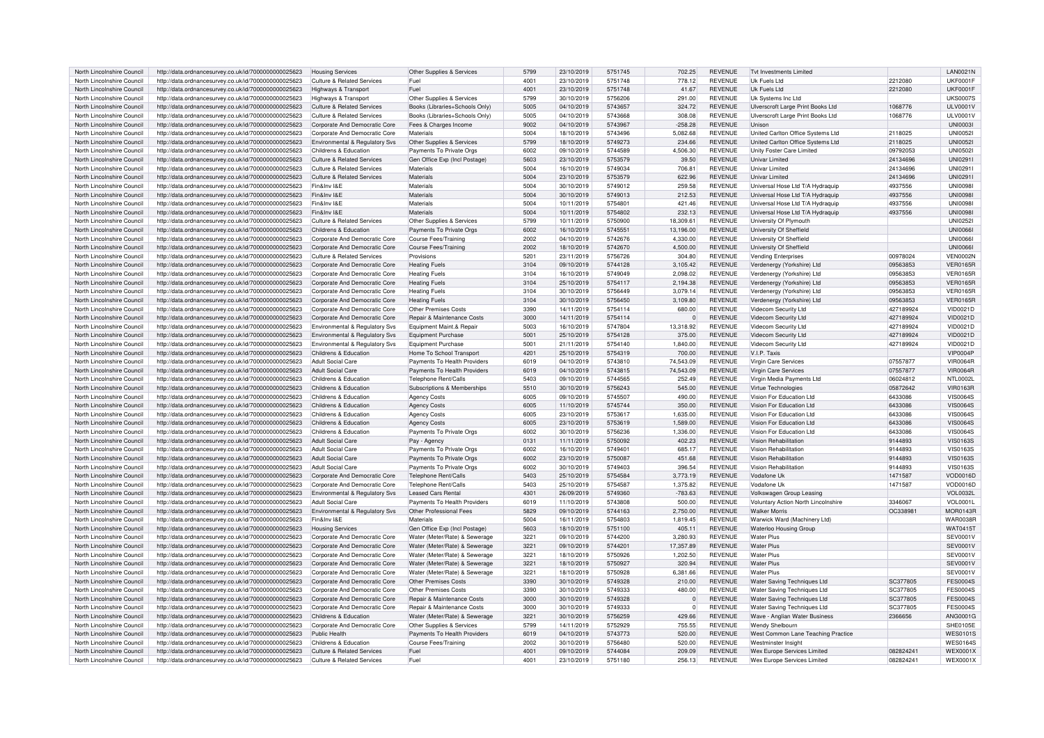| North Lincolnshire Council | http://data.ordnancesurvey.co.uk/id/7000000000025623 | <b>Housing Services</b>                   | Other Supplies & Services             | 5799 | 23/10/2019 | 5751745 | 702.25    | <b>REVENUE</b> | <b>Tvt Investments Limited</b>      |           | <b>LAN0021N</b> |
|----------------------------|------------------------------------------------------|-------------------------------------------|---------------------------------------|------|------------|---------|-----------|----------------|-------------------------------------|-----------|-----------------|
| North Lincolnshire Council | http://data.ordnancesurvey.co.uk/id/7000000000025623 | Culture & Related Services                | Fuel                                  | 4001 | 23/10/2019 | 5751748 | 778.12    | <b>REVENUE</b> | Uk Fuels Ltd                        | 2212080   | <b>UKF0001F</b> |
|                            |                                                      |                                           |                                       |      |            |         |           |                |                                     |           |                 |
| North Lincolnshire Council | http://data.ordnancesurvey.co.uk/id/7000000000025623 | Highways & Transport                      | Fuel                                  | 4001 | 23/10/2019 | 5751748 | 41.67     | <b>REVENUE</b> | Uk Fuels Ltd                        | 2212080   | <b>UKF0001F</b> |
| North Lincolnshire Council | http://data.ordnancesurvey.co.uk/id/7000000000025623 | Highways & Transport                      | Other Supplies & Services             | 5799 | 30/10/2019 | 5756206 | 291.00    | <b>REVENUE</b> | Uk Systems Inc Ltd                  |           | <b>UKS0007S</b> |
| North Lincolnshire Council | http://data.ordnancesurvey.co.uk/id/7000000000025623 | Culture & Related Services                | Books (Libraries+Schools Only)        | 5005 | 04/10/2019 | 5743657 | 324.72    | <b>REVENUE</b> | Ulverscroft Large Print Books Ltd   | 1068776   | <b>ULV0001V</b> |
| North Lincolnshire Council | http://data.ordnancesurvey.co.uk/id/7000000000025623 | Culture & Related Services                | Books (Libraries+Schools Only)        | 5005 | 04/10/2019 | 5743668 | 308.08    | <b>REVENUE</b> | Ulverscroft Large Print Books Ltd   | 1068776   | ULV0001\        |
| North Lincolnshire Council | http://data.ordnancesurvey.co.uk/id/7000000000025623 | Corporate And Democratic Core             | Fees & Charges Income                 | 9002 | 04/10/2019 | 5743967 | $-258.28$ | <b>REVENUE</b> | <b>Ilnison</b>                      |           | <b>UNI0003I</b> |
|                            |                                                      |                                           |                                       |      |            |         |           |                |                                     |           |                 |
| North Lincolnshire Council | http://data.ordnancesurvey.co.uk/id/7000000000025623 | Corporate And Democratic Core             | Materials                             | 5004 | 18/10/2019 | 5743496 | 5,082.68  | <b>REVENUE</b> | United Carlton Office Systems Ltd   | 2118025   | <b>UNI0052</b>  |
| North Lincolnshire Council | http://data.ordnancesurvey.co.uk/id/7000000000025623 | Environmental & Regulatory Svs            | Other Supplies & Services             | 5799 | 18/10/2019 | 5749273 | 234.66    | <b>REVENUE</b> | United Carlton Office Systems Ltd   | 2118025   | <b>UNI0052</b>  |
| North Lincolnshire Council | http://data.ordnancesurvey.co.uk/id/7000000000025623 | Childrens & Education                     | Payments To Private Orgs              | 6002 | 09/10/2019 | 5744589 | 4,506.30  | <b>REVENUE</b> | Unity Foster Care Limited           | 09792053  | <b>UNI05021</b> |
| North Lincolnshire Counci  | http://data.ordnancesurvey.co.uk/id/7000000000025623 | Culture & Related Services                | Gen Office Exp (Incl Postage)         | 5603 | 23/10/2019 | 5753579 | 39.50     | <b>REVENUE</b> | Univar Limited                      | 24134696  | UNI0291         |
| North Lincolnshire Council | http://data.ordnancesurvey.co.uk/id/7000000000025623 | Culture & Related Services                | Materials                             | 5004 | 16/10/2019 | 5749034 | 706.81    | REVENUE        | Univar Limited                      | 24134696  | UNI0291         |
| North Lincolnshire Council | http://data.ordnancesurvey.co.uk/id/7000000000025623 | <b>Culture &amp; Related Services</b>     | Materials                             | 5004 | 23/10/2019 | 5753579 | 622.96    | <b>REVENUE</b> | Univar Limited                      | 24134696  | UNI0291         |
|                            |                                                      |                                           |                                       |      |            |         |           |                |                                     |           |                 |
| North Lincolnshire Council | http://data.ordnancesurvey.co.uk/id/7000000000025623 | Fin&Inv I&E                               | Materials                             | 5004 | 30/10/2019 | 5749012 | 259.58    | <b>REVENUE</b> | Universal Hose Ltd T/A Hydraguip    | 4937556   | <b>UNI0098</b>  |
| North Lincolnshire Council | http://data.ordnancesurvey.co.uk/id/7000000000025623 | Fin&Inv I&E                               | Materials                             | 5004 | 30/10/2019 | 5749013 | 212.53    | <b>REVENUE</b> | Universal Hose Ltd T/A Hydraquip    | 4937556   | <b>UNI00981</b> |
| North Lincolnshire Council | http://data.ordnancesurvey.co.uk/id/7000000000025623 | Fin&Inv I&F                               | Materials                             | 5004 | 10/11/2019 | 575480  | 421.46    | <b>REVENUE</b> | Universal Hose Ltd T/A Hydraguip    | 4937556   | <b>UNI0098</b>  |
| North Lincolnshire Council | http://data.ordnancesurvey.co.uk/id/7000000000025623 | Fin&Inv I&E                               | Materials                             | 5004 | 10/11/2019 | 5754802 | 232.13    | <b>REVENUE</b> | Universal Hose Ltd T/A Hydraquip    | 4937556   | <b>UNI0098</b>  |
| North Lincolnshire Council | http://data.ordnancesurvey.co.uk/id/7000000000025623 | <b>Culture &amp; Related Services</b>     | Other Supplies & Services             | 5799 | 10/11/2019 | 5750900 | 18,309.61 | <b>REVENUE</b> | University Of Plymouth              |           | UNI0252         |
| North Lincolnshire Council | http://data.ordnancesurvey.co.uk/id/7000000000025623 | Childrens & Education                     | Payments To Private Orgs              | 6002 | 16/10/2019 | 5745551 | 13,196.00 | <b>REVENUE</b> | University Of Sheffield             |           | <b>UNI0066</b>  |
|                            |                                                      |                                           |                                       | 2002 |            |         |           |                |                                     |           | <b>UNI0066</b>  |
| North Lincolnshire Council | http://data.ordnancesurvey.co.uk/id/7000000000025623 | Corporate And Democratic Core             | Course Fees/Training                  |      | 04/10/2019 | 5742676 | 4,330.00  | REVENUE        | University Of Sheffield             |           |                 |
| North Lincolnshire Council | http://data.ordnancesurvey.co.uk/id/7000000000025623 | Corporate And Democratic Core             | Course Fees/Training                  | 2002 | 18/10/2019 | 5742670 | 4,500.00  | <b>REVENUE</b> | University Of Sheffield             |           | <b>UNI0066</b>  |
| North Lincolnshire Council | http://data.ordnancesurvey.co.uk/id/7000000000025623 | Culture & Related Services                | Provisions                            | 5201 | 23/11/2019 | 5756726 | 304.80    | <b>REVENUE</b> | <b>Vending Enterprises</b>          | 00978024  | VFN0002N        |
| North Lincolnshire Council | http://data.ordnancesurvey.co.uk/id/7000000000025623 | Corporate And Democratic Core             | <b>Heating Fuels</b>                  | 3104 | 09/10/2019 | 5744128 | 3,105.42  | <b>REVENUE</b> | Verdenergy (Yorkshire) Ltd          | 09563853  | <b>VER0165R</b> |
| North Lincolnshire Council | http://data.ordnancesurvey.co.uk/id/7000000000025623 | Corporate And Democratic Core             | <b>Heating Fuels</b>                  | 3104 | 16/10/2019 | 5749049 | 2.098.02  | <b>REVENUE</b> | Verdenergy (Yorkshire) Ltd          | 09563853  | <b>VER0165R</b> |
| North Lincolnshire Council | http://data.ordnancesurvey.co.uk/id/7000000000025623 | Corporate And Democratic Core             | <b>Heating Fuels</b>                  | 3104 | 25/10/2019 | 5754117 | 2,194.38  | <b>REVENUE</b> | Verdenergy (Yorkshire) Ltd          | 09563853  | <b>VER0165R</b> |
|                            |                                                      |                                           |                                       |      |            |         |           |                |                                     |           |                 |
| North Lincolnshire Council | http://data.ordnancesurvey.co.uk/id/7000000000025623 | Corporate And Democratic Core             | <b>Heating Fuels</b>                  | 3104 | 30/10/2019 | 5756449 | 3.079.14  | <b>REVENUE</b> | Verdenergy (Yorkshire) Ltd          | 09563853  | <b>VER0165R</b> |
| North Lincolnshire Council | http://data.ordnancesurvey.co.uk/id/7000000000025623 | Corporate And Democratic Core             | <b>Heating Fuels</b>                  | 3104 | 30/10/2019 | 5756450 | 3,109.80  | <b>REVENUE</b> | Verdenergy (Yorkshire) Ltd          | 09563853  | <b>VER0165R</b> |
| North Lincolnshire Council | http://data.ordnancesurvey.co.uk/id/7000000000025623 | Corporate And Democratic Core             | Other Premises Costs                  | 3390 | 14/11/2019 | 5754114 | 680.00    | <b>REVENUE</b> | Videcom Security Ltd                | 427189924 | VID0021D        |
| North Lincolnshire Council | http://data.ordnancesurvey.co.uk/id/7000000000025623 | Corporate And Democratic Core             | Repair & Maintenance Costs            | 3000 | 14/11/2019 | 5754114 | $\Omega$  | <b>REVENUE</b> | Videcom Security Ltd                | 427189924 | VID0021D        |
| North Lincolnshire Council | http://data.ordnancesurvey.co.uk/id/7000000000025623 | Environmental & Regulatory Svs            | Equipment Maint.& Repair              | 5003 | 16/10/2019 | 5747804 | 13,318.92 | <b>REVENUE</b> | Videcom Security Ltd                | 427189924 | VID0021D        |
| North Lincolnshire Council | http://data.ordnancesurvey.co.uk/id/7000000000025623 | Environmental & Regulatory Svs            | Equipment Purchase                    | 5001 | 25/10/2019 | 5754128 | 375.00    | <b>REVENUE</b> | Videcom Security Ltd                | 427189924 | VID0021D        |
|                            |                                                      |                                           |                                       |      |            |         |           |                |                                     |           |                 |
| North Lincolnshire Council | http://data.ordnancesurvey.co.uk/id/7000000000025623 | Environmental & Regulatory Svs            | Equipment Purchase                    | 5001 | 21/11/2019 | 5754140 | 1,840.00  | <b>REVENUE</b> | Videcom Security Ltd                | 427189924 | VID0021D        |
| North Lincolnshire Council | http://data.ordnancesurvey.co.uk/id/7000000000025623 | Childrens & Education                     | Home To School Transport              | 4201 | 25/10/2019 | 5754319 | 700.00    | <b>REVENUE</b> | V.I.P. Taxis                        |           | <b>VIP0004P</b> |
| North Lincolnshire Council | http://data.ordnancesurvey.co.uk/id/7000000000025623 | <b>Adult Social Care</b>                  | Payments To Health Providers          | 6019 | 04/10/2019 | 5743810 | 74.543.09 | <b>REVENUE</b> | Virgin Care Services                | 07557877  | <b>VIR0064R</b> |
| North Lincolnshire Council | http://data.ordnancesurvey.co.uk/id/7000000000025623 | <b>Adult Social Care</b>                  | Payments To Health Providers          | 6019 | 04/10/2019 | 5743815 | 74,543.09 | <b>REVENUE</b> | Virgin Care Services                | 07557877  | <b>VIR0064R</b> |
| North Lincolnshire Council | http://data.ordnancesurvey.co.uk/id/7000000000025623 | Childrens & Education                     | Telephone Rent/Calls                  | 5403 | 09/10/2019 | 5744565 | 252.49    | <b>REVENUE</b> | Virgin Media Payments Ltd           | 06024812  | <b>NTL0002L</b> |
| North Lincolnshire Council | http://data.ordnancesurvey.co.uk/id/7000000000025623 | Childrens & Education                     | Subscriptions & Memberships           | 5510 | 30/10/2019 | 5756243 | 545.00    | <b>REVENUE</b> | Virtue Technologies                 | 05872642  | <b>VIR0163R</b> |
| North Lincolnshire Council | http://data.ordnancesurvey.co.uk/id/7000000000025623 | Childrens & Education                     | <b>Agency Costs</b>                   | 6005 | 09/10/2019 | 5745507 | 490.00    | <b>REVENUE</b> | Vision For Education Ltd            | 6433086   | <b>VIS0064S</b> |
| North Lincolnshire Council | http://data.ordnancesurvey.co.uk/id/7000000000025623 | Childrens & Education                     |                                       | 6005 | 11/10/2019 | 5745744 | 350.00    | <b>REVENUE</b> | Vision For Education Ltd            | 6433086   | <b>VIS0064S</b> |
|                            |                                                      |                                           | <b>Agency Costs</b>                   |      |            |         |           |                |                                     |           |                 |
| North Lincolnshire Council | http://data.ordnancesurvey.co.uk/id/7000000000025623 | Childrens & Education                     | <b>Agency Costs</b>                   | 6005 | 23/10/2019 | 5753617 | 1,635.00  | <b>REVENUE</b> | Vision For Education Ltd            | 6433086   | <b>VIS0064S</b> |
| North Lincolnshire Council | http://data.ordnancesurvey.co.uk/id/7000000000025623 | Childrens & Education                     | <b>Agency Costs</b>                   | 6005 | 23/10/2019 | 5753619 | 1,589.00  | <b>REVENUE</b> | Vision For Education Ltd            | 6433086   | <b>VIS0064S</b> |
| North Lincolnshire Council | http://data.ordnancesurvey.co.uk/id/7000000000025623 | Childrens & Education                     | Payments To Private Orgs              | 6002 | 30/10/2019 | 5756236 | 1,336.00  | <b>REVENUE</b> | Vision For Education Ltd            | 6433086   | <b>VIS0064S</b> |
| North Lincolnshire Council | http://data.ordnancesurvey.co.uk/id/7000000000025623 | Adult Social Care                         | Pay - Agency                          | 0131 | 11/11/2019 | 5750092 | 402.23    | <b>REVENUE</b> | Vision Rehabilitation               | 9144893   | <b>VIS0163S</b> |
| North Lincolnshire Council | http://data.ordnancesurvey.co.uk/id/7000000000025623 | <b>Adult Social Care</b>                  | Payments To Private Orgs              | 6002 | 16/10/2019 | 5749401 | 685.17    | <b>REVENUE</b> | Vision Rehabilitation               | 9144893   | <b>VIS0163S</b> |
| North Lincolnshire Council | http://data.ordnancesurvey.co.uk/id/7000000000025623 | <b>Adult Social Care</b>                  | Payments To Private Orgs              | 6002 | 23/10/2019 | 5750087 | 451.68    | <b>REVENUE</b> | Vision Rehabilitation               | 9144893   | <b>VIS0163S</b> |
|                            |                                                      |                                           |                                       |      |            |         |           |                |                                     |           |                 |
| North Lincolnshire Council | http://data.ordnancesurvey.co.uk/id/7000000000025623 | <b>Adult Social Care</b>                  | Payments To Private Orgs              | 6002 | 30/10/2019 | 5749403 | 396.54    | <b>REVENUE</b> | Vision Rehabilitation               | 9144893   | <b>VIS0163S</b> |
| North Lincolnshire Council | http://data.ordnancesurvey.co.uk/id/7000000000025623 | Corporate And Democratic Core             | Telephone Rent/Calls                  | 5403 | 25/10/2019 | 5754584 | 3,773.19  | <b>REVENUE</b> | Vodafone Uk                         | 1471587   | VOD0016D        |
| North Lincolnshire Council | http://data.ordnancesurvey.co.uk/id/7000000000025623 | Corporate And Democratic Core             | <b>Telephone Rent/Calls</b>           | 5403 | 25/10/2019 | 5754587 | 1,375.82  | <b>REVENUE</b> | Vodafone Uk                         | 1471587   | VOD0016D        |
| North Lincolnshire Council | http://data.ordnancesurvey.co.uk/id/7000000000025623 | Environmental & Regulatory Svs            | <b>Leased Cars Rental</b>             | 4301 | 26/09/2019 | 5749360 | $-783.63$ | <b>REVENUE</b> | Volkswagen Group Leasing            |           | <b>VOL0032L</b> |
| North Lincolnshire Council | http://data.ordnancesurvey.co.uk/id/7000000000025623 | <b>Adult Social Care</b>                  | Payments To Health Providers          | 6019 | 11/10/2019 | 5743808 | 500.00    | <b>REVENUE</b> | Voluntary Action North Lincolnshire | 3346067   | <b>VOL0001L</b> |
| North Lincolnshire Council | http://data.ordnancesurvey.co.uk/id/7000000000025623 | <b>Environmental &amp; Regulatory Svs</b> | Other Professional Fees               | 5829 | 09/10/2019 | 5744163 | 2,750.00  | <b>REVENUE</b> | <b>Walker Morris</b>                | OC33898   | MOR0143F        |
| North Lincolnshire Council | http://data.ordnancesurvey.co.uk/id/7000000000025623 | Fin&Inv I&E                               | Materials                             | 5004 | 16/11/2019 | 5754803 | 1,819.45  | <b>REVENUE</b> | Warwick Ward (Machinery Ltd)        |           | <b>WAR0038F</b> |
|                            |                                                      |                                           |                                       |      |            |         |           |                |                                     |           |                 |
| North Lincolnshire Council | http://data.ordnancesurvey.co.uk/id/7000000000025623 | <b>Housing Services</b>                   | Gen Office Exp (Incl Postage)         | 5603 | 18/10/2019 | 5751100 | 405.11    | <b>REVENUE</b> | Waterloo Housing Group              |           | WAT0415T        |
| North Lincolnshire Council | http://data.ordnancesurvey.co.uk/id/7000000000025623 | Corporate And Democratic Core             | Water (Meter/Rate) & Sewerage         | 3221 | 09/10/2019 | 5744200 | 3.280.93  | <b>REVENUE</b> | <b>Water Plus</b>                   |           | SEV0001V        |
| North Lincolnshire Council | http://data.ordnancesurvey.co.uk/id/7000000000025623 | Corporate And Democratic Core             | Water (Meter/Rate) & Sewerage         | 3221 | 09/10/2019 | 5744201 | 17,357.89 | <b>REVENUE</b> | <b>Water Plus</b>                   |           | SEV0001\        |
| North Lincolnshire Council | http://data.ordnancesurvey.co.uk/id/7000000000025623 | Corporate And Democratic Core             | Water (Meter/Rate) & Sewerage         | 3221 | 18/10/2019 | 5750926 | 1,202.50  | <b>REVENUE</b> | <b>Water Plus</b>                   |           | <b>SEV0001V</b> |
| North Lincolnshire Council | http://data.ordnancesurvey.co.uk/id/7000000000025623 | Corporate And Democratic Core             | Water (Meter/Rate) & Sewerage         | 3221 | 18/10/2019 | 5750927 | 320.94    | <b>REVENUE</b> | <b>Water Plus</b>                   |           | <b>SEV0001V</b> |
| North Lincolnshire Council |                                                      |                                           | Water (Meter/Rate) & Sewerage         | 3221 | 18/10/2019 | 5750928 | 6,381.66  | <b>REVENUE</b> | <b>Water Plus</b>                   |           | SEV0001\        |
|                            | http://data.ordnancesurvey.co.uk/id/7000000000025623 | Corporate And Democratic Core             |                                       |      |            |         |           |                |                                     |           |                 |
| North Lincolnshire Council | http://data.ordnancesurvey.co.uk/id/7000000000025623 | Corporate And Democratic Core             | Other Premises Costs                  | 3390 | 30/10/2019 | 5749328 | 210.00    | <b>REVENUE</b> | Water Saving Techniques Ltd         | SC377805  | <b>FES0004S</b> |
| North Lincolnshire Council | http://data.ordnancesurvey.co.uk/id/7000000000025623 | Corporate And Democratic Core             | Other Premises Costs                  | 3390 | 30/10/2019 | 5749333 | 480.00    | <b>REVENUE</b> | Water Saving Techniques Ltd         | SC377805  | <b>FES0004S</b> |
| North Lincolnshire Council | http://data.ordnancesurvey.co.uk/id/7000000000025623 | Corporate And Democratic Core             | <b>Benair &amp; Maintenance Costs</b> | 3000 | 30/10/2019 | 5749328 |           | <b>REVENUE</b> | Water Saving Techniques Ltd         | SC377805  | <b>FES0004S</b> |
| North Lincolnshire Council | http://data.ordnancesurvey.co.uk/id/7000000000025623 | Corporate And Democratic Core             | Repair & Maintenance Costs            | 3000 | 30/10/2019 | 5749333 | $\Omega$  | <b>REVENUE</b> | Water Saving Techniques Ltd         | SC377805  | <b>FES0004S</b> |
| North Lincolnshire Council | http://data.ordnancesurvey.co.uk/id/7000000000025623 | Childrens & Education                     | Water (Meter/Rate) & Sewerage         | 3221 | 30/10/2019 | 5756259 | 429.66    | <b>REVENUE</b> | Wave - Anglian Water Business       | 2366656   | ANG0001G        |
| North Lincolnshire Council | http://data.ordnancesurvey.co.uk/id/7000000000025623 | Corporate And Democratic Core             | Other Supplies & Services             | 5799 | 14/11/2019 | 5752929 | 755.55    | <b>REVENUE</b> | Wendy Shelbourn                     |           | SHE0105E        |
|                            |                                                      |                                           |                                       |      |            |         |           |                |                                     |           |                 |
| North Lincolnshire Council | http://data.ordnancesurvey.co.uk/id/7000000000025623 | Public Health                             | Payments To Health Providers          | 6019 | 04/10/2019 | 5743773 | 520.00    | <b>REVENUE</b> | West Common Lane Teaching Practice  |           | <b>WES0101S</b> |
| North Lincolnshire Council | http://data.ordnancesurvey.co.uk/id/7000000000025623 | Childrens & Education                     | Course Fees/Training                  | 2002 | 30/10/2019 | 5756480 | 520.00    | <b>REVENUE</b> | Westminster Insight                 |           | <b>WES0164S</b> |
| North Lincolnshire Council | http://data.ordnancesurvey.co.uk/id/7000000000025623 | <b>Culture &amp; Related Services</b>     | Fuel                                  | 4001 | 09/10/2019 | 5744084 | 209.09    | <b>REVENUE</b> | Wex Europe Services Limited         | 082824241 | <b>WEX0001X</b> |
| North Lincolnshire Council | http://data.ordnancesurvey.co.uk/id/7000000000025623 | Culture & Related Services                | Fuel                                  | 4001 | 23/10/2019 | 5751180 | 256.13    | <b>REVENUE</b> | Wex Europe Services Limited         | 082824241 | <b>WEX0001X</b> |